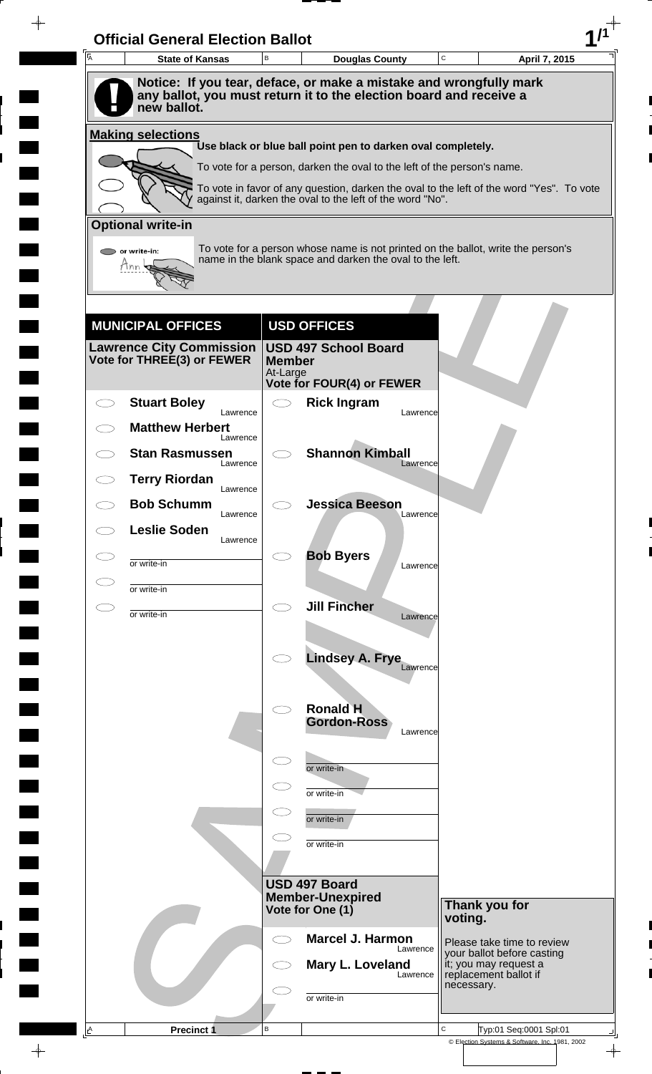| A         | <b>State of Kansas</b>                                        | B                                  | <b>Douglas County</b>                                                                                                                                               | C       | April 7, 2015                                                                |
|-----------|---------------------------------------------------------------|------------------------------------|---------------------------------------------------------------------------------------------------------------------------------------------------------------------|---------|------------------------------------------------------------------------------|
|           | new ballot.                                                   |                                    | Notice: If you tear, deface, or make a mistake and wrongfully mark<br>any ballot, you must return it to the election board and receive a                            |         |                                                                              |
|           | <b>Making selections</b>                                      |                                    |                                                                                                                                                                     |         |                                                                              |
|           |                                                               |                                    | Use black or blue ball point pen to darken oval completely.                                                                                                         |         |                                                                              |
|           |                                                               |                                    | To vote for a person, darken the oval to the left of the person's name.<br>To vote in favor of any question, darken the oval to the left of the word "Yes". To vote |         |                                                                              |
|           |                                                               |                                    | against it, darken the oval to the left of the word "No".                                                                                                           |         |                                                                              |
|           | <b>Optional write-in</b>                                      |                                    |                                                                                                                                                                     |         |                                                                              |
|           | $\triangleright$ or write-in:<br>Tnn                          |                                    | To vote for a person whose name is not printed on the ballot, write the person's<br>name in the blank space and darken the oval to the left.                        |         |                                                                              |
|           |                                                               |                                    |                                                                                                                                                                     |         |                                                                              |
|           | <b>MUNICIPAL OFFICES</b>                                      |                                    | <b>USD OFFICES</b>                                                                                                                                                  |         |                                                                              |
|           | <b>Lawrence City Commission</b><br>Vote for THREE(3) or FEWER | <b>Member</b><br>At-Large          | <b>USD 497 School Board</b>                                                                                                                                         |         |                                                                              |
|           | <b>Stuart Boley</b>                                           | $\bigcirc$                         | <b>Vote for FOUR(4) or FEWER</b><br><b>Rick Ingram</b>                                                                                                              |         |                                                                              |
|           | Lawrence<br><b>Matthew Herbert</b>                            |                                    | Lawrence                                                                                                                                                            |         |                                                                              |
|           | Lawrence<br><b>Stan Rasmussen</b>                             |                                    | <b>Shannon Kimball</b>                                                                                                                                              |         |                                                                              |
|           | Lawrence<br><b>Terry Riordan</b>                              |                                    | Lawrence                                                                                                                                                            |         |                                                                              |
|           | Lawrence<br><b>Bob Schumm</b>                                 |                                    | <b>Jessica Beeson</b>                                                                                                                                               |         |                                                                              |
| CD.       | Lawrence<br><b>Leslie Soden</b>                               |                                    | Lawrence                                                                                                                                                            |         |                                                                              |
|           | Lawrence                                                      |                                    | <b>Bob Byers</b>                                                                                                                                                    |         |                                                                              |
|           | or write-in                                                   |                                    | Lawrence                                                                                                                                                            |         |                                                                              |
| $\subset$ | or write-in                                                   | $\bigcirc$                         | <b>Jill Fincher</b>                                                                                                                                                 |         |                                                                              |
|           | or write-in                                                   |                                    | Lawrence                                                                                                                                                            |         |                                                                              |
|           |                                                               |                                    | <b>Lindsey A. Frye</b>                                                                                                                                              |         |                                                                              |
|           |                                                               |                                    | Lawrence                                                                                                                                                            |         |                                                                              |
|           |                                                               | $\bigcirc$                         | <b>Ronald H</b>                                                                                                                                                     |         |                                                                              |
|           |                                                               |                                    | <b>Gordon-Ross</b><br>Lawrence                                                                                                                                      |         |                                                                              |
|           |                                                               | $\subset$ $\overline{\phantom{a}}$ |                                                                                                                                                                     |         |                                                                              |
|           |                                                               |                                    | or write-in<br>or write-in                                                                                                                                          |         |                                                                              |
|           |                                                               |                                    | or write-in                                                                                                                                                         |         |                                                                              |
|           |                                                               |                                    | or write-in                                                                                                                                                         |         |                                                                              |
|           |                                                               |                                    |                                                                                                                                                                     |         |                                                                              |
|           |                                                               |                                    | USD 497 Board                                                                                                                                                       |         |                                                                              |
|           |                                                               |                                    | <b>Member-Unexpired</b><br>Vote for One (1)                                                                                                                         | voting. | Thank you for                                                                |
|           |                                                               | ⊂⊇                                 | <b>Marcel J. Harmon</b>                                                                                                                                             |         | Please take time to review                                                   |
|           |                                                               |                                    | Lawrence<br>Mary L. Loveland                                                                                                                                        |         | your ballot before casting<br>it; you may request a<br>replacement ballot if |
|           |                                                               |                                    | Lawrence                                                                                                                                                            |         | necessary.                                                                   |
|           |                                                               |                                    | or write-in                                                                                                                                                         |         |                                                                              |

 $\blacksquare$ 

 $\qquad \qquad \blacksquare$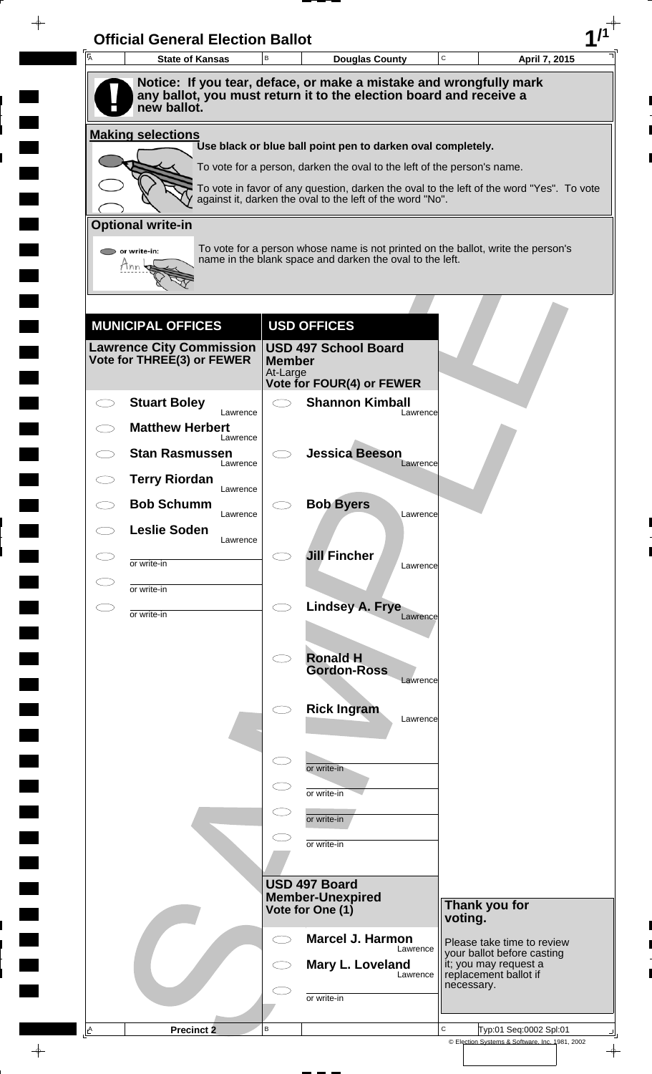| A         | <b>State of Kansas</b>             | $\,$ B                    | <b>Douglas County</b>                                                                                                                    | $\mathbf C$ | April 7, 2015                                                |
|-----------|------------------------------------|---------------------------|------------------------------------------------------------------------------------------------------------------------------------------|-------------|--------------------------------------------------------------|
|           | new ballot.                        |                           | Notice: If you tear, deface, or make a mistake and wrongfully mark<br>any ballot, you must return it to the election board and receive a |             |                                                              |
|           | <b>Making selections</b>           |                           |                                                                                                                                          |             |                                                              |
|           |                                    |                           | Use black or blue ball point pen to darken oval completely.<br>To vote for a person, darken the oval to the left of the person's name.   |             |                                                              |
|           |                                    |                           | To vote in favor of any question, darken the oval to the left of the word "Yes". To vote                                                 |             |                                                              |
|           |                                    |                           | against it, darken the oval to the left of the word "No".                                                                                |             |                                                              |
|           | <b>Optional write-in</b>           |                           | To vote for a person whose name is not printed on the ballot, write the person's                                                         |             |                                                              |
|           | or write-in:                       |                           | name in the blank space and darken the oval to the left.                                                                                 |             |                                                              |
|           |                                    |                           |                                                                                                                                          |             |                                                              |
|           | <b>MUNICIPAL OFFICES</b>           |                           | <b>USD OFFICES</b>                                                                                                                       |             |                                                              |
|           | <b>Lawrence City Commission</b>    |                           | <b>USD 497 School Board</b>                                                                                                              |             |                                                              |
|           | Vote for THREE(3) or FEWER         | <b>Member</b><br>At-Large |                                                                                                                                          |             |                                                              |
|           | <b>Stuart Boley</b>                | $\bigcirc$                | Vote for FOUR(4) or FEWER<br><b>Shannon Kimball</b>                                                                                      |             |                                                              |
|           | Lawrence<br><b>Matthew Herbert</b> |                           | Lawrence                                                                                                                                 |             |                                                              |
|           | Lawrence<br><b>Stan Rasmussen</b>  |                           | <b>Jessica Beeson</b>                                                                                                                    |             |                                                              |
|           | Lawrence<br><b>Terry Riordan</b>   |                           | Lawrence                                                                                                                                 |             |                                                              |
|           | Lawrence<br><b>Bob Schumm</b>      |                           | <b>Bob Byers</b>                                                                                                                         |             |                                                              |
|           | Lawrence<br><b>Leslie Soden</b>    |                           | Lawrence                                                                                                                                 |             |                                                              |
|           | Lawrence                           |                           | <b>Jill Fincher</b>                                                                                                                      |             |                                                              |
|           | or write-in<br>or write-in         |                           | Lawrence                                                                                                                                 |             |                                                              |
| $\subset$ | or write-in                        | $\bigcirc$                | Lindsey A. Frye<br>Lawrence                                                                                                              |             |                                                              |
|           |                                    |                           |                                                                                                                                          |             |                                                              |
|           |                                    | $\bigcirc$                | <b>Ronald H</b><br><b>Gordon-Ross</b>                                                                                                    |             |                                                              |
|           |                                    |                           | Lawrence                                                                                                                                 |             |                                                              |
|           |                                    |                           | <b>Rick Ingram</b><br>Lawrence                                                                                                           |             |                                                              |
|           |                                    |                           |                                                                                                                                          |             |                                                              |
|           |                                    | $\subset$                 | or write-in                                                                                                                              |             |                                                              |
|           |                                    |                           | or write-in                                                                                                                              |             |                                                              |
|           |                                    | $\subset$                 | or write-in                                                                                                                              |             |                                                              |
|           |                                    |                           | or write-in                                                                                                                              |             |                                                              |
|           |                                    |                           |                                                                                                                                          |             |                                                              |
|           |                                    |                           | USD 497 Board<br><b>Member-Unexpired</b><br>Vote for One (1)                                                                             |             | Thank you for                                                |
|           |                                    |                           |                                                                                                                                          | voting.     |                                                              |
|           |                                    | $\bigcirc$                | <b>Marcel J. Harmon</b><br>Lawrence                                                                                                      |             | Please take time to review<br>your ballot before casting     |
|           |                                    |                           | Mary L. Loveland<br>Lawrence                                                                                                             |             | it; you may request a<br>replacement ballot if<br>necessary. |
|           |                                    |                           | or write-in                                                                                                                              |             |                                                              |
|           |                                    |                           |                                                                                                                                          |             |                                                              |

 $\blacksquare$ 

 $\qquad \qquad \blacksquare$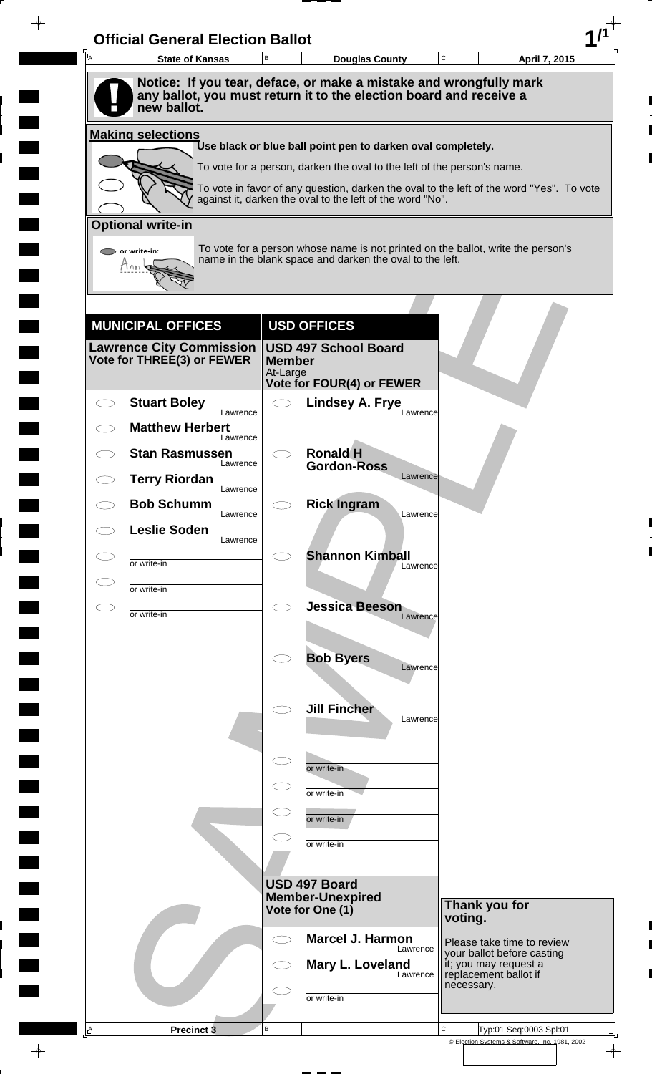| A         | <b>State of Kansas</b>                                        | $\,$ B                    | <b>Douglas County</b>                                                                                                                                               | C          | April 7, 2015                                       |
|-----------|---------------------------------------------------------------|---------------------------|---------------------------------------------------------------------------------------------------------------------------------------------------------------------|------------|-----------------------------------------------------|
|           | new ballot.                                                   |                           | Notice: If you tear, deface, or make a mistake and wrongfully mark<br>any ballot, you must return it to the election board and receive a                            |            |                                                     |
|           | <b>Making selections</b>                                      |                           |                                                                                                                                                                     |            |                                                     |
|           |                                                               |                           | Use black or blue ball point pen to darken oval completely.                                                                                                         |            |                                                     |
|           |                                                               |                           | To vote for a person, darken the oval to the left of the person's name.<br>To vote in favor of any question, darken the oval to the left of the word "Yes". To vote |            |                                                     |
|           |                                                               |                           | against it, darken the oval to the left of the word "No".                                                                                                           |            |                                                     |
|           | <b>Optional write-in</b>                                      |                           |                                                                                                                                                                     |            |                                                     |
|           | or write-in:<br>Inn                                           |                           | To vote for a person whose name is not printed on the ballot, write the person's<br>name in the blank space and darken the oval to the left.                        |            |                                                     |
|           |                                                               |                           |                                                                                                                                                                     |            |                                                     |
|           | <b>MUNICIPAL OFFICES</b>                                      |                           | <b>USD OFFICES</b>                                                                                                                                                  |            |                                                     |
|           | <b>Lawrence City Commission</b><br>Vote for THREE(3) or FEWER | <b>Member</b><br>At-Large | <b>USD 497 School Board</b><br>Vote for FOUR(4) or FEWER                                                                                                            |            |                                                     |
|           | <b>Stuart Boley</b>                                           | $\bigcirc$                | <b>Lindsey A. Frye</b>                                                                                                                                              |            |                                                     |
|           | Lawrence<br><b>Matthew Herbert</b>                            |                           | Lawrence                                                                                                                                                            |            |                                                     |
|           | Lawrence<br><b>Stan Rasmussen</b>                             |                           | <b>Ronald H</b>                                                                                                                                                     |            |                                                     |
|           | Lawrence<br><b>Terry Riordan</b>                              |                           | <b>Gordon-Ross</b><br>Lawrence                                                                                                                                      |            |                                                     |
|           | Lawrence<br><b>Bob Schumm</b>                                 |                           | <b>Rick Ingram</b>                                                                                                                                                  |            |                                                     |
|           | Lawrence<br><b>Leslie Soden</b>                               |                           | Lawrence                                                                                                                                                            |            |                                                     |
|           | Lawrence                                                      |                           | <b>Shannon Kimball</b>                                                                                                                                              |            |                                                     |
|           | or write-in<br>or write-in                                    |                           | Lawrence                                                                                                                                                            |            |                                                     |
| $\subset$ |                                                               | $\bigcirc$                | <b>Jessica Beeson</b>                                                                                                                                               |            |                                                     |
|           | or write-in                                                   |                           | Lawrence                                                                                                                                                            |            |                                                     |
|           |                                                               |                           | <b>Bob Byers</b>                                                                                                                                                    |            |                                                     |
|           |                                                               |                           | Lawrence                                                                                                                                                            |            |                                                     |
|           |                                                               |                           | <b>Jill Fincher</b>                                                                                                                                                 |            |                                                     |
|           |                                                               |                           | Lawrence                                                                                                                                                            |            |                                                     |
|           |                                                               | $\subset$                 | or write-in                                                                                                                                                         |            |                                                     |
|           |                                                               |                           | or write-in                                                                                                                                                         |            |                                                     |
|           |                                                               |                           | or write-in                                                                                                                                                         |            |                                                     |
|           |                                                               |                           | or write-in                                                                                                                                                         |            |                                                     |
|           |                                                               |                           |                                                                                                                                                                     |            |                                                     |
|           |                                                               |                           | USD 497 Board                                                                                                                                                       |            |                                                     |
|           |                                                               |                           | <b>Member-Unexpired</b><br>Vote for One (1)                                                                                                                         | voting.    | Thank you for                                       |
|           |                                                               | $\bigcirc$                | <b>Marcel J. Harmon</b>                                                                                                                                             |            | Please take time to review                          |
|           |                                                               |                           | Lawrence<br>Mary L. Loveland                                                                                                                                        |            | your ballot before casting<br>it; you may request a |
|           |                                                               |                           | Lawrence                                                                                                                                                            | necessary. | replacement ballot if                               |
|           |                                                               |                           | or write-in                                                                                                                                                         |            |                                                     |
|           |                                                               |                           |                                                                                                                                                                     |            |                                                     |

 $\blacksquare$ 

 $\qquad \qquad \blacksquare$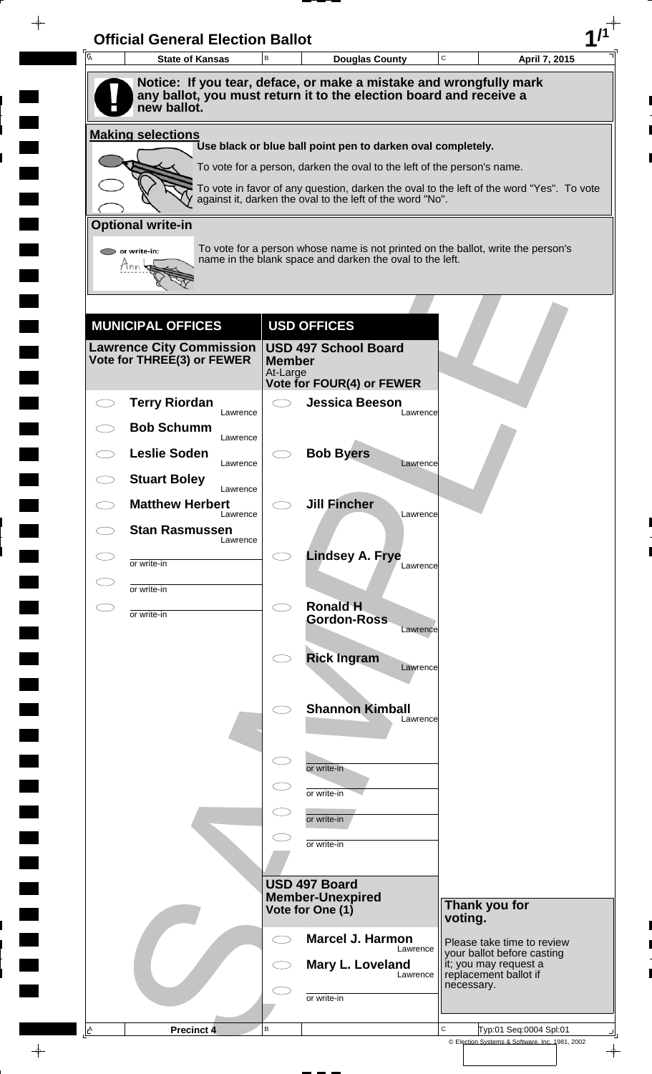| A | <b>State of Kansas</b>             | B                         | <b>Douglas County</b>                                                                                                                                 | C       | April 7, 2015                                                                |
|---|------------------------------------|---------------------------|-------------------------------------------------------------------------------------------------------------------------------------------------------|---------|------------------------------------------------------------------------------|
|   |                                    |                           | Notice: If you tear, deface, or make a mistake and wrongfully mark<br>any ballot, you must return it to the election board and receive a              |         |                                                                              |
|   | new ballot.                        |                           |                                                                                                                                                       |         |                                                                              |
|   | <b>Making selections</b>           |                           | Use black or blue ball point pen to darken oval completely.                                                                                           |         |                                                                              |
|   |                                    |                           | To vote for a person, darken the oval to the left of the person's name.                                                                               |         |                                                                              |
|   |                                    |                           | To vote in favor of any question, darken the oval to the left of the word "Yes". To vote<br>against it, darken the oval to the left of the word "No". |         |                                                                              |
|   | <b>Optional write-in</b>           |                           |                                                                                                                                                       |         |                                                                              |
|   | $\triangleright$ or write-in:      |                           | To vote for a person whose name is not printed on the ballot, write the person's                                                                      |         |                                                                              |
|   | Tnn                                |                           | name in the blank space and darken the oval to the left.                                                                                              |         |                                                                              |
|   |                                    |                           |                                                                                                                                                       |         |                                                                              |
|   | <b>MUNICIPAL OFFICES</b>           |                           | <b>USD OFFICES</b>                                                                                                                                    |         |                                                                              |
|   | <b>Lawrence City Commission</b>    |                           | <b>USD 497 School Board</b>                                                                                                                           |         |                                                                              |
|   | Vote for THREE(3) or FEWER         | <b>Member</b><br>At-Large |                                                                                                                                                       |         |                                                                              |
|   | <b>Terry Riordan</b>               | $\bigcirc$                | Vote for FOUR(4) or FEWER<br><b>Jessica Beeson</b>                                                                                                    |         |                                                                              |
|   | Lawrence                           |                           | Lawrence                                                                                                                                              |         |                                                                              |
|   | <b>Bob Schumm</b><br>Lawrence      |                           |                                                                                                                                                       |         |                                                                              |
|   | <b>Leslie Soden</b><br>Lawrence    |                           | <b>Bob Byers</b><br>Lawrence                                                                                                                          |         |                                                                              |
|   | <b>Stuart Boley</b><br>Lawrence    |                           |                                                                                                                                                       |         |                                                                              |
|   | <b>Matthew Herbert</b><br>Lawrence |                           | <b>Jill Fincher</b><br>Lawrence                                                                                                                       |         |                                                                              |
|   | <b>Stan Rasmussen</b><br>Lawrence  |                           |                                                                                                                                                       |         |                                                                              |
|   | or write-in                        |                           | <b>Lindsey A. Frye</b><br>Lawrence                                                                                                                    |         |                                                                              |
|   | or write-in                        |                           |                                                                                                                                                       |         |                                                                              |
|   | or write-in                        | $\bigcirc$                | <b>Ronald H</b><br><b>Gordon-Ross</b>                                                                                                                 |         |                                                                              |
|   |                                    |                           | Lawrence                                                                                                                                              |         |                                                                              |
|   |                                    |                           | <b>Rick Ingram</b><br>Lawrence                                                                                                                        |         |                                                                              |
|   |                                    |                           |                                                                                                                                                       |         |                                                                              |
|   |                                    |                           | <b>Shannon Kimball</b><br>Lawrence                                                                                                                    |         |                                                                              |
|   |                                    |                           |                                                                                                                                                       |         |                                                                              |
|   |                                    |                           | or write-in                                                                                                                                           |         |                                                                              |
|   |                                    |                           | or write-in                                                                                                                                           |         |                                                                              |
|   |                                    |                           | or write-in                                                                                                                                           |         |                                                                              |
|   |                                    |                           | or write-in                                                                                                                                           |         |                                                                              |
|   |                                    |                           |                                                                                                                                                       |         |                                                                              |
|   |                                    |                           | USD 497 Board<br><b>Member-Unexpired</b>                                                                                                              |         |                                                                              |
|   |                                    |                           | Vote for One (1)                                                                                                                                      | voting. | Thank you for                                                                |
|   |                                    | $\subset$ $\supset$       | <b>Marcel J. Harmon</b><br>Lawrence                                                                                                                   |         | Please take time to review                                                   |
|   |                                    |                           | Mary L. Loveland<br>Lawrence                                                                                                                          |         | your ballot before casting<br>it; you may request a<br>replacement ballot if |
|   |                                    |                           | or write-in                                                                                                                                           |         | necessary.                                                                   |
|   |                                    |                           |                                                                                                                                                       |         |                                                                              |
|   |                                    |                           |                                                                                                                                                       |         |                                                                              |

 $\blacksquare$ 

 $\blacksquare$ 

 $\blacksquare$ 

 $\blacksquare$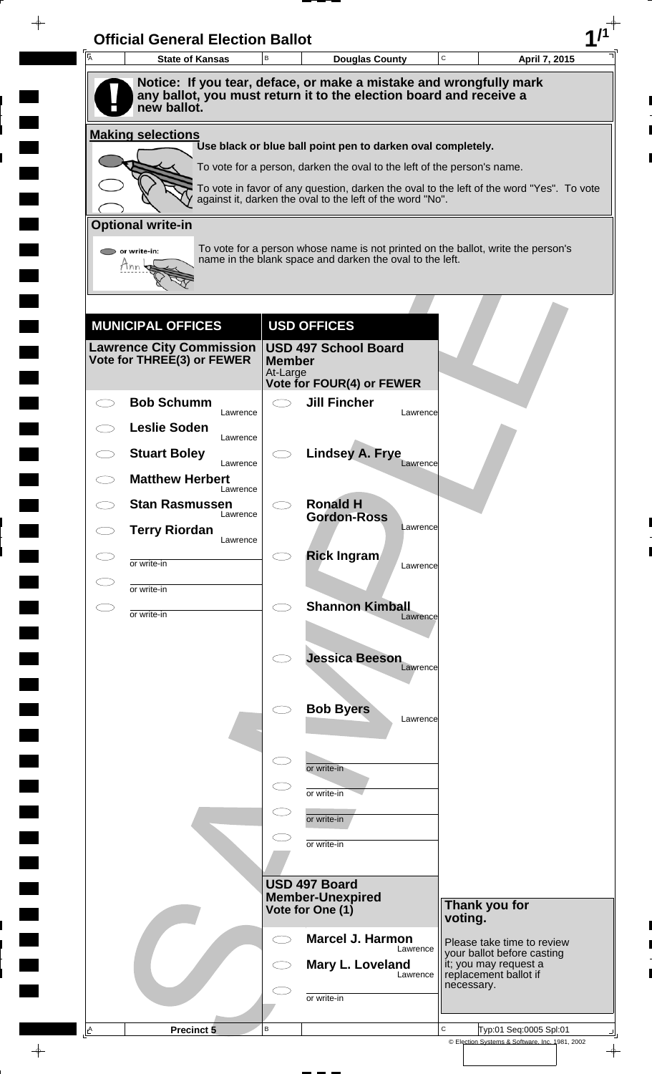| A | <b>State of Kansas</b>                                                            | B                         | <b>Douglas County</b>                                                   |          | $\mathbf C$ | April 7, 2015                                                                            |
|---|-----------------------------------------------------------------------------------|---------------------------|-------------------------------------------------------------------------|----------|-------------|------------------------------------------------------------------------------------------|
|   | Notice: If you tear, deface, or make a mistake and wrongfully mark                |                           |                                                                         |          |             |                                                                                          |
|   | any ballot, you must return it to the election board and receive a<br>new ballot. |                           |                                                                         |          |             |                                                                                          |
|   | <b>Making selections</b>                                                          |                           |                                                                         |          |             |                                                                                          |
|   |                                                                                   |                           | Use black or blue ball point pen to darken oval completely.             |          |             |                                                                                          |
|   |                                                                                   |                           | To vote for a person, darken the oval to the left of the person's name. |          |             |                                                                                          |
|   |                                                                                   |                           | against it, darken the oval to the left of the word "No".               |          |             | To vote in favor of any question, darken the oval to the left of the word "Yes". To vote |
|   | <b>Optional write-in</b>                                                          |                           |                                                                         |          |             |                                                                                          |
|   | $\triangleright$ or write-in:                                                     |                           | name in the blank space and darken the oval to the left.                |          |             | To vote for a person whose name is not printed on the ballot, write the person's         |
|   | Tnn                                                                               |                           |                                                                         |          |             |                                                                                          |
|   |                                                                                   |                           |                                                                         |          |             |                                                                                          |
|   | <b>MUNICIPAL OFFICES</b>                                                          |                           | <b>USD OFFICES</b>                                                      |          |             |                                                                                          |
|   | Lawrence City Commission                                                          |                           | <b>USD 497 School Board</b>                                             |          |             |                                                                                          |
|   | Vote for THREE(3) or FEWER                                                        | <b>Member</b><br>At-Large |                                                                         |          |             |                                                                                          |
|   | <b>Bob Schumm</b>                                                                 |                           | <b>Vote for FOUR(4) or FEWER</b><br><b>Jill Fincher</b>                 |          |             |                                                                                          |
|   | Lawrence                                                                          |                           |                                                                         | Lawrence |             |                                                                                          |
|   | <b>Leslie Soden</b><br>Lawrence                                                   |                           |                                                                         |          |             |                                                                                          |
|   | <b>Stuart Boley</b><br>Lawrence                                                   |                           | <b>Lindsey A. Frye</b>                                                  | Lawrence |             |                                                                                          |
|   | <b>Matthew Herbert</b><br>Lawrence                                                |                           |                                                                         |          |             |                                                                                          |
|   | <b>Stan Rasmussen</b><br>Lawrence                                                 |                           | <b>Ronald H</b><br><b>Gordon-Ross</b>                                   |          |             |                                                                                          |
|   | <b>Terry Riordan</b><br>Lawrence                                                  |                           |                                                                         | Lawrence |             |                                                                                          |
|   | or write-in                                                                       |                           | <b>Rick Ingram</b>                                                      | Lawrence |             |                                                                                          |
|   | or write-in                                                                       |                           |                                                                         |          |             |                                                                                          |
|   | or write-in                                                                       | Ο                         | <b>Shannon Kimball</b>                                                  | Lawrence |             |                                                                                          |
|   |                                                                                   |                           |                                                                         |          |             |                                                                                          |
|   |                                                                                   |                           | <b>Jessica Beeson</b>                                                   |          |             |                                                                                          |
|   |                                                                                   |                           |                                                                         | Lawrence |             |                                                                                          |
|   |                                                                                   |                           | <b>Bob Byers</b>                                                        |          |             |                                                                                          |
|   |                                                                                   |                           |                                                                         | Lawrence |             |                                                                                          |
|   |                                                                                   | $\subset$                 |                                                                         |          |             |                                                                                          |
|   |                                                                                   |                           | or write-in                                                             |          |             |                                                                                          |
|   |                                                                                   |                           | or write-in                                                             |          |             |                                                                                          |
|   |                                                                                   |                           | or write-in                                                             |          |             |                                                                                          |
|   |                                                                                   |                           | or write-in                                                             |          |             |                                                                                          |
|   |                                                                                   |                           |                                                                         |          |             |                                                                                          |
|   |                                                                                   |                           | USD 497 Board<br><b>Member-Unexpired</b>                                |          |             | Thank you for                                                                            |
|   |                                                                                   |                           | Vote for One (1)                                                        |          | voting.     |                                                                                          |
|   |                                                                                   | ⊂⊇                        | <b>Marcel J. Harmon</b>                                                 | Lawrence |             | Please take time to review<br>your ballot before casting                                 |
|   |                                                                                   |                           | Mary L. Loveland                                                        | Lawrence |             | it; you may request a<br>replacement ballot if                                           |
|   |                                                                                   |                           |                                                                         |          | necessary.  |                                                                                          |
|   |                                                                                   |                           | or write-in                                                             |          |             |                                                                                          |

 $\blacksquare$ 

 $\blacksquare$ 

 $\blacksquare$ 

 $\blacksquare$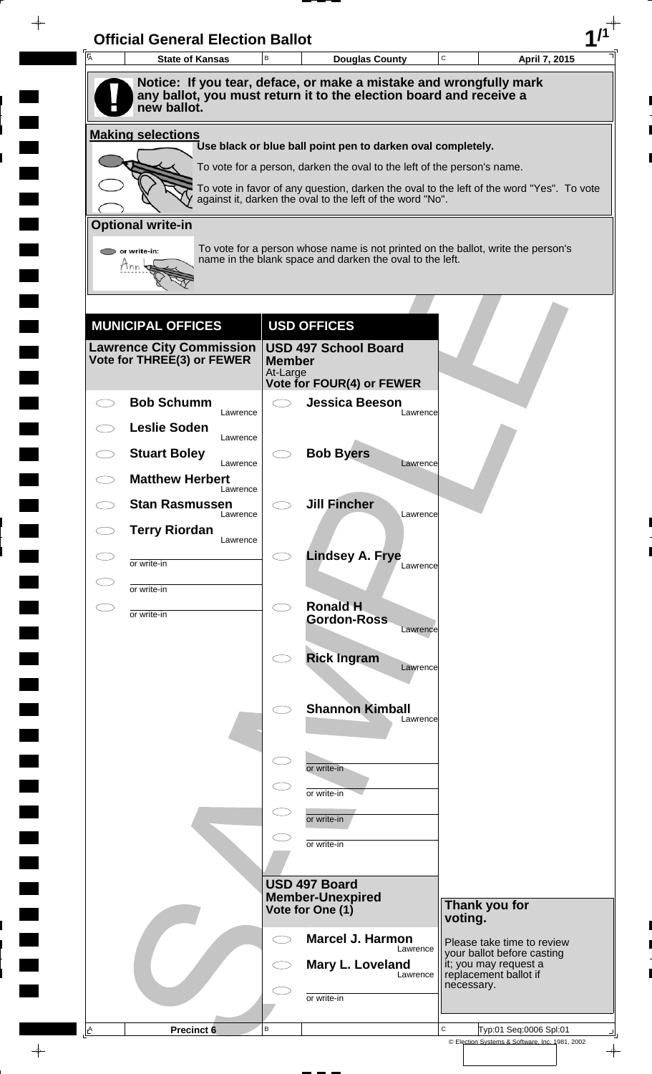| $\overline{A}$ | <b>State of Kansas</b>                                        | B                         | <b>Douglas County</b>                                                                                                                        | C<br>April 7, 2015                                                                       |
|----------------|---------------------------------------------------------------|---------------------------|----------------------------------------------------------------------------------------------------------------------------------------------|------------------------------------------------------------------------------------------|
|                |                                                               |                           | Notice: If you tear, deface, or make a mistake and wrongfully mark                                                                           |                                                                                          |
|                | new ballot.                                                   |                           | any ballot, you must return it to the election board and receive a                                                                           |                                                                                          |
|                | <b>Making selections</b>                                      |                           |                                                                                                                                              |                                                                                          |
|                |                                                               |                           | Use black or blue ball point pen to darken oval completely.<br>To vote for a person, darken the oval to the left of the person's name.       |                                                                                          |
|                |                                                               |                           |                                                                                                                                              | To vote in favor of any question, darken the oval to the left of the word "Yes". To vote |
|                |                                                               |                           | against it, darken the oval to the left of the word "No".                                                                                    |                                                                                          |
|                | <b>Optional write-in</b>                                      |                           |                                                                                                                                              |                                                                                          |
|                | or write-in:                                                  |                           | To vote for a person whose name is not printed on the ballot, write the person's<br>name in the blank space and darken the oval to the left. |                                                                                          |
|                | Tnn                                                           |                           |                                                                                                                                              |                                                                                          |
|                |                                                               |                           |                                                                                                                                              |                                                                                          |
|                | <b>MUNICIPAL OFFICES</b>                                      |                           | <b>USD OFFICES</b>                                                                                                                           |                                                                                          |
|                | <b>Lawrence City Commission</b><br>Vote for THREE(3) or FEWER |                           | <b>USD 497 School Board</b>                                                                                                                  |                                                                                          |
|                |                                                               | <b>Member</b><br>At-Large |                                                                                                                                              |                                                                                          |
|                | <b>Bob Schumm</b>                                             |                           | <b>Vote for FOUR(4) or FEWER</b><br><b>Jessica Beeson</b>                                                                                    |                                                                                          |
|                | Lawrence<br><b>Leslie Soden</b>                               |                           | Lawrence                                                                                                                                     |                                                                                          |
|                | Lawrence<br><b>Stuart Boley</b>                               |                           | <b>Bob Byers</b>                                                                                                                             |                                                                                          |
|                | Lawrence<br><b>Matthew Herbert</b>                            |                           | Lawrence                                                                                                                                     |                                                                                          |
|                | Lawrence                                                      |                           | <b>Jill Fincher</b>                                                                                                                          |                                                                                          |
|                | <b>Stan Rasmussen</b><br>Lawrence                             |                           | Lawrence                                                                                                                                     |                                                                                          |
|                | <b>Terry Riordan</b><br>Lawrence                              |                           |                                                                                                                                              |                                                                                          |
|                | or write-in                                                   |                           | <b>Lindsey A. Frye</b><br>Lawrence                                                                                                           |                                                                                          |
|                | or write-in                                                   |                           |                                                                                                                                              |                                                                                          |
| CD             | or write-in                                                   | $\bigcirc$                | <b>Ronald H</b><br><b>Gordon-Ross</b>                                                                                                        |                                                                                          |
|                |                                                               |                           | Lawrence                                                                                                                                     |                                                                                          |
|                |                                                               |                           | <b>Rick Ingram</b><br>Lawrence                                                                                                               |                                                                                          |
|                |                                                               |                           |                                                                                                                                              |                                                                                          |
|                |                                                               |                           | <b>Shannon Kimball</b><br>Lawrence                                                                                                           |                                                                                          |
|                |                                                               |                           |                                                                                                                                              |                                                                                          |
|                |                                                               |                           | or write-in                                                                                                                                  |                                                                                          |
|                |                                                               |                           | or write-in                                                                                                                                  |                                                                                          |
|                |                                                               |                           | or write-in                                                                                                                                  |                                                                                          |
|                |                                                               |                           |                                                                                                                                              |                                                                                          |
|                |                                                               |                           | or write-in                                                                                                                                  |                                                                                          |
|                |                                                               |                           | USD 497 Board                                                                                                                                |                                                                                          |
|                |                                                               |                           | <b>Member-Unexpired</b><br>Vote for One (1)                                                                                                  | Thank you for                                                                            |
|                |                                                               |                           | <b>Marcel J. Harmon</b>                                                                                                                      | voting.                                                                                  |
|                |                                                               |                           | Lawrence<br>Mary L. Loveland                                                                                                                 | Please take time to review<br>your ballot before casting<br>it; you may request a        |
|                |                                                               |                           | Lawrence                                                                                                                                     | replacement ballot if<br>necessary.                                                      |
|                |                                                               |                           | or write-in                                                                                                                                  |                                                                                          |
| $\triangle$    | <b>Precinct 6</b>                                             | В                         |                                                                                                                                              | C<br>Typ:01 Seq:0006 Spl:01                                                              |

 $\blacksquare$ 

 $\blacksquare$ 

 $\blacksquare$ 

 $\blacksquare$ 

 $\blacksquare$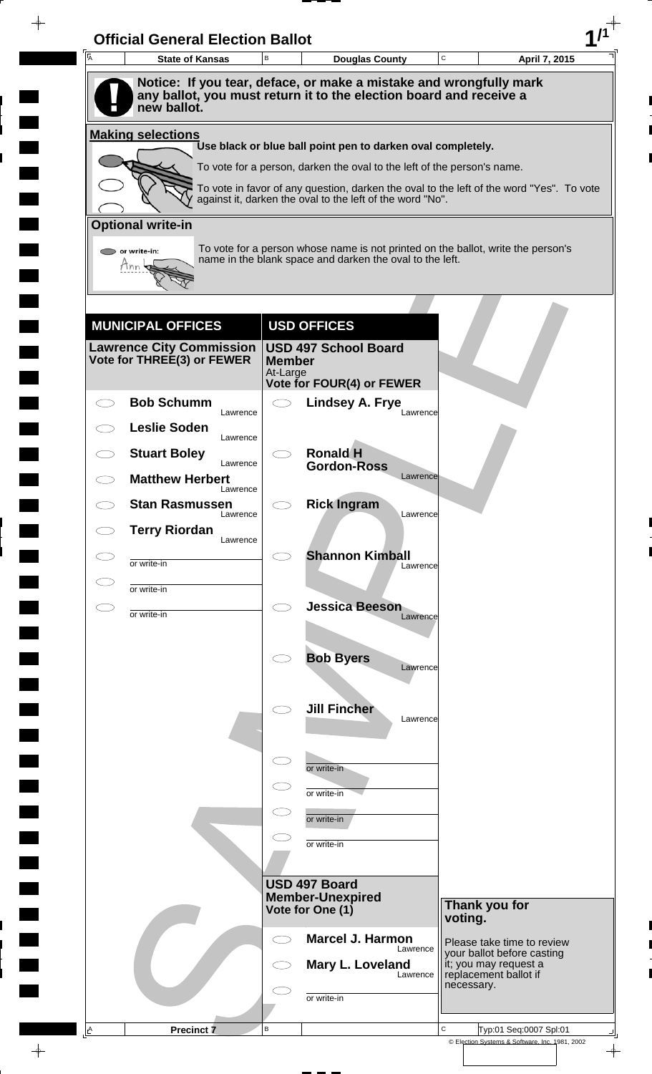| A         | <b>State of Kansas</b>             | B                         | <b>Douglas County</b>                                                                                                                                 | C       | April 7, 2015                                            |
|-----------|------------------------------------|---------------------------|-------------------------------------------------------------------------------------------------------------------------------------------------------|---------|----------------------------------------------------------|
|           |                                    |                           | Notice: If you tear, deface, or make a mistake and wrongfully mark<br>any ballot, you must return it to the election board and receive a              |         |                                                          |
|           | new ballot.                        |                           |                                                                                                                                                       |         |                                                          |
|           | <b>Making selections</b>           |                           | Use black or blue ball point pen to darken oval completely.                                                                                           |         |                                                          |
|           |                                    |                           | To vote for a person, darken the oval to the left of the person's name.                                                                               |         |                                                          |
|           |                                    |                           | To vote in favor of any question, darken the oval to the left of the word "Yes". To vote<br>against it, darken the oval to the left of the word "No". |         |                                                          |
|           | <b>Optional write-in</b>           |                           |                                                                                                                                                       |         |                                                          |
|           | $\triangleright$ or write-in:      |                           | To vote for a person whose name is not printed on the ballot, write the person's                                                                      |         |                                                          |
|           | Tnn                                |                           | name in the blank space and darken the oval to the left.                                                                                              |         |                                                          |
|           |                                    |                           |                                                                                                                                                       |         |                                                          |
|           | <b>MUNICIPAL OFFICES</b>           |                           | <b>USD OFFICES</b>                                                                                                                                    |         |                                                          |
|           | <b>Lawrence City Commission</b>    |                           | <b>USD 497 School Board</b>                                                                                                                           |         |                                                          |
|           | Vote for THREE(3) or FEWER         | <b>Member</b><br>At-Large |                                                                                                                                                       |         |                                                          |
|           | <b>Bob Schumm</b>                  |                           | Vote for FOUR(4) or FEWER<br><b>Lindsey A. Frye</b>                                                                                                   |         |                                                          |
|           | Lawrence<br><b>Leslie Soden</b>    |                           | Lawrence                                                                                                                                              |         |                                                          |
|           | Lawrence<br><b>Stuart Boley</b>    |                           | <b>Ronald H</b>                                                                                                                                       |         |                                                          |
|           | Lawrence<br><b>Matthew Herbert</b> |                           | <b>Gordon-Ross</b><br>Lawrence                                                                                                                        |         |                                                          |
|           | Lawrence                           |                           |                                                                                                                                                       |         |                                                          |
|           | <b>Stan Rasmussen</b><br>Lawrence  |                           | <b>Rick Ingram</b><br>Lawrence                                                                                                                        |         |                                                          |
|           | <b>Terry Riordan</b><br>Lawrence   |                           |                                                                                                                                                       |         |                                                          |
|           | or write-in                        |                           | <b>Shannon Kimball</b><br>Lawrence                                                                                                                    |         |                                                          |
|           | or write-in                        |                           |                                                                                                                                                       |         |                                                          |
| $\subset$ | or write-in                        | $\bigcirc$                | <b>Jessica Beeson</b><br>Lawrence                                                                                                                     |         |                                                          |
|           |                                    |                           |                                                                                                                                                       |         |                                                          |
|           |                                    |                           | <b>Bob Byers</b><br>Lawrence                                                                                                                          |         |                                                          |
|           |                                    |                           |                                                                                                                                                       |         |                                                          |
|           |                                    |                           | <b>Jill Fincher</b><br>Lawrence                                                                                                                       |         |                                                          |
|           |                                    |                           |                                                                                                                                                       |         |                                                          |
|           |                                    | $\subset$                 | or write-in                                                                                                                                           |         |                                                          |
|           |                                    |                           | or write-in                                                                                                                                           |         |                                                          |
|           |                                    |                           | or write-in                                                                                                                                           |         |                                                          |
|           |                                    |                           | or write-in                                                                                                                                           |         |                                                          |
|           |                                    |                           |                                                                                                                                                       |         |                                                          |
|           |                                    |                           | USD 497 Board<br><b>Member-Unexpired</b>                                                                                                              |         | Thank you for                                            |
|           |                                    |                           | Vote for One (1)                                                                                                                                      | voting. |                                                          |
|           |                                    | ⊂⊃                        | <b>Marcel J. Harmon</b><br>Lawrence                                                                                                                   |         | Please take time to review<br>your ballot before casting |
|           |                                    |                           | Mary L. Loveland<br>Lawrence                                                                                                                          |         | it; you may request a<br>replacement ballot if           |
|           |                                    |                           | or write-in                                                                                                                                           |         | necessary.                                               |
|           |                                    |                           |                                                                                                                                                       |         |                                                          |

 $\blacksquare$ 

 $\blacksquare$ 

 $\blacksquare$ 

 $\blacksquare$ 

 $\blacksquare$ 

 $\blacksquare$ 

 $\frac{1}{\left\vert \psi \right\vert }$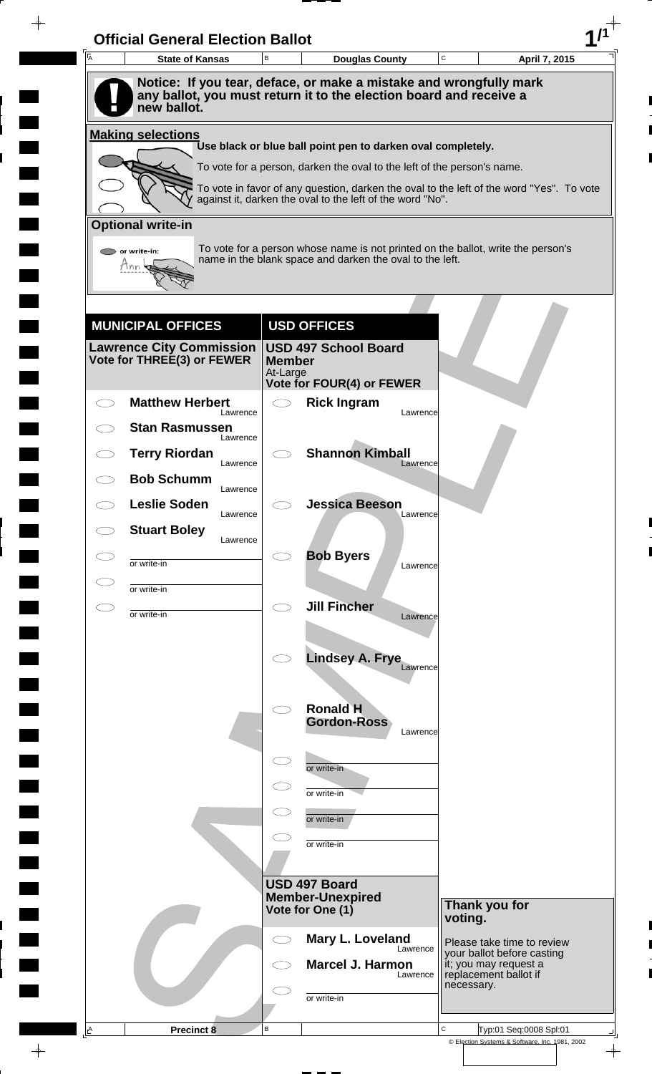| A | <b>State of Kansas</b>             | B                         | <b>Douglas County</b>                                                                                                                                 | C       | April 7, 2015                                                                |
|---|------------------------------------|---------------------------|-------------------------------------------------------------------------------------------------------------------------------------------------------|---------|------------------------------------------------------------------------------|
|   |                                    |                           | Notice: If you tear, deface, or make a mistake and wrongfully mark                                                                                    |         |                                                                              |
|   | new ballot.                        |                           | any ballot, you must return it to the election board and receive a                                                                                    |         |                                                                              |
|   | <b>Making selections</b>           |                           |                                                                                                                                                       |         |                                                                              |
|   |                                    |                           | Use black or blue ball point pen to darken oval completely.                                                                                           |         |                                                                              |
|   |                                    |                           | To vote for a person, darken the oval to the left of the person's name.                                                                               |         |                                                                              |
|   |                                    |                           | To vote in favor of any question, darken the oval to the left of the word "Yes". To vote<br>against it, darken the oval to the left of the word "No". |         |                                                                              |
|   | <b>Optional write-in</b>           |                           |                                                                                                                                                       |         |                                                                              |
|   | or write-in:                       |                           | To vote for a person whose name is not printed on the ballot, write the person's                                                                      |         |                                                                              |
|   | Mnn                                |                           | name in the blank space and darken the oval to the left.                                                                                              |         |                                                                              |
|   |                                    |                           |                                                                                                                                                       |         |                                                                              |
|   | <b>MUNICIPAL OFFICES</b>           |                           | <b>USD OFFICES</b>                                                                                                                                    |         |                                                                              |
|   | <b>Lawrence City Commission</b>    |                           | <b>USD 497 School Board</b>                                                                                                                           |         |                                                                              |
|   | Vote for THREE(3) or FEWER         | <b>Member</b><br>At-Large |                                                                                                                                                       |         |                                                                              |
|   |                                    |                           | <b>Vote for FOUR(4) or FEWER</b>                                                                                                                      |         |                                                                              |
|   | <b>Matthew Herbert</b><br>Lawrence | $\bigcirc$                | <b>Rick Ingram</b><br>Lawrence                                                                                                                        |         |                                                                              |
|   | <b>Stan Rasmussen</b><br>Lawrence  |                           |                                                                                                                                                       |         |                                                                              |
|   | <b>Terry Riordan</b><br>Lawrence   |                           | <b>Shannon Kimball</b><br>Lawrence                                                                                                                    |         |                                                                              |
|   | <b>Bob Schumm</b><br>Lawrence      |                           |                                                                                                                                                       |         |                                                                              |
|   | <b>Leslie Soden</b><br>Lawrence    |                           | <b>Jessica Beeson</b><br>Lawrence                                                                                                                     |         |                                                                              |
|   | <b>Stuart Boley</b><br>Lawrence    |                           |                                                                                                                                                       |         |                                                                              |
|   | or write-in                        |                           | <b>Bob Byers</b><br>Lawrence                                                                                                                          |         |                                                                              |
|   | or write-in                        |                           |                                                                                                                                                       |         |                                                                              |
|   | or write-in                        | $\bigcirc$                | <b>Jill Fincher</b>                                                                                                                                   |         |                                                                              |
|   |                                    |                           | Lawrence                                                                                                                                              |         |                                                                              |
|   |                                    |                           | <b>Lindsey A. Frye</b>                                                                                                                                |         |                                                                              |
|   |                                    |                           | Lawrence                                                                                                                                              |         |                                                                              |
|   |                                    | $\bigcirc$                | <b>Ronald H</b>                                                                                                                                       |         |                                                                              |
|   |                                    |                           | <b>Gordon-Ross</b><br>Lawrence                                                                                                                        |         |                                                                              |
|   |                                    | $\subset$                 |                                                                                                                                                       |         |                                                                              |
|   |                                    |                           | or write-in                                                                                                                                           |         |                                                                              |
|   |                                    | $\subset$                 | or write-in                                                                                                                                           |         |                                                                              |
|   |                                    | $\subset$                 | or write-in                                                                                                                                           |         |                                                                              |
|   |                                    |                           | or write-in                                                                                                                                           |         |                                                                              |
|   |                                    |                           |                                                                                                                                                       |         |                                                                              |
|   |                                    |                           | USD 497 Board<br><b>Member-Unexpired</b>                                                                                                              |         |                                                                              |
|   |                                    |                           | Vote for One (1)                                                                                                                                      | voting. | Thank you for                                                                |
|   |                                    |                           | Mary L. Loveland<br>Lawrence                                                                                                                          |         | Please take time to review                                                   |
|   |                                    |                           | <b>Marcel J. Harmon</b><br>Lawrence                                                                                                                   |         | your ballot before casting<br>it; you may request a<br>replacement ballot if |
|   |                                    |                           |                                                                                                                                                       |         | necessary.                                                                   |
|   |                                    |                           | or write-in                                                                                                                                           |         |                                                                              |

 $\blacksquare$ 

 $\qquad \qquad \blacksquare$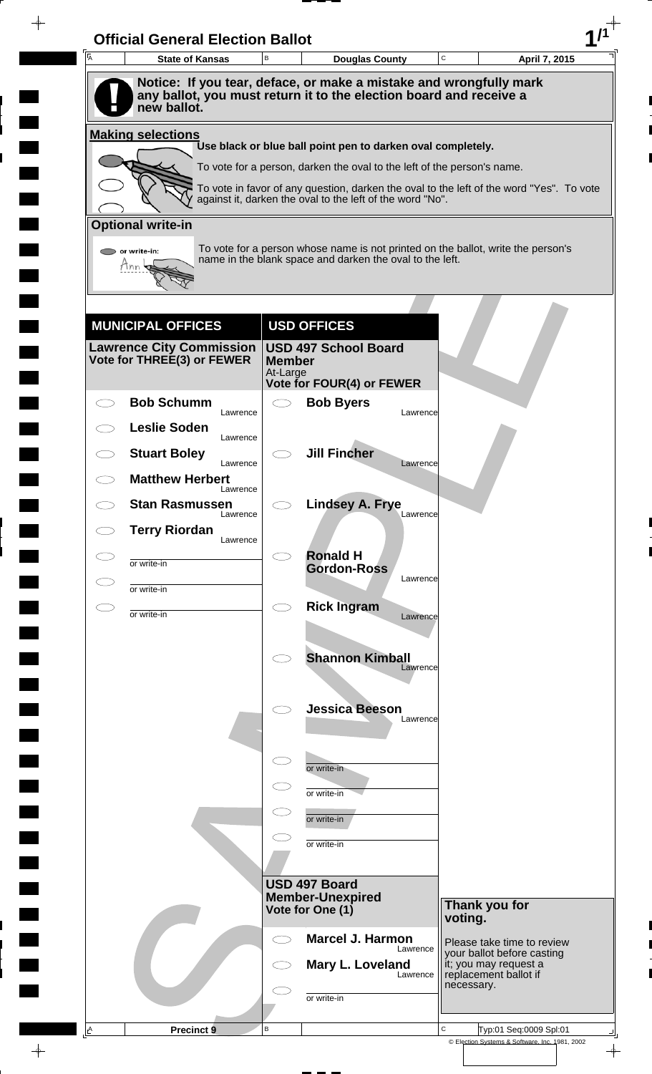| Notice: If you tear, deface, or make a mistake and wrongfully mark<br>any ballot, you must return it to the election board and receive a<br>new ballot.<br><b>Making selections</b><br>Use black or blue ball point pen to darken oval completely.<br>To vote for a person, darken the oval to the left of the person's name.<br>To vote in favor of any question, darken the oval to the left of the word "Yes". To vote<br>against it, darken the oval to the left of the word "No".<br><b>Optional write-in</b><br>To vote for a person whose name is not printed on the ballot, write the person's<br>$\triangleright$ or write-in:<br>name in the blank space and darken the oval to the left.<br>Tnn<br><b>USD OFFICES</b><br><b>MUNICIPAL OFFICES</b><br><b>Lawrence City Commission</b><br><b>USD 497 School Board</b><br>Vote for THREE(3) or FEWER<br><b>Member</b><br>At-Large<br><b>Vote for FOUR(4) or FEWER</b><br><b>Bob Schumm</b><br><b>Bob Byers</b><br>$\subset$ $\supset$<br>Lawrence<br>Lawrence<br><b>Leslie Soden</b><br>Lawrence<br><b>Jill Fincher</b><br><b>Stuart Boley</b><br>Lawrence<br>Lawrence<br><b>Matthew Herbert</b><br>Lawrence<br><b>Lindsey A. Frye</b><br><b>Stan Rasmussen</b><br>Lawrence<br>Lawrence<br><b>Terry Riordan</b><br>Lawrence<br><b>Ronald H</b><br>or write-in<br><b>Gordon-Ross</b><br>Lawrence<br>or write-in<br><b>Rick Ingram</b><br>$\bigcirc$<br>E.<br>or write-in<br>Lawrence<br><b>Shannon Kimball</b><br>Lawrence<br><b>Jessica Beeson</b><br>Lawrence<br>$\subset$<br>or write-in<br>or write-in<br>or write-in<br>or write-in<br>USD 497 Board<br><b>Member-Unexpired</b><br>Thank you for<br>Vote for One (1)<br>voting.<br><b>Marcel J. Harmon</b><br>$\subset$ $\supset$<br>Please take time to review<br>Lawrence<br>your ballot before casting<br>Mary L. Loveland<br>it; you may request a<br>replacement ballot if<br>Lawrence<br>necessary.<br>or write-in | A | <b>State of Kansas</b> | B | <b>Douglas County</b> | C | April 7, 2015 |
|--------------------------------------------------------------------------------------------------------------------------------------------------------------------------------------------------------------------------------------------------------------------------------------------------------------------------------------------------------------------------------------------------------------------------------------------------------------------------------------------------------------------------------------------------------------------------------------------------------------------------------------------------------------------------------------------------------------------------------------------------------------------------------------------------------------------------------------------------------------------------------------------------------------------------------------------------------------------------------------------------------------------------------------------------------------------------------------------------------------------------------------------------------------------------------------------------------------------------------------------------------------------------------------------------------------------------------------------------------------------------------------------------------------------------------------------------------------------------------------------------------------------------------------------------------------------------------------------------------------------------------------------------------------------------------------------------------------------------------------------------------------------------------------------------------------------------------------------------------------------------------------------------------------------------------------|---|------------------------|---|-----------------------|---|---------------|
|                                                                                                                                                                                                                                                                                                                                                                                                                                                                                                                                                                                                                                                                                                                                                                                                                                                                                                                                                                                                                                                                                                                                                                                                                                                                                                                                                                                                                                                                                                                                                                                                                                                                                                                                                                                                                                                                                                                                      |   |                        |   |                       |   |               |
|                                                                                                                                                                                                                                                                                                                                                                                                                                                                                                                                                                                                                                                                                                                                                                                                                                                                                                                                                                                                                                                                                                                                                                                                                                                                                                                                                                                                                                                                                                                                                                                                                                                                                                                                                                                                                                                                                                                                      |   |                        |   |                       |   |               |
|                                                                                                                                                                                                                                                                                                                                                                                                                                                                                                                                                                                                                                                                                                                                                                                                                                                                                                                                                                                                                                                                                                                                                                                                                                                                                                                                                                                                                                                                                                                                                                                                                                                                                                                                                                                                                                                                                                                                      |   |                        |   |                       |   |               |
|                                                                                                                                                                                                                                                                                                                                                                                                                                                                                                                                                                                                                                                                                                                                                                                                                                                                                                                                                                                                                                                                                                                                                                                                                                                                                                                                                                                                                                                                                                                                                                                                                                                                                                                                                                                                                                                                                                                                      |   |                        |   |                       |   |               |
|                                                                                                                                                                                                                                                                                                                                                                                                                                                                                                                                                                                                                                                                                                                                                                                                                                                                                                                                                                                                                                                                                                                                                                                                                                                                                                                                                                                                                                                                                                                                                                                                                                                                                                                                                                                                                                                                                                                                      |   |                        |   |                       |   |               |
|                                                                                                                                                                                                                                                                                                                                                                                                                                                                                                                                                                                                                                                                                                                                                                                                                                                                                                                                                                                                                                                                                                                                                                                                                                                                                                                                                                                                                                                                                                                                                                                                                                                                                                                                                                                                                                                                                                                                      |   |                        |   |                       |   |               |
|                                                                                                                                                                                                                                                                                                                                                                                                                                                                                                                                                                                                                                                                                                                                                                                                                                                                                                                                                                                                                                                                                                                                                                                                                                                                                                                                                                                                                                                                                                                                                                                                                                                                                                                                                                                                                                                                                                                                      |   |                        |   |                       |   |               |
|                                                                                                                                                                                                                                                                                                                                                                                                                                                                                                                                                                                                                                                                                                                                                                                                                                                                                                                                                                                                                                                                                                                                                                                                                                                                                                                                                                                                                                                                                                                                                                                                                                                                                                                                                                                                                                                                                                                                      |   |                        |   |                       |   |               |
|                                                                                                                                                                                                                                                                                                                                                                                                                                                                                                                                                                                                                                                                                                                                                                                                                                                                                                                                                                                                                                                                                                                                                                                                                                                                                                                                                                                                                                                                                                                                                                                                                                                                                                                                                                                                                                                                                                                                      |   |                        |   |                       |   |               |
|                                                                                                                                                                                                                                                                                                                                                                                                                                                                                                                                                                                                                                                                                                                                                                                                                                                                                                                                                                                                                                                                                                                                                                                                                                                                                                                                                                                                                                                                                                                                                                                                                                                                                                                                                                                                                                                                                                                                      |   |                        |   |                       |   |               |
|                                                                                                                                                                                                                                                                                                                                                                                                                                                                                                                                                                                                                                                                                                                                                                                                                                                                                                                                                                                                                                                                                                                                                                                                                                                                                                                                                                                                                                                                                                                                                                                                                                                                                                                                                                                                                                                                                                                                      |   |                        |   |                       |   |               |
|                                                                                                                                                                                                                                                                                                                                                                                                                                                                                                                                                                                                                                                                                                                                                                                                                                                                                                                                                                                                                                                                                                                                                                                                                                                                                                                                                                                                                                                                                                                                                                                                                                                                                                                                                                                                                                                                                                                                      |   |                        |   |                       |   |               |
|                                                                                                                                                                                                                                                                                                                                                                                                                                                                                                                                                                                                                                                                                                                                                                                                                                                                                                                                                                                                                                                                                                                                                                                                                                                                                                                                                                                                                                                                                                                                                                                                                                                                                                                                                                                                                                                                                                                                      |   |                        |   |                       |   |               |
|                                                                                                                                                                                                                                                                                                                                                                                                                                                                                                                                                                                                                                                                                                                                                                                                                                                                                                                                                                                                                                                                                                                                                                                                                                                                                                                                                                                                                                                                                                                                                                                                                                                                                                                                                                                                                                                                                                                                      |   |                        |   |                       |   |               |
|                                                                                                                                                                                                                                                                                                                                                                                                                                                                                                                                                                                                                                                                                                                                                                                                                                                                                                                                                                                                                                                                                                                                                                                                                                                                                                                                                                                                                                                                                                                                                                                                                                                                                                                                                                                                                                                                                                                                      |   |                        |   |                       |   |               |
|                                                                                                                                                                                                                                                                                                                                                                                                                                                                                                                                                                                                                                                                                                                                                                                                                                                                                                                                                                                                                                                                                                                                                                                                                                                                                                                                                                                                                                                                                                                                                                                                                                                                                                                                                                                                                                                                                                                                      |   |                        |   |                       |   |               |
|                                                                                                                                                                                                                                                                                                                                                                                                                                                                                                                                                                                                                                                                                                                                                                                                                                                                                                                                                                                                                                                                                                                                                                                                                                                                                                                                                                                                                                                                                                                                                                                                                                                                                                                                                                                                                                                                                                                                      |   |                        |   |                       |   |               |
|                                                                                                                                                                                                                                                                                                                                                                                                                                                                                                                                                                                                                                                                                                                                                                                                                                                                                                                                                                                                                                                                                                                                                                                                                                                                                                                                                                                                                                                                                                                                                                                                                                                                                                                                                                                                                                                                                                                                      |   |                        |   |                       |   |               |
|                                                                                                                                                                                                                                                                                                                                                                                                                                                                                                                                                                                                                                                                                                                                                                                                                                                                                                                                                                                                                                                                                                                                                                                                                                                                                                                                                                                                                                                                                                                                                                                                                                                                                                                                                                                                                                                                                                                                      |   |                        |   |                       |   |               |
|                                                                                                                                                                                                                                                                                                                                                                                                                                                                                                                                                                                                                                                                                                                                                                                                                                                                                                                                                                                                                                                                                                                                                                                                                                                                                                                                                                                                                                                                                                                                                                                                                                                                                                                                                                                                                                                                                                                                      |   |                        |   |                       |   |               |
|                                                                                                                                                                                                                                                                                                                                                                                                                                                                                                                                                                                                                                                                                                                                                                                                                                                                                                                                                                                                                                                                                                                                                                                                                                                                                                                                                                                                                                                                                                                                                                                                                                                                                                                                                                                                                                                                                                                                      |   |                        |   |                       |   |               |
|                                                                                                                                                                                                                                                                                                                                                                                                                                                                                                                                                                                                                                                                                                                                                                                                                                                                                                                                                                                                                                                                                                                                                                                                                                                                                                                                                                                                                                                                                                                                                                                                                                                                                                                                                                                                                                                                                                                                      |   |                        |   |                       |   |               |
|                                                                                                                                                                                                                                                                                                                                                                                                                                                                                                                                                                                                                                                                                                                                                                                                                                                                                                                                                                                                                                                                                                                                                                                                                                                                                                                                                                                                                                                                                                                                                                                                                                                                                                                                                                                                                                                                                                                                      |   |                        |   |                       |   |               |
|                                                                                                                                                                                                                                                                                                                                                                                                                                                                                                                                                                                                                                                                                                                                                                                                                                                                                                                                                                                                                                                                                                                                                                                                                                                                                                                                                                                                                                                                                                                                                                                                                                                                                                                                                                                                                                                                                                                                      |   |                        |   |                       |   |               |
|                                                                                                                                                                                                                                                                                                                                                                                                                                                                                                                                                                                                                                                                                                                                                                                                                                                                                                                                                                                                                                                                                                                                                                                                                                                                                                                                                                                                                                                                                                                                                                                                                                                                                                                                                                                                                                                                                                                                      |   |                        |   |                       |   |               |
|                                                                                                                                                                                                                                                                                                                                                                                                                                                                                                                                                                                                                                                                                                                                                                                                                                                                                                                                                                                                                                                                                                                                                                                                                                                                                                                                                                                                                                                                                                                                                                                                                                                                                                                                                                                                                                                                                                                                      |   |                        |   |                       |   |               |
|                                                                                                                                                                                                                                                                                                                                                                                                                                                                                                                                                                                                                                                                                                                                                                                                                                                                                                                                                                                                                                                                                                                                                                                                                                                                                                                                                                                                                                                                                                                                                                                                                                                                                                                                                                                                                                                                                                                                      |   |                        |   |                       |   |               |
|                                                                                                                                                                                                                                                                                                                                                                                                                                                                                                                                                                                                                                                                                                                                                                                                                                                                                                                                                                                                                                                                                                                                                                                                                                                                                                                                                                                                                                                                                                                                                                                                                                                                                                                                                                                                                                                                                                                                      |   |                        |   |                       |   |               |
|                                                                                                                                                                                                                                                                                                                                                                                                                                                                                                                                                                                                                                                                                                                                                                                                                                                                                                                                                                                                                                                                                                                                                                                                                                                                                                                                                                                                                                                                                                                                                                                                                                                                                                                                                                                                                                                                                                                                      |   |                        |   |                       |   |               |
|                                                                                                                                                                                                                                                                                                                                                                                                                                                                                                                                                                                                                                                                                                                                                                                                                                                                                                                                                                                                                                                                                                                                                                                                                                                                                                                                                                                                                                                                                                                                                                                                                                                                                                                                                                                                                                                                                                                                      |   |                        |   |                       |   |               |
|                                                                                                                                                                                                                                                                                                                                                                                                                                                                                                                                                                                                                                                                                                                                                                                                                                                                                                                                                                                                                                                                                                                                                                                                                                                                                                                                                                                                                                                                                                                                                                                                                                                                                                                                                                                                                                                                                                                                      |   |                        |   |                       |   |               |
|                                                                                                                                                                                                                                                                                                                                                                                                                                                                                                                                                                                                                                                                                                                                                                                                                                                                                                                                                                                                                                                                                                                                                                                                                                                                                                                                                                                                                                                                                                                                                                                                                                                                                                                                                                                                                                                                                                                                      |   |                        |   |                       |   |               |
|                                                                                                                                                                                                                                                                                                                                                                                                                                                                                                                                                                                                                                                                                                                                                                                                                                                                                                                                                                                                                                                                                                                                                                                                                                                                                                                                                                                                                                                                                                                                                                                                                                                                                                                                                                                                                                                                                                                                      |   |                        |   |                       |   |               |
|                                                                                                                                                                                                                                                                                                                                                                                                                                                                                                                                                                                                                                                                                                                                                                                                                                                                                                                                                                                                                                                                                                                                                                                                                                                                                                                                                                                                                                                                                                                                                                                                                                                                                                                                                                                                                                                                                                                                      |   |                        |   |                       |   |               |
|                                                                                                                                                                                                                                                                                                                                                                                                                                                                                                                                                                                                                                                                                                                                                                                                                                                                                                                                                                                                                                                                                                                                                                                                                                                                                                                                                                                                                                                                                                                                                                                                                                                                                                                                                                                                                                                                                                                                      |   |                        |   |                       |   |               |
|                                                                                                                                                                                                                                                                                                                                                                                                                                                                                                                                                                                                                                                                                                                                                                                                                                                                                                                                                                                                                                                                                                                                                                                                                                                                                                                                                                                                                                                                                                                                                                                                                                                                                                                                                                                                                                                                                                                                      |   |                        |   |                       |   |               |
|                                                                                                                                                                                                                                                                                                                                                                                                                                                                                                                                                                                                                                                                                                                                                                                                                                                                                                                                                                                                                                                                                                                                                                                                                                                                                                                                                                                                                                                                                                                                                                                                                                                                                                                                                                                                                                                                                                                                      |   |                        |   |                       |   |               |
| C<br>$\sf B$<br>Typ:01 Seq:0009 Spl:01<br><u>A</u><br><b>Precinct 9</b><br>© Election Systems & Software, Inc. 1981, 2002                                                                                                                                                                                                                                                                                                                                                                                                                                                                                                                                                                                                                                                                                                                                                                                                                                                                                                                                                                                                                                                                                                                                                                                                                                                                                                                                                                                                                                                                                                                                                                                                                                                                                                                                                                                                            |   |                        |   |                       |   |               |

 $\blacksquare$ 

 $\blacksquare$ 

 $\blacksquare$ 

 $\blacksquare$ 

 $\blacksquare$ 

 $\blacksquare$ 

 $\frac{1}{\left\vert \psi \right\vert }$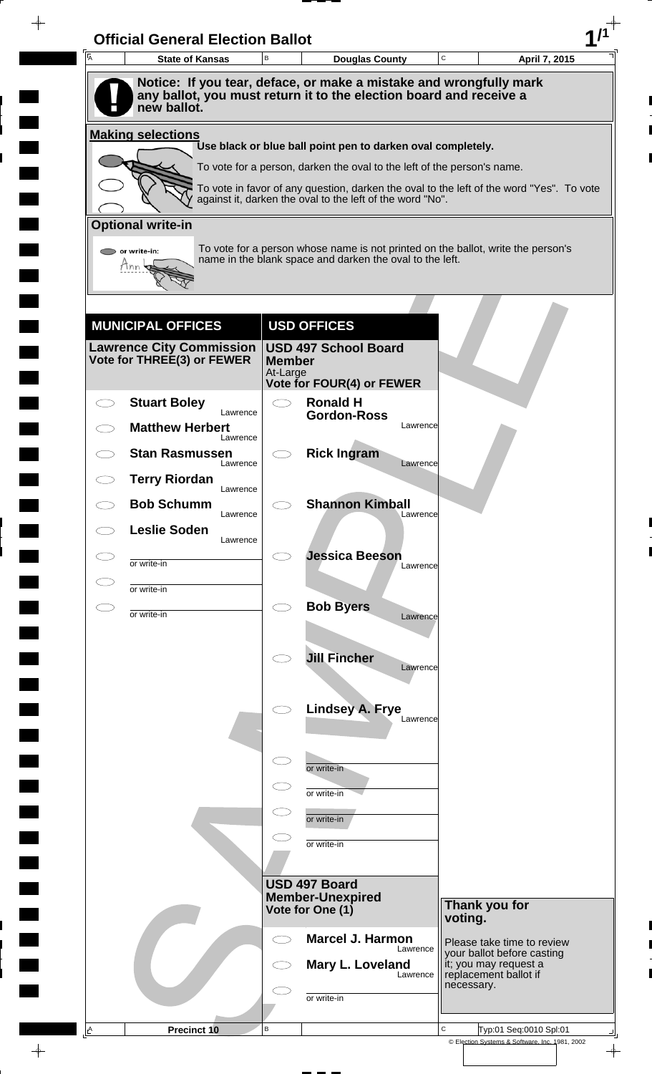| A         | <b>State of Kansas</b>                                        | B                   | <b>Douglas County</b>                                                                                                                                 | C       | April 7, 2015                                                                |
|-----------|---------------------------------------------------------------|---------------------|-------------------------------------------------------------------------------------------------------------------------------------------------------|---------|------------------------------------------------------------------------------|
|           | new ballot.                                                   |                     | Notice: If you tear, deface, or make a mistake and wrongfully mark<br>any ballot, you must return it to the election board and receive a              |         |                                                                              |
|           |                                                               |                     |                                                                                                                                                       |         |                                                                              |
|           | <b>Making selections</b>                                      |                     | Use black or blue ball point pen to darken oval completely.                                                                                           |         |                                                                              |
|           |                                                               |                     | To vote for a person, darken the oval to the left of the person's name.                                                                               |         |                                                                              |
|           |                                                               |                     | To vote in favor of any question, darken the oval to the left of the word "Yes". To vote<br>against it, darken the oval to the left of the word "No". |         |                                                                              |
|           | <b>Optional write-in</b>                                      |                     |                                                                                                                                                       |         |                                                                              |
|           | $\triangleright$ or write-in:                                 |                     | To vote for a person whose name is not printed on the ballot, write the person's<br>name in the blank space and darken the oval to the left.          |         |                                                                              |
|           | Tnn                                                           |                     |                                                                                                                                                       |         |                                                                              |
|           |                                                               |                     |                                                                                                                                                       |         |                                                                              |
|           | <b>MUNICIPAL OFFICES</b>                                      |                     | <b>USD OFFICES</b>                                                                                                                                    |         |                                                                              |
|           | <b>Lawrence City Commission</b><br>Vote for THREE(3) or FEWER | <b>Member</b>       | <b>USD 497 School Board</b>                                                                                                                           |         |                                                                              |
|           |                                                               | At-Large            | <b>Vote for FOUR(4) or FEWER</b>                                                                                                                      |         |                                                                              |
|           | <b>Stuart Boley</b><br>Lawrence                               | $\bigcirc$          | <b>Ronald H</b><br><b>Gordon-Ross</b>                                                                                                                 |         |                                                                              |
|           | <b>Matthew Herbert</b><br>Lawrence                            |                     | Lawrence                                                                                                                                              |         |                                                                              |
|           | <b>Stan Rasmussen</b><br>Lawrence                             |                     | <b>Rick Ingram</b><br>Lawrence                                                                                                                        |         |                                                                              |
|           | <b>Terry Riordan</b>                                          |                     |                                                                                                                                                       |         |                                                                              |
|           | Lawrence<br><b>Bob Schumm</b>                                 |                     | <b>Shannon Kimball</b>                                                                                                                                |         |                                                                              |
|           | Lawrence<br><b>Leslie Soden</b>                               |                     | Lawrence                                                                                                                                              |         |                                                                              |
|           | Lawrence<br>or write-in                                       |                     | <b>Jessica Beeson</b>                                                                                                                                 |         |                                                                              |
|           | or write-in                                                   |                     | Lawrence                                                                                                                                              |         |                                                                              |
| $\subset$ | or write-in                                                   | $\bigcirc$          | <b>Bob Byers</b>                                                                                                                                      |         |                                                                              |
|           |                                                               |                     | Lawrence                                                                                                                                              |         |                                                                              |
|           |                                                               |                     | <b>Jill Fincher</b>                                                                                                                                   |         |                                                                              |
|           |                                                               |                     | Lawrence                                                                                                                                              |         |                                                                              |
|           |                                                               |                     | <b>Lindsey A. Frye</b>                                                                                                                                |         |                                                                              |
|           |                                                               |                     | Lawrence                                                                                                                                              |         |                                                                              |
|           |                                                               | $\subset$           | or write-in                                                                                                                                           |         |                                                                              |
|           |                                                               |                     | or write-in                                                                                                                                           |         |                                                                              |
|           |                                                               |                     | or write-in                                                                                                                                           |         |                                                                              |
|           |                                                               |                     | or write-in                                                                                                                                           |         |                                                                              |
|           |                                                               |                     |                                                                                                                                                       |         |                                                                              |
|           |                                                               |                     | USD 497 Board                                                                                                                                         |         |                                                                              |
|           |                                                               |                     | <b>Member-Unexpired</b><br>Vote for One (1)                                                                                                           | voting. | Thank you for                                                                |
|           |                                                               | $\subset$ $\supset$ | <b>Marcel J. Harmon</b>                                                                                                                               |         | Please take time to review                                                   |
|           |                                                               |                     | Lawrence<br>Mary L. Loveland                                                                                                                          |         | your ballot before casting<br>it; you may request a<br>replacement ballot if |
|           |                                                               |                     | Lawrence                                                                                                                                              |         | necessary.                                                                   |
|           |                                                               |                     | or write-in                                                                                                                                           |         |                                                                              |
|           |                                                               |                     |                                                                                                                                                       |         |                                                                              |

 $\blacksquare$ 

 $\blacksquare$ 

 $\blacksquare$ 

 $\blacksquare$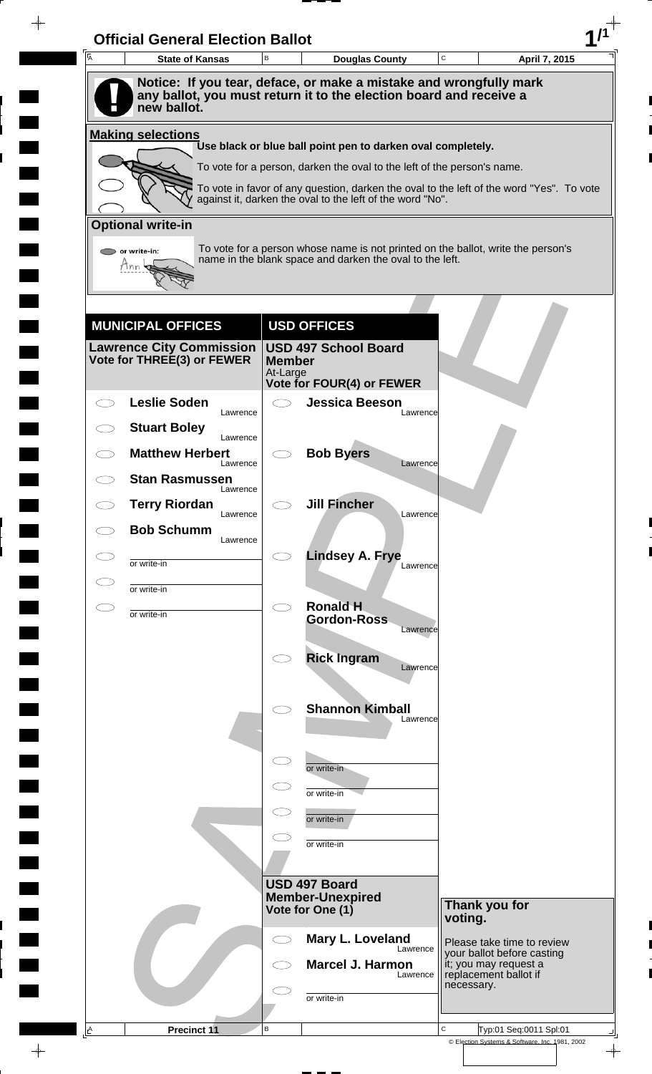| $\overline{A}$ | <b>State of Kansas</b>             | B                         | <b>Douglas County</b>                                                                                                                        | C<br>April 7, 2015                                                                       |
|----------------|------------------------------------|---------------------------|----------------------------------------------------------------------------------------------------------------------------------------------|------------------------------------------------------------------------------------------|
|                |                                    |                           | Notice: If you tear, deface, or make a mistake and wrongfully mark                                                                           |                                                                                          |
|                | new ballot.                        |                           | any ballot, you must return it to the election board and receive a                                                                           |                                                                                          |
|                | <b>Making selections</b>           |                           |                                                                                                                                              |                                                                                          |
|                |                                    |                           | Use black or blue ball point pen to darken oval completely.<br>To vote for a person, darken the oval to the left of the person's name.       |                                                                                          |
|                |                                    |                           |                                                                                                                                              | To vote in favor of any question, darken the oval to the left of the word "Yes". To vote |
|                |                                    |                           | against it, darken the oval to the left of the word "No".                                                                                    |                                                                                          |
|                | <b>Optional write-in</b>           |                           |                                                                                                                                              |                                                                                          |
|                | or write-in:                       |                           | To vote for a person whose name is not printed on the ballot, write the person's<br>name in the blank space and darken the oval to the left. |                                                                                          |
|                | Tnn                                |                           |                                                                                                                                              |                                                                                          |
|                |                                    |                           |                                                                                                                                              |                                                                                          |
|                | <b>MUNICIPAL OFFICES</b>           |                           | <b>USD OFFICES</b>                                                                                                                           |                                                                                          |
|                | <b>Lawrence City Commission</b>    |                           | <b>USD 497 School Board</b>                                                                                                                  |                                                                                          |
|                | Vote for THREE(3) or FEWER         | <b>Member</b><br>At-Large |                                                                                                                                              |                                                                                          |
|                | <b>Leslie Soden</b>                |                           | <b>Vote for FOUR(4) or FEWER</b><br><b>Jessica Beeson</b>                                                                                    |                                                                                          |
|                | Lawrence<br><b>Stuart Boley</b>    |                           | Lawrence                                                                                                                                     |                                                                                          |
|                | Lawrence<br><b>Matthew Herbert</b> |                           | <b>Bob Byers</b>                                                                                                                             |                                                                                          |
|                | Lawrence<br><b>Stan Rasmussen</b>  |                           | Lawrence                                                                                                                                     |                                                                                          |
|                | Lawrence                           |                           | <b>Jill Fincher</b>                                                                                                                          |                                                                                          |
|                | <b>Terry Riordan</b><br>Lawrence   |                           | Lawrence                                                                                                                                     |                                                                                          |
|                | <b>Bob Schumm</b><br>Lawrence      |                           |                                                                                                                                              |                                                                                          |
|                | or write-in                        |                           | <b>Lindsey A. Frye</b><br>Lawrence                                                                                                           |                                                                                          |
|                | or write-in                        |                           |                                                                                                                                              |                                                                                          |
| CΞ             | or write-in                        | $\bigcirc$                | <b>Ronald H</b><br><b>Gordon-Ross</b>                                                                                                        |                                                                                          |
|                |                                    |                           | Lawrence                                                                                                                                     |                                                                                          |
|                |                                    |                           | <b>Rick Ingram</b><br>Lawrence                                                                                                               |                                                                                          |
|                |                                    |                           |                                                                                                                                              |                                                                                          |
|                |                                    |                           | <b>Shannon Kimball</b><br>Lawrence                                                                                                           |                                                                                          |
|                |                                    |                           |                                                                                                                                              |                                                                                          |
|                |                                    |                           | or write-in                                                                                                                                  |                                                                                          |
|                |                                    |                           | or write-in                                                                                                                                  |                                                                                          |
|                |                                    |                           | or write-in                                                                                                                                  |                                                                                          |
|                |                                    |                           | or write-in                                                                                                                                  |                                                                                          |
|                |                                    |                           |                                                                                                                                              |                                                                                          |
|                |                                    |                           | USD 497 Board                                                                                                                                |                                                                                          |
|                |                                    |                           | <b>Member-Unexpired</b><br>Vote for One (1)                                                                                                  | Thank you for<br>voting.                                                                 |
|                |                                    | $\subset$ 3               | Mary L. Loveland                                                                                                                             | Please take time to review                                                               |
|                |                                    |                           | Lawrence<br><b>Marcel J. Harmon</b>                                                                                                          | your ballot before casting<br>it; you may request a                                      |
|                |                                    |                           | Lawrence                                                                                                                                     | replacement ballot if<br>necessary.                                                      |
|                |                                    |                           | or write-in                                                                                                                                  |                                                                                          |
| $\triangle$    | Precinct 11                        | В                         |                                                                                                                                              | C<br>Typ:01 Seq:0011 Spl:01                                                              |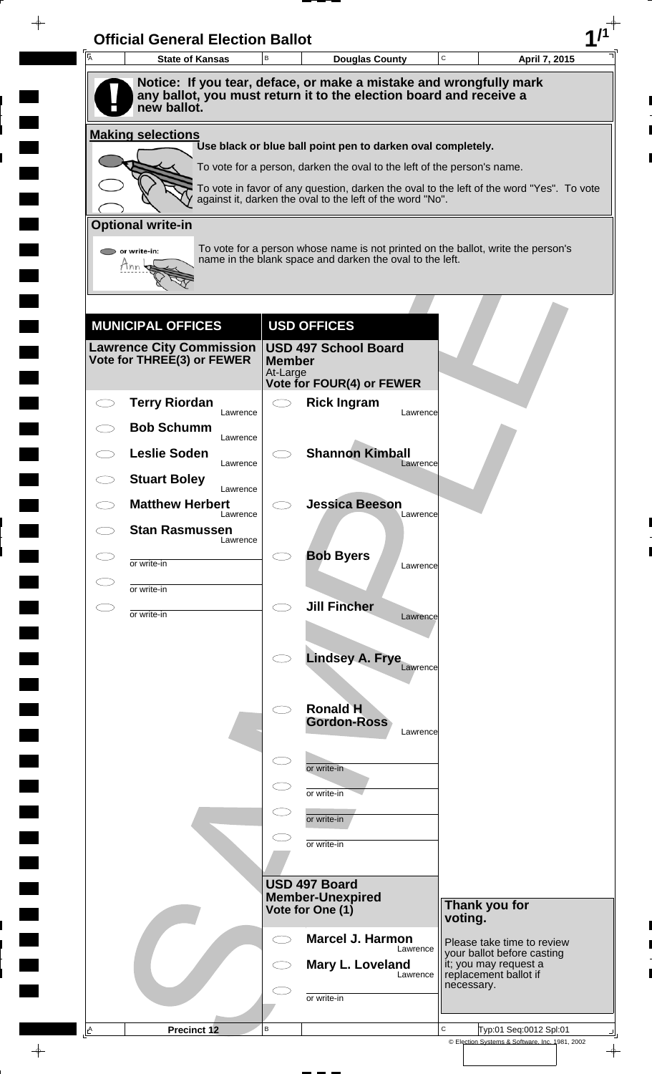| A          | <b>State of Kansas</b>                                                                                                                                  | B                         | <b>Douglas County</b>                                                                                                                                               | C        |                                                          | April 7, 2015 |
|------------|---------------------------------------------------------------------------------------------------------------------------------------------------------|---------------------------|---------------------------------------------------------------------------------------------------------------------------------------------------------------------|----------|----------------------------------------------------------|---------------|
|            | Notice: If you tear, deface, or make a mistake and wrongfully mark<br>any ballot, you must return it to the election board and receive a<br>new ballot. |                           |                                                                                                                                                                     |          |                                                          |               |
|            | <b>Making selections</b>                                                                                                                                |                           |                                                                                                                                                                     |          |                                                          |               |
|            |                                                                                                                                                         |                           | Use black or blue ball point pen to darken oval completely.                                                                                                         |          |                                                          |               |
|            |                                                                                                                                                         |                           | To vote for a person, darken the oval to the left of the person's name.<br>To vote in favor of any question, darken the oval to the left of the word "Yes". To vote |          |                                                          |               |
|            |                                                                                                                                                         |                           | against it, darken the oval to the left of the word "No".                                                                                                           |          |                                                          |               |
|            | <b>Optional write-in</b>                                                                                                                                |                           |                                                                                                                                                                     |          |                                                          |               |
|            | $\triangleright$ or write-in:<br>Tnn                                                                                                                    |                           | To vote for a person whose name is not printed on the ballot, write the person's<br>name in the blank space and darken the oval to the left.                        |          |                                                          |               |
|            |                                                                                                                                                         |                           |                                                                                                                                                                     |          |                                                          |               |
|            |                                                                                                                                                         |                           |                                                                                                                                                                     |          |                                                          |               |
|            | <b>MUNICIPAL OFFICES</b><br><b>Lawrence City Commission</b>                                                                                             |                           | <b>USD OFFICES</b><br><b>USD 497 School Board</b>                                                                                                                   |          |                                                          |               |
|            | Vote for THREE(3) or FEWER                                                                                                                              | <b>Member</b><br>At-Large |                                                                                                                                                                     |          |                                                          |               |
|            |                                                                                                                                                         |                           | <b>Vote for FOUR(4) or FEWER</b>                                                                                                                                    |          |                                                          |               |
|            | <b>Terry Riordan</b><br>Lawrence                                                                                                                        | $\bigcirc$                | <b>Rick Ingram</b>                                                                                                                                                  | Lawrence |                                                          |               |
|            | <b>Bob Schumm</b><br>Lawrence                                                                                                                           |                           |                                                                                                                                                                     |          |                                                          |               |
|            | <b>Leslie Soden</b><br>Lawrence                                                                                                                         |                           | <b>Shannon Kimball</b>                                                                                                                                              | Lawrence |                                                          |               |
|            | <b>Stuart Boley</b><br>Lawrence                                                                                                                         |                           |                                                                                                                                                                     |          |                                                          |               |
| $\bigcirc$ | <b>Matthew Herbert</b><br>Lawrence                                                                                                                      |                           | <b>Jessica Beeson</b>                                                                                                                                               | Lawrence |                                                          |               |
|            | <b>Stan Rasmussen</b><br>Lawrence                                                                                                                       |                           |                                                                                                                                                                     |          |                                                          |               |
|            | or write-in                                                                                                                                             |                           | <b>Bob Byers</b>                                                                                                                                                    | Lawrence |                                                          |               |
|            | or write-in                                                                                                                                             |                           |                                                                                                                                                                     |          |                                                          |               |
| E.         | or write-in                                                                                                                                             | $\bigcirc$                | <b>Jill Fincher</b>                                                                                                                                                 | Lawrence |                                                          |               |
|            |                                                                                                                                                         |                           |                                                                                                                                                                     |          |                                                          |               |
|            |                                                                                                                                                         |                           | <b>Lindsey A. Frye</b>                                                                                                                                              | Lawrence |                                                          |               |
|            |                                                                                                                                                         |                           |                                                                                                                                                                     |          |                                                          |               |
|            |                                                                                                                                                         | $\bigcirc$                | <b>Ronald H</b><br><b>Gordon-Ross</b>                                                                                                                               |          |                                                          |               |
|            |                                                                                                                                                         |                           |                                                                                                                                                                     | Lawrence |                                                          |               |
|            |                                                                                                                                                         | $\subset$                 | or write-in                                                                                                                                                         |          |                                                          |               |
|            |                                                                                                                                                         |                           | or write-in                                                                                                                                                         |          |                                                          |               |
|            |                                                                                                                                                         |                           | or write-in                                                                                                                                                         |          |                                                          |               |
|            |                                                                                                                                                         |                           | or write-in                                                                                                                                                         |          |                                                          |               |
|            |                                                                                                                                                         |                           |                                                                                                                                                                     |          |                                                          |               |
|            |                                                                                                                                                         |                           | USD 497 Board<br><b>Member-Unexpired</b>                                                                                                                            |          | Thank you for                                            |               |
|            |                                                                                                                                                         |                           | Vote for One (1)                                                                                                                                                    |          | voting.                                                  |               |
|            |                                                                                                                                                         | $\subset$ $\supset$       | <b>Marcel J. Harmon</b>                                                                                                                                             | Lawrence | Please take time to review<br>your ballot before casting |               |
|            |                                                                                                                                                         |                           | Mary L. Loveland                                                                                                                                                    | Lawrence | it; you may request a<br>replacement ballot if           |               |
|            |                                                                                                                                                         |                           | or write-in                                                                                                                                                         |          | necessary.                                               |               |
|            |                                                                                                                                                         |                           |                                                                                                                                                                     |          |                                                          |               |

 $\blacksquare$ 

 $\blacksquare$ 

 $\blacksquare$ 

 $\blacksquare$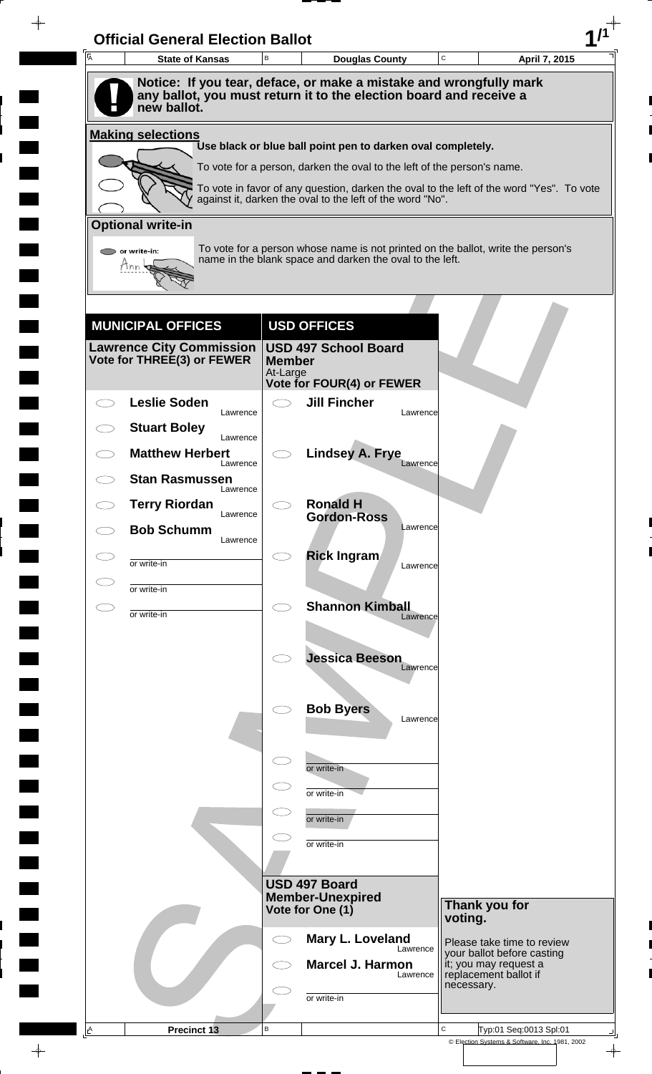|    | <b>State of Kansas</b>                                                                                                                   | B                         | <b>Douglas County</b>                                                                                                                                 |          | C       | April 7, 2015                                                                |
|----|------------------------------------------------------------------------------------------------------------------------------------------|---------------------------|-------------------------------------------------------------------------------------------------------------------------------------------------------|----------|---------|------------------------------------------------------------------------------|
|    | Notice: If you tear, deface, or make a mistake and wrongfully mark<br>any ballot, you must return it to the election board and receive a |                           |                                                                                                                                                       |          |         |                                                                              |
|    | new ballot.                                                                                                                              |                           |                                                                                                                                                       |          |         |                                                                              |
|    | <b>Making selections</b>                                                                                                                 |                           | Use black or blue ball point pen to darken oval completely.                                                                                           |          |         |                                                                              |
|    |                                                                                                                                          |                           | To vote for a person, darken the oval to the left of the person's name.                                                                               |          |         |                                                                              |
|    |                                                                                                                                          |                           | To vote in favor of any question, darken the oval to the left of the word "Yes". To vote<br>against it, darken the oval to the left of the word "No". |          |         |                                                                              |
|    | <b>Optional write-in</b>                                                                                                                 |                           |                                                                                                                                                       |          |         |                                                                              |
|    | $\triangleright$ or write-in:                                                                                                            |                           | To vote for a person whose name is not printed on the ballot, write the person's                                                                      |          |         |                                                                              |
|    | Tnn                                                                                                                                      |                           | name in the blank space and darken the oval to the left.                                                                                              |          |         |                                                                              |
|    |                                                                                                                                          |                           |                                                                                                                                                       |          |         |                                                                              |
|    | <b>MUNICIPAL OFFICES</b>                                                                                                                 |                           | <b>USD OFFICES</b>                                                                                                                                    |          |         |                                                                              |
|    | <b>Lawrence City Commission</b>                                                                                                          |                           | <b>USD 497 School Board</b>                                                                                                                           |          |         |                                                                              |
|    | Vote for THREE(3) or FEWER                                                                                                               | <b>Member</b><br>At-Large |                                                                                                                                                       |          |         |                                                                              |
|    | <b>Leslie Soden</b>                                                                                                                      | $\bigcirc$                | <b>Vote for FOUR(4) or FEWER</b><br><b>Jill Fincher</b>                                                                                               |          |         |                                                                              |
|    | Lawrence<br><b>Stuart Boley</b>                                                                                                          |                           |                                                                                                                                                       | Lawrence |         |                                                                              |
|    | Lawrence<br><b>Matthew Herbert</b>                                                                                                       |                           | <b>Lindsey A. Frye</b>                                                                                                                                |          |         |                                                                              |
|    | Lawrence<br><b>Stan Rasmussen</b>                                                                                                        |                           |                                                                                                                                                       | Lawrence |         |                                                                              |
|    | Lawrence<br><b>Terry Riordan</b>                                                                                                         |                           | <b>Ronald H</b>                                                                                                                                       |          |         |                                                                              |
|    | Lawrence<br><b>Bob Schumm</b>                                                                                                            |                           | <b>Gordon-Ross</b>                                                                                                                                    | Lawrence |         |                                                                              |
|    | Lawrence                                                                                                                                 |                           | <b>Rick Ingram</b>                                                                                                                                    |          |         |                                                                              |
|    | or write-in<br>or write-in                                                                                                               |                           |                                                                                                                                                       | Lawrence |         |                                                                              |
| СI | or write-in                                                                                                                              | $\bigcirc$                | <b>Shannon Kimball</b>                                                                                                                                |          |         |                                                                              |
|    |                                                                                                                                          |                           |                                                                                                                                                       | Lawrence |         |                                                                              |
|    |                                                                                                                                          |                           | <b>Jessica Beeson</b>                                                                                                                                 |          |         |                                                                              |
|    |                                                                                                                                          |                           |                                                                                                                                                       | Lawrence |         |                                                                              |
|    |                                                                                                                                          |                           | <b>Bob Byers</b>                                                                                                                                      | Lawrence |         |                                                                              |
|    |                                                                                                                                          |                           |                                                                                                                                                       |          |         |                                                                              |
|    |                                                                                                                                          | $\subset$                 | or write-in                                                                                                                                           |          |         |                                                                              |
|    |                                                                                                                                          |                           | or write-in                                                                                                                                           |          |         |                                                                              |
|    |                                                                                                                                          |                           | or write-in                                                                                                                                           |          |         |                                                                              |
|    |                                                                                                                                          |                           | or write-in                                                                                                                                           |          |         |                                                                              |
|    |                                                                                                                                          |                           |                                                                                                                                                       |          |         |                                                                              |
|    |                                                                                                                                          |                           | USD 497 Board<br><b>Member-Unexpired</b>                                                                                                              |          |         |                                                                              |
|    |                                                                                                                                          |                           | Vote for One (1)                                                                                                                                      |          | voting. | Thank you for                                                                |
|    |                                                                                                                                          | CD                        | Mary L. Loveland                                                                                                                                      | Lawrence |         | Please take time to review                                                   |
|    |                                                                                                                                          |                           | <b>Marcel J. Harmon</b>                                                                                                                               |          |         | your ballot before casting<br>it; you may request a<br>replacement ballot if |
|    |                                                                                                                                          |                           |                                                                                                                                                       | Lawrence |         |                                                                              |
|    |                                                                                                                                          |                           | or write-in                                                                                                                                           |          |         | necessary.                                                                   |

 $\blacksquare$ 

 $\blacksquare$ 

 $\begin{array}{c} \hline \end{array}$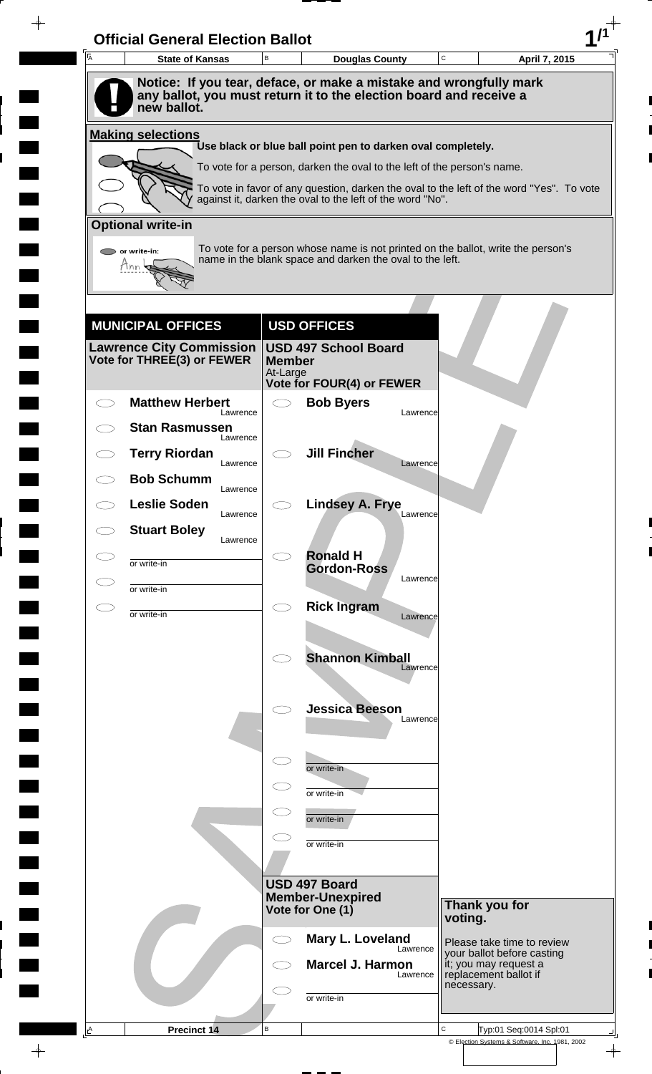| A | <b>State of Kansas</b>                                                            | B                         | <b>Douglas County</b>                                                                                                                                 | C        |                                                     | April 7, 2015 |
|---|-----------------------------------------------------------------------------------|---------------------------|-------------------------------------------------------------------------------------------------------------------------------------------------------|----------|-----------------------------------------------------|---------------|
|   | Notice: If you tear, deface, or make a mistake and wrongfully mark                |                           |                                                                                                                                                       |          |                                                     |               |
|   | any ballot, you must return it to the election board and receive a<br>new ballot. |                           |                                                                                                                                                       |          |                                                     |               |
|   | <b>Making selections</b>                                                          |                           |                                                                                                                                                       |          |                                                     |               |
|   |                                                                                   |                           | Use black or blue ball point pen to darken oval completely.                                                                                           |          |                                                     |               |
|   |                                                                                   |                           | To vote for a person, darken the oval to the left of the person's name.                                                                               |          |                                                     |               |
|   |                                                                                   |                           | To vote in favor of any question, darken the oval to the left of the word "Yes". To vote<br>against it, darken the oval to the left of the word "No". |          |                                                     |               |
|   | <b>Optional write-in</b>                                                          |                           |                                                                                                                                                       |          |                                                     |               |
|   | or write-in:                                                                      |                           | To vote for a person whose name is not printed on the ballot, write the person's                                                                      |          |                                                     |               |
|   | Mnn                                                                               |                           | name in the blank space and darken the oval to the left.                                                                                              |          |                                                     |               |
|   |                                                                                   |                           |                                                                                                                                                       |          |                                                     |               |
|   | <b>MUNICIPAL OFFICES</b>                                                          |                           | <b>USD OFFICES</b>                                                                                                                                    |          |                                                     |               |
|   | <b>Lawrence City Commission</b>                                                   |                           | <b>USD 497 School Board</b>                                                                                                                           |          |                                                     |               |
|   | Vote for THREE(3) or FEWER                                                        | <b>Member</b><br>At-Large |                                                                                                                                                       |          |                                                     |               |
|   |                                                                                   |                           | <b>Vote for FOUR(4) or FEWER</b>                                                                                                                      |          |                                                     |               |
|   | <b>Matthew Herbert</b><br>Lawrence                                                | $\bigcirc$                | <b>Bob Byers</b>                                                                                                                                      | Lawrence |                                                     |               |
|   | <b>Stan Rasmussen</b><br>Lawrence                                                 |                           |                                                                                                                                                       |          |                                                     |               |
|   | <b>Terry Riordan</b><br>Lawrence                                                  |                           | <b>Jill Fincher</b>                                                                                                                                   | Lawrence |                                                     |               |
|   | <b>Bob Schumm</b><br>Lawrence                                                     |                           |                                                                                                                                                       |          |                                                     |               |
|   | <b>Leslie Soden</b><br>Lawrence                                                   |                           | <b>Lindsey A. Frye</b>                                                                                                                                | Lawrence |                                                     |               |
|   | <b>Stuart Boley</b>                                                               |                           |                                                                                                                                                       |          |                                                     |               |
|   | Lawrence                                                                          |                           | <b>Ronald H</b>                                                                                                                                       |          |                                                     |               |
|   | or write-in                                                                       |                           | <b>Gordon-Ross</b>                                                                                                                                    | Lawrence |                                                     |               |
|   | or write-in                                                                       | $\bigcirc$                | <b>Rick Ingram</b>                                                                                                                                    |          |                                                     |               |
|   | or write-in                                                                       |                           |                                                                                                                                                       | Lawrence |                                                     |               |
|   |                                                                                   |                           | <b>Shannon Kimball</b>                                                                                                                                |          |                                                     |               |
|   |                                                                                   |                           |                                                                                                                                                       | Lawrence |                                                     |               |
|   |                                                                                   |                           |                                                                                                                                                       |          |                                                     |               |
|   |                                                                                   |                           | <b>Jessica Beeson</b>                                                                                                                                 | Lawrence |                                                     |               |
|   |                                                                                   |                           |                                                                                                                                                       |          |                                                     |               |
|   |                                                                                   | $\subset$                 | or write-in                                                                                                                                           |          |                                                     |               |
|   |                                                                                   | $\subset$                 | or write-in                                                                                                                                           |          |                                                     |               |
|   |                                                                                   |                           | or write-in                                                                                                                                           |          |                                                     |               |
|   |                                                                                   |                           | or write-in                                                                                                                                           |          |                                                     |               |
|   |                                                                                   |                           |                                                                                                                                                       |          |                                                     |               |
|   |                                                                                   |                           | USD 497 Board<br><b>Member-Unexpired</b>                                                                                                              |          |                                                     |               |
|   |                                                                                   |                           | Vote for One (1)                                                                                                                                      |          | Thank you for<br>voting.                            |               |
|   |                                                                                   |                           | Mary L. Loveland                                                                                                                                      |          | Please take time to review                          |               |
|   |                                                                                   |                           | <b>Marcel J. Harmon</b>                                                                                                                               | Lawrence | your ballot before casting<br>it; you may request a |               |
|   |                                                                                   |                           |                                                                                                                                                       | Lawrence | replacement ballot if<br>necessary.                 |               |
|   |                                                                                   |                           | or write-in                                                                                                                                           |          |                                                     |               |
|   |                                                                                   |                           |                                                                                                                                                       |          |                                                     |               |

 $\blacksquare$ 

 $\blacksquare$ 

 $\blacksquare$ 

 $\blacksquare$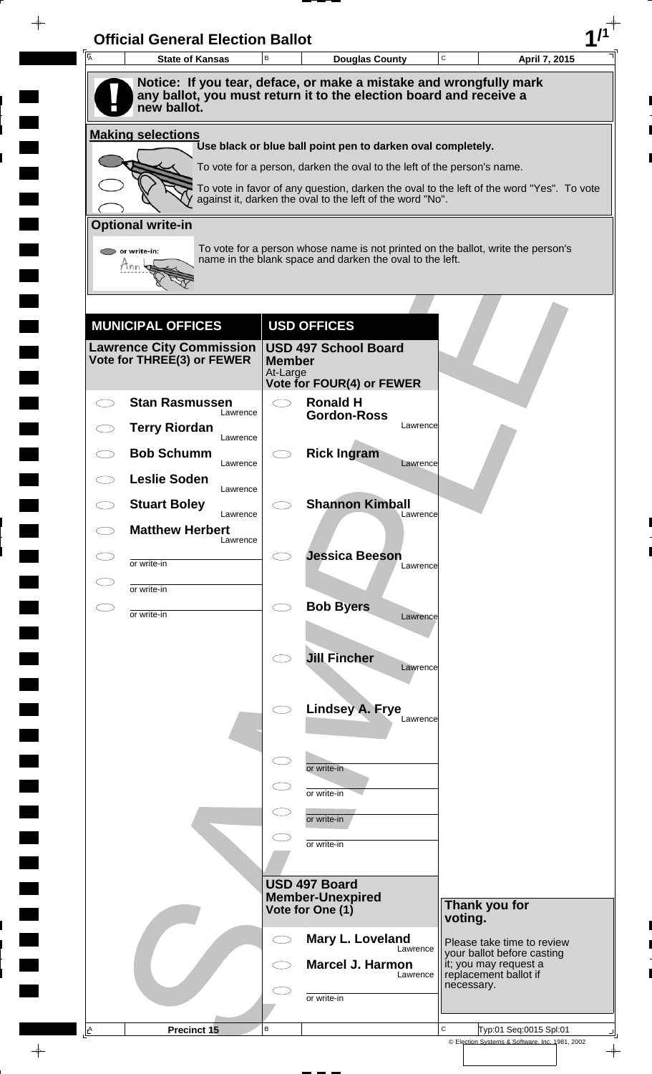| 一<br>人       | <b>State of Kansas</b>             | $\,$ B                    | <b>Douglas County</b>                                                                    | $\mathbf C$ | April 7, 2015                                            |
|--------------|------------------------------------|---------------------------|------------------------------------------------------------------------------------------|-------------|----------------------------------------------------------|
|              |                                    |                           | Notice: If you tear, deface, or make a mistake and wrongfully mark                       |             |                                                          |
|              | new ballot.                        |                           | any ballot, you must return it to the election board and receive a                       |             |                                                          |
|              | <b>Making selections</b>           |                           | Use black or blue ball point pen to darken oval completely.                              |             |                                                          |
|              |                                    |                           | To vote for a person, darken the oval to the left of the person's name.                  |             |                                                          |
|              |                                    |                           | To vote in favor of any question, darken the oval to the left of the word "Yes". To vote |             |                                                          |
|              | <b>Optional write-in</b>           |                           | against it, darken the oval to the left of the word "No".                                |             |                                                          |
|              | or write-in:                       |                           | To vote for a person whose name is not printed on the ballot, write the person's         |             |                                                          |
|              |                                    |                           | name in the blank space and darken the oval to the left.                                 |             |                                                          |
|              |                                    |                           |                                                                                          |             |                                                          |
|              | <b>MUNICIPAL OFFICES</b>           |                           | <b>USD OFFICES</b>                                                                       |             |                                                          |
|              | <b>Lawrence City Commission</b>    |                           | <b>USD 497 School Board</b>                                                              |             |                                                          |
|              | Vote for THREE(3) or FEWER         | <b>Member</b><br>At-Large |                                                                                          |             |                                                          |
|              | <b>Stan Rasmussen</b>              | $\bigcirc$                | <b>Vote for FOUR(4) or FEWER</b><br><b>Ronald H</b>                                      |             |                                                          |
|              | Lawrence<br><b>Terry Riordan</b>   |                           | <b>Gordon-Ross</b><br>Lawrence                                                           |             |                                                          |
|              | Lawrence<br><b>Bob Schumm</b>      |                           | <b>Rick Ingram</b>                                                                       |             |                                                          |
|              | Lawrence<br><b>Leslie Soden</b>    |                           | Lawrence                                                                                 |             |                                                          |
|              | Lawrence                           |                           | <b>Shannon Kimball</b>                                                                   |             |                                                          |
|              | <b>Stuart Boley</b><br>Lawrence    |                           | Lawrence                                                                                 |             |                                                          |
|              | <b>Matthew Herbert</b><br>Lawrence |                           |                                                                                          |             |                                                          |
|              | or write-in                        |                           | <b>Jessica Beeson</b><br>Lawrence                                                        |             |                                                          |
|              | or write-in                        |                           |                                                                                          |             |                                                          |
| $\subset \,$ | or write-in                        | $\bigcirc$                | <b>Bob Byers</b><br>Lawrence                                                             |             |                                                          |
|              |                                    |                           |                                                                                          |             |                                                          |
|              |                                    |                           | <b>Jill Fincher</b><br>Lawrence                                                          |             |                                                          |
|              |                                    |                           |                                                                                          |             |                                                          |
|              |                                    |                           | <b>Lindsey A. Frye</b><br>Lawrence                                                       |             |                                                          |
|              |                                    |                           |                                                                                          |             |                                                          |
|              |                                    | $\subset$                 | or write-in                                                                              |             |                                                          |
|              |                                    |                           | or write-in                                                                              |             |                                                          |
|              |                                    |                           | or write-in                                                                              |             |                                                          |
|              |                                    |                           | or write-in                                                                              |             |                                                          |
|              |                                    |                           | <b>USD 497 Board</b>                                                                     |             |                                                          |
|              |                                    |                           | <b>Member-Unexpired</b><br>Vote for One (1)                                              |             | Thank you for                                            |
|              |                                    |                           |                                                                                          | voting.     |                                                          |
|              |                                    | $\bigcirc$                | Mary L. Loveland<br>Lawrence                                                             |             | Please take time to review<br>your ballot before casting |
|              |                                    |                           | Marcel J. Harmon<br>Lawrence                                                             | necessary.  | it; you may request a<br>replacement ballot if           |
|              |                                    |                           | or write-in                                                                              |             |                                                          |
|              |                                    |                           |                                                                                          |             |                                                          |

 $\blacksquare$ 

 $\blacksquare$ 

 $\blacksquare$ 

 $\blacksquare$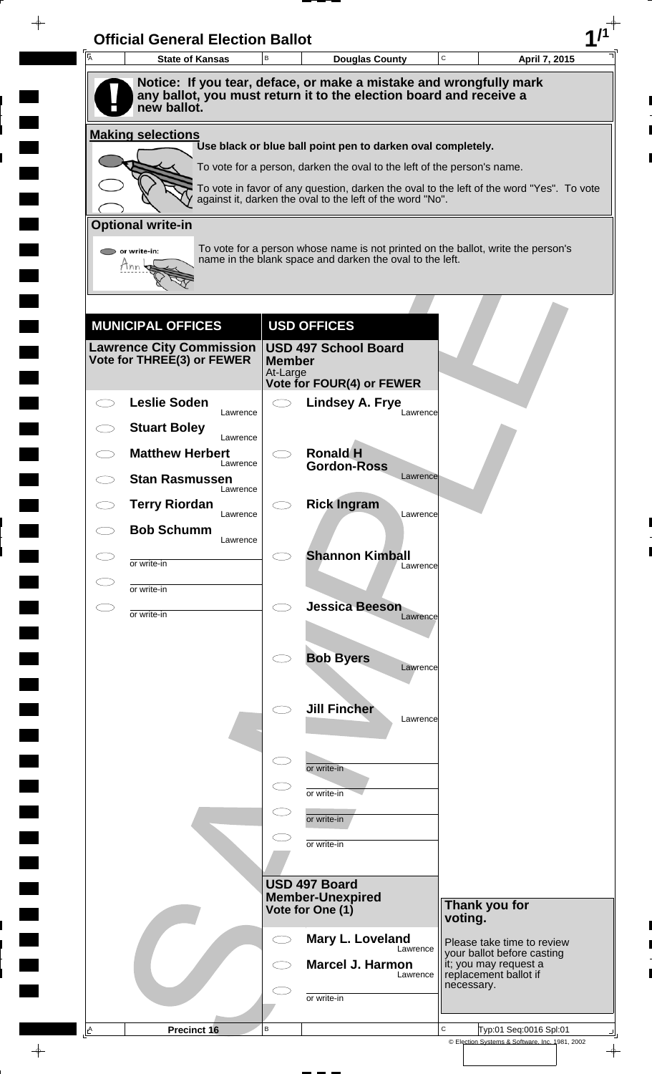| A | <b>State of Kansas</b>             | B                         | <b>Douglas County</b>                                                                                                                                 | C       | April 7, 2015                                                |
|---|------------------------------------|---------------------------|-------------------------------------------------------------------------------------------------------------------------------------------------------|---------|--------------------------------------------------------------|
|   |                                    |                           | Notice: If you tear, deface, or make a mistake and wrongfully mark<br>any ballot, you must return it to the election board and receive a              |         |                                                              |
|   | new ballot.                        |                           |                                                                                                                                                       |         |                                                              |
|   | <b>Making selections</b>           |                           | Use black or blue ball point pen to darken oval completely.                                                                                           |         |                                                              |
|   |                                    |                           | To vote for a person, darken the oval to the left of the person's name.                                                                               |         |                                                              |
|   |                                    |                           | To vote in favor of any question, darken the oval to the left of the word "Yes". To vote<br>against it, darken the oval to the left of the word "No". |         |                                                              |
|   | <b>Optional write-in</b>           |                           |                                                                                                                                                       |         |                                                              |
|   | $\triangleright$ or write-in:      |                           | To vote for a person whose name is not printed on the ballot, write the person's                                                                      |         |                                                              |
|   | Tnn                                |                           | name in the blank space and darken the oval to the left.                                                                                              |         |                                                              |
|   |                                    |                           |                                                                                                                                                       |         |                                                              |
|   | <b>MUNICIPAL OFFICES</b>           |                           | <b>USD OFFICES</b>                                                                                                                                    |         |                                                              |
|   | <b>Lawrence City Commission</b>    |                           | <b>USD 497 School Board</b>                                                                                                                           |         |                                                              |
|   | Vote for THREE(3) or FEWER         | <b>Member</b><br>At-Large |                                                                                                                                                       |         |                                                              |
|   | <b>Leslie Soden</b>                |                           | Vote for FOUR(4) or FEWER<br><b>Lindsey A. Frye</b>                                                                                                   |         |                                                              |
|   | Lawrence<br><b>Stuart Boley</b>    |                           | Lawrence                                                                                                                                              |         |                                                              |
|   | Lawrence<br><b>Matthew Herbert</b> |                           | <b>Ronald H</b>                                                                                                                                       |         |                                                              |
|   | Lawrence<br><b>Stan Rasmussen</b>  |                           | <b>Gordon-Ross</b><br>Lawrence                                                                                                                        |         |                                                              |
|   | Lawrence<br><b>Terry Riordan</b>   |                           | <b>Rick Ingram</b>                                                                                                                                    |         |                                                              |
|   | Lawrence<br><b>Bob Schumm</b>      |                           | Lawrence                                                                                                                                              |         |                                                              |
|   | Lawrence                           |                           |                                                                                                                                                       |         |                                                              |
|   | or write-in                        |                           | <b>Shannon Kimball</b><br>Lawrence                                                                                                                    |         |                                                              |
|   | or write-in                        |                           |                                                                                                                                                       |         |                                                              |
| ⊂ | or write-in                        | $\bigcirc$                | <b>Jessica Beeson</b><br>Lawrence                                                                                                                     |         |                                                              |
|   |                                    |                           |                                                                                                                                                       |         |                                                              |
|   |                                    |                           | <b>Bob Byers</b><br>Lawrence                                                                                                                          |         |                                                              |
|   |                                    |                           |                                                                                                                                                       |         |                                                              |
|   |                                    |                           | <b>Jill Fincher</b><br>Lawrence                                                                                                                       |         |                                                              |
|   |                                    |                           |                                                                                                                                                       |         |                                                              |
|   |                                    | $\subset$                 | or write-in                                                                                                                                           |         |                                                              |
|   |                                    |                           | or write-in                                                                                                                                           |         |                                                              |
|   |                                    |                           | or write-in                                                                                                                                           |         |                                                              |
|   |                                    |                           | or write-in                                                                                                                                           |         |                                                              |
|   |                                    |                           | USD 497 Board                                                                                                                                         |         |                                                              |
|   |                                    |                           | <b>Member-Unexpired</b><br>Vote for One (1)                                                                                                           |         | Thank you for                                                |
|   |                                    |                           |                                                                                                                                                       | voting. |                                                              |
|   |                                    | CD                        | Mary L. Loveland<br>Lawrence                                                                                                                          |         | Please take time to review<br>your ballot before casting     |
|   |                                    |                           | <b>Marcel J. Harmon</b><br>Lawrence                                                                                                                   |         | it; you may request a<br>replacement ballot if<br>necessary. |
|   |                                    |                           | or write-in                                                                                                                                           |         |                                                              |
|   |                                    |                           |                                                                                                                                                       |         |                                                              |

 $\blacksquare$ 

 $\qquad \qquad \blacksquare$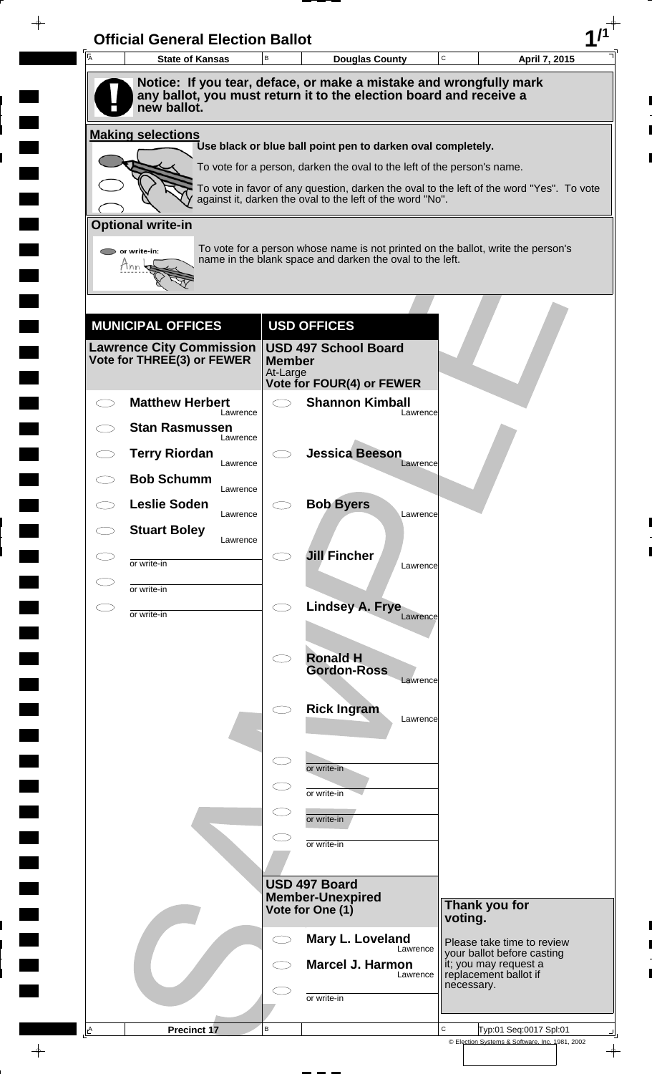| A | <b>State of Kansas</b>            | B                         | <b>Douglas County</b>                                                                                                                                 | C          | April 7, 2015                                            |
|---|-----------------------------------|---------------------------|-------------------------------------------------------------------------------------------------------------------------------------------------------|------------|----------------------------------------------------------|
|   |                                   |                           | Notice: If you tear, deface, or make a mistake and wrongfully mark                                                                                    |            |                                                          |
|   | new ballot.                       |                           | any ballot, you must return it to the election board and receive a                                                                                    |            |                                                          |
|   | <b>Making selections</b>          |                           | Use black or blue ball point pen to darken oval completely.                                                                                           |            |                                                          |
|   |                                   |                           | To vote for a person, darken the oval to the left of the person's name.                                                                               |            |                                                          |
|   |                                   |                           | To vote in favor of any question, darken the oval to the left of the word "Yes". To vote<br>against it, darken the oval to the left of the word "No". |            |                                                          |
|   | <b>Optional write-in</b>          |                           |                                                                                                                                                       |            |                                                          |
|   | or write-in:                      |                           | To vote for a person whose name is not printed on the ballot, write the person's                                                                      |            |                                                          |
|   | Hnn                               |                           | name in the blank space and darken the oval to the left.                                                                                              |            |                                                          |
|   |                                   |                           |                                                                                                                                                       |            |                                                          |
|   | <b>MUNICIPAL OFFICES</b>          |                           | <b>USD OFFICES</b>                                                                                                                                    |            |                                                          |
|   | <b>Lawrence City Commission</b>   |                           | <b>USD 497 School Board</b>                                                                                                                           |            |                                                          |
|   | Vote for THREE(3) or FEWER        | <b>Member</b><br>At-Large |                                                                                                                                                       |            |                                                          |
|   | <b>Matthew Herbert</b>            | $\bigcirc$                | <b>Vote for FOUR(4) or FEWER</b><br><b>Shannon Kimball</b>                                                                                            |            |                                                          |
|   | Lawrence                          |                           | Lawrence                                                                                                                                              |            |                                                          |
|   | <b>Stan Rasmussen</b><br>Lawrence |                           |                                                                                                                                                       |            |                                                          |
|   | <b>Terry Riordan</b><br>Lawrence  |                           | <b>Jessica Beeson</b><br>Lawrence                                                                                                                     |            |                                                          |
|   | <b>Bob Schumm</b><br>Lawrence     |                           |                                                                                                                                                       |            |                                                          |
|   | <b>Leslie Soden</b><br>Lawrence   |                           | <b>Bob Byers</b><br>Lawrence                                                                                                                          |            |                                                          |
|   | <b>Stuart Boley</b><br>Lawrence   |                           |                                                                                                                                                       |            |                                                          |
|   | or write-in                       |                           | <b>Jill Fincher</b><br>Lawrence                                                                                                                       |            |                                                          |
|   | or write-in                       |                           |                                                                                                                                                       |            |                                                          |
|   | or write-in                       | $\bigcirc$                | Lindsey A. Frye<br>Lawrence                                                                                                                           |            |                                                          |
|   |                                   |                           |                                                                                                                                                       |            |                                                          |
|   |                                   | $\bigcirc$                | <b>Ronald H</b>                                                                                                                                       |            |                                                          |
|   |                                   |                           | <b>Gordon-Ross</b><br>Lawrence                                                                                                                        |            |                                                          |
|   |                                   |                           | <b>Rick Ingram</b>                                                                                                                                    |            |                                                          |
|   |                                   |                           | Lawrence                                                                                                                                              |            |                                                          |
|   |                                   | $\subset$                 |                                                                                                                                                       |            |                                                          |
|   |                                   | $\subset$                 | or write-in                                                                                                                                           |            |                                                          |
|   |                                   | $\subset$                 | or write-in                                                                                                                                           |            |                                                          |
|   |                                   |                           | or write-in                                                                                                                                           |            |                                                          |
|   |                                   |                           | or write-in                                                                                                                                           |            |                                                          |
|   |                                   |                           | USD 497 Board                                                                                                                                         |            |                                                          |
|   |                                   |                           | <b>Member-Unexpired</b><br>Vote for One (1)                                                                                                           |            | Thank you for                                            |
|   |                                   |                           |                                                                                                                                                       | voting.    |                                                          |
|   |                                   |                           | Mary L. Loveland<br>Lawrence                                                                                                                          |            | Please take time to review<br>your ballot before casting |
|   |                                   |                           | <b>Marcel J. Harmon</b><br>Lawrence                                                                                                                   |            | it; you may request a<br>replacement ballot if           |
|   |                                   |                           | or write-in                                                                                                                                           | necessary. |                                                          |
|   |                                   |                           |                                                                                                                                                       |            |                                                          |

 $\blacksquare$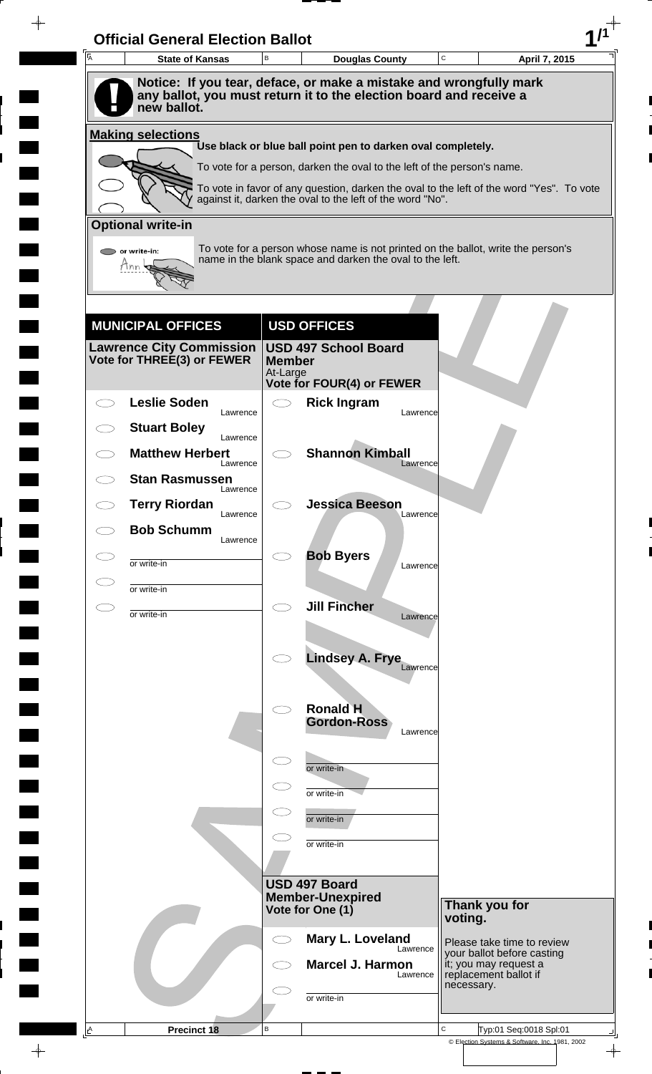| A | <b>State of Kansas</b>                                   | B                    | <b>Douglas County</b>                                                                                                                                               | $\mathbf C$ | April 7, 2015                                            |
|---|----------------------------------------------------------|----------------------|---------------------------------------------------------------------------------------------------------------------------------------------------------------------|-------------|----------------------------------------------------------|
|   |                                                          |                      | Notice: If you tear, deface, or make a mistake and wrongfully mark                                                                                                  |             |                                                          |
|   | new ballot.                                              |                      | any ballot, you must return it to the election board and receive a                                                                                                  |             |                                                          |
|   | <b>Making selections</b>                                 |                      |                                                                                                                                                                     |             |                                                          |
|   |                                                          |                      | Use black or blue ball point pen to darken oval completely.                                                                                                         |             |                                                          |
|   |                                                          |                      | To vote for a person, darken the oval to the left of the person's name.<br>To vote in favor of any question, darken the oval to the left of the word "Yes". To vote |             |                                                          |
|   |                                                          |                      | against it, darken the oval to the left of the word "No".                                                                                                           |             |                                                          |
|   | <b>Optional write-in</b>                                 |                      |                                                                                                                                                                     |             |                                                          |
|   | $\triangleright$ or write-in:<br>Tnn                     |                      | To vote for a person whose name is not printed on the ballot, write the person's<br>name in the blank space and darken the oval to the left.                        |             |                                                          |
|   |                                                          |                      |                                                                                                                                                                     |             |                                                          |
|   |                                                          |                      |                                                                                                                                                                     |             |                                                          |
|   | <b>MUNICIPAL OFFICES</b>                                 |                      | <b>USD OFFICES</b>                                                                                                                                                  |             |                                                          |
|   | Lawrence City Commission  <br>Vote for THREE(3) or FEWER | <b>Member</b>        | <b>USD 497 School Board</b>                                                                                                                                         |             |                                                          |
|   |                                                          | At-Large             | <b>Vote for FOUR(4) or FEWER</b>                                                                                                                                    |             |                                                          |
|   | <b>Leslie Soden</b><br>Lawrence                          |                      | <b>Rick Ingram</b><br>Lawrence                                                                                                                                      |             |                                                          |
|   | <b>Stuart Boley</b>                                      |                      |                                                                                                                                                                     |             |                                                          |
|   | Lawrence<br><b>Matthew Herbert</b>                       |                      | <b>Shannon Kimball</b>                                                                                                                                              |             |                                                          |
|   | Lawrence<br><b>Stan Rasmussen</b>                        |                      | Lawrence                                                                                                                                                            |             |                                                          |
|   | Lawrence<br><b>Terry Riordan</b>                         |                      | <b>Jessica Beeson</b>                                                                                                                                               |             |                                                          |
|   | Lawrence<br><b>Bob Schumm</b>                            |                      | Lawrence                                                                                                                                                            |             |                                                          |
|   | Lawrence                                                 |                      | <b>Bob Byers</b>                                                                                                                                                    |             |                                                          |
|   | or write-in                                              |                      | Lawrence                                                                                                                                                            |             |                                                          |
|   | or write-in                                              | CD.                  | <b>Jill Fincher</b>                                                                                                                                                 |             |                                                          |
|   | or write-in                                              |                      | Lawrence                                                                                                                                                            |             |                                                          |
|   |                                                          |                      |                                                                                                                                                                     |             |                                                          |
|   |                                                          |                      | Lindsey A. Frye<br>Lawrence                                                                                                                                         |             |                                                          |
|   |                                                          |                      | <b>Ronald H</b>                                                                                                                                                     |             |                                                          |
|   |                                                          |                      | <b>Gordon-Ross</b><br>Lawrence                                                                                                                                      |             |                                                          |
|   |                                                          |                      |                                                                                                                                                                     |             |                                                          |
|   |                                                          | $\subset$ $\bar{\ }$ | or write-in                                                                                                                                                         |             |                                                          |
|   |                                                          |                      | or write-in                                                                                                                                                         |             |                                                          |
|   |                                                          | $\subset$            | or write-in                                                                                                                                                         |             |                                                          |
|   |                                                          |                      | or write-in                                                                                                                                                         |             |                                                          |
|   |                                                          |                      |                                                                                                                                                                     |             |                                                          |
|   |                                                          |                      | USD 497 Board<br><b>Member-Unexpired</b>                                                                                                                            |             | Thank you for                                            |
|   |                                                          |                      | Vote for One (1)                                                                                                                                                    | voting.     |                                                          |
|   |                                                          | C)                   | Mary L. Loveland<br>Lawrence                                                                                                                                        |             | Please take time to review<br>your ballot before casting |
|   |                                                          |                      | <b>Marcel J. Harmon</b><br>Lawrence                                                                                                                                 |             | it; you may request a<br>replacement ballot if           |
|   |                                                          |                      | or write-in                                                                                                                                                         |             | necessary.                                               |
|   |                                                          |                      |                                                                                                                                                                     |             |                                                          |

 $\blacksquare$ 

 $\qquad \qquad \blacksquare$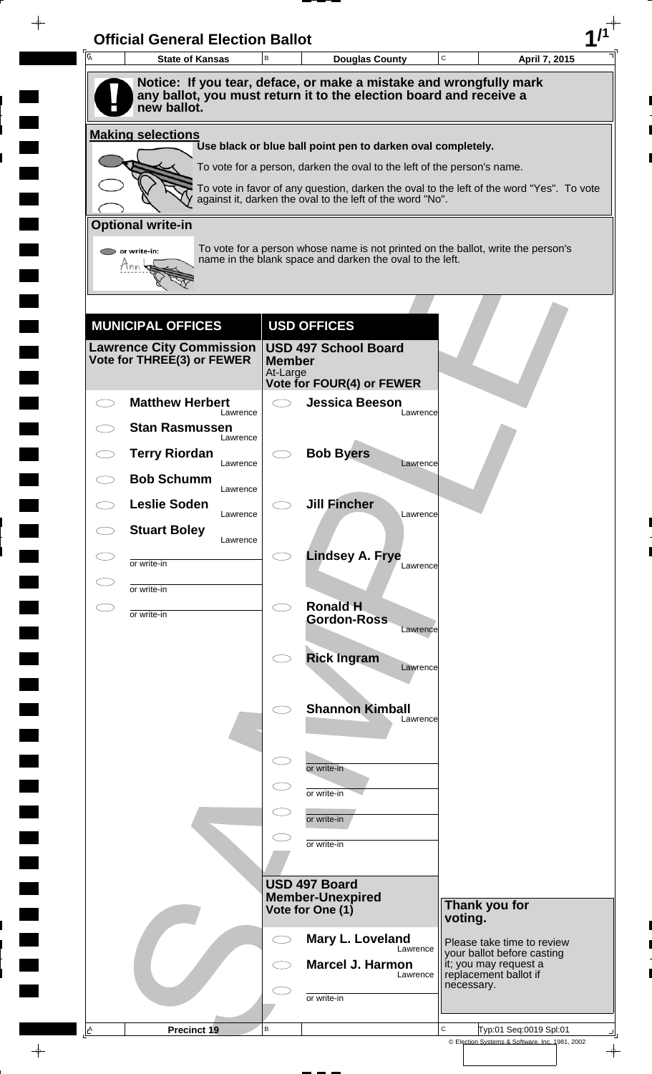| A | <b>State of Kansas</b>            | B                         | <b>Douglas County</b>                                                                                                                                 | C          | April 7, 2015                                            |
|---|-----------------------------------|---------------------------|-------------------------------------------------------------------------------------------------------------------------------------------------------|------------|----------------------------------------------------------|
|   |                                   |                           | Notice: If you tear, deface, or make a mistake and wrongfully mark                                                                                    |            |                                                          |
|   | new ballot.                       |                           | any ballot, you must return it to the election board and receive a                                                                                    |            |                                                          |
|   | <b>Making selections</b>          |                           |                                                                                                                                                       |            |                                                          |
|   |                                   |                           | Use black or blue ball point pen to darken oval completely.                                                                                           |            |                                                          |
|   |                                   |                           | To vote for a person, darken the oval to the left of the person's name.                                                                               |            |                                                          |
|   |                                   |                           | To vote in favor of any question, darken the oval to the left of the word "Yes". To vote<br>against it, darken the oval to the left of the word "No". |            |                                                          |
|   | <b>Optional write-in</b>          |                           |                                                                                                                                                       |            |                                                          |
|   | or write-in:                      |                           | To vote for a person whose name is not printed on the ballot, write the person's<br>name in the blank space and darken the oval to the left.          |            |                                                          |
|   | Hnn                               |                           |                                                                                                                                                       |            |                                                          |
|   |                                   |                           |                                                                                                                                                       |            |                                                          |
|   | <b>MUNICIPAL OFFICES</b>          |                           | <b>USD OFFICES</b>                                                                                                                                    |            |                                                          |
|   | <b>Lawrence City Commission</b>   |                           | <b>USD 497 School Board</b>                                                                                                                           |            |                                                          |
|   | Vote for THREE(3) or FEWER        | <b>Member</b><br>At-Large |                                                                                                                                                       |            |                                                          |
|   | <b>Matthew Herbert</b>            | $\bigcirc$                | <b>Vote for FOUR(4) or FEWER</b><br><b>Jessica Beeson</b>                                                                                             |            |                                                          |
|   | Lawrence                          |                           | Lawrence                                                                                                                                              |            |                                                          |
|   | <b>Stan Rasmussen</b><br>Lawrence |                           |                                                                                                                                                       |            |                                                          |
|   | <b>Terry Riordan</b><br>Lawrence  |                           | <b>Bob Byers</b><br>Lawrence                                                                                                                          |            |                                                          |
|   | <b>Bob Schumm</b><br>Lawrence     |                           |                                                                                                                                                       |            |                                                          |
|   | <b>Leslie Soden</b><br>Lawrence   |                           | <b>Jill Fincher</b><br>Lawrence                                                                                                                       |            |                                                          |
|   | <b>Stuart Boley</b><br>Lawrence   |                           |                                                                                                                                                       |            |                                                          |
|   | or write-in                       |                           | <b>Lindsey A. Frye</b><br>Lawrence                                                                                                                    |            |                                                          |
|   | or write-in                       |                           |                                                                                                                                                       |            |                                                          |
|   | or write-in                       | $\bigcirc$                | <b>Ronald H</b>                                                                                                                                       |            |                                                          |
|   |                                   |                           | <b>Gordon-Ross</b><br>Lawrence                                                                                                                        |            |                                                          |
|   |                                   |                           | <b>Rick Ingram</b>                                                                                                                                    |            |                                                          |
|   |                                   |                           | Lawrence                                                                                                                                              |            |                                                          |
|   |                                   |                           | <b>Shannon Kimball</b>                                                                                                                                |            |                                                          |
|   |                                   |                           | Lawrence                                                                                                                                              |            |                                                          |
|   |                                   | $\subset$                 |                                                                                                                                                       |            |                                                          |
|   |                                   | $\subset$                 | or write-in                                                                                                                                           |            |                                                          |
|   |                                   |                           | or write-in                                                                                                                                           |            |                                                          |
|   |                                   |                           | or write-in                                                                                                                                           |            |                                                          |
|   |                                   |                           | or write-in                                                                                                                                           |            |                                                          |
|   |                                   |                           | USD 497 Board                                                                                                                                         |            |                                                          |
|   |                                   |                           | <b>Member-Unexpired</b><br>Vote for One (1)                                                                                                           |            | Thank you for                                            |
|   |                                   |                           |                                                                                                                                                       | voting.    |                                                          |
|   |                                   |                           | Mary L. Loveland<br>Lawrence                                                                                                                          |            | Please take time to review<br>your ballot before casting |
|   |                                   |                           | <b>Marcel J. Harmon</b><br>Lawrence                                                                                                                   |            | it; you may request a<br>replacement ballot if           |
|   |                                   |                           | or write-in                                                                                                                                           | necessary. |                                                          |
|   |                                   |                           |                                                                                                                                                       |            |                                                          |

 $\blacksquare$ 

 $\qquad \qquad \blacksquare$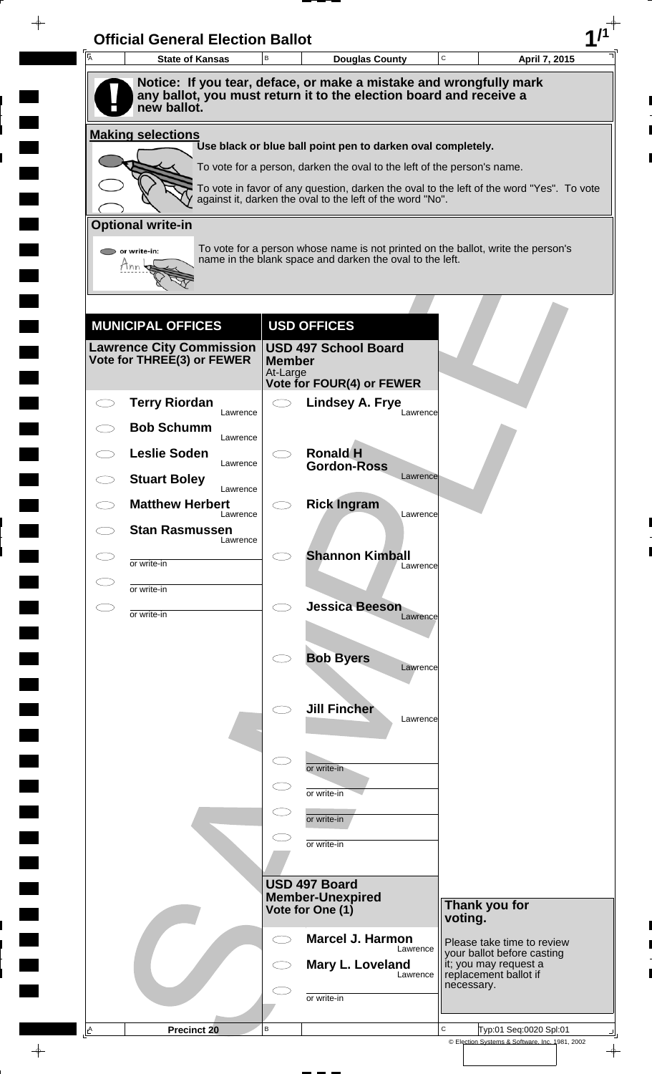| 一<br>人 | <b>State of Kansas</b>                                      | $\,$ B                    | <b>Douglas County</b>                                                                                                                  | $\mathbf C$ | April 7, 2015                                                                     |
|--------|-------------------------------------------------------------|---------------------------|----------------------------------------------------------------------------------------------------------------------------------------|-------------|-----------------------------------------------------------------------------------|
|        |                                                             |                           | Notice: If you tear, deface, or make a mistake and wrongfully mark                                                                     |             |                                                                                   |
|        | new ballot.                                                 |                           | any ballot, you must return it to the election board and receive a                                                                     |             |                                                                                   |
|        | <b>Making selections</b>                                    |                           |                                                                                                                                        |             |                                                                                   |
|        |                                                             |                           | Use black or blue ball point pen to darken oval completely.<br>To vote for a person, darken the oval to the left of the person's name. |             |                                                                                   |
|        |                                                             |                           | To vote in favor of any question, darken the oval to the left of the word "Yes". To vote                                               |             |                                                                                   |
|        |                                                             |                           | against it, darken the oval to the left of the word "No".                                                                              |             |                                                                                   |
|        | <b>Optional write-in</b>                                    |                           | To vote for a person whose name is not printed on the ballot, write the person's                                                       |             |                                                                                   |
|        | or write-in:<br>Tnn                                         |                           | name in the blank space and darken the oval to the left.                                                                               |             |                                                                                   |
|        |                                                             |                           |                                                                                                                                        |             |                                                                                   |
|        |                                                             |                           |                                                                                                                                        |             |                                                                                   |
|        | <b>MUNICIPAL OFFICES</b><br><b>Lawrence City Commission</b> |                           | <b>USD OFFICES</b><br><b>USD 497 School Board</b>                                                                                      |             |                                                                                   |
|        | Vote for THREE(3) or FEWER                                  | <b>Member</b><br>At-Large |                                                                                                                                        |             |                                                                                   |
|        |                                                             |                           | Vote for FOUR(4) or FEWER                                                                                                              |             |                                                                                   |
|        | <b>Terry Riordan</b><br>Lawrence<br><b>Bob Schumm</b>       | $\bigcirc$                | <b>Lindsey A. Frye</b><br>Lawrence                                                                                                     |             |                                                                                   |
|        | Lawrence                                                    |                           |                                                                                                                                        |             |                                                                                   |
|        | <b>Leslie Soden</b><br>Lawrence                             |                           | <b>Ronald H</b><br><b>Gordon-Ross</b><br>Lawrence                                                                                      |             |                                                                                   |
|        | <b>Stuart Boley</b><br>Lawrence                             |                           |                                                                                                                                        |             |                                                                                   |
|        | <b>Matthew Herbert</b><br>Lawrence                          |                           | <b>Rick Ingram</b><br>Lawrence                                                                                                         |             |                                                                                   |
|        | <b>Stan Rasmussen</b><br>Lawrence                           |                           |                                                                                                                                        |             |                                                                                   |
|        | or write-in                                                 |                           | <b>Shannon Kimball</b><br>Lawrence                                                                                                     |             |                                                                                   |
|        | or write-in                                                 |                           |                                                                                                                                        |             |                                                                                   |
|        | or write-in                                                 | $\bigcirc$                | <b>Jessica Beeson</b><br>Lawrence                                                                                                      |             |                                                                                   |
|        |                                                             |                           |                                                                                                                                        |             |                                                                                   |
|        |                                                             |                           | <b>Bob Byers</b><br>Lawrence                                                                                                           |             |                                                                                   |
|        |                                                             |                           |                                                                                                                                        |             |                                                                                   |
|        |                                                             |                           | <b>Jill Fincher</b><br>Lawrence                                                                                                        |             |                                                                                   |
|        |                                                             |                           |                                                                                                                                        |             |                                                                                   |
|        |                                                             | $\subset$                 | or write-in                                                                                                                            |             |                                                                                   |
|        |                                                             |                           | or write-in                                                                                                                            |             |                                                                                   |
|        |                                                             |                           | or write-in                                                                                                                            |             |                                                                                   |
|        |                                                             |                           | or write-in                                                                                                                            |             |                                                                                   |
|        |                                                             |                           | USD 497 Board                                                                                                                          |             |                                                                                   |
|        |                                                             |                           | <b>Member-Unexpired</b><br>Vote for One (1)                                                                                            |             | Thank you for                                                                     |
|        |                                                             | $\bigcirc$                | <b>Marcel J. Harmon</b>                                                                                                                | voting.     |                                                                                   |
|        |                                                             |                           | Lawrence                                                                                                                               |             | Please take time to review<br>your ballot before casting<br>it; you may request a |
|        |                                                             |                           | Mary L. Loveland<br>Lawrence                                                                                                           | necessary.  | replacement ballot if                                                             |
|        |                                                             |                           | or write-in                                                                                                                            |             |                                                                                   |
|        |                                                             |                           |                                                                                                                                        |             |                                                                                   |

 $\blacksquare$ 

 $\blacksquare$ 

 $\blacksquare$ 

 $\blacksquare$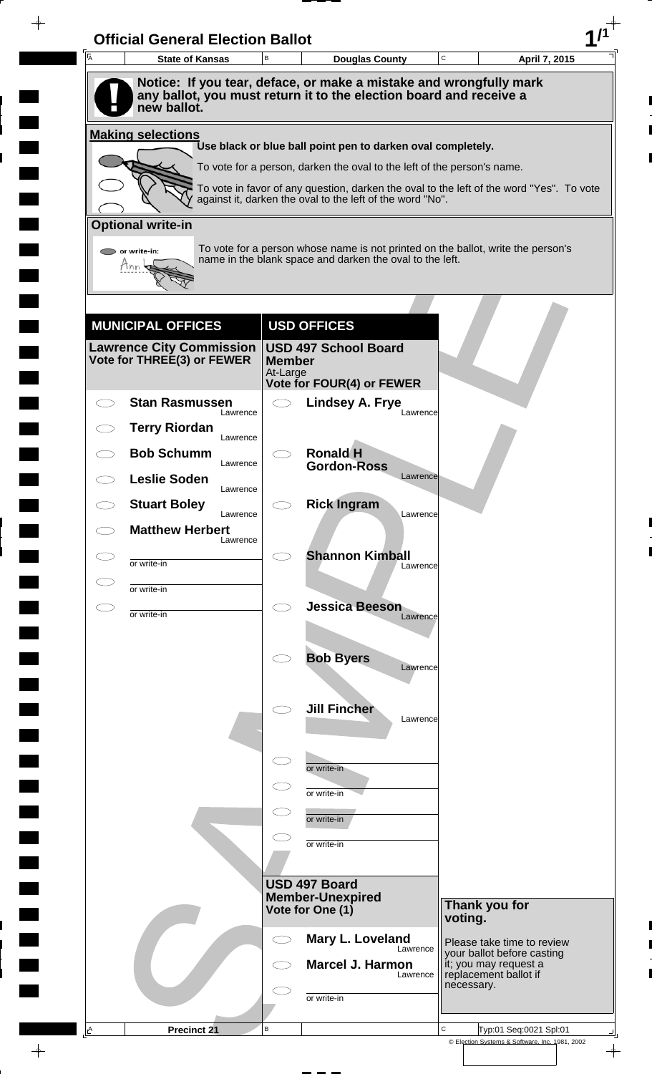| 一<br>人       | <b>State of Kansas</b>                                        | $\,$ B        | <b>Douglas County</b>                                                                                                                                 | C          | April 7, 2015                                            |
|--------------|---------------------------------------------------------------|---------------|-------------------------------------------------------------------------------------------------------------------------------------------------------|------------|----------------------------------------------------------|
|              |                                                               |               | Notice: If you tear, deface, or make a mistake and wrongfully mark<br>any ballot, you must return it to the election board and receive a              |            |                                                          |
|              | new ballot.                                                   |               |                                                                                                                                                       |            |                                                          |
|              | <b>Making selections</b>                                      |               | Use black or blue ball point pen to darken oval completely.                                                                                           |            |                                                          |
|              |                                                               |               | To vote for a person, darken the oval to the left of the person's name.                                                                               |            |                                                          |
|              |                                                               |               | To vote in favor of any question, darken the oval to the left of the word "Yes". To vote<br>against it, darken the oval to the left of the word "No". |            |                                                          |
|              | <b>Optional write-in</b>                                      |               |                                                                                                                                                       |            |                                                          |
|              | or write-in:                                                  |               | To vote for a person whose name is not printed on the ballot, write the person's<br>name in the blank space and darken the oval to the left.          |            |                                                          |
|              | Inn                                                           |               |                                                                                                                                                       |            |                                                          |
|              |                                                               |               |                                                                                                                                                       |            |                                                          |
|              | <b>MUNICIPAL OFFICES</b>                                      |               | <b>USD OFFICES</b>                                                                                                                                    |            |                                                          |
|              | <b>Lawrence City Commission</b><br>Vote for THREE(3) or FEWER | <b>Member</b> | <b>USD 497 School Board</b>                                                                                                                           |            |                                                          |
|              |                                                               | At-Large      | Vote for FOUR(4) or FEWER                                                                                                                             |            |                                                          |
|              | <b>Stan Rasmussen</b><br>Lawrence                             | $\bigcirc$    | <b>Lindsey A. Frye</b><br>Lawrence                                                                                                                    |            |                                                          |
|              | <b>Terry Riordan</b><br>Lawrence                              |               |                                                                                                                                                       |            |                                                          |
|              | <b>Bob Schumm</b><br>Lawrence                                 |               | <b>Ronald H</b><br><b>Gordon-Ross</b>                                                                                                                 |            |                                                          |
|              | <b>Leslie Soden</b><br>Lawrence                               |               | Lawrence                                                                                                                                              |            |                                                          |
|              | <b>Stuart Boley</b><br>Lawrence                               |               | <b>Rick Ingram</b><br>Lawrence                                                                                                                        |            |                                                          |
|              | <b>Matthew Herbert</b><br>Lawrence                            |               |                                                                                                                                                       |            |                                                          |
|              | or write-in                                                   |               | <b>Shannon Kimball</b><br>Lawrence                                                                                                                    |            |                                                          |
|              | or write-in                                                   |               | <b>Jessica Beeson</b>                                                                                                                                 |            |                                                          |
| $\subset \,$ | or write-in                                                   | $\bigcirc$    | Lawrence                                                                                                                                              |            |                                                          |
|              |                                                               |               | <b>Bob Byers</b>                                                                                                                                      |            |                                                          |
|              |                                                               |               | Lawrence                                                                                                                                              |            |                                                          |
|              |                                                               |               | <b>Jill Fincher</b>                                                                                                                                   |            |                                                          |
|              |                                                               |               | Lawrence                                                                                                                                              |            |                                                          |
|              |                                                               | $\subset$     |                                                                                                                                                       |            |                                                          |
|              |                                                               |               | or write-in<br>or write-in                                                                                                                            |            |                                                          |
|              |                                                               |               | or write-in                                                                                                                                           |            |                                                          |
|              |                                                               |               | or write-in                                                                                                                                           |            |                                                          |
|              |                                                               |               |                                                                                                                                                       |            |                                                          |
|              |                                                               |               | <b>USD 497 Board</b><br><b>Member-Unexpired</b>                                                                                                       |            |                                                          |
|              |                                                               |               | Vote for One (1)                                                                                                                                      | voting.    | Thank you for                                            |
|              |                                                               | $\bigcirc$    | Mary L. Loveland<br>Lawrence                                                                                                                          |            | Please take time to review<br>your ballot before casting |
|              |                                                               |               | Marcel J. Harmon<br>Lawrence                                                                                                                          |            | it; you may request a<br>replacement ballot if           |
|              |                                                               |               | or write-in                                                                                                                                           | necessary. |                                                          |
|              |                                                               |               |                                                                                                                                                       |            |                                                          |

 $\blacksquare$ 

 $\blacksquare$ 

 $\qquad \qquad \blacksquare$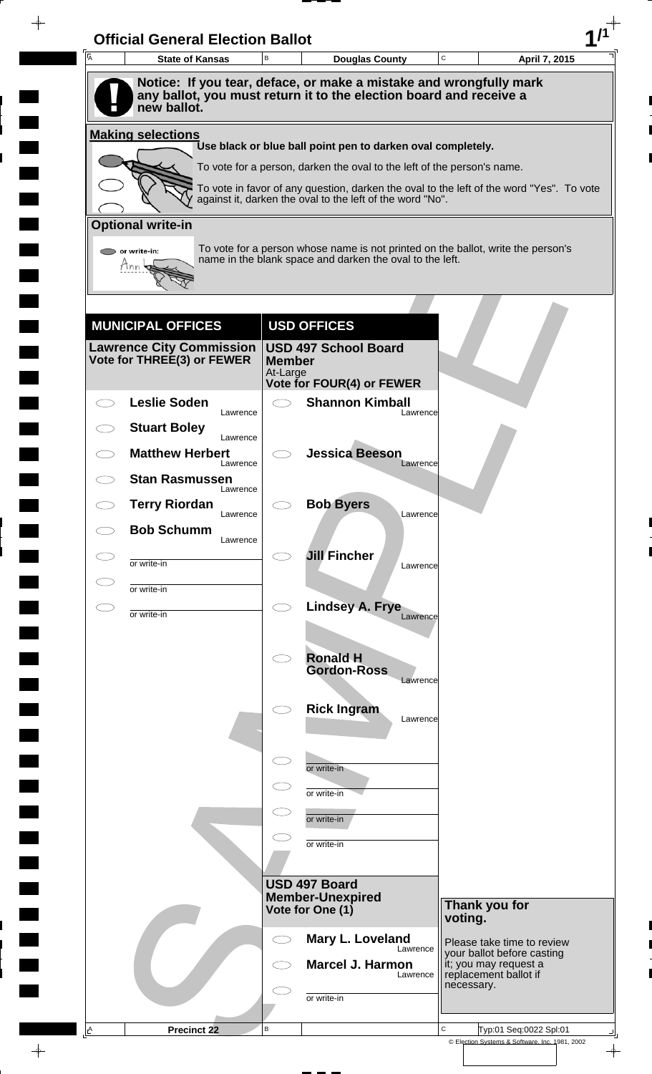| $\overline{A}$ | <b>State of Kansas</b>                                        | B             | <b>Douglas County</b>                                                                                                                        | C<br>April 7, 2015                                                                       |
|----------------|---------------------------------------------------------------|---------------|----------------------------------------------------------------------------------------------------------------------------------------------|------------------------------------------------------------------------------------------|
|                |                                                               |               | Notice: If you tear, deface, or make a mistake and wrongfully mark                                                                           |                                                                                          |
|                | new ballot.                                                   |               | any ballot, you must return it to the election board and receive a                                                                           |                                                                                          |
|                | <b>Making selections</b>                                      |               |                                                                                                                                              |                                                                                          |
|                |                                                               |               | Use black or blue ball point pen to darken oval completely.<br>To vote for a person, darken the oval to the left of the person's name.       |                                                                                          |
|                |                                                               |               |                                                                                                                                              | To vote in favor of any question, darken the oval to the left of the word "Yes". To vote |
|                |                                                               |               | against it, darken the oval to the left of the word "No".                                                                                    |                                                                                          |
|                | <b>Optional write-in</b>                                      |               |                                                                                                                                              |                                                                                          |
|                | $\triangleright$ or write-in:                                 |               | To vote for a person whose name is not printed on the ballot, write the person's<br>name in the blank space and darken the oval to the left. |                                                                                          |
|                | Tnn                                                           |               |                                                                                                                                              |                                                                                          |
|                |                                                               |               |                                                                                                                                              |                                                                                          |
|                | <b>MUNICIPAL OFFICES</b>                                      |               | <b>USD OFFICES</b>                                                                                                                           |                                                                                          |
|                | <b>Lawrence City Commission</b><br>Vote for THREE(3) or FEWER | <b>Member</b> | <b>USD 497 School Board</b>                                                                                                                  |                                                                                          |
|                |                                                               | At-Large      | <b>Vote for FOUR(4) or FEWER</b>                                                                                                             |                                                                                          |
|                | <b>Leslie Soden</b>                                           |               | <b>Shannon Kimball</b>                                                                                                                       |                                                                                          |
|                | Lawrence<br><b>Stuart Boley</b>                               |               | Lawrence                                                                                                                                     |                                                                                          |
|                | Lawrence<br><b>Matthew Herbert</b>                            |               | <b>Jessica Beeson</b>                                                                                                                        |                                                                                          |
|                | Lawrence<br><b>Stan Rasmussen</b>                             |               | Lawrence                                                                                                                                     |                                                                                          |
|                | Lawrence                                                      |               | <b>Bob Byers</b>                                                                                                                             |                                                                                          |
|                | <b>Terry Riordan</b><br>Lawrence                              |               | Lawrence                                                                                                                                     |                                                                                          |
|                | <b>Bob Schumm</b><br>Lawrence                                 |               |                                                                                                                                              |                                                                                          |
| C D            | or write-in                                                   |               | <b>Jill Fincher</b><br>Lawrence                                                                                                              |                                                                                          |
|                | or write-in                                                   |               |                                                                                                                                              |                                                                                          |
|                | or write-in                                                   | $\bigcirc$    | Lindsey A. Frye<br>Lawrence                                                                                                                  |                                                                                          |
|                |                                                               |               |                                                                                                                                              |                                                                                          |
|                |                                                               |               | <b>Ronald H</b><br><b>Gordon-Ross</b>                                                                                                        |                                                                                          |
|                |                                                               |               | Lawrence                                                                                                                                     |                                                                                          |
|                |                                                               |               | <b>Rick Ingram</b><br>Lawrence                                                                                                               |                                                                                          |
|                |                                                               |               |                                                                                                                                              |                                                                                          |
|                |                                                               |               | or write-in                                                                                                                                  |                                                                                          |
|                |                                                               |               | or write-in                                                                                                                                  |                                                                                          |
|                |                                                               |               |                                                                                                                                              |                                                                                          |
|                |                                                               |               | or write-in                                                                                                                                  |                                                                                          |
|                |                                                               |               | or write-in                                                                                                                                  |                                                                                          |
|                |                                                               |               | USD 497 Board                                                                                                                                |                                                                                          |
|                |                                                               |               | <b>Member-Unexpired</b><br>Vote for One (1)                                                                                                  | Thank you for                                                                            |
|                |                                                               |               |                                                                                                                                              | voting.                                                                                  |
|                |                                                               |               | Mary L. Loveland<br>Lawrence                                                                                                                 | Please take time to review<br>your ballot before casting                                 |
|                |                                                               |               | <b>Marcel J. Harmon</b><br>Lawrence                                                                                                          | it; you may request a<br>replacement ballot if<br>necessary.                             |
|                |                                                               |               | or write-in                                                                                                                                  |                                                                                          |
|                |                                                               |               |                                                                                                                                              |                                                                                          |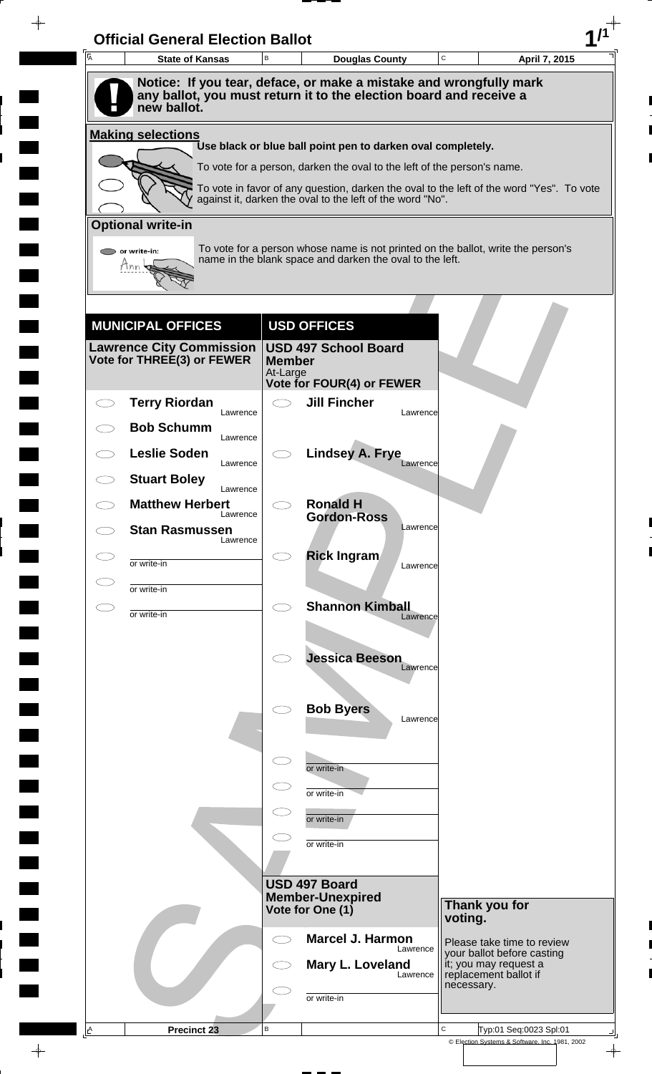| A | <b>State of Kansas</b>                                                                                                                                  | B                   | <b>Douglas County</b>                                                   |          | C          | April 7, 2015                                                                            |
|---|---------------------------------------------------------------------------------------------------------------------------------------------------------|---------------------|-------------------------------------------------------------------------|----------|------------|------------------------------------------------------------------------------------------|
|   | Notice: If you tear, deface, or make a mistake and wrongfully mark<br>any ballot, you must return it to the election board and receive a<br>new ballot. |                     |                                                                         |          |            |                                                                                          |
|   | <b>Making selections</b>                                                                                                                                |                     |                                                                         |          |            |                                                                                          |
|   |                                                                                                                                                         |                     | Use black or blue ball point pen to darken oval completely.             |          |            |                                                                                          |
|   |                                                                                                                                                         |                     | To vote for a person, darken the oval to the left of the person's name. |          |            |                                                                                          |
|   |                                                                                                                                                         |                     | against it, darken the oval to the left of the word "No".               |          |            | To vote in favor of any question, darken the oval to the left of the word "Yes". To vote |
|   | <b>Optional write-in</b>                                                                                                                                |                     |                                                                         |          |            |                                                                                          |
|   | $\triangleright$ or write-in:                                                                                                                           |                     | name in the blank space and darken the oval to the left.                |          |            | To vote for a person whose name is not printed on the ballot, write the person's         |
|   | Tnn                                                                                                                                                     |                     |                                                                         |          |            |                                                                                          |
|   |                                                                                                                                                         |                     |                                                                         |          |            |                                                                                          |
|   | <b>MUNICIPAL OFFICES</b>                                                                                                                                |                     | <b>USD OFFICES</b>                                                      |          |            |                                                                                          |
|   | <b>Lawrence City Commission</b><br>Vote for THREE(3) or FEWER                                                                                           | <b>Member</b>       | <b>USD 497 School Board</b>                                             |          |            |                                                                                          |
|   |                                                                                                                                                         | At-Large            | <b>Vote for FOUR(4) or FEWER</b>                                        |          |            |                                                                                          |
|   | <b>Terry Riordan</b>                                                                                                                                    | $\bigcirc$          | <b>Jill Fincher</b>                                                     |          |            |                                                                                          |
|   | Lawrence<br><b>Bob Schumm</b>                                                                                                                           |                     |                                                                         | Lawrence |            |                                                                                          |
|   | Lawrence<br><b>Leslie Soden</b>                                                                                                                         |                     | <b>Lindsey A. Frye</b>                                                  |          |            |                                                                                          |
|   | Lawrence<br><b>Stuart Boley</b>                                                                                                                         |                     |                                                                         | Lawrence |            |                                                                                          |
|   | Lawrence<br><b>Matthew Herbert</b>                                                                                                                      |                     | <b>Ronald H</b>                                                         |          |            |                                                                                          |
|   | Lawrence<br><b>Stan Rasmussen</b>                                                                                                                       |                     | <b>Gordon-Ross</b>                                                      | Lawrence |            |                                                                                          |
|   | Lawrence                                                                                                                                                |                     |                                                                         |          |            |                                                                                          |
|   | or write-in                                                                                                                                             |                     | <b>Rick Ingram</b>                                                      | Lawrence |            |                                                                                          |
|   | or write-in                                                                                                                                             |                     |                                                                         |          |            |                                                                                          |
|   | or write-in                                                                                                                                             | $\bigcirc$          | <b>Shannon Kimball</b>                                                  | Lawrence |            |                                                                                          |
|   |                                                                                                                                                         |                     |                                                                         |          |            |                                                                                          |
|   |                                                                                                                                                         |                     | <b>Jessica Beeson</b>                                                   | Lawrence |            |                                                                                          |
|   |                                                                                                                                                         |                     |                                                                         |          |            |                                                                                          |
|   |                                                                                                                                                         |                     | <b>Bob Byers</b>                                                        | Lawrence |            |                                                                                          |
|   |                                                                                                                                                         |                     |                                                                         |          |            |                                                                                          |
|   |                                                                                                                                                         | $\subset$           | or write-in                                                             |          |            |                                                                                          |
|   |                                                                                                                                                         |                     | or write-in                                                             |          |            |                                                                                          |
|   |                                                                                                                                                         |                     | or write-in                                                             |          |            |                                                                                          |
|   |                                                                                                                                                         |                     | or write-in                                                             |          |            |                                                                                          |
|   |                                                                                                                                                         |                     |                                                                         |          |            |                                                                                          |
|   |                                                                                                                                                         |                     | USD 497 Board<br><b>Member-Unexpired</b>                                |          |            |                                                                                          |
|   |                                                                                                                                                         |                     | Vote for One (1)                                                        |          | voting.    | Thank you for                                                                            |
|   |                                                                                                                                                         | $\subset$ $\supset$ | <b>Marcel J. Harmon</b>                                                 |          |            | Please take time to review                                                               |
|   |                                                                                                                                                         |                     | Mary L. Loveland                                                        | Lawrence |            | your ballot before casting<br>it; you may request a<br>replacement ballot if             |
|   |                                                                                                                                                         |                     |                                                                         | Lawrence | necessary. |                                                                                          |
|   |                                                                                                                                                         |                     | or write-in                                                             |          |            |                                                                                          |
|   |                                                                                                                                                         |                     |                                                                         |          |            |                                                                                          |

 $\blacksquare$ 

 $\blacksquare$ 

 $\blacksquare$ 

 $\blacksquare$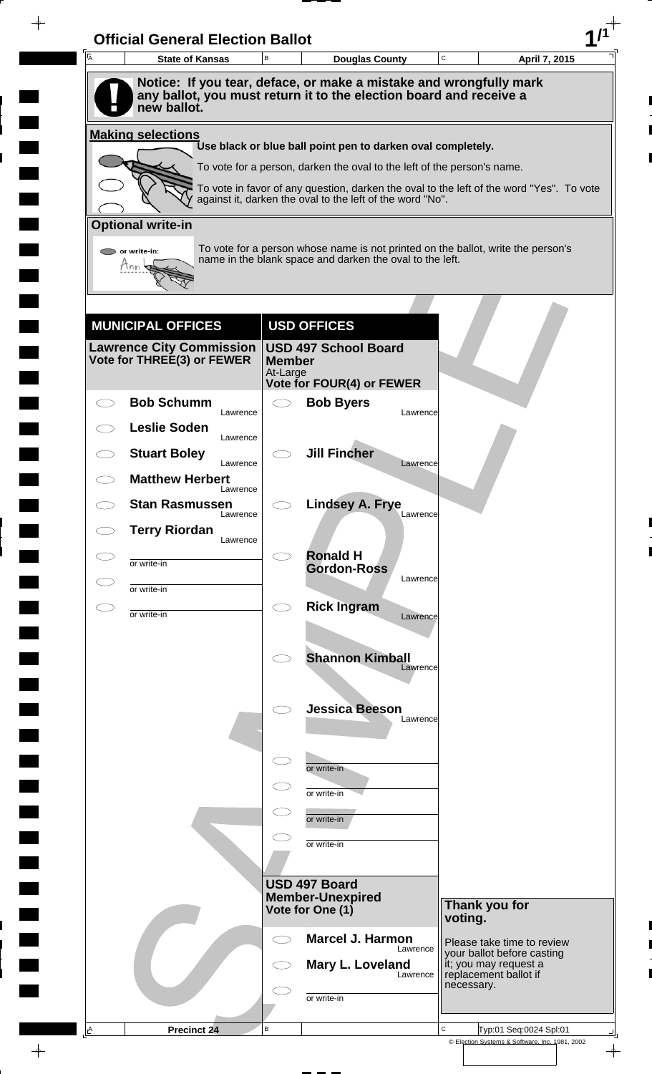| A | <b>State of Kansas</b>                                                            | B             | <b>Douglas County</b>                                                   |          | $\mathbf C$ | April 7, 2015                                                                            |
|---|-----------------------------------------------------------------------------------|---------------|-------------------------------------------------------------------------|----------|-------------|------------------------------------------------------------------------------------------|
|   | Notice: If you tear, deface, or make a mistake and wrongfully mark                |               |                                                                         |          |             |                                                                                          |
|   | any ballot, you must return it to the election board and receive a<br>new ballot. |               |                                                                         |          |             |                                                                                          |
|   | <b>Making selections</b>                                                          |               |                                                                         |          |             |                                                                                          |
|   |                                                                                   |               | Use black or blue ball point pen to darken oval completely.             |          |             |                                                                                          |
|   |                                                                                   |               | To vote for a person, darken the oval to the left of the person's name. |          |             | To vote in favor of any question, darken the oval to the left of the word "Yes". To vote |
|   |                                                                                   |               | against it, darken the oval to the left of the word "No".               |          |             |                                                                                          |
|   | <b>Optional write-in</b>                                                          |               |                                                                         |          |             |                                                                                          |
|   | $\triangleright$ or write-in:                                                     |               | name in the blank space and darken the oval to the left.                |          |             | To vote for a person whose name is not printed on the ballot, write the person's         |
|   | Tnn                                                                               |               |                                                                         |          |             |                                                                                          |
|   |                                                                                   |               |                                                                         |          |             |                                                                                          |
|   | <b>MUNICIPAL OFFICES</b>                                                          |               | <b>USD OFFICES</b>                                                      |          |             |                                                                                          |
|   | Lawrence City Commission  <br>Vote for THREE(3) or FEWER                          | <b>Member</b> | <b>USD 497 School Board</b>                                             |          |             |                                                                                          |
|   |                                                                                   | At-Large      | <b>Vote for FOUR(4) or FEWER</b>                                        |          |             |                                                                                          |
|   | <b>Bob Schumm</b>                                                                 |               | <b>Bob Byers</b>                                                        |          |             |                                                                                          |
|   | Lawrence<br><b>Leslie Soden</b>                                                   |               |                                                                         | Lawrence |             |                                                                                          |
|   | Lawrence<br><b>Stuart Boley</b>                                                   |               | <b>Jill Fincher</b>                                                     |          |             |                                                                                          |
|   | Lawrence<br><b>Matthew Herbert</b>                                                |               |                                                                         | Lawrence |             |                                                                                          |
|   | Lawrence<br><b>Stan Rasmussen</b>                                                 |               | <b>Lindsey A. Frye</b>                                                  |          |             |                                                                                          |
|   | Lawrence                                                                          |               |                                                                         | Lawrence |             |                                                                                          |
|   | <b>Terry Riordan</b><br>Lawrence                                                  |               |                                                                         |          |             |                                                                                          |
|   | or write-in                                                                       |               | <b>Ronald H</b><br><b>Gordon-Ross</b>                                   |          |             |                                                                                          |
|   | or write-in                                                                       |               |                                                                         | Lawrence |             |                                                                                          |
|   | or write-in                                                                       | Ο             | <b>Rick Ingram</b>                                                      | Lawrence |             |                                                                                          |
|   |                                                                                   |               |                                                                         |          |             |                                                                                          |
|   |                                                                                   |               | <b>Shannon Kimball</b>                                                  | Lawrence |             |                                                                                          |
|   |                                                                                   |               |                                                                         |          |             |                                                                                          |
|   |                                                                                   |               | <b>Jessica Beeson</b>                                                   | Lawrence |             |                                                                                          |
|   |                                                                                   |               |                                                                         |          |             |                                                                                          |
|   |                                                                                   | $\subset$     | or write-in                                                             |          |             |                                                                                          |
|   |                                                                                   |               | or write-in                                                             |          |             |                                                                                          |
|   |                                                                                   |               | or write-in                                                             |          |             |                                                                                          |
|   |                                                                                   |               | or write-in                                                             |          |             |                                                                                          |
|   |                                                                                   |               |                                                                         |          |             |                                                                                          |
|   |                                                                                   |               | USD 497 Board                                                           |          |             |                                                                                          |
|   |                                                                                   |               | <b>Member-Unexpired</b><br>Vote for One (1)                             |          | voting.     | Thank you for                                                                            |
|   |                                                                                   | ⊂⊇            | <b>Marcel J. Harmon</b>                                                 |          |             | Please take time to review                                                               |
|   |                                                                                   |               | Mary L. Loveland                                                        | Lawrence |             | your ballot before casting                                                               |
|   |                                                                                   |               |                                                                         | Lawrence | necessary.  | it; you may request a<br>replacement ballot if                                           |
|   |                                                                                   |               | or write-in                                                             |          |             |                                                                                          |
|   |                                                                                   |               |                                                                         |          |             |                                                                                          |

 $\blacksquare$ 

 $\blacksquare$ 

 $\blacksquare$ 

 $\blacksquare$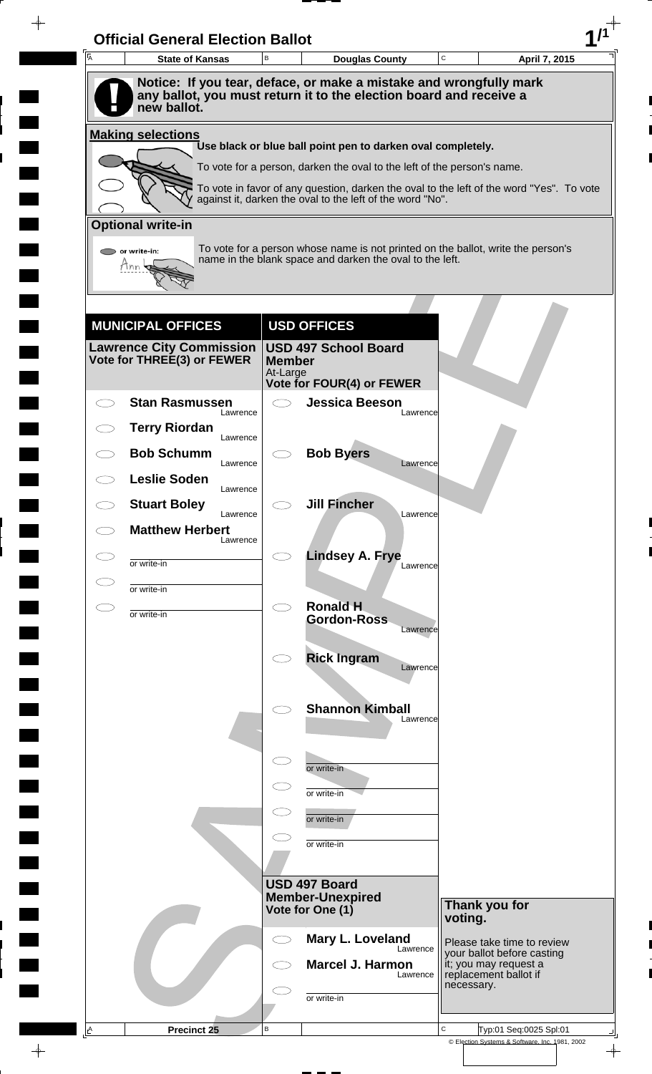| $\overline{A}$ | <b>State of Kansas</b>                                        | B             | <b>Douglas County</b>                                                                                                                        | C          | April 7, 2015                                            |
|----------------|---------------------------------------------------------------|---------------|----------------------------------------------------------------------------------------------------------------------------------------------|------------|----------------------------------------------------------|
|                |                                                               |               | Notice: If you tear, deface, or make a mistake and wrongfully mark                                                                           |            |                                                          |
|                | new ballot.                                                   |               | any ballot, you must return it to the election board and receive a                                                                           |            |                                                          |
|                | <b>Making selections</b>                                      |               |                                                                                                                                              |            |                                                          |
|                |                                                               |               | Use black or blue ball point pen to darken oval completely.<br>To vote for a person, darken the oval to the left of the person's name.       |            |                                                          |
|                |                                                               |               | To vote in favor of any question, darken the oval to the left of the word "Yes". To vote                                                     |            |                                                          |
|                |                                                               |               | against it, darken the oval to the left of the word "No".                                                                                    |            |                                                          |
|                | <b>Optional write-in</b>                                      |               |                                                                                                                                              |            |                                                          |
|                | or write-in:<br>Tnn                                           |               | To vote for a person whose name is not printed on the ballot, write the person's<br>name in the blank space and darken the oval to the left. |            |                                                          |
|                |                                                               |               |                                                                                                                                              |            |                                                          |
|                |                                                               |               |                                                                                                                                              |            |                                                          |
|                | <b>MUNICIPAL OFFICES</b>                                      |               | <b>USD OFFICES</b>                                                                                                                           |            |                                                          |
|                | <b>Lawrence City Commission</b><br>Vote for THREE(3) or FEWER | <b>Member</b> | <b>USD 497 School Board</b>                                                                                                                  |            |                                                          |
|                |                                                               | At-Large      | Vote for FOUR(4) or FEWER                                                                                                                    |            |                                                          |
|                | <b>Stan Rasmussen</b><br>Lawrence                             |               | <b>Jessica Beeson</b><br>Lawrence                                                                                                            |            |                                                          |
|                | <b>Terry Riordan</b><br>Lawrence                              |               |                                                                                                                                              |            |                                                          |
|                | <b>Bob Schumm</b>                                             |               | <b>Bob Byers</b>                                                                                                                             |            |                                                          |
|                | Lawrence<br><b>Leslie Soden</b>                               |               | Lawrence                                                                                                                                     |            |                                                          |
|                | Lawrence<br><b>Stuart Boley</b>                               |               | <b>Jill Fincher</b>                                                                                                                          |            |                                                          |
|                | Lawrence<br><b>Matthew Herbert</b>                            |               | Lawrence                                                                                                                                     |            |                                                          |
|                | Lawrence                                                      |               | <b>Lindsey A. Frye</b>                                                                                                                       |            |                                                          |
|                | or write-in                                                   |               | Lawrence                                                                                                                                     |            |                                                          |
|                | or write-in                                                   | $\bigcirc$    | <b>Ronald H</b>                                                                                                                              |            |                                                          |
|                | or write-in                                                   |               | <b>Gordon-Ross</b><br>Lawrence                                                                                                               |            |                                                          |
|                |                                                               |               | <b>Rick Ingram</b>                                                                                                                           |            |                                                          |
|                |                                                               |               | Lawrence                                                                                                                                     |            |                                                          |
|                |                                                               |               | <b>Shannon Kimball</b>                                                                                                                       |            |                                                          |
|                |                                                               |               | Lawrence                                                                                                                                     |            |                                                          |
|                |                                                               |               |                                                                                                                                              |            |                                                          |
|                |                                                               |               | or write-in                                                                                                                                  |            |                                                          |
|                |                                                               |               | or write-in                                                                                                                                  |            |                                                          |
|                |                                                               |               | or write-in                                                                                                                                  |            |                                                          |
|                |                                                               |               | or write-in                                                                                                                                  |            |                                                          |
|                |                                                               |               |                                                                                                                                              |            |                                                          |
|                |                                                               |               | USD 497 Board<br><b>Member-Unexpired</b>                                                                                                     |            | Thank you for                                            |
|                |                                                               |               | Vote for One (1)                                                                                                                             | voting.    |                                                          |
|                |                                                               | $\bigcirc$    | Mary L. Loveland<br>Lawrence                                                                                                                 |            | Please take time to review<br>your ballot before casting |
|                |                                                               |               | <b>Marcel J. Harmon</b><br>Lawrence                                                                                                          |            | it; you may request a<br>replacement ballot if           |
|                |                                                               |               | or write-in                                                                                                                                  | necessary. |                                                          |
|                |                                                               |               |                                                                                                                                              |            |                                                          |

 $\blacksquare$ 

 $\blacksquare$ 

 $\blacksquare$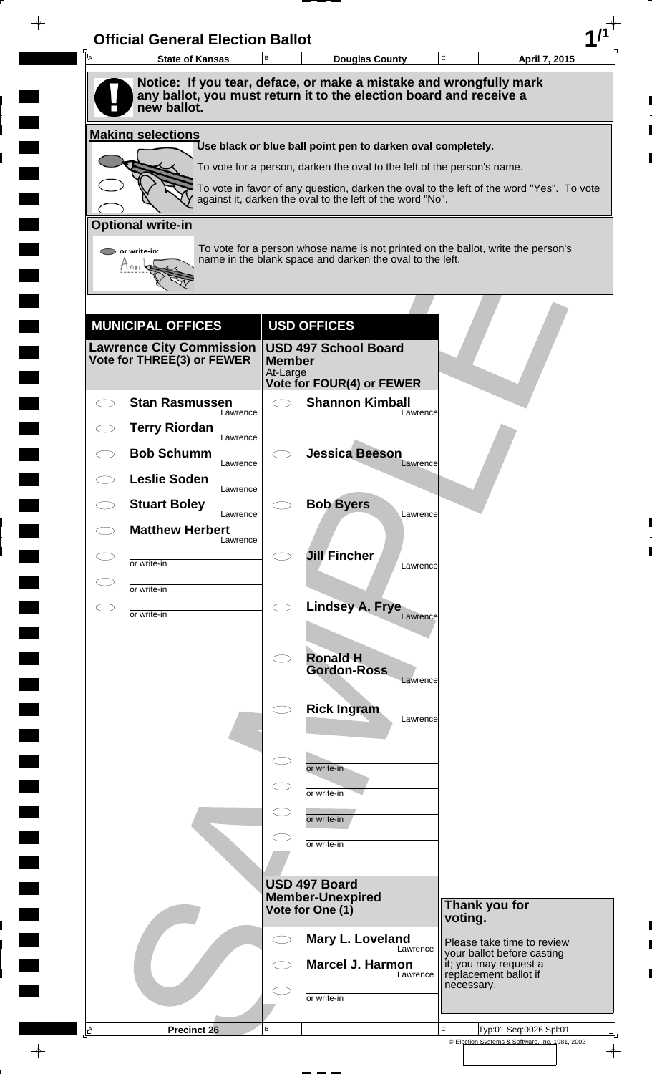| $\overline{A}$      | <b>State of Kansas</b>                                        | B                        | <b>Douglas County</b>                                                                                                                        | C<br>April 7, 2015                                                                       |
|---------------------|---------------------------------------------------------------|--------------------------|----------------------------------------------------------------------------------------------------------------------------------------------|------------------------------------------------------------------------------------------|
|                     |                                                               |                          | Notice: If you tear, deface, or make a mistake and wrongfully mark<br>any ballot, you must return it to the election board and receive a     |                                                                                          |
|                     | new ballot.                                                   |                          |                                                                                                                                              |                                                                                          |
|                     | <b>Making selections</b>                                      |                          | Use black or blue ball point pen to darken oval completely.                                                                                  |                                                                                          |
|                     |                                                               |                          | To vote for a person, darken the oval to the left of the person's name.                                                                      |                                                                                          |
|                     |                                                               |                          |                                                                                                                                              | To vote in favor of any question, darken the oval to the left of the word "Yes". To vote |
|                     |                                                               |                          | against it, darken the oval to the left of the word "No".                                                                                    |                                                                                          |
|                     | <b>Optional write-in</b>                                      |                          |                                                                                                                                              |                                                                                          |
|                     | $\triangleright$ or write-in:<br>Tnn                          |                          | To vote for a person whose name is not printed on the ballot, write the person's<br>name in the blank space and darken the oval to the left. |                                                                                          |
|                     |                                                               |                          |                                                                                                                                              |                                                                                          |
|                     |                                                               |                          |                                                                                                                                              |                                                                                          |
|                     | <b>MUNICIPAL OFFICES</b>                                      |                          | <b>USD OFFICES</b>                                                                                                                           |                                                                                          |
|                     | <b>Lawrence City Commission</b><br>Vote for THREE(3) or FEWER | <b>Member</b>            | <b>USD 497 School Board</b>                                                                                                                  |                                                                                          |
|                     |                                                               | At-Large                 | Vote for FOUR(4) or FEWER                                                                                                                    |                                                                                          |
|                     | <b>Stan Rasmussen</b>                                         | $\overline{\phantom{1}}$ | <b>Shannon Kimball</b>                                                                                                                       |                                                                                          |
|                     | Lawrence<br><b>Terry Riordan</b>                              |                          | Lawrence                                                                                                                                     |                                                                                          |
|                     | Lawrence<br><b>Bob Schumm</b>                                 |                          | <b>Jessica Beeson</b>                                                                                                                        |                                                                                          |
|                     | Lawrence<br><b>Leslie Soden</b>                               |                          | Lawrence                                                                                                                                     |                                                                                          |
|                     | Lawrence<br><b>Stuart Boley</b>                               |                          | <b>Bob Byers</b>                                                                                                                             |                                                                                          |
|                     | Lawrence<br><b>Matthew Herbert</b>                            |                          | Lawrence                                                                                                                                     |                                                                                          |
| CD                  | Lawrence                                                      |                          | <b>Jill Fincher</b>                                                                                                                          |                                                                                          |
|                     | or write-in                                                   |                          | Lawrence                                                                                                                                     |                                                                                          |
| $\subset$ $\supset$ | or write-in                                                   | $\bigcirc$               |                                                                                                                                              |                                                                                          |
|                     | or write-in                                                   |                          | Lindsey A. Frye<br>Lawrence                                                                                                                  |                                                                                          |
|                     |                                                               |                          |                                                                                                                                              |                                                                                          |
|                     |                                                               |                          | <b>Ronald H</b><br><b>Gordon-Ross</b><br>Lawrence                                                                                            |                                                                                          |
|                     |                                                               |                          |                                                                                                                                              |                                                                                          |
|                     |                                                               |                          | <b>Rick Ingram</b><br>Lawrence                                                                                                               |                                                                                          |
|                     |                                                               |                          |                                                                                                                                              |                                                                                          |
|                     |                                                               |                          | or write-in                                                                                                                                  |                                                                                          |
|                     |                                                               |                          | or write-in                                                                                                                                  |                                                                                          |
|                     |                                                               |                          | or write-in                                                                                                                                  |                                                                                          |
|                     |                                                               |                          | or write-in                                                                                                                                  |                                                                                          |
|                     |                                                               |                          |                                                                                                                                              |                                                                                          |
|                     |                                                               |                          | USD 497 Board<br><b>Member-Unexpired</b>                                                                                                     |                                                                                          |
|                     |                                                               |                          | Vote for One (1)                                                                                                                             | Thank you for<br>voting.                                                                 |
|                     |                                                               |                          | Mary L. Loveland<br>Lawrence                                                                                                                 | Please take time to review                                                               |
|                     |                                                               |                          | <b>Marcel J. Harmon</b><br>Lawrence                                                                                                          | your ballot before casting<br>it; you may request a<br>replacement ballot if             |
|                     |                                                               |                          | or write-in                                                                                                                                  | necessary.                                                                               |
|                     |                                                               |                          |                                                                                                                                              |                                                                                          |
|                     |                                                               |                          |                                                                                                                                              |                                                                                          |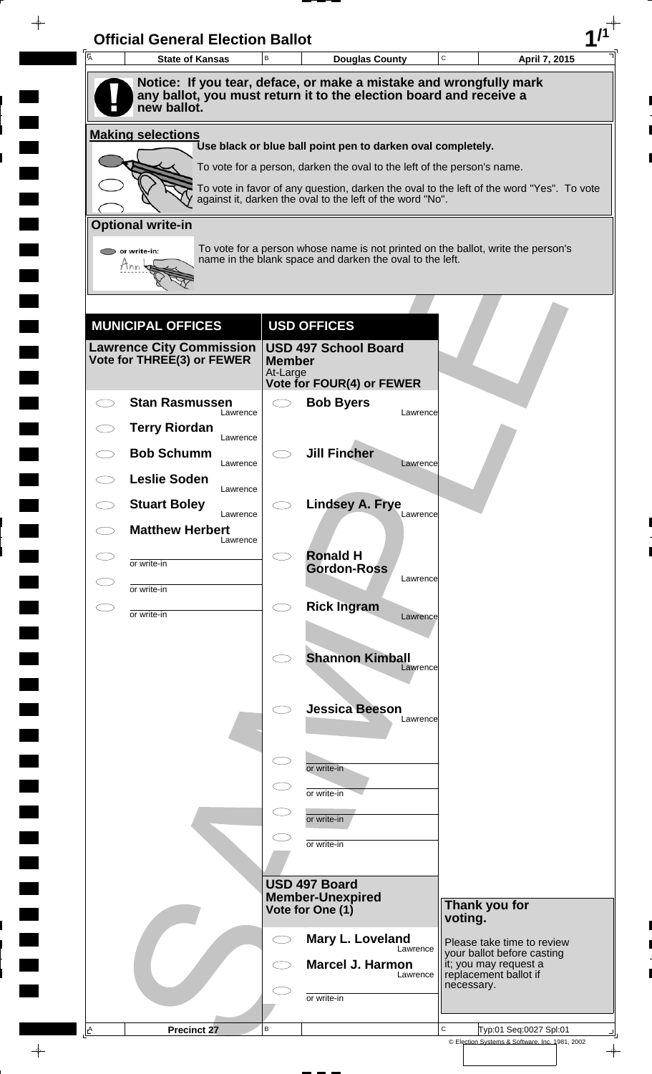| Notice: If you tear, deface, or make a mistake and wrongfully mark<br>any ballot, you must return it to the election board and receive a<br>new ballot.<br><b>Making selections</b><br>Use black or blue ball point pen to darken oval completely.<br>To vote for a person, darken the oval to the left of the person's name.<br>To vote in favor of any question, darken the oval to the left of the word "Yes". To vote<br>against it, darken the oval to the left of the word "No".<br><b>Optional write-in</b><br>To vote for a person whose name is not printed on the ballot, write the person's<br>$\triangleright$ or write-in:<br>name in the blank space and darken the oval to the left.<br>Tnn<br><b>USD OFFICES</b><br><b>MUNICIPAL OFFICES</b><br><b>Lawrence City Commission</b><br><b>USD 497 School Board</b><br>Vote for THREE(3) or FEWER<br><b>Member</b><br>At-Large<br><b>Vote for FOUR(4) or FEWER</b><br><b>Stan Rasmussen</b><br><b>Bob Byers</b><br>$\bigcirc$<br>Lawrence<br>Lawrence<br><b>Terry Riordan</b><br>Lawrence<br><b>Jill Fincher</b><br><b>Bob Schumm</b><br>Lawrence<br>Lawrence<br><b>Leslie Soden</b><br>Lawrence<br><b>Lindsey A. Frye</b><br><b>Stuart Boley</b><br>Lawrence<br>Lawrence<br><b>Matthew Herbert</b><br>Lawrence<br><b>Ronald H</b><br>CD.<br>or write-in<br><b>Gordon-Ross</b><br>Lawrence<br>or write-in<br><b>Rick Ingram</b><br>$\bigcirc$<br>СI<br>or write-in<br>Lawrence<br><b>Shannon Kimball</b><br>Lawrence<br><b>Jessica Beeson</b> |  |
|----------------------------------------------------------------------------------------------------------------------------------------------------------------------------------------------------------------------------------------------------------------------------------------------------------------------------------------------------------------------------------------------------------------------------------------------------------------------------------------------------------------------------------------------------------------------------------------------------------------------------------------------------------------------------------------------------------------------------------------------------------------------------------------------------------------------------------------------------------------------------------------------------------------------------------------------------------------------------------------------------------------------------------------------------------------------------------------------------------------------------------------------------------------------------------------------------------------------------------------------------------------------------------------------------------------------------------------------------------------------------------------------------------------------------------------------------------------------------------------------------------|--|
|                                                                                                                                                                                                                                                                                                                                                                                                                                                                                                                                                                                                                                                                                                                                                                                                                                                                                                                                                                                                                                                                                                                                                                                                                                                                                                                                                                                                                                                                                                          |  |
|                                                                                                                                                                                                                                                                                                                                                                                                                                                                                                                                                                                                                                                                                                                                                                                                                                                                                                                                                                                                                                                                                                                                                                                                                                                                                                                                                                                                                                                                                                          |  |
|                                                                                                                                                                                                                                                                                                                                                                                                                                                                                                                                                                                                                                                                                                                                                                                                                                                                                                                                                                                                                                                                                                                                                                                                                                                                                                                                                                                                                                                                                                          |  |
|                                                                                                                                                                                                                                                                                                                                                                                                                                                                                                                                                                                                                                                                                                                                                                                                                                                                                                                                                                                                                                                                                                                                                                                                                                                                                                                                                                                                                                                                                                          |  |
|                                                                                                                                                                                                                                                                                                                                                                                                                                                                                                                                                                                                                                                                                                                                                                                                                                                                                                                                                                                                                                                                                                                                                                                                                                                                                                                                                                                                                                                                                                          |  |
|                                                                                                                                                                                                                                                                                                                                                                                                                                                                                                                                                                                                                                                                                                                                                                                                                                                                                                                                                                                                                                                                                                                                                                                                                                                                                                                                                                                                                                                                                                          |  |
|                                                                                                                                                                                                                                                                                                                                                                                                                                                                                                                                                                                                                                                                                                                                                                                                                                                                                                                                                                                                                                                                                                                                                                                                                                                                                                                                                                                                                                                                                                          |  |
|                                                                                                                                                                                                                                                                                                                                                                                                                                                                                                                                                                                                                                                                                                                                                                                                                                                                                                                                                                                                                                                                                                                                                                                                                                                                                                                                                                                                                                                                                                          |  |
|                                                                                                                                                                                                                                                                                                                                                                                                                                                                                                                                                                                                                                                                                                                                                                                                                                                                                                                                                                                                                                                                                                                                                                                                                                                                                                                                                                                                                                                                                                          |  |
|                                                                                                                                                                                                                                                                                                                                                                                                                                                                                                                                                                                                                                                                                                                                                                                                                                                                                                                                                                                                                                                                                                                                                                                                                                                                                                                                                                                                                                                                                                          |  |
|                                                                                                                                                                                                                                                                                                                                                                                                                                                                                                                                                                                                                                                                                                                                                                                                                                                                                                                                                                                                                                                                                                                                                                                                                                                                                                                                                                                                                                                                                                          |  |
|                                                                                                                                                                                                                                                                                                                                                                                                                                                                                                                                                                                                                                                                                                                                                                                                                                                                                                                                                                                                                                                                                                                                                                                                                                                                                                                                                                                                                                                                                                          |  |
|                                                                                                                                                                                                                                                                                                                                                                                                                                                                                                                                                                                                                                                                                                                                                                                                                                                                                                                                                                                                                                                                                                                                                                                                                                                                                                                                                                                                                                                                                                          |  |
|                                                                                                                                                                                                                                                                                                                                                                                                                                                                                                                                                                                                                                                                                                                                                                                                                                                                                                                                                                                                                                                                                                                                                                                                                                                                                                                                                                                                                                                                                                          |  |
|                                                                                                                                                                                                                                                                                                                                                                                                                                                                                                                                                                                                                                                                                                                                                                                                                                                                                                                                                                                                                                                                                                                                                                                                                                                                                                                                                                                                                                                                                                          |  |
|                                                                                                                                                                                                                                                                                                                                                                                                                                                                                                                                                                                                                                                                                                                                                                                                                                                                                                                                                                                                                                                                                                                                                                                                                                                                                                                                                                                                                                                                                                          |  |
|                                                                                                                                                                                                                                                                                                                                                                                                                                                                                                                                                                                                                                                                                                                                                                                                                                                                                                                                                                                                                                                                                                                                                                                                                                                                                                                                                                                                                                                                                                          |  |
|                                                                                                                                                                                                                                                                                                                                                                                                                                                                                                                                                                                                                                                                                                                                                                                                                                                                                                                                                                                                                                                                                                                                                                                                                                                                                                                                                                                                                                                                                                          |  |
|                                                                                                                                                                                                                                                                                                                                                                                                                                                                                                                                                                                                                                                                                                                                                                                                                                                                                                                                                                                                                                                                                                                                                                                                                                                                                                                                                                                                                                                                                                          |  |
|                                                                                                                                                                                                                                                                                                                                                                                                                                                                                                                                                                                                                                                                                                                                                                                                                                                                                                                                                                                                                                                                                                                                                                                                                                                                                                                                                                                                                                                                                                          |  |
|                                                                                                                                                                                                                                                                                                                                                                                                                                                                                                                                                                                                                                                                                                                                                                                                                                                                                                                                                                                                                                                                                                                                                                                                                                                                                                                                                                                                                                                                                                          |  |
|                                                                                                                                                                                                                                                                                                                                                                                                                                                                                                                                                                                                                                                                                                                                                                                                                                                                                                                                                                                                                                                                                                                                                                                                                                                                                                                                                                                                                                                                                                          |  |
|                                                                                                                                                                                                                                                                                                                                                                                                                                                                                                                                                                                                                                                                                                                                                                                                                                                                                                                                                                                                                                                                                                                                                                                                                                                                                                                                                                                                                                                                                                          |  |
|                                                                                                                                                                                                                                                                                                                                                                                                                                                                                                                                                                                                                                                                                                                                                                                                                                                                                                                                                                                                                                                                                                                                                                                                                                                                                                                                                                                                                                                                                                          |  |
| Lawrence                                                                                                                                                                                                                                                                                                                                                                                                                                                                                                                                                                                                                                                                                                                                                                                                                                                                                                                                                                                                                                                                                                                                                                                                                                                                                                                                                                                                                                                                                                 |  |
|                                                                                                                                                                                                                                                                                                                                                                                                                                                                                                                                                                                                                                                                                                                                                                                                                                                                                                                                                                                                                                                                                                                                                                                                                                                                                                                                                                                                                                                                                                          |  |
| $\subset$<br>or write-in                                                                                                                                                                                                                                                                                                                                                                                                                                                                                                                                                                                                                                                                                                                                                                                                                                                                                                                                                                                                                                                                                                                                                                                                                                                                                                                                                                                                                                                                                 |  |
| or write-in                                                                                                                                                                                                                                                                                                                                                                                                                                                                                                                                                                                                                                                                                                                                                                                                                                                                                                                                                                                                                                                                                                                                                                                                                                                                                                                                                                                                                                                                                              |  |
| or write-in                                                                                                                                                                                                                                                                                                                                                                                                                                                                                                                                                                                                                                                                                                                                                                                                                                                                                                                                                                                                                                                                                                                                                                                                                                                                                                                                                                                                                                                                                              |  |
| or write-in                                                                                                                                                                                                                                                                                                                                                                                                                                                                                                                                                                                                                                                                                                                                                                                                                                                                                                                                                                                                                                                                                                                                                                                                                                                                                                                                                                                                                                                                                              |  |
|                                                                                                                                                                                                                                                                                                                                                                                                                                                                                                                                                                                                                                                                                                                                                                                                                                                                                                                                                                                                                                                                                                                                                                                                                                                                                                                                                                                                                                                                                                          |  |
| USD 497 Board<br><b>Member-Unexpired</b>                                                                                                                                                                                                                                                                                                                                                                                                                                                                                                                                                                                                                                                                                                                                                                                                                                                                                                                                                                                                                                                                                                                                                                                                                                                                                                                                                                                                                                                                 |  |
| Thank you for<br>Vote for One (1)<br>voting.                                                                                                                                                                                                                                                                                                                                                                                                                                                                                                                                                                                                                                                                                                                                                                                                                                                                                                                                                                                                                                                                                                                                                                                                                                                                                                                                                                                                                                                             |  |
| Mary L. Loveland<br>CD<br>Please take time to review<br>Lawrence                                                                                                                                                                                                                                                                                                                                                                                                                                                                                                                                                                                                                                                                                                                                                                                                                                                                                                                                                                                                                                                                                                                                                                                                                                                                                                                                                                                                                                         |  |
| your ballot before casting<br><b>Marcel J. Harmon</b><br>it; you may request a<br>replacement ballot if<br>Lawrence                                                                                                                                                                                                                                                                                                                                                                                                                                                                                                                                                                                                                                                                                                                                                                                                                                                                                                                                                                                                                                                                                                                                                                                                                                                                                                                                                                                      |  |
| necessary.<br>or write-in                                                                                                                                                                                                                                                                                                                                                                                                                                                                                                                                                                                                                                                                                                                                                                                                                                                                                                                                                                                                                                                                                                                                                                                                                                                                                                                                                                                                                                                                                |  |
|                                                                                                                                                                                                                                                                                                                                                                                                                                                                                                                                                                                                                                                                                                                                                                                                                                                                                                                                                                                                                                                                                                                                                                                                                                                                                                                                                                                                                                                                                                          |  |
| C<br>$\, {\bf B}$<br>Typ:01 Seq:0027 Spl:01<br><u>A</u><br>Precinct 27<br>© Election Systems & Software, Inc. 1981, 2002                                                                                                                                                                                                                                                                                                                                                                                                                                                                                                                                                                                                                                                                                                                                                                                                                                                                                                                                                                                                                                                                                                                                                                                                                                                                                                                                                                                 |  |

 $\blacksquare$ 

 $\blacksquare$ 

 $\blacksquare$ 

 $\blacksquare$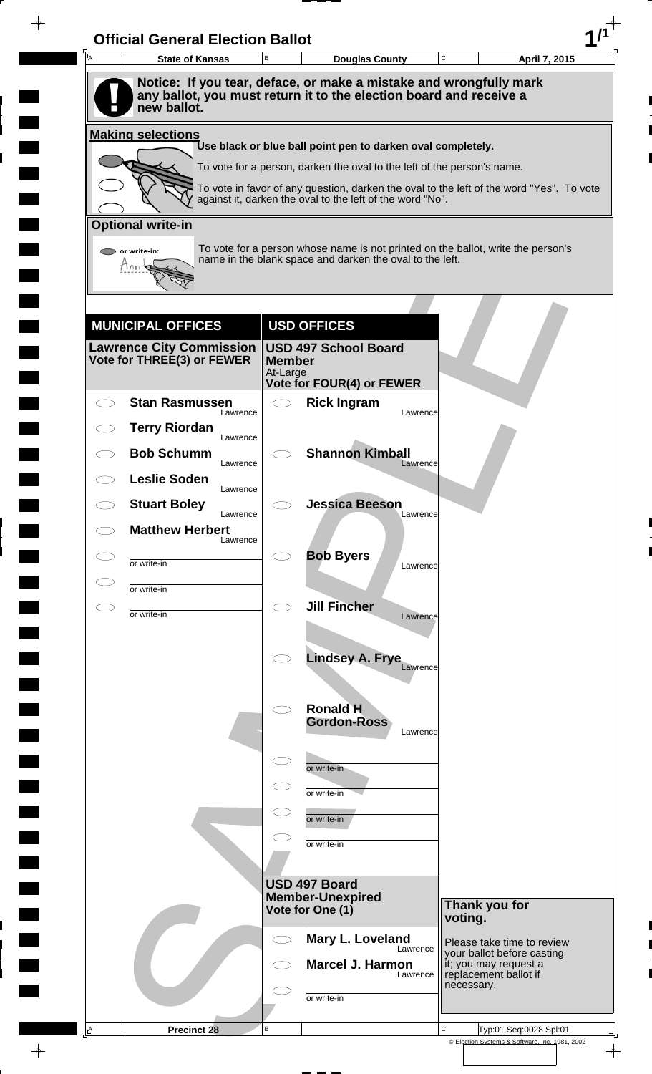| $\overline{\mathsf{A}}$ | <b>State of Kansas</b>                                        | B                         | <b>Douglas County</b>                                                                                                                        | C          | April 7, 2015                                            |
|-------------------------|---------------------------------------------------------------|---------------------------|----------------------------------------------------------------------------------------------------------------------------------------------|------------|----------------------------------------------------------|
|                         |                                                               |                           | Notice: If you tear, deface, or make a mistake and wrongfully mark                                                                           |            |                                                          |
|                         | new ballot.                                                   |                           | any ballot, you must return it to the election board and receive a                                                                           |            |                                                          |
|                         | <b>Making selections</b>                                      |                           | Use black or blue ball point pen to darken oval completely.                                                                                  |            |                                                          |
|                         |                                                               |                           | To vote for a person, darken the oval to the left of the person's name.                                                                      |            |                                                          |
|                         |                                                               |                           | To vote in favor of any question, darken the oval to the left of the word "Yes". To vote                                                     |            |                                                          |
|                         |                                                               |                           | against it, darken the oval to the left of the word "No".                                                                                    |            |                                                          |
|                         | <b>Optional write-in</b>                                      |                           |                                                                                                                                              |            |                                                          |
|                         | $\bullet$ or write-in:<br>Tnn                                 |                           | To vote for a person whose name is not printed on the ballot, write the person's<br>name in the blank space and darken the oval to the left. |            |                                                          |
|                         |                                                               |                           |                                                                                                                                              |            |                                                          |
|                         |                                                               |                           |                                                                                                                                              |            |                                                          |
|                         | <b>MUNICIPAL OFFICES</b>                                      |                           | <b>USD OFFICES</b>                                                                                                                           |            |                                                          |
|                         | <b>Lawrence City Commission</b><br>Vote for THREE(3) or FEWER | <b>Member</b><br>At-Large | <b>USD 497 School Board</b>                                                                                                                  |            |                                                          |
|                         |                                                               |                           | Vote for FOUR(4) or FEWER                                                                                                                    |            |                                                          |
|                         | <b>Stan Rasmussen</b><br>Lawrence                             | $\overline{\phantom{0}}$  | <b>Rick Ingram</b><br>Lawrence                                                                                                               |            |                                                          |
|                         | <b>Terry Riordan</b><br>Lawrence                              |                           |                                                                                                                                              |            |                                                          |
|                         | <b>Bob Schumm</b><br>Lawrence                                 |                           | <b>Shannon Kimball</b><br>Lawrence                                                                                                           |            |                                                          |
|                         | <b>Leslie Soden</b><br>Lawrence                               |                           |                                                                                                                                              |            |                                                          |
|                         | <b>Stuart Boley</b><br>Lawrence                               |                           | <b>Jessica Beeson</b><br>Lawrence                                                                                                            |            |                                                          |
|                         | <b>Matthew Herbert</b><br>Lawrence                            |                           |                                                                                                                                              |            |                                                          |
| CD                      | or write-in                                                   |                           | <b>Bob Byers</b><br>Lawrence                                                                                                                 |            |                                                          |
|                         | or write-in                                                   |                           |                                                                                                                                              |            |                                                          |
| CD                      | or write-in                                                   | $\bigcirc$                | <b>Jill Fincher</b><br>Lawrence                                                                                                              |            |                                                          |
|                         |                                                               |                           |                                                                                                                                              |            |                                                          |
|                         |                                                               |                           | <b>Lindsey A. Frye</b><br>Lawrence                                                                                                           |            |                                                          |
|                         |                                                               |                           |                                                                                                                                              |            |                                                          |
|                         |                                                               |                           | <b>Ronald H</b><br><b>Gordon-Ross</b>                                                                                                        |            |                                                          |
|                         |                                                               |                           | Lawrence                                                                                                                                     |            |                                                          |
|                         |                                                               |                           | or write-in                                                                                                                                  |            |                                                          |
|                         |                                                               |                           | or write-in                                                                                                                                  |            |                                                          |
|                         |                                                               |                           | or write-in                                                                                                                                  |            |                                                          |
|                         |                                                               |                           | or write-in                                                                                                                                  |            |                                                          |
|                         |                                                               |                           |                                                                                                                                              |            |                                                          |
|                         |                                                               |                           | USD 497 Board<br><b>Member-Unexpired</b>                                                                                                     |            | Thank you for                                            |
|                         |                                                               |                           | Vote for One (1)                                                                                                                             | voting.    |                                                          |
|                         |                                                               |                           | Mary L. Loveland<br>Lawrence                                                                                                                 |            | Please take time to review<br>your ballot before casting |
|                         |                                                               |                           | <b>Marcel J. Harmon</b><br>Lawrence                                                                                                          |            | it; you may request a<br>replacement ballot if           |
|                         |                                                               |                           | or write-in                                                                                                                                  | necessary. |                                                          |
| $\triangle$             | <b>Precinct 28</b>                                            | B                         |                                                                                                                                              | C          | Typ:01 Seq:0028 Spl:01                                   |
|                         |                                                               |                           |                                                                                                                                              |            | © Election Systems & Software, Inc. 1981, 2002           |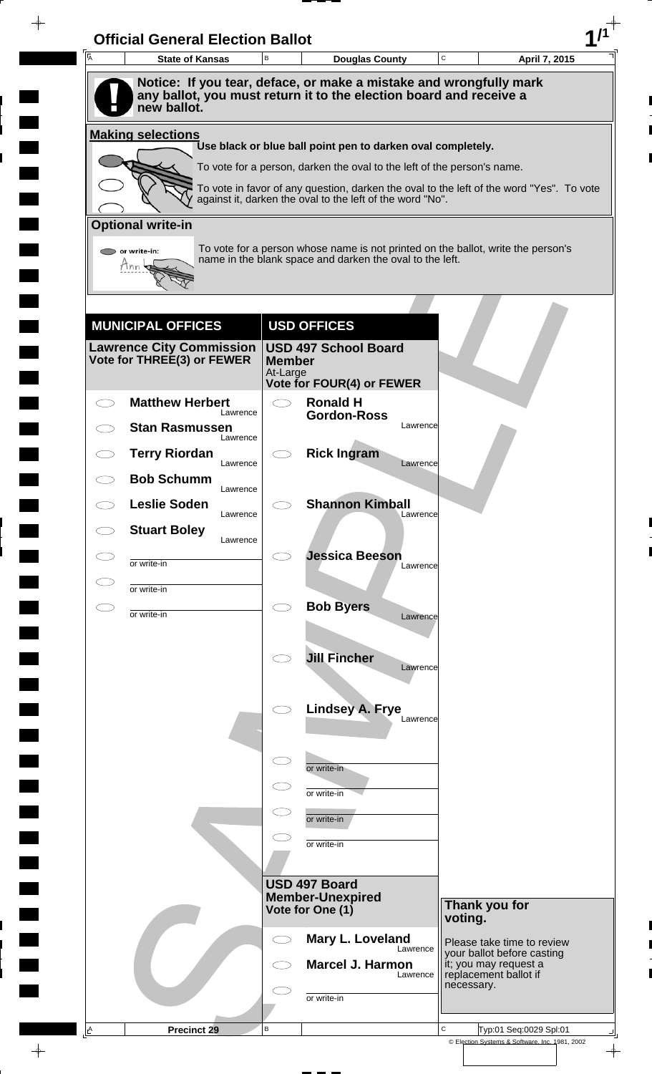| <b>I</b> A | <b>State of Kansas</b>                                        | B             | <b>Douglas County</b>                                                                                                                        | $\mathbf C$ | April 7, 2015                                            |
|------------|---------------------------------------------------------------|---------------|----------------------------------------------------------------------------------------------------------------------------------------------|-------------|----------------------------------------------------------|
|            |                                                               |               | Notice: If you tear, deface, or make a mistake and wrongfully mark                                                                           |             |                                                          |
|            | new ballot.                                                   |               | any ballot, you must return it to the election board and receive a                                                                           |             |                                                          |
|            | <b>Making selections</b>                                      |               | Use black or blue ball point pen to darken oval completely.                                                                                  |             |                                                          |
|            |                                                               |               | To vote for a person, darken the oval to the left of the person's name.                                                                      |             |                                                          |
|            |                                                               |               | To vote in favor of any question, darken the oval to the left of the word "Yes". To vote                                                     |             |                                                          |
|            |                                                               |               | against it, darken the oval to the left of the word "No".                                                                                    |             |                                                          |
|            | <b>Optional write-in</b>                                      |               |                                                                                                                                              |             |                                                          |
|            | or write-in:                                                  |               | To vote for a person whose name is not printed on the ballot, write the person's<br>name in the blank space and darken the oval to the left. |             |                                                          |
|            |                                                               |               |                                                                                                                                              |             |                                                          |
|            |                                                               |               |                                                                                                                                              |             |                                                          |
|            | <b>MUNICIPAL OFFICES</b>                                      |               | <b>USD OFFICES</b>                                                                                                                           |             |                                                          |
|            | <b>Lawrence City Commission</b><br>Vote for THREE(3) or FEWER | <b>Member</b> | <b>USD 497 School Board</b>                                                                                                                  |             |                                                          |
|            |                                                               | At-Large      | <b>Vote for FOUR(4) or FEWER</b>                                                                                                             |             |                                                          |
| ─ ─        | <b>Matthew Herbert</b><br>Lawrence                            |               | <b>Ronald H</b>                                                                                                                              |             |                                                          |
|            | <b>Stan Rasmussen</b><br>Lawrence                             |               | <b>Gordon-Ross</b><br>Lawrence                                                                                                               |             |                                                          |
|            | <b>Terry Riordan</b>                                          |               | <b>Rick Ingram</b>                                                                                                                           |             |                                                          |
|            | Lawrence<br><b>Bob Schumm</b>                                 |               | Lawrence                                                                                                                                     |             |                                                          |
|            | Lawrence<br><b>Leslie Soden</b>                               |               | <b>Shannon Kimball</b>                                                                                                                       |             |                                                          |
|            | Lawrence<br><b>Stuart Boley</b>                               |               | Lawrence                                                                                                                                     |             |                                                          |
|            | Lawrence                                                      |               | <b>Jessica Beeson</b>                                                                                                                        |             |                                                          |
|            | or write-in                                                   |               | Lawrence                                                                                                                                     |             |                                                          |
|            | or write-in                                                   | $\bigcirc$    | <b>Bob Byers</b>                                                                                                                             |             |                                                          |
|            | or write-in                                                   |               | Lawrence                                                                                                                                     |             |                                                          |
|            |                                                               |               | <b>Jill Fincher</b>                                                                                                                          |             |                                                          |
|            |                                                               |               | Lawrence                                                                                                                                     |             |                                                          |
|            |                                                               |               | <b>Lindsey A. Frye</b>                                                                                                                       |             |                                                          |
|            |                                                               |               | Lawrence                                                                                                                                     |             |                                                          |
|            |                                                               |               |                                                                                                                                              |             |                                                          |
|            |                                                               |               | or write-in                                                                                                                                  |             |                                                          |
|            |                                                               |               | or write-in                                                                                                                                  |             |                                                          |
|            |                                                               |               | or write-in                                                                                                                                  |             |                                                          |
|            |                                                               |               | or write-in                                                                                                                                  |             |                                                          |
|            |                                                               |               | USD 497 Board                                                                                                                                |             |                                                          |
|            |                                                               |               | <b>Member-Unexpired</b>                                                                                                                      |             | Thank you for                                            |
|            |                                                               |               | Vote for One (1)                                                                                                                             | voting.     |                                                          |
|            |                                                               | $\bigcirc$    | Mary L. Loveland<br>Lawrence                                                                                                                 |             | Please take time to review<br>your ballot before casting |
|            |                                                               |               | <b>Marcel J. Harmon</b><br>Lawrence                                                                                                          |             | it; you may request a<br>replacement ballot if           |
|            |                                                               |               | or write-in                                                                                                                                  | necessary.  |                                                          |
|            | Precinct 29                                                   |               |                                                                                                                                              |             |                                                          |

 $\blacksquare$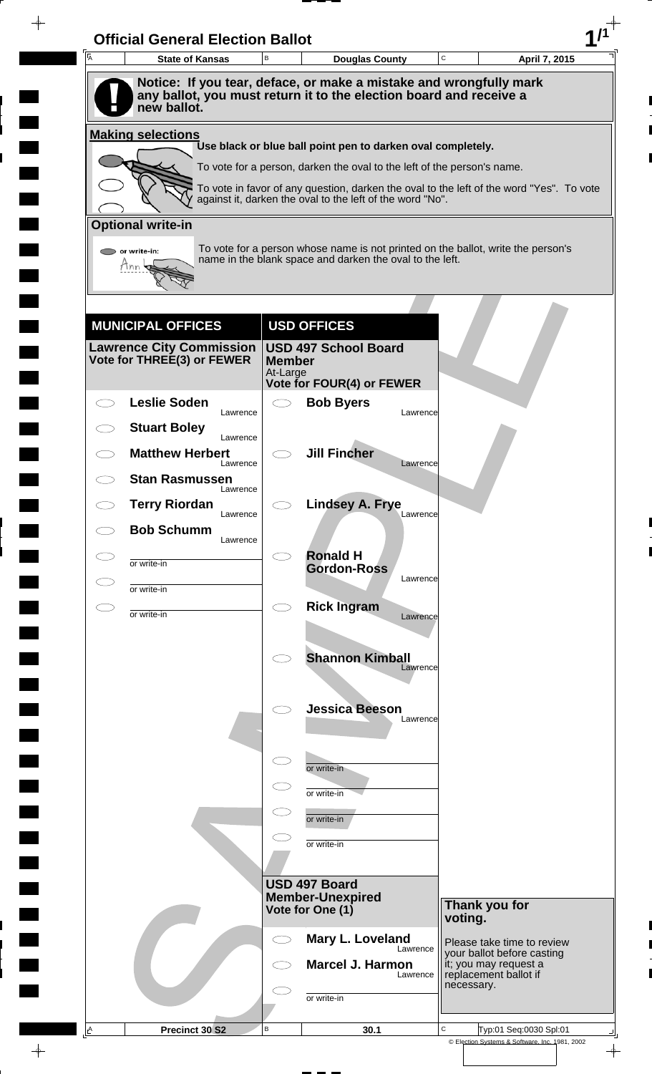| A | <b>Official General Election Ballot</b><br><b>State of Kansas</b>                 | B             | <b>Douglas County</b>                                                                                                                                               | $\mathbf C$ | April 7, 2015                                                                |
|---|-----------------------------------------------------------------------------------|---------------|---------------------------------------------------------------------------------------------------------------------------------------------------------------------|-------------|------------------------------------------------------------------------------|
|   | Notice: If you tear, deface, or make a mistake and wrongfully mark                |               |                                                                                                                                                                     |             |                                                                              |
|   | any ballot, you must return it to the election board and receive a<br>new ballot. |               |                                                                                                                                                                     |             |                                                                              |
|   | <b>Making selections</b>                                                          |               |                                                                                                                                                                     |             |                                                                              |
|   |                                                                                   |               | Use black or blue ball point pen to darken oval completely.                                                                                                         |             |                                                                              |
|   |                                                                                   |               | To vote for a person, darken the oval to the left of the person's name.<br>To vote in favor of any question, darken the oval to the left of the word "Yes". To vote |             |                                                                              |
|   |                                                                                   |               | against it, darken the oval to the left of the word "No".                                                                                                           |             |                                                                              |
|   | <b>Optional write-in</b>                                                          |               |                                                                                                                                                                     |             |                                                                              |
|   | $\triangleright$ or write-in:<br>Tnn                                              |               | To vote for a person whose name is not printed on the ballot, write the person's<br>name in the blank space and darken the oval to the left.                        |             |                                                                              |
|   |                                                                                   |               |                                                                                                                                                                     |             |                                                                              |
|   |                                                                                   |               |                                                                                                                                                                     |             |                                                                              |
|   | <b>MUNICIPAL OFFICES</b>                                                          |               | <b>USD OFFICES</b>                                                                                                                                                  |             |                                                                              |
|   | Lawrence City Commission  <br>Vote for THREE(3) or FEWER                          | <b>Member</b> | <b>USD 497 School Board</b>                                                                                                                                         |             |                                                                              |
|   |                                                                                   | At-Large      | <b>Vote for FOUR(4) or FEWER</b>                                                                                                                                    |             |                                                                              |
|   | <b>Leslie Soden</b><br>Lawrence                                                   |               | <b>Bob Byers</b>                                                                                                                                                    | Lawrence    |                                                                              |
|   | <b>Stuart Boley</b><br>Lawrence                                                   |               |                                                                                                                                                                     |             |                                                                              |
|   | <b>Matthew Herbert</b><br>Lawrence                                                |               | <b>Jill Fincher</b>                                                                                                                                                 | Lawrence    |                                                                              |
|   | <b>Stan Rasmussen</b><br>Lawrence                                                 |               |                                                                                                                                                                     |             |                                                                              |
|   | <b>Terry Riordan</b><br>Lawrence                                                  |               | <b>Lindsey A. Frye</b>                                                                                                                                              | Lawrence    |                                                                              |
|   | <b>Bob Schumm</b><br>Lawrence                                                     |               |                                                                                                                                                                     |             |                                                                              |
|   | or write-in                                                                       |               | <b>Ronald H</b><br><b>Gordon-Ross</b>                                                                                                                               |             |                                                                              |
|   | or write-in                                                                       |               |                                                                                                                                                                     | Lawrence    |                                                                              |
|   | or write-in                                                                       | C)            | <b>Rick Ingram</b>                                                                                                                                                  | Lawrence    |                                                                              |
|   |                                                                                   |               |                                                                                                                                                                     |             |                                                                              |
|   |                                                                                   |               | <b>Shannon Kimball</b>                                                                                                                                              | Lawrence    |                                                                              |
|   |                                                                                   |               |                                                                                                                                                                     |             |                                                                              |
|   |                                                                                   |               | <b>Jessica Beeson</b>                                                                                                                                               | Lawrence    |                                                                              |
|   |                                                                                   |               |                                                                                                                                                                     |             |                                                                              |
|   |                                                                                   | $\subset$     | or write-in                                                                                                                                                         |             |                                                                              |
|   |                                                                                   |               | or write-in                                                                                                                                                         |             |                                                                              |
|   |                                                                                   | $\subset$     | or write-in                                                                                                                                                         |             |                                                                              |
|   |                                                                                   |               | or write-in                                                                                                                                                         |             |                                                                              |
|   |                                                                                   |               |                                                                                                                                                                     |             |                                                                              |
|   |                                                                                   |               | USD 497 Board<br><b>Member-Unexpired</b>                                                                                                                            |             |                                                                              |
|   |                                                                                   |               | Vote for One (1)                                                                                                                                                    | voting.     | Thank you for                                                                |
|   |                                                                                   | C)            | Mary L. Loveland                                                                                                                                                    | Lawrence    | Please take time to review                                                   |
|   |                                                                                   |               | <b>Marcel J. Harmon</b>                                                                                                                                             | Lawrence    | your ballot before casting<br>it; you may request a<br>replacement ballot if |
|   |                                                                                   |               |                                                                                                                                                                     |             |                                                                              |
|   |                                                                                   |               | or write-in                                                                                                                                                         |             | necessary.                                                                   |

 $\blacksquare$ 

 $\frac{1}{\sqrt{2\pi}}$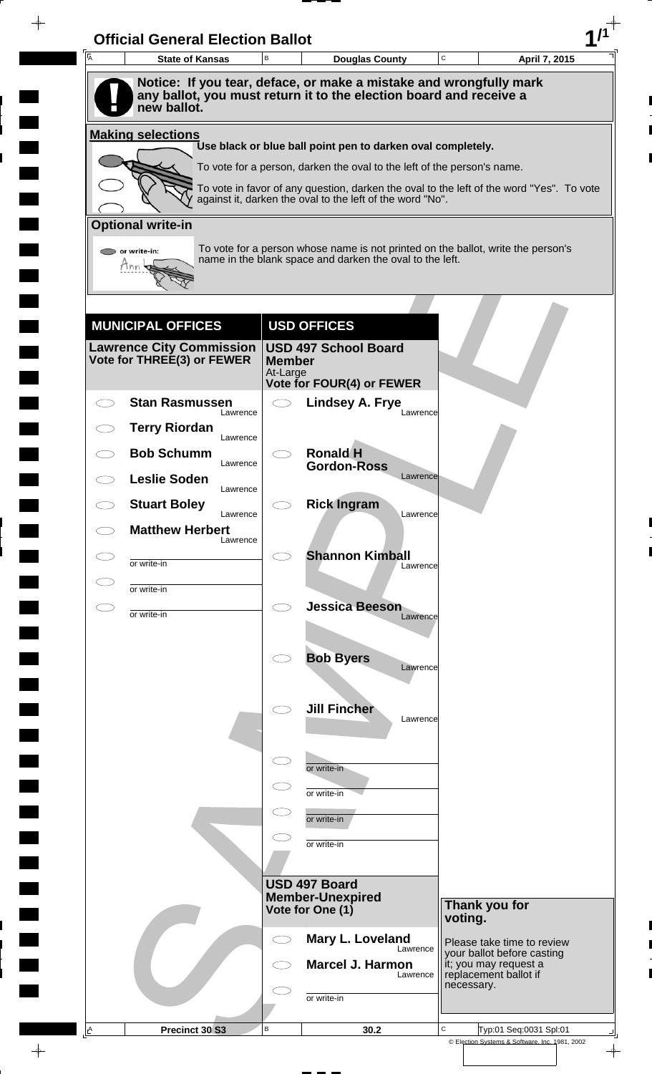| 一<br>人       | <b>State of Kansas</b>                                      | $\,$ B                    | <b>Douglas County</b>                                                                                                                        | C          | April 7, 2015                                            |
|--------------|-------------------------------------------------------------|---------------------------|----------------------------------------------------------------------------------------------------------------------------------------------|------------|----------------------------------------------------------|
|              | new ballot.                                                 |                           | Notice: If you tear, deface, or make a mistake and wrongfully mark<br>any ballot, you must return it to the election board and receive a     |            |                                                          |
|              | <b>Making selections</b>                                    |                           |                                                                                                                                              |            |                                                          |
|              |                                                             |                           | Use black or blue ball point pen to darken oval completely.<br>To vote for a person, darken the oval to the left of the person's name.       |            |                                                          |
|              |                                                             |                           | To vote in favor of any question, darken the oval to the left of the word "Yes". To vote                                                     |            |                                                          |
|              |                                                             |                           | against it, darken the oval to the left of the word "No".                                                                                    |            |                                                          |
|              | <b>Optional write-in</b>                                    |                           |                                                                                                                                              |            |                                                          |
|              | or write-in:<br>Inn                                         |                           | To vote for a person whose name is not printed on the ballot, write the person's<br>name in the blank space and darken the oval to the left. |            |                                                          |
|              |                                                             |                           |                                                                                                                                              |            |                                                          |
|              |                                                             |                           |                                                                                                                                              |            |                                                          |
|              | <b>MUNICIPAL OFFICES</b><br><b>Lawrence City Commission</b> |                           | <b>USD OFFICES</b><br><b>USD 497 School Board</b>                                                                                            |            |                                                          |
|              | Vote for THREE(3) or FEWER                                  | <b>Member</b><br>At-Large |                                                                                                                                              |            |                                                          |
|              |                                                             |                           | Vote for FOUR(4) or FEWER                                                                                                                    |            |                                                          |
|              | <b>Stan Rasmussen</b><br>Lawrence                           | $\bigcirc$                | <b>Lindsey A. Frye</b><br>Lawrence                                                                                                           |            |                                                          |
|              | <b>Terry Riordan</b><br>Lawrence                            |                           |                                                                                                                                              |            |                                                          |
|              | <b>Bob Schumm</b><br>Lawrence                               |                           | <b>Ronald H</b><br><b>Gordon-Ross</b>                                                                                                        |            |                                                          |
|              | <b>Leslie Soden</b><br>Lawrence                             |                           | Lawrence                                                                                                                                     |            |                                                          |
|              | <b>Stuart Boley</b><br>Lawrence                             |                           | <b>Rick Ingram</b><br>Lawrence                                                                                                               |            |                                                          |
|              | <b>Matthew Herbert</b><br>Lawrence                          |                           |                                                                                                                                              |            |                                                          |
|              | or write-in                                                 |                           | <b>Shannon Kimball</b><br>Lawrence                                                                                                           |            |                                                          |
|              | or write-in                                                 |                           |                                                                                                                                              |            |                                                          |
| $\subset \,$ | or write-in                                                 | $\bigcirc$                | <b>Jessica Beeson</b><br>Lawrence                                                                                                            |            |                                                          |
|              |                                                             |                           |                                                                                                                                              |            |                                                          |
|              |                                                             |                           | <b>Bob Byers</b><br>Lawrence                                                                                                                 |            |                                                          |
|              |                                                             |                           |                                                                                                                                              |            |                                                          |
|              |                                                             |                           | <b>Jill Fincher</b><br>Lawrence                                                                                                              |            |                                                          |
|              |                                                             |                           |                                                                                                                                              |            |                                                          |
|              |                                                             | $\subset$                 | or write-in                                                                                                                                  |            |                                                          |
|              |                                                             |                           | or write-in                                                                                                                                  |            |                                                          |
|              |                                                             |                           | or write-in                                                                                                                                  |            |                                                          |
|              |                                                             |                           | or write-in                                                                                                                                  |            |                                                          |
|              |                                                             |                           | <b>USD 497 Board</b>                                                                                                                         |            |                                                          |
|              |                                                             |                           | <b>Member-Unexpired</b><br>Vote for One (1)                                                                                                  |            | Thank you for                                            |
|              |                                                             |                           |                                                                                                                                              | voting.    |                                                          |
|              |                                                             | $\bigcirc$                | Mary L. Loveland<br>Lawrence                                                                                                                 |            | Please take time to review<br>your ballot before casting |
|              |                                                             |                           | Marcel J. Harmon<br>Lawrence                                                                                                                 | necessary. | it; you may request a<br>replacement ballot if           |
|              |                                                             |                           | or write-in                                                                                                                                  |            |                                                          |
|              |                                                             |                           |                                                                                                                                              |            |                                                          |

 $\blacksquare$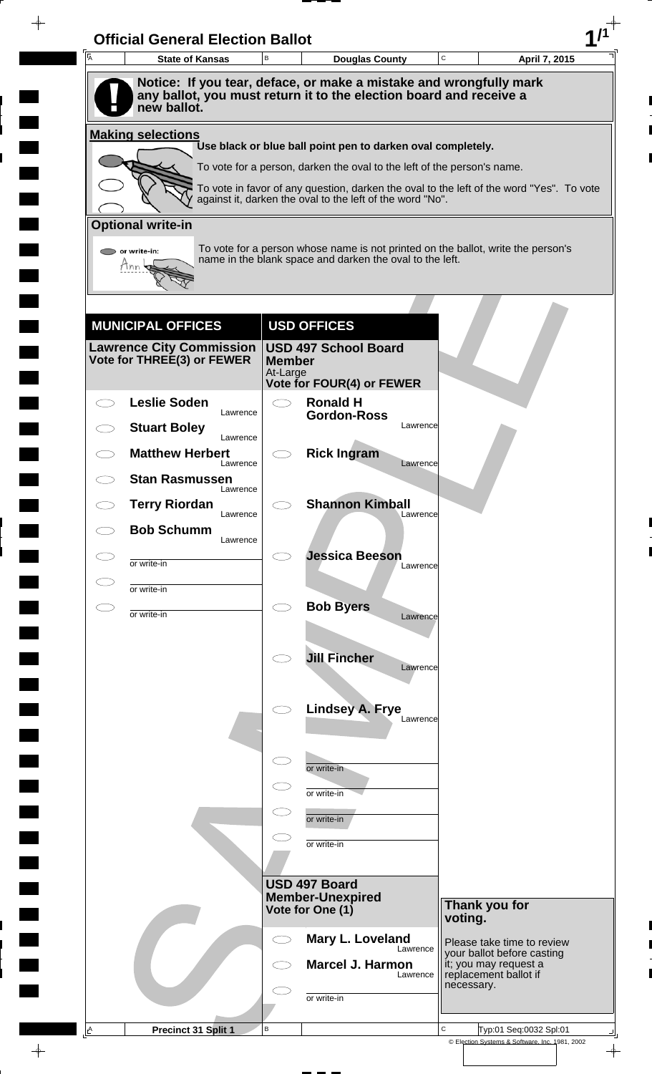| Ā | <b>State of Kansas</b>             | B                         | <b>Douglas County</b>                                                                                                                    | $\mathbf C$<br>April 7, 2015                                                             |  |
|---|------------------------------------|---------------------------|------------------------------------------------------------------------------------------------------------------------------------------|------------------------------------------------------------------------------------------|--|
|   | new ballot.                        |                           | Notice: If you tear, deface, or make a mistake and wrongfully mark<br>any ballot, you must return it to the election board and receive a |                                                                                          |  |
|   | <b>Making selections</b>           |                           |                                                                                                                                          |                                                                                          |  |
|   |                                    |                           | Use black or blue ball point pen to darken oval completely.                                                                              |                                                                                          |  |
|   |                                    |                           | To vote for a person, darken the oval to the left of the person's name.                                                                  | To vote in favor of any question, darken the oval to the left of the word "Yes". To vote |  |
|   |                                    |                           | against it, darken the oval to the left of the word "No".                                                                                |                                                                                          |  |
|   | <b>Optional write-in</b>           |                           |                                                                                                                                          |                                                                                          |  |
|   | $\triangleright$ or write-in:      |                           | name in the blank space and darken the oval to the left.                                                                                 | To vote for a person whose name is not printed on the ballot, write the person's         |  |
|   | Tnn                                |                           |                                                                                                                                          |                                                                                          |  |
|   |                                    |                           |                                                                                                                                          |                                                                                          |  |
|   | <b>MUNICIPAL OFFICES</b>           |                           | <b>USD OFFICES</b>                                                                                                                       |                                                                                          |  |
|   | <b>Lawrence City Commission</b>    |                           | <b>USD 497 School Board</b>                                                                                                              |                                                                                          |  |
|   | Vote for THREE(3) or FEWER         | <b>Member</b><br>At-Large |                                                                                                                                          |                                                                                          |  |
|   | <b>Leslie Soden</b>                |                           | <b>Vote for FOUR(4) or FEWER</b><br><b>Ronald H</b>                                                                                      |                                                                                          |  |
|   | Lawrence<br><b>Stuart Boley</b>    |                           | <b>Gordon-Ross</b><br>Lawrence                                                                                                           |                                                                                          |  |
|   | Lawrence<br><b>Matthew Herbert</b> |                           | <b>Rick Ingram</b>                                                                                                                       |                                                                                          |  |
|   | Lawrence<br><b>Stan Rasmussen</b>  |                           | Lawrence                                                                                                                                 |                                                                                          |  |
|   | Lawrence                           |                           |                                                                                                                                          |                                                                                          |  |
|   | <b>Terry Riordan</b><br>Lawrence   |                           | <b>Shannon Kimball</b><br>Lawrence                                                                                                       |                                                                                          |  |
|   | <b>Bob Schumm</b><br>Lawrence      |                           |                                                                                                                                          |                                                                                          |  |
|   | or write-in                        |                           | <b>Jessica Beeson</b><br>Lawrence                                                                                                        |                                                                                          |  |
|   | or write-in                        |                           |                                                                                                                                          |                                                                                          |  |
|   | or write-in                        | CΞ                        | <b>Bob Byers</b><br>Lawrence                                                                                                             |                                                                                          |  |
|   |                                    |                           |                                                                                                                                          |                                                                                          |  |
|   |                                    |                           | <b>Jill Fincher</b><br>Lawrence                                                                                                          |                                                                                          |  |
|   |                                    |                           |                                                                                                                                          |                                                                                          |  |
|   |                                    |                           | <b>Lindsey A. Frye</b><br>Lawrence                                                                                                       |                                                                                          |  |
|   |                                    |                           |                                                                                                                                          |                                                                                          |  |
|   |                                    |                           | or write-in                                                                                                                              |                                                                                          |  |
|   |                                    |                           |                                                                                                                                          |                                                                                          |  |
|   |                                    |                           | or write-in                                                                                                                              |                                                                                          |  |
|   |                                    |                           | or write-in                                                                                                                              |                                                                                          |  |
|   |                                    |                           | or write-in                                                                                                                              |                                                                                          |  |
|   |                                    |                           | USD 497 Board                                                                                                                            |                                                                                          |  |
|   |                                    |                           | <b>Member-Unexpired</b><br>Vote for One (1)                                                                                              | Thank you for                                                                            |  |
|   |                                    | C i                       | Mary L. Loveland                                                                                                                         | voting.                                                                                  |  |
|   |                                    |                           | Lawrence                                                                                                                                 | Please take time to review<br>your ballot before casting                                 |  |
|   |                                    |                           | <b>Marcel J. Harmon</b><br>Lawrence                                                                                                      | it; you may request a<br>replacement ballot if<br>necessary.                             |  |
|   |                                    |                           | or write-in                                                                                                                              |                                                                                          |  |
| A |                                    |                           |                                                                                                                                          |                                                                                          |  |

 $\blacksquare$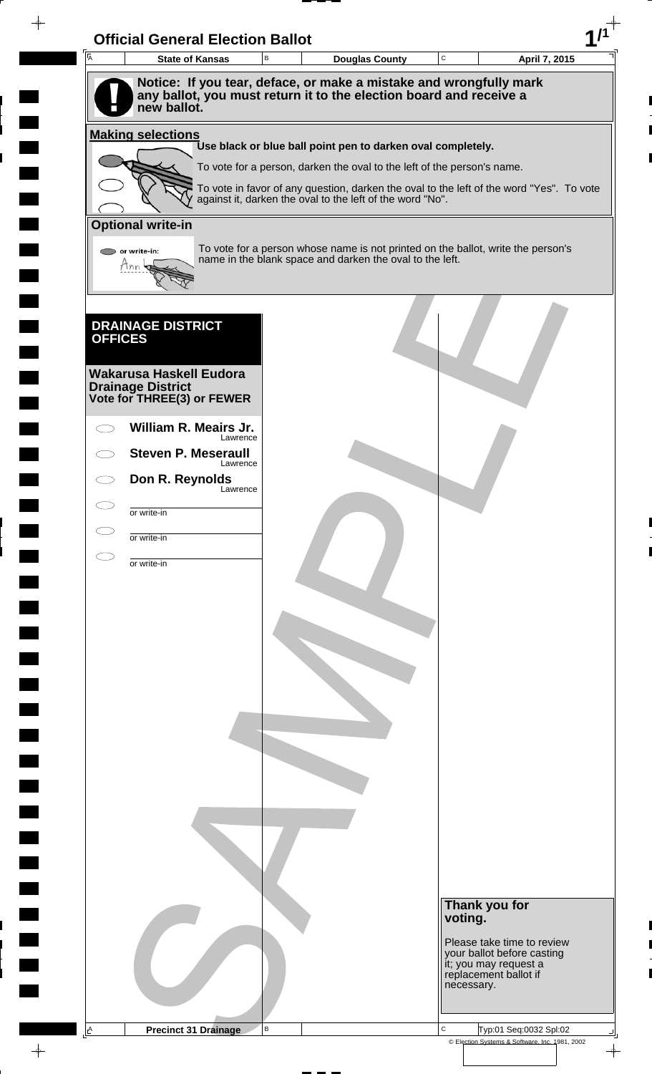| $\overline{A}$ | <b>State of Kansas</b>                              | <b>Official General Election Ballot</b><br>$\mathsf B$ | <b>Douglas County</b>                                                                                                                                 | $\mathsf C$ | April 7, 2015                                                                |
|----------------|-----------------------------------------------------|--------------------------------------------------------|-------------------------------------------------------------------------------------------------------------------------------------------------------|-------------|------------------------------------------------------------------------------|
|                |                                                     |                                                        | Notice: If you tear, deface, or make a mistake and wrongfully mark                                                                                    |             |                                                                              |
|                | new ballot.                                         |                                                        | any ballot, you must return it to the election board and receive a                                                                                    |             |                                                                              |
|                |                                                     |                                                        |                                                                                                                                                       |             |                                                                              |
|                | <b>Making selections</b>                            |                                                        | Use black or blue ball point pen to darken oval completely.                                                                                           |             |                                                                              |
|                |                                                     |                                                        | To vote for a person, darken the oval to the left of the person's name.                                                                               |             |                                                                              |
|                |                                                     |                                                        | To vote in favor of any question, darken the oval to the left of the word "Yes". To vote<br>against it, darken the oval to the left of the word "No". |             |                                                                              |
|                | <b>Optional write-in</b>                            |                                                        |                                                                                                                                                       |             |                                                                              |
|                | $\bigcirc$ or write-in:                             |                                                        | To vote for a person whose name is not printed on the ballot, write the person's                                                                      |             |                                                                              |
|                | Tnn                                                 |                                                        | name in the blank space and darken the oval to the left.                                                                                              |             |                                                                              |
|                |                                                     |                                                        |                                                                                                                                                       |             |                                                                              |
|                |                                                     |                                                        |                                                                                                                                                       |             |                                                                              |
| <b>OFFICES</b> | <b>DRAINAGE DISTRICT</b>                            |                                                        |                                                                                                                                                       |             |                                                                              |
|                |                                                     |                                                        |                                                                                                                                                       |             |                                                                              |
|                | Wakarusa Haskell Eudora<br><b>Drainage District</b> |                                                        |                                                                                                                                                       |             |                                                                              |
|                | Vote for THREE(3) or FEWER                          |                                                        |                                                                                                                                                       |             |                                                                              |
|                | William R. Meairs Jr.<br>Lawrence                   |                                                        |                                                                                                                                                       |             |                                                                              |
|                | <b>Steven P. Meseraull</b><br>Lawrence              |                                                        |                                                                                                                                                       |             |                                                                              |
|                | Don R. Reynolds<br>Lawrence                         |                                                        |                                                                                                                                                       |             |                                                                              |
|                | or write-in                                         |                                                        |                                                                                                                                                       |             |                                                                              |
|                | or write-in                                         |                                                        |                                                                                                                                                       |             |                                                                              |
|                |                                                     |                                                        |                                                                                                                                                       |             |                                                                              |
|                | or write-in                                         |                                                        |                                                                                                                                                       |             |                                                                              |
|                |                                                     |                                                        |                                                                                                                                                       |             |                                                                              |
|                |                                                     |                                                        |                                                                                                                                                       |             |                                                                              |
|                |                                                     |                                                        |                                                                                                                                                       |             |                                                                              |
|                |                                                     |                                                        |                                                                                                                                                       |             |                                                                              |
|                |                                                     |                                                        |                                                                                                                                                       |             |                                                                              |
|                |                                                     |                                                        |                                                                                                                                                       |             |                                                                              |
|                |                                                     |                                                        |                                                                                                                                                       |             |                                                                              |
|                |                                                     |                                                        |                                                                                                                                                       |             |                                                                              |
|                |                                                     |                                                        |                                                                                                                                                       |             |                                                                              |
|                |                                                     |                                                        |                                                                                                                                                       |             |                                                                              |
|                |                                                     |                                                        |                                                                                                                                                       |             |                                                                              |
|                |                                                     |                                                        |                                                                                                                                                       |             |                                                                              |
|                |                                                     |                                                        |                                                                                                                                                       |             |                                                                              |
|                |                                                     |                                                        |                                                                                                                                                       | voting.     | Thank you for                                                                |
|                |                                                     |                                                        |                                                                                                                                                       |             | Please take time to review                                                   |
|                |                                                     |                                                        |                                                                                                                                                       |             | your ballot before casting<br>it; you may request a<br>replacement ballot if |
|                |                                                     |                                                        |                                                                                                                                                       |             | necessary.                                                                   |
|                |                                                     |                                                        |                                                                                                                                                       |             |                                                                              |
| A              | <b>Precinct 31 Drainage</b>                         | B                                                      |                                                                                                                                                       | $\mathbf C$ | Typ:01 Seq:0032 Spl:02                                                       |

 $\overline{\phantom{a}}$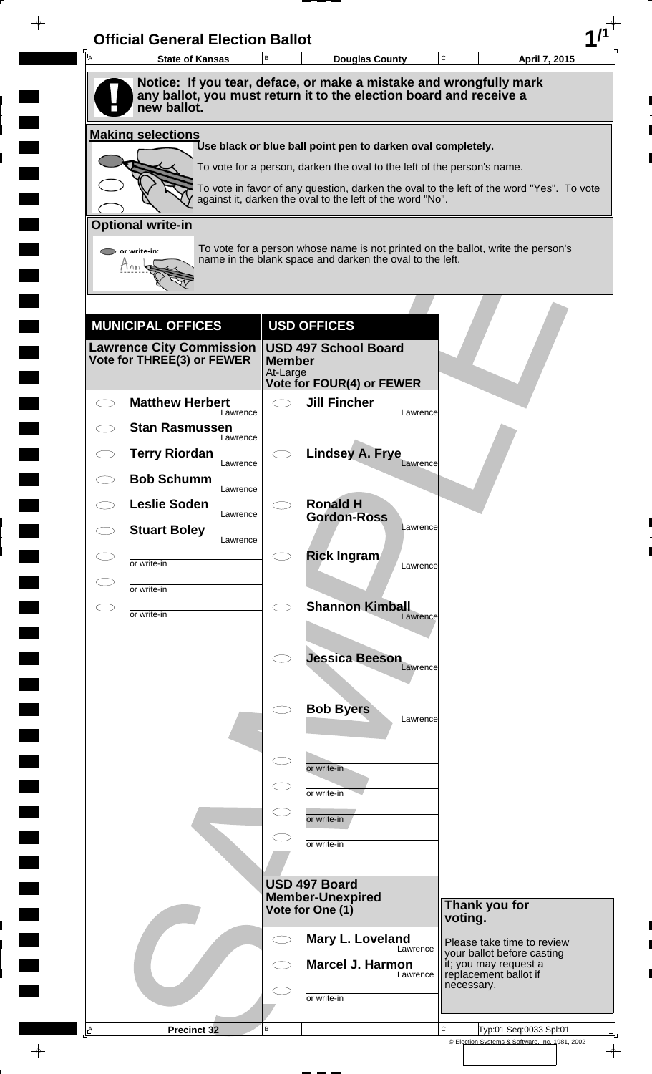| A            | <b>State of Kansas</b>                                        | $\,$ B        | <b>Douglas County</b>                                                                                                                                               | C          | April 7, 2015                                            |
|--------------|---------------------------------------------------------------|---------------|---------------------------------------------------------------------------------------------------------------------------------------------------------------------|------------|----------------------------------------------------------|
|              |                                                               |               | Notice: If you tear, deface, or make a mistake and wrongfully mark                                                                                                  |            |                                                          |
|              | new ballot.                                                   |               | any ballot, you must return it to the election board and receive a                                                                                                  |            |                                                          |
|              | <b>Making selections</b>                                      |               |                                                                                                                                                                     |            |                                                          |
|              |                                                               |               | Use black or blue ball point pen to darken oval completely.                                                                                                         |            |                                                          |
|              |                                                               |               | To vote for a person, darken the oval to the left of the person's name.<br>To vote in favor of any question, darken the oval to the left of the word "Yes". To vote |            |                                                          |
|              |                                                               |               | against it, darken the oval to the left of the word "No".                                                                                                           |            |                                                          |
|              | <b>Optional write-in</b>                                      |               |                                                                                                                                                                     |            |                                                          |
|              | or write-in:                                                  |               | To vote for a person whose name is not printed on the ballot, write the person's<br>name in the blank space and darken the oval to the left.                        |            |                                                          |
|              |                                                               |               |                                                                                                                                                                     |            |                                                          |
|              |                                                               |               |                                                                                                                                                                     |            |                                                          |
|              | <b>MUNICIPAL OFFICES</b>                                      |               | <b>USD OFFICES</b>                                                                                                                                                  |            |                                                          |
|              | <b>Lawrence City Commission</b><br>Vote for THREE(3) or FEWER | <b>Member</b> | <b>USD 497 School Board</b>                                                                                                                                         |            |                                                          |
|              |                                                               | At-Large      | <b>Vote for FOUR(4) or FEWER</b>                                                                                                                                    |            |                                                          |
|              | <b>Matthew Herbert</b><br>Lawrence                            | $\bigcirc$    | <b>Jill Fincher</b><br>Lawrence                                                                                                                                     |            |                                                          |
|              | <b>Stan Rasmussen</b>                                         |               |                                                                                                                                                                     |            |                                                          |
|              | Lawrence<br><b>Terry Riordan</b>                              |               | <b>Lindsey A. Frye</b>                                                                                                                                              |            |                                                          |
|              | Lawrence<br><b>Bob Schumm</b>                                 |               | Lawrence                                                                                                                                                            |            |                                                          |
|              | Lawrence<br><b>Leslie Soden</b>                               |               | <b>Ronald H</b>                                                                                                                                                     |            |                                                          |
|              | Lawrence<br><b>Stuart Boley</b>                               |               | <b>Gordon-Ross</b><br>Lawrence                                                                                                                                      |            |                                                          |
|              | Lawrence                                                      |               | <b>Rick Ingram</b>                                                                                                                                                  |            |                                                          |
|              | or write-in                                                   |               | Lawrence                                                                                                                                                            |            |                                                          |
| $\subset \,$ | or write-in                                                   | $\bigcirc$    | <b>Shannon Kimball</b>                                                                                                                                              |            |                                                          |
|              | or write-in                                                   |               | Lawrence                                                                                                                                                            |            |                                                          |
|              |                                                               |               | <b>Jessica Beeson</b>                                                                                                                                               |            |                                                          |
|              |                                                               |               | Lawrence                                                                                                                                                            |            |                                                          |
|              |                                                               |               |                                                                                                                                                                     |            |                                                          |
|              |                                                               |               | <b>Bob Byers</b><br>Lawrence                                                                                                                                        |            |                                                          |
|              |                                                               |               |                                                                                                                                                                     |            |                                                          |
|              |                                                               | $\subset$     | or write-in                                                                                                                                                         |            |                                                          |
|              |                                                               |               | or write-in                                                                                                                                                         |            |                                                          |
|              |                                                               |               | or write-in                                                                                                                                                         |            |                                                          |
|              |                                                               |               | or write-in                                                                                                                                                         |            |                                                          |
|              |                                                               |               |                                                                                                                                                                     |            |                                                          |
|              |                                                               |               | USD 497 Board<br><b>Member-Unexpired</b>                                                                                                                            |            | Thank you for                                            |
|              |                                                               |               | Vote for One (1)                                                                                                                                                    | voting.    |                                                          |
|              |                                                               | $\bigcirc$    | Mary L. Loveland<br>Lawrence                                                                                                                                        |            | Please take time to review<br>your ballot before casting |
|              |                                                               |               | <b>Marcel J. Harmon</b><br>Lawrence                                                                                                                                 |            | it; you may request a<br>replacement ballot if           |
|              |                                                               |               |                                                                                                                                                                     | necessary. |                                                          |
|              |                                                               |               | or write-in                                                                                                                                                         |            |                                                          |

 $\blacksquare$ 

 $\qquad \qquad \blacksquare$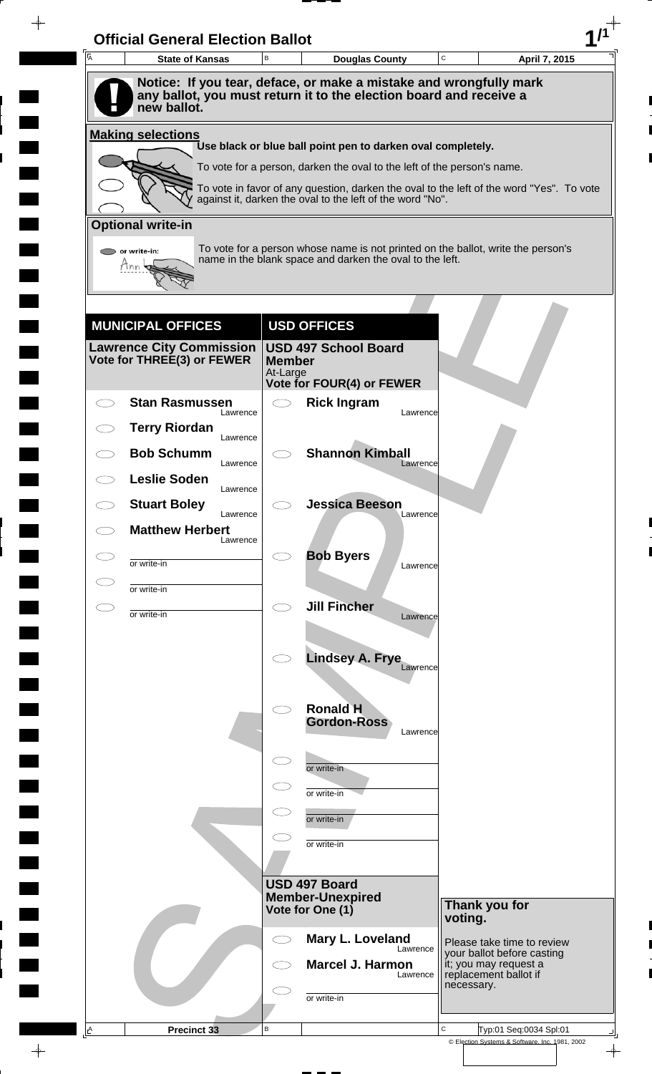| $\overline{\mathsf{A}}$ | <b>State of Kansas</b>                                        | B                        | C<br><b>Douglas County</b><br>April 7, 2015                                                                                                  |
|-------------------------|---------------------------------------------------------------|--------------------------|----------------------------------------------------------------------------------------------------------------------------------------------|
|                         |                                                               |                          | Notice: If you tear, deface, or make a mistake and wrongfully mark                                                                           |
|                         | new ballot.                                                   |                          | any ballot, you must return it to the election board and receive a                                                                           |
|                         | <b>Making selections</b>                                      |                          |                                                                                                                                              |
|                         |                                                               |                          | Use black or blue ball point pen to darken oval completely.<br>To vote for a person, darken the oval to the left of the person's name.       |
|                         |                                                               |                          | To vote in favor of any question, darken the oval to the left of the word "Yes". To vote                                                     |
|                         |                                                               |                          | against it, darken the oval to the left of the word "No".                                                                                    |
|                         | <b>Optional write-in</b>                                      |                          |                                                                                                                                              |
|                         | $\bullet$ or write-in:<br>Tnn                                 |                          | To vote for a person whose name is not printed on the ballot, write the person's<br>name in the blank space and darken the oval to the left. |
|                         |                                                               |                          |                                                                                                                                              |
|                         |                                                               |                          |                                                                                                                                              |
|                         | <b>MUNICIPAL OFFICES</b>                                      |                          | <b>USD OFFICES</b>                                                                                                                           |
|                         | <b>Lawrence City Commission</b><br>Vote for THREE(3) or FEWER | <b>Member</b>            | <b>USD 497 School Board</b>                                                                                                                  |
|                         |                                                               | At-Large                 | Vote for FOUR(4) or FEWER                                                                                                                    |
|                         | <b>Stan Rasmussen</b><br>Lawrence                             | $\overline{\phantom{0}}$ | <b>Rick Ingram</b><br>Lawrence                                                                                                               |
|                         | <b>Terry Riordan</b><br>Lawrence                              |                          |                                                                                                                                              |
|                         | <b>Bob Schumm</b><br>Lawrence                                 |                          | <b>Shannon Kimball</b><br>Lawrence                                                                                                           |
|                         | <b>Leslie Soden</b><br>Lawrence                               |                          |                                                                                                                                              |
|                         | <b>Stuart Boley</b><br>Lawrence                               |                          | <b>Jessica Beeson</b><br>Lawrence                                                                                                            |
|                         | <b>Matthew Herbert</b><br>Lawrence                            |                          |                                                                                                                                              |
| CD                      | or write-in                                                   |                          | <b>Bob Byers</b><br>Lawrence                                                                                                                 |
|                         | or write-in                                                   |                          |                                                                                                                                              |
| CD                      | or write-in                                                   | $\bigcirc$               | <b>Jill Fincher</b><br>Lawrence                                                                                                              |
|                         |                                                               |                          |                                                                                                                                              |
|                         |                                                               |                          | <b>Lindsey A. Frye</b>                                                                                                                       |
|                         |                                                               |                          | Lawrence                                                                                                                                     |
|                         |                                                               |                          | <b>Ronald H</b>                                                                                                                              |
|                         |                                                               |                          | <b>Gordon-Ross</b><br>Lawrence                                                                                                               |
|                         |                                                               |                          | or write-in                                                                                                                                  |
|                         |                                                               |                          | or write-in                                                                                                                                  |
|                         |                                                               |                          | or write-in                                                                                                                                  |
|                         |                                                               |                          | or write-in                                                                                                                                  |
|                         |                                                               |                          |                                                                                                                                              |
|                         |                                                               |                          | USD 497 Board                                                                                                                                |
|                         |                                                               |                          | <b>Member-Unexpired</b><br>Thank you for<br>Vote for One (1)<br>voting.                                                                      |
|                         |                                                               |                          | Mary L. Loveland<br>Please take time to review                                                                                               |
|                         |                                                               |                          | Lawrence<br>your ballot before casting<br>it; you may request a<br><b>Marcel J. Harmon</b>                                                   |
|                         |                                                               |                          | replacement ballot if<br>Lawrence<br>necessary.                                                                                              |
|                         |                                                               |                          | or write-in                                                                                                                                  |
|                         |                                                               |                          |                                                                                                                                              |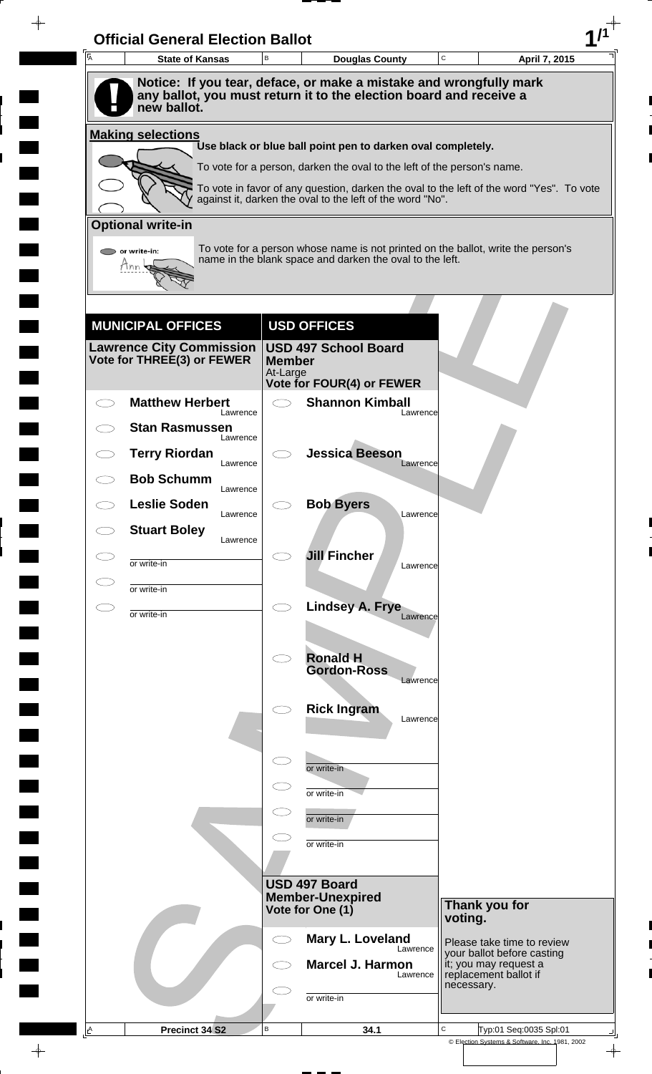| A | <b>State of Kansas</b>                                        | В                         | <b>Douglas County</b>                                                                                                                                 | C                                                        | April 7, 2015 |
|---|---------------------------------------------------------------|---------------------------|-------------------------------------------------------------------------------------------------------------------------------------------------------|----------------------------------------------------------|---------------|
|   | new ballot.                                                   |                           | Notice: If you tear, deface, or make a mistake and wrongfully mark<br>any ballot, you must return it to the election board and receive a              |                                                          |               |
|   | <b>Making selections</b>                                      |                           |                                                                                                                                                       |                                                          |               |
|   |                                                               |                           | Use black or blue ball point pen to darken oval completely.                                                                                           |                                                          |               |
|   |                                                               |                           | To vote for a person, darken the oval to the left of the person's name.                                                                               |                                                          |               |
|   |                                                               |                           | To vote in favor of any question, darken the oval to the left of the word "Yes". To vote<br>against it, darken the oval to the left of the word "No". |                                                          |               |
|   | <b>Optional write-in</b>                                      |                           |                                                                                                                                                       |                                                          |               |
|   | or write-in:<br>Mnn                                           |                           | To vote for a person whose name is not printed on the ballot, write the person's<br>name in the blank space and darken the oval to the left.          |                                                          |               |
|   |                                                               |                           |                                                                                                                                                       |                                                          |               |
|   | <b>MUNICIPAL OFFICES</b>                                      |                           | <b>USD OFFICES</b>                                                                                                                                    |                                                          |               |
|   | <b>Lawrence City Commission</b><br>Vote for THREE(3) or FEWER | <b>Member</b><br>At-Large | <b>USD 497 School Board</b>                                                                                                                           |                                                          |               |
|   | <b>Matthew Herbert</b>                                        | $\bigcirc$                | <b>Vote for FOUR(4) or FEWER</b><br><b>Shannon Kimball</b>                                                                                            |                                                          |               |
|   | Lawrence<br><b>Stan Rasmussen</b>                             |                           | Lawrence                                                                                                                                              |                                                          |               |
|   | Lawrence                                                      |                           |                                                                                                                                                       |                                                          |               |
|   | <b>Terry Riordan</b><br>Lawrence                              |                           | <b>Jessica Beeson</b><br>Lawrence                                                                                                                     |                                                          |               |
|   | <b>Bob Schumm</b><br>Lawrence                                 |                           |                                                                                                                                                       |                                                          |               |
|   | <b>Leslie Soden</b><br>Lawrence                               |                           | <b>Bob Byers</b><br>Lawrence                                                                                                                          |                                                          |               |
|   | <b>Stuart Boley</b><br>Lawrence                               |                           |                                                                                                                                                       |                                                          |               |
|   | or write-in                                                   |                           | <b>Jill Fincher</b><br>Lawrence                                                                                                                       |                                                          |               |
|   | or write-in                                                   |                           |                                                                                                                                                       |                                                          |               |
|   | or write-in                                                   | $\bigcirc$                | Lindsey A. Frye<br>Lawrence                                                                                                                           |                                                          |               |
|   |                                                               |                           |                                                                                                                                                       |                                                          |               |
|   |                                                               |                           | <b>Ronald H</b>                                                                                                                                       |                                                          |               |
|   |                                                               |                           | <b>Gordon-Ross</b><br>Lawrence                                                                                                                        |                                                          |               |
|   |                                                               |                           | <b>Rick Ingram</b>                                                                                                                                    |                                                          |               |
|   |                                                               |                           | Lawrence                                                                                                                                              |                                                          |               |
|   |                                                               | $\subset$                 |                                                                                                                                                       |                                                          |               |
|   |                                                               |                           | or write-in                                                                                                                                           |                                                          |               |
|   |                                                               | $\subset$                 | or write-in                                                                                                                                           |                                                          |               |
|   |                                                               |                           | or write-in                                                                                                                                           |                                                          |               |
|   |                                                               |                           | or write-in                                                                                                                                           |                                                          |               |
|   |                                                               |                           | USD 497 Board                                                                                                                                         |                                                          |               |
|   |                                                               |                           | <b>Member-Unexpired</b><br>Vote for One (1)                                                                                                           | Thank you for                                            |               |
|   |                                                               |                           |                                                                                                                                                       | voting.                                                  |               |
|   |                                                               |                           | Mary L. Loveland<br>Lawrence                                                                                                                          | Please take time to review<br>your ballot before casting |               |
|   |                                                               |                           | <b>Marcel J. Harmon</b><br>Lawrence                                                                                                                   | it; you may request a<br>replacement ballot if           |               |
|   |                                                               |                           | or write-in                                                                                                                                           | necessary.                                               |               |
|   |                                                               |                           |                                                                                                                                                       |                                                          |               |

 $\blacksquare$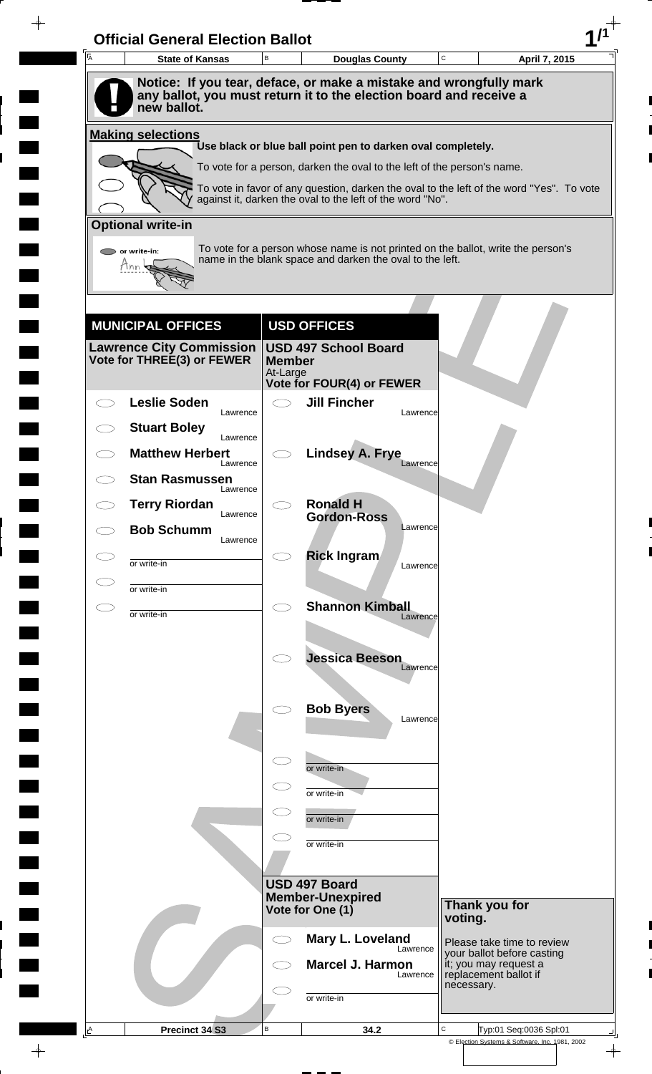| A | <b>Official General Election Ballot</b><br><b>State of Kansas</b>                 | B             | <b>Douglas County</b>                                                                                                                                               | $\mathbf C$ | April 7, 2015                                                                |
|---|-----------------------------------------------------------------------------------|---------------|---------------------------------------------------------------------------------------------------------------------------------------------------------------------|-------------|------------------------------------------------------------------------------|
|   | Notice: If you tear, deface, or make a mistake and wrongfully mark                |               |                                                                                                                                                                     |             |                                                                              |
|   | any ballot, you must return it to the election board and receive a<br>new ballot. |               |                                                                                                                                                                     |             |                                                                              |
|   | <b>Making selections</b>                                                          |               |                                                                                                                                                                     |             |                                                                              |
|   |                                                                                   |               | Use black or blue ball point pen to darken oval completely.                                                                                                         |             |                                                                              |
|   |                                                                                   |               | To vote for a person, darken the oval to the left of the person's name.<br>To vote in favor of any question, darken the oval to the left of the word "Yes". To vote |             |                                                                              |
|   |                                                                                   |               | against it, darken the oval to the left of the word "No".                                                                                                           |             |                                                                              |
|   | <b>Optional write-in</b>                                                          |               |                                                                                                                                                                     |             |                                                                              |
|   | $\triangleright$ or write-in:                                                     |               | To vote for a person whose name is not printed on the ballot, write the person's<br>name in the blank space and darken the oval to the left.                        |             |                                                                              |
|   | Tnn                                                                               |               |                                                                                                                                                                     |             |                                                                              |
|   |                                                                                   |               |                                                                                                                                                                     |             |                                                                              |
|   | <b>MUNICIPAL OFFICES</b>                                                          |               | <b>USD OFFICES</b>                                                                                                                                                  |             |                                                                              |
|   | Lawrence City Commission  <br>Vote for THREE(3) or FEWER                          | <b>Member</b> | <b>USD 497 School Board</b>                                                                                                                                         |             |                                                                              |
|   |                                                                                   | At-Large      | Vote for FOUR(4) or FEWER                                                                                                                                           |             |                                                                              |
|   | <b>Leslie Soden</b>                                                               |               | <b>Jill Fincher</b>                                                                                                                                                 |             |                                                                              |
|   | Lawrence<br><b>Stuart Boley</b>                                                   |               |                                                                                                                                                                     | Lawrence    |                                                                              |
|   | Lawrence<br><b>Matthew Herbert</b>                                                |               | <b>Lindsey A. Frye</b>                                                                                                                                              |             |                                                                              |
|   | Lawrence<br><b>Stan Rasmussen</b>                                                 |               |                                                                                                                                                                     | Lawrence    |                                                                              |
|   | Lawrence<br><b>Terry Riordan</b>                                                  |               | <b>Ronald H</b>                                                                                                                                                     |             |                                                                              |
|   | Lawrence<br><b>Bob Schumm</b>                                                     |               | <b>Gordon-Ross</b>                                                                                                                                                  | Lawrence    |                                                                              |
|   | Lawrence                                                                          |               | <b>Rick Ingram</b>                                                                                                                                                  |             |                                                                              |
|   | or write-in                                                                       |               |                                                                                                                                                                     | Lawrence    |                                                                              |
|   | or write-in                                                                       | Ο             | <b>Shannon Kimball</b>                                                                                                                                              |             |                                                                              |
|   | or write-in                                                                       |               |                                                                                                                                                                     | Lawrence    |                                                                              |
|   |                                                                                   |               | <b>Jessica Beeson</b>                                                                                                                                               |             |                                                                              |
|   |                                                                                   |               |                                                                                                                                                                     | Lawrence    |                                                                              |
|   |                                                                                   |               | <b>Bob Byers</b>                                                                                                                                                    |             |                                                                              |
|   |                                                                                   |               |                                                                                                                                                                     | Lawrence    |                                                                              |
|   |                                                                                   | $\subset$     |                                                                                                                                                                     |             |                                                                              |
|   |                                                                                   |               | or write-in                                                                                                                                                         |             |                                                                              |
|   |                                                                                   | $\subset$     | or write-in                                                                                                                                                         |             |                                                                              |
|   |                                                                                   |               | or write-in                                                                                                                                                         |             |                                                                              |
|   |                                                                                   |               | or write-in                                                                                                                                                         |             |                                                                              |
|   |                                                                                   |               | USD 497 Board                                                                                                                                                       |             |                                                                              |
|   |                                                                                   |               | <b>Member-Unexpired</b><br>Vote for One (1)                                                                                                                         |             | Thank you for                                                                |
|   |                                                                                   | C)            | Mary L. Loveland                                                                                                                                                    |             | voting.<br>Please take time to review                                        |
|   |                                                                                   |               | <b>Marcel J. Harmon</b>                                                                                                                                             | Lawrence    | your ballot before casting<br>it; you may request a<br>replacement ballot if |
|   |                                                                                   |               |                                                                                                                                                                     | Lawrence    | necessary.                                                                   |
|   |                                                                                   |               | or write-in                                                                                                                                                         |             |                                                                              |
|   |                                                                                   |               |                                                                                                                                                                     |             |                                                                              |

 $\blacksquare$ 

 $\frac{1}{\sqrt{2\pi}}$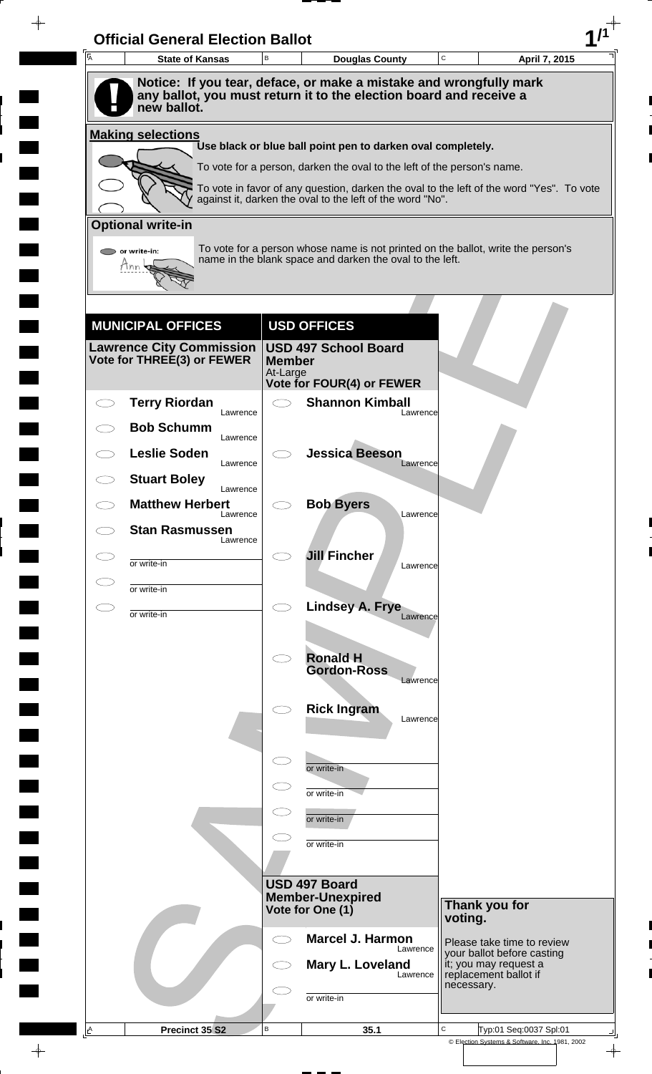| 一<br>人 | <b>State of Kansas</b>                                      | $\,$ B                    | <b>Douglas County</b>                                                                                                                                 | $\mathbf C$ | April 7, 2015                                            |
|--------|-------------------------------------------------------------|---------------------------|-------------------------------------------------------------------------------------------------------------------------------------------------------|-------------|----------------------------------------------------------|
|        |                                                             |                           | Notice: If you tear, deface, or make a mistake and wrongfully mark                                                                                    |             |                                                          |
|        | new ballot.                                                 |                           | any ballot, you must return it to the election board and receive a                                                                                    |             |                                                          |
|        | <b>Making selections</b>                                    |                           | Use black or blue ball point pen to darken oval completely.                                                                                           |             |                                                          |
|        |                                                             |                           | To vote for a person, darken the oval to the left of the person's name.                                                                               |             |                                                          |
|        |                                                             |                           | To vote in favor of any question, darken the oval to the left of the word "Yes". To vote<br>against it, darken the oval to the left of the word "No". |             |                                                          |
|        | <b>Optional write-in</b>                                    |                           |                                                                                                                                                       |             |                                                          |
|        | or write-in:                                                |                           | To vote for a person whose name is not printed on the ballot, write the person's                                                                      |             |                                                          |
|        | Inn                                                         |                           | name in the blank space and darken the oval to the left.                                                                                              |             |                                                          |
|        |                                                             |                           |                                                                                                                                                       |             |                                                          |
|        |                                                             |                           |                                                                                                                                                       |             |                                                          |
|        | <b>MUNICIPAL OFFICES</b><br><b>Lawrence City Commission</b> |                           | <b>USD OFFICES</b><br><b>USD 497 School Board</b>                                                                                                     |             |                                                          |
|        | Vote for THREE(3) or FEWER                                  | <b>Member</b><br>At-Large |                                                                                                                                                       |             |                                                          |
|        |                                                             |                           | Vote for FOUR(4) or FEWER                                                                                                                             |             |                                                          |
|        | <b>Terry Riordan</b><br>Lawrence                            | $\bigcirc$                | <b>Shannon Kimball</b><br>Lawrence                                                                                                                    |             |                                                          |
|        | <b>Bob Schumm</b><br>Lawrence                               |                           |                                                                                                                                                       |             |                                                          |
|        | <b>Leslie Soden</b><br>Lawrence                             |                           | <b>Jessica Beeson</b><br>Lawrence                                                                                                                     |             |                                                          |
|        | <b>Stuart Boley</b><br>Lawrence                             |                           |                                                                                                                                                       |             |                                                          |
|        | <b>Matthew Herbert</b><br>Lawrence                          |                           | <b>Bob Byers</b><br>Lawrence                                                                                                                          |             |                                                          |
|        | <b>Stan Rasmussen</b><br>Lawrence                           |                           |                                                                                                                                                       |             |                                                          |
|        | or write-in                                                 |                           | <b>Jill Fincher</b><br>Lawrence                                                                                                                       |             |                                                          |
|        | or write-in                                                 |                           |                                                                                                                                                       |             |                                                          |
|        | or write-in                                                 | $\bigcirc$                | Lindsey A. Frye<br>Lawrence                                                                                                                           |             |                                                          |
|        |                                                             |                           |                                                                                                                                                       |             |                                                          |
|        |                                                             |                           | <b>Ronald H</b>                                                                                                                                       |             |                                                          |
|        |                                                             |                           | <b>Gordon-Ross</b><br>Lawrence                                                                                                                        |             |                                                          |
|        |                                                             |                           | <b>Rick Ingram</b>                                                                                                                                    |             |                                                          |
|        |                                                             |                           | Lawrence                                                                                                                                              |             |                                                          |
|        |                                                             | $\subset$                 |                                                                                                                                                       |             |                                                          |
|        |                                                             |                           | or write-in                                                                                                                                           |             |                                                          |
|        |                                                             |                           | or write-in                                                                                                                                           |             |                                                          |
|        |                                                             |                           | or write-in                                                                                                                                           |             |                                                          |
|        |                                                             |                           | or write-in                                                                                                                                           |             |                                                          |
|        |                                                             |                           | USD 497 Board                                                                                                                                         |             |                                                          |
|        |                                                             |                           | <b>Member-Unexpired</b><br>Vote for One (1)                                                                                                           |             | Thank you for                                            |
|        |                                                             |                           | <b>Marcel J. Harmon</b>                                                                                                                               | voting.     |                                                          |
|        |                                                             | $\bigcirc$                | Lawrence                                                                                                                                              |             | Please take time to review<br>your ballot before casting |
|        |                                                             |                           | Mary L. Loveland<br>Lawrence                                                                                                                          | necessary.  | it; you may request a<br>replacement ballot if           |
|        |                                                             |                           | or write-in                                                                                                                                           |             |                                                          |
|        |                                                             |                           |                                                                                                                                                       |             |                                                          |

 $\blacksquare$ 

 $\frac{1}{\left\vert \psi \right\vert }%$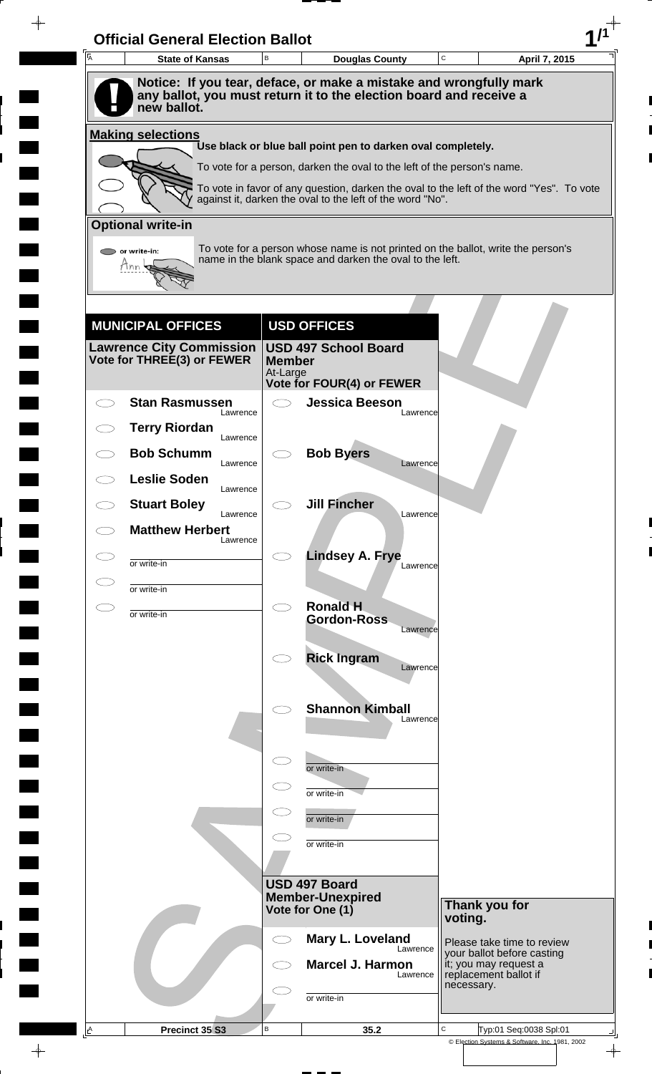| A | <b>State of Kansas</b>                                      | $\,$ B                    | <b>Douglas County</b>                                                                                                                                 | C          | April 7, 2015                                            |
|---|-------------------------------------------------------------|---------------------------|-------------------------------------------------------------------------------------------------------------------------------------------------------|------------|----------------------------------------------------------|
|   |                                                             |                           | Notice: If you tear, deface, or make a mistake and wrongfully mark                                                                                    |            |                                                          |
|   | new ballot.                                                 |                           | any ballot, you must return it to the election board and receive a                                                                                    |            |                                                          |
|   | <b>Making selections</b>                                    |                           | Use black or blue ball point pen to darken oval completely.                                                                                           |            |                                                          |
|   |                                                             |                           | To vote for a person, darken the oval to the left of the person's name.                                                                               |            |                                                          |
|   |                                                             |                           | To vote in favor of any question, darken the oval to the left of the word "Yes". To vote<br>against it, darken the oval to the left of the word "No". |            |                                                          |
|   | <b>Optional write-in</b>                                    |                           |                                                                                                                                                       |            |                                                          |
|   | or write-in:                                                |                           | To vote for a person whose name is not printed on the ballot, write the person's                                                                      |            |                                                          |
|   |                                                             |                           | name in the blank space and darken the oval to the left.                                                                                              |            |                                                          |
|   |                                                             |                           |                                                                                                                                                       |            |                                                          |
|   |                                                             |                           |                                                                                                                                                       |            |                                                          |
|   | <b>MUNICIPAL OFFICES</b><br><b>Lawrence City Commission</b> |                           | <b>USD OFFICES</b><br><b>USD 497 School Board</b>                                                                                                     |            |                                                          |
|   | Vote for THREE(3) or FEWER                                  | <b>Member</b><br>At-Large |                                                                                                                                                       |            |                                                          |
|   |                                                             |                           | Vote for FOUR(4) or FEWER                                                                                                                             |            |                                                          |
|   | <b>Stan Rasmussen</b><br>Lawrence                           | $\bigcirc$                | <b>Jessica Beeson</b><br>Lawrence                                                                                                                     |            |                                                          |
|   | <b>Terry Riordan</b><br>Lawrence                            |                           |                                                                                                                                                       |            |                                                          |
|   | <b>Bob Schumm</b><br>Lawrence                               |                           | <b>Bob Byers</b><br>Lawrence                                                                                                                          |            |                                                          |
|   | <b>Leslie Soden</b><br>Lawrence                             |                           |                                                                                                                                                       |            |                                                          |
|   | <b>Stuart Boley</b><br>Lawrence                             |                           | <b>Jill Fincher</b><br>Lawrence                                                                                                                       |            |                                                          |
|   | <b>Matthew Herbert</b><br>Lawrence                          |                           |                                                                                                                                                       |            |                                                          |
|   | or write-in                                                 |                           | <b>Lindsey A. Frye</b><br>Lawrence                                                                                                                    |            |                                                          |
|   | or write-in                                                 |                           |                                                                                                                                                       |            |                                                          |
|   | or write-in                                                 | $\bigcirc$                | <b>Ronald H</b>                                                                                                                                       |            |                                                          |
|   |                                                             |                           | <b>Gordon-Ross</b><br>Lawrence                                                                                                                        |            |                                                          |
|   |                                                             |                           | <b>Rick Ingram</b>                                                                                                                                    |            |                                                          |
|   |                                                             |                           | Lawrence                                                                                                                                              |            |                                                          |
|   |                                                             |                           | <b>Shannon Kimball</b>                                                                                                                                |            |                                                          |
|   |                                                             |                           | Lawrence                                                                                                                                              |            |                                                          |
|   |                                                             | $\subset$                 |                                                                                                                                                       |            |                                                          |
|   |                                                             |                           | or write-in                                                                                                                                           |            |                                                          |
|   |                                                             |                           | or write-in                                                                                                                                           |            |                                                          |
|   |                                                             |                           | or write-in                                                                                                                                           |            |                                                          |
|   |                                                             |                           | or write-in                                                                                                                                           |            |                                                          |
|   |                                                             |                           | USD 497 Board                                                                                                                                         |            |                                                          |
|   |                                                             |                           | <b>Member-Unexpired</b><br>Vote for One (1)                                                                                                           |            | Thank you for                                            |
|   |                                                             |                           |                                                                                                                                                       | voting.    |                                                          |
|   |                                                             | $\bigcirc$                | Mary L. Loveland<br>Lawrence                                                                                                                          |            | Please take time to review<br>your ballot before casting |
|   |                                                             |                           | Marcel J. Harmon<br>Lawrence                                                                                                                          | necessary. | it; you may request a<br>replacement ballot if           |
|   |                                                             |                           | or write-in                                                                                                                                           |            |                                                          |
|   |                                                             |                           |                                                                                                                                                       |            |                                                          |

 $\blacksquare$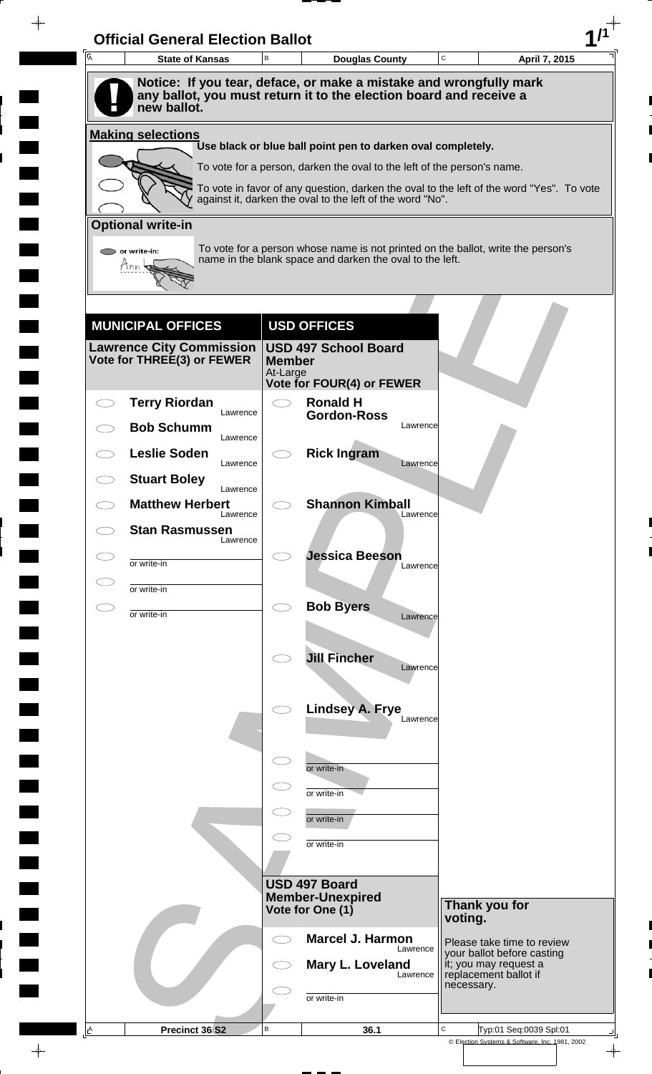| $\overline{A}$ | <b>State of Kansas</b>             | B                         | <b>Douglas County</b>                                                                                                                    | C<br>April 7, 2015                                                                       |
|----------------|------------------------------------|---------------------------|------------------------------------------------------------------------------------------------------------------------------------------|------------------------------------------------------------------------------------------|
|                | new ballot.                        |                           | Notice: If you tear, deface, or make a mistake and wrongfully mark<br>any ballot, you must return it to the election board and receive a |                                                                                          |
|                | <b>Making selections</b>           |                           |                                                                                                                                          |                                                                                          |
|                |                                    |                           | Use black or blue ball point pen to darken oval completely.                                                                              |                                                                                          |
|                |                                    |                           | To vote for a person, darken the oval to the left of the person's name.                                                                  |                                                                                          |
|                |                                    |                           | against it, darken the oval to the left of the word "No".                                                                                | To vote in favor of any question, darken the oval to the left of the word "Yes". To vote |
|                | <b>Optional write-in</b>           |                           |                                                                                                                                          |                                                                                          |
|                | or write-in:                       |                           |                                                                                                                                          | To vote for a person whose name is not printed on the ballot, write the person's         |
|                | Tnn                                |                           | name in the blank space and darken the oval to the left.                                                                                 |                                                                                          |
|                |                                    |                           |                                                                                                                                          |                                                                                          |
|                | <b>MUNICIPAL OFFICES</b>           |                           | <b>USD OFFICES</b>                                                                                                                       |                                                                                          |
|                | <b>Lawrence City Commission</b>    |                           | <b>USD 497 School Board</b>                                                                                                              |                                                                                          |
|                | Vote for THREE(3) or FEWER         | <b>Member</b><br>At-Large |                                                                                                                                          |                                                                                          |
|                |                                    |                           | Vote for FOUR(4) or FEWER                                                                                                                |                                                                                          |
|                | <b>Terry Riordan</b><br>Lawrence   |                           | <b>Ronald H</b><br><b>Gordon-Ross</b><br>Lawrence                                                                                        |                                                                                          |
|                | <b>Bob Schumm</b><br>Lawrence      |                           |                                                                                                                                          |                                                                                          |
|                | <b>Leslie Soden</b><br>Lawrence    |                           | <b>Rick Ingram</b><br>Lawrence                                                                                                           |                                                                                          |
|                | <b>Stuart Boley</b><br>Lawrence    |                           |                                                                                                                                          |                                                                                          |
|                | <b>Matthew Herbert</b><br>Lawrence |                           | <b>Shannon Kimball</b><br>Lawrence                                                                                                       |                                                                                          |
|                | <b>Stan Rasmussen</b><br>Lawrence  |                           |                                                                                                                                          |                                                                                          |
| C D            | or write-in                        |                           | <b>Jessica Beeson</b><br>Lawrence                                                                                                        |                                                                                          |
|                | or write-in                        |                           |                                                                                                                                          |                                                                                          |
|                | or write-in                        | $\bigcirc$                | <b>Bob Byers</b><br>Lawrence                                                                                                             |                                                                                          |
|                |                                    |                           |                                                                                                                                          |                                                                                          |
|                |                                    |                           | <b>Jill Fincher</b>                                                                                                                      |                                                                                          |
|                |                                    |                           | Lawrence                                                                                                                                 |                                                                                          |
|                |                                    |                           | <b>Lindsey A. Frye</b>                                                                                                                   |                                                                                          |
|                |                                    |                           | Lawrence                                                                                                                                 |                                                                                          |
|                |                                    |                           |                                                                                                                                          |                                                                                          |
|                |                                    |                           | or write-in                                                                                                                              |                                                                                          |
|                |                                    |                           | or write-in                                                                                                                              |                                                                                          |
|                |                                    |                           | or write-in                                                                                                                              |                                                                                          |
|                |                                    |                           | or write-in                                                                                                                              |                                                                                          |
|                |                                    |                           | USD 497 Board                                                                                                                            |                                                                                          |
|                |                                    |                           | <b>Member-Unexpired</b><br>Vote for One (1)                                                                                              | Thank you for                                                                            |
|                |                                    |                           |                                                                                                                                          | voting.                                                                                  |
|                |                                    |                           | <b>Marcel J. Harmon</b><br>Lawrence                                                                                                      | Please take time to review<br>your ballot before casting                                 |
|                |                                    |                           | Mary L. Loveland<br>Lawrence                                                                                                             | it; you may request a<br>replacement ballot if                                           |
|                |                                    |                           | or write-in                                                                                                                              | necessary.                                                                               |
|                |                                    |                           |                                                                                                                                          |                                                                                          |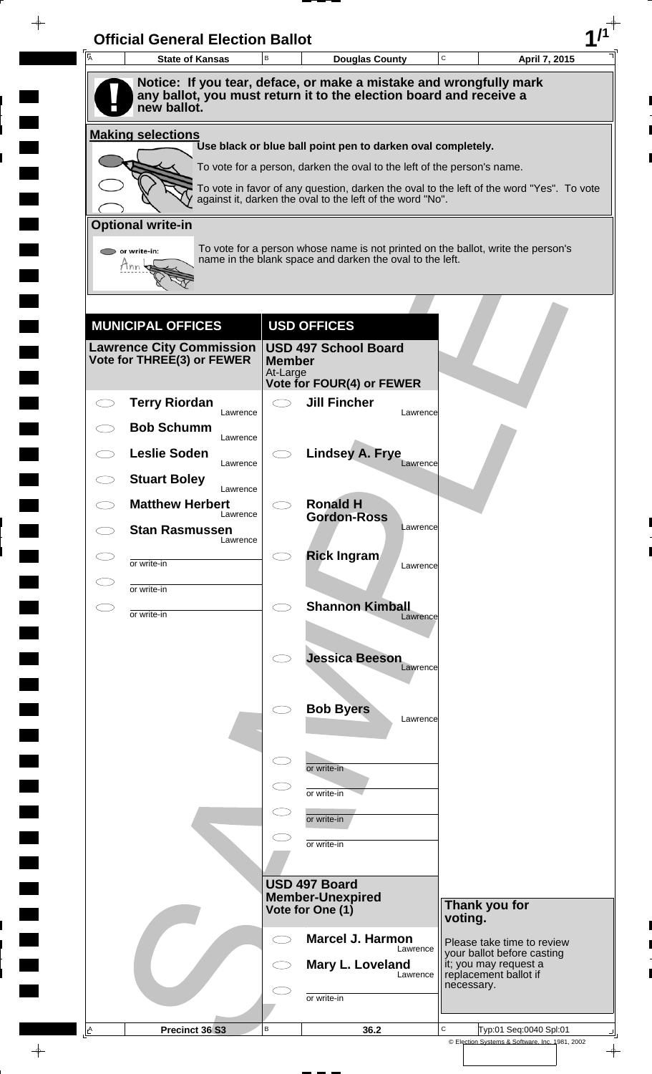| A | <b>State of Kansas</b>                                                                                                                                  | B                         | <b>Douglas County</b>                                                   |          | C          | April 7, 2015                                                                            |
|---|---------------------------------------------------------------------------------------------------------------------------------------------------------|---------------------------|-------------------------------------------------------------------------|----------|------------|------------------------------------------------------------------------------------------|
|   | Notice: If you tear, deface, or make a mistake and wrongfully mark<br>any ballot, you must return it to the election board and receive a<br>new ballot. |                           |                                                                         |          |            |                                                                                          |
|   | <b>Making selections</b>                                                                                                                                |                           |                                                                         |          |            |                                                                                          |
|   |                                                                                                                                                         |                           | Use black or blue ball point pen to darken oval completely.             |          |            |                                                                                          |
|   |                                                                                                                                                         |                           | To vote for a person, darken the oval to the left of the person's name. |          |            | To vote in favor of any question, darken the oval to the left of the word "Yes". To vote |
|   |                                                                                                                                                         |                           | against it, darken the oval to the left of the word "No".               |          |            |                                                                                          |
|   | <b>Optional write-in</b>                                                                                                                                |                           |                                                                         |          |            |                                                                                          |
|   | $\triangleright$ or write-in:<br>Tnn                                                                                                                    |                           | name in the blank space and darken the oval to the left.                |          |            | To vote for a person whose name is not printed on the ballot, write the person's         |
|   |                                                                                                                                                         |                           |                                                                         |          |            |                                                                                          |
|   | <b>MUNICIPAL OFFICES</b>                                                                                                                                |                           | <b>USD OFFICES</b>                                                      |          |            |                                                                                          |
|   | <b>Lawrence City Commission</b><br>Vote for THREE(3) or FEWER                                                                                           | <b>Member</b><br>At-Large | <b>USD 497 School Board</b><br>Vote for FOUR(4) or FEWER                |          |            |                                                                                          |
|   | <b>Terry Riordan</b>                                                                                                                                    | $\bigcirc$                | <b>Jill Fincher</b>                                                     |          |            |                                                                                          |
|   | Lawrence<br><b>Bob Schumm</b>                                                                                                                           |                           |                                                                         | Lawrence |            |                                                                                          |
|   | Lawrence<br><b>Leslie Soden</b>                                                                                                                         |                           | <b>Lindsey A. Frye</b>                                                  |          |            |                                                                                          |
|   | Lawrence<br><b>Stuart Boley</b>                                                                                                                         |                           |                                                                         | Lawrence |            |                                                                                          |
|   | Lawrence<br><b>Matthew Herbert</b>                                                                                                                      |                           | <b>Ronald H</b>                                                         |          |            |                                                                                          |
|   | Lawrence<br><b>Stan Rasmussen</b>                                                                                                                       |                           | <b>Gordon-Ross</b>                                                      | Lawrence |            |                                                                                          |
|   | Lawrence                                                                                                                                                |                           | <b>Rick Ingram</b>                                                      |          |            |                                                                                          |
|   | or write-in                                                                                                                                             |                           |                                                                         | Lawrence |            |                                                                                          |
|   | or write-in                                                                                                                                             | $\bigcirc$                | <b>Shannon Kimball</b>                                                  |          |            |                                                                                          |
|   | or write-in                                                                                                                                             |                           |                                                                         | Lawrence |            |                                                                                          |
|   |                                                                                                                                                         |                           | <b>Jessica Beeson</b>                                                   |          |            |                                                                                          |
|   |                                                                                                                                                         |                           |                                                                         | Lawrence |            |                                                                                          |
|   |                                                                                                                                                         |                           | <b>Bob Byers</b>                                                        |          |            |                                                                                          |
|   |                                                                                                                                                         |                           |                                                                         | Lawrence |            |                                                                                          |
|   |                                                                                                                                                         | $\subset$                 |                                                                         |          |            |                                                                                          |
|   |                                                                                                                                                         |                           | or write-in                                                             |          |            |                                                                                          |
|   |                                                                                                                                                         |                           | or write-in                                                             |          |            |                                                                                          |
|   |                                                                                                                                                         |                           | or write-in                                                             |          |            |                                                                                          |
|   |                                                                                                                                                         |                           | or write-in                                                             |          |            |                                                                                          |
|   |                                                                                                                                                         |                           | USD 497 Board                                                           |          |            |                                                                                          |
|   |                                                                                                                                                         |                           | <b>Member-Unexpired</b><br>Vote for One (1)                             |          |            | Thank you for                                                                            |
|   |                                                                                                                                                         | $\subset$ $\supset$       | <b>Marcel J. Harmon</b>                                                 |          | voting.    | Please take time to review                                                               |
|   |                                                                                                                                                         |                           | Mary L. Loveland                                                        | Lawrence |            | your ballot before casting                                                               |
|   |                                                                                                                                                         |                           |                                                                         | Lawrence | necessary. | it; you may request a<br>replacement ballot if                                           |
|   |                                                                                                                                                         |                           | or write-in                                                             |          |            |                                                                                          |
|   |                                                                                                                                                         |                           |                                                                         |          |            |                                                                                          |

 $\blacksquare$ 

 $\qquad \qquad \blacksquare$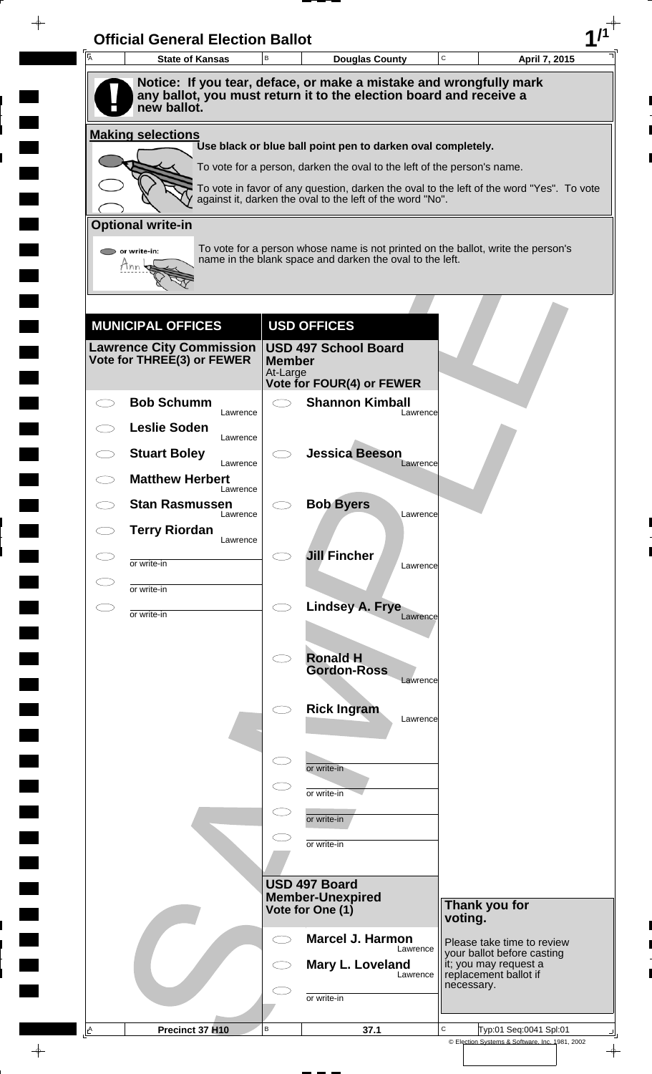| A         | <b>State of Kansas</b>             | B                         | <b>Douglas County</b>                                                                                                                                 | C          | April 7, 2015                                            |
|-----------|------------------------------------|---------------------------|-------------------------------------------------------------------------------------------------------------------------------------------------------|------------|----------------------------------------------------------|
|           | new ballot.                        |                           | Notice: If you tear, deface, or make a mistake and wrongfully mark<br>any ballot, you must return it to the election board and receive a              |            |                                                          |
|           |                                    |                           |                                                                                                                                                       |            |                                                          |
|           | <b>Making selections</b>           |                           | Use black or blue ball point pen to darken oval completely.                                                                                           |            |                                                          |
|           |                                    |                           | To vote for a person, darken the oval to the left of the person's name.                                                                               |            |                                                          |
|           |                                    |                           | To vote in favor of any question, darken the oval to the left of the word "Yes". To vote<br>against it, darken the oval to the left of the word "No". |            |                                                          |
|           | <b>Optional write-in</b>           |                           |                                                                                                                                                       |            |                                                          |
|           | $\triangleright$ or write-in:      |                           | To vote for a person whose name is not printed on the ballot, write the person's<br>name in the blank space and darken the oval to the left.          |            |                                                          |
|           | Tnn                                |                           |                                                                                                                                                       |            |                                                          |
|           |                                    |                           |                                                                                                                                                       |            |                                                          |
|           | <b>MUNICIPAL OFFICES</b>           |                           | <b>USD OFFICES</b>                                                                                                                                    |            |                                                          |
|           | <b>Lawrence City Commission</b>    |                           | <b>USD 497 School Board</b>                                                                                                                           |            |                                                          |
|           | Vote for THREE(3) or FEWER         | <b>Member</b><br>At-Large | Vote for FOUR(4) or FEWER                                                                                                                             |            |                                                          |
|           | <b>Bob Schumm</b>                  | $\bigcirc$                | <b>Shannon Kimball</b>                                                                                                                                |            |                                                          |
|           | Lawrence<br><b>Leslie Soden</b>    |                           | Lawrence                                                                                                                                              |            |                                                          |
|           | Lawrence<br><b>Stuart Boley</b>    |                           | <b>Jessica Beeson</b>                                                                                                                                 |            |                                                          |
|           | Lawrence<br><b>Matthew Herbert</b> |                           | Lawrence                                                                                                                                              |            |                                                          |
|           | Lawrence<br><b>Stan Rasmussen</b>  |                           | <b>Bob Byers</b>                                                                                                                                      |            |                                                          |
|           | Lawrence<br><b>Terry Riordan</b>   |                           | Lawrence                                                                                                                                              |            |                                                          |
|           | Lawrence                           |                           | <b>Jill Fincher</b>                                                                                                                                   |            |                                                          |
|           | or write-in                        |                           | Lawrence                                                                                                                                              |            |                                                          |
| $\subset$ | or write-in                        | $\bigcirc$                | Lindsey A. Frye<br>Lawrence                                                                                                                           |            |                                                          |
|           | or write-in                        |                           |                                                                                                                                                       |            |                                                          |
|           |                                    | $\bigcirc$                | <b>Ronald H</b>                                                                                                                                       |            |                                                          |
|           |                                    |                           | <b>Gordon-Ross</b><br>Lawrence                                                                                                                        |            |                                                          |
|           |                                    |                           | <b>Rick Ingram</b>                                                                                                                                    |            |                                                          |
|           |                                    |                           | Lawrence                                                                                                                                              |            |                                                          |
|           |                                    | $\subset$                 |                                                                                                                                                       |            |                                                          |
|           |                                    |                           | or write-in                                                                                                                                           |            |                                                          |
|           |                                    |                           | or write-in                                                                                                                                           |            |                                                          |
|           |                                    |                           | or write-in                                                                                                                                           |            |                                                          |
|           |                                    |                           | or write-in                                                                                                                                           |            |                                                          |
|           |                                    |                           | USD 497 Board                                                                                                                                         |            |                                                          |
|           |                                    |                           | <b>Member-Unexpired</b><br>Vote for One (1)                                                                                                           |            | Thank you for                                            |
|           |                                    | $\subset$ $\supset$       | <b>Marcel J. Harmon</b>                                                                                                                               | voting.    |                                                          |
|           |                                    |                           | Lawrence<br>Mary L. Loveland                                                                                                                          |            | Please take time to review<br>your ballot before casting |
|           |                                    |                           | Lawrence                                                                                                                                              | necessary. | it; you may request a<br>replacement ballot if           |
|           |                                    |                           | or write-in                                                                                                                                           |            |                                                          |
|           |                                    |                           |                                                                                                                                                       |            |                                                          |

 $\blacksquare$ 

 $\qquad \qquad \blacksquare$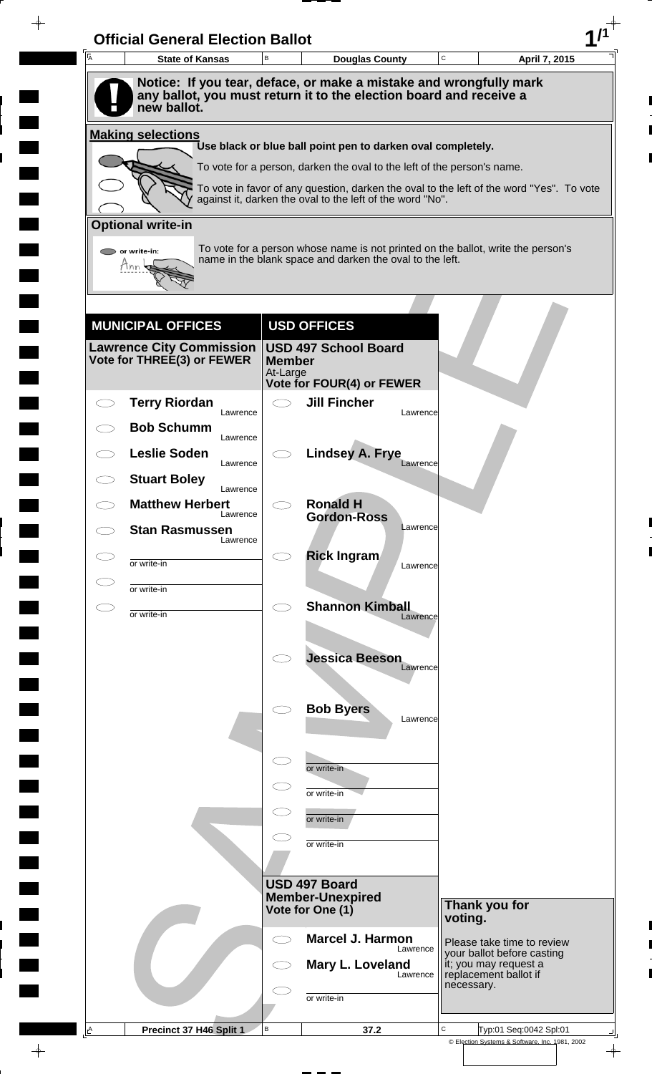| A | <b>State of Kansas</b>                                                            | B                         | <b>Douglas County</b>                                                   |          | $\mathbf C$ | April 7, 2015                                                                            |
|---|-----------------------------------------------------------------------------------|---------------------------|-------------------------------------------------------------------------|----------|-------------|------------------------------------------------------------------------------------------|
|   | Notice: If you tear, deface, or make a mistake and wrongfully mark                |                           |                                                                         |          |             |                                                                                          |
|   | any ballot, you must return it to the election board and receive a<br>new ballot. |                           |                                                                         |          |             |                                                                                          |
|   | <b>Making selections</b>                                                          |                           |                                                                         |          |             |                                                                                          |
|   |                                                                                   |                           | Use black or blue ball point pen to darken oval completely.             |          |             |                                                                                          |
|   |                                                                                   |                           | To vote for a person, darken the oval to the left of the person's name. |          |             | To vote in favor of any question, darken the oval to the left of the word "Yes". To vote |
|   |                                                                                   |                           | against it, darken the oval to the left of the word "No".               |          |             |                                                                                          |
|   | <b>Optional write-in</b>                                                          |                           |                                                                         |          |             |                                                                                          |
|   | $\triangleright$ or write-in:<br>Tnn                                              |                           | name in the blank space and darken the oval to the left.                |          |             | To vote for a person whose name is not printed on the ballot, write the person's         |
|   |                                                                                   |                           |                                                                         |          |             |                                                                                          |
|   |                                                                                   |                           |                                                                         |          |             |                                                                                          |
|   | <b>MUNICIPAL OFFICES</b>                                                          |                           | <b>USD OFFICES</b><br><b>USD 497 School Board</b>                       |          |             |                                                                                          |
|   | Lawrence City Commission  <br>Vote for THREE(3) or FEWER                          | <b>Member</b><br>At-Large |                                                                         |          |             |                                                                                          |
|   |                                                                                   |                           | Vote for FOUR(4) or FEWER                                               |          |             |                                                                                          |
|   | <b>Terry Riordan</b><br>Lawrence                                                  |                           | <b>Jill Fincher</b>                                                     | Lawrence |             |                                                                                          |
|   | <b>Bob Schumm</b><br>Lawrence                                                     |                           |                                                                         |          |             |                                                                                          |
|   | <b>Leslie Soden</b><br>Lawrence                                                   |                           | <b>Lindsey A. Frye</b>                                                  | Lawrence |             |                                                                                          |
|   | <b>Stuart Boley</b><br>Lawrence                                                   |                           |                                                                         |          |             |                                                                                          |
|   | <b>Matthew Herbert</b><br>Lawrence                                                |                           | <b>Ronald H</b><br><b>Gordon-Ross</b>                                   |          |             |                                                                                          |
|   | <b>Stan Rasmussen</b><br>Lawrence                                                 |                           |                                                                         | Lawrence |             |                                                                                          |
|   | or write-in                                                                       |                           | <b>Rick Ingram</b>                                                      | Lawrence |             |                                                                                          |
|   | or write-in                                                                       |                           |                                                                         |          |             |                                                                                          |
|   | or write-in                                                                       | Ο                         | <b>Shannon Kimball</b>                                                  | Lawrence |             |                                                                                          |
|   |                                                                                   |                           |                                                                         |          |             |                                                                                          |
|   |                                                                                   |                           | <b>Jessica Beeson</b>                                                   | Lawrence |             |                                                                                          |
|   |                                                                                   |                           |                                                                         |          |             |                                                                                          |
|   |                                                                                   |                           | <b>Bob Byers</b>                                                        | Lawrence |             |                                                                                          |
|   |                                                                                   |                           |                                                                         |          |             |                                                                                          |
|   |                                                                                   |                           | or write-in                                                             |          |             |                                                                                          |
|   |                                                                                   |                           | or write-in                                                             |          |             |                                                                                          |
|   |                                                                                   |                           | or write-in                                                             |          |             |                                                                                          |
|   |                                                                                   |                           | or write-in                                                             |          |             |                                                                                          |
|   |                                                                                   |                           |                                                                         |          |             |                                                                                          |
|   |                                                                                   |                           | USD 497 Board<br><b>Member-Unexpired</b>                                |          |             |                                                                                          |
|   |                                                                                   |                           | Vote for One (1)                                                        |          | voting.     | Thank you for                                                                            |
|   |                                                                                   | ⊂⊇                        | <b>Marcel J. Harmon</b>                                                 | Lawrence |             | Please take time to review<br>your ballot before casting                                 |
|   |                                                                                   |                           | Mary L. Loveland                                                        | Lawrence |             | it; you may request a<br>replacement ballot if                                           |
|   |                                                                                   |                           | or write-in                                                             |          | necessary.  |                                                                                          |
|   |                                                                                   |                           |                                                                         |          |             |                                                                                          |

 $\blacksquare$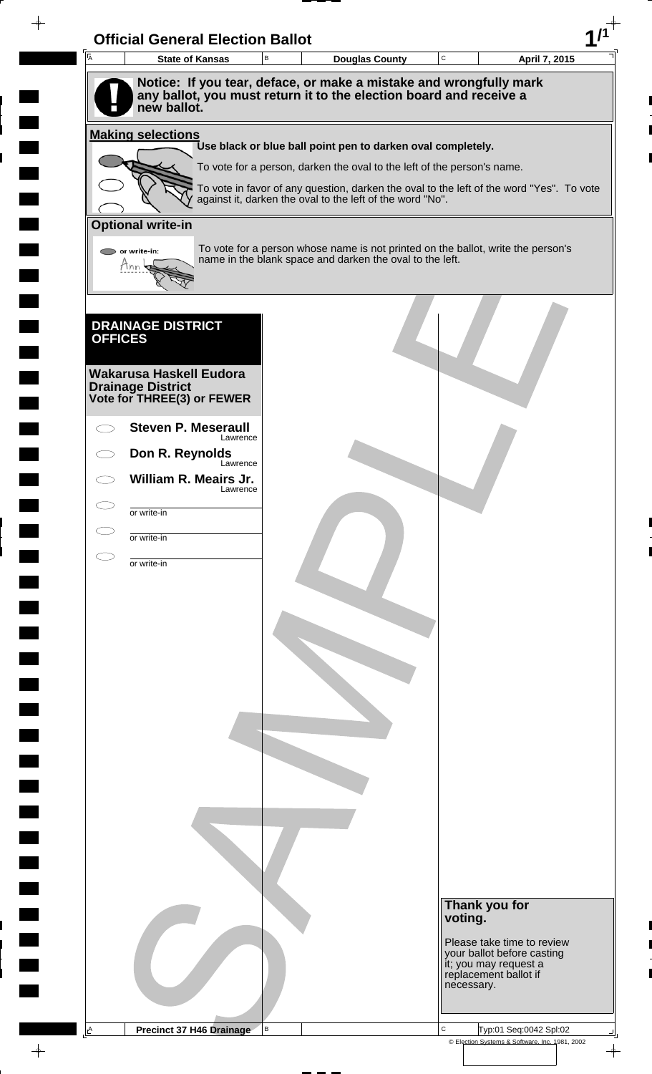| Ā              | <b>Official General Election Ballot</b><br><b>State of Kansas</b>                 | $\mathsf B$ | <b>Douglas County</b>                                                                                                                                 | $\mathbf C$ | April 7, 2015                                                                |
|----------------|-----------------------------------------------------------------------------------|-------------|-------------------------------------------------------------------------------------------------------------------------------------------------------|-------------|------------------------------------------------------------------------------|
|                | Notice: If you tear, deface, or make a mistake and wrongfully mark                |             |                                                                                                                                                       |             |                                                                              |
|                | any ballot, you must return it to the election board and receive a<br>new ballot. |             |                                                                                                                                                       |             |                                                                              |
|                |                                                                                   |             |                                                                                                                                                       |             |                                                                              |
|                | <b>Making selections</b>                                                          |             | Use black or blue ball point pen to darken oval completely.                                                                                           |             |                                                                              |
|                |                                                                                   |             | To vote for a person, darken the oval to the left of the person's name.                                                                               |             |                                                                              |
|                |                                                                                   |             | To vote in favor of any question, darken the oval to the left of the word "Yes". To vote<br>against it, darken the oval to the left of the word "No". |             |                                                                              |
|                | <b>Optional write-in</b>                                                          |             |                                                                                                                                                       |             |                                                                              |
|                | $\bigcirc$ or write-in:                                                           |             | To vote for a person whose name is not printed on the ballot, write the person's                                                                      |             |                                                                              |
|                | Ann                                                                               |             | name in the blank space and darken the oval to the left.                                                                                              |             |                                                                              |
|                |                                                                                   |             |                                                                                                                                                       |             |                                                                              |
|                |                                                                                   |             |                                                                                                                                                       |             |                                                                              |
| <b>OFFICES</b> | <b>DRAINAGE DISTRICT</b>                                                          |             |                                                                                                                                                       |             |                                                                              |
|                |                                                                                   |             |                                                                                                                                                       |             |                                                                              |
|                | <b>Wakarusa Haskell Eudora</b><br><b>Drainage District</b>                        |             |                                                                                                                                                       |             |                                                                              |
|                | Vote for THREE(3) or FEWER                                                        |             |                                                                                                                                                       |             |                                                                              |
|                | <b>Steven P. Meseraull</b><br>Lawrence                                            |             |                                                                                                                                                       |             |                                                                              |
|                | Don R. Reynolds<br>Lawrence                                                       |             |                                                                                                                                                       |             |                                                                              |
|                | William R. Meairs Jr.<br>Lawrence                                                 |             |                                                                                                                                                       |             |                                                                              |
|                | or write-in                                                                       |             |                                                                                                                                                       |             |                                                                              |
|                | or write-in                                                                       |             |                                                                                                                                                       |             |                                                                              |
|                |                                                                                   |             |                                                                                                                                                       |             |                                                                              |
|                | or write-in                                                                       |             |                                                                                                                                                       |             |                                                                              |
|                |                                                                                   |             |                                                                                                                                                       |             |                                                                              |
|                |                                                                                   |             |                                                                                                                                                       |             |                                                                              |
|                |                                                                                   |             |                                                                                                                                                       |             |                                                                              |
|                |                                                                                   |             |                                                                                                                                                       |             |                                                                              |
|                |                                                                                   |             |                                                                                                                                                       |             |                                                                              |
|                |                                                                                   |             |                                                                                                                                                       |             |                                                                              |
|                |                                                                                   |             |                                                                                                                                                       |             |                                                                              |
|                |                                                                                   |             |                                                                                                                                                       |             |                                                                              |
|                |                                                                                   |             |                                                                                                                                                       |             |                                                                              |
|                |                                                                                   |             |                                                                                                                                                       |             |                                                                              |
|                |                                                                                   |             |                                                                                                                                                       |             |                                                                              |
|                |                                                                                   |             |                                                                                                                                                       |             |                                                                              |
|                |                                                                                   |             |                                                                                                                                                       |             |                                                                              |
|                |                                                                                   |             |                                                                                                                                                       | voting.     | Thank you for                                                                |
|                |                                                                                   |             |                                                                                                                                                       |             | Please take time to review                                                   |
|                |                                                                                   |             |                                                                                                                                                       |             | your ballot before casting<br>it; you may request a<br>replacement ballot if |
|                |                                                                                   |             |                                                                                                                                                       |             | necessary.                                                                   |
|                |                                                                                   |             |                                                                                                                                                       |             |                                                                              |
|                |                                                                                   |             |                                                                                                                                                       |             |                                                                              |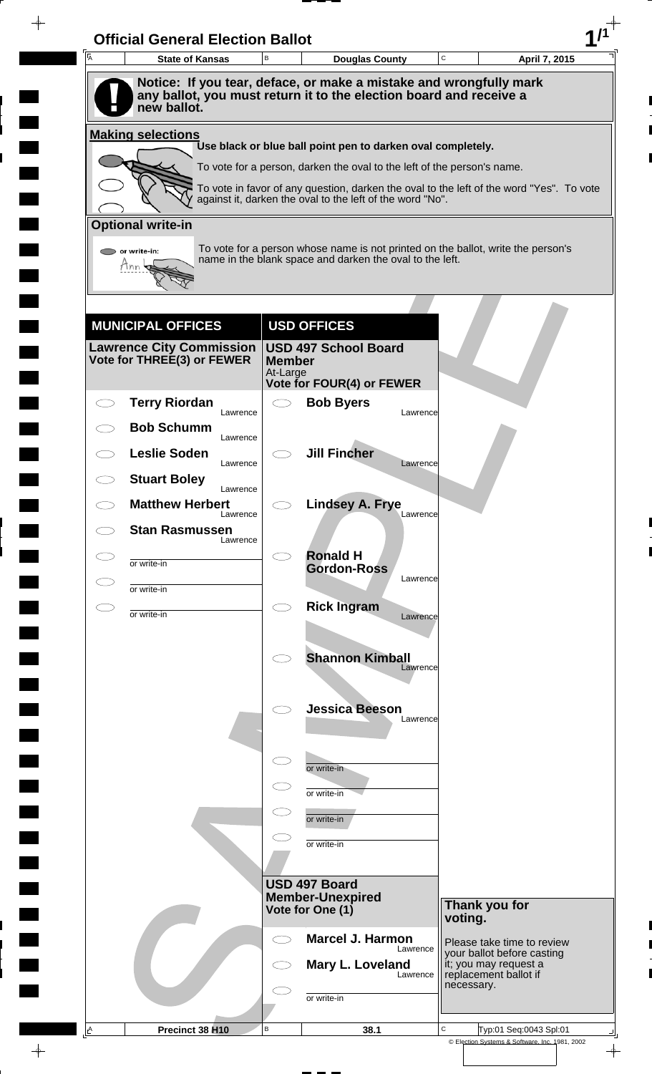| $\overline{A}$ | <b>State of Kansas</b>                                        | B             | <b>Douglas County</b>                                                   | C<br>April 7, 2015                                                                       |  |
|----------------|---------------------------------------------------------------|---------------|-------------------------------------------------------------------------|------------------------------------------------------------------------------------------|--|
|                |                                                               |               | Notice: If you tear, deface, or make a mistake and wrongfully mark      |                                                                                          |  |
|                | new ballot.                                                   |               | any ballot, you must return it to the election board and receive a      |                                                                                          |  |
|                | <b>Making selections</b>                                      |               | Use black or blue ball point pen to darken oval completely.             |                                                                                          |  |
|                |                                                               |               | To vote for a person, darken the oval to the left of the person's name. |                                                                                          |  |
|                |                                                               |               |                                                                         | To vote in favor of any question, darken the oval to the left of the word "Yes". To vote |  |
|                |                                                               |               | against it, darken the oval to the left of the word "No".               |                                                                                          |  |
|                | <b>Optional write-in</b>                                      |               |                                                                         |                                                                                          |  |
|                | $\triangleright$ or write-in:<br>Tnn                          |               | name in the blank space and darken the oval to the left.                | To vote for a person whose name is not printed on the ballot, write the person's         |  |
|                |                                                               |               |                                                                         |                                                                                          |  |
|                |                                                               |               |                                                                         |                                                                                          |  |
|                | <b>MUNICIPAL OFFICES</b>                                      |               | <b>USD OFFICES</b>                                                      |                                                                                          |  |
|                | <b>Lawrence City Commission</b><br>Vote for THREE(3) or FEWER | <b>Member</b> | <b>USD 497 School Board</b>                                             |                                                                                          |  |
|                |                                                               | At-Large      | Vote for FOUR(4) or FEWER                                               |                                                                                          |  |
|                | <b>Terry Riordan</b><br>Lawrence                              |               | <b>Bob Byers</b><br>Lawrence                                            |                                                                                          |  |
|                | <b>Bob Schumm</b><br>Lawrence                                 |               |                                                                         |                                                                                          |  |
|                | <b>Leslie Soden</b><br>Lawrence                               |               | <b>Jill Fincher</b><br>Lawrence                                         |                                                                                          |  |
|                | <b>Stuart Boley</b><br>Lawrence                               |               |                                                                         |                                                                                          |  |
|                | <b>Matthew Herbert</b><br>Lawrence                            |               | <b>Lindsey A. Frye</b><br>Lawrence                                      |                                                                                          |  |
|                | <b>Stan Rasmussen</b><br>Lawrence                             |               |                                                                         |                                                                                          |  |
| C D            | or write-in                                                   |               | <b>Ronald H</b><br><b>Gordon-Ross</b>                                   |                                                                                          |  |
|                | or write-in                                                   |               | Lawrence                                                                |                                                                                          |  |
|                | or write-in                                                   | $\bigcirc$    | <b>Rick Ingram</b><br>Lawrence                                          |                                                                                          |  |
|                |                                                               |               |                                                                         |                                                                                          |  |
|                |                                                               |               | <b>Shannon Kimball</b><br>Lawrence                                      |                                                                                          |  |
|                |                                                               |               |                                                                         |                                                                                          |  |
|                |                                                               |               | <b>Jessica Beeson</b><br>Lawrence                                       |                                                                                          |  |
|                |                                                               |               |                                                                         |                                                                                          |  |
|                |                                                               |               | or write-in                                                             |                                                                                          |  |
|                |                                                               |               | or write-in                                                             |                                                                                          |  |
|                |                                                               |               | or write-in                                                             |                                                                                          |  |
|                |                                                               |               | or write-in                                                             |                                                                                          |  |
|                |                                                               |               |                                                                         |                                                                                          |  |
|                |                                                               |               | USD 497 Board<br><b>Member-Unexpired</b>                                |                                                                                          |  |
|                |                                                               |               | Vote for One (1)                                                        | Thank you for<br>voting.                                                                 |  |
|                |                                                               |               | <b>Marcel J. Harmon</b><br>Lawrence                                     | Please take time to review                                                               |  |
|                |                                                               |               | Mary L. Loveland<br>Lawrence                                            | your ballot before casting<br>it; you may request a<br>replacement ballot if             |  |
|                |                                                               |               | or write-in                                                             | necessary.                                                                               |  |
|                |                                                               |               |                                                                         |                                                                                          |  |
| A              | Precinct 38 H10                                               | B             | 38.1                                                                    | C<br>Typ:01 Seq:0043 Spl:01<br>© Election Systems & Software, Inc. 1981, 2002            |  |

 $\blacksquare$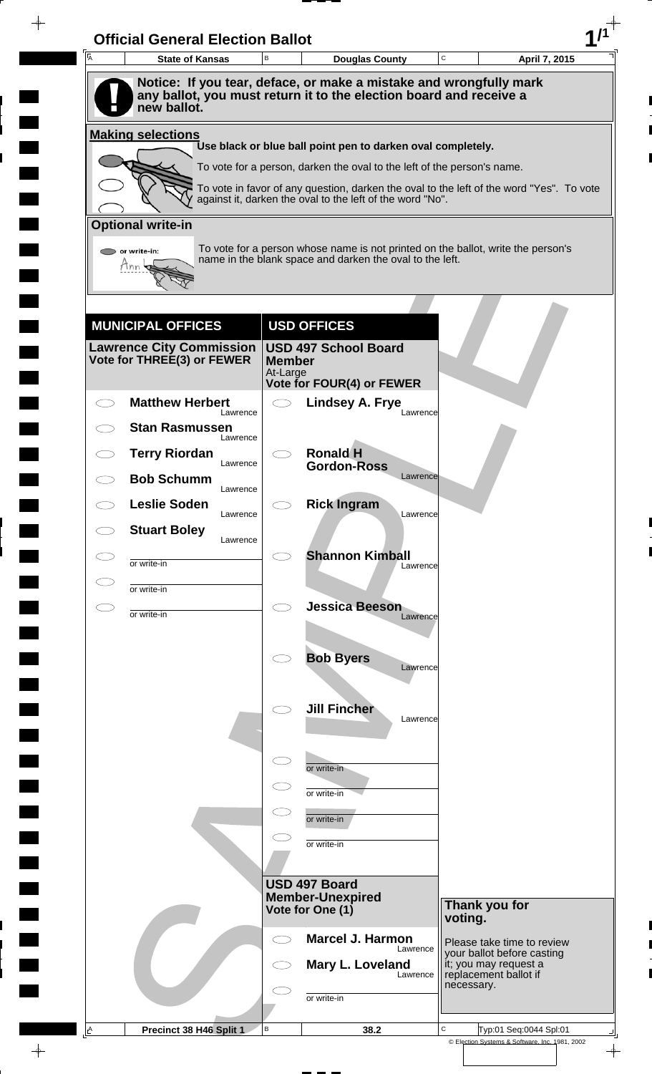|                                   |                           | <b>Douglas County</b>                                                                                                                                 | C          | April 7, 2015                                            |
|-----------------------------------|---------------------------|-------------------------------------------------------------------------------------------------------------------------------------------------------|------------|----------------------------------------------------------|
|                                   |                           | Notice: If you tear, deface, or make a mistake and wrongfully mark                                                                                    |            |                                                          |
| new ballot.                       |                           | any ballot, you must return it to the election board and receive a                                                                                    |            |                                                          |
| <b>Making selections</b>          |                           |                                                                                                                                                       |            |                                                          |
|                                   |                           | Use black or blue ball point pen to darken oval completely.                                                                                           |            |                                                          |
|                                   |                           | To vote for a person, darken the oval to the left of the person's name.                                                                               |            |                                                          |
|                                   |                           | To vote in favor of any question, darken the oval to the left of the word "Yes". To vote<br>against it, darken the oval to the left of the word "No". |            |                                                          |
| <b>Optional write-in</b>          |                           |                                                                                                                                                       |            |                                                          |
| or write-in:                      |                           | To vote for a person whose name is not printed on the ballot, write the person's<br>name in the blank space and darken the oval to the left.          |            |                                                          |
| Mnn                               |                           |                                                                                                                                                       |            |                                                          |
|                                   |                           |                                                                                                                                                       |            |                                                          |
| <b>MUNICIPAL OFFICES</b>          |                           | <b>USD OFFICES</b>                                                                                                                                    |            |                                                          |
| <b>Lawrence City Commission</b>   |                           | <b>USD 497 School Board</b>                                                                                                                           |            |                                                          |
| Vote for THREE(3) or FEWER        | <b>Member</b><br>At-Large |                                                                                                                                                       |            |                                                          |
| <b>Matthew Herbert</b>            | $\bigcirc$                | Vote for FOUR(4) or FEWER<br><b>Lindsey A. Frye</b>                                                                                                   |            |                                                          |
| Lawrence<br><b>Stan Rasmussen</b> |                           | Lawrence                                                                                                                                              |            |                                                          |
| Lawrence<br><b>Terry Riordan</b>  |                           | <b>Ronald H</b>                                                                                                                                       |            |                                                          |
| Lawrence                          |                           | <b>Gordon-Ross</b><br>Lawrence                                                                                                                        |            |                                                          |
| <b>Bob Schumm</b><br>Lawrence     |                           |                                                                                                                                                       |            |                                                          |
| <b>Leslie Soden</b><br>Lawrence   |                           | <b>Rick Ingram</b><br>Lawrence                                                                                                                        |            |                                                          |
| <b>Stuart Boley</b><br>Lawrence   |                           |                                                                                                                                                       |            |                                                          |
| or write-in                       |                           | <b>Shannon Kimball</b><br>Lawrence                                                                                                                    |            |                                                          |
| or write-in                       |                           |                                                                                                                                                       |            |                                                          |
| or write-in                       | $\bigcirc$                | <b>Jessica Beeson</b><br>Lawrence                                                                                                                     |            |                                                          |
|                                   |                           |                                                                                                                                                       |            |                                                          |
|                                   |                           | <b>Bob Byers</b><br>Lawrence                                                                                                                          |            |                                                          |
|                                   |                           |                                                                                                                                                       |            |                                                          |
|                                   |                           | <b>Jill Fincher</b><br>Lawrence                                                                                                                       |            |                                                          |
|                                   |                           |                                                                                                                                                       |            |                                                          |
|                                   | $\subset$                 |                                                                                                                                                       |            |                                                          |
|                                   | $\subset$                 | or write-in                                                                                                                                           |            |                                                          |
|                                   |                           | or write-in                                                                                                                                           |            |                                                          |
|                                   |                           | or write-in                                                                                                                                           |            |                                                          |
|                                   |                           | or write-in                                                                                                                                           |            |                                                          |
|                                   |                           | <b>USD 497 Board</b>                                                                                                                                  |            |                                                          |
|                                   |                           | <b>Member-Unexpired</b><br>Vote for One (1)                                                                                                           |            | Thank you for                                            |
|                                   |                           |                                                                                                                                                       | voting.    |                                                          |
|                                   | $\bigcirc$                | <b>Marcel J. Harmon</b><br>Lawrence                                                                                                                   |            | Please take time to review<br>your ballot before casting |
|                                   |                           | Mary L. Loveland<br>Lawrence                                                                                                                          |            | it; you may request a<br>replacement ballot if           |
|                                   |                           | or write-in                                                                                                                                           | necessary. |                                                          |
|                                   |                           |                                                                                                                                                       |            |                                                          |

 $\blacksquare$ 

 $\frac{1}{\left\vert \psi \right\vert }%$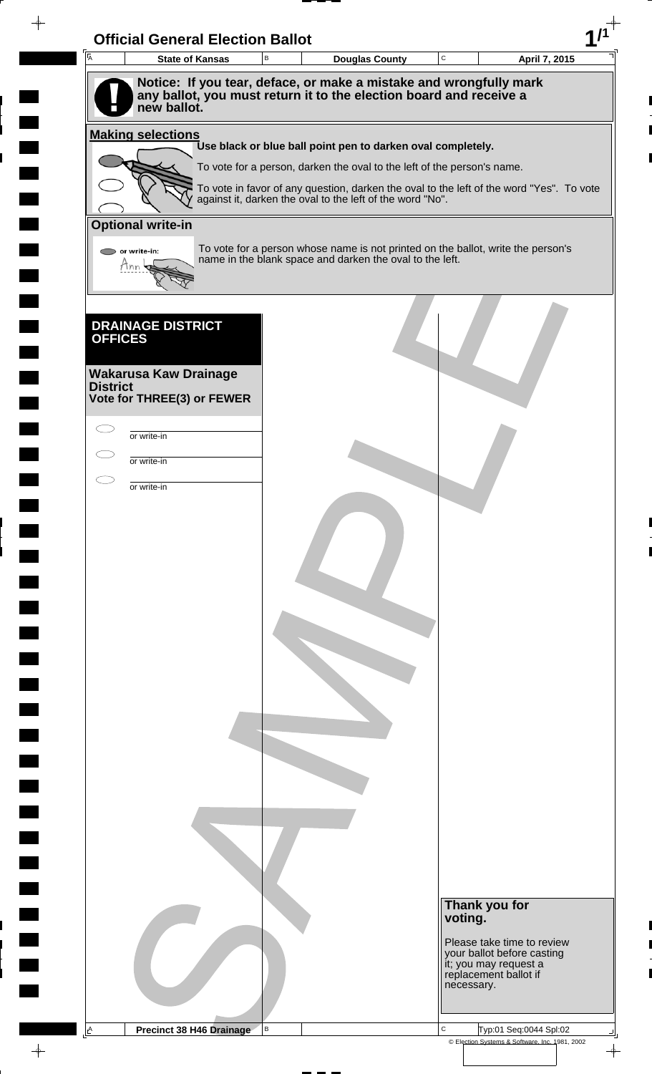| $\overline{A}$  | <b>Official General Election Ballot</b><br><b>State of Kansas</b> | B | <b>Douglas County</b>                                                                                                                              | $\mathbf C$ | April 7, 2015                                            |
|-----------------|-------------------------------------------------------------------|---|----------------------------------------------------------------------------------------------------------------------------------------------------|-------------|----------------------------------------------------------|
|                 |                                                                   |   | Notice: If you tear, deface, or make a mistake and wrongfully mark                                                                                 |             |                                                          |
|                 | new ballot.                                                       |   | any ballot, you must return it to the election board and receive a                                                                                 |             |                                                          |
|                 | <b>Making selections</b>                                          |   | Use black or blue ball point pen to darken oval completely.                                                                                        |             |                                                          |
|                 |                                                                   |   | To vote for a person, darken the oval to the left of the person's name.                                                                            |             |                                                          |
|                 |                                                                   |   |                                                                                                                                                    |             |                                                          |
|                 |                                                                   |   | To vote in favor of any question, darken the oval to the left of the word "Yes". To vote against it, darken the oval to the left of the word "No". |             |                                                          |
|                 | <b>Optional write-in</b>                                          |   |                                                                                                                                                    |             |                                                          |
|                 | or write-in:                                                      |   | To vote for a person whose name is not printed on the ballot, write the person's<br>name in the blank space and darken the oval to the left.       |             |                                                          |
|                 |                                                                   |   |                                                                                                                                                    |             |                                                          |
| <b>OFFICES</b>  | <b>DRAINAGE DISTRICT</b>                                          |   |                                                                                                                                                    |             |                                                          |
|                 |                                                                   |   |                                                                                                                                                    |             |                                                          |
| <b>District</b> | <b>Wakarusa Kaw Drainage</b>                                      |   |                                                                                                                                                    |             |                                                          |
|                 | Vote for THREE(3) or FEWER                                        |   |                                                                                                                                                    |             |                                                          |
|                 | or write-in                                                       |   |                                                                                                                                                    |             |                                                          |
|                 | or write-in                                                       |   |                                                                                                                                                    |             |                                                          |
|                 | or write-in                                                       |   |                                                                                                                                                    |             |                                                          |
|                 |                                                                   |   |                                                                                                                                                    |             |                                                          |
|                 |                                                                   |   |                                                                                                                                                    |             |                                                          |
|                 |                                                                   |   |                                                                                                                                                    |             |                                                          |
|                 |                                                                   |   |                                                                                                                                                    |             |                                                          |
|                 |                                                                   |   |                                                                                                                                                    |             |                                                          |
|                 |                                                                   |   |                                                                                                                                                    |             |                                                          |
|                 |                                                                   |   |                                                                                                                                                    |             |                                                          |
|                 |                                                                   |   |                                                                                                                                                    |             |                                                          |
|                 |                                                                   |   |                                                                                                                                                    |             |                                                          |
|                 |                                                                   |   |                                                                                                                                                    |             |                                                          |
|                 |                                                                   |   |                                                                                                                                                    |             |                                                          |
|                 |                                                                   |   |                                                                                                                                                    |             |                                                          |
|                 |                                                                   |   |                                                                                                                                                    |             |                                                          |
|                 |                                                                   |   |                                                                                                                                                    |             |                                                          |
|                 |                                                                   |   |                                                                                                                                                    |             |                                                          |
|                 |                                                                   |   |                                                                                                                                                    |             |                                                          |
|                 |                                                                   |   |                                                                                                                                                    |             | Thank you for                                            |
|                 |                                                                   |   |                                                                                                                                                    | voting.     |                                                          |
|                 |                                                                   |   |                                                                                                                                                    |             | Please take time to review<br>your ballot before casting |
|                 |                                                                   |   |                                                                                                                                                    | necessary.  | it; you may request a<br>replacement ballot if           |
|                 |                                                                   |   |                                                                                                                                                    |             |                                                          |
|                 |                                                                   |   |                                                                                                                                                    |             |                                                          |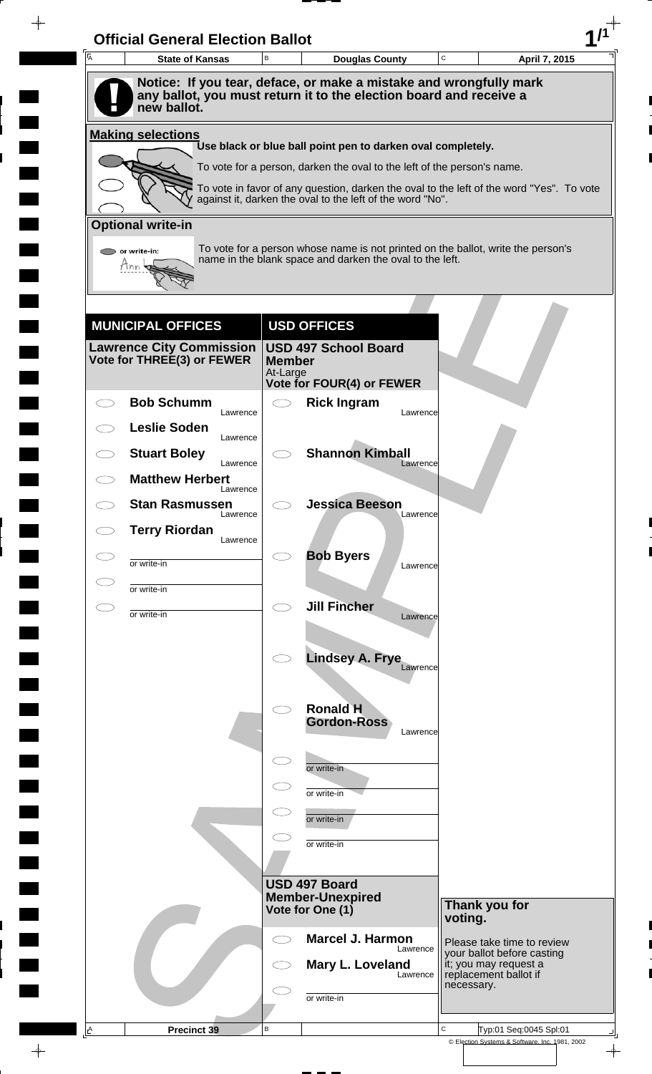| A        | <b>State of Kansas</b>                                                                                                                                  | B                   | <b>Douglas County</b>                                                                                                                                               |          | C          | April 7, 2015                                                                |
|----------|---------------------------------------------------------------------------------------------------------------------------------------------------------|---------------------|---------------------------------------------------------------------------------------------------------------------------------------------------------------------|----------|------------|------------------------------------------------------------------------------|
|          | Notice: If you tear, deface, or make a mistake and wrongfully mark<br>any ballot, you must return it to the election board and receive a<br>new ballot. |                     |                                                                                                                                                                     |          |            |                                                                              |
|          | <b>Making selections</b>                                                                                                                                |                     |                                                                                                                                                                     |          |            |                                                                              |
|          |                                                                                                                                                         |                     | Use black or blue ball point pen to darken oval completely.                                                                                                         |          |            |                                                                              |
|          |                                                                                                                                                         |                     | To vote for a person, darken the oval to the left of the person's name.<br>To vote in favor of any question, darken the oval to the left of the word "Yes". To vote |          |            |                                                                              |
|          |                                                                                                                                                         |                     | against it, darken the oval to the left of the word "No".                                                                                                           |          |            |                                                                              |
|          | <b>Optional write-in</b>                                                                                                                                |                     |                                                                                                                                                                     |          |            |                                                                              |
|          | $\triangleright$ or write-in:<br>Tnn                                                                                                                    |                     | To vote for a person whose name is not printed on the ballot, write the person's<br>name in the blank space and darken the oval to the left.                        |          |            |                                                                              |
|          |                                                                                                                                                         |                     |                                                                                                                                                                     |          |            |                                                                              |
|          |                                                                                                                                                         |                     |                                                                                                                                                                     |          |            |                                                                              |
|          | <b>MUNICIPAL OFFICES</b>                                                                                                                                |                     | <b>USD OFFICES</b>                                                                                                                                                  |          |            |                                                                              |
|          | <b>Lawrence City Commission</b><br>Vote for THREE(3) or FEWER                                                                                           | <b>Member</b>       | <b>USD 497 School Board</b>                                                                                                                                         |          |            |                                                                              |
|          |                                                                                                                                                         | At-Large            | Vote for FOUR(4) or FEWER                                                                                                                                           |          |            |                                                                              |
|          | <b>Bob Schumm</b><br>Lawrence                                                                                                                           | $\bigcirc$          | <b>Rick Ingram</b>                                                                                                                                                  | Lawrence |            |                                                                              |
|          | <b>Leslie Soden</b><br>Lawrence                                                                                                                         |                     |                                                                                                                                                                     |          |            |                                                                              |
|          | <b>Stuart Boley</b><br>Lawrence                                                                                                                         |                     | <b>Shannon Kimball</b>                                                                                                                                              | Lawrence |            |                                                                              |
|          | <b>Matthew Herbert</b><br>Lawrence                                                                                                                      |                     |                                                                                                                                                                     |          |            |                                                                              |
|          | <b>Stan Rasmussen</b><br>Lawrence                                                                                                                       |                     | <b>Jessica Beeson</b>                                                                                                                                               | Lawrence |            |                                                                              |
|          | <b>Terry Riordan</b><br>Lawrence                                                                                                                        |                     |                                                                                                                                                                     |          |            |                                                                              |
|          | or write-in                                                                                                                                             |                     | <b>Bob Byers</b>                                                                                                                                                    | Lawrence |            |                                                                              |
|          | or write-in                                                                                                                                             |                     |                                                                                                                                                                     |          |            |                                                                              |
| СI       | or write-in                                                                                                                                             | $\bigcirc$          | <b>Jill Fincher</b>                                                                                                                                                 | Lawrence |            |                                                                              |
|          |                                                                                                                                                         |                     |                                                                                                                                                                     |          |            |                                                                              |
|          |                                                                                                                                                         |                     | <b>Lindsey A. Frye</b>                                                                                                                                              | Lawrence |            |                                                                              |
|          |                                                                                                                                                         |                     |                                                                                                                                                                     |          |            |                                                                              |
|          |                                                                                                                                                         | $\bigcirc$          | <b>Ronald H</b>                                                                                                                                                     |          |            |                                                                              |
|          |                                                                                                                                                         |                     | <b>Gordon-Ross</b>                                                                                                                                                  | Lawrence |            |                                                                              |
|          |                                                                                                                                                         | $\subset$           | or write-in                                                                                                                                                         |          |            |                                                                              |
|          |                                                                                                                                                         |                     | or write-in                                                                                                                                                         |          |            |                                                                              |
|          |                                                                                                                                                         |                     | or write-in                                                                                                                                                         |          |            |                                                                              |
|          |                                                                                                                                                         |                     | or write-in                                                                                                                                                         |          |            |                                                                              |
|          |                                                                                                                                                         |                     |                                                                                                                                                                     |          |            |                                                                              |
|          |                                                                                                                                                         |                     | USD 497 Board<br><b>Member-Unexpired</b>                                                                                                                            |          |            |                                                                              |
|          |                                                                                                                                                         |                     | Vote for One (1)                                                                                                                                                    |          | voting.    | Thank you for                                                                |
|          |                                                                                                                                                         | $\subset$ $\supset$ | <b>Marcel J. Harmon</b>                                                                                                                                             | Lawrence |            | Please take time to review                                                   |
|          |                                                                                                                                                         |                     | Mary L. Loveland                                                                                                                                                    | Lawrence |            | your ballot before casting<br>it; you may request a<br>replacement ballot if |
|          |                                                                                                                                                         |                     | or write-in                                                                                                                                                         |          | necessary. |                                                                              |
|          |                                                                                                                                                         |                     |                                                                                                                                                                     |          |            |                                                                              |
| <u>A</u> | Precinct 39                                                                                                                                             | $\, {\bf B}$        |                                                                                                                                                                     |          | C          | Typ:01 Seq:0045 Spl:01                                                       |

 $\blacksquare$ 

 $\blacksquare$ 

 $\blacksquare$ 

 $\blacksquare$ 

 $\begin{array}{c}\n\downarrow \\
\downarrow \\
\downarrow\n\end{array}$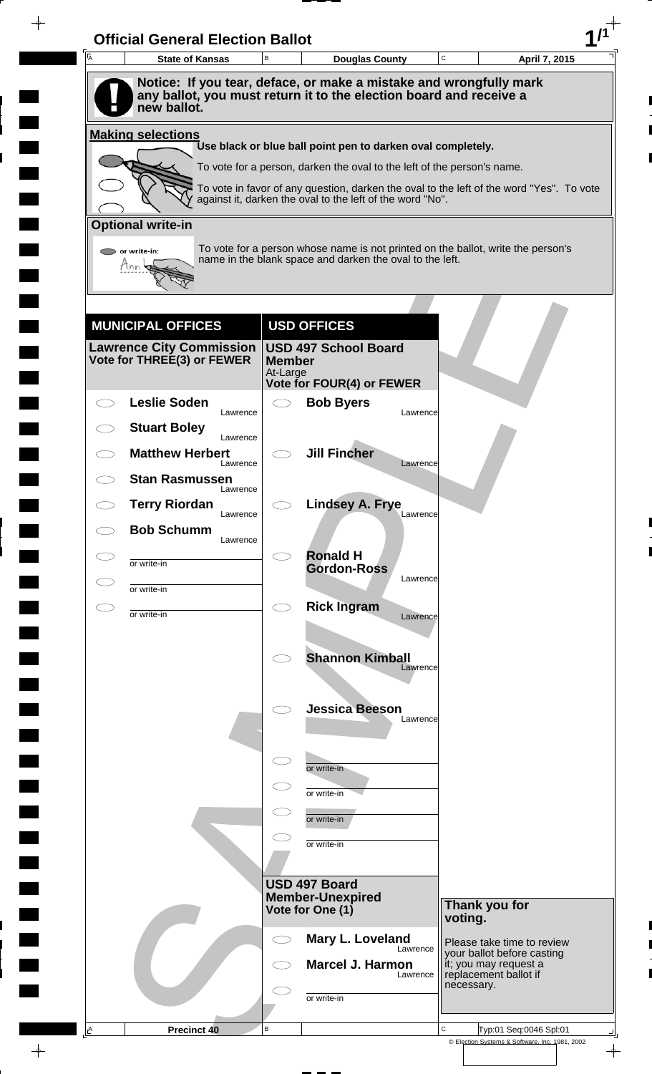| A         | <b>State of Kansas</b>                                                                                                                   | B                         | <b>Douglas County</b>                                                                    |          | C       | April 7, 2015                                            |  |
|-----------|------------------------------------------------------------------------------------------------------------------------------------------|---------------------------|------------------------------------------------------------------------------------------|----------|---------|----------------------------------------------------------|--|
|           | Notice: If you tear, deface, or make a mistake and wrongfully mark<br>any ballot, you must return it to the election board and receive a |                           |                                                                                          |          |         |                                                          |  |
|           | new ballot.                                                                                                                              |                           |                                                                                          |          |         |                                                          |  |
|           | <b>Making selections</b>                                                                                                                 |                           | Use black or blue ball point pen to darken oval completely.                              |          |         |                                                          |  |
|           |                                                                                                                                          |                           | To vote for a person, darken the oval to the left of the person's name.                  |          |         |                                                          |  |
|           |                                                                                                                                          |                           | To vote in favor of any question, darken the oval to the left of the word "Yes". To vote |          |         |                                                          |  |
|           |                                                                                                                                          |                           | against it, darken the oval to the left of the word "No".                                |          |         |                                                          |  |
|           | <b>Optional write-in</b><br>$\triangleright$ or write-in:                                                                                |                           | To vote for a person whose name is not printed on the ballot, write the person's         |          |         |                                                          |  |
|           | Tnn                                                                                                                                      |                           | name in the blank space and darken the oval to the left.                                 |          |         |                                                          |  |
|           |                                                                                                                                          |                           |                                                                                          |          |         |                                                          |  |
|           | <b>MUNICIPAL OFFICES</b>                                                                                                                 |                           | <b>USD OFFICES</b>                                                                       |          |         |                                                          |  |
|           | <b>Lawrence City Commission</b>                                                                                                          |                           | <b>USD 497 School Board</b>                                                              |          |         |                                                          |  |
|           | Vote for THREE(3) or FEWER                                                                                                               | <b>Member</b><br>At-Large |                                                                                          |          |         |                                                          |  |
|           | <b>Leslie Soden</b>                                                                                                                      | $\subset$ $\supset$       | Vote for FOUR(4) or FEWER<br><b>Bob Byers</b>                                            |          |         |                                                          |  |
|           | Lawrence                                                                                                                                 |                           |                                                                                          | Lawrence |         |                                                          |  |
|           | <b>Stuart Boley</b><br>Lawrence                                                                                                          |                           |                                                                                          |          |         |                                                          |  |
|           | <b>Matthew Herbert</b><br>Lawrence                                                                                                       |                           | <b>Jill Fincher</b>                                                                      | Lawrence |         |                                                          |  |
|           | <b>Stan Rasmussen</b><br>Lawrence                                                                                                        |                           |                                                                                          |          |         |                                                          |  |
|           | <b>Terry Riordan</b><br>Lawrence                                                                                                         |                           | <b>Lindsey A. Frye</b>                                                                   | Lawrence |         |                                                          |  |
|           | <b>Bob Schumm</b><br>Lawrence                                                                                                            |                           |                                                                                          |          |         |                                                          |  |
|           | or write-in                                                                                                                              |                           | <b>Ronald H</b><br><b>Gordon-Ross</b>                                                    |          |         |                                                          |  |
|           | or write-in                                                                                                                              |                           |                                                                                          | Lawrence |         |                                                          |  |
| $\subset$ | or write-in                                                                                                                              | $\bigcirc$                | <b>Rick Ingram</b>                                                                       | Lawrence |         |                                                          |  |
|           |                                                                                                                                          |                           |                                                                                          |          |         |                                                          |  |
|           |                                                                                                                                          |                           | <b>Shannon Kimball</b>                                                                   | Lawrence |         |                                                          |  |
|           |                                                                                                                                          |                           |                                                                                          |          |         |                                                          |  |
|           |                                                                                                                                          |                           | <b>Jessica Beeson</b>                                                                    | Lawrence |         |                                                          |  |
|           |                                                                                                                                          |                           |                                                                                          |          |         |                                                          |  |
|           |                                                                                                                                          | $\subset$                 | or write-in                                                                              |          |         |                                                          |  |
|           |                                                                                                                                          |                           | or write-in                                                                              |          |         |                                                          |  |
|           |                                                                                                                                          |                           | or write-in                                                                              |          |         |                                                          |  |
|           |                                                                                                                                          |                           | or write-in                                                                              |          |         |                                                          |  |
|           |                                                                                                                                          |                           |                                                                                          |          |         |                                                          |  |
|           |                                                                                                                                          |                           | USD 497 Board<br><b>Member-Unexpired</b>                                                 |          |         | Thank you for                                            |  |
|           |                                                                                                                                          |                           | Vote for One (1)                                                                         |          | voting. |                                                          |  |
|           |                                                                                                                                          | CD                        | Mary L. Loveland                                                                         | Lawrence |         | Please take time to review<br>your ballot before casting |  |
|           |                                                                                                                                          |                           | <b>Marcel J. Harmon</b>                                                                  | Lawrence |         | it; you may request a<br>replacement ballot if           |  |
|           |                                                                                                                                          |                           |                                                                                          |          |         | necessary.                                               |  |
|           |                                                                                                                                          |                           | or write-in                                                                              |          |         |                                                          |  |

 $\blacksquare$ 

 $\qquad \qquad \blacksquare$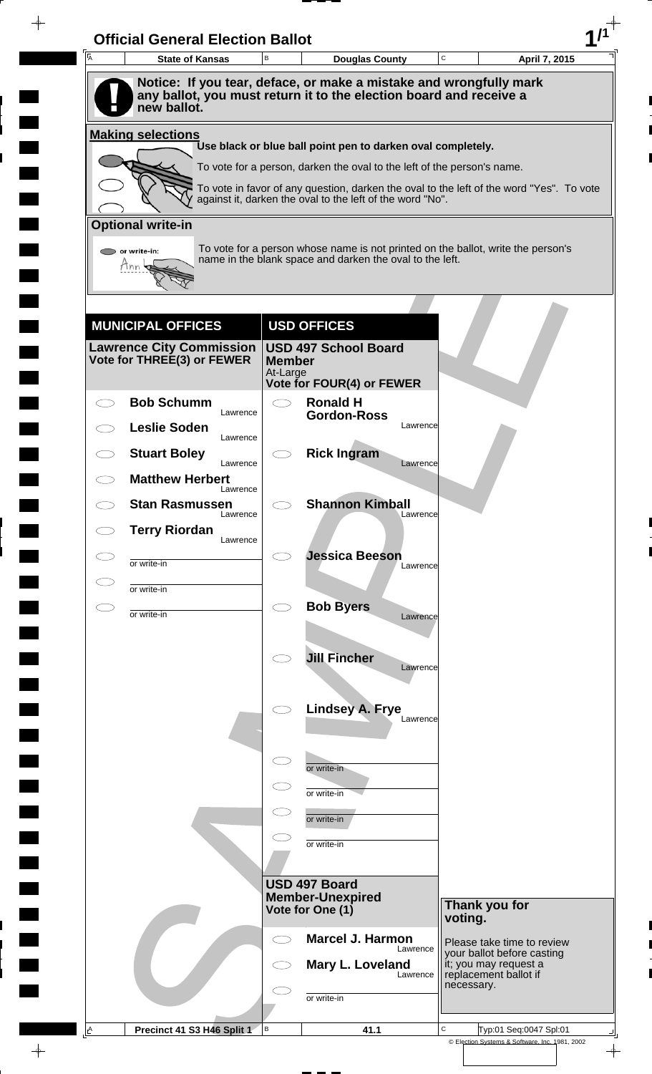| $\overline{A}$ | <b>State of Kansas</b>             | B                         | <b>Douglas County</b>                                                                                                                                 | $\mathbf C$                                    | April 7, 2015                                            |
|----------------|------------------------------------|---------------------------|-------------------------------------------------------------------------------------------------------------------------------------------------------|------------------------------------------------|----------------------------------------------------------|
|                | new ballot.                        |                           | Notice: If you tear, deface, or make a mistake and wrongfully mark<br>any ballot, you must return it to the election board and receive a              |                                                |                                                          |
|                | <b>Making selections</b>           |                           |                                                                                                                                                       |                                                |                                                          |
|                |                                    |                           | Use black or blue ball point pen to darken oval completely.                                                                                           |                                                |                                                          |
|                |                                    |                           | To vote for a person, darken the oval to the left of the person's name.                                                                               |                                                |                                                          |
|                |                                    |                           | To vote in favor of any question, darken the oval to the left of the word "Yes". To vote<br>against it, darken the oval to the left of the word "No". |                                                |                                                          |
|                | <b>Optional write-in</b>           |                           |                                                                                                                                                       |                                                |                                                          |
|                | $\triangleright$ or write-in:      |                           | To vote for a person whose name is not printed on the ballot, write the person's<br>name in the blank space and darken the oval to the left.          |                                                |                                                          |
|                | Tnn                                |                           |                                                                                                                                                       |                                                |                                                          |
|                |                                    |                           |                                                                                                                                                       |                                                |                                                          |
|                | <b>MUNICIPAL OFFICES</b>           |                           | <b>USD OFFICES</b>                                                                                                                                    |                                                |                                                          |
|                | <b>Lawrence City Commission</b>    |                           | <b>USD 497 School Board</b>                                                                                                                           |                                                |                                                          |
|                | Vote for THREE(3) or FEWER         | <b>Member</b><br>At-Large |                                                                                                                                                       |                                                |                                                          |
|                | <b>Bob Schumm</b>                  |                           | <b>Vote for FOUR(4) or FEWER</b><br><b>Ronald H</b>                                                                                                   |                                                |                                                          |
|                | Lawrence<br><b>Leslie Soden</b>    |                           | <b>Gordon-Ross</b><br>Lawrence                                                                                                                        |                                                |                                                          |
|                | Lawrence                           |                           |                                                                                                                                                       |                                                |                                                          |
|                | <b>Stuart Boley</b><br>Lawrence    |                           | <b>Rick Ingram</b><br>Lawrence                                                                                                                        |                                                |                                                          |
|                | <b>Matthew Herbert</b><br>Lawrence |                           |                                                                                                                                                       |                                                |                                                          |
|                | <b>Stan Rasmussen</b><br>Lawrence  |                           | <b>Shannon Kimball</b><br>Lawrence                                                                                                                    |                                                |                                                          |
|                | <b>Terry Riordan</b><br>Lawrence   |                           |                                                                                                                                                       |                                                |                                                          |
| СJ             | or write-in                        |                           | <b>Jessica Beeson</b><br>Lawrence                                                                                                                     |                                                |                                                          |
|                | or write-in                        |                           |                                                                                                                                                       |                                                |                                                          |
| СJ             | or write-in                        | C)                        | <b>Bob Byers</b><br>Lawrence                                                                                                                          |                                                |                                                          |
|                |                                    |                           |                                                                                                                                                       |                                                |                                                          |
|                |                                    |                           | <b>Jill Fincher</b><br>Lawrence                                                                                                                       |                                                |                                                          |
|                |                                    |                           |                                                                                                                                                       |                                                |                                                          |
|                |                                    |                           | <b>Lindsey A. Frye</b>                                                                                                                                |                                                |                                                          |
|                |                                    |                           | Lawrence                                                                                                                                              |                                                |                                                          |
|                |                                    |                           |                                                                                                                                                       |                                                |                                                          |
|                |                                    |                           | or write-in                                                                                                                                           |                                                |                                                          |
|                |                                    |                           | or write-in                                                                                                                                           |                                                |                                                          |
|                |                                    |                           | or write-in                                                                                                                                           |                                                |                                                          |
|                |                                    |                           | or write-in                                                                                                                                           |                                                |                                                          |
|                |                                    |                           | USD 497 Board                                                                                                                                         |                                                |                                                          |
|                |                                    |                           | <b>Member-Unexpired</b><br>Vote for One (1)                                                                                                           | Thank you for                                  |                                                          |
|                |                                    |                           |                                                                                                                                                       | voting.                                        |                                                          |
|                |                                    | C i                       | <b>Marcel J. Harmon</b><br>Lawrence                                                                                                                   |                                                | Please take time to review<br>your ballot before casting |
|                |                                    |                           | Mary L. Loveland<br>Lawrence                                                                                                                          | it; you may request a<br>replacement ballot if |                                                          |
|                |                                    |                           |                                                                                                                                                       | necessary.                                     |                                                          |
|                |                                    |                           | or write-in                                                                                                                                           |                                                |                                                          |

 $\blacksquare$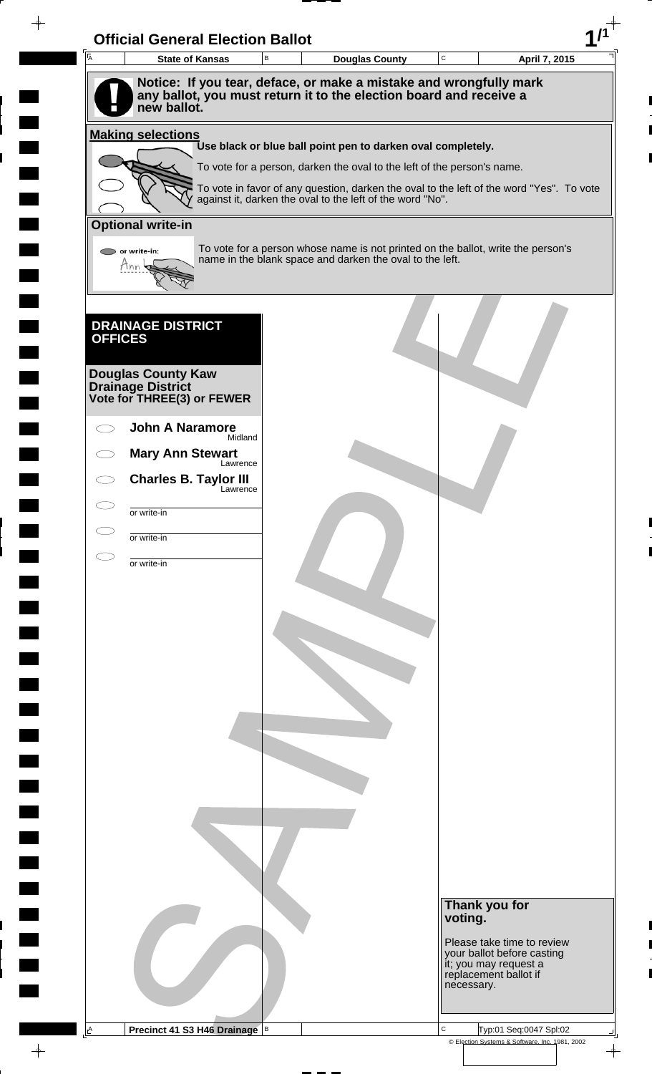| $\overline{\mathsf{A}}$ | <b>State of Kansas</b>                                                               | B | <b>Douglas County</b>                                                                                                                                 | $\mathbf C$ | April 7, 2015                                            |
|-------------------------|--------------------------------------------------------------------------------------|---|-------------------------------------------------------------------------------------------------------------------------------------------------------|-------------|----------------------------------------------------------|
|                         | Notice: If you tear, deface, or make a mistake and wrongfully mark                   |   |                                                                                                                                                       |             |                                                          |
|                         | any ballot, you must return it to the election board and receive a<br>new ballot.    |   |                                                                                                                                                       |             |                                                          |
|                         |                                                                                      |   |                                                                                                                                                       |             |                                                          |
|                         | <b>Making selections</b>                                                             |   | Use black or blue ball point pen to darken oval completely.                                                                                           |             |                                                          |
|                         |                                                                                      |   | To vote for a person, darken the oval to the left of the person's name.                                                                               |             |                                                          |
|                         |                                                                                      |   | To vote in favor of any question, darken the oval to the left of the word "Yes". To vote<br>against it, darken the oval to the left of the word "No". |             |                                                          |
|                         | <b>Optional write-in</b>                                                             |   |                                                                                                                                                       |             |                                                          |
| $\bigcirc$ or write-in: |                                                                                      |   | To vote for a person whose name is not printed on the ballot, write the person's                                                                      |             |                                                          |
| Ann                     |                                                                                      |   | name in the blank space and darken the oval to the left.                                                                                              |             |                                                          |
|                         |                                                                                      |   |                                                                                                                                                       |             |                                                          |
|                         |                                                                                      |   |                                                                                                                                                       |             |                                                          |
| <b>OFFICES</b>          | <b>DRAINAGE DISTRICT</b>                                                             |   |                                                                                                                                                       |             |                                                          |
|                         |                                                                                      |   |                                                                                                                                                       |             |                                                          |
|                         | <b>Douglas County Kaw</b><br><b>Drainage District<br/>Vote for THREE(3) or FEWER</b> |   |                                                                                                                                                       |             |                                                          |
|                         |                                                                                      |   |                                                                                                                                                       |             |                                                          |
|                         | <b>John A Naramore</b><br>Midland                                                    |   |                                                                                                                                                       |             |                                                          |
|                         | <b>Mary Ann Stewart</b><br>Lawrence                                                  |   |                                                                                                                                                       |             |                                                          |
|                         | <b>Charles B. Taylor III</b>                                                         |   |                                                                                                                                                       |             |                                                          |
|                         | Lawrence<br>or write-in                                                              |   |                                                                                                                                                       |             |                                                          |
|                         |                                                                                      |   |                                                                                                                                                       |             |                                                          |
|                         | or write-in                                                                          |   |                                                                                                                                                       |             |                                                          |
|                         | or write-in                                                                          |   |                                                                                                                                                       |             |                                                          |
|                         |                                                                                      |   |                                                                                                                                                       |             |                                                          |
|                         |                                                                                      |   |                                                                                                                                                       |             |                                                          |
|                         |                                                                                      |   |                                                                                                                                                       |             |                                                          |
|                         |                                                                                      |   |                                                                                                                                                       |             |                                                          |
|                         |                                                                                      |   |                                                                                                                                                       |             |                                                          |
|                         |                                                                                      |   |                                                                                                                                                       |             |                                                          |
|                         |                                                                                      |   |                                                                                                                                                       |             |                                                          |
|                         |                                                                                      |   |                                                                                                                                                       |             |                                                          |
|                         |                                                                                      |   |                                                                                                                                                       |             |                                                          |
|                         |                                                                                      |   |                                                                                                                                                       |             |                                                          |
|                         |                                                                                      |   |                                                                                                                                                       |             |                                                          |
|                         |                                                                                      |   |                                                                                                                                                       |             |                                                          |
|                         |                                                                                      |   |                                                                                                                                                       |             |                                                          |
|                         |                                                                                      |   |                                                                                                                                                       |             | Thank you for                                            |
|                         |                                                                                      |   |                                                                                                                                                       |             | voting.                                                  |
|                         |                                                                                      |   |                                                                                                                                                       |             | Please take time to review<br>your ballot before casting |
|                         |                                                                                      |   |                                                                                                                                                       |             | it; you may request a<br>replacement ballot if           |
|                         |                                                                                      |   |                                                                                                                                                       |             |                                                          |
|                         |                                                                                      |   |                                                                                                                                                       |             | necessary.                                               |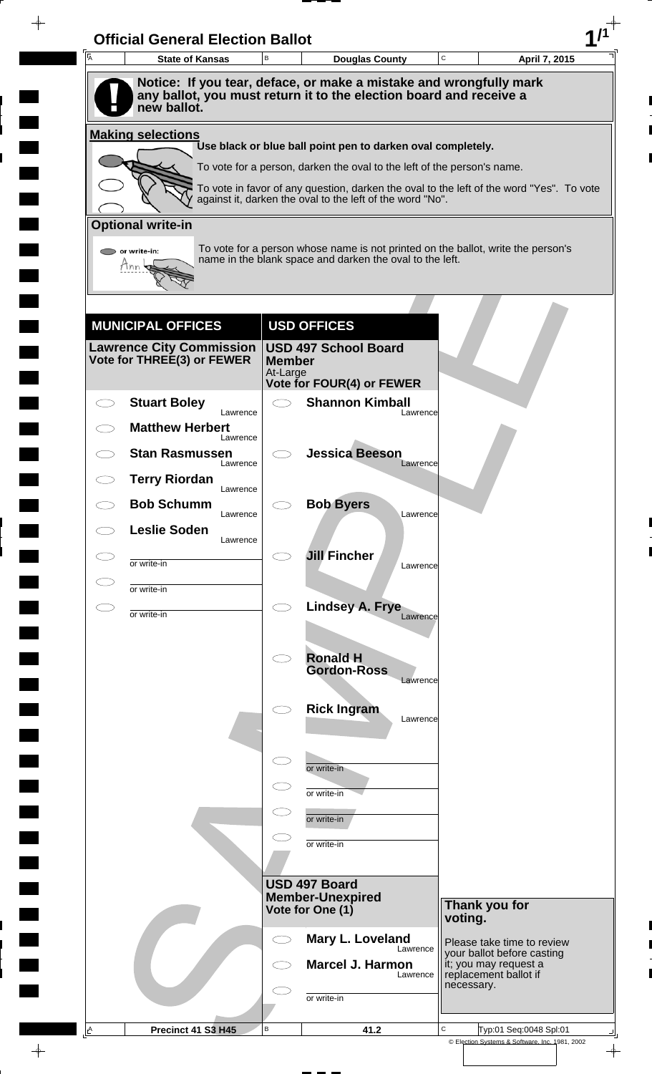| A | <b>Official General Election Ballot</b><br><b>State of Kansas</b> | B                   | <b>Douglas County</b>                                                                                                                        | C             | April 7, 2015                                            |
|---|-------------------------------------------------------------------|---------------------|----------------------------------------------------------------------------------------------------------------------------------------------|---------------|----------------------------------------------------------|
|   |                                                                   |                     | Notice: If you tear, deface, or make a mistake and wrongfully mark                                                                           |               |                                                          |
|   | new ballot.                                                       |                     | any ballot, you must return it to the election board and receive a                                                                           |               |                                                          |
|   | <b>Making selections</b>                                          |                     |                                                                                                                                              |               |                                                          |
|   |                                                                   |                     | Use black or blue ball point pen to darken oval completely.<br>To vote for a person, darken the oval to the left of the person's name.       |               |                                                          |
|   |                                                                   |                     | To vote in favor of any question, darken the oval to the left of the word "Yes". To vote                                                     |               |                                                          |
|   |                                                                   |                     | against it, darken the oval to the left of the word "No".                                                                                    |               |                                                          |
|   | <b>Optional write-in</b>                                          |                     |                                                                                                                                              |               |                                                          |
|   | $\triangleright$ or write-in:<br>Tnn                              |                     | To vote for a person whose name is not printed on the ballot, write the person's<br>name in the blank space and darken the oval to the left. |               |                                                          |
|   |                                                                   |                     |                                                                                                                                              |               |                                                          |
|   |                                                                   |                     |                                                                                                                                              |               |                                                          |
|   | <b>MUNICIPAL OFFICES</b>                                          |                     | <b>USD OFFICES</b>                                                                                                                           |               |                                                          |
|   | <b>Lawrence City Commission</b><br>Vote for THREE(3) or FEWER     | <b>Member</b>       | <b>USD 497 School Board</b>                                                                                                                  |               |                                                          |
|   |                                                                   | At-Large            | <b>Vote for FOUR(4) or FEWER</b>                                                                                                             |               |                                                          |
|   | <b>Stuart Boley</b>                                               | $\bigcirc$          | <b>Shannon Kimball</b>                                                                                                                       |               |                                                          |
|   | Lawrence<br><b>Matthew Herbert</b>                                |                     | Lawrence                                                                                                                                     |               |                                                          |
|   | Lawrence<br><b>Stan Rasmussen</b>                                 |                     | <b>Jessica Beeson</b>                                                                                                                        |               |                                                          |
|   | Lawrence<br><b>Terry Riordan</b>                                  |                     | Lawrence                                                                                                                                     |               |                                                          |
|   | Lawrence<br><b>Bob Schumm</b>                                     |                     | <b>Bob Byers</b>                                                                                                                             |               |                                                          |
|   | Lawrence                                                          |                     | Lawrence                                                                                                                                     |               |                                                          |
|   | <b>Leslie Soden</b><br>Lawrence                                   |                     |                                                                                                                                              |               |                                                          |
|   | or write-in                                                       |                     | <b>Jill Fincher</b><br>Lawrence                                                                                                              |               |                                                          |
|   | or write-in                                                       |                     |                                                                                                                                              |               |                                                          |
|   | or write-in                                                       | $\bigcirc$          | Lindsey A. Frye<br>Lawrence                                                                                                                  |               |                                                          |
|   |                                                                   |                     |                                                                                                                                              |               |                                                          |
|   |                                                                   | $\bigcirc$          | <b>Ronald H</b><br><b>Gordon-Ross</b>                                                                                                        |               |                                                          |
|   |                                                                   |                     | Lawrence                                                                                                                                     |               |                                                          |
|   |                                                                   |                     | <b>Rick Ingram</b><br>Lawrence                                                                                                               |               |                                                          |
|   |                                                                   |                     |                                                                                                                                              |               |                                                          |
|   |                                                                   | $\subset$           | or write-in                                                                                                                                  |               |                                                          |
|   |                                                                   |                     | or write-in                                                                                                                                  |               |                                                          |
|   |                                                                   |                     |                                                                                                                                              |               |                                                          |
|   |                                                                   |                     | or write-in                                                                                                                                  |               |                                                          |
|   |                                                                   |                     | or write-in                                                                                                                                  |               |                                                          |
|   |                                                                   |                     | USD 497 Board                                                                                                                                |               |                                                          |
|   |                                                                   |                     | <b>Member-Unexpired</b><br>Vote for One (1)                                                                                                  | Thank you for |                                                          |
|   |                                                                   | $\subset$ $\supset$ | Mary L. Loveland                                                                                                                             | voting.       |                                                          |
|   |                                                                   |                     | Lawrence                                                                                                                                     |               | Please take time to review<br>your ballot before casting |
|   |                                                                   |                     | <b>Marcel J. Harmon</b><br>Lawrence                                                                                                          | necessary.    | it; you may request a<br>replacement ballot if           |
|   |                                                                   |                     | or write-in                                                                                                                                  |               |                                                          |
|   |                                                                   |                     |                                                                                                                                              |               |                                                          |

 $\blacksquare$ 

 $\frac{1}{\left\vert \psi \right\vert }%$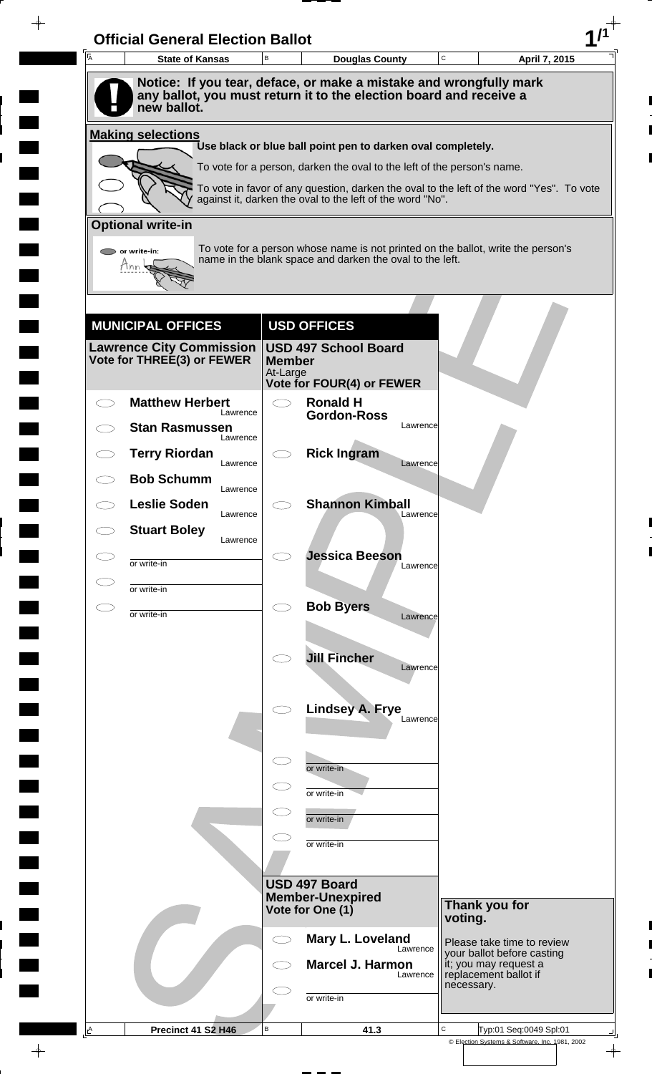| A | <b>State of Kansas</b>            | B                         | <b>Douglas County</b>                                                                                                                                 | C          | April 7, 2015                                            |
|---|-----------------------------------|---------------------------|-------------------------------------------------------------------------------------------------------------------------------------------------------|------------|----------------------------------------------------------|
|   |                                   |                           | Notice: If you tear, deface, or make a mistake and wrongfully mark                                                                                    |            |                                                          |
|   | new ballot.                       |                           | any ballot, you must return it to the election board and receive a                                                                                    |            |                                                          |
|   | <b>Making selections</b>          |                           |                                                                                                                                                       |            |                                                          |
|   |                                   |                           | Use black or blue ball point pen to darken oval completely.                                                                                           |            |                                                          |
|   |                                   |                           | To vote for a person, darken the oval to the left of the person's name.                                                                               |            |                                                          |
|   |                                   |                           | To vote in favor of any question, darken the oval to the left of the word "Yes". To vote<br>against it, darken the oval to the left of the word "No". |            |                                                          |
|   | <b>Optional write-in</b>          |                           |                                                                                                                                                       |            |                                                          |
|   | or write-in:                      |                           | To vote for a person whose name is not printed on the ballot, write the person's<br>name in the blank space and darken the oval to the left.          |            |                                                          |
|   | Hnn                               |                           |                                                                                                                                                       |            |                                                          |
|   |                                   |                           |                                                                                                                                                       |            |                                                          |
|   | <b>MUNICIPAL OFFICES</b>          |                           | <b>USD OFFICES</b>                                                                                                                                    |            |                                                          |
|   | <b>Lawrence City Commission</b>   |                           | <b>USD 497 School Board</b>                                                                                                                           |            |                                                          |
|   | Vote for THREE(3) or FEWER        | <b>Member</b><br>At-Large |                                                                                                                                                       |            |                                                          |
|   | <b>Matthew Herbert</b>            | $\bigcirc$                | Vote for FOUR(4) or FEWER<br><b>Ronald H</b>                                                                                                          |            |                                                          |
|   | Lawrence<br><b>Stan Rasmussen</b> |                           | <b>Gordon-Ross</b><br>Lawrence                                                                                                                        |            |                                                          |
|   | Lawrence                          |                           |                                                                                                                                                       |            |                                                          |
|   | <b>Terry Riordan</b><br>Lawrence  |                           | <b>Rick Ingram</b><br>Lawrence                                                                                                                        |            |                                                          |
|   | <b>Bob Schumm</b><br>Lawrence     |                           |                                                                                                                                                       |            |                                                          |
|   | <b>Leslie Soden</b><br>Lawrence   |                           | <b>Shannon Kimball</b><br>Lawrence                                                                                                                    |            |                                                          |
|   | <b>Stuart Boley</b><br>Lawrence   |                           |                                                                                                                                                       |            |                                                          |
|   | or write-in                       |                           | <b>Jessica Beeson</b><br>Lawrence                                                                                                                     |            |                                                          |
|   | or write-in                       |                           |                                                                                                                                                       |            |                                                          |
|   | or write-in                       | $\bigcirc$                | <b>Bob Byers</b><br>Lawrence                                                                                                                          |            |                                                          |
|   |                                   |                           |                                                                                                                                                       |            |                                                          |
|   |                                   |                           | <b>Jill Fincher</b><br>Lawrence                                                                                                                       |            |                                                          |
|   |                                   |                           |                                                                                                                                                       |            |                                                          |
|   |                                   |                           | <b>Lindsey A. Frye</b>                                                                                                                                |            |                                                          |
|   |                                   |                           | Lawrence                                                                                                                                              |            |                                                          |
|   |                                   | $\subset$                 |                                                                                                                                                       |            |                                                          |
|   |                                   | $\subset$                 | or write-in                                                                                                                                           |            |                                                          |
|   |                                   |                           | or write-in                                                                                                                                           |            |                                                          |
|   |                                   |                           | or write-in                                                                                                                                           |            |                                                          |
|   |                                   |                           | or write-in                                                                                                                                           |            |                                                          |
|   |                                   |                           | USD 497 Board                                                                                                                                         |            |                                                          |
|   |                                   |                           | <b>Member-Unexpired</b><br>Vote for One (1)                                                                                                           |            | Thank you for                                            |
|   |                                   |                           |                                                                                                                                                       | voting.    |                                                          |
|   |                                   |                           | Mary L. Loveland<br>Lawrence                                                                                                                          |            | Please take time to review<br>your ballot before casting |
|   |                                   |                           | <b>Marcel J. Harmon</b><br>Lawrence                                                                                                                   |            | it; you may request a<br>replacement ballot if           |
|   |                                   |                           | or write-in                                                                                                                                           | necessary. |                                                          |
|   |                                   |                           |                                                                                                                                                       |            |                                                          |

 $\blacksquare$ 

 $\frac{1}{\left\vert \psi \right\vert }%$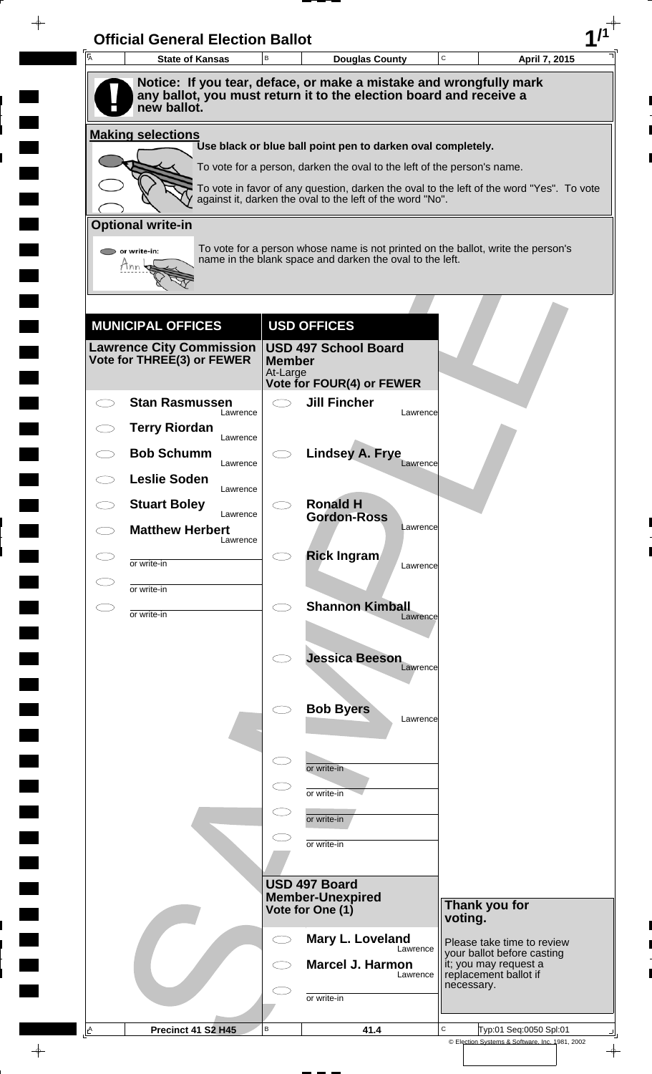| A  | <b>State of Kansas</b>                                                                                                                                  | B                         | <b>Douglas County</b>                                                   |          | C          | April 7, 2015                                                                            |
|----|---------------------------------------------------------------------------------------------------------------------------------------------------------|---------------------------|-------------------------------------------------------------------------|----------|------------|------------------------------------------------------------------------------------------|
|    | Notice: If you tear, deface, or make a mistake and wrongfully mark<br>any ballot, you must return it to the election board and receive a<br>new ballot. |                           |                                                                         |          |            |                                                                                          |
|    | <b>Making selections</b>                                                                                                                                |                           |                                                                         |          |            |                                                                                          |
|    |                                                                                                                                                         |                           | Use black or blue ball point pen to darken oval completely.             |          |            |                                                                                          |
|    |                                                                                                                                                         |                           | To vote for a person, darken the oval to the left of the person's name. |          |            | To vote in favor of any question, darken the oval to the left of the word "Yes". To vote |
|    |                                                                                                                                                         |                           | against it, darken the oval to the left of the word "No".               |          |            |                                                                                          |
|    | <b>Optional write-in</b>                                                                                                                                |                           |                                                                         |          |            |                                                                                          |
|    | $\triangleright$ or write-in:<br>Tnn                                                                                                                    |                           | name in the blank space and darken the oval to the left.                |          |            | To vote for a person whose name is not printed on the ballot, write the person's         |
|    |                                                                                                                                                         |                           |                                                                         |          |            |                                                                                          |
|    | <b>MUNICIPAL OFFICES</b>                                                                                                                                |                           | <b>USD OFFICES</b>                                                      |          |            |                                                                                          |
|    | <b>Lawrence City Commission</b><br>Vote for THREE(3) or FEWER                                                                                           | <b>Member</b><br>At-Large | <b>USD 497 School Board</b><br>Vote for FOUR(4) or FEWER                |          |            |                                                                                          |
|    | <b>Stan Rasmussen</b>                                                                                                                                   | $\bigcirc$                | <b>Jill Fincher</b>                                                     |          |            |                                                                                          |
|    | Lawrence<br><b>Terry Riordan</b>                                                                                                                        |                           |                                                                         | Lawrence |            |                                                                                          |
|    | Lawrence<br><b>Bob Schumm</b>                                                                                                                           |                           | <b>Lindsey A. Frye</b>                                                  |          |            |                                                                                          |
|    | Lawrence<br><b>Leslie Soden</b>                                                                                                                         |                           |                                                                         | Lawrence |            |                                                                                          |
|    | Lawrence<br><b>Stuart Boley</b>                                                                                                                         |                           | <b>Ronald H</b>                                                         |          |            |                                                                                          |
|    | Lawrence<br><b>Matthew Herbert</b>                                                                                                                      |                           | <b>Gordon-Ross</b>                                                      | Lawrence |            |                                                                                          |
|    | Lawrence                                                                                                                                                |                           | <b>Rick Ingram</b>                                                      |          |            |                                                                                          |
|    | or write-in                                                                                                                                             |                           |                                                                         | Lawrence |            |                                                                                          |
| СI | or write-in                                                                                                                                             | $\bigcirc$                | <b>Shannon Kimball</b>                                                  |          |            |                                                                                          |
|    | or write-in                                                                                                                                             |                           |                                                                         | Lawrence |            |                                                                                          |
|    |                                                                                                                                                         |                           | <b>Jessica Beeson</b>                                                   |          |            |                                                                                          |
|    |                                                                                                                                                         |                           |                                                                         | Lawrence |            |                                                                                          |
|    |                                                                                                                                                         |                           | <b>Bob Byers</b>                                                        |          |            |                                                                                          |
|    |                                                                                                                                                         |                           |                                                                         | Lawrence |            |                                                                                          |
|    |                                                                                                                                                         | $\subset$                 |                                                                         |          |            |                                                                                          |
|    |                                                                                                                                                         |                           | or write-in                                                             |          |            |                                                                                          |
|    |                                                                                                                                                         |                           | or write-in                                                             |          |            |                                                                                          |
|    |                                                                                                                                                         |                           | or write-in                                                             |          |            |                                                                                          |
|    |                                                                                                                                                         |                           | or write-in                                                             |          |            |                                                                                          |
|    |                                                                                                                                                         |                           | USD 497 Board                                                           |          |            |                                                                                          |
|    |                                                                                                                                                         |                           | <b>Member-Unexpired</b><br>Vote for One (1)                             |          |            | Thank you for                                                                            |
|    |                                                                                                                                                         | CD                        | Mary L. Loveland                                                        |          | voting.    |                                                                                          |
|    |                                                                                                                                                         |                           | <b>Marcel J. Harmon</b>                                                 | Lawrence |            | Please take time to review<br>your ballot before casting<br>it; you may request a        |
|    |                                                                                                                                                         |                           |                                                                         | Lawrence | necessary. | replacement ballot if                                                                    |
|    |                                                                                                                                                         |                           | or write-in                                                             |          |            |                                                                                          |
|    |                                                                                                                                                         |                           |                                                                         |          |            |                                                                                          |

 $\blacksquare$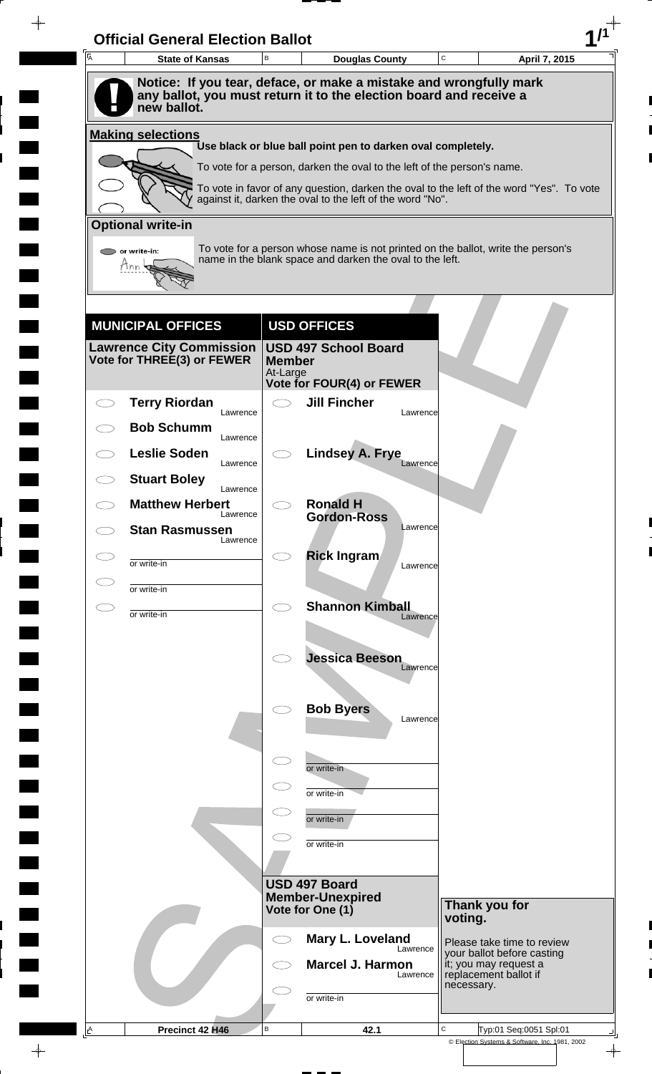| A | <b>Official General Election Ballot</b><br><b>State of Kansas</b> | B                         | <b>Douglas County</b>                                                                                                                                 | C          | April 7, 2015                                            |
|---|-------------------------------------------------------------------|---------------------------|-------------------------------------------------------------------------------------------------------------------------------------------------------|------------|----------------------------------------------------------|
|   |                                                                   |                           | Notice: If you tear, deface, or make a mistake and wrongfully mark                                                                                    |            |                                                          |
|   | new ballot.                                                       |                           | any ballot, you must return it to the election board and receive a                                                                                    |            |                                                          |
|   | <b>Making selections</b>                                          |                           | Use black or blue ball point pen to darken oval completely.                                                                                           |            |                                                          |
|   |                                                                   |                           | To vote for a person, darken the oval to the left of the person's name.                                                                               |            |                                                          |
|   |                                                                   |                           | To vote in favor of any question, darken the oval to the left of the word "Yes". To vote<br>against it, darken the oval to the left of the word "No". |            |                                                          |
|   | <b>Optional write-in</b>                                          |                           |                                                                                                                                                       |            |                                                          |
|   | $\triangleright$ or write-in:                                     |                           | To vote for a person whose name is not printed on the ballot, write the person's                                                                      |            |                                                          |
|   | Tnn                                                               |                           | name in the blank space and darken the oval to the left.                                                                                              |            |                                                          |
|   |                                                                   |                           |                                                                                                                                                       |            |                                                          |
|   |                                                                   |                           |                                                                                                                                                       |            |                                                          |
|   | <b>MUNICIPAL OFFICES</b><br><b>Lawrence City Commission</b>       |                           | <b>USD OFFICES</b><br><b>USD 497 School Board</b>                                                                                                     |            |                                                          |
|   | Vote for THREE(3) or FEWER                                        | <b>Member</b><br>At-Large |                                                                                                                                                       |            |                                                          |
|   |                                                                   |                           | Vote for FOUR(4) or FEWER                                                                                                                             |            |                                                          |
|   | <b>Terry Riordan</b><br>Lawrence                                  | $\bigcirc$                | <b>Jill Fincher</b><br>Lawrence                                                                                                                       |            |                                                          |
|   | <b>Bob Schumm</b><br>Lawrence                                     |                           |                                                                                                                                                       |            |                                                          |
|   | <b>Leslie Soden</b><br>Lawrence                                   |                           | <b>Lindsey A. Frye</b><br>Lawrence                                                                                                                    |            |                                                          |
|   | <b>Stuart Boley</b><br>Lawrence                                   |                           |                                                                                                                                                       |            |                                                          |
|   | <b>Matthew Herbert</b><br>Lawrence                                |                           | <b>Ronald H</b><br><b>Gordon-Ross</b>                                                                                                                 |            |                                                          |
|   | <b>Stan Rasmussen</b><br>Lawrence                                 |                           | Lawrence                                                                                                                                              |            |                                                          |
|   | or write-in                                                       |                           | <b>Rick Ingram</b><br>Lawrence                                                                                                                        |            |                                                          |
|   | or write-in                                                       |                           |                                                                                                                                                       |            |                                                          |
|   | or write-in                                                       | $\bigcirc$                | <b>Shannon Kimball</b><br>Lawrence                                                                                                                    |            |                                                          |
|   |                                                                   |                           |                                                                                                                                                       |            |                                                          |
|   |                                                                   |                           | <b>Jessica Beeson</b>                                                                                                                                 |            |                                                          |
|   |                                                                   |                           | Lawrence                                                                                                                                              |            |                                                          |
|   |                                                                   |                           | <b>Bob Byers</b>                                                                                                                                      |            |                                                          |
|   |                                                                   |                           | Lawrence                                                                                                                                              |            |                                                          |
|   |                                                                   | $\subset$                 |                                                                                                                                                       |            |                                                          |
|   |                                                                   |                           | or write-in                                                                                                                                           |            |                                                          |
|   |                                                                   |                           | or write-in                                                                                                                                           |            |                                                          |
|   |                                                                   |                           | or write-in                                                                                                                                           |            |                                                          |
|   |                                                                   |                           | or write-in                                                                                                                                           |            |                                                          |
|   |                                                                   |                           | USD 497 Board                                                                                                                                         |            |                                                          |
|   |                                                                   |                           | <b>Member-Unexpired</b><br>Vote for One (1)                                                                                                           |            | Thank you for                                            |
|   |                                                                   |                           |                                                                                                                                                       | voting.    |                                                          |
|   |                                                                   | ⊂⊇                        | Mary L. Loveland<br>Lawrence                                                                                                                          |            | Please take time to review<br>your ballot before casting |
|   |                                                                   |                           | <b>Marcel J. Harmon</b><br>Lawrence                                                                                                                   | necessary. | it; you may request a<br>replacement ballot if           |
|   |                                                                   |                           | or write-in                                                                                                                                           |            |                                                          |
|   |                                                                   |                           |                                                                                                                                                       |            |                                                          |

 $\blacksquare$ 

 $\frac{1}{\left\vert \psi \right\vert }%$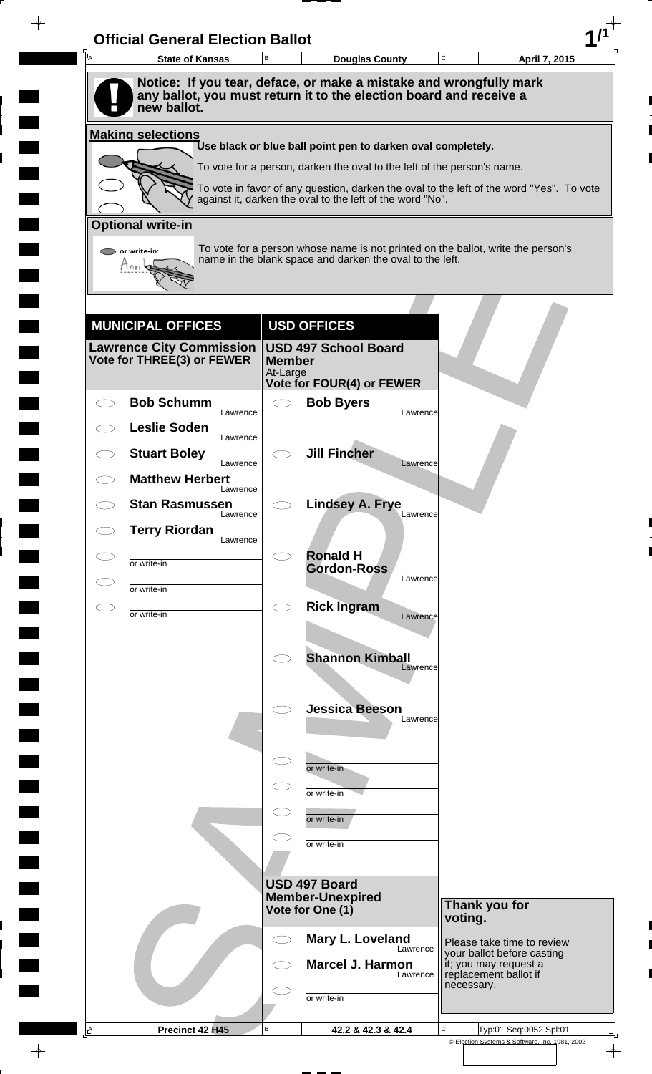| A | <b>State of Kansas</b>                                                            | B                         | <b>Douglas County</b>                                                                                                                        | $\mathbf C$ |            | April 7, 2015                                            |
|---|-----------------------------------------------------------------------------------|---------------------------|----------------------------------------------------------------------------------------------------------------------------------------------|-------------|------------|----------------------------------------------------------|
|   | Notice: If you tear, deface, or make a mistake and wrongfully mark                |                           |                                                                                                                                              |             |            |                                                          |
|   | any ballot, you must return it to the election board and receive a<br>new ballot. |                           |                                                                                                                                              |             |            |                                                          |
|   | <b>Making selections</b>                                                          |                           |                                                                                                                                              |             |            |                                                          |
|   |                                                                                   |                           | Use black or blue ball point pen to darken oval completely.<br>To vote for a person, darken the oval to the left of the person's name.       |             |            |                                                          |
|   |                                                                                   |                           | To vote in favor of any question, darken the oval to the left of the word "Yes". To vote                                                     |             |            |                                                          |
|   |                                                                                   |                           | against it, darken the oval to the left of the word "No".                                                                                    |             |            |                                                          |
|   | <b>Optional write-in</b>                                                          |                           |                                                                                                                                              |             |            |                                                          |
|   | $\triangleright$ or write-in:<br>Tnn                                              |                           | To vote for a person whose name is not printed on the ballot, write the person's<br>name in the blank space and darken the oval to the left. |             |            |                                                          |
|   |                                                                                   |                           |                                                                                                                                              |             |            |                                                          |
|   |                                                                                   |                           |                                                                                                                                              |             |            |                                                          |
|   | <b>MUNICIPAL OFFICES</b><br>Lawrence City Commission                              |                           | <b>USD OFFICES</b><br><b>USD 497 School Board</b>                                                                                            |             |            |                                                          |
|   | Vote for THREE(3) or FEWER                                                        | <b>Member</b><br>At-Large |                                                                                                                                              |             |            |                                                          |
|   |                                                                                   |                           | Vote for FOUR(4) or FEWER                                                                                                                    |             |            |                                                          |
|   | <b>Bob Schumm</b><br>Lawrence                                                     |                           | <b>Bob Byers</b>                                                                                                                             | Lawrence    |            |                                                          |
|   | <b>Leslie Soden</b><br>Lawrence                                                   |                           |                                                                                                                                              |             |            |                                                          |
|   | <b>Stuart Boley</b><br>Lawrence                                                   |                           | <b>Jill Fincher</b>                                                                                                                          | Lawrence    |            |                                                          |
|   | <b>Matthew Herbert</b><br>Lawrence                                                |                           |                                                                                                                                              |             |            |                                                          |
|   | <b>Stan Rasmussen</b><br>Lawrence                                                 |                           | <b>Lindsey A. Frye</b>                                                                                                                       | Lawrence    |            |                                                          |
|   | <b>Terry Riordan</b><br>Lawrence                                                  |                           |                                                                                                                                              |             |            |                                                          |
|   | or write-in                                                                       |                           | <b>Ronald H</b><br><b>Gordon-Ross</b>                                                                                                        |             |            |                                                          |
|   | or write-in                                                                       |                           |                                                                                                                                              | Lawrence    |            |                                                          |
|   | or write-in                                                                       | Ο                         | <b>Rick Ingram</b>                                                                                                                           | Lawrence    |            |                                                          |
|   |                                                                                   |                           |                                                                                                                                              |             |            |                                                          |
|   |                                                                                   |                           | <b>Shannon Kimball</b>                                                                                                                       | Lawrence    |            |                                                          |
|   |                                                                                   |                           |                                                                                                                                              |             |            |                                                          |
|   |                                                                                   |                           | <b>Jessica Beeson</b>                                                                                                                        | Lawrence    |            |                                                          |
|   |                                                                                   |                           |                                                                                                                                              |             |            |                                                          |
|   |                                                                                   | $\subset$                 | or write-in                                                                                                                                  |             |            |                                                          |
|   |                                                                                   |                           | or write-in                                                                                                                                  |             |            |                                                          |
|   |                                                                                   |                           | or write-in                                                                                                                                  |             |            |                                                          |
|   |                                                                                   |                           | or write-in                                                                                                                                  |             |            |                                                          |
|   |                                                                                   |                           | USD 497 Board                                                                                                                                |             |            |                                                          |
|   |                                                                                   |                           | <b>Member-Unexpired</b><br>Vote for One (1)                                                                                                  |             |            | Thank you for                                            |
|   |                                                                                   |                           | Mary L. Loveland                                                                                                                             |             | voting.    |                                                          |
|   |                                                                                   | C)                        | <b>Marcel J. Harmon</b>                                                                                                                      | Lawrence    |            | Please take time to review<br>your ballot before casting |
|   |                                                                                   |                           |                                                                                                                                              | Lawrence    | necessary. | it; you may request a<br>replacement ballot if           |
|   |                                                                                   |                           | or write-in                                                                                                                                  |             |            |                                                          |
|   |                                                                                   |                           |                                                                                                                                              |             |            |                                                          |

 $\blacksquare$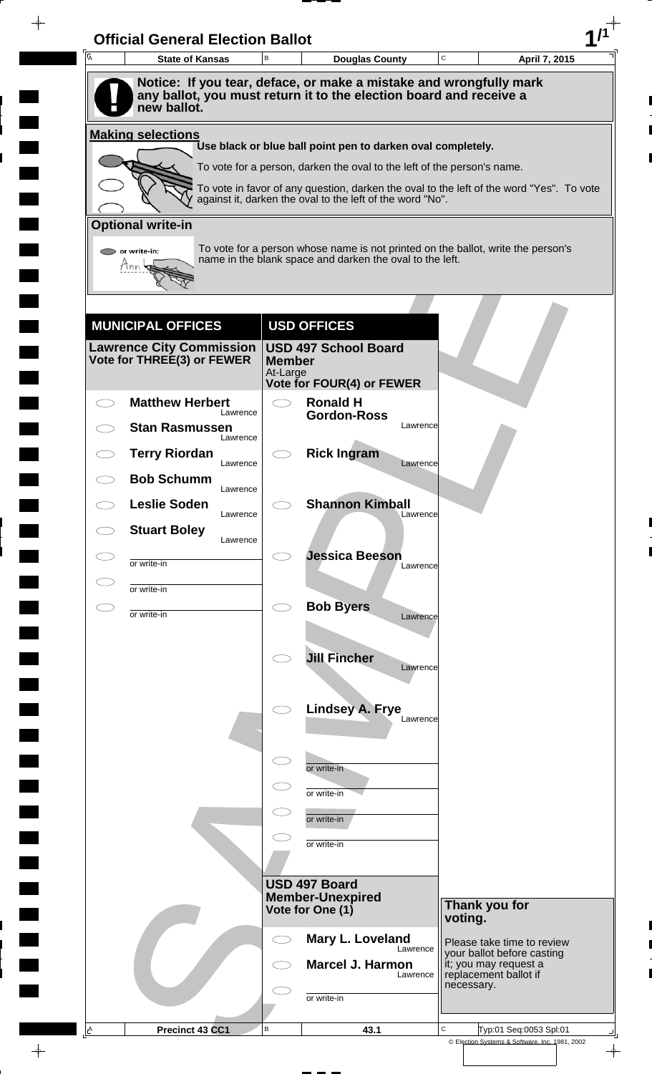| A | <b>State of Kansas</b>                                        | B             | <b>Douglas County</b>                                                                                                                        | C          | April 7, 2015                                       |
|---|---------------------------------------------------------------|---------------|----------------------------------------------------------------------------------------------------------------------------------------------|------------|-----------------------------------------------------|
|   |                                                               |               | Notice: If you tear, deface, or make a mistake and wrongfully mark                                                                           |            |                                                     |
|   | new ballot.                                                   |               | any ballot, you must return it to the election board and receive a                                                                           |            |                                                     |
|   | <b>Making selections</b>                                      |               | Use black or blue ball point pen to darken oval completely.                                                                                  |            |                                                     |
|   |                                                               |               | To vote for a person, darken the oval to the left of the person's name.                                                                      |            |                                                     |
|   |                                                               |               | To vote in favor of any question, darken the oval to the left of the word "Yes". To vote                                                     |            |                                                     |
|   |                                                               |               | against it, darken the oval to the left of the word "No".                                                                                    |            |                                                     |
|   | <b>Optional write-in</b>                                      |               |                                                                                                                                              |            |                                                     |
|   | or write-in:<br>Hnn                                           |               | To vote for a person whose name is not printed on the ballot, write the person's<br>name in the blank space and darken the oval to the left. |            |                                                     |
|   |                                                               |               |                                                                                                                                              |            |                                                     |
|   |                                                               |               |                                                                                                                                              |            |                                                     |
|   | <b>MUNICIPAL OFFICES</b>                                      |               | <b>USD OFFICES</b>                                                                                                                           |            |                                                     |
|   | <b>Lawrence City Commission</b><br>Vote for THREE(3) or FEWER | <b>Member</b> | <b>USD 497 School Board</b>                                                                                                                  |            |                                                     |
|   |                                                               | At-Large      | Vote for FOUR(4) or FEWER                                                                                                                    |            |                                                     |
|   | <b>Matthew Herbert</b><br>Lawrence                            | $\bigcirc$    | <b>Ronald H</b><br><b>Gordon-Ross</b>                                                                                                        |            |                                                     |
|   | <b>Stan Rasmussen</b><br>Lawrence                             |               | Lawrence                                                                                                                                     |            |                                                     |
|   | <b>Terry Riordan</b><br>Lawrence                              |               | <b>Rick Ingram</b><br>Lawrence                                                                                                               |            |                                                     |
|   | <b>Bob Schumm</b>                                             |               |                                                                                                                                              |            |                                                     |
|   | Lawrence<br><b>Leslie Soden</b>                               |               | <b>Shannon Kimball</b>                                                                                                                       |            |                                                     |
|   | Lawrence<br><b>Stuart Boley</b>                               |               | Lawrence                                                                                                                                     |            |                                                     |
|   | Lawrence                                                      |               | <b>Jessica Beeson</b>                                                                                                                        |            |                                                     |
|   | or write-in                                                   |               | Lawrence                                                                                                                                     |            |                                                     |
|   | or write-in                                                   | $\bigcirc$    | <b>Bob Byers</b>                                                                                                                             |            |                                                     |
|   | or write-in                                                   |               | Lawrence                                                                                                                                     |            |                                                     |
|   |                                                               |               |                                                                                                                                              |            |                                                     |
|   |                                                               |               | <b>Jill Fincher</b><br>Lawrence                                                                                                              |            |                                                     |
|   |                                                               |               |                                                                                                                                              |            |                                                     |
|   |                                                               |               | <b>Lindsey A. Frye</b><br>Lawrence                                                                                                           |            |                                                     |
|   |                                                               |               |                                                                                                                                              |            |                                                     |
|   |                                                               | $\subset$     | or write-in                                                                                                                                  |            |                                                     |
|   |                                                               | $\subset$     | or write-in                                                                                                                                  |            |                                                     |
|   |                                                               |               | or write-in                                                                                                                                  |            |                                                     |
|   |                                                               |               | or write-in                                                                                                                                  |            |                                                     |
|   |                                                               |               |                                                                                                                                              |            |                                                     |
|   |                                                               |               | USD 497 Board<br><b>Member-Unexpired</b>                                                                                                     |            |                                                     |
|   |                                                               |               | Vote for One (1)                                                                                                                             | voting.    | Thank you for                                       |
|   |                                                               |               | Mary L. Loveland                                                                                                                             |            | Please take time to review                          |
|   |                                                               |               | Lawrence<br><b>Marcel J. Harmon</b>                                                                                                          |            | your ballot before casting<br>it; you may request a |
|   |                                                               |               | Lawrence                                                                                                                                     | necessary. | replacement ballot if                               |
|   |                                                               |               | or write-in                                                                                                                                  |            |                                                     |
|   |                                                               |               |                                                                                                                                              |            |                                                     |

 $\blacksquare$ 

 $\frac{1}{\left\vert \psi \right\vert }%$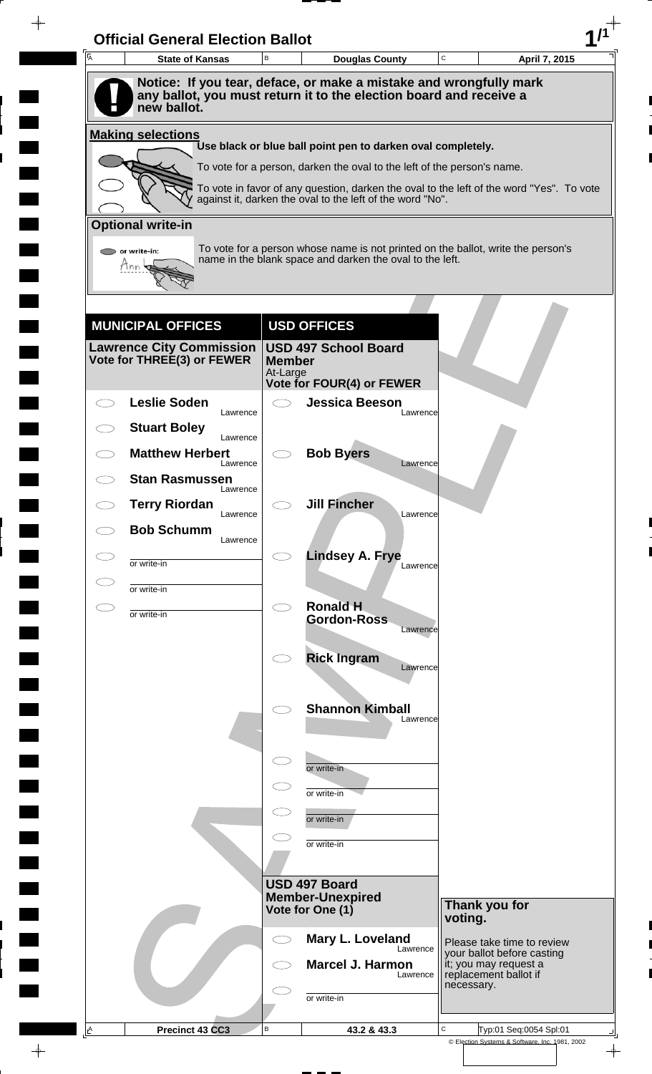| $\overline{A}$ | <b>State of Kansas</b>             | B                         | <b>Douglas County</b>                                                                                                                    | C<br>April 7, 2015                                                                       |
|----------------|------------------------------------|---------------------------|------------------------------------------------------------------------------------------------------------------------------------------|------------------------------------------------------------------------------------------|
|                | new ballot.                        |                           | Notice: If you tear, deface, or make a mistake and wrongfully mark<br>any ballot, you must return it to the election board and receive a |                                                                                          |
|                | <b>Making selections</b>           |                           |                                                                                                                                          |                                                                                          |
|                |                                    |                           | Use black or blue ball point pen to darken oval completely.                                                                              |                                                                                          |
|                |                                    |                           | To vote for a person, darken the oval to the left of the person's name.                                                                  |                                                                                          |
|                |                                    |                           | against it, darken the oval to the left of the word "No".                                                                                | To vote in favor of any question, darken the oval to the left of the word "Yes". To vote |
|                | <b>Optional write-in</b>           |                           |                                                                                                                                          |                                                                                          |
|                | or write-in:                       |                           | name in the blank space and darken the oval to the left.                                                                                 | To vote for a person whose name is not printed on the ballot, write the person's         |
|                | Tnn                                |                           |                                                                                                                                          |                                                                                          |
|                |                                    |                           |                                                                                                                                          |                                                                                          |
|                | <b>MUNICIPAL OFFICES</b>           |                           | <b>USD OFFICES</b>                                                                                                                       |                                                                                          |
|                | <b>Lawrence City Commission</b>    |                           | <b>USD 497 School Board</b>                                                                                                              |                                                                                          |
|                | Vote for THREE(3) or FEWER         | <b>Member</b><br>At-Large |                                                                                                                                          |                                                                                          |
|                | <b>Leslie Soden</b>                |                           | <b>Vote for FOUR(4) or FEWER</b><br><b>Jessica Beeson</b>                                                                                |                                                                                          |
|                | Lawrence                           |                           | Lawrence                                                                                                                                 |                                                                                          |
|                | <b>Stuart Boley</b><br>Lawrence    |                           |                                                                                                                                          |                                                                                          |
|                | <b>Matthew Herbert</b><br>Lawrence |                           | <b>Bob Byers</b><br>Lawrence                                                                                                             |                                                                                          |
|                | <b>Stan Rasmussen</b><br>Lawrence  |                           |                                                                                                                                          |                                                                                          |
|                | <b>Terry Riordan</b><br>Lawrence   |                           | <b>Jill Fincher</b><br>Lawrence                                                                                                          |                                                                                          |
|                | <b>Bob Schumm</b><br>Lawrence      |                           |                                                                                                                                          |                                                                                          |
|                | or write-in                        |                           | <b>Lindsey A. Frye</b><br>Lawrence                                                                                                       |                                                                                          |
|                | or write-in                        |                           |                                                                                                                                          |                                                                                          |
| CΞ             | or write-in                        | $\bigcirc$                | <b>Ronald H</b>                                                                                                                          |                                                                                          |
|                |                                    |                           | <b>Gordon-Ross</b><br>Lawrence                                                                                                           |                                                                                          |
|                |                                    |                           | <b>Rick Ingram</b>                                                                                                                       |                                                                                          |
|                |                                    |                           | Lawrence                                                                                                                                 |                                                                                          |
|                |                                    |                           | <b>Shannon Kimball</b>                                                                                                                   |                                                                                          |
|                |                                    |                           | Lawrence                                                                                                                                 |                                                                                          |
|                |                                    |                           |                                                                                                                                          |                                                                                          |
|                |                                    |                           | or write-in                                                                                                                              |                                                                                          |
|                |                                    |                           | or write-in                                                                                                                              |                                                                                          |
|                |                                    |                           | or write-in                                                                                                                              |                                                                                          |
|                |                                    |                           | or write-in                                                                                                                              |                                                                                          |
|                |                                    |                           | USD 497 Board                                                                                                                            |                                                                                          |
|                |                                    |                           | <b>Member-Unexpired</b>                                                                                                                  | Thank you for                                                                            |
|                |                                    |                           | Vote for One (1)                                                                                                                         | voting.                                                                                  |
|                |                                    | $\subset$ 3               | Mary L. Loveland<br>Lawrence                                                                                                             | Please take time to review<br>your ballot before casting                                 |
|                |                                    |                           | <b>Marcel J. Harmon</b><br>Lawrence                                                                                                      | it; you may request a<br>replacement ballot if                                           |
|                |                                    |                           | or write-in                                                                                                                              | necessary.                                                                               |
|                |                                    |                           |                                                                                                                                          |                                                                                          |
| $\triangle$    | Precinct 43 CC3                    | В                         | 43.2 & 43.3                                                                                                                              | C<br>Typ:01 Seq:0054 Spl:01<br>© Election Systems & Software, Inc. 1981, 2002            |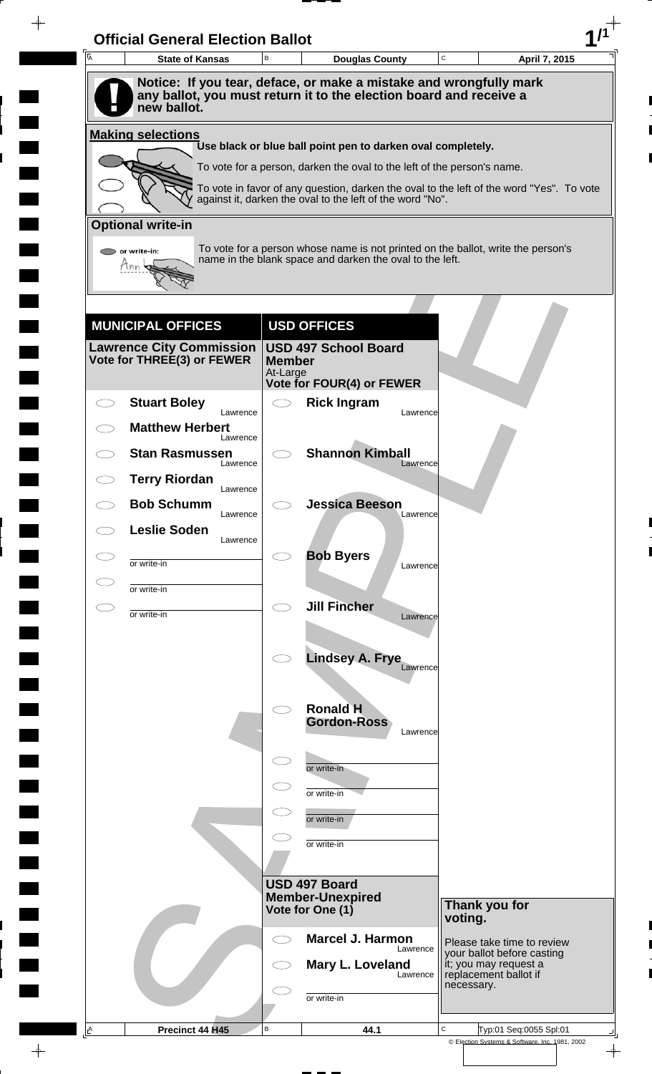| A         | <b>Official General Election Ballot</b><br><b>State of Kansas</b> | B                                  | <b>Douglas County</b>                                                                                                                                 | C       | April 7, 2015                                            |
|-----------|-------------------------------------------------------------------|------------------------------------|-------------------------------------------------------------------------------------------------------------------------------------------------------|---------|----------------------------------------------------------|
|           |                                                                   |                                    | Notice: If you tear, deface, or make a mistake and wrongfully mark                                                                                    |         |                                                          |
|           | new ballot.                                                       |                                    | any ballot, you must return it to the election board and receive a                                                                                    |         |                                                          |
|           | <b>Making selections</b>                                          |                                    | Use black or blue ball point pen to darken oval completely.                                                                                           |         |                                                          |
|           |                                                                   |                                    | To vote for a person, darken the oval to the left of the person's name.                                                                               |         |                                                          |
|           |                                                                   |                                    | To vote in favor of any question, darken the oval to the left of the word "Yes". To vote<br>against it, darken the oval to the left of the word "No". |         |                                                          |
|           | <b>Optional write-in</b>                                          |                                    |                                                                                                                                                       |         |                                                          |
|           | $\triangleright$ or write-in:                                     |                                    | To vote for a person whose name is not printed on the ballot, write the person's                                                                      |         |                                                          |
|           | Tnn                                                               |                                    | name in the blank space and darken the oval to the left.                                                                                              |         |                                                          |
|           |                                                                   |                                    |                                                                                                                                                       |         |                                                          |
|           |                                                                   |                                    |                                                                                                                                                       |         |                                                          |
|           | <b>MUNICIPAL OFFICES</b><br><b>Lawrence City Commission</b>       |                                    | <b>USD OFFICES</b><br><b>USD 497 School Board</b>                                                                                                     |         |                                                          |
|           | Vote for THREE(3) or FEWER                                        | <b>Member</b><br>At-Large          |                                                                                                                                                       |         |                                                          |
|           |                                                                   |                                    | Vote for FOUR(4) or FEWER                                                                                                                             |         |                                                          |
|           | <b>Stuart Boley</b><br>Lawrence                                   | $\bigcirc$                         | <b>Rick Ingram</b><br>Lawrence                                                                                                                        |         |                                                          |
|           | <b>Matthew Herbert</b><br>Lawrence                                |                                    |                                                                                                                                                       |         |                                                          |
|           | <b>Stan Rasmussen</b><br>Lawrence                                 |                                    | <b>Shannon Kimball</b><br>Lawrence                                                                                                                    |         |                                                          |
|           | <b>Terry Riordan</b><br>Lawrence                                  |                                    |                                                                                                                                                       |         |                                                          |
|           | <b>Bob Schumm</b><br>Lawrence                                     |                                    | <b>Jessica Beeson</b><br>Lawrence                                                                                                                     |         |                                                          |
| CD.       | <b>Leslie Soden</b><br>Lawrence                                   |                                    |                                                                                                                                                       |         |                                                          |
|           | or write-in                                                       |                                    | <b>Bob Byers</b><br>Lawrence                                                                                                                          |         |                                                          |
|           | or write-in                                                       |                                    |                                                                                                                                                       |         |                                                          |
| $\subset$ | or write-in                                                       | $\bigcirc$                         | <b>Jill Fincher</b>                                                                                                                                   |         |                                                          |
|           |                                                                   |                                    | Lawrence                                                                                                                                              |         |                                                          |
|           |                                                                   |                                    | <b>Lindsey A. Frye</b>                                                                                                                                |         |                                                          |
|           |                                                                   |                                    | Lawrence                                                                                                                                              |         |                                                          |
|           |                                                                   | $\bigcirc$                         | <b>Ronald H</b>                                                                                                                                       |         |                                                          |
|           |                                                                   |                                    | <b>Gordon-Ross</b><br>Lawrence                                                                                                                        |         |                                                          |
|           |                                                                   | $\subset$ $\overline{\phantom{a}}$ |                                                                                                                                                       |         |                                                          |
|           |                                                                   |                                    | or write-in                                                                                                                                           |         |                                                          |
|           |                                                                   |                                    | or write-in                                                                                                                                           |         |                                                          |
|           |                                                                   |                                    | or write-in                                                                                                                                           |         |                                                          |
|           |                                                                   |                                    | or write-in                                                                                                                                           |         |                                                          |
|           |                                                                   |                                    | USD 497 Board                                                                                                                                         |         |                                                          |
|           |                                                                   |                                    | <b>Member-Unexpired</b><br>Vote for One (1)                                                                                                           |         | Thank you for                                            |
|           |                                                                   |                                    |                                                                                                                                                       | voting. |                                                          |
|           |                                                                   | ⊂⊇                                 | <b>Marcel J. Harmon</b><br>Lawrence                                                                                                                   |         | Please take time to review<br>your ballot before casting |
|           |                                                                   |                                    | Mary L. Loveland<br>Lawrence                                                                                                                          |         | it; you may request a<br>replacement ballot if           |
|           |                                                                   |                                    |                                                                                                                                                       |         | necessary.                                               |
|           |                                                                   |                                    | or write-in                                                                                                                                           |         |                                                          |

 $\blacksquare$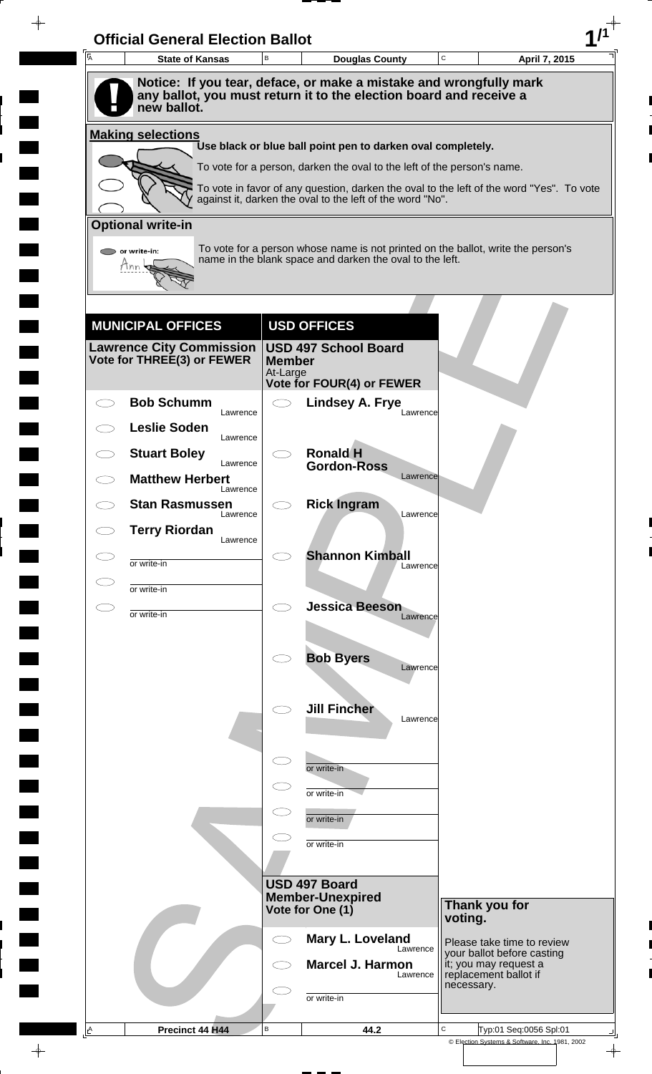| A         | <b>Official General Election Ballot</b><br><b>State of Kansas</b> | B                         | <b>Douglas County</b>                                                                                                                                 | C          | April 7, 2015                                            |
|-----------|-------------------------------------------------------------------|---------------------------|-------------------------------------------------------------------------------------------------------------------------------------------------------|------------|----------------------------------------------------------|
|           |                                                                   |                           | Notice: If you tear, deface, or make a mistake and wrongfully mark                                                                                    |            |                                                          |
|           | new ballot.                                                       |                           | any ballot, you must return it to the election board and receive a                                                                                    |            |                                                          |
|           | <b>Making selections</b>                                          |                           | Use black or blue ball point pen to darken oval completely.                                                                                           |            |                                                          |
|           |                                                                   |                           | To vote for a person, darken the oval to the left of the person's name.                                                                               |            |                                                          |
|           |                                                                   |                           | To vote in favor of any question, darken the oval to the left of the word "Yes". To vote<br>against it, darken the oval to the left of the word "No". |            |                                                          |
|           | <b>Optional write-in</b>                                          |                           |                                                                                                                                                       |            |                                                          |
|           | $\triangleright$ or write-in:                                     |                           | To vote for a person whose name is not printed on the ballot, write the person's                                                                      |            |                                                          |
|           | Tnn                                                               |                           | name in the blank space and darken the oval to the left.                                                                                              |            |                                                          |
|           |                                                                   |                           |                                                                                                                                                       |            |                                                          |
|           | <b>MUNICIPAL OFFICES</b>                                          |                           | <b>USD OFFICES</b>                                                                                                                                    |            |                                                          |
|           | <b>Lawrence City Commission</b>                                   |                           | <b>USD 497 School Board</b>                                                                                                                           |            |                                                          |
|           | Vote for THREE(3) or FEWER                                        | <b>Member</b><br>At-Large |                                                                                                                                                       |            |                                                          |
|           | <b>Bob Schumm</b>                                                 |                           | Vote for FOUR(4) or FEWER<br><b>Lindsey A. Frye</b>                                                                                                   |            |                                                          |
|           | Lawrence<br><b>Leslie Soden</b>                                   |                           | Lawrence                                                                                                                                              |            |                                                          |
|           | Lawrence<br><b>Stuart Boley</b>                                   |                           | <b>Ronald H</b>                                                                                                                                       |            |                                                          |
|           | Lawrence<br><b>Matthew Herbert</b>                                |                           | <b>Gordon-Ross</b><br>Lawrence                                                                                                                        |            |                                                          |
|           | Lawrence<br><b>Stan Rasmussen</b>                                 |                           | <b>Rick Ingram</b>                                                                                                                                    |            |                                                          |
|           | Lawrence<br><b>Terry Riordan</b>                                  |                           | Lawrence                                                                                                                                              |            |                                                          |
|           | Lawrence                                                          |                           | <b>Shannon Kimball</b>                                                                                                                                |            |                                                          |
|           | or write-in                                                       |                           | Lawrence                                                                                                                                              |            |                                                          |
| $\subset$ | or write-in<br>or write-in                                        | $\bigcirc$                | <b>Jessica Beeson</b>                                                                                                                                 |            |                                                          |
|           |                                                                   |                           | Lawrence                                                                                                                                              |            |                                                          |
|           |                                                                   |                           | <b>Bob Byers</b><br>Lawrence                                                                                                                          |            |                                                          |
|           |                                                                   |                           |                                                                                                                                                       |            |                                                          |
|           |                                                                   |                           | <b>Jill Fincher</b><br>Lawrence                                                                                                                       |            |                                                          |
|           |                                                                   |                           |                                                                                                                                                       |            |                                                          |
|           |                                                                   | $\subset$                 | or write-in                                                                                                                                           |            |                                                          |
|           |                                                                   |                           | or write-in                                                                                                                                           |            |                                                          |
|           |                                                                   |                           | or write-in                                                                                                                                           |            |                                                          |
|           |                                                                   |                           | or write-in                                                                                                                                           |            |                                                          |
|           |                                                                   |                           |                                                                                                                                                       |            |                                                          |
|           |                                                                   |                           | USD 497 Board<br><b>Member-Unexpired</b>                                                                                                              |            |                                                          |
|           |                                                                   |                           | Vote for One (1)                                                                                                                                      | voting.    | Thank you for                                            |
|           |                                                                   | CD                        | Mary L. Loveland<br>Lawrence                                                                                                                          |            | Please take time to review<br>your ballot before casting |
|           |                                                                   |                           | <b>Marcel J. Harmon</b><br>Lawrence                                                                                                                   |            | it; you may request a<br>replacement ballot if           |
|           |                                                                   |                           | or write-in                                                                                                                                           | necessary. |                                                          |
|           |                                                                   |                           |                                                                                                                                                       |            |                                                          |

 $\blacksquare$ 

 $\frac{1}{\sqrt{2\pi}}$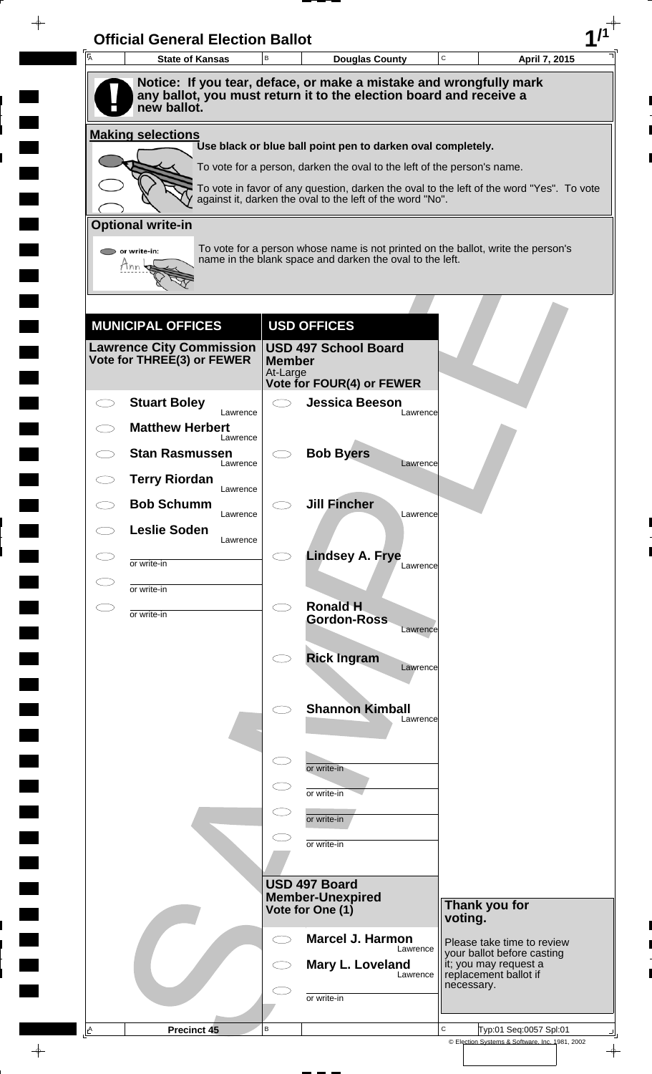| A | <b>State of Kansas</b>                                        | B             | <b>Douglas County</b>                                                                                                                        | $\mathbf C$ | April 7, 2015                                                                |
|---|---------------------------------------------------------------|---------------|----------------------------------------------------------------------------------------------------------------------------------------------|-------------|------------------------------------------------------------------------------|
|   |                                                               |               | Notice: If you tear, deface, or make a mistake and wrongfully mark                                                                           |             |                                                                              |
|   | new ballot.                                                   |               | any ballot, you must return it to the election board and receive a                                                                           |             |                                                                              |
|   | <b>Making selections</b>                                      |               |                                                                                                                                              |             |                                                                              |
|   |                                                               |               | Use black or blue ball point pen to darken oval completely.<br>To vote for a person, darken the oval to the left of the person's name.       |             |                                                                              |
|   |                                                               |               | To vote in favor of any question, darken the oval to the left of the word "Yes". To vote                                                     |             |                                                                              |
|   |                                                               |               | against it, darken the oval to the left of the word "No".                                                                                    |             |                                                                              |
|   | <b>Optional write-in</b>                                      |               |                                                                                                                                              |             |                                                                              |
|   | or write-in:                                                  |               | To vote for a person whose name is not printed on the ballot, write the person's<br>name in the blank space and darken the oval to the left. |             |                                                                              |
|   |                                                               |               |                                                                                                                                              |             |                                                                              |
|   |                                                               |               |                                                                                                                                              |             |                                                                              |
|   | <b>MUNICIPAL OFFICES</b>                                      |               | <b>USD OFFICES</b>                                                                                                                           |             |                                                                              |
|   | <b>Lawrence City Commission</b><br>Vote for THREE(3) or FEWER | <b>Member</b> | <b>USD 497 School Board</b>                                                                                                                  |             |                                                                              |
|   |                                                               | At-Large      | <b>Vote for FOUR(4) or FEWER</b>                                                                                                             |             |                                                                              |
|   | <b>Stuart Boley</b>                                           |               | <b>Jessica Beeson</b>                                                                                                                        |             |                                                                              |
|   | Lawrence<br><b>Matthew Herbert</b>                            |               | Lawrence                                                                                                                                     |             |                                                                              |
|   | Lawrence<br><b>Stan Rasmussen</b>                             |               | <b>Bob Byers</b>                                                                                                                             |             |                                                                              |
|   | Lawrence<br><b>Terry Riordan</b>                              |               | Lawrence                                                                                                                                     |             |                                                                              |
|   | Lawrence<br><b>Bob Schumm</b>                                 |               | <b>Jill Fincher</b>                                                                                                                          |             |                                                                              |
|   | Lawrence<br><b>Leslie Soden</b>                               |               | Lawrence                                                                                                                                     |             |                                                                              |
|   | Lawrence                                                      |               | <b>Lindsey A. Frye</b>                                                                                                                       |             |                                                                              |
|   | or write-in                                                   |               | Lawrence                                                                                                                                     |             |                                                                              |
|   | or write-in                                                   | $\bigcirc$    | <b>Ronald H</b>                                                                                                                              |             |                                                                              |
|   | or write-in                                                   |               | <b>Gordon-Ross</b><br>Lawrence                                                                                                               |             |                                                                              |
|   |                                                               |               | <b>Rick Ingram</b>                                                                                                                           |             |                                                                              |
|   |                                                               |               | Lawrence                                                                                                                                     |             |                                                                              |
|   |                                                               |               |                                                                                                                                              |             |                                                                              |
|   |                                                               |               | <b>Shannon Kimball</b><br>Lawrence                                                                                                           |             |                                                                              |
|   |                                                               |               |                                                                                                                                              |             |                                                                              |
|   |                                                               | $\subset$ .   | or write-in                                                                                                                                  |             |                                                                              |
|   |                                                               |               | or write-in                                                                                                                                  |             |                                                                              |
|   |                                                               |               | or write-in                                                                                                                                  |             |                                                                              |
|   |                                                               |               | or write-in                                                                                                                                  |             |                                                                              |
|   |                                                               |               |                                                                                                                                              |             |                                                                              |
|   |                                                               |               | <b>USD 497 Board</b><br><b>Member-Unexpired</b>                                                                                              |             |                                                                              |
|   |                                                               |               | Vote for One (1)                                                                                                                             | voting.     | Thank you for                                                                |
|   |                                                               | $\bigcirc$    | <b>Marcel J. Harmon</b><br>Lawrence                                                                                                          |             | Please take time to review                                                   |
|   |                                                               |               | Mary L. Loveland<br>Lawrence                                                                                                                 |             | your ballot before casting<br>it; you may request a<br>replacement ballot if |
|   |                                                               |               | or write-in                                                                                                                                  | necessary.  |                                                                              |
|   |                                                               |               |                                                                                                                                              |             |                                                                              |

 $\blacksquare$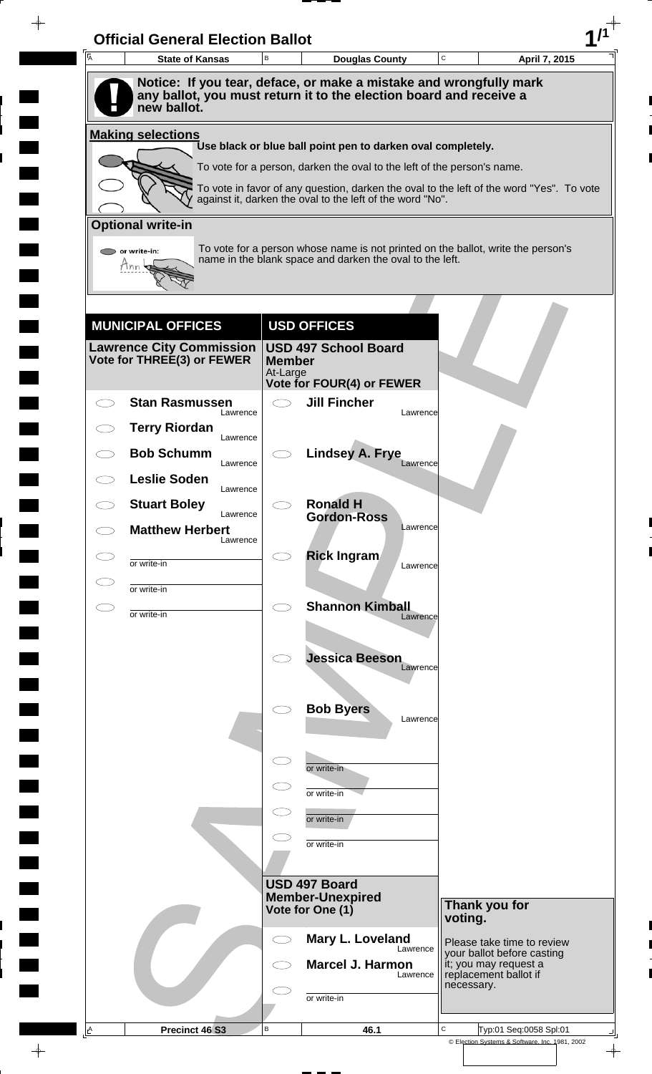| 一<br>人 | <b>State of Kansas</b>                                                                                                                                  | $\,$ B        | <b>Douglas County</b>                                                                                                                                               |          | C             | April 7, 2015                                            |
|--------|---------------------------------------------------------------------------------------------------------------------------------------------------------|---------------|---------------------------------------------------------------------------------------------------------------------------------------------------------------------|----------|---------------|----------------------------------------------------------|
|        | Notice: If you tear, deface, or make a mistake and wrongfully mark<br>any ballot, you must return it to the election board and receive a<br>new ballot. |               |                                                                                                                                                                     |          |               |                                                          |
|        | <b>Making selections</b>                                                                                                                                |               |                                                                                                                                                                     |          |               |                                                          |
|        |                                                                                                                                                         |               | Use black or blue ball point pen to darken oval completely.                                                                                                         |          |               |                                                          |
|        |                                                                                                                                                         |               | To vote for a person, darken the oval to the left of the person's name.<br>To vote in favor of any question, darken the oval to the left of the word "Yes". To vote |          |               |                                                          |
|        |                                                                                                                                                         |               | against it, darken the oval to the left of the word "No".                                                                                                           |          |               |                                                          |
|        | <b>Optional write-in</b>                                                                                                                                |               |                                                                                                                                                                     |          |               |                                                          |
|        | or write-in:                                                                                                                                            |               | To vote for a person whose name is not printed on the ballot, write the person's<br>name in the blank space and darken the oval to the left.                        |          |               |                                                          |
|        |                                                                                                                                                         |               |                                                                                                                                                                     |          |               |                                                          |
|        |                                                                                                                                                         |               |                                                                                                                                                                     |          |               |                                                          |
|        | <b>MUNICIPAL OFFICES</b>                                                                                                                                |               | <b>USD OFFICES</b>                                                                                                                                                  |          |               |                                                          |
|        | <b>Lawrence City Commission</b><br>Vote for THREE(3) or FEWER                                                                                           | <b>Member</b> | <b>USD 497 School Board</b>                                                                                                                                         |          |               |                                                          |
|        |                                                                                                                                                         | At-Large      | Vote for FOUR(4) or FEWER                                                                                                                                           |          |               |                                                          |
|        | <b>Stan Rasmussen</b><br>Lawrence                                                                                                                       | $\bigcirc$    | <b>Jill Fincher</b>                                                                                                                                                 | Lawrence |               |                                                          |
|        | <b>Terry Riordan</b><br>Lawrence                                                                                                                        |               |                                                                                                                                                                     |          |               |                                                          |
|        | <b>Bob Schumm</b><br>Lawrence                                                                                                                           |               | <b>Lindsey A. Frye</b>                                                                                                                                              | Lawrence |               |                                                          |
|        | <b>Leslie Soden</b><br>Lawrence                                                                                                                         |               |                                                                                                                                                                     |          |               |                                                          |
|        | <b>Stuart Boley</b>                                                                                                                                     |               | <b>Ronald H</b>                                                                                                                                                     |          |               |                                                          |
|        | Lawrence<br><b>Matthew Herbert</b>                                                                                                                      |               | <b>Gordon-Ross</b>                                                                                                                                                  | Lawrence |               |                                                          |
|        | Lawrence                                                                                                                                                | σ             | <b>Rick Ingram</b>                                                                                                                                                  |          |               |                                                          |
|        | or write-in                                                                                                                                             |               |                                                                                                                                                                     | Lawrence |               |                                                          |
|        | or write-in                                                                                                                                             | $\bigcirc$    | <b>Shannon Kimball</b>                                                                                                                                              |          |               |                                                          |
|        | or write-in                                                                                                                                             |               |                                                                                                                                                                     | Lawrence |               |                                                          |
|        |                                                                                                                                                         |               | <b>Jessica Beeson</b>                                                                                                                                               |          |               |                                                          |
|        |                                                                                                                                                         |               |                                                                                                                                                                     | Lawrence |               |                                                          |
|        |                                                                                                                                                         |               | <b>Bob Byers</b>                                                                                                                                                    |          |               |                                                          |
|        |                                                                                                                                                         |               |                                                                                                                                                                     | Lawrence |               |                                                          |
|        |                                                                                                                                                         | $\subset$     |                                                                                                                                                                     |          |               |                                                          |
|        |                                                                                                                                                         |               | or write-in                                                                                                                                                         |          |               |                                                          |
|        |                                                                                                                                                         |               | or write-in                                                                                                                                                         |          |               |                                                          |
|        |                                                                                                                                                         |               | or write-in                                                                                                                                                         |          |               |                                                          |
|        |                                                                                                                                                         |               | or write-in                                                                                                                                                         |          |               |                                                          |
|        |                                                                                                                                                         |               | USD 497 Board                                                                                                                                                       |          |               |                                                          |
|        |                                                                                                                                                         |               | <b>Member-Unexpired</b><br>Vote for One (1)                                                                                                                         |          | Thank you for |                                                          |
|        |                                                                                                                                                         |               |                                                                                                                                                                     |          | voting.       |                                                          |
|        |                                                                                                                                                         | $\bigcirc$    | Mary L. Loveland                                                                                                                                                    | Lawrence |               | Please take time to review<br>your ballot before casting |
|        |                                                                                                                                                         |               | Marcel J. Harmon                                                                                                                                                    | Lawrence |               | it; you may request a<br>replacement ballot if           |
|        |                                                                                                                                                         |               | or write-in                                                                                                                                                         |          | necessary.    |                                                          |
|        |                                                                                                                                                         |               |                                                                                                                                                                     |          |               |                                                          |

 $\blacksquare$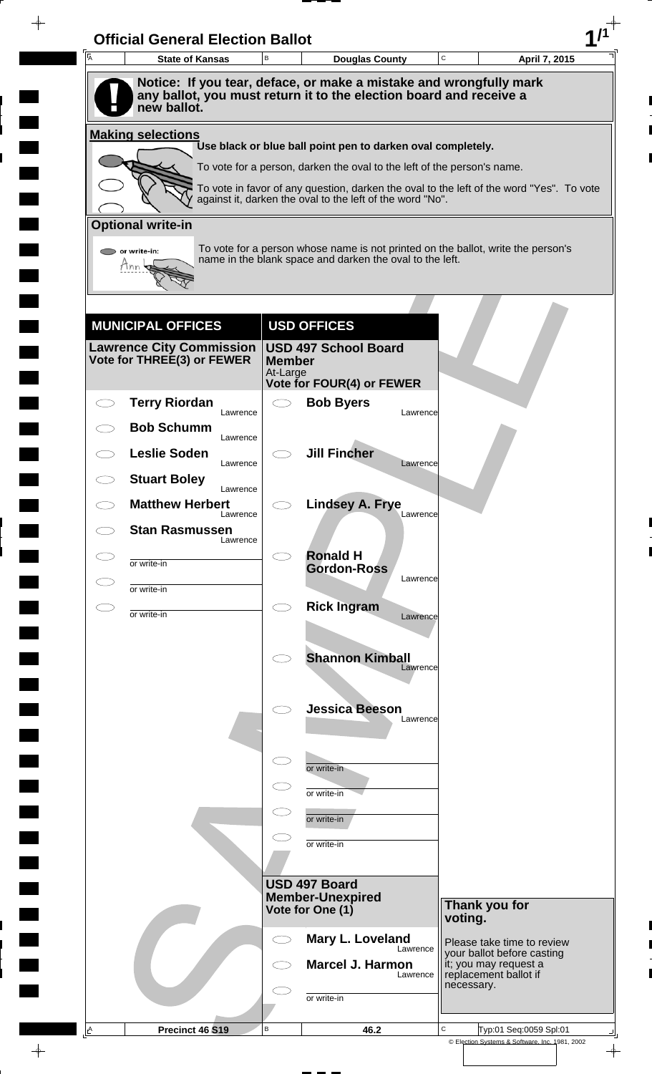| A | <b>Official General Election Ballot</b><br><b>State of Kansas</b>                 | B                         | <b>Douglas County</b>                                                                                                                                 | C          | April 7, 2015                                            |
|---|-----------------------------------------------------------------------------------|---------------------------|-------------------------------------------------------------------------------------------------------------------------------------------------------|------------|----------------------------------------------------------|
|   | Notice: If you tear, deface, or make a mistake and wrongfully mark                |                           |                                                                                                                                                       |            |                                                          |
|   | any ballot, you must return it to the election board and receive a<br>new ballot. |                           |                                                                                                                                                       |            |                                                          |
|   | <b>Making selections</b>                                                          |                           | Use black or blue ball point pen to darken oval completely.                                                                                           |            |                                                          |
|   |                                                                                   |                           | To vote for a person, darken the oval to the left of the person's name.                                                                               |            |                                                          |
|   |                                                                                   |                           | To vote in favor of any question, darken the oval to the left of the word "Yes". To vote<br>against it, darken the oval to the left of the word "No". |            |                                                          |
|   | <b>Optional write-in</b>                                                          |                           |                                                                                                                                                       |            |                                                          |
|   | $\triangleright$ or write-in:                                                     |                           | To vote for a person whose name is not printed on the ballot, write the person's                                                                      |            |                                                          |
|   | Tnn                                                                               |                           | name in the blank space and darken the oval to the left.                                                                                              |            |                                                          |
|   |                                                                                   |                           |                                                                                                                                                       |            |                                                          |
|   | <b>MUNICIPAL OFFICES</b>                                                          |                           | <b>USD OFFICES</b>                                                                                                                                    |            |                                                          |
|   | <b>Lawrence City Commission</b>                                                   |                           | <b>USD 497 School Board</b>                                                                                                                           |            |                                                          |
|   | Vote for THREE(3) or FEWER                                                        | <b>Member</b><br>At-Large |                                                                                                                                                       |            |                                                          |
|   |                                                                                   |                           | Vote for FOUR(4) or FEWER                                                                                                                             |            |                                                          |
|   | <b>Terry Riordan</b><br>Lawrence                                                  | $\bigcirc$                | <b>Bob Byers</b>                                                                                                                                      | Lawrence   |                                                          |
|   | <b>Bob Schumm</b><br>Lawrence                                                     |                           |                                                                                                                                                       |            |                                                          |
|   | <b>Leslie Soden</b><br>Lawrence                                                   |                           | <b>Jill Fincher</b>                                                                                                                                   | Lawrence   |                                                          |
|   | <b>Stuart Boley</b><br>Lawrence                                                   |                           |                                                                                                                                                       |            |                                                          |
|   | <b>Matthew Herbert</b><br>Lawrence                                                |                           | <b>Lindsey A. Frye</b>                                                                                                                                | Lawrence   |                                                          |
|   | <b>Stan Rasmussen</b><br>Lawrence                                                 |                           |                                                                                                                                                       |            |                                                          |
|   | or write-in                                                                       | σ                         | <b>Ronald H</b>                                                                                                                                       |            |                                                          |
|   | or write-in                                                                       |                           | <b>Gordon-Ross</b>                                                                                                                                    | Lawrence   |                                                          |
|   | or write-in                                                                       | $\bigcirc$                | <b>Rick Ingram</b>                                                                                                                                    | Lawrence   |                                                          |
|   |                                                                                   |                           |                                                                                                                                                       |            |                                                          |
|   |                                                                                   |                           | <b>Shannon Kimball</b>                                                                                                                                |            |                                                          |
|   |                                                                                   |                           |                                                                                                                                                       | Lawrence   |                                                          |
|   |                                                                                   |                           | <b>Jessica Beeson</b>                                                                                                                                 |            |                                                          |
|   |                                                                                   |                           |                                                                                                                                                       | Lawrence   |                                                          |
|   |                                                                                   | $\subset$                 |                                                                                                                                                       |            |                                                          |
|   |                                                                                   |                           | or write-in                                                                                                                                           |            |                                                          |
|   |                                                                                   |                           | or write-in                                                                                                                                           |            |                                                          |
|   |                                                                                   |                           | or write-in                                                                                                                                           |            |                                                          |
|   |                                                                                   |                           | or write-in                                                                                                                                           |            |                                                          |
|   |                                                                                   |                           | USD 497 Board                                                                                                                                         |            |                                                          |
|   |                                                                                   |                           | <b>Member-Unexpired</b><br>Vote for One (1)                                                                                                           |            | Thank you for                                            |
|   |                                                                                   |                           |                                                                                                                                                       | voting.    |                                                          |
|   |                                                                                   | CD                        | Mary L. Loveland                                                                                                                                      | Lawrence   | Please take time to review<br>your ballot before casting |
|   |                                                                                   |                           | <b>Marcel J. Harmon</b>                                                                                                                               | Lawrence   | it; you may request a<br>replacement ballot if           |
|   |                                                                                   |                           |                                                                                                                                                       | necessary. |                                                          |
|   |                                                                                   |                           | or write-in                                                                                                                                           |            |                                                          |

 $\blacksquare$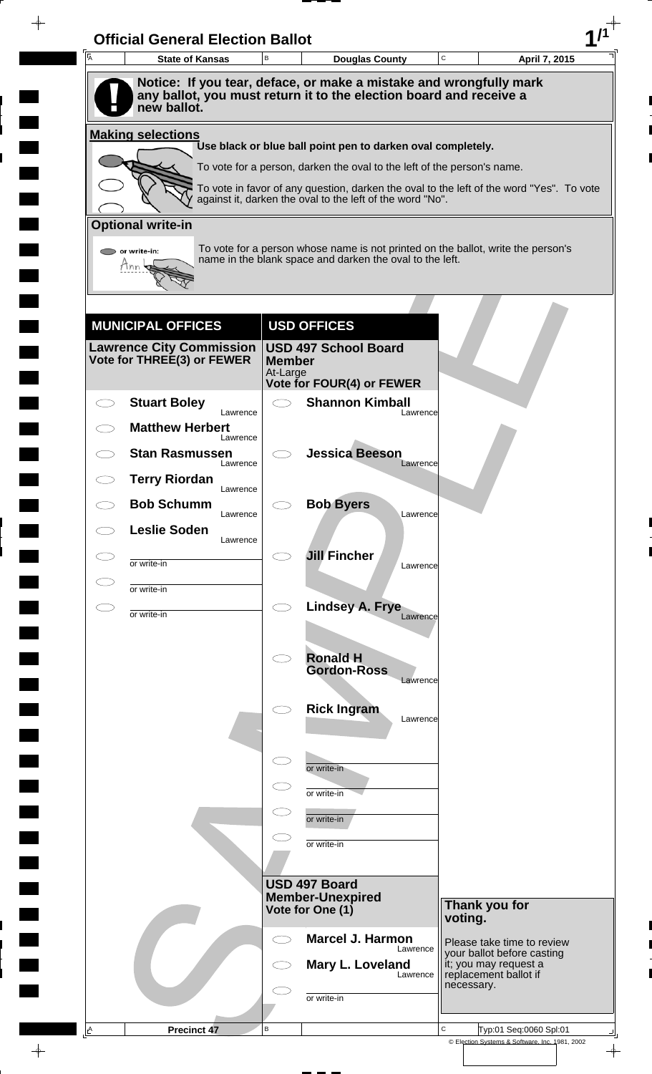| A         | <b>State of Kansas</b>             | $\,$ B                    | <b>Douglas County</b>                                                                                                                                               | $\mathbf C$ | April 7, 2015                                            |
|-----------|------------------------------------|---------------------------|---------------------------------------------------------------------------------------------------------------------------------------------------------------------|-------------|----------------------------------------------------------|
|           | new ballot.                        |                           | Notice: If you tear, deface, or make a mistake and wrongfully mark<br>any ballot, you must return it to the election board and receive a                            |             |                                                          |
|           | <b>Making selections</b>           |                           |                                                                                                                                                                     |             |                                                          |
|           |                                    |                           | Use black or blue ball point pen to darken oval completely.                                                                                                         |             |                                                          |
|           |                                    |                           | To vote for a person, darken the oval to the left of the person's name.<br>To vote in favor of any question, darken the oval to the left of the word "Yes". To vote |             |                                                          |
|           |                                    |                           | against it, darken the oval to the left of the word "No".                                                                                                           |             |                                                          |
|           | <b>Optional write-in</b>           |                           |                                                                                                                                                                     |             |                                                          |
|           | or write-in:                       |                           | To vote for a person whose name is not printed on the ballot, write the person's<br>name in the blank space and darken the oval to the left.                        |             |                                                          |
|           |                                    |                           |                                                                                                                                                                     |             |                                                          |
|           | <b>MUNICIPAL OFFICES</b>           |                           | <b>USD OFFICES</b>                                                                                                                                                  |             |                                                          |
|           | <b>Lawrence City Commission</b>    |                           | <b>USD 497 School Board</b>                                                                                                                                         |             |                                                          |
|           | Vote for THREE(3) or FEWER         | <b>Member</b><br>At-Large |                                                                                                                                                                     |             |                                                          |
|           | <b>Stuart Boley</b>                | $\bigcirc$                | Vote for FOUR(4) or FEWER<br><b>Shannon Kimball</b>                                                                                                                 |             |                                                          |
|           | Lawrence<br><b>Matthew Herbert</b> |                           | Lawrence                                                                                                                                                            |             |                                                          |
|           | Lawrence<br><b>Stan Rasmussen</b>  |                           | <b>Jessica Beeson</b>                                                                                                                                               |             |                                                          |
|           | Lawrence<br><b>Terry Riordan</b>   |                           | Lawrence                                                                                                                                                            |             |                                                          |
|           | Lawrence<br><b>Bob Schumm</b>      |                           | <b>Bob Byers</b>                                                                                                                                                    |             |                                                          |
|           | Lawrence<br><b>Leslie Soden</b>    |                           | Lawrence                                                                                                                                                            |             |                                                          |
|           | Lawrence<br>or write-in            |                           | <b>Jill Fincher</b>                                                                                                                                                 |             |                                                          |
|           | or write-in                        |                           | Lawrence                                                                                                                                                            |             |                                                          |
| $\subset$ | or write-in                        | $\bigcirc$                | Lindsey A. Frye<br>Lawrence                                                                                                                                         |             |                                                          |
|           |                                    |                           |                                                                                                                                                                     |             |                                                          |
|           |                                    | $\bigcirc$                | <b>Ronald H</b><br><b>Gordon-Ross</b>                                                                                                                               |             |                                                          |
|           |                                    |                           | Lawrence                                                                                                                                                            |             |                                                          |
|           |                                    |                           | <b>Rick Ingram</b><br>Lawrence                                                                                                                                      |             |                                                          |
|           |                                    |                           |                                                                                                                                                                     |             |                                                          |
|           |                                    | $\subset$                 | or write-in                                                                                                                                                         |             |                                                          |
|           |                                    |                           | or write-in                                                                                                                                                         |             |                                                          |
|           |                                    | $\subset$                 | or write-in                                                                                                                                                         |             |                                                          |
|           |                                    |                           | or write-in                                                                                                                                                         |             |                                                          |
|           |                                    |                           |                                                                                                                                                                     |             |                                                          |
|           |                                    |                           | USD 497 Board<br><b>Member-Unexpired</b><br>Vote for One (1)                                                                                                        |             | Thank you for                                            |
|           |                                    |                           |                                                                                                                                                                     | voting.     |                                                          |
|           |                                    | $\bigcirc$                | <b>Marcel J. Harmon</b><br>Lawrence                                                                                                                                 |             | Please take time to review<br>your ballot before casting |
|           |                                    |                           | Mary L. Loveland<br>Lawrence                                                                                                                                        | necessary.  | it; you may request a<br>replacement ballot if           |
|           |                                    |                           | or write-in                                                                                                                                                         |             |                                                          |
|           |                                    |                           |                                                                                                                                                                     |             |                                                          |

 $\blacksquare$ 

 $\qquad \qquad \blacksquare$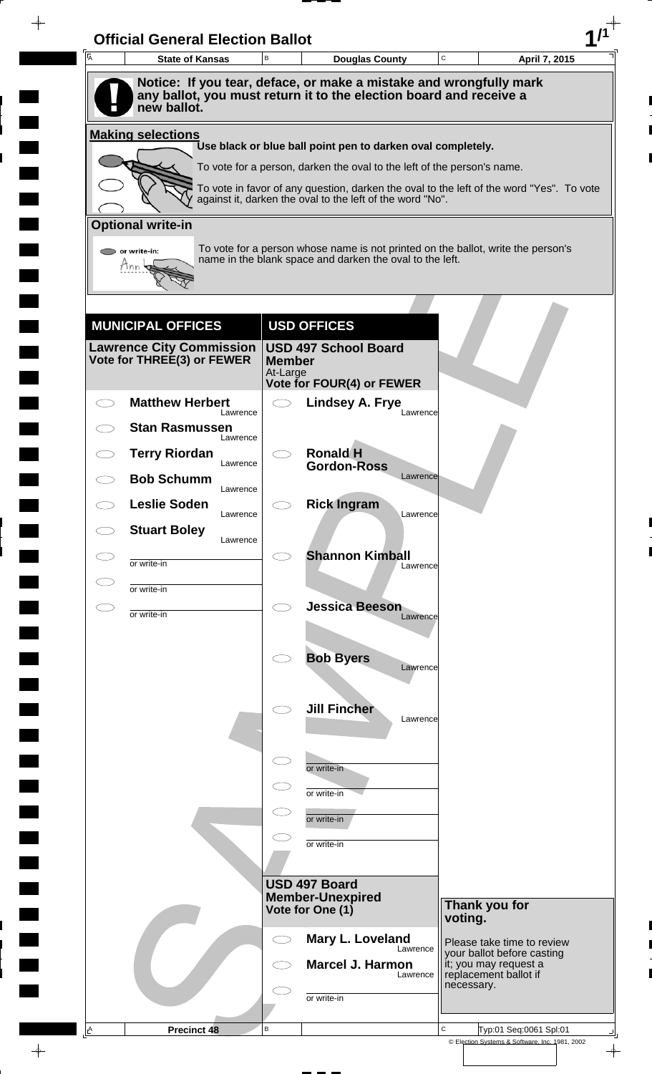| A | <b>State of Kansas</b>                                        | B                         | <b>Douglas County</b>                                                                                                                                 | C          | April 7, 2015                                                                |
|---|---------------------------------------------------------------|---------------------------|-------------------------------------------------------------------------------------------------------------------------------------------------------|------------|------------------------------------------------------------------------------|
|   |                                                               |                           | Notice: If you tear, deface, or make a mistake and wrongfully mark                                                                                    |            |                                                                              |
|   | new ballot.                                                   |                           | any ballot, you must return it to the election board and receive a                                                                                    |            |                                                                              |
|   | <b>Making selections</b>                                      |                           | Use black or blue ball point pen to darken oval completely.                                                                                           |            |                                                                              |
|   |                                                               |                           | To vote for a person, darken the oval to the left of the person's name.                                                                               |            |                                                                              |
|   |                                                               |                           | To vote in favor of any question, darken the oval to the left of the word "Yes". To vote<br>against it, darken the oval to the left of the word "No". |            |                                                                              |
|   |                                                               |                           |                                                                                                                                                       |            |                                                                              |
|   | <b>Optional write-in</b>                                      |                           | To vote for a person whose name is not printed on the ballot, write the person's                                                                      |            |                                                                              |
|   | or write-in:<br>Mnn                                           |                           | name in the blank space and darken the oval to the left.                                                                                              |            |                                                                              |
|   |                                                               |                           |                                                                                                                                                       |            |                                                                              |
|   | <b>MUNICIPAL OFFICES</b>                                      |                           | <b>USD OFFICES</b>                                                                                                                                    |            |                                                                              |
|   | <b>Lawrence City Commission</b><br>Vote for THREE(3) or FEWER | <b>Member</b><br>At-Large | <b>USD 497 School Board</b>                                                                                                                           |            |                                                                              |
|   |                                                               |                           | Vote for FOUR(4) or FEWER                                                                                                                             |            |                                                                              |
|   | <b>Matthew Herbert</b><br>Lawrence                            | $\bigcirc$                | <b>Lindsey A. Frye</b><br>Lawrence                                                                                                                    |            |                                                                              |
|   | <b>Stan Rasmussen</b><br>Lawrence                             |                           |                                                                                                                                                       |            |                                                                              |
|   | <b>Terry Riordan</b><br>Lawrence                              |                           | <b>Ronald H</b><br><b>Gordon-Ross</b>                                                                                                                 |            |                                                                              |
|   | <b>Bob Schumm</b><br>Lawrence                                 |                           | Lawrence                                                                                                                                              |            |                                                                              |
|   | <b>Leslie Soden</b><br>Lawrence                               |                           | <b>Rick Ingram</b><br>Lawrence                                                                                                                        |            |                                                                              |
|   | <b>Stuart Boley</b><br>Lawrence                               |                           |                                                                                                                                                       |            |                                                                              |
|   | or write-in                                                   |                           | <b>Shannon Kimball</b>                                                                                                                                |            |                                                                              |
|   | or write-in                                                   |                           | Lawrence                                                                                                                                              |            |                                                                              |
|   |                                                               | $\bigcirc$                | <b>Jessica Beeson</b>                                                                                                                                 |            |                                                                              |
|   | or write-in                                                   |                           | Lawrence                                                                                                                                              |            |                                                                              |
|   |                                                               |                           | <b>Bob Byers</b>                                                                                                                                      |            |                                                                              |
|   |                                                               |                           | Lawrence                                                                                                                                              |            |                                                                              |
|   |                                                               |                           | <b>Jill Fincher</b>                                                                                                                                   |            |                                                                              |
|   |                                                               |                           | Lawrence                                                                                                                                              |            |                                                                              |
|   |                                                               |                           |                                                                                                                                                       |            |                                                                              |
|   |                                                               | $\subset$                 | or write-in                                                                                                                                           |            |                                                                              |
|   |                                                               | $\subset$                 | or write-in                                                                                                                                           |            |                                                                              |
|   |                                                               |                           | or write-in                                                                                                                                           |            |                                                                              |
|   |                                                               |                           | or write-in                                                                                                                                           |            |                                                                              |
|   |                                                               |                           |                                                                                                                                                       |            |                                                                              |
|   |                                                               |                           | <b>USD 497 Board</b><br><b>Member-Unexpired</b>                                                                                                       |            |                                                                              |
|   |                                                               |                           | Vote for One (1)                                                                                                                                      | voting.    | Thank you for                                                                |
|   |                                                               |                           | Mary L. Loveland<br>Lawrence                                                                                                                          |            | Please take time to review                                                   |
|   |                                                               |                           | <b>Marcel J. Harmon</b><br>Lawrence                                                                                                                   |            | your ballot before casting<br>it; you may request a<br>replacement ballot if |
|   |                                                               |                           |                                                                                                                                                       | necessary. |                                                                              |
|   |                                                               |                           | or write-in                                                                                                                                           |            |                                                                              |

 $\blacksquare$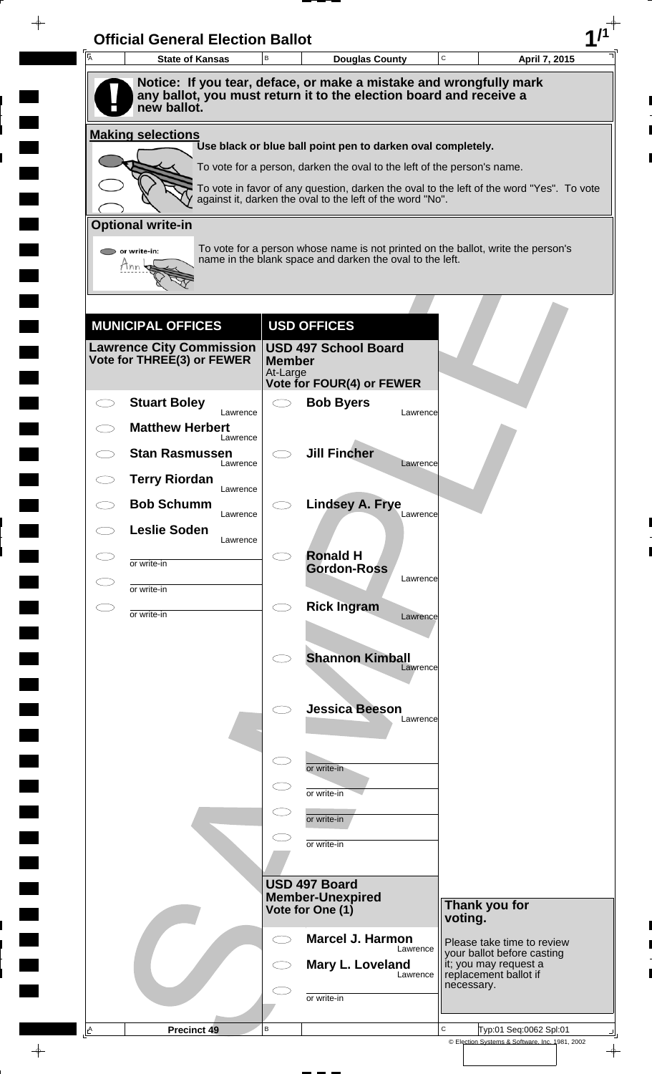| A         | <b>State of Kansas</b>                                                                                                                   | B                         | <b>Douglas County</b>                                                                    |          | C          | April 7, 2015                                            |
|-----------|------------------------------------------------------------------------------------------------------------------------------------------|---------------------------|------------------------------------------------------------------------------------------|----------|------------|----------------------------------------------------------|
|           | Notice: If you tear, deface, or make a mistake and wrongfully mark<br>any ballot, you must return it to the election board and receive a |                           |                                                                                          |          |            |                                                          |
|           | new ballot.                                                                                                                              |                           |                                                                                          |          |            |                                                          |
|           | <b>Making selections</b>                                                                                                                 |                           | Use black or blue ball point pen to darken oval completely.                              |          |            |                                                          |
|           |                                                                                                                                          |                           | To vote for a person, darken the oval to the left of the person's name.                  |          |            |                                                          |
|           |                                                                                                                                          |                           | To vote in favor of any question, darken the oval to the left of the word "Yes". To vote |          |            |                                                          |
|           | <b>Optional write-in</b>                                                                                                                 |                           | against it, darken the oval to the left of the word "No".                                |          |            |                                                          |
|           | $\triangleright$ or write-in:                                                                                                            |                           | To vote for a person whose name is not printed on the ballot, write the person's         |          |            |                                                          |
|           | Tnn                                                                                                                                      |                           | name in the blank space and darken the oval to the left.                                 |          |            |                                                          |
|           |                                                                                                                                          |                           |                                                                                          |          |            |                                                          |
|           | <b>MUNICIPAL OFFICES</b>                                                                                                                 |                           | <b>USD OFFICES</b>                                                                       |          |            |                                                          |
|           | <b>Lawrence City Commission</b>                                                                                                          |                           | <b>USD 497 School Board</b>                                                              |          |            |                                                          |
|           | Vote for THREE(3) or FEWER                                                                                                               | <b>Member</b><br>At-Large |                                                                                          |          |            |                                                          |
|           | <b>Stuart Boley</b>                                                                                                                      | $\bigcirc$                | Vote for FOUR(4) or FEWER<br><b>Bob Byers</b>                                            |          |            |                                                          |
|           | Lawrence<br><b>Matthew Herbert</b>                                                                                                       |                           |                                                                                          | Lawrence |            |                                                          |
|           | Lawrence<br><b>Stan Rasmussen</b>                                                                                                        |                           | <b>Jill Fincher</b>                                                                      |          |            |                                                          |
|           | Lawrence                                                                                                                                 |                           |                                                                                          | Lawrence |            |                                                          |
|           | <b>Terry Riordan</b><br>Lawrence                                                                                                         |                           |                                                                                          |          |            |                                                          |
|           | <b>Bob Schumm</b><br>Lawrence                                                                                                            |                           | <b>Lindsey A. Frye</b>                                                                   | Lawrence |            |                                                          |
| CD.       | <b>Leslie Soden</b><br>Lawrence                                                                                                          |                           |                                                                                          |          |            |                                                          |
| C P       | or write-in                                                                                                                              |                           | <b>Ronald H</b><br><b>Gordon-Ross</b>                                                    |          |            |                                                          |
|           | or write-in                                                                                                                              |                           |                                                                                          | Lawrence |            |                                                          |
| $\subset$ | or write-in                                                                                                                              | $\bigcirc$                | <b>Rick Ingram</b>                                                                       | Lawrence |            |                                                          |
|           |                                                                                                                                          |                           |                                                                                          |          |            |                                                          |
|           |                                                                                                                                          |                           | <b>Shannon Kimball</b>                                                                   | Lawrence |            |                                                          |
|           |                                                                                                                                          |                           |                                                                                          |          |            |                                                          |
|           |                                                                                                                                          |                           | <b>Jessica Beeson</b>                                                                    | Lawrence |            |                                                          |
|           |                                                                                                                                          |                           |                                                                                          |          |            |                                                          |
|           |                                                                                                                                          | $\subset$                 | or write-in                                                                              |          |            |                                                          |
|           |                                                                                                                                          |                           | or write-in                                                                              |          |            |                                                          |
|           |                                                                                                                                          |                           | or write-in                                                                              |          |            |                                                          |
|           |                                                                                                                                          |                           | or write-in                                                                              |          |            |                                                          |
|           |                                                                                                                                          |                           | USD 497 Board                                                                            |          |            |                                                          |
|           |                                                                                                                                          |                           | <b>Member-Unexpired</b><br>Vote for One (1)                                              |          |            | Thank you for                                            |
|           |                                                                                                                                          |                           |                                                                                          |          | voting.    |                                                          |
|           |                                                                                                                                          | CD                        | <b>Marcel J. Harmon</b>                                                                  | Lawrence |            | Please take time to review<br>your ballot before casting |
|           |                                                                                                                                          |                           | Mary L. Loveland                                                                         | Lawrence | necessary. | it; you may request a<br>replacement ballot if           |
|           |                                                                                                                                          |                           | or write-in                                                                              |          |            |                                                          |
|           |                                                                                                                                          |                           |                                                                                          |          |            |                                                          |

 $\blacksquare$ 

 $\blacksquare$ 

 $\blacksquare$ 

 $\blacksquare$ 

 $\blacksquare$ 

 $\blacksquare$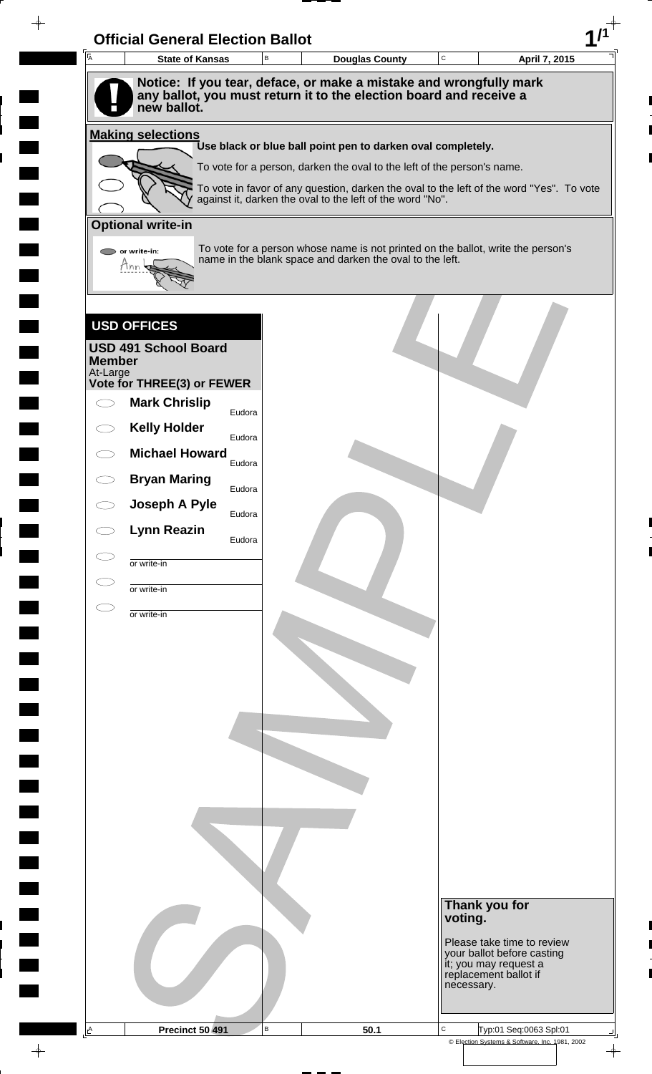| A             | <b>State of Kansas</b>                                                            | B | <b>Douglas County</b>                                                                                                                        | $\mathbf C$ | April 7, 2015                                       |
|---------------|-----------------------------------------------------------------------------------|---|----------------------------------------------------------------------------------------------------------------------------------------------|-------------|-----------------------------------------------------|
|               | Notice: If you tear, deface, or make a mistake and wrongfully mark                |   |                                                                                                                                              |             |                                                     |
|               | any ballot, you must return it to the election board and receive a<br>new ballot. |   |                                                                                                                                              |             |                                                     |
|               |                                                                                   |   |                                                                                                                                              |             |                                                     |
|               | <b>Making selections</b>                                                          |   | Use black or blue ball point pen to darken oval completely.                                                                                  |             |                                                     |
|               |                                                                                   |   | To vote for a person, darken the oval to the left of the person's name.                                                                      |             |                                                     |
|               |                                                                                   |   | To vote in favor of any question, darken the oval to the left of the word "Yes". To vote                                                     |             |                                                     |
|               |                                                                                   |   | against it, darken the oval to the left of the word "No".                                                                                    |             |                                                     |
|               | <b>Optional write-in</b>                                                          |   |                                                                                                                                              |             |                                                     |
|               | or write-in:                                                                      |   | To vote for a person whose name is not printed on the ballot, write the person's<br>name in the blank space and darken the oval to the left. |             |                                                     |
|               | Mnn                                                                               |   |                                                                                                                                              |             |                                                     |
|               |                                                                                   |   |                                                                                                                                              |             |                                                     |
|               | <b>USD OFFICES</b>                                                                |   |                                                                                                                                              |             |                                                     |
|               | <b>USD 491 School Board</b>                                                       |   |                                                                                                                                              |             |                                                     |
| <b>Member</b> |                                                                                   |   |                                                                                                                                              |             |                                                     |
| At-Large      | Vote for THREE(3) or FEWER                                                        |   |                                                                                                                                              |             |                                                     |
|               | <b>Mark Chrislip</b><br>Eudora                                                    |   |                                                                                                                                              |             |                                                     |
|               | <b>Kelly Holder</b>                                                               |   |                                                                                                                                              |             |                                                     |
|               | Eudora<br><b>Michael Howard</b>                                                   |   |                                                                                                                                              |             |                                                     |
|               | Eudora<br><b>Bryan Maring</b>                                                     |   |                                                                                                                                              |             |                                                     |
|               | Eudora<br>Joseph A Pyle                                                           |   |                                                                                                                                              |             |                                                     |
|               | Eudora                                                                            |   |                                                                                                                                              |             |                                                     |
|               | <b>Lynn Reazin</b><br>Eudora                                                      |   |                                                                                                                                              |             |                                                     |
|               | or write-in                                                                       |   |                                                                                                                                              |             |                                                     |
|               | or write-in                                                                       |   |                                                                                                                                              |             |                                                     |
|               | or write-in                                                                       |   |                                                                                                                                              |             |                                                     |
|               |                                                                                   |   |                                                                                                                                              |             |                                                     |
|               |                                                                                   |   |                                                                                                                                              |             |                                                     |
|               |                                                                                   |   |                                                                                                                                              |             |                                                     |
|               |                                                                                   |   |                                                                                                                                              |             |                                                     |
|               |                                                                                   |   |                                                                                                                                              |             |                                                     |
|               |                                                                                   |   |                                                                                                                                              |             |                                                     |
|               |                                                                                   |   |                                                                                                                                              |             |                                                     |
|               |                                                                                   |   |                                                                                                                                              |             |                                                     |
|               |                                                                                   |   |                                                                                                                                              |             |                                                     |
|               |                                                                                   |   |                                                                                                                                              |             |                                                     |
|               |                                                                                   |   |                                                                                                                                              |             |                                                     |
|               |                                                                                   |   |                                                                                                                                              |             |                                                     |
|               |                                                                                   |   |                                                                                                                                              |             | Thank you for                                       |
|               |                                                                                   |   |                                                                                                                                              |             | voting.                                             |
|               |                                                                                   |   |                                                                                                                                              |             | Please take time to review                          |
|               |                                                                                   |   |                                                                                                                                              |             |                                                     |
|               |                                                                                   |   |                                                                                                                                              |             | your ballot before casting<br>it; you may request a |
|               |                                                                                   |   |                                                                                                                                              |             | replacement ballot if<br>necessary.                 |

 $\overline{\phantom{a}}$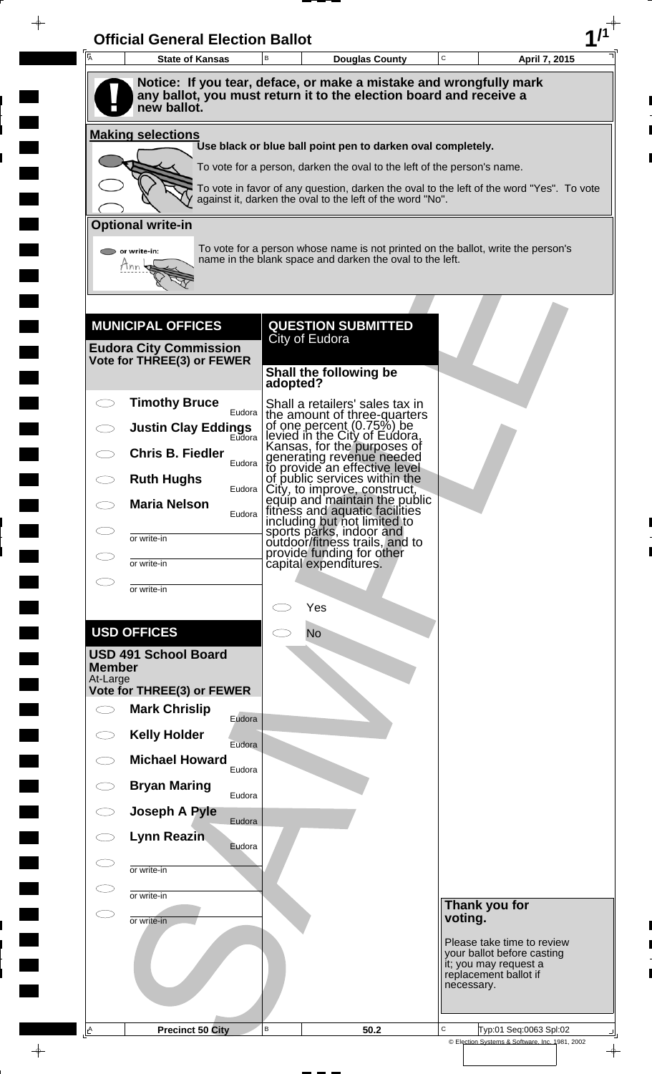| $\overline{A}$            | <b>State of Kansas</b>                                      | B            | <b>Douglas County</b>                                                                                                                        | $\mathbf C$ |                                                                              | April 7, 2015 |
|---------------------------|-------------------------------------------------------------|--------------|----------------------------------------------------------------------------------------------------------------------------------------------|-------------|------------------------------------------------------------------------------|---------------|
|                           |                                                             |              | Notice: If you tear, deface, or make a mistake and wrongfully mark                                                                           |             |                                                                              |               |
|                           | new ballot.                                                 |              | any ballot, you must return it to the election board and receive a                                                                           |             |                                                                              |               |
|                           | <b>Making selections</b>                                    |              | Use black or blue ball point pen to darken oval completely.                                                                                  |             |                                                                              |               |
|                           |                                                             |              | To vote for a person, darken the oval to the left of the person's name.                                                                      |             |                                                                              |               |
|                           |                                                             |              | To vote in favor of any question, darken the oval to the left of the word "Yes". To vote                                                     |             |                                                                              |               |
|                           |                                                             |              | against it, darken the oval to the left of the word "No".                                                                                    |             |                                                                              |               |
|                           | <b>Optional write-in</b>                                    |              |                                                                                                                                              |             |                                                                              |               |
|                           | or write-in:<br>Tnn                                         |              | To vote for a person whose name is not printed on the ballot, write the person's<br>name in the blank space and darken the oval to the left. |             |                                                                              |               |
|                           |                                                             |              |                                                                                                                                              |             |                                                                              |               |
|                           |                                                             |              |                                                                                                                                              |             |                                                                              |               |
|                           | <b>MUNICIPAL OFFICES</b>                                    |              | <b>QUESTION SUBMITTED</b><br>City of Eudora                                                                                                  |             |                                                                              |               |
|                           | <b>Eudora City Commission</b><br>Vote for THREE(3) or FEWER |              |                                                                                                                                              |             |                                                                              |               |
|                           |                                                             | adopted?     | Shall the following be                                                                                                                       |             |                                                                              |               |
|                           | <b>Timothy Bruce</b>                                        |              | Shall a retailers' sales tax in                                                                                                              |             |                                                                              |               |
|                           | Eudora<br><b>Justin Clay Eddings</b>                        |              | the amount of three-quarters<br>of one percent $(0.75%)$ be                                                                                  |             |                                                                              |               |
|                           | Eudora<br><b>Chris B. Fiedler</b>                           |              | levied in the City of Eudora,<br>Kansas, for the purposes of                                                                                 |             |                                                                              |               |
|                           | Eudora  <br><b>Ruth Hughs</b>                               |              | generating revenue needed<br>to provide an effective level<br>of public services within the                                                  |             |                                                                              |               |
|                           | Eudora  <br><b>Maria Nelson</b>                             |              | City, to improve, construct,<br>equip and maintain the public<br>fitness and aquatic facilities                                              |             |                                                                              |               |
|                           | Eudora                                                      |              | including but not limited to                                                                                                                 |             |                                                                              |               |
|                           | or write-in                                                 |              | sports parks, indoor and<br>outdoor/fitness trails, and to<br>provide funding for other                                                      |             |                                                                              |               |
|                           | or write-in                                                 |              | capital expenditures.                                                                                                                        |             |                                                                              |               |
|                           | or write-in                                                 |              | Yes                                                                                                                                          |             |                                                                              |               |
|                           | <b>USD OFFICES</b>                                          |              | <b>No</b>                                                                                                                                    |             |                                                                              |               |
|                           | <b>USD 491 School Board</b>                                 |              |                                                                                                                                              |             |                                                                              |               |
| <b>Member</b><br>At-Large |                                                             |              |                                                                                                                                              |             |                                                                              |               |
|                           | Vote for THREE(3) or FEWER                                  |              |                                                                                                                                              |             |                                                                              |               |
| $\bigcirc$                | <b>Mark Chrislip</b><br>Eudora                              |              |                                                                                                                                              |             |                                                                              |               |
|                           | <b>Kelly Holder</b><br>Eudora                               |              |                                                                                                                                              |             |                                                                              |               |
|                           | <b>Michael Howard</b><br>Eudora                             |              |                                                                                                                                              |             |                                                                              |               |
|                           | <b>Bryan Maring</b><br>Eudora                               |              |                                                                                                                                              |             |                                                                              |               |
|                           | Joseph A Pyle<br>Eudora                                     |              |                                                                                                                                              |             |                                                                              |               |
|                           | Lynn Reazin<br>Eudora                                       |              |                                                                                                                                              |             |                                                                              |               |
|                           | or write-in                                                 |              |                                                                                                                                              |             |                                                                              |               |
|                           | or write-in                                                 |              |                                                                                                                                              |             |                                                                              |               |
|                           | or write-in                                                 |              |                                                                                                                                              | voting.     | Thank you for                                                                |               |
|                           |                                                             |              |                                                                                                                                              |             | Please take time to review                                                   |               |
|                           |                                                             |              |                                                                                                                                              |             | your ballot before casting<br>it; you may request a<br>replacement ballot if |               |
|                           |                                                             |              |                                                                                                                                              |             | necessary.                                                                   |               |
|                           |                                                             |              |                                                                                                                                              |             |                                                                              |               |
| <u>A</u>                  | <b>Precinct 50 City</b>                                     | $\, {\bf B}$ | 50.2                                                                                                                                         | C           | Typ:01 Seq:0063 Spl:02                                                       |               |

 $\blacksquare$ 

 $\blacksquare$ 

 $\frac{1}{\sqrt{2\pi}}$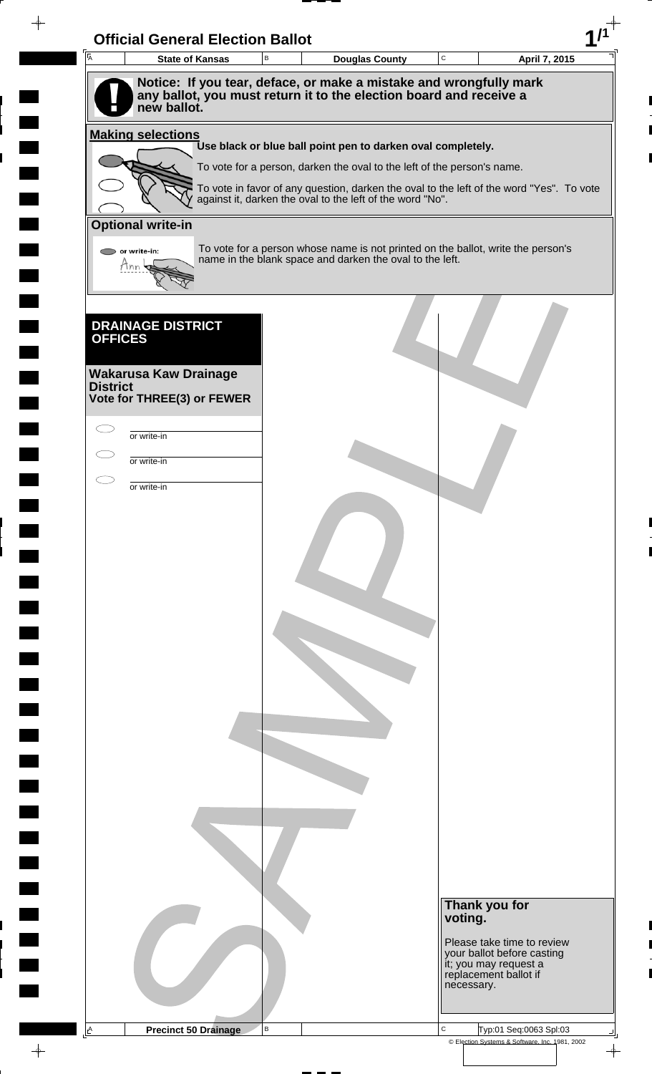| 一<br>人          | <b>Official General Election Ballot</b><br><b>State of Kansas</b> | B | <b>Douglas County</b>                                                                                                                        | $\mathbf C$ | April 7, 2015                                            |
|-----------------|-------------------------------------------------------------------|---|----------------------------------------------------------------------------------------------------------------------------------------------|-------------|----------------------------------------------------------|
|                 |                                                                   |   | Notice: If you tear, deface, or make a mistake and wrongfully mark                                                                           |             |                                                          |
|                 | new ballot.                                                       |   | any ballot, you must return it to the election board and receive a                                                                           |             |                                                          |
|                 | <b>Making selections</b>                                          |   | Use black or blue ball point pen to darken oval completely.                                                                                  |             |                                                          |
|                 |                                                                   |   | To vote for a person, darken the oval to the left of the person's name.                                                                      |             |                                                          |
|                 |                                                                   |   | To vote in favor of any question, darken the oval to the left of the word "Yes". To vote                                                     |             |                                                          |
|                 |                                                                   |   | against it, darken the oval to the left of the word "No".                                                                                    |             |                                                          |
|                 | <b>Optional write-in</b>                                          |   |                                                                                                                                              |             |                                                          |
|                 | $\triangleright$ or write-in:<br>Tnn                              |   | To vote for a person whose name is not printed on the ballot, write the person's<br>name in the blank space and darken the oval to the left. |             |                                                          |
|                 | <b>DRAINAGE DISTRICT</b>                                          |   |                                                                                                                                              |             |                                                          |
| <b>OFFICES</b>  |                                                                   |   |                                                                                                                                              |             |                                                          |
|                 | <b>Wakarusa Kaw Drainage</b>                                      |   |                                                                                                                                              |             |                                                          |
| <b>District</b> | Vote for THREE(3) or FEWER                                        |   |                                                                                                                                              |             |                                                          |
|                 |                                                                   |   |                                                                                                                                              |             |                                                          |
|                 | or write-in                                                       |   |                                                                                                                                              |             |                                                          |
|                 | or write-in                                                       |   |                                                                                                                                              |             |                                                          |
|                 | or write-in                                                       |   |                                                                                                                                              |             |                                                          |
|                 |                                                                   |   |                                                                                                                                              |             |                                                          |
|                 |                                                                   |   |                                                                                                                                              |             |                                                          |
|                 |                                                                   |   |                                                                                                                                              |             |                                                          |
|                 |                                                                   |   |                                                                                                                                              |             |                                                          |
|                 |                                                                   |   |                                                                                                                                              |             |                                                          |
|                 |                                                                   |   |                                                                                                                                              |             |                                                          |
|                 |                                                                   |   |                                                                                                                                              |             |                                                          |
|                 |                                                                   |   |                                                                                                                                              |             |                                                          |
|                 |                                                                   |   |                                                                                                                                              |             |                                                          |
|                 |                                                                   |   |                                                                                                                                              |             |                                                          |
|                 |                                                                   |   |                                                                                                                                              |             |                                                          |
|                 |                                                                   |   |                                                                                                                                              |             |                                                          |
|                 |                                                                   |   |                                                                                                                                              |             |                                                          |
|                 |                                                                   |   |                                                                                                                                              |             |                                                          |
|                 |                                                                   |   |                                                                                                                                              |             |                                                          |
|                 |                                                                   |   |                                                                                                                                              |             |                                                          |
|                 |                                                                   |   |                                                                                                                                              |             | Thank you for                                            |
|                 |                                                                   |   |                                                                                                                                              | voting.     |                                                          |
|                 |                                                                   |   |                                                                                                                                              |             | Please take time to review<br>your ballot before casting |
|                 |                                                                   |   |                                                                                                                                              |             | it; you may request a<br>replacement ballot if           |
|                 |                                                                   |   |                                                                                                                                              | necessary.  |                                                          |
|                 |                                                                   |   |                                                                                                                                              |             |                                                          |

 $\blacksquare$ 

 $\blacksquare$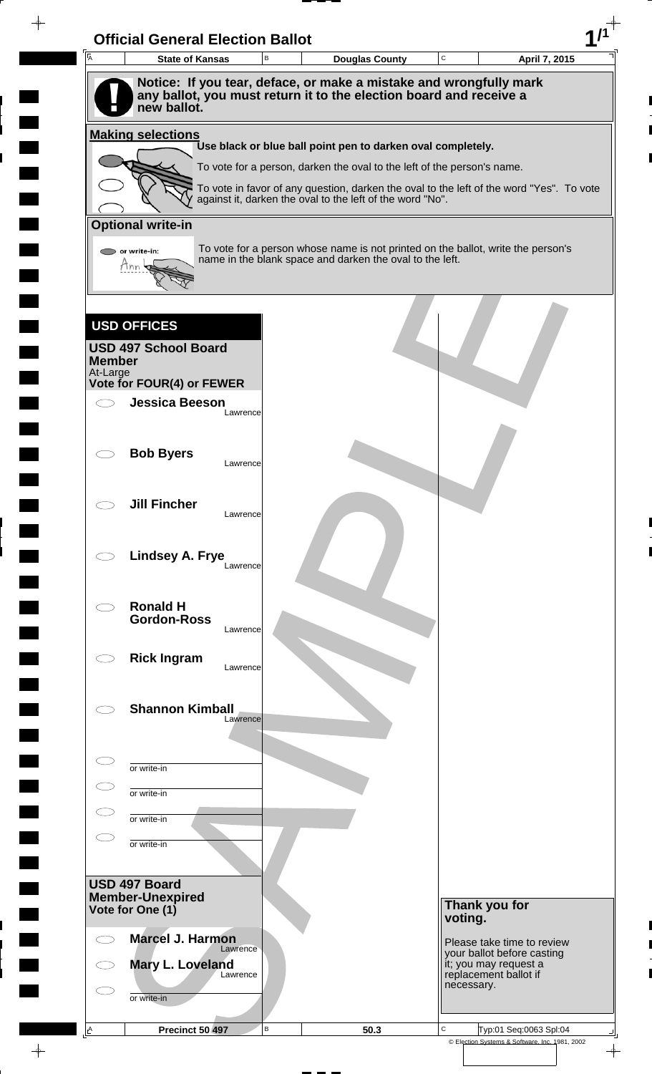| Notice: If you tear, deface, or make a mistake and wrongfully mark<br>any ballot, you must return it to the election board and receive a<br>new ballot.<br>Use black or blue ball point pen to darken oval completely.<br>To vote for a person, darken the oval to the left of the person's name.<br>To vote in favor of any question, darken the oval to the left of the word "Yes". To vote<br>against it, darken the oval to the left of the word "No".<br>To vote for a person whose name is not printed on the ballot, write the person's<br>or write-in:<br>name in the blank space and darken the oval to the left.<br>Mnn<br><b>USD OFFICES</b><br><b>USD 497 School Board</b><br>At-Large<br><b>Jessica Beeson</b><br>Lawrence<br><b>Bob Byers</b><br>Lawrence<br><b>Jill Fincher</b><br>Lawrence<br>Lindsey A. Frye<br>Lawrence<br><b>Ronald H</b><br><b>Gordon-Ross</b><br>Lawrence<br><b>Rick Ingram</b><br>Lawrence<br><b>Shannon Kimball</b><br>Lawrence<br>or write-in<br>or write-in<br>or write-in<br>or write-in<br>Thank you for<br>voting.<br><b>Marcel J. Harmon</b><br>Please take time to review<br>Lawrence<br>your ballot before casting<br>Mary L. Loveland<br>it; you may request a<br>replacement ballot if<br>Lawrence<br>necessary.<br>or write-in | <b>Making selections</b><br><b>Optional write-in</b>         |
|----------------------------------------------------------------------------------------------------------------------------------------------------------------------------------------------------------------------------------------------------------------------------------------------------------------------------------------------------------------------------------------------------------------------------------------------------------------------------------------------------------------------------------------------------------------------------------------------------------------------------------------------------------------------------------------------------------------------------------------------------------------------------------------------------------------------------------------------------------------------------------------------------------------------------------------------------------------------------------------------------------------------------------------------------------------------------------------------------------------------------------------------------------------------------------------------------------------------------------------------------------------------------------|--------------------------------------------------------------|
|                                                                                                                                                                                                                                                                                                                                                                                                                                                                                                                                                                                                                                                                                                                                                                                                                                                                                                                                                                                                                                                                                                                                                                                                                                                                                  |                                                              |
|                                                                                                                                                                                                                                                                                                                                                                                                                                                                                                                                                                                                                                                                                                                                                                                                                                                                                                                                                                                                                                                                                                                                                                                                                                                                                  |                                                              |
|                                                                                                                                                                                                                                                                                                                                                                                                                                                                                                                                                                                                                                                                                                                                                                                                                                                                                                                                                                                                                                                                                                                                                                                                                                                                                  |                                                              |
|                                                                                                                                                                                                                                                                                                                                                                                                                                                                                                                                                                                                                                                                                                                                                                                                                                                                                                                                                                                                                                                                                                                                                                                                                                                                                  |                                                              |
|                                                                                                                                                                                                                                                                                                                                                                                                                                                                                                                                                                                                                                                                                                                                                                                                                                                                                                                                                                                                                                                                                                                                                                                                                                                                                  |                                                              |
|                                                                                                                                                                                                                                                                                                                                                                                                                                                                                                                                                                                                                                                                                                                                                                                                                                                                                                                                                                                                                                                                                                                                                                                                                                                                                  |                                                              |
|                                                                                                                                                                                                                                                                                                                                                                                                                                                                                                                                                                                                                                                                                                                                                                                                                                                                                                                                                                                                                                                                                                                                                                                                                                                                                  |                                                              |
|                                                                                                                                                                                                                                                                                                                                                                                                                                                                                                                                                                                                                                                                                                                                                                                                                                                                                                                                                                                                                                                                                                                                                                                                                                                                                  |                                                              |
|                                                                                                                                                                                                                                                                                                                                                                                                                                                                                                                                                                                                                                                                                                                                                                                                                                                                                                                                                                                                                                                                                                                                                                                                                                                                                  |                                                              |
|                                                                                                                                                                                                                                                                                                                                                                                                                                                                                                                                                                                                                                                                                                                                                                                                                                                                                                                                                                                                                                                                                                                                                                                                                                                                                  |                                                              |
|                                                                                                                                                                                                                                                                                                                                                                                                                                                                                                                                                                                                                                                                                                                                                                                                                                                                                                                                                                                                                                                                                                                                                                                                                                                                                  |                                                              |
|                                                                                                                                                                                                                                                                                                                                                                                                                                                                                                                                                                                                                                                                                                                                                                                                                                                                                                                                                                                                                                                                                                                                                                                                                                                                                  |                                                              |
|                                                                                                                                                                                                                                                                                                                                                                                                                                                                                                                                                                                                                                                                                                                                                                                                                                                                                                                                                                                                                                                                                                                                                                                                                                                                                  | <b>Member</b>                                                |
|                                                                                                                                                                                                                                                                                                                                                                                                                                                                                                                                                                                                                                                                                                                                                                                                                                                                                                                                                                                                                                                                                                                                                                                                                                                                                  | Vote for FOUR(4) or FEWER                                    |
|                                                                                                                                                                                                                                                                                                                                                                                                                                                                                                                                                                                                                                                                                                                                                                                                                                                                                                                                                                                                                                                                                                                                                                                                                                                                                  |                                                              |
|                                                                                                                                                                                                                                                                                                                                                                                                                                                                                                                                                                                                                                                                                                                                                                                                                                                                                                                                                                                                                                                                                                                                                                                                                                                                                  |                                                              |
|                                                                                                                                                                                                                                                                                                                                                                                                                                                                                                                                                                                                                                                                                                                                                                                                                                                                                                                                                                                                                                                                                                                                                                                                                                                                                  |                                                              |
|                                                                                                                                                                                                                                                                                                                                                                                                                                                                                                                                                                                                                                                                                                                                                                                                                                                                                                                                                                                                                                                                                                                                                                                                                                                                                  |                                                              |
|                                                                                                                                                                                                                                                                                                                                                                                                                                                                                                                                                                                                                                                                                                                                                                                                                                                                                                                                                                                                                                                                                                                                                                                                                                                                                  |                                                              |
|                                                                                                                                                                                                                                                                                                                                                                                                                                                                                                                                                                                                                                                                                                                                                                                                                                                                                                                                                                                                                                                                                                                                                                                                                                                                                  |                                                              |
|                                                                                                                                                                                                                                                                                                                                                                                                                                                                                                                                                                                                                                                                                                                                                                                                                                                                                                                                                                                                                                                                                                                                                                                                                                                                                  |                                                              |
|                                                                                                                                                                                                                                                                                                                                                                                                                                                                                                                                                                                                                                                                                                                                                                                                                                                                                                                                                                                                                                                                                                                                                                                                                                                                                  |                                                              |
|                                                                                                                                                                                                                                                                                                                                                                                                                                                                                                                                                                                                                                                                                                                                                                                                                                                                                                                                                                                                                                                                                                                                                                                                                                                                                  |                                                              |
|                                                                                                                                                                                                                                                                                                                                                                                                                                                                                                                                                                                                                                                                                                                                                                                                                                                                                                                                                                                                                                                                                                                                                                                                                                                                                  |                                                              |
|                                                                                                                                                                                                                                                                                                                                                                                                                                                                                                                                                                                                                                                                                                                                                                                                                                                                                                                                                                                                                                                                                                                                                                                                                                                                                  |                                                              |
|                                                                                                                                                                                                                                                                                                                                                                                                                                                                                                                                                                                                                                                                                                                                                                                                                                                                                                                                                                                                                                                                                                                                                                                                                                                                                  |                                                              |
|                                                                                                                                                                                                                                                                                                                                                                                                                                                                                                                                                                                                                                                                                                                                                                                                                                                                                                                                                                                                                                                                                                                                                                                                                                                                                  |                                                              |
|                                                                                                                                                                                                                                                                                                                                                                                                                                                                                                                                                                                                                                                                                                                                                                                                                                                                                                                                                                                                                                                                                                                                                                                                                                                                                  |                                                              |
|                                                                                                                                                                                                                                                                                                                                                                                                                                                                                                                                                                                                                                                                                                                                                                                                                                                                                                                                                                                                                                                                                                                                                                                                                                                                                  |                                                              |
|                                                                                                                                                                                                                                                                                                                                                                                                                                                                                                                                                                                                                                                                                                                                                                                                                                                                                                                                                                                                                                                                                                                                                                                                                                                                                  |                                                              |
|                                                                                                                                                                                                                                                                                                                                                                                                                                                                                                                                                                                                                                                                                                                                                                                                                                                                                                                                                                                                                                                                                                                                                                                                                                                                                  |                                                              |
|                                                                                                                                                                                                                                                                                                                                                                                                                                                                                                                                                                                                                                                                                                                                                                                                                                                                                                                                                                                                                                                                                                                                                                                                                                                                                  |                                                              |
|                                                                                                                                                                                                                                                                                                                                                                                                                                                                                                                                                                                                                                                                                                                                                                                                                                                                                                                                                                                                                                                                                                                                                                                                                                                                                  |                                                              |
|                                                                                                                                                                                                                                                                                                                                                                                                                                                                                                                                                                                                                                                                                                                                                                                                                                                                                                                                                                                                                                                                                                                                                                                                                                                                                  |                                                              |
|                                                                                                                                                                                                                                                                                                                                                                                                                                                                                                                                                                                                                                                                                                                                                                                                                                                                                                                                                                                                                                                                                                                                                                                                                                                                                  |                                                              |
|                                                                                                                                                                                                                                                                                                                                                                                                                                                                                                                                                                                                                                                                                                                                                                                                                                                                                                                                                                                                                                                                                                                                                                                                                                                                                  |                                                              |
|                                                                                                                                                                                                                                                                                                                                                                                                                                                                                                                                                                                                                                                                                                                                                                                                                                                                                                                                                                                                                                                                                                                                                                                                                                                                                  |                                                              |
|                                                                                                                                                                                                                                                                                                                                                                                                                                                                                                                                                                                                                                                                                                                                                                                                                                                                                                                                                                                                                                                                                                                                                                                                                                                                                  | USD 497 Board<br><b>Member-Unexpired</b><br>Vote for One (1) |
|                                                                                                                                                                                                                                                                                                                                                                                                                                                                                                                                                                                                                                                                                                                                                                                                                                                                                                                                                                                                                                                                                                                                                                                                                                                                                  |                                                              |
|                                                                                                                                                                                                                                                                                                                                                                                                                                                                                                                                                                                                                                                                                                                                                                                                                                                                                                                                                                                                                                                                                                                                                                                                                                                                                  |                                                              |
|                                                                                                                                                                                                                                                                                                                                                                                                                                                                                                                                                                                                                                                                                                                                                                                                                                                                                                                                                                                                                                                                                                                                                                                                                                                                                  |                                                              |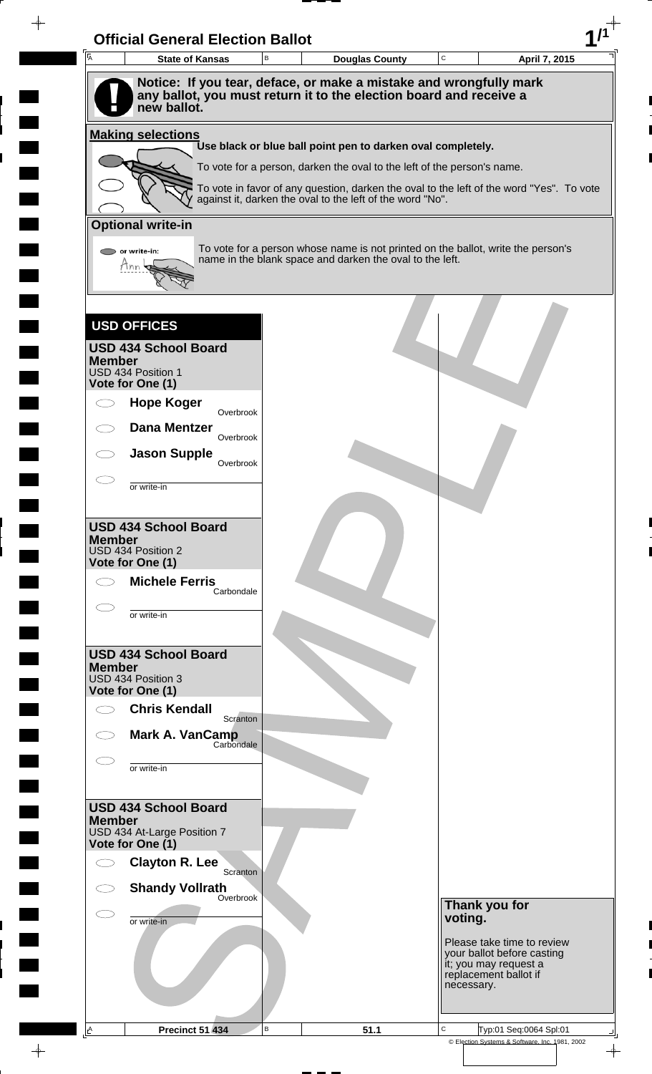| $\overline{\mathsf{A}}$ | <b>State of Kansas</b>                            | В | <b>Douglas County</b>                                                                                                                                 | C       | April 7, 2015                                            |
|-------------------------|---------------------------------------------------|---|-------------------------------------------------------------------------------------------------------------------------------------------------------|---------|----------------------------------------------------------|
|                         | new ballot.                                       |   | Notice: If you tear, deface, or make a mistake and wrongfully mark<br>any ballot, you must return it to the election board and receive a              |         |                                                          |
|                         | <b>Making selections</b>                          |   |                                                                                                                                                       |         |                                                          |
|                         |                                                   |   | Use black or blue ball point pen to darken oval completely.                                                                                           |         |                                                          |
|                         |                                                   |   | To vote for a person, darken the oval to the left of the person's name.                                                                               |         |                                                          |
|                         |                                                   |   | To vote in favor of any question, darken the oval to the left of the word "Yes". To vote<br>against it, darken the oval to the left of the word "No". |         |                                                          |
|                         | <b>Optional write-in</b>                          |   |                                                                                                                                                       |         |                                                          |
|                         | or write-in:<br>Tnn                               |   | To vote for a person whose name is not printed on the ballot, write the person's<br>name in the blank space and darken the oval to the left.          |         |                                                          |
|                         |                                                   |   |                                                                                                                                                       |         |                                                          |
|                         | <b>USD OFFICES</b><br><b>USD 434 School Board</b> |   |                                                                                                                                                       |         |                                                          |
| <b>Member</b>           | USD 434 Position 1                                |   |                                                                                                                                                       |         |                                                          |
|                         | Vote for One (1)                                  |   |                                                                                                                                                       |         |                                                          |
|                         | <b>Hope Koger</b><br>Overbrook                    |   |                                                                                                                                                       |         |                                                          |
|                         | <b>Dana Mentzer</b><br>Overbrook                  |   |                                                                                                                                                       |         |                                                          |
|                         | <b>Jason Supple</b><br>Overbrook                  |   |                                                                                                                                                       |         |                                                          |
|                         | or write-in                                       |   |                                                                                                                                                       |         |                                                          |
|                         |                                                   |   |                                                                                                                                                       |         |                                                          |
| <b>Member</b>           | <b>USD 434 School Board</b>                       |   |                                                                                                                                                       |         |                                                          |
|                         | USD 434 Position 2<br>Vote for One (1)            |   |                                                                                                                                                       |         |                                                          |
|                         | <b>Michele Ferris</b><br>Carbondale               |   |                                                                                                                                                       |         |                                                          |
|                         | or write-in                                       |   |                                                                                                                                                       |         |                                                          |
|                         |                                                   |   |                                                                                                                                                       |         |                                                          |
| <b>Member</b>           | <b>USD 434 School Board</b>                       |   |                                                                                                                                                       |         |                                                          |
|                         | USD 434 Position 3<br>Vote for One (1)            |   |                                                                                                                                                       |         |                                                          |
|                         | <b>Chris Kendall</b>                              |   |                                                                                                                                                       |         |                                                          |
|                         | Scranton<br><b>Mark A. VanCamp</b><br>Carbondale  |   |                                                                                                                                                       |         |                                                          |
|                         |                                                   |   |                                                                                                                                                       |         |                                                          |
|                         | or write-in                                       |   |                                                                                                                                                       |         |                                                          |
|                         | <b>USD 434 School Board</b>                       |   |                                                                                                                                                       |         |                                                          |
| <b>Member</b>           | USD 434 At-Large Position 7                       |   |                                                                                                                                                       |         |                                                          |
|                         | Vote for One (1)                                  |   |                                                                                                                                                       |         |                                                          |
|                         | <b>Clayton R. Lee</b><br>Scranton                 |   |                                                                                                                                                       |         |                                                          |
|                         | <b>Shandy Vollrath</b><br>Overbrook               |   |                                                                                                                                                       |         | Thank you for                                            |
|                         | or write-in                                       |   |                                                                                                                                                       | voting. |                                                          |
|                         |                                                   |   |                                                                                                                                                       |         | Please take time to review<br>your ballot before casting |
|                         |                                                   |   |                                                                                                                                                       |         | it; you may request a<br>replacement ballot if           |
|                         |                                                   |   |                                                                                                                                                       |         | necessary.                                               |
|                         |                                                   |   |                                                                                                                                                       |         |                                                          |

 $\blacksquare$ 

 $\blacksquare$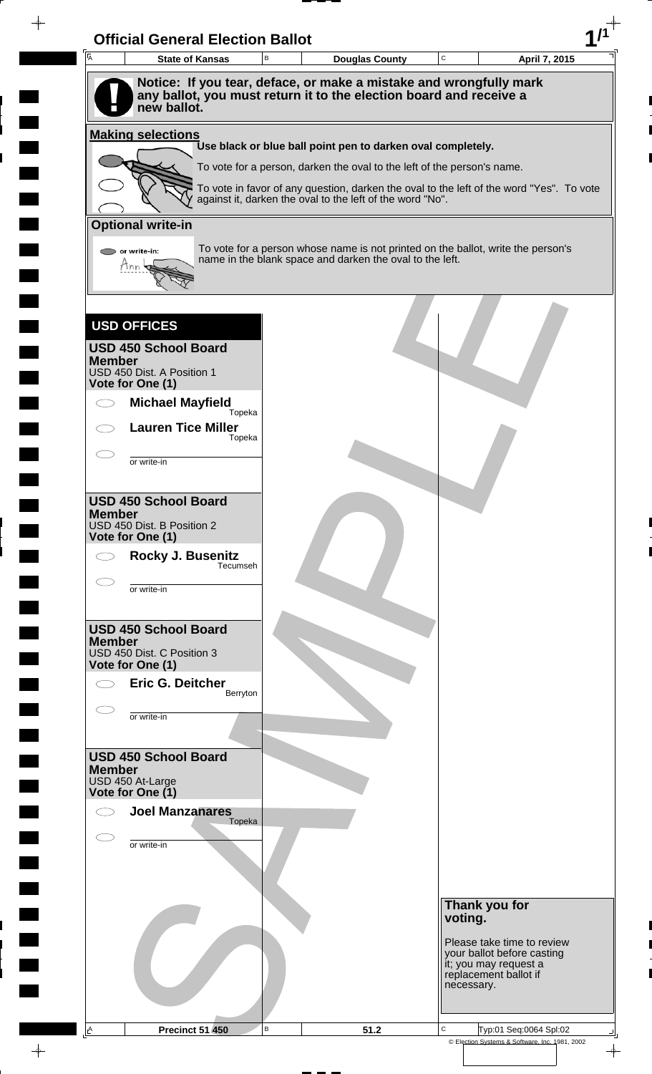|               | <b>State of Kansas</b>                     | <b>Douglas County</b>                                                                                                                        | $\mathbf C$ | April 7, 2015                                                |
|---------------|--------------------------------------------|----------------------------------------------------------------------------------------------------------------------------------------------|-------------|--------------------------------------------------------------|
|               |                                            | Notice: If you tear, deface, or make a mistake and wrongfully mark                                                                           |             |                                                              |
|               | new ballot.                                | any ballot, you must return it to the election board and receive a                                                                           |             |                                                              |
|               | <b>Making selections</b>                   | Use black or blue ball point pen to darken oval completely.                                                                                  |             |                                                              |
|               |                                            | To vote for a person, darken the oval to the left of the person's name.                                                                      |             |                                                              |
|               |                                            | To vote in favor of any question, darken the oval to the left of the word "Yes". To vote                                                     |             |                                                              |
|               |                                            | against it, darken the oval to the left of the word "No".                                                                                    |             |                                                              |
|               | <b>Optional write-in</b>                   |                                                                                                                                              |             |                                                              |
|               | or write-in:                               | To vote for a person whose name is not printed on the ballot, write the person's<br>name in the blank space and darken the oval to the left. |             |                                                              |
|               | Mnn                                        |                                                                                                                                              |             |                                                              |
|               |                                            |                                                                                                                                              |             |                                                              |
|               | <b>USD OFFICES</b>                         |                                                                                                                                              |             |                                                              |
|               | <b>USD 450 School Board</b>                |                                                                                                                                              |             |                                                              |
| <b>Member</b> | USD 450 Dist. A Position 1                 |                                                                                                                                              |             |                                                              |
|               | Vote for One (1)                           |                                                                                                                                              |             |                                                              |
|               | <b>Michael Mayfield</b><br>Topeka          |                                                                                                                                              |             |                                                              |
|               | <b>Lauren Tice Miller</b><br>Topeka        |                                                                                                                                              |             |                                                              |
|               |                                            |                                                                                                                                              |             |                                                              |
|               | or write-in                                |                                                                                                                                              |             |                                                              |
|               | <b>USD 450 School Board</b>                |                                                                                                                                              |             |                                                              |
| <b>Member</b> | USD 450 Dist. B Position 2                 |                                                                                                                                              |             |                                                              |
|               | Vote for One (1)                           |                                                                                                                                              |             |                                                              |
|               | Rocky J. Busenitz<br>Tecumseh              |                                                                                                                                              |             |                                                              |
|               | or write-in                                |                                                                                                                                              |             |                                                              |
|               |                                            |                                                                                                                                              |             |                                                              |
|               | <b>USD 450 School Board</b>                |                                                                                                                                              |             |                                                              |
| <b>Member</b> | USD 450 Dist. C Position 3                 |                                                                                                                                              |             |                                                              |
|               | Vote for One (1)                           |                                                                                                                                              |             |                                                              |
|               | Eric G. Deitcher<br>Berryton               |                                                                                                                                              |             |                                                              |
|               | or write-in                                |                                                                                                                                              |             |                                                              |
|               |                                            |                                                                                                                                              |             |                                                              |
|               | <b>USD 450 School Board</b>                |                                                                                                                                              |             |                                                              |
| <b>Member</b> | USD 450 At-Large                           |                                                                                                                                              |             |                                                              |
|               | Vote for One (1)<br><b>Joel Manzanares</b> |                                                                                                                                              |             |                                                              |
|               | Topeka                                     |                                                                                                                                              |             |                                                              |
|               | or write-in                                |                                                                                                                                              |             |                                                              |
|               |                                            |                                                                                                                                              |             |                                                              |
|               |                                            |                                                                                                                                              |             |                                                              |
|               |                                            |                                                                                                                                              | voting.     | Thank you for                                                |
|               |                                            |                                                                                                                                              |             | Please take time to review                                   |
|               |                                            |                                                                                                                                              |             | your ballot before casting                                   |
|               |                                            |                                                                                                                                              |             | it; you may request a<br>replacement ballot if<br>necessary. |
|               |                                            |                                                                                                                                              |             |                                                              |

 $\overline{\phantom{a}}$ 

 $\bar{\phantom{a}}$ 

 $\blacksquare$ 

 $\frac{1}{\sqrt{2\pi}}$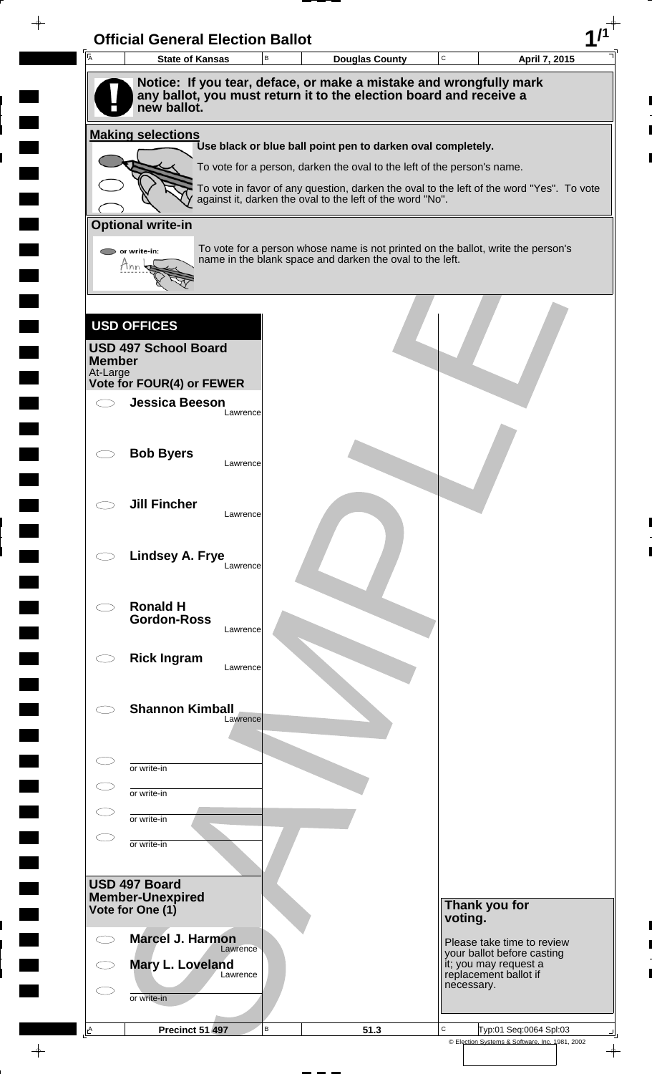| $\overline{A}$ | <b>State of Kansas</b>                      | B        | <b>Douglas County</b>                                                                                                                                 | C |                                                | April 7, 2015                                            |
|----------------|---------------------------------------------|----------|-------------------------------------------------------------------------------------------------------------------------------------------------------|---|------------------------------------------------|----------------------------------------------------------|
|                |                                             |          | Notice: If you tear, deface, or make a mistake and wrongfully mark                                                                                    |   |                                                |                                                          |
|                | new ballot.                                 |          | any ballot, you must return it to the election board and receive a                                                                                    |   |                                                |                                                          |
|                | <b>Making selections</b>                    |          |                                                                                                                                                       |   |                                                |                                                          |
|                |                                             |          | Use black or blue ball point pen to darken oval completely.                                                                                           |   |                                                |                                                          |
|                |                                             |          | To vote for a person, darken the oval to the left of the person's name.                                                                               |   |                                                |                                                          |
|                |                                             |          | To vote in favor of any question, darken the oval to the left of the word "Yes". To vote<br>against it, darken the oval to the left of the word "No". |   |                                                |                                                          |
|                | <b>Optional write-in</b>                    |          |                                                                                                                                                       |   |                                                |                                                          |
|                | or write-in:                                |          | To vote for a person whose name is not printed on the ballot, write the person's                                                                      |   |                                                |                                                          |
|                | Mnn                                         |          | name in the blank space and darken the oval to the left.                                                                                              |   |                                                |                                                          |
|                |                                             |          |                                                                                                                                                       |   |                                                |                                                          |
|                |                                             |          |                                                                                                                                                       |   |                                                |                                                          |
|                | <b>USD OFFICES</b>                          |          |                                                                                                                                                       |   |                                                |                                                          |
| <b>Member</b>  | <b>USD 497 School Board</b>                 |          |                                                                                                                                                       |   |                                                |                                                          |
| At-Large       | Vote for FOUR(4) or FEWER                   |          |                                                                                                                                                       |   |                                                |                                                          |
|                | <b>Jessica Beeson</b>                       |          |                                                                                                                                                       |   |                                                |                                                          |
|                |                                             | Lawrence |                                                                                                                                                       |   |                                                |                                                          |
|                |                                             |          |                                                                                                                                                       |   |                                                |                                                          |
|                | <b>Bob Byers</b>                            | Lawrence |                                                                                                                                                       |   |                                                |                                                          |
|                |                                             |          |                                                                                                                                                       |   |                                                |                                                          |
|                | <b>Jill Fincher</b>                         |          |                                                                                                                                                       |   |                                                |                                                          |
|                |                                             | Lawrence |                                                                                                                                                       |   |                                                |                                                          |
|                | Lindsey A. Frye                             |          |                                                                                                                                                       |   |                                                |                                                          |
|                |                                             | Lawrence |                                                                                                                                                       |   |                                                |                                                          |
|                |                                             |          |                                                                                                                                                       |   |                                                |                                                          |
|                | <b>Ronald H</b><br><b>Gordon-Ross</b>       |          |                                                                                                                                                       |   |                                                |                                                          |
|                |                                             | Lawrence |                                                                                                                                                       |   |                                                |                                                          |
|                | <b>Rick Ingram</b>                          | Lawrence |                                                                                                                                                       |   |                                                |                                                          |
|                |                                             |          |                                                                                                                                                       |   |                                                |                                                          |
|                | <b>Shannon Kimball</b>                      |          |                                                                                                                                                       |   |                                                |                                                          |
|                |                                             | Lawrence |                                                                                                                                                       |   |                                                |                                                          |
|                |                                             |          |                                                                                                                                                       |   |                                                |                                                          |
|                | or write-in                                 |          |                                                                                                                                                       |   |                                                |                                                          |
|                | or write-in                                 |          |                                                                                                                                                       |   |                                                |                                                          |
|                | or write-in                                 |          |                                                                                                                                                       |   |                                                |                                                          |
|                | or write-in                                 |          |                                                                                                                                                       |   |                                                |                                                          |
|                |                                             |          |                                                                                                                                                       |   |                                                |                                                          |
|                | USD 497 Board                               |          |                                                                                                                                                       |   |                                                |                                                          |
|                | <b>Member-Unexpired</b><br>Vote for One (1) |          |                                                                                                                                                       |   | Thank you for                                  |                                                          |
|                |                                             |          |                                                                                                                                                       |   | voting.                                        |                                                          |
|                | <b>Marcel J. Harmon</b><br>Lawrence         |          |                                                                                                                                                       |   |                                                | Please take time to review<br>your ballot before casting |
|                | Mary L. Loveland<br>Lawrence                |          |                                                                                                                                                       |   | it; you may request a<br>replacement ballot if |                                                          |
|                | or write-in                                 |          |                                                                                                                                                       |   | necessary.                                     |                                                          |
|                |                                             |          |                                                                                                                                                       |   |                                                |                                                          |
|                |                                             |          |                                                                                                                                                       |   |                                                |                                                          |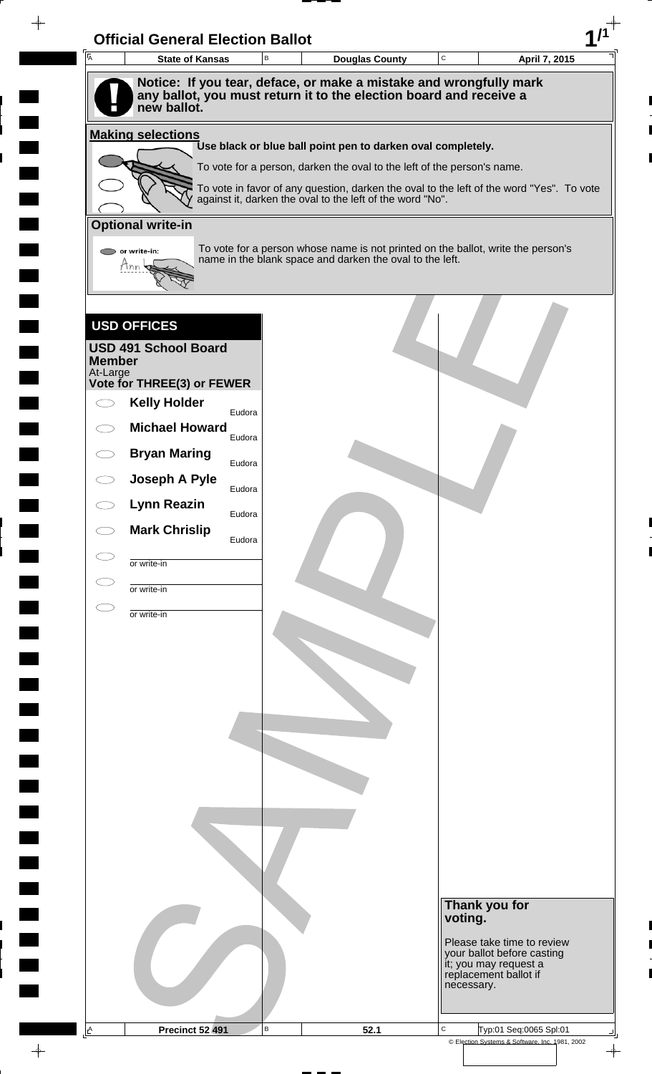| 匠             | <b>State of Kansas</b>          | В | <b>Douglas County</b>                                                                                                                                 | C          | April 7, 2015                                       |
|---------------|---------------------------------|---|-------------------------------------------------------------------------------------------------------------------------------------------------------|------------|-----------------------------------------------------|
|               | new ballot.                     |   | Notice: If you tear, deface, or make a mistake and wrongfully mark<br>any ballot, you must return it to the election board and receive a              |            |                                                     |
|               | <b>Making selections</b>        |   |                                                                                                                                                       |            |                                                     |
|               |                                 |   | Use black or blue ball point pen to darken oval completely.                                                                                           |            |                                                     |
|               |                                 |   | To vote for a person, darken the oval to the left of the person's name.                                                                               |            |                                                     |
|               |                                 |   | To vote in favor of any question, darken the oval to the left of the word "Yes". To vote<br>against it, darken the oval to the left of the word "No". |            |                                                     |
|               | <b>Optional write-in</b>        |   |                                                                                                                                                       |            |                                                     |
|               | or write-in:                    |   | To vote for a person whose name is not printed on the ballot, write the person's                                                                      |            |                                                     |
|               | Hnn                             |   | name in the blank space and darken the oval to the left.                                                                                              |            |                                                     |
|               |                                 |   |                                                                                                                                                       |            |                                                     |
|               |                                 |   |                                                                                                                                                       |            |                                                     |
|               | <b>USD OFFICES</b>              |   |                                                                                                                                                       |            |                                                     |
| <b>Member</b> | <b>USD 491 School Board</b>     |   |                                                                                                                                                       |            |                                                     |
| At-Large      | Vote for THREE(3) or FEWER      |   |                                                                                                                                                       |            |                                                     |
|               | <b>Kelly Holder</b>             |   |                                                                                                                                                       |            |                                                     |
|               | Eudora<br><b>Michael Howard</b> |   |                                                                                                                                                       |            |                                                     |
|               | Eudora                          |   |                                                                                                                                                       |            |                                                     |
|               | <b>Bryan Maring</b><br>Eudora   |   |                                                                                                                                                       |            |                                                     |
|               | Joseph A Pyle<br>Eudora         |   |                                                                                                                                                       |            |                                                     |
|               | <b>Lynn Reazin</b><br>Eudora    |   |                                                                                                                                                       |            |                                                     |
|               | <b>Mark Chrislip</b><br>Eudora  |   |                                                                                                                                                       |            |                                                     |
|               | or write-in                     |   |                                                                                                                                                       |            |                                                     |
|               | or write-in                     |   |                                                                                                                                                       |            |                                                     |
|               |                                 |   |                                                                                                                                                       |            |                                                     |
|               | or write-in                     |   |                                                                                                                                                       |            |                                                     |
|               |                                 |   |                                                                                                                                                       |            |                                                     |
|               |                                 |   |                                                                                                                                                       |            |                                                     |
|               |                                 |   |                                                                                                                                                       |            |                                                     |
|               |                                 |   |                                                                                                                                                       |            |                                                     |
|               |                                 |   |                                                                                                                                                       |            |                                                     |
|               |                                 |   |                                                                                                                                                       |            |                                                     |
|               |                                 |   |                                                                                                                                                       |            |                                                     |
|               |                                 |   |                                                                                                                                                       |            |                                                     |
|               |                                 |   |                                                                                                                                                       |            |                                                     |
|               |                                 |   |                                                                                                                                                       |            |                                                     |
|               |                                 |   |                                                                                                                                                       |            |                                                     |
|               |                                 |   |                                                                                                                                                       |            |                                                     |
|               |                                 |   |                                                                                                                                                       | voting.    | Thank you for                                       |
|               |                                 |   |                                                                                                                                                       |            | Please take time to review                          |
|               |                                 |   |                                                                                                                                                       |            | your ballot before casting<br>it; you may request a |
|               |                                 |   |                                                                                                                                                       |            | replacement ballot if                               |
|               |                                 |   |                                                                                                                                                       | necessary. |                                                     |

 $\blacksquare$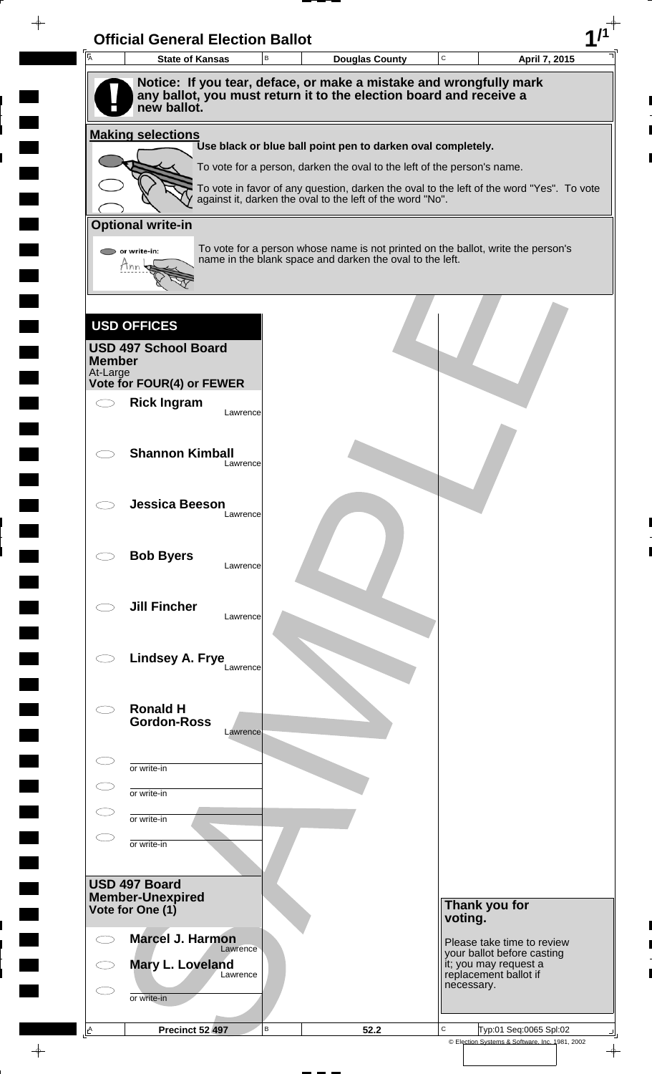| $\overline{A}$            | <b>State of Kansas</b>                                                            | $\mathsf B$ | <b>Douglas County</b>                                                   | $\mathtt{C}$ | April 7, 2015                                                                            |
|---------------------------|-----------------------------------------------------------------------------------|-------------|-------------------------------------------------------------------------|--------------|------------------------------------------------------------------------------------------|
|                           | Notice: If you tear, deface, or make a mistake and wrongfully mark                |             |                                                                         |              |                                                                                          |
|                           | any ballot, you must return it to the election board and receive a<br>new ballot. |             |                                                                         |              |                                                                                          |
|                           |                                                                                   |             |                                                                         |              |                                                                                          |
|                           | <b>Making selections</b>                                                          |             | Use black or blue ball point pen to darken oval completely.             |              |                                                                                          |
|                           |                                                                                   |             | To vote for a person, darken the oval to the left of the person's name. |              |                                                                                          |
|                           |                                                                                   |             | against it, darken the oval to the left of the word "No".               |              | To vote in favor of any question, darken the oval to the left of the word "Yes". To vote |
|                           |                                                                                   |             |                                                                         |              |                                                                                          |
|                           | <b>Optional write-in</b>                                                          |             |                                                                         |              |                                                                                          |
|                           | or write-in:<br>tinn                                                              |             | name in the blank space and darken the oval to the left.                |              | To vote for a person whose name is not printed on the ballot, write the person's         |
|                           |                                                                                   |             |                                                                         |              |                                                                                          |
|                           |                                                                                   |             |                                                                         |              |                                                                                          |
|                           | <b>USD OFFICES</b>                                                                |             |                                                                         |              |                                                                                          |
|                           | <b>USD 497 School Board</b>                                                       |             |                                                                         |              |                                                                                          |
| <b>Member</b><br>At-Large |                                                                                   |             |                                                                         |              |                                                                                          |
|                           | Vote for FOUR(4) or FEWER                                                         |             |                                                                         |              |                                                                                          |
|                           | <b>Rick Ingram</b>                                                                | Lawrence    |                                                                         |              |                                                                                          |
|                           |                                                                                   |             |                                                                         |              |                                                                                          |
|                           | <b>Shannon Kimball</b>                                                            | Lawrence    |                                                                         |              |                                                                                          |
|                           |                                                                                   |             |                                                                         |              |                                                                                          |
|                           | <b>Jessica Beeson</b>                                                             |             |                                                                         |              |                                                                                          |
|                           |                                                                                   | Lawrence    |                                                                         |              |                                                                                          |
|                           |                                                                                   |             |                                                                         |              |                                                                                          |
|                           | <b>Bob Byers</b>                                                                  | Lawrence    |                                                                         |              |                                                                                          |
|                           |                                                                                   |             |                                                                         |              |                                                                                          |
|                           | <b>Jill Fincher</b>                                                               | Lawrence    |                                                                         |              |                                                                                          |
|                           |                                                                                   |             |                                                                         |              |                                                                                          |
|                           | Lindsey A. Frye                                                                   |             |                                                                         |              |                                                                                          |
|                           |                                                                                   | Lawrence    |                                                                         |              |                                                                                          |
|                           |                                                                                   |             |                                                                         |              |                                                                                          |
|                           | <b>Ronald H</b><br><b>Gordon-Ross</b>                                             |             |                                                                         |              |                                                                                          |
|                           |                                                                                   | Lawrence    |                                                                         |              |                                                                                          |
|                           | or write-in                                                                       |             |                                                                         |              |                                                                                          |
|                           | or write-in                                                                       |             |                                                                         |              |                                                                                          |
|                           |                                                                                   |             |                                                                         |              |                                                                                          |
|                           | or write-in                                                                       |             |                                                                         |              |                                                                                          |
|                           | or write-in                                                                       |             |                                                                         |              |                                                                                          |
|                           |                                                                                   |             |                                                                         |              |                                                                                          |
|                           | USD 497 Board<br><b>Member-Unexpired</b>                                          |             |                                                                         |              |                                                                                          |
|                           | Vote for One (1)                                                                  |             |                                                                         | voting.      | Thank you for                                                                            |
|                           | <b>Marcel J. Harmon</b>                                                           |             |                                                                         |              | Please take time to review                                                               |
|                           | Mary L. Loveland                                                                  | Lawrence    |                                                                         |              | your ballot before casting<br>it; you may request a                                      |
|                           |                                                                                   | Lawrence    |                                                                         |              | replacement ballot if<br>necessary.                                                      |
|                           |                                                                                   |             |                                                                         |              |                                                                                          |
|                           | or write-in                                                                       |             |                                                                         |              |                                                                                          |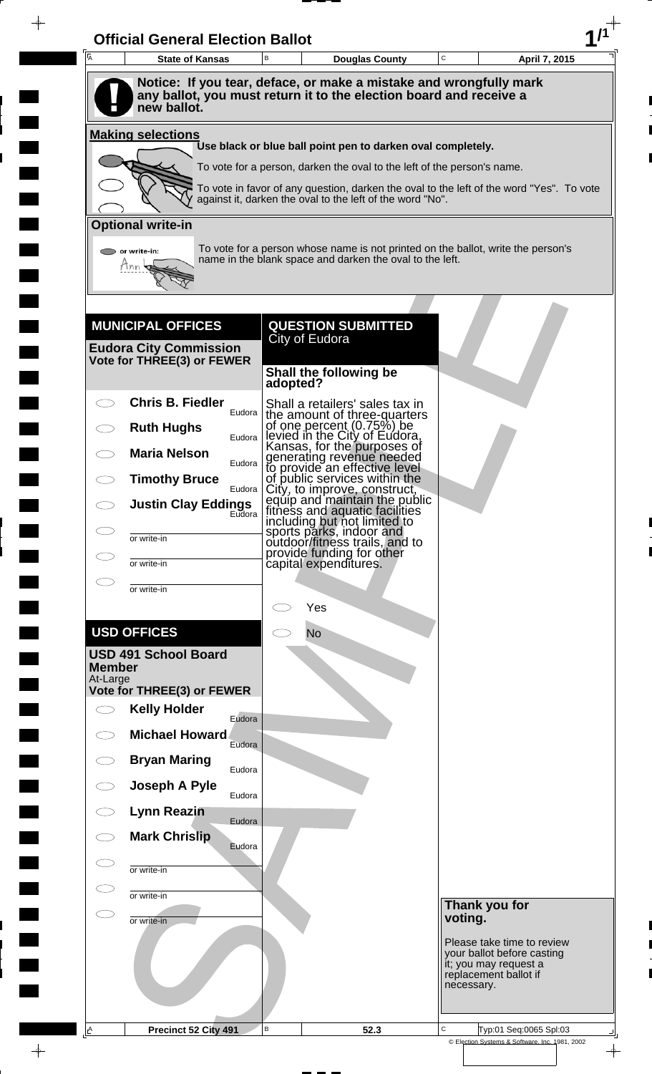| $\overline{A}$      | <b>State of Kansas</b>                                                            | B        | <b>Douglas County</b>                                                                                                                                 | C |            | April 7, 2015                                       |  |
|---------------------|-----------------------------------------------------------------------------------|----------|-------------------------------------------------------------------------------------------------------------------------------------------------------|---|------------|-----------------------------------------------------|--|
|                     | Notice: If you tear, deface, or make a mistake and wrongfully mark                |          |                                                                                                                                                       |   |            |                                                     |  |
|                     | any ballot, you must return it to the election board and receive a<br>new ballot. |          |                                                                                                                                                       |   |            |                                                     |  |
|                     | <b>Making selections</b>                                                          |          | Use black or blue ball point pen to darken oval completely.                                                                                           |   |            |                                                     |  |
|                     |                                                                                   |          | To vote for a person, darken the oval to the left of the person's name.                                                                               |   |            |                                                     |  |
|                     |                                                                                   |          | To vote in favor of any question, darken the oval to the left of the word "Yes". To vote<br>against it, darken the oval to the left of the word "No". |   |            |                                                     |  |
|                     | <b>Optional write-in</b>                                                          |          |                                                                                                                                                       |   |            |                                                     |  |
|                     | or write-in:                                                                      |          | To vote for a person whose name is not printed on the ballot, write the person's                                                                      |   |            |                                                     |  |
|                     | Tnn                                                                               |          | name in the blank space and darken the oval to the left.                                                                                              |   |            |                                                     |  |
|                     |                                                                                   |          |                                                                                                                                                       |   |            |                                                     |  |
|                     |                                                                                   |          |                                                                                                                                                       |   |            |                                                     |  |
|                     | <b>MUNICIPAL OFFICES</b><br><b>Eudora City Commission</b>                         |          | <b>QUESTION SUBMITTED</b><br>City of Eudora                                                                                                           |   |            |                                                     |  |
|                     | Vote for THREE(3) or FEWER                                                        |          | Shall the following be                                                                                                                                |   |            |                                                     |  |
|                     |                                                                                   | adopted? |                                                                                                                                                       |   |            |                                                     |  |
|                     | <b>Chris B. Fiedler</b><br>Eudora                                                 |          | Shall a retailers' sales tax in<br>the amount of three-quarters                                                                                       |   |            |                                                     |  |
|                     | <b>Ruth Hughs</b><br>Eudora                                                       |          | of one percent (0.75%) be<br>levied in the City of Eudora,<br>Kansas, for the purposes of                                                             |   |            |                                                     |  |
|                     | <b>Maria Nelson</b><br>Eudora                                                     |          | generating revenue needed<br>to provide an effective level                                                                                            |   |            |                                                     |  |
|                     | <b>Timothy Bruce</b><br>Eudora                                                    |          | of public services within the<br>City, to improve, construct,                                                                                         |   |            |                                                     |  |
|                     | <b>Justin Clay Eddings</b><br>Eudora                                              |          | equip and maintain the public<br>fitness and aquatic facilities<br>including but not limited to                                                       |   |            |                                                     |  |
| СJ                  | or write-in                                                                       |          | sports parks, indoor and<br>outdoor/fitness trails, and to<br>provide funding for other                                                               |   |            |                                                     |  |
| СJ                  | or write-in                                                                       |          | capital expenditures.                                                                                                                                 |   |            |                                                     |  |
| $\bigcirc$          | or write-in                                                                       |          |                                                                                                                                                       |   |            |                                                     |  |
|                     |                                                                                   |          | Yes                                                                                                                                                   |   |            |                                                     |  |
|                     | <b>USD OFFICES</b>                                                                |          | <b>No</b>                                                                                                                                             |   |            |                                                     |  |
| <b>Member</b>       | <b>USD 491 School Board</b>                                                       |          |                                                                                                                                                       |   |            |                                                     |  |
| At-Large            | Vote for THREE(3) or FEWER                                                        |          |                                                                                                                                                       |   |            |                                                     |  |
| $\bigcirc$          | <b>Kelly Holder</b><br>Eudora                                                     |          |                                                                                                                                                       |   |            |                                                     |  |
|                     | <b>Michael Howard</b><br>Eudora                                                   |          |                                                                                                                                                       |   |            |                                                     |  |
| ◯                   | <b>Bryan Maring</b><br>Eudora                                                     |          |                                                                                                                                                       |   |            |                                                     |  |
| $\subset$ $\supset$ | Joseph A Pyle<br>Eudora                                                           |          |                                                                                                                                                       |   |            |                                                     |  |
|                     | <b>Lynn Reazin</b><br>Eudora                                                      |          |                                                                                                                                                       |   |            |                                                     |  |
|                     | <b>Mark Chrislip</b><br>Eudora                                                    |          |                                                                                                                                                       |   |            |                                                     |  |
| C I                 | or write-in                                                                       |          |                                                                                                                                                       |   |            |                                                     |  |
| $\subset$ $\supset$ | or write-in                                                                       |          |                                                                                                                                                       |   |            |                                                     |  |
| СD                  | or write-in                                                                       |          |                                                                                                                                                       |   | voting.    | Thank you for                                       |  |
|                     |                                                                                   |          |                                                                                                                                                       |   |            | Please take time to review                          |  |
|                     |                                                                                   |          |                                                                                                                                                       |   |            | your ballot before casting<br>it; you may request a |  |
|                     |                                                                                   |          |                                                                                                                                                       |   | necessary. | replacement ballot if                               |  |
|                     |                                                                                   |          |                                                                                                                                                       |   |            |                                                     |  |
| $\mathsf{A}% _{0}$  | Precinct 52 City 491                                                              | В        | 52.3                                                                                                                                                  | C |            | Typ:01 Seq:0065 Spl:03                              |  |

 $\blacksquare$ 

 $\blacksquare$ 

 $\frac{1}{\left\vert \psi \right\vert }%$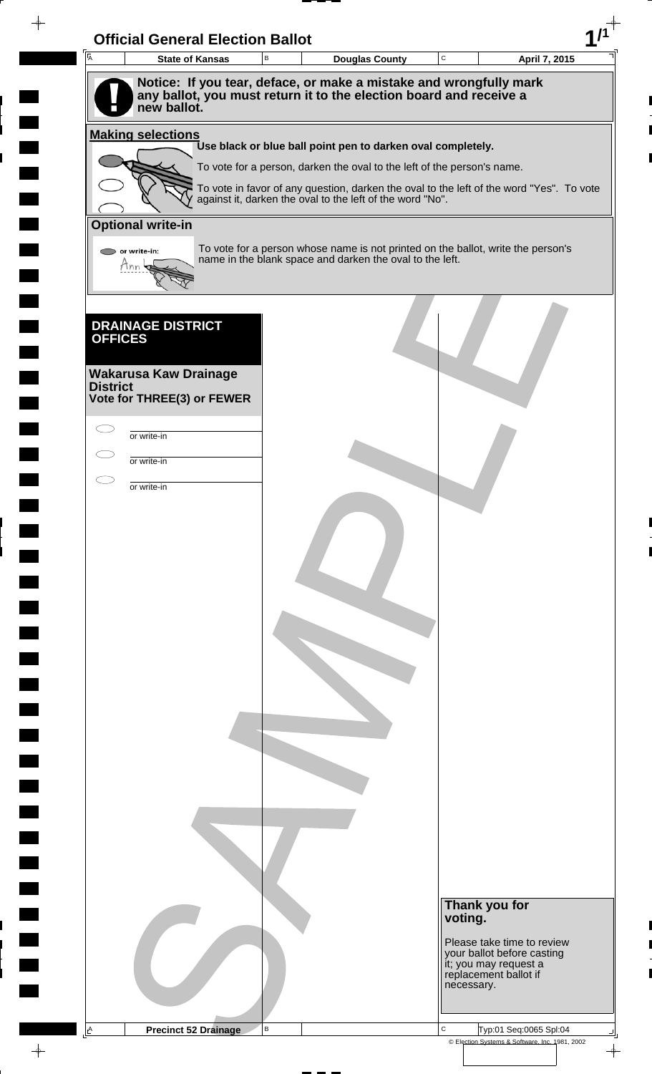| 一<br>人          | <b>Official General Election Ballot</b><br><b>State of Kansas</b> | В | <b>Douglas County</b>                                                                                                                              | $\mathbf C$ | April 7, 2015                                                                |
|-----------------|-------------------------------------------------------------------|---|----------------------------------------------------------------------------------------------------------------------------------------------------|-------------|------------------------------------------------------------------------------|
|                 |                                                                   |   | Notice: If you tear, deface, or make a mistake and wrongfully mark                                                                                 |             |                                                                              |
|                 | new ballot.                                                       |   | any ballot, you must return it to the election board and receive a                                                                                 |             |                                                                              |
|                 | <b>Making selections</b>                                          |   | Use black or blue ball point pen to darken oval completely.                                                                                        |             |                                                                              |
|                 |                                                                   |   | To vote for a person, darken the oval to the left of the person's name.                                                                            |             |                                                                              |
|                 |                                                                   |   | To vote in favor of any question, darken the oval to the left of the word "Yes". To vote against it, darken the oval to the left of the word "No". |             |                                                                              |
|                 | <b>Optional write-in</b>                                          |   |                                                                                                                                                    |             |                                                                              |
|                 | $\triangleright$ or write-in:                                     |   | To vote for a person whose name is not printed on the ballot, write the person's                                                                   |             |                                                                              |
|                 | Tnn                                                               |   | name in the blank space and darken the oval to the left.                                                                                           |             |                                                                              |
|                 |                                                                   |   |                                                                                                                                                    |             |                                                                              |
| <b>OFFICES</b>  | <b>DRAINAGE DISTRICT</b>                                          |   |                                                                                                                                                    |             |                                                                              |
|                 |                                                                   |   |                                                                                                                                                    |             |                                                                              |
| <b>District</b> | Wakarusa Kaw Drainage                                             |   |                                                                                                                                                    |             |                                                                              |
|                 | Vote for THREE(3) or FEWER                                        |   |                                                                                                                                                    |             |                                                                              |
|                 | or write-in                                                       |   |                                                                                                                                                    |             |                                                                              |
|                 | or write-in                                                       |   |                                                                                                                                                    |             |                                                                              |
|                 | or write-in                                                       |   |                                                                                                                                                    |             |                                                                              |
|                 |                                                                   |   |                                                                                                                                                    |             |                                                                              |
|                 |                                                                   |   |                                                                                                                                                    |             |                                                                              |
|                 |                                                                   |   |                                                                                                                                                    |             |                                                                              |
|                 |                                                                   |   |                                                                                                                                                    |             |                                                                              |
|                 |                                                                   |   |                                                                                                                                                    |             |                                                                              |
|                 |                                                                   |   |                                                                                                                                                    |             |                                                                              |
|                 |                                                                   |   |                                                                                                                                                    |             |                                                                              |
|                 |                                                                   |   |                                                                                                                                                    |             |                                                                              |
|                 |                                                                   |   |                                                                                                                                                    |             |                                                                              |
|                 |                                                                   |   |                                                                                                                                                    |             |                                                                              |
|                 |                                                                   |   |                                                                                                                                                    |             |                                                                              |
|                 |                                                                   |   |                                                                                                                                                    |             |                                                                              |
|                 |                                                                   |   |                                                                                                                                                    |             |                                                                              |
|                 |                                                                   |   |                                                                                                                                                    |             |                                                                              |
|                 |                                                                   |   |                                                                                                                                                    |             |                                                                              |
|                 |                                                                   |   |                                                                                                                                                    |             |                                                                              |
|                 |                                                                   |   |                                                                                                                                                    |             |                                                                              |
|                 |                                                                   |   |                                                                                                                                                    | voting.     | Thank you for                                                                |
|                 |                                                                   |   |                                                                                                                                                    |             | Please take time to review                                                   |
|                 |                                                                   |   |                                                                                                                                                    |             | your ballot before casting<br>it; you may request a<br>replacement ballot if |
|                 |                                                                   |   |                                                                                                                                                    | necessary.  |                                                                              |
|                 | <b>Precinct 52 Drainage</b>                                       | B |                                                                                                                                                    |             |                                                                              |
| A               |                                                                   |   |                                                                                                                                                    | $\mathbf C$ | Typ:01 Seq:0065 Spl:04                                                       |

 $\blacksquare$ 

 $\blacksquare$ 

 $\blacksquare$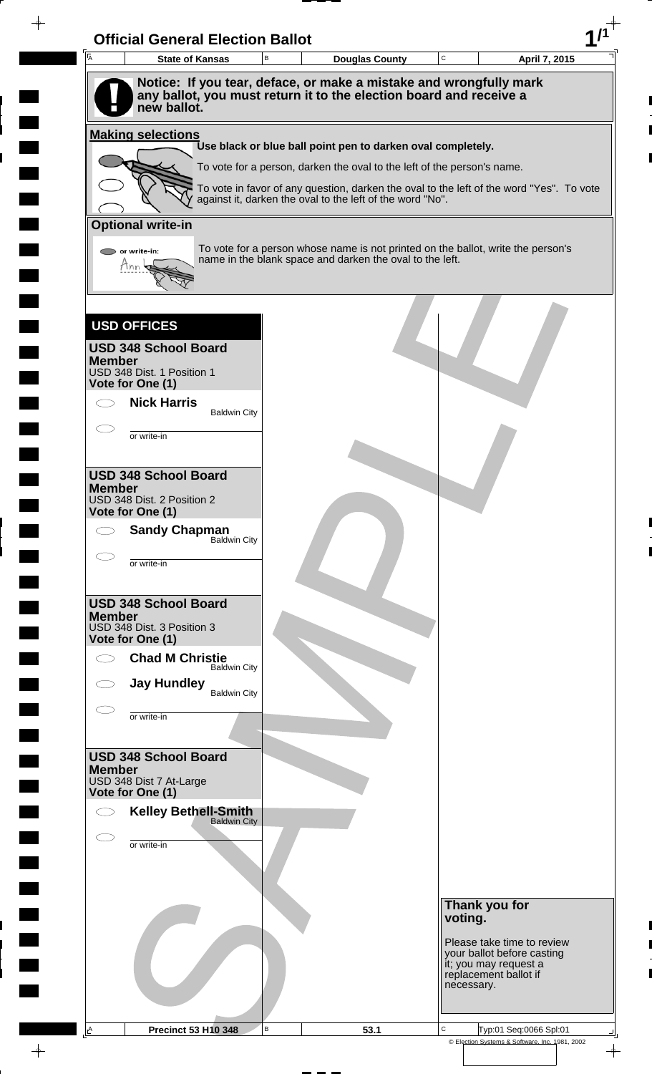|               | <b>State of Kansas</b>                             | B | <b>Douglas County</b>                                                                                                                                 | $\mathbf C$ |                                                              | April 7, 2015              |
|---------------|----------------------------------------------------|---|-------------------------------------------------------------------------------------------------------------------------------------------------------|-------------|--------------------------------------------------------------|----------------------------|
|               | new ballot.                                        |   | Notice: If you tear, deface, or make a mistake and wrongfully mark<br>any ballot, you must return it to the election board and receive a              |             |                                                              |                            |
|               | <b>Making selections</b>                           |   |                                                                                                                                                       |             |                                                              |                            |
|               |                                                    |   | Use black or blue ball point pen to darken oval completely.                                                                                           |             |                                                              |                            |
|               |                                                    |   | To vote for a person, darken the oval to the left of the person's name.                                                                               |             |                                                              |                            |
|               |                                                    |   | To vote in favor of any question, darken the oval to the left of the word "Yes". To vote<br>against it, darken the oval to the left of the word "No". |             |                                                              |                            |
|               | <b>Optional write-in</b>                           |   |                                                                                                                                                       |             |                                                              |                            |
|               | or write-in:                                       |   | To vote for a person whose name is not printed on the ballot, write the person's                                                                      |             |                                                              |                            |
| tinn          |                                                    |   | name in the blank space and darken the oval to the left.                                                                                              |             |                                                              |                            |
|               |                                                    |   |                                                                                                                                                       |             |                                                              |                            |
|               |                                                    |   |                                                                                                                                                       |             |                                                              |                            |
|               | <b>USD OFFICES</b>                                 |   |                                                                                                                                                       |             |                                                              |                            |
| <b>Member</b> | <b>USD 348 School Board</b>                        |   |                                                                                                                                                       |             |                                                              |                            |
|               | USD 348 Dist. 1 Position 1<br>Vote for One (1)     |   |                                                                                                                                                       |             |                                                              |                            |
|               | <b>Nick Harris</b>                                 |   |                                                                                                                                                       |             |                                                              |                            |
|               | <b>Baldwin City</b>                                |   |                                                                                                                                                       |             |                                                              |                            |
|               | or write-in                                        |   |                                                                                                                                                       |             |                                                              |                            |
|               | <b>USD 348 School Board</b>                        |   |                                                                                                                                                       |             |                                                              |                            |
| <b>Member</b> |                                                    |   |                                                                                                                                                       |             |                                                              |                            |
|               | USD 348 Dist. 2 Position 2<br>Vote for One (1)     |   |                                                                                                                                                       |             |                                                              |                            |
| $\bigcirc$    | <b>Sandy Chapman</b><br>Baldwin City               |   |                                                                                                                                                       |             |                                                              |                            |
|               | or write-in                                        |   |                                                                                                                                                       |             |                                                              |                            |
|               |                                                    |   |                                                                                                                                                       |             |                                                              |                            |
|               | <b>USD 348 School Board</b>                        |   |                                                                                                                                                       |             |                                                              |                            |
| <b>Member</b> | USD 348 Dist. 3 Position 3                         |   |                                                                                                                                                       |             |                                                              |                            |
|               | Vote for One (1)                                   |   |                                                                                                                                                       |             |                                                              |                            |
| σ             | <b>Chad M Christie</b><br><b>Baldwin City</b>      |   |                                                                                                                                                       |             |                                                              |                            |
|               | <b>Jay Hundley</b><br><b>Baldwin City</b>          |   |                                                                                                                                                       |             |                                                              |                            |
|               | or write-in                                        |   |                                                                                                                                                       |             |                                                              |                            |
|               |                                                    |   |                                                                                                                                                       |             |                                                              |                            |
|               | <b>USD 348 School Board</b>                        |   |                                                                                                                                                       |             |                                                              |                            |
| <b>Member</b> | USD 348 Dist 7 At-Large                            |   |                                                                                                                                                       |             |                                                              |                            |
|               | Vote for One (1)                                   |   |                                                                                                                                                       |             |                                                              |                            |
|               | <b>Kelley Bethell-Smith</b><br><b>Baldwin City</b> |   |                                                                                                                                                       |             |                                                              |                            |
|               | or write-in                                        |   |                                                                                                                                                       |             |                                                              |                            |
|               |                                                    |   |                                                                                                                                                       |             |                                                              |                            |
|               |                                                    |   |                                                                                                                                                       |             |                                                              |                            |
|               |                                                    |   |                                                                                                                                                       |             | Thank you for<br>voting.                                     |                            |
|               |                                                    |   |                                                                                                                                                       |             |                                                              | Please take time to review |
|               |                                                    |   |                                                                                                                                                       |             |                                                              | your ballot before casting |
|               |                                                    |   |                                                                                                                                                       |             | it; you may request a<br>replacement ballot if<br>necessary. |                            |
|               |                                                    |   |                                                                                                                                                       |             |                                                              |                            |

 $\overline{\phantom{a}}$ 

 $\blacksquare$ 

 $\frac{1}{\sqrt{2\pi}}\int_{0}^{\pi}\frac{1}{\sqrt{2\pi}}\left( \frac{1}{\sqrt{2\pi}}\right) \frac{d\mu}{d\mu}d\mu$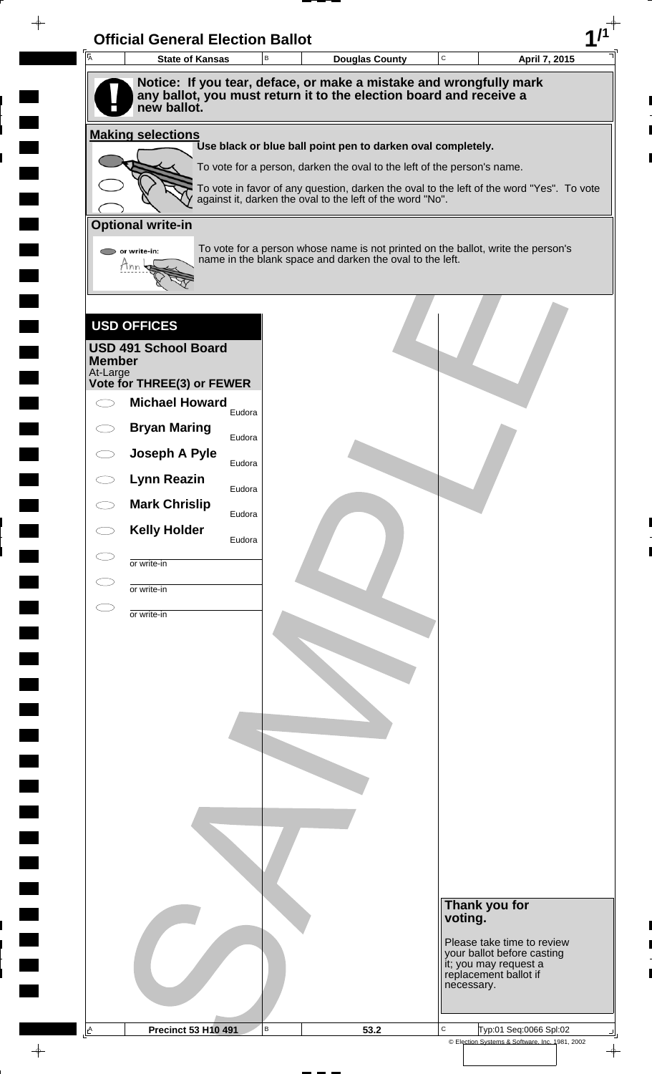| A             | <b>State of Kansas</b>      | B      | <b>Douglas County</b>                                                                                                                        | $\mathbf C$ | April 7, 2015                                       |
|---------------|-----------------------------|--------|----------------------------------------------------------------------------------------------------------------------------------------------|-------------|-----------------------------------------------------|
|               |                             |        | Notice: If you tear, deface, or make a mistake and wrongfully mark                                                                           |             |                                                     |
|               |                             |        | any ballot, you must return it to the election board and receive a                                                                           |             |                                                     |
|               | new ballot.                 |        |                                                                                                                                              |             |                                                     |
|               | <b>Making selections</b>    |        | Use black or blue ball point pen to darken oval completely.                                                                                  |             |                                                     |
|               |                             |        | To vote for a person, darken the oval to the left of the person's name.                                                                      |             |                                                     |
|               |                             |        | To vote in favor of any question, darken the oval to the left of the word "Yes". To vote                                                     |             |                                                     |
|               |                             |        | against it, darken the oval to the left of the word "No".                                                                                    |             |                                                     |
|               | <b>Optional write-in</b>    |        |                                                                                                                                              |             |                                                     |
|               | or write-in:                |        | To vote for a person whose name is not printed on the ballot, write the person's<br>name in the blank space and darken the oval to the left. |             |                                                     |
|               | Mnn                         |        |                                                                                                                                              |             |                                                     |
|               |                             |        |                                                                                                                                              |             |                                                     |
|               |                             |        |                                                                                                                                              |             |                                                     |
|               | <b>USD OFFICES</b>          |        |                                                                                                                                              |             |                                                     |
| <b>Member</b> | <b>USD 491 School Board</b> |        |                                                                                                                                              |             |                                                     |
| At-Large      | Vote for THREE(3) or FEWER  |        |                                                                                                                                              |             |                                                     |
|               | <b>Michael Howard</b>       | Eudora |                                                                                                                                              |             |                                                     |
|               | <b>Bryan Maring</b>         |        |                                                                                                                                              |             |                                                     |
|               | Joseph A Pyle               | Eudora |                                                                                                                                              |             |                                                     |
|               |                             | Eudora |                                                                                                                                              |             |                                                     |
|               | <b>Lynn Reazin</b>          | Eudora |                                                                                                                                              |             |                                                     |
|               | <b>Mark Chrislip</b>        | Eudora |                                                                                                                                              |             |                                                     |
|               | <b>Kelly Holder</b>         | Eudora |                                                                                                                                              |             |                                                     |
|               | or write-in                 |        |                                                                                                                                              |             |                                                     |
|               |                             |        |                                                                                                                                              |             |                                                     |
|               | or write-in                 |        |                                                                                                                                              |             |                                                     |
|               | or write-in                 |        |                                                                                                                                              |             |                                                     |
|               |                             |        |                                                                                                                                              |             |                                                     |
|               |                             |        |                                                                                                                                              |             |                                                     |
|               |                             |        |                                                                                                                                              |             |                                                     |
|               |                             |        |                                                                                                                                              |             |                                                     |
|               |                             |        |                                                                                                                                              |             |                                                     |
|               |                             |        |                                                                                                                                              |             |                                                     |
|               |                             |        |                                                                                                                                              |             |                                                     |
|               |                             |        |                                                                                                                                              |             |                                                     |
|               |                             |        |                                                                                                                                              |             |                                                     |
|               |                             |        |                                                                                                                                              |             |                                                     |
|               |                             |        |                                                                                                                                              |             |                                                     |
|               |                             |        |                                                                                                                                              |             |                                                     |
|               |                             |        |                                                                                                                                              |             | Thank you for                                       |
|               |                             |        |                                                                                                                                              |             | voting.                                             |
|               |                             |        |                                                                                                                                              |             | Please take time to review                          |
|               |                             |        |                                                                                                                                              |             |                                                     |
|               |                             |        |                                                                                                                                              |             | your ballot before casting<br>it; you may request a |
|               |                             |        |                                                                                                                                              |             | replacement ballot if<br>necessary.                 |

 $\overline{\phantom{a}}$ 

 $\frac{1}{\sqrt{2\pi}}$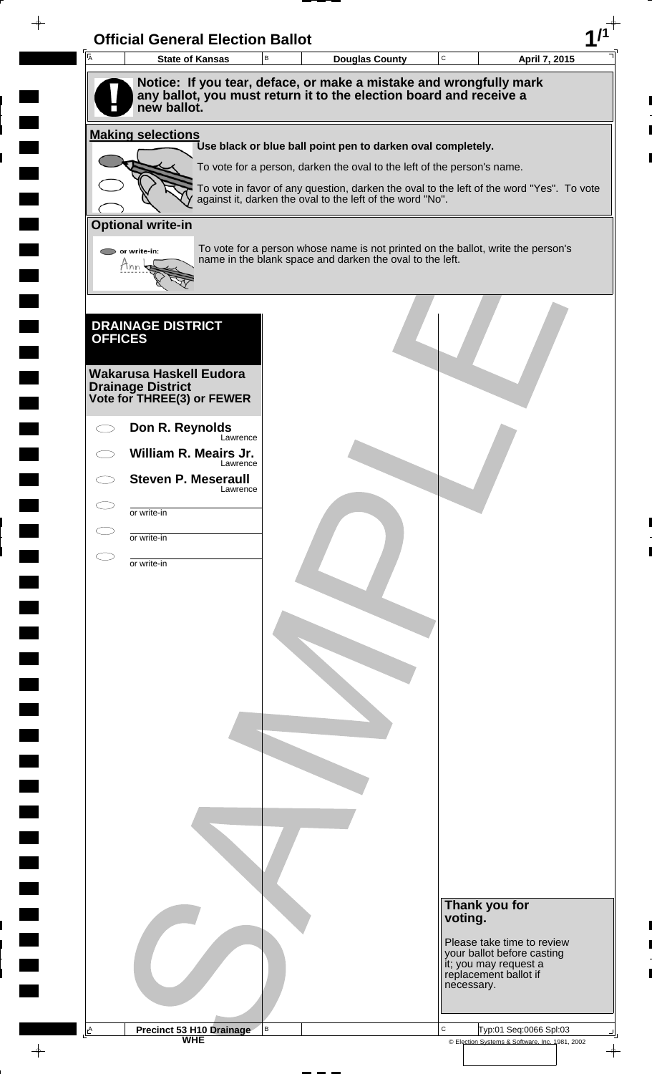| $\overline{A}$ | <b>Official General Election Ballot</b><br><b>State of Kansas</b>                                                                                       | В | <b>Douglas County</b>                                                                    | $\mathbf C$ | April 7, 2015                                            |
|----------------|---------------------------------------------------------------------------------------------------------------------------------------------------------|---|------------------------------------------------------------------------------------------|-------------|----------------------------------------------------------|
|                |                                                                                                                                                         |   |                                                                                          |             |                                                          |
|                | Notice: If you tear, deface, or make a mistake and wrongfully mark<br>any ballot, you must return it to the election board and receive a<br>new ballot. |   |                                                                                          |             |                                                          |
|                | <b>Making selections</b>                                                                                                                                |   | Use black or blue ball point pen to darken oval completely.                              |             |                                                          |
|                |                                                                                                                                                         |   | To vote for a person, darken the oval to the left of the person's name.                  |             |                                                          |
|                |                                                                                                                                                         |   | To vote in favor of any question, darken the oval to the left of the word "Yes". To vote |             |                                                          |
|                |                                                                                                                                                         |   | against it, darken the oval to the left of the word "No".                                |             |                                                          |
|                | <b>Optional write-in</b>                                                                                                                                |   | To vote for a person whose name is not printed on the ballot, write the person's         |             |                                                          |
|                | $\bigcirc$ or write-in:<br>Hnn                                                                                                                          |   | name in the blank space and darken the oval to the left.                                 |             |                                                          |
|                |                                                                                                                                                         |   |                                                                                          |             |                                                          |
|                | <b>DRAINAGE DISTRICT</b>                                                                                                                                |   |                                                                                          |             |                                                          |
| <b>OFFICES</b> |                                                                                                                                                         |   |                                                                                          |             |                                                          |
|                | <b>Wakarusa Haskell Eudora</b>                                                                                                                          |   |                                                                                          |             |                                                          |
|                | <b>Drainage District</b><br>Vote for THREE(3) or FEWER                                                                                                  |   |                                                                                          |             |                                                          |
|                | Don R. Reynolds                                                                                                                                         |   |                                                                                          |             |                                                          |
|                | Lawrence<br>William R. Meairs Jr.                                                                                                                       |   |                                                                                          |             |                                                          |
|                | Lawrence<br><b>Steven P. Meseraull</b>                                                                                                                  |   |                                                                                          |             |                                                          |
|                | Lawrence<br>or write-in                                                                                                                                 |   |                                                                                          |             |                                                          |
|                | or write-in                                                                                                                                             |   |                                                                                          |             |                                                          |
|                | or write-in                                                                                                                                             |   |                                                                                          |             |                                                          |
|                |                                                                                                                                                         |   |                                                                                          |             |                                                          |
|                |                                                                                                                                                         |   |                                                                                          |             |                                                          |
|                |                                                                                                                                                         |   |                                                                                          |             |                                                          |
|                |                                                                                                                                                         |   |                                                                                          |             |                                                          |
|                |                                                                                                                                                         |   |                                                                                          |             |                                                          |
|                |                                                                                                                                                         |   |                                                                                          |             |                                                          |
|                |                                                                                                                                                         |   |                                                                                          |             |                                                          |
|                |                                                                                                                                                         |   |                                                                                          |             |                                                          |
|                |                                                                                                                                                         |   |                                                                                          |             |                                                          |
|                |                                                                                                                                                         |   |                                                                                          |             |                                                          |
|                |                                                                                                                                                         |   |                                                                                          |             |                                                          |
|                |                                                                                                                                                         |   |                                                                                          |             |                                                          |
|                |                                                                                                                                                         |   |                                                                                          |             |                                                          |
|                |                                                                                                                                                         |   |                                                                                          | voting.     | Thank you for                                            |
|                |                                                                                                                                                         |   |                                                                                          |             | Please take time to review<br>your ballot before casting |
|                |                                                                                                                                                         |   |                                                                                          |             | it; you may request a<br>replacement ballot if           |
|                |                                                                                                                                                         |   |                                                                                          | necessary.  |                                                          |
|                |                                                                                                                                                         |   |                                                                                          |             |                                                          |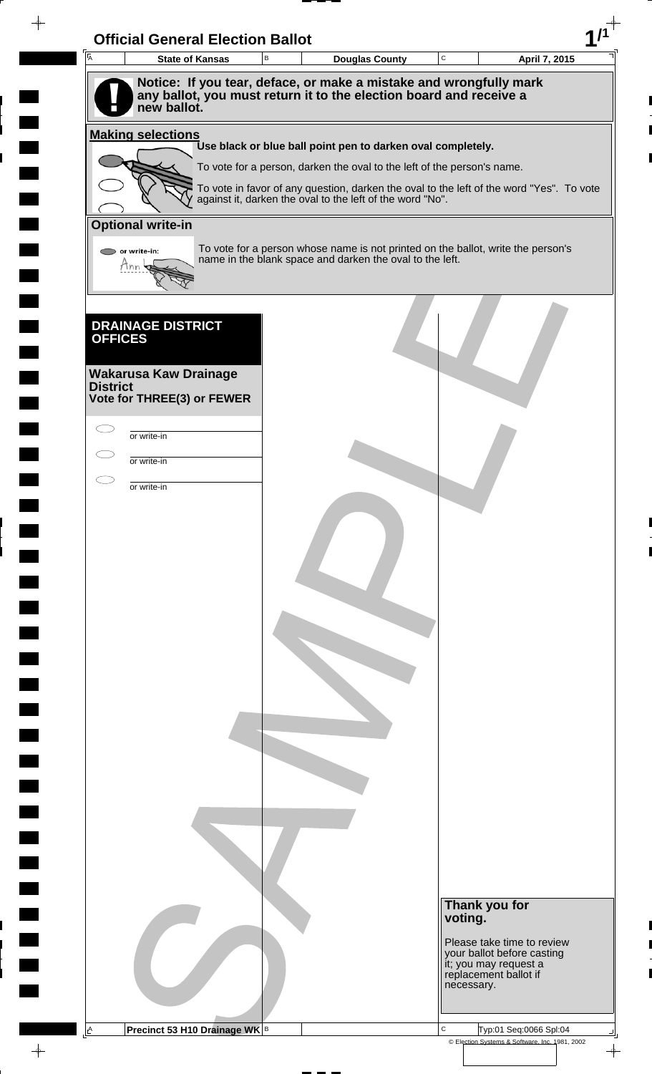| $\overline{A}$           | <b>Official General Election Ballot</b><br><b>State of Kansas</b> | B | <b>Douglas County</b>                                                                                                                        | $\mathbf C$ |                                                              | April 7, 2015 |
|--------------------------|-------------------------------------------------------------------|---|----------------------------------------------------------------------------------------------------------------------------------------------|-------------|--------------------------------------------------------------|---------------|
|                          |                                                                   |   | Notice: If you tear, deface, or make a mistake and wrongfully mark                                                                           |             |                                                              |               |
|                          | new ballot.                                                       |   | any ballot, you must return it to the election board and receive a                                                                           |             |                                                              |               |
|                          |                                                                   |   |                                                                                                                                              |             |                                                              |               |
| <b>Making selections</b> |                                                                   |   | Use black or blue ball point pen to darken oval completely.                                                                                  |             |                                                              |               |
|                          |                                                                   |   | To vote for a person, darken the oval to the left of the person's name.                                                                      |             |                                                              |               |
|                          |                                                                   |   | To vote in favor of any question, darken the oval to the left of the word "Yes". To vote                                                     |             |                                                              |               |
|                          |                                                                   |   | against it, darken the oval to the left of the word "No".                                                                                    |             |                                                              |               |
| <b>Optional write-in</b> |                                                                   |   |                                                                                                                                              |             |                                                              |               |
| $\bigcirc$ or write-in:  |                                                                   |   | To vote for a person whose name is not printed on the ballot, write the person's<br>name in the blank space and darken the oval to the left. |             |                                                              |               |
| Mnn                      |                                                                   |   |                                                                                                                                              |             |                                                              |               |
|                          |                                                                   |   |                                                                                                                                              |             |                                                              |               |
|                          |                                                                   |   |                                                                                                                                              |             |                                                              |               |
| <b>OFFICES</b>           | <b>DRAINAGE DISTRICT</b>                                          |   |                                                                                                                                              |             |                                                              |               |
|                          |                                                                   |   |                                                                                                                                              |             |                                                              |               |
| <b>District</b>          | <b>Wakarusa Kaw Drainage</b>                                      |   |                                                                                                                                              |             |                                                              |               |
|                          | Vote for THREE(3) or FEWER                                        |   |                                                                                                                                              |             |                                                              |               |
|                          |                                                                   |   |                                                                                                                                              |             |                                                              |               |
| or write-in              |                                                                   |   |                                                                                                                                              |             |                                                              |               |
| or write-in              |                                                                   |   |                                                                                                                                              |             |                                                              |               |
| or write-in              |                                                                   |   |                                                                                                                                              |             |                                                              |               |
|                          |                                                                   |   |                                                                                                                                              |             |                                                              |               |
|                          |                                                                   |   |                                                                                                                                              |             |                                                              |               |
|                          |                                                                   |   |                                                                                                                                              |             |                                                              |               |
|                          |                                                                   |   |                                                                                                                                              |             |                                                              |               |
|                          |                                                                   |   |                                                                                                                                              |             |                                                              |               |
|                          |                                                                   |   |                                                                                                                                              |             |                                                              |               |
|                          |                                                                   |   |                                                                                                                                              |             |                                                              |               |
|                          |                                                                   |   |                                                                                                                                              |             |                                                              |               |
|                          |                                                                   |   |                                                                                                                                              |             |                                                              |               |
|                          |                                                                   |   |                                                                                                                                              |             |                                                              |               |
|                          |                                                                   |   |                                                                                                                                              |             |                                                              |               |
|                          |                                                                   |   |                                                                                                                                              |             |                                                              |               |
|                          |                                                                   |   |                                                                                                                                              |             |                                                              |               |
|                          |                                                                   |   |                                                                                                                                              |             |                                                              |               |
|                          |                                                                   |   |                                                                                                                                              |             |                                                              |               |
|                          |                                                                   |   |                                                                                                                                              |             |                                                              |               |
|                          |                                                                   |   |                                                                                                                                              |             |                                                              |               |
|                          |                                                                   |   |                                                                                                                                              |             |                                                              |               |
|                          |                                                                   |   |                                                                                                                                              |             |                                                              |               |
|                          |                                                                   |   |                                                                                                                                              |             | Thank you for<br>voting.                                     |               |
|                          |                                                                   |   |                                                                                                                                              |             | Please take time to review                                   |               |
|                          |                                                                   |   |                                                                                                                                              |             |                                                              |               |
|                          |                                                                   |   |                                                                                                                                              |             | your ballot before casting                                   |               |
|                          |                                                                   |   |                                                                                                                                              |             | it; you may request a<br>replacement ballot if<br>necessary. |               |
|                          |                                                                   |   |                                                                                                                                              |             |                                                              |               |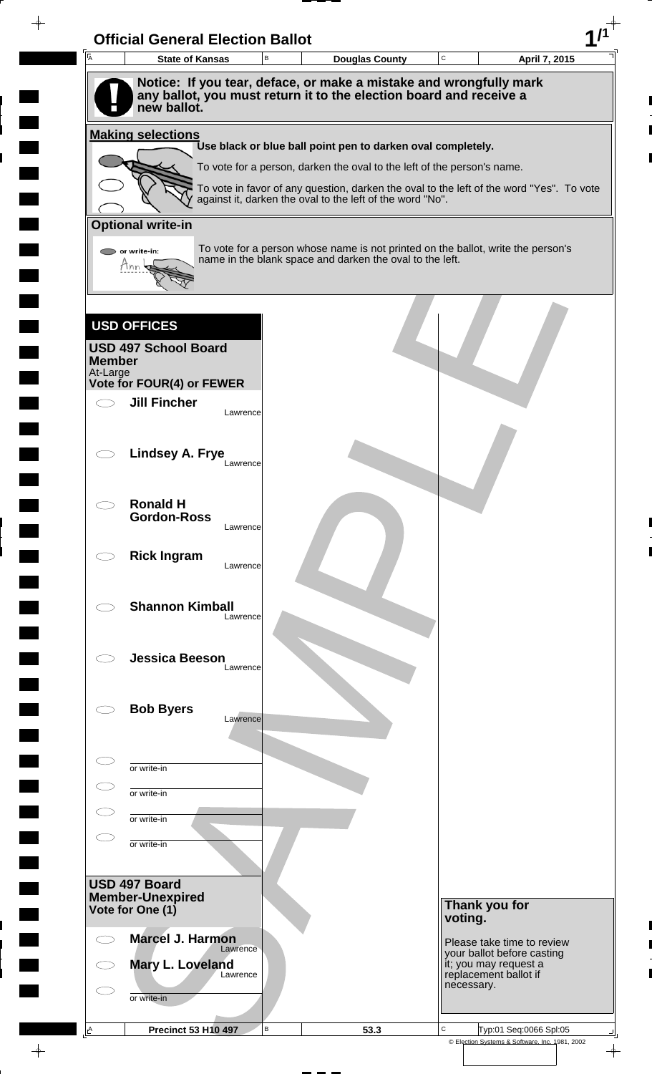| $\overline{A}$ | <b>State of Kansas</b>                                                            |          | B |                                                                                                                                                       | <b>Douglas County</b> | C       |                                     | April 7, 2015              |
|----------------|-----------------------------------------------------------------------------------|----------|---|-------------------------------------------------------------------------------------------------------------------------------------------------------|-----------------------|---------|-------------------------------------|----------------------------|
|                | Notice: If you tear, deface, or make a mistake and wrongfully mark                |          |   |                                                                                                                                                       |                       |         |                                     |                            |
|                | any ballot, you must return it to the election board and receive a<br>new ballot. |          |   |                                                                                                                                                       |                       |         |                                     |                            |
|                | <b>Making selections</b>                                                          |          |   |                                                                                                                                                       |                       |         |                                     |                            |
|                |                                                                                   |          |   | Use black or blue ball point pen to darken oval completely.                                                                                           |                       |         |                                     |                            |
|                |                                                                                   |          |   | To vote for a person, darken the oval to the left of the person's name.                                                                               |                       |         |                                     |                            |
|                |                                                                                   |          |   | To vote in favor of any question, darken the oval to the left of the word "Yes". To vote<br>against it, darken the oval to the left of the word "No". |                       |         |                                     |                            |
|                | <b>Optional write-in</b>                                                          |          |   |                                                                                                                                                       |                       |         |                                     |                            |
|                | or write-in:                                                                      |          |   | To vote for a person whose name is not printed on the ballot, write the person's                                                                      |                       |         |                                     |                            |
|                | Mnn                                                                               |          |   | name in the blank space and darken the oval to the left.                                                                                              |                       |         |                                     |                            |
|                |                                                                                   |          |   |                                                                                                                                                       |                       |         |                                     |                            |
|                |                                                                                   |          |   |                                                                                                                                                       |                       |         |                                     |                            |
|                | <b>USD OFFICES</b>                                                                |          |   |                                                                                                                                                       |                       |         |                                     |                            |
| <b>Member</b>  | <b>USD 497 School Board</b>                                                       |          |   |                                                                                                                                                       |                       |         |                                     |                            |
| At-Large       | Vote for FOUR(4) or FEWER                                                         |          |   |                                                                                                                                                       |                       |         |                                     |                            |
|                | <b>Jill Fincher</b>                                                               |          |   |                                                                                                                                                       |                       |         |                                     |                            |
|                |                                                                                   | Lawrence |   |                                                                                                                                                       |                       |         |                                     |                            |
|                |                                                                                   |          |   |                                                                                                                                                       |                       |         |                                     |                            |
|                | <b>Lindsey A. Frye</b>                                                            | Lawrence |   |                                                                                                                                                       |                       |         |                                     |                            |
|                |                                                                                   |          |   |                                                                                                                                                       |                       |         |                                     |                            |
|                | <b>Ronald H</b>                                                                   |          |   |                                                                                                                                                       |                       |         |                                     |                            |
|                | <b>Gordon-Ross</b>                                                                | Lawrence |   |                                                                                                                                                       |                       |         |                                     |                            |
|                | <b>Rick Ingram</b>                                                                |          |   |                                                                                                                                                       |                       |         |                                     |                            |
|                |                                                                                   | Lawrence |   |                                                                                                                                                       |                       |         |                                     |                            |
|                | <b>Shannon Kimball</b>                                                            |          |   |                                                                                                                                                       |                       |         |                                     |                            |
|                |                                                                                   | Lawrence |   |                                                                                                                                                       |                       |         |                                     |                            |
|                |                                                                                   |          |   |                                                                                                                                                       |                       |         |                                     |                            |
|                | <b>Jessica Beeson</b>                                                             | Lawrence |   |                                                                                                                                                       |                       |         |                                     |                            |
|                |                                                                                   |          |   |                                                                                                                                                       |                       |         |                                     |                            |
|                | <b>Bob Byers</b>                                                                  | Lawrence |   |                                                                                                                                                       |                       |         |                                     |                            |
|                |                                                                                   |          |   |                                                                                                                                                       |                       |         |                                     |                            |
|                |                                                                                   |          |   |                                                                                                                                                       |                       |         |                                     |                            |
|                | or write-in                                                                       |          |   |                                                                                                                                                       |                       |         |                                     |                            |
|                | or write-in                                                                       |          |   |                                                                                                                                                       |                       |         |                                     |                            |
|                | or write-in                                                                       |          |   |                                                                                                                                                       |                       |         |                                     |                            |
|                | or write-in                                                                       |          |   |                                                                                                                                                       |                       |         |                                     |                            |
|                |                                                                                   |          |   |                                                                                                                                                       |                       |         |                                     |                            |
|                | USD 497 Board<br><b>Member-Unexpired</b>                                          |          |   |                                                                                                                                                       |                       |         |                                     |                            |
|                | Vote for One (1)                                                                  |          |   |                                                                                                                                                       |                       | voting. | Thank you for                       |                            |
|                | <b>Marcel J. Harmon</b>                                                           |          |   |                                                                                                                                                       |                       |         |                                     | Please take time to review |
|                | Mary L. Loveland                                                                  | Lawrence |   |                                                                                                                                                       |                       |         | it; you may request a               | your ballot before casting |
|                |                                                                                   | Lawrence |   |                                                                                                                                                       |                       |         | replacement ballot if<br>necessary. |                            |
|                |                                                                                   |          |   |                                                                                                                                                       |                       |         |                                     |                            |
|                | or write-in                                                                       |          |   |                                                                                                                                                       |                       |         |                                     |                            |

 $\begin{array}{c} \hline \end{array}$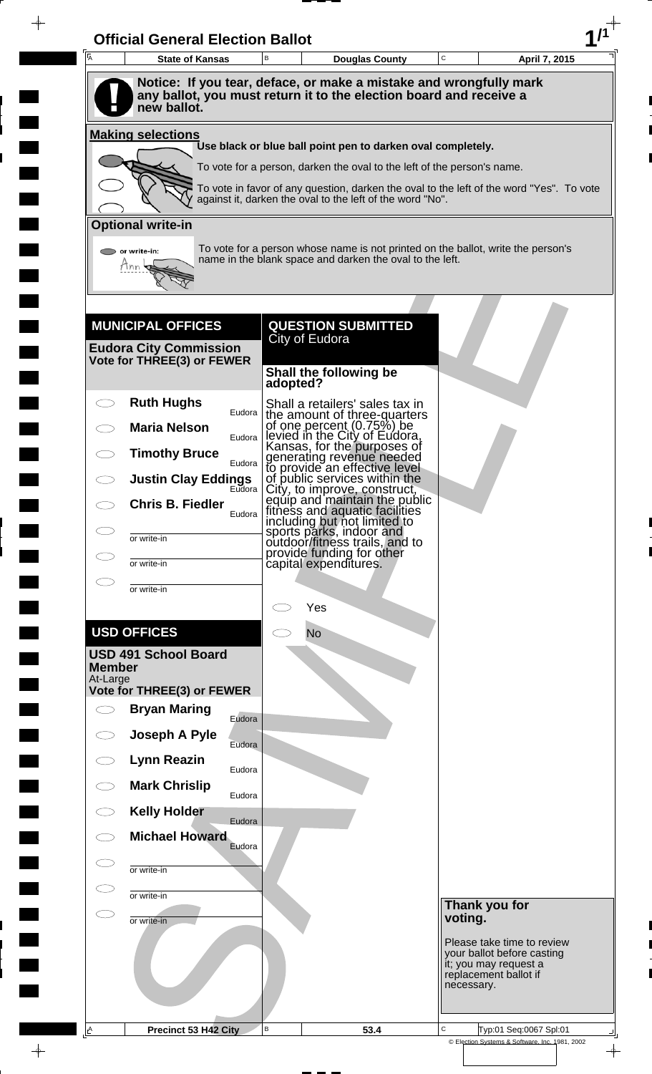| Notice: If you tear, deface, or make a mistake and wrongfully mark<br>any ballot, you must return it to the election board and receive a<br>new ballot.<br><b>Making selections</b><br>Use black or blue ball point pen to darken oval completely.<br>To vote for a person, darken the oval to the left of the person's name.<br>To vote in favor of any question, darken the oval to the left of the word "Yes". To vote<br>against it, darken the oval to the left of the word "No".<br><b>Optional write-in</b><br>To vote for a person whose name is not printed on the ballot, write the person's<br>or write-in:<br>name in the blank space and darken the oval to the left.<br>Tnn<br><b>MUNICIPAL OFFICES</b><br><b>QUESTION SUBMITTED</b><br>City of Eudora<br><b>Eudora City Commission</b><br>Vote for THREE(3) or FEWER<br>Shall the following be<br>adopted?<br><b>Ruth Hughs</b><br>Shall a retailers' sales tax in<br>Eudora<br>the amount of three-quarters<br>of one percent (0.75%) be<br>levied in the City of Eudora,<br><b>Maria Nelson</b><br>Eudora<br>Kansas, for the purposes of<br>generating revenue needed<br>to provide an effective level<br><b>Timothy Bruce</b><br>Eudora<br><b>Justin Clay Eddings</b><br>of public services within the<br>⊨udora ∣<br>City, to improve, construct,<br>equip and maintain the public<br><b>Chris B. Fiedler</b><br>equip and maintain the publicant<br>fitness and aquatic facilities<br>including but not limited to<br>sports parks, indoor and<br>outdoor/fitness trails, and to<br>provide funding for other<br>capital expenditures.<br>Eudora<br>or write-in<br>or write-in<br>or write-in<br>Yes<br><b>USD OFFICES</b><br><b>No</b><br><b>USD 491 School Board</b><br><b>Member</b><br>At-Large<br><b>Vote for THREE(3) or FEWER</b><br><b>Bryan Maring</b><br>Eudora<br>Joseph A Pyle<br>Eudora<br><b>Lynn Reazin</b><br>Eudora<br><b>Mark Chrislip</b><br>Eudora<br><b>Kelly Holder</b><br>Eudora<br><b>Michael Howard</b><br>Eudora<br>or write-in<br>or write-in<br>Thank you for<br>voting.<br>or write-in<br>Please take time to review<br>your ballot before casting<br>it; you may request a<br>replacement ballot if | Ā | <b>State of Kansas</b> | B | <b>Douglas County</b> | $\mathbf C$ | April 7, 2015 |  |
|-------------------------------------------------------------------------------------------------------------------------------------------------------------------------------------------------------------------------------------------------------------------------------------------------------------------------------------------------------------------------------------------------------------------------------------------------------------------------------------------------------------------------------------------------------------------------------------------------------------------------------------------------------------------------------------------------------------------------------------------------------------------------------------------------------------------------------------------------------------------------------------------------------------------------------------------------------------------------------------------------------------------------------------------------------------------------------------------------------------------------------------------------------------------------------------------------------------------------------------------------------------------------------------------------------------------------------------------------------------------------------------------------------------------------------------------------------------------------------------------------------------------------------------------------------------------------------------------------------------------------------------------------------------------------------------------------------------------------------------------------------------------------------------------------------------------------------------------------------------------------------------------------------------------------------------------------------------------------------------------------------------------------------------------------------------------------------------------------------------------------------------------------------------------------------------------------------|---|------------------------|---|-----------------------|-------------|---------------|--|
|                                                                                                                                                                                                                                                                                                                                                                                                                                                                                                                                                                                                                                                                                                                                                                                                                                                                                                                                                                                                                                                                                                                                                                                                                                                                                                                                                                                                                                                                                                                                                                                                                                                                                                                                                                                                                                                                                                                                                                                                                                                                                                                                                                                                       |   |                        |   |                       |             |               |  |
|                                                                                                                                                                                                                                                                                                                                                                                                                                                                                                                                                                                                                                                                                                                                                                                                                                                                                                                                                                                                                                                                                                                                                                                                                                                                                                                                                                                                                                                                                                                                                                                                                                                                                                                                                                                                                                                                                                                                                                                                                                                                                                                                                                                                       |   |                        |   |                       |             |               |  |
|                                                                                                                                                                                                                                                                                                                                                                                                                                                                                                                                                                                                                                                                                                                                                                                                                                                                                                                                                                                                                                                                                                                                                                                                                                                                                                                                                                                                                                                                                                                                                                                                                                                                                                                                                                                                                                                                                                                                                                                                                                                                                                                                                                                                       |   |                        |   |                       |             |               |  |
|                                                                                                                                                                                                                                                                                                                                                                                                                                                                                                                                                                                                                                                                                                                                                                                                                                                                                                                                                                                                                                                                                                                                                                                                                                                                                                                                                                                                                                                                                                                                                                                                                                                                                                                                                                                                                                                                                                                                                                                                                                                                                                                                                                                                       |   |                        |   |                       |             |               |  |
|                                                                                                                                                                                                                                                                                                                                                                                                                                                                                                                                                                                                                                                                                                                                                                                                                                                                                                                                                                                                                                                                                                                                                                                                                                                                                                                                                                                                                                                                                                                                                                                                                                                                                                                                                                                                                                                                                                                                                                                                                                                                                                                                                                                                       |   |                        |   |                       |             |               |  |
|                                                                                                                                                                                                                                                                                                                                                                                                                                                                                                                                                                                                                                                                                                                                                                                                                                                                                                                                                                                                                                                                                                                                                                                                                                                                                                                                                                                                                                                                                                                                                                                                                                                                                                                                                                                                                                                                                                                                                                                                                                                                                                                                                                                                       |   |                        |   |                       |             |               |  |
|                                                                                                                                                                                                                                                                                                                                                                                                                                                                                                                                                                                                                                                                                                                                                                                                                                                                                                                                                                                                                                                                                                                                                                                                                                                                                                                                                                                                                                                                                                                                                                                                                                                                                                                                                                                                                                                                                                                                                                                                                                                                                                                                                                                                       |   |                        |   |                       |             |               |  |
|                                                                                                                                                                                                                                                                                                                                                                                                                                                                                                                                                                                                                                                                                                                                                                                                                                                                                                                                                                                                                                                                                                                                                                                                                                                                                                                                                                                                                                                                                                                                                                                                                                                                                                                                                                                                                                                                                                                                                                                                                                                                                                                                                                                                       |   |                        |   |                       |             |               |  |
|                                                                                                                                                                                                                                                                                                                                                                                                                                                                                                                                                                                                                                                                                                                                                                                                                                                                                                                                                                                                                                                                                                                                                                                                                                                                                                                                                                                                                                                                                                                                                                                                                                                                                                                                                                                                                                                                                                                                                                                                                                                                                                                                                                                                       |   |                        |   |                       |             |               |  |
|                                                                                                                                                                                                                                                                                                                                                                                                                                                                                                                                                                                                                                                                                                                                                                                                                                                                                                                                                                                                                                                                                                                                                                                                                                                                                                                                                                                                                                                                                                                                                                                                                                                                                                                                                                                                                                                                                                                                                                                                                                                                                                                                                                                                       |   |                        |   |                       |             |               |  |
|                                                                                                                                                                                                                                                                                                                                                                                                                                                                                                                                                                                                                                                                                                                                                                                                                                                                                                                                                                                                                                                                                                                                                                                                                                                                                                                                                                                                                                                                                                                                                                                                                                                                                                                                                                                                                                                                                                                                                                                                                                                                                                                                                                                                       |   |                        |   |                       |             |               |  |
|                                                                                                                                                                                                                                                                                                                                                                                                                                                                                                                                                                                                                                                                                                                                                                                                                                                                                                                                                                                                                                                                                                                                                                                                                                                                                                                                                                                                                                                                                                                                                                                                                                                                                                                                                                                                                                                                                                                                                                                                                                                                                                                                                                                                       |   |                        |   |                       |             |               |  |
|                                                                                                                                                                                                                                                                                                                                                                                                                                                                                                                                                                                                                                                                                                                                                                                                                                                                                                                                                                                                                                                                                                                                                                                                                                                                                                                                                                                                                                                                                                                                                                                                                                                                                                                                                                                                                                                                                                                                                                                                                                                                                                                                                                                                       |   |                        |   |                       |             |               |  |
|                                                                                                                                                                                                                                                                                                                                                                                                                                                                                                                                                                                                                                                                                                                                                                                                                                                                                                                                                                                                                                                                                                                                                                                                                                                                                                                                                                                                                                                                                                                                                                                                                                                                                                                                                                                                                                                                                                                                                                                                                                                                                                                                                                                                       |   |                        |   |                       |             |               |  |
|                                                                                                                                                                                                                                                                                                                                                                                                                                                                                                                                                                                                                                                                                                                                                                                                                                                                                                                                                                                                                                                                                                                                                                                                                                                                                                                                                                                                                                                                                                                                                                                                                                                                                                                                                                                                                                                                                                                                                                                                                                                                                                                                                                                                       |   |                        |   |                       |             |               |  |
|                                                                                                                                                                                                                                                                                                                                                                                                                                                                                                                                                                                                                                                                                                                                                                                                                                                                                                                                                                                                                                                                                                                                                                                                                                                                                                                                                                                                                                                                                                                                                                                                                                                                                                                                                                                                                                                                                                                                                                                                                                                                                                                                                                                                       |   |                        |   |                       |             |               |  |
|                                                                                                                                                                                                                                                                                                                                                                                                                                                                                                                                                                                                                                                                                                                                                                                                                                                                                                                                                                                                                                                                                                                                                                                                                                                                                                                                                                                                                                                                                                                                                                                                                                                                                                                                                                                                                                                                                                                                                                                                                                                                                                                                                                                                       |   |                        |   |                       |             |               |  |
|                                                                                                                                                                                                                                                                                                                                                                                                                                                                                                                                                                                                                                                                                                                                                                                                                                                                                                                                                                                                                                                                                                                                                                                                                                                                                                                                                                                                                                                                                                                                                                                                                                                                                                                                                                                                                                                                                                                                                                                                                                                                                                                                                                                                       |   |                        |   |                       |             |               |  |
|                                                                                                                                                                                                                                                                                                                                                                                                                                                                                                                                                                                                                                                                                                                                                                                                                                                                                                                                                                                                                                                                                                                                                                                                                                                                                                                                                                                                                                                                                                                                                                                                                                                                                                                                                                                                                                                                                                                                                                                                                                                                                                                                                                                                       |   |                        |   |                       |             |               |  |
|                                                                                                                                                                                                                                                                                                                                                                                                                                                                                                                                                                                                                                                                                                                                                                                                                                                                                                                                                                                                                                                                                                                                                                                                                                                                                                                                                                                                                                                                                                                                                                                                                                                                                                                                                                                                                                                                                                                                                                                                                                                                                                                                                                                                       |   |                        |   |                       |             |               |  |
|                                                                                                                                                                                                                                                                                                                                                                                                                                                                                                                                                                                                                                                                                                                                                                                                                                                                                                                                                                                                                                                                                                                                                                                                                                                                                                                                                                                                                                                                                                                                                                                                                                                                                                                                                                                                                                                                                                                                                                                                                                                                                                                                                                                                       |   |                        |   |                       |             |               |  |
|                                                                                                                                                                                                                                                                                                                                                                                                                                                                                                                                                                                                                                                                                                                                                                                                                                                                                                                                                                                                                                                                                                                                                                                                                                                                                                                                                                                                                                                                                                                                                                                                                                                                                                                                                                                                                                                                                                                                                                                                                                                                                                                                                                                                       |   |                        |   |                       |             |               |  |
|                                                                                                                                                                                                                                                                                                                                                                                                                                                                                                                                                                                                                                                                                                                                                                                                                                                                                                                                                                                                                                                                                                                                                                                                                                                                                                                                                                                                                                                                                                                                                                                                                                                                                                                                                                                                                                                                                                                                                                                                                                                                                                                                                                                                       |   |                        |   |                       |             |               |  |
|                                                                                                                                                                                                                                                                                                                                                                                                                                                                                                                                                                                                                                                                                                                                                                                                                                                                                                                                                                                                                                                                                                                                                                                                                                                                                                                                                                                                                                                                                                                                                                                                                                                                                                                                                                                                                                                                                                                                                                                                                                                                                                                                                                                                       |   |                        |   |                       |             |               |  |
|                                                                                                                                                                                                                                                                                                                                                                                                                                                                                                                                                                                                                                                                                                                                                                                                                                                                                                                                                                                                                                                                                                                                                                                                                                                                                                                                                                                                                                                                                                                                                                                                                                                                                                                                                                                                                                                                                                                                                                                                                                                                                                                                                                                                       |   |                        |   |                       |             |               |  |
|                                                                                                                                                                                                                                                                                                                                                                                                                                                                                                                                                                                                                                                                                                                                                                                                                                                                                                                                                                                                                                                                                                                                                                                                                                                                                                                                                                                                                                                                                                                                                                                                                                                                                                                                                                                                                                                                                                                                                                                                                                                                                                                                                                                                       |   |                        |   |                       |             |               |  |
|                                                                                                                                                                                                                                                                                                                                                                                                                                                                                                                                                                                                                                                                                                                                                                                                                                                                                                                                                                                                                                                                                                                                                                                                                                                                                                                                                                                                                                                                                                                                                                                                                                                                                                                                                                                                                                                                                                                                                                                                                                                                                                                                                                                                       |   |                        |   |                       |             |               |  |
|                                                                                                                                                                                                                                                                                                                                                                                                                                                                                                                                                                                                                                                                                                                                                                                                                                                                                                                                                                                                                                                                                                                                                                                                                                                                                                                                                                                                                                                                                                                                                                                                                                                                                                                                                                                                                                                                                                                                                                                                                                                                                                                                                                                                       |   |                        |   |                       |             |               |  |
|                                                                                                                                                                                                                                                                                                                                                                                                                                                                                                                                                                                                                                                                                                                                                                                                                                                                                                                                                                                                                                                                                                                                                                                                                                                                                                                                                                                                                                                                                                                                                                                                                                                                                                                                                                                                                                                                                                                                                                                                                                                                                                                                                                                                       |   |                        |   |                       |             |               |  |
|                                                                                                                                                                                                                                                                                                                                                                                                                                                                                                                                                                                                                                                                                                                                                                                                                                                                                                                                                                                                                                                                                                                                                                                                                                                                                                                                                                                                                                                                                                                                                                                                                                                                                                                                                                                                                                                                                                                                                                                                                                                                                                                                                                                                       |   |                        |   |                       |             |               |  |
|                                                                                                                                                                                                                                                                                                                                                                                                                                                                                                                                                                                                                                                                                                                                                                                                                                                                                                                                                                                                                                                                                                                                                                                                                                                                                                                                                                                                                                                                                                                                                                                                                                                                                                                                                                                                                                                                                                                                                                                                                                                                                                                                                                                                       |   |                        |   |                       |             |               |  |
|                                                                                                                                                                                                                                                                                                                                                                                                                                                                                                                                                                                                                                                                                                                                                                                                                                                                                                                                                                                                                                                                                                                                                                                                                                                                                                                                                                                                                                                                                                                                                                                                                                                                                                                                                                                                                                                                                                                                                                                                                                                                                                                                                                                                       |   |                        |   |                       |             |               |  |
|                                                                                                                                                                                                                                                                                                                                                                                                                                                                                                                                                                                                                                                                                                                                                                                                                                                                                                                                                                                                                                                                                                                                                                                                                                                                                                                                                                                                                                                                                                                                                                                                                                                                                                                                                                                                                                                                                                                                                                                                                                                                                                                                                                                                       |   |                        |   |                       |             |               |  |
| necessary.                                                                                                                                                                                                                                                                                                                                                                                                                                                                                                                                                                                                                                                                                                                                                                                                                                                                                                                                                                                                                                                                                                                                                                                                                                                                                                                                                                                                                                                                                                                                                                                                                                                                                                                                                                                                                                                                                                                                                                                                                                                                                                                                                                                            |   |                        |   |                       |             |               |  |
|                                                                                                                                                                                                                                                                                                                                                                                                                                                                                                                                                                                                                                                                                                                                                                                                                                                                                                                                                                                                                                                                                                                                                                                                                                                                                                                                                                                                                                                                                                                                                                                                                                                                                                                                                                                                                                                                                                                                                                                                                                                                                                                                                                                                       |   |                        |   |                       |             |               |  |

 $\blacksquare$ 

 $\blacksquare$ 

 $\frac{1}{\left\vert \psi \right\vert }%$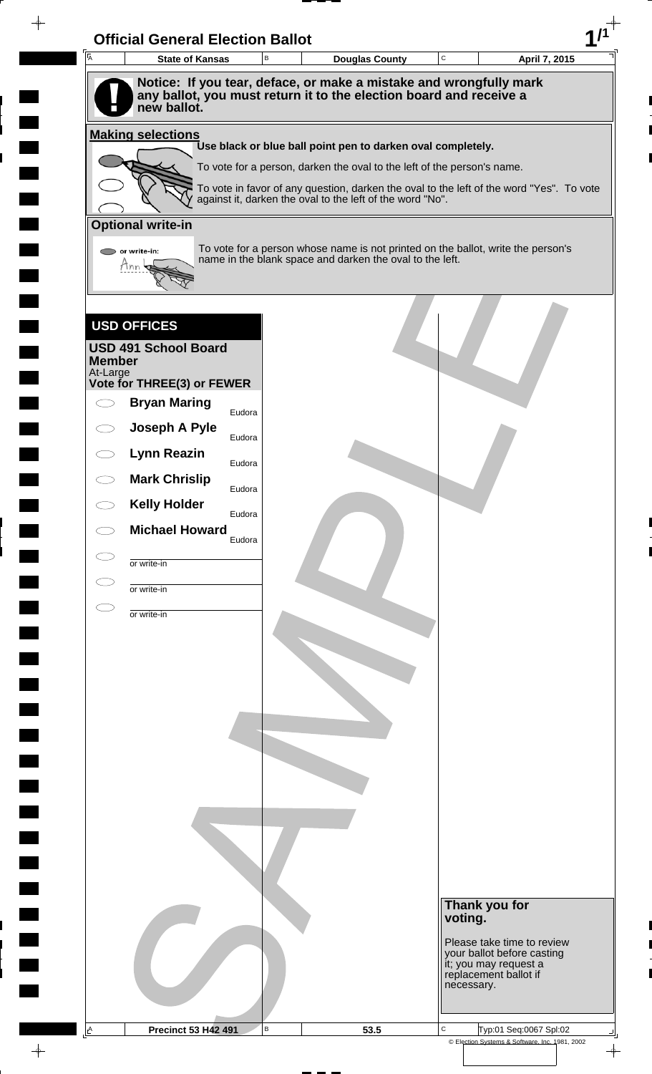|                           | <b>State of Kansas</b>                            | B      | <b>Douglas County</b>                                                                                                                                 | $\mathbf C$ | April 7, 2015                                                                |
|---------------------------|---------------------------------------------------|--------|-------------------------------------------------------------------------------------------------------------------------------------------------------|-------------|------------------------------------------------------------------------------|
|                           |                                                   |        | Notice: If you tear, deface, or make a mistake and wrongfully mark                                                                                    |             |                                                                              |
|                           | new ballot.                                       |        | any ballot, you must return it to the election board and receive a                                                                                    |             |                                                                              |
|                           |                                                   |        |                                                                                                                                                       |             |                                                                              |
|                           | <b>Making selections</b>                          |        | Use black or blue ball point pen to darken oval completely.                                                                                           |             |                                                                              |
|                           |                                                   |        | To vote for a person, darken the oval to the left of the person's name.                                                                               |             |                                                                              |
|                           |                                                   |        | To vote in favor of any question, darken the oval to the left of the word "Yes". To vote<br>against it, darken the oval to the left of the word "No". |             |                                                                              |
|                           |                                                   |        |                                                                                                                                                       |             |                                                                              |
|                           | <b>Optional write-in</b>                          |        |                                                                                                                                                       |             |                                                                              |
|                           | or write-in:<br>Mnn                               |        | To vote for a person whose name is not printed on the ballot, write the person's<br>name in the blank space and darken the oval to the left.          |             |                                                                              |
|                           |                                                   |        |                                                                                                                                                       |             |                                                                              |
|                           |                                                   |        |                                                                                                                                                       |             |                                                                              |
|                           | <b>USD OFFICES</b>                                |        |                                                                                                                                                       |             |                                                                              |
|                           | <b>USD 491 School Board</b>                       |        |                                                                                                                                                       |             |                                                                              |
| <b>Member</b><br>At-Large |                                                   |        |                                                                                                                                                       |             |                                                                              |
|                           | Vote for THREE(3) or FEWER<br><b>Bryan Maring</b> |        |                                                                                                                                                       |             |                                                                              |
|                           | Joseph A Pyle                                     | Eudora |                                                                                                                                                       |             |                                                                              |
|                           | <b>Lynn Reazin</b>                                | Eudora |                                                                                                                                                       |             |                                                                              |
|                           |                                                   | Eudora |                                                                                                                                                       |             |                                                                              |
|                           | <b>Mark Chrislip</b>                              | Eudora |                                                                                                                                                       |             |                                                                              |
|                           | <b>Kelly Holder</b>                               | Eudora |                                                                                                                                                       |             |                                                                              |
|                           | <b>Michael Howard</b>                             | Eudora |                                                                                                                                                       |             |                                                                              |
|                           | or write-in                                       |        |                                                                                                                                                       |             |                                                                              |
|                           | or write-in                                       |        |                                                                                                                                                       |             |                                                                              |
|                           | or write-in                                       |        |                                                                                                                                                       |             |                                                                              |
|                           |                                                   |        |                                                                                                                                                       |             |                                                                              |
|                           |                                                   |        |                                                                                                                                                       |             |                                                                              |
|                           |                                                   |        |                                                                                                                                                       |             |                                                                              |
|                           |                                                   |        |                                                                                                                                                       |             |                                                                              |
|                           |                                                   |        |                                                                                                                                                       |             |                                                                              |
|                           |                                                   |        |                                                                                                                                                       |             |                                                                              |
|                           |                                                   |        |                                                                                                                                                       |             |                                                                              |
|                           |                                                   |        |                                                                                                                                                       |             |                                                                              |
|                           |                                                   |        |                                                                                                                                                       |             |                                                                              |
|                           |                                                   |        |                                                                                                                                                       |             |                                                                              |
|                           |                                                   |        |                                                                                                                                                       |             |                                                                              |
|                           |                                                   |        |                                                                                                                                                       |             |                                                                              |
|                           |                                                   |        |                                                                                                                                                       |             | Thank you for                                                                |
|                           |                                                   |        |                                                                                                                                                       |             | voting.                                                                      |
|                           |                                                   |        |                                                                                                                                                       |             | Please take time to review                                                   |
|                           |                                                   |        |                                                                                                                                                       |             |                                                                              |
|                           |                                                   |        |                                                                                                                                                       |             | your ballot before casting<br>it; you may request a<br>replacement ballot if |
|                           |                                                   |        |                                                                                                                                                       |             | necessary.                                                                   |

 $\overline{\phantom{a}}$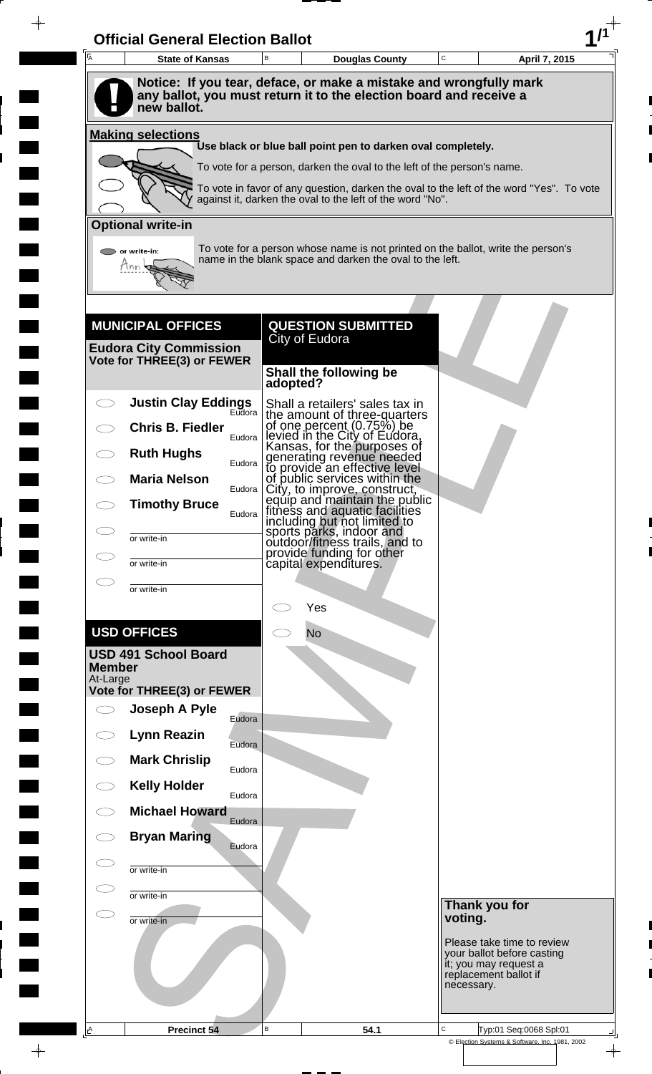| $\overline{A}$<br><b>State of Kansas</b>                    |        | B        | <b>Douglas County</b>                                                                                                                        | $\mathbf C$ | April 7, 2015                                            |  |
|-------------------------------------------------------------|--------|----------|----------------------------------------------------------------------------------------------------------------------------------------------|-------------|----------------------------------------------------------|--|
|                                                             |        |          | Notice: If you tear, deface, or make a mistake and wrongfully mark                                                                           |             |                                                          |  |
| new ballot.                                                 |        |          | any ballot, you must return it to the election board and receive a                                                                           |             |                                                          |  |
| <b>Making selections</b>                                    |        |          | Use black or blue ball point pen to darken oval completely.                                                                                  |             |                                                          |  |
|                                                             |        |          | To vote for a person, darken the oval to the left of the person's name.                                                                      |             |                                                          |  |
|                                                             |        |          | To vote in favor of any question, darken the oval to the left of the word "Yes". To vote                                                     |             |                                                          |  |
|                                                             |        |          | against it, darken the oval to the left of the word "No".                                                                                    |             |                                                          |  |
| <b>Optional write-in</b>                                    |        |          |                                                                                                                                              |             |                                                          |  |
| or write-in:<br>Tnn                                         |        |          | To vote for a person whose name is not printed on the ballot, write the person's<br>name in the blank space and darken the oval to the left. |             |                                                          |  |
|                                                             |        |          |                                                                                                                                              |             |                                                          |  |
|                                                             |        |          |                                                                                                                                              |             |                                                          |  |
| <b>MUNICIPAL OFFICES</b>                                    |        |          | <b>QUESTION SUBMITTED</b><br>City of Eudora                                                                                                  |             |                                                          |  |
| <b>Eudora City Commission</b><br>Vote for THREE(3) or FEWER |        |          |                                                                                                                                              |             |                                                          |  |
|                                                             |        | adopted? | Shall the following be                                                                                                                       |             |                                                          |  |
| <b>Justin Clay Eddings</b>                                  | Eudora |          | Shall a retailers' sales tax in<br>the amount of three-quarters                                                                              |             |                                                          |  |
| <b>Chris B. Fiedler</b>                                     | Eudora |          | of one percent (0.75%) be<br>levied in the City of Eudora,<br>Kansas, for the purposes of                                                    |             |                                                          |  |
| <b>Ruth Hughs</b>                                           | Eudora |          | generating revenue needed<br>to provide an effective level                                                                                   |             |                                                          |  |
| <b>Maria Nelson</b>                                         | Eudora |          | of public services within the                                                                                                                |             |                                                          |  |
| <b>Timothy Bruce</b>                                        | Eudora |          | City, to improve, construct,<br>equip and maintain the public<br>fitness and aquatic facilities                                              |             |                                                          |  |
| СD<br>or write-in                                           |        |          | including but not limited to<br>sports parks, indoor and<br>outdoor/fitness trails, and to                                                   |             |                                                          |  |
| СJ                                                          |        |          | provide funding for other                                                                                                                    |             |                                                          |  |
| or write-in<br>C                                            |        |          | capital expenditures.                                                                                                                        |             |                                                          |  |
| or write-in                                                 |        |          | Yes                                                                                                                                          |             |                                                          |  |
| <b>USD OFFICES</b>                                          |        |          | <b>No</b>                                                                                                                                    |             |                                                          |  |
| <b>USD 491 School Board</b>                                 |        |          |                                                                                                                                              |             |                                                          |  |
| <b>Member</b><br>At-Large                                   |        |          |                                                                                                                                              |             |                                                          |  |
| Vote for THREE(3) or FEWER<br>Joseph A Pyle<br>$\bigcirc$   |        |          |                                                                                                                                              |             |                                                          |  |
|                                                             | Eudora |          |                                                                                                                                              |             |                                                          |  |
| <b>Lynn Reazin</b><br>$\bigcirc$                            | Eudora |          |                                                                                                                                              |             |                                                          |  |
| <b>Mark Chrislip</b><br>$\bigcirc$                          | Eudora |          |                                                                                                                                              |             |                                                          |  |
| <b>Kelly Holder</b><br>$\subset$ $\supset$                  | Eudora |          |                                                                                                                                              |             |                                                          |  |
| <b>Michael Howard</b>                                       | Eudora |          |                                                                                                                                              |             |                                                          |  |
| <b>Bryan Maring</b><br>CD                                   | Eudora |          |                                                                                                                                              |             |                                                          |  |
| C I<br>or write-in                                          |        |          |                                                                                                                                              |             |                                                          |  |
| $\subset$ $\supset$<br>or write-in                          |        |          |                                                                                                                                              |             | Thank you for                                            |  |
| СD<br>or write-in                                           |        |          |                                                                                                                                              | voting.     |                                                          |  |
|                                                             |        |          |                                                                                                                                              |             | Please take time to review<br>your ballot before casting |  |
|                                                             |        |          |                                                                                                                                              |             | it; you may request a<br>replacement ballot if           |  |
|                                                             |        |          |                                                                                                                                              | necessary.  |                                                          |  |
|                                                             |        |          |                                                                                                                                              |             |                                                          |  |

 $\blacksquare$ 

 $\blacksquare$ 

 $\frac{1}{\left\vert \psi \right\vert }%$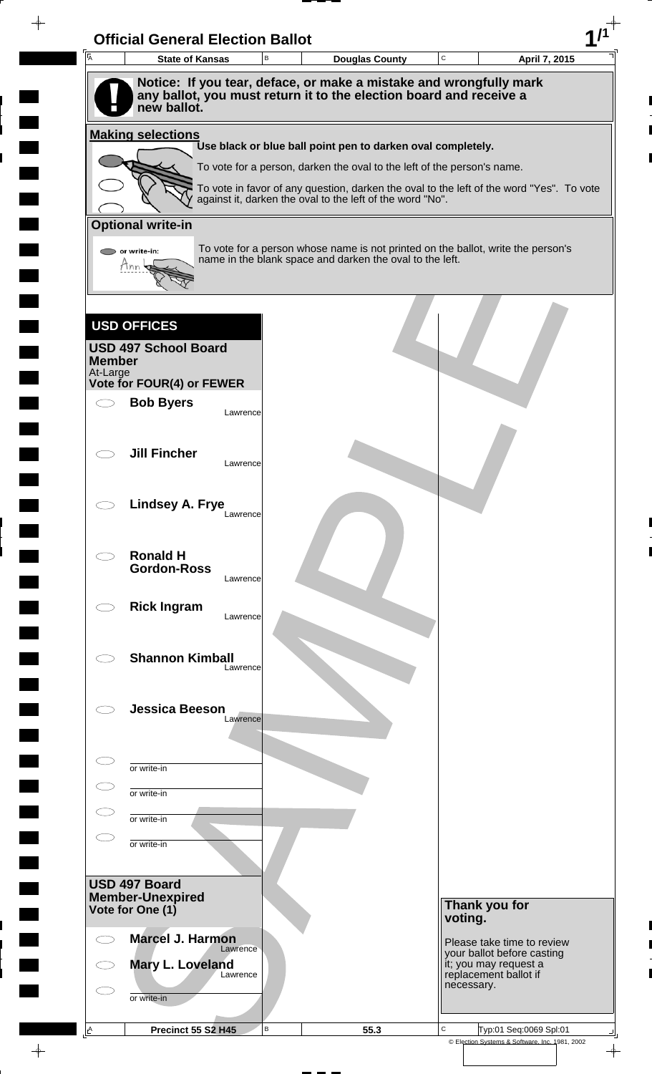| $\overline{\mathsf{A}}$ | <b>State of Kansas</b>                                                            | В        | <b>Douglas County</b>                                                                                                                                 | $\mathbf C$ | April 7, 2015                                       |
|-------------------------|-----------------------------------------------------------------------------------|----------|-------------------------------------------------------------------------------------------------------------------------------------------------------|-------------|-----------------------------------------------------|
|                         | Notice: If you tear, deface, or make a mistake and wrongfully mark                |          |                                                                                                                                                       |             |                                                     |
|                         | any ballot, you must return it to the election board and receive a<br>new ballot. |          |                                                                                                                                                       |             |                                                     |
|                         | <b>Making selections</b>                                                          |          |                                                                                                                                                       |             |                                                     |
|                         |                                                                                   |          | Use black or blue ball point pen to darken oval completely.                                                                                           |             |                                                     |
|                         |                                                                                   |          | To vote for a person, darken the oval to the left of the person's name.                                                                               |             |                                                     |
|                         |                                                                                   |          | To vote in favor of any question, darken the oval to the left of the word "Yes". To vote<br>against it, darken the oval to the left of the word "No". |             |                                                     |
|                         | <b>Optional write-in</b>                                                          |          |                                                                                                                                                       |             |                                                     |
|                         | or write-in:                                                                      |          | To vote for a person whose name is not printed on the ballot, write the person's                                                                      |             |                                                     |
|                         | Mnn                                                                               |          | name in the blank space and darken the oval to the left.                                                                                              |             |                                                     |
|                         |                                                                                   |          |                                                                                                                                                       |             |                                                     |
|                         | <b>USD OFFICES</b>                                                                |          |                                                                                                                                                       |             |                                                     |
|                         | <b>USD 497 School Board</b>                                                       |          |                                                                                                                                                       |             |                                                     |
| <b>Member</b>           |                                                                                   |          |                                                                                                                                                       |             |                                                     |
| At-Large                | <b>Vote for FOUR(4) or FEWER</b>                                                  |          |                                                                                                                                                       |             |                                                     |
|                         | <b>Bob Byers</b>                                                                  | Lawrence |                                                                                                                                                       |             |                                                     |
|                         |                                                                                   |          |                                                                                                                                                       |             |                                                     |
|                         | <b>Jill Fincher</b>                                                               |          |                                                                                                                                                       |             |                                                     |
|                         |                                                                                   | Lawrence |                                                                                                                                                       |             |                                                     |
|                         | <b>Lindsey A. Frye</b>                                                            |          |                                                                                                                                                       |             |                                                     |
|                         |                                                                                   | Lawrence |                                                                                                                                                       |             |                                                     |
|                         |                                                                                   |          |                                                                                                                                                       |             |                                                     |
|                         | <b>Ronald H</b><br><b>Gordon-Ross</b>                                             |          |                                                                                                                                                       |             |                                                     |
|                         |                                                                                   | Lawrence |                                                                                                                                                       |             |                                                     |
|                         | <b>Rick Ingram</b>                                                                | Lawrence |                                                                                                                                                       |             |                                                     |
|                         |                                                                                   |          |                                                                                                                                                       |             |                                                     |
|                         | <b>Shannon Kimball</b>                                                            | Lawrence |                                                                                                                                                       |             |                                                     |
|                         |                                                                                   |          |                                                                                                                                                       |             |                                                     |
|                         | <b>Jessica Beeson</b>                                                             |          |                                                                                                                                                       |             |                                                     |
|                         |                                                                                   | Lawrence |                                                                                                                                                       |             |                                                     |
|                         |                                                                                   |          |                                                                                                                                                       |             |                                                     |
|                         | or write-in                                                                       |          |                                                                                                                                                       |             |                                                     |
|                         | or write-in                                                                       |          |                                                                                                                                                       |             |                                                     |
|                         | or write-in                                                                       |          |                                                                                                                                                       |             |                                                     |
|                         | or write-in                                                                       |          |                                                                                                                                                       |             |                                                     |
|                         |                                                                                   |          |                                                                                                                                                       |             |                                                     |
|                         | USD 497 Board<br><b>Member-Unexpired</b>                                          |          |                                                                                                                                                       |             |                                                     |
|                         | Vote for One (1)                                                                  |          |                                                                                                                                                       | voting.     | Thank you for                                       |
|                         | <b>Marcel J. Harmon</b>                                                           |          |                                                                                                                                                       |             | Please take time to review                          |
|                         | Mary L. Loveland                                                                  | Lawrence |                                                                                                                                                       |             | your ballot before casting<br>it; you may request a |
|                         |                                                                                   | Lawrence |                                                                                                                                                       | necessary.  | replacement ballot if                               |
|                         | or write-in                                                                       |          |                                                                                                                                                       |             |                                                     |
|                         |                                                                                   |          |                                                                                                                                                       |             |                                                     |

 $\blacksquare$ 

 $\blacksquare$ 

 $\begin{array}{c} \hline \end{array}$ 

 $\blacksquare$ 

 $\blacksquare$ 

 $\begin{array}{c}\n\downarrow \\
\downarrow \\
\downarrow\n\end{array}$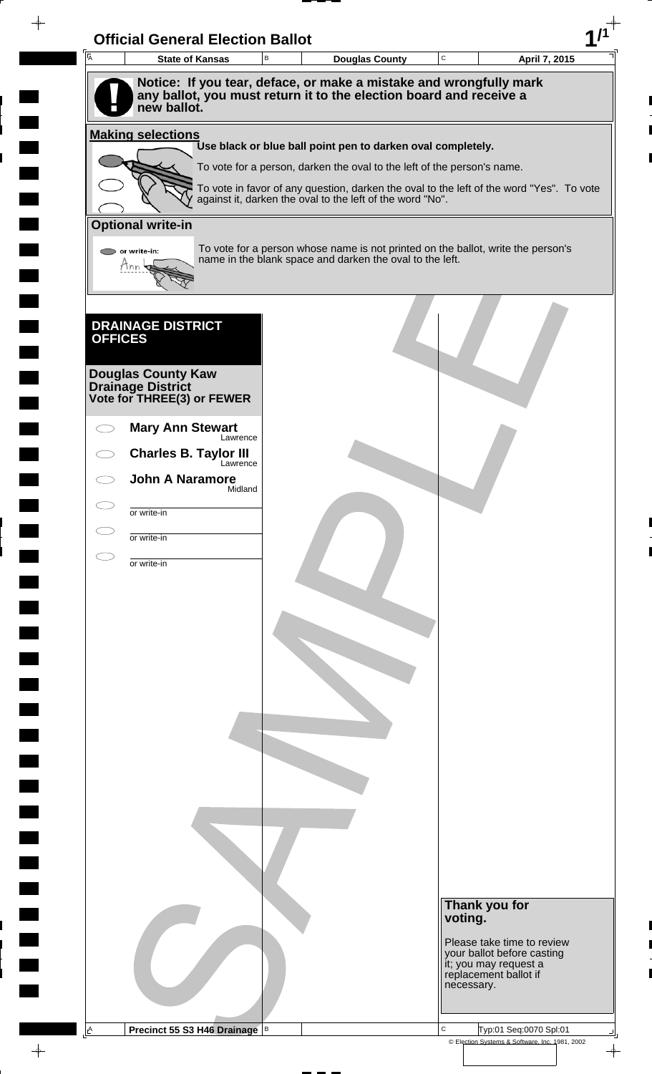|                         | <b>Official General Election Ballot</b>                                                                                                                 |   |                                                                         |             |                                                                                          |  |
|-------------------------|---------------------------------------------------------------------------------------------------------------------------------------------------------|---|-------------------------------------------------------------------------|-------------|------------------------------------------------------------------------------------------|--|
| $\overline{\mathsf{A}}$ | <b>State of Kansas</b>                                                                                                                                  | B | <b>Douglas County</b>                                                   | $\mathbf C$ | April 7, 2015                                                                            |  |
|                         | Notice: If you tear, deface, or make a mistake and wrongfully mark<br>any ballot, you must return it to the election board and receive a<br>new ballot. |   |                                                                         |             |                                                                                          |  |
|                         | <b>Making selections</b>                                                                                                                                |   |                                                                         |             |                                                                                          |  |
|                         |                                                                                                                                                         |   | Use black or blue ball point pen to darken oval completely.             |             |                                                                                          |  |
|                         |                                                                                                                                                         |   | To vote for a person, darken the oval to the left of the person's name. |             | To vote in favor of any question, darken the oval to the left of the word "Yes". To vote |  |
|                         |                                                                                                                                                         |   | against it, darken the oval to the left of the word "No".               |             |                                                                                          |  |
|                         | <b>Optional write-in</b>                                                                                                                                |   |                                                                         |             |                                                                                          |  |
|                         | or write-in:                                                                                                                                            |   | name in the blank space and darken the oval to the left.                |             | To vote for a person whose name is not printed on the ballot, write the person's         |  |
|                         | Ann                                                                                                                                                     |   |                                                                         |             |                                                                                          |  |
|                         |                                                                                                                                                         |   |                                                                         |             |                                                                                          |  |
|                         | <b>DRAINAGE DISTRICT</b>                                                                                                                                |   |                                                                         |             |                                                                                          |  |
| <b>OFFICES</b>          |                                                                                                                                                         |   |                                                                         |             |                                                                                          |  |
|                         | <b>Douglas County Kaw</b>                                                                                                                               |   |                                                                         |             |                                                                                          |  |
|                         | <b>Drainage District</b><br>Vote for THREE(3) or FEWER                                                                                                  |   |                                                                         |             |                                                                                          |  |
|                         | <b>Mary Ann Stewart</b>                                                                                                                                 |   |                                                                         |             |                                                                                          |  |
|                         | Lawrence<br><b>Charles B. Taylor III</b>                                                                                                                |   |                                                                         |             |                                                                                          |  |
|                         | Lawrence<br><b>John A Naramore</b>                                                                                                                      |   |                                                                         |             |                                                                                          |  |
|                         | Midland                                                                                                                                                 |   |                                                                         |             |                                                                                          |  |
|                         | or write-in                                                                                                                                             |   |                                                                         |             |                                                                                          |  |
|                         | or write-in                                                                                                                                             |   |                                                                         |             |                                                                                          |  |
|                         | or write-in                                                                                                                                             |   |                                                                         |             |                                                                                          |  |
|                         |                                                                                                                                                         |   |                                                                         |             |                                                                                          |  |
|                         |                                                                                                                                                         |   |                                                                         |             |                                                                                          |  |
|                         |                                                                                                                                                         |   |                                                                         |             |                                                                                          |  |
|                         |                                                                                                                                                         |   |                                                                         |             |                                                                                          |  |
|                         |                                                                                                                                                         |   |                                                                         |             |                                                                                          |  |
|                         |                                                                                                                                                         |   |                                                                         |             |                                                                                          |  |
|                         |                                                                                                                                                         |   |                                                                         |             |                                                                                          |  |
|                         |                                                                                                                                                         |   |                                                                         |             |                                                                                          |  |
|                         |                                                                                                                                                         |   |                                                                         |             |                                                                                          |  |
|                         |                                                                                                                                                         |   |                                                                         |             |                                                                                          |  |
|                         |                                                                                                                                                         |   |                                                                         |             |                                                                                          |  |
|                         |                                                                                                                                                         |   |                                                                         |             |                                                                                          |  |
|                         |                                                                                                                                                         |   |                                                                         |             |                                                                                          |  |
|                         |                                                                                                                                                         |   |                                                                         |             | Thank you for                                                                            |  |
|                         |                                                                                                                                                         |   |                                                                         | voting.     |                                                                                          |  |
|                         |                                                                                                                                                         |   |                                                                         |             | Please take time to review<br>your ballot before casting                                 |  |
|                         |                                                                                                                                                         |   |                                                                         |             | it; you may request a<br>replacement ballot if                                           |  |
|                         |                                                                                                                                                         |   |                                                                         |             | necessary.                                                                               |  |
|                         |                                                                                                                                                         |   |                                                                         |             |                                                                                          |  |

 $\overline{\blacksquare}$ 

 $\blacksquare$ 

 $\blacksquare$ 

 $\qquad \qquad \blacksquare$ 

 $\frac{1}{\left\vert \psi \right\vert }%$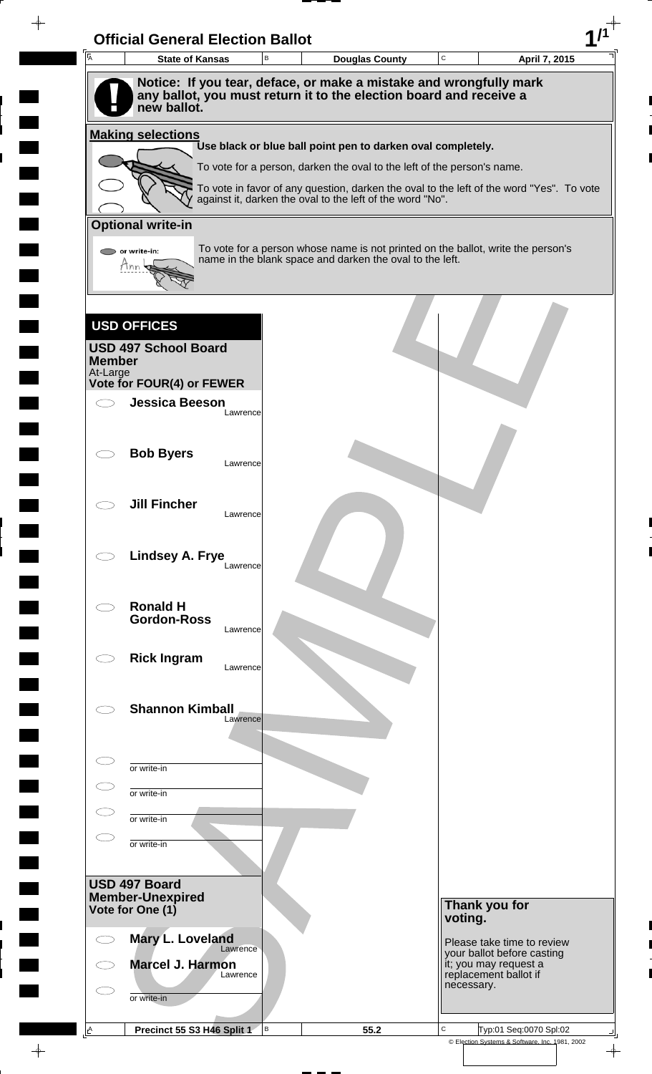| Ā                         | <b>State of Kansas</b>                                                            | В        | <b>Douglas County</b>                                                                                                                                 | $\mathbf C$ |                                     | April 7, 2015              |
|---------------------------|-----------------------------------------------------------------------------------|----------|-------------------------------------------------------------------------------------------------------------------------------------------------------|-------------|-------------------------------------|----------------------------|
|                           | Notice: If you tear, deface, or make a mistake and wrongfully mark                |          |                                                                                                                                                       |             |                                     |                            |
|                           | any ballot, you must return it to the election board and receive a<br>new ballot. |          |                                                                                                                                                       |             |                                     |                            |
|                           | <b>Making selections</b>                                                          |          |                                                                                                                                                       |             |                                     |                            |
|                           |                                                                                   |          | Use black or blue ball point pen to darken oval completely.                                                                                           |             |                                     |                            |
|                           |                                                                                   |          | To vote for a person, darken the oval to the left of the person's name.                                                                               |             |                                     |                            |
|                           |                                                                                   |          | To vote in favor of any question, darken the oval to the left of the word "Yes". To vote<br>against it, darken the oval to the left of the word "No". |             |                                     |                            |
|                           |                                                                                   |          |                                                                                                                                                       |             |                                     |                            |
|                           | <b>Optional write-in</b>                                                          |          |                                                                                                                                                       |             |                                     |                            |
|                           | $\triangleright$ or write-in:<br>Hnn                                              |          | To vote for a person whose name is not printed on the ballot, write the person's<br>name in the blank space and darken the oval to the left.          |             |                                     |                            |
|                           |                                                                                   |          |                                                                                                                                                       |             |                                     |                            |
|                           |                                                                                   |          |                                                                                                                                                       |             |                                     |                            |
|                           | <b>USD OFFICES</b>                                                                |          |                                                                                                                                                       |             |                                     |                            |
|                           | <b>USD 497 School Board</b>                                                       |          |                                                                                                                                                       |             |                                     |                            |
| <b>Member</b><br>At-Large |                                                                                   |          |                                                                                                                                                       |             |                                     |                            |
|                           | Vote for FOUR(4) or FEWER                                                         |          |                                                                                                                                                       |             |                                     |                            |
|                           | <b>Jessica Beeson</b>                                                             | Lawrence |                                                                                                                                                       |             |                                     |                            |
|                           |                                                                                   |          |                                                                                                                                                       |             |                                     |                            |
|                           | <b>Bob Byers</b>                                                                  | Lawrence |                                                                                                                                                       |             |                                     |                            |
|                           |                                                                                   |          |                                                                                                                                                       |             |                                     |                            |
|                           | <b>Jill Fincher</b>                                                               |          |                                                                                                                                                       |             |                                     |                            |
|                           |                                                                                   | Lawrence |                                                                                                                                                       |             |                                     |                            |
|                           |                                                                                   |          |                                                                                                                                                       |             |                                     |                            |
|                           | Lindsey A. Frye                                                                   | Lawrence |                                                                                                                                                       |             |                                     |                            |
|                           |                                                                                   |          |                                                                                                                                                       |             |                                     |                            |
|                           | <b>Ronald H</b>                                                                   |          |                                                                                                                                                       |             |                                     |                            |
|                           | <b>Gordon-Ross</b>                                                                | Lawrence |                                                                                                                                                       |             |                                     |                            |
|                           | <b>Rick Ingram</b>                                                                |          |                                                                                                                                                       |             |                                     |                            |
|                           |                                                                                   | Lawrence |                                                                                                                                                       |             |                                     |                            |
|                           |                                                                                   |          |                                                                                                                                                       |             |                                     |                            |
|                           | <b>Shannon Kimball</b>                                                            | Lawrence |                                                                                                                                                       |             |                                     |                            |
|                           |                                                                                   |          |                                                                                                                                                       |             |                                     |                            |
|                           | or write-in                                                                       |          |                                                                                                                                                       |             |                                     |                            |
|                           | or write-in                                                                       |          |                                                                                                                                                       |             |                                     |                            |
|                           |                                                                                   |          |                                                                                                                                                       |             |                                     |                            |
|                           | or write-in                                                                       |          |                                                                                                                                                       |             |                                     |                            |
|                           | or write-in                                                                       |          |                                                                                                                                                       |             |                                     |                            |
|                           | USD 497 Board                                                                     |          |                                                                                                                                                       |             |                                     |                            |
|                           | <b>Member-Unexpired</b>                                                           |          |                                                                                                                                                       |             | Thank you for                       |                            |
|                           | Vote for One (1)                                                                  |          |                                                                                                                                                       | voting.     |                                     |                            |
|                           | Mary L. Loveland<br>Lawrence                                                      |          |                                                                                                                                                       |             |                                     | Please take time to review |
|                           | Marcel J. Harmon                                                                  |          |                                                                                                                                                       |             | it; you may request a               | your ballot before casting |
|                           | Lawrence                                                                          |          |                                                                                                                                                       |             | replacement ballot if<br>necessary. |                            |
|                           | or write-in                                                                       |          |                                                                                                                                                       |             |                                     |                            |
|                           |                                                                                   |          |                                                                                                                                                       |             |                                     |                            |

 $\frac{1}{\left\vert \psi \right\vert }%$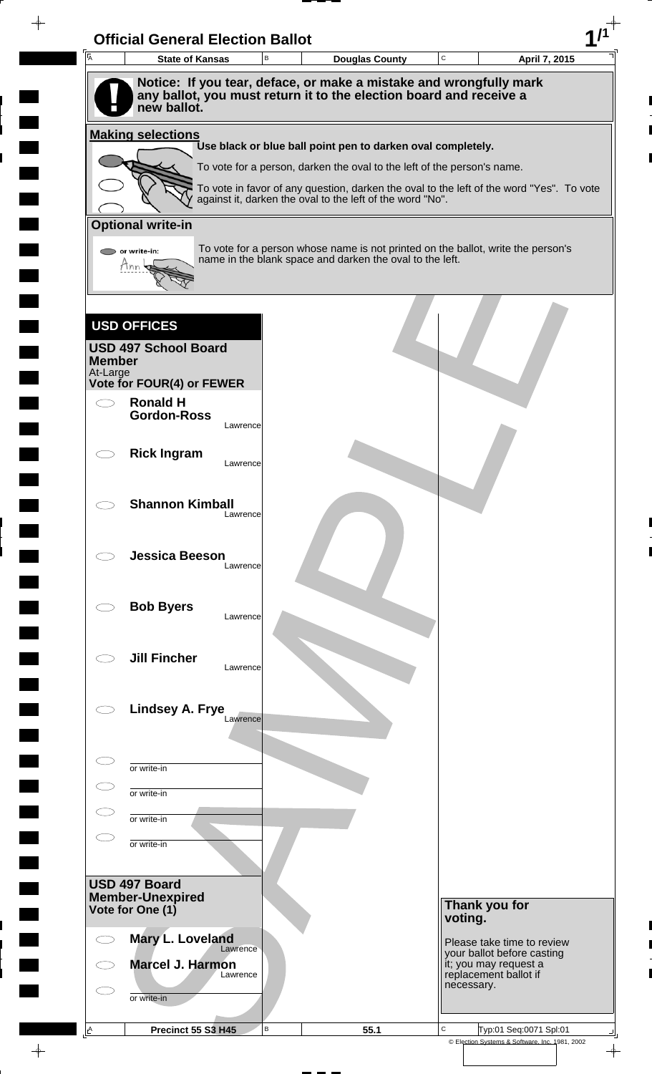| $\overline{A}$            | <b>State of Kansas</b>                                                                                                                   | B | <b>Douglas County</b>                                                                                                                                 | C          |                                                     | April 7, 2015 |
|---------------------------|------------------------------------------------------------------------------------------------------------------------------------------|---|-------------------------------------------------------------------------------------------------------------------------------------------------------|------------|-----------------------------------------------------|---------------|
|                           | Notice: If you tear, deface, or make a mistake and wrongfully mark<br>any ballot, you must return it to the election board and receive a |   |                                                                                                                                                       |            |                                                     |               |
|                           | new ballot.                                                                                                                              |   |                                                                                                                                                       |            |                                                     |               |
|                           | <b>Making selections</b>                                                                                                                 |   | Use black or blue ball point pen to darken oval completely.                                                                                           |            |                                                     |               |
|                           |                                                                                                                                          |   | To vote for a person, darken the oval to the left of the person's name.                                                                               |            |                                                     |               |
|                           |                                                                                                                                          |   | To vote in favor of any question, darken the oval to the left of the word "Yes". To vote<br>against it, darken the oval to the left of the word "No". |            |                                                     |               |
|                           | <b>Optional write-in</b>                                                                                                                 |   |                                                                                                                                                       |            |                                                     |               |
|                           | or write-in:                                                                                                                             |   | To vote for a person whose name is not printed on the ballot, write the person's                                                                      |            |                                                     |               |
|                           | Mnn                                                                                                                                      |   | name in the blank space and darken the oval to the left.                                                                                              |            |                                                     |               |
|                           |                                                                                                                                          |   |                                                                                                                                                       |            |                                                     |               |
|                           | <b>USD OFFICES</b>                                                                                                                       |   |                                                                                                                                                       |            |                                                     |               |
|                           | <b>USD 497 School Board</b>                                                                                                              |   |                                                                                                                                                       |            |                                                     |               |
| <b>Member</b><br>At-Large |                                                                                                                                          |   |                                                                                                                                                       |            |                                                     |               |
|                           | Vote for FOUR(4) or FEWER                                                                                                                |   |                                                                                                                                                       |            |                                                     |               |
|                           | <b>Ronald H</b><br><b>Gordon-Ross</b><br>Lawrence                                                                                        |   |                                                                                                                                                       |            |                                                     |               |
|                           |                                                                                                                                          |   |                                                                                                                                                       |            |                                                     |               |
|                           | <b>Rick Ingram</b><br>Lawrence                                                                                                           |   |                                                                                                                                                       |            |                                                     |               |
|                           |                                                                                                                                          |   |                                                                                                                                                       |            |                                                     |               |
|                           | <b>Shannon Kimball</b><br>Lawrence                                                                                                       |   |                                                                                                                                                       |            |                                                     |               |
|                           |                                                                                                                                          |   |                                                                                                                                                       |            |                                                     |               |
|                           | <b>Jessica Beeson</b><br>Lawrence                                                                                                        |   |                                                                                                                                                       |            |                                                     |               |
|                           |                                                                                                                                          |   |                                                                                                                                                       |            |                                                     |               |
|                           | <b>Bob Byers</b><br>Lawrence                                                                                                             |   |                                                                                                                                                       |            |                                                     |               |
|                           |                                                                                                                                          |   |                                                                                                                                                       |            |                                                     |               |
|                           | <b>Jill Fincher</b><br>Lawrence                                                                                                          |   |                                                                                                                                                       |            |                                                     |               |
|                           |                                                                                                                                          |   |                                                                                                                                                       |            |                                                     |               |
|                           | Lindsey A. Frye<br>Lawrence                                                                                                              |   |                                                                                                                                                       |            |                                                     |               |
|                           |                                                                                                                                          |   |                                                                                                                                                       |            |                                                     |               |
|                           | or write-in                                                                                                                              |   |                                                                                                                                                       |            |                                                     |               |
|                           | or write-in                                                                                                                              |   |                                                                                                                                                       |            |                                                     |               |
|                           | or write-in                                                                                                                              |   |                                                                                                                                                       |            |                                                     |               |
|                           | or write-in                                                                                                                              |   |                                                                                                                                                       |            |                                                     |               |
|                           |                                                                                                                                          |   |                                                                                                                                                       |            |                                                     |               |
|                           | USD 497 Board<br><b>Member-Unexpired</b>                                                                                                 |   |                                                                                                                                                       |            |                                                     |               |
|                           | Vote for One (1)                                                                                                                         |   |                                                                                                                                                       | voting.    | Thank you for                                       |               |
|                           | Mary L. Loveland                                                                                                                         |   |                                                                                                                                                       |            | Please take time to review                          |               |
|                           | Lawrence<br>Marcel J. Harmon                                                                                                             |   |                                                                                                                                                       |            | your ballot before casting<br>it; you may request a |               |
|                           | Lawrence                                                                                                                                 |   |                                                                                                                                                       | necessary. | replacement ballot if                               |               |
|                           | or write-in                                                                                                                              |   |                                                                                                                                                       |            |                                                     |               |
|                           |                                                                                                                                          |   |                                                                                                                                                       |            |                                                     |               |

 $\begin{array}{c} \hline \end{array}$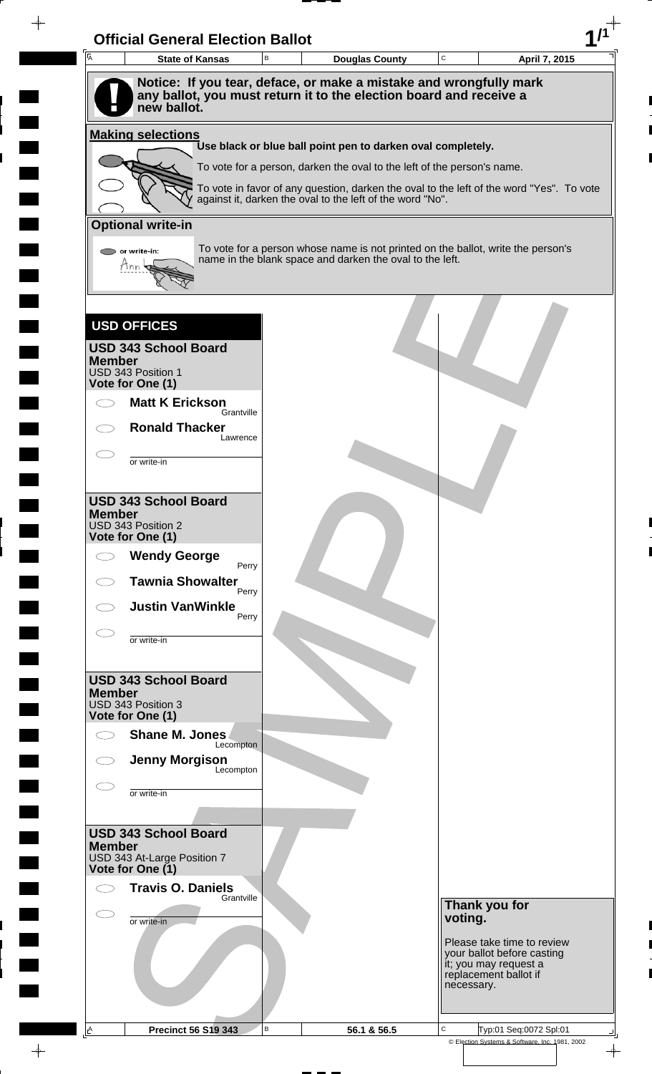| $\overline{A}$ | <b>State of Kansas</b>                                                                                                                                  | B | <b>Douglas County</b>                                                                                                                                 | $\mathtt{C}$ | April 7, 2015                                            |
|----------------|---------------------------------------------------------------------------------------------------------------------------------------------------------|---|-------------------------------------------------------------------------------------------------------------------------------------------------------|--------------|----------------------------------------------------------|
|                | Notice: If you tear, deface, or make a mistake and wrongfully mark<br>any ballot, you must return it to the election board and receive a<br>new ballot. |   |                                                                                                                                                       |              |                                                          |
|                | <b>Making selections</b>                                                                                                                                |   |                                                                                                                                                       |              |                                                          |
|                |                                                                                                                                                         |   | Use black or blue ball point pen to darken oval completely.                                                                                           |              |                                                          |
|                |                                                                                                                                                         |   | To vote for a person, darken the oval to the left of the person's name.                                                                               |              |                                                          |
|                |                                                                                                                                                         |   | To vote in favor of any question, darken the oval to the left of the word "Yes". To vote<br>against it, darken the oval to the left of the word "No". |              |                                                          |
|                | <b>Optional write-in</b>                                                                                                                                |   |                                                                                                                                                       |              |                                                          |
|                | $\triangleright$ or write-in:<br>Thn                                                                                                                    |   | To vote for a person whose name is not printed on the ballot, write the person's<br>name in the blank space and darken the oval to the left.          |              |                                                          |
|                |                                                                                                                                                         |   |                                                                                                                                                       |              |                                                          |
|                | <b>USD OFFICES</b>                                                                                                                                      |   |                                                                                                                                                       |              |                                                          |
| <b>Member</b>  | <b>USD 343 School Board</b>                                                                                                                             |   |                                                                                                                                                       |              |                                                          |
|                | USD 343 Position 1<br>Vote for One (1)                                                                                                                  |   |                                                                                                                                                       |              |                                                          |
|                | <b>Matt K Erickson</b><br>Grantville                                                                                                                    |   |                                                                                                                                                       |              |                                                          |
|                | <b>Ronald Thacker</b><br>Lawrence                                                                                                                       |   |                                                                                                                                                       |              |                                                          |
|                | or write-in                                                                                                                                             |   |                                                                                                                                                       |              |                                                          |
|                |                                                                                                                                                         |   |                                                                                                                                                       |              |                                                          |
| <b>Member</b>  | <b>USD 343 School Board</b>                                                                                                                             |   |                                                                                                                                                       |              |                                                          |
|                | USD 343 Position 2<br>Vote for One (1)                                                                                                                  |   |                                                                                                                                                       |              |                                                          |
|                | <b>Wendy George</b><br>Perry                                                                                                                            |   |                                                                                                                                                       |              |                                                          |
|                | <b>Tawnia Showalter</b><br>Perry                                                                                                                        |   |                                                                                                                                                       |              |                                                          |
|                | <b>Justin VanWinkle</b><br>Perry                                                                                                                        |   |                                                                                                                                                       |              |                                                          |
|                | or write-in                                                                                                                                             |   |                                                                                                                                                       |              |                                                          |
|                |                                                                                                                                                         |   |                                                                                                                                                       |              |                                                          |
|                | <b>USD 343 School Board</b>                                                                                                                             |   |                                                                                                                                                       |              |                                                          |
| <b>Member</b>  | USD 343 Position 3                                                                                                                                      |   |                                                                                                                                                       |              |                                                          |
|                | Vote for One (1)<br>Shane M. Jones                                                                                                                      |   |                                                                                                                                                       |              |                                                          |
|                | Lecompton<br><b>Jenny Morgison</b>                                                                                                                      |   |                                                                                                                                                       |              |                                                          |
|                | Lecompton                                                                                                                                               |   |                                                                                                                                                       |              |                                                          |
|                | or write-in                                                                                                                                             |   |                                                                                                                                                       |              |                                                          |
|                | <b>USD 343 School Board</b>                                                                                                                             |   |                                                                                                                                                       |              |                                                          |
| <b>Member</b>  | USD 343 At-Large Position 7                                                                                                                             |   |                                                                                                                                                       |              |                                                          |
|                | Vote for One (1)                                                                                                                                        |   |                                                                                                                                                       |              |                                                          |
|                | <b>Travis O. Daniels</b><br>Grantville                                                                                                                  |   |                                                                                                                                                       |              | Thank you for                                            |
| C              | or write-in                                                                                                                                             |   |                                                                                                                                                       | voting.      |                                                          |
|                |                                                                                                                                                         |   |                                                                                                                                                       |              | Please take time to review<br>your ballot before casting |
|                |                                                                                                                                                         |   |                                                                                                                                                       |              | it; you may request a<br>replacement ballot if           |
|                |                                                                                                                                                         |   |                                                                                                                                                       |              | necessary.                                               |
|                |                                                                                                                                                         |   |                                                                                                                                                       |              |                                                          |

 $\frac{1}{\left\vert \psi \right\vert }%$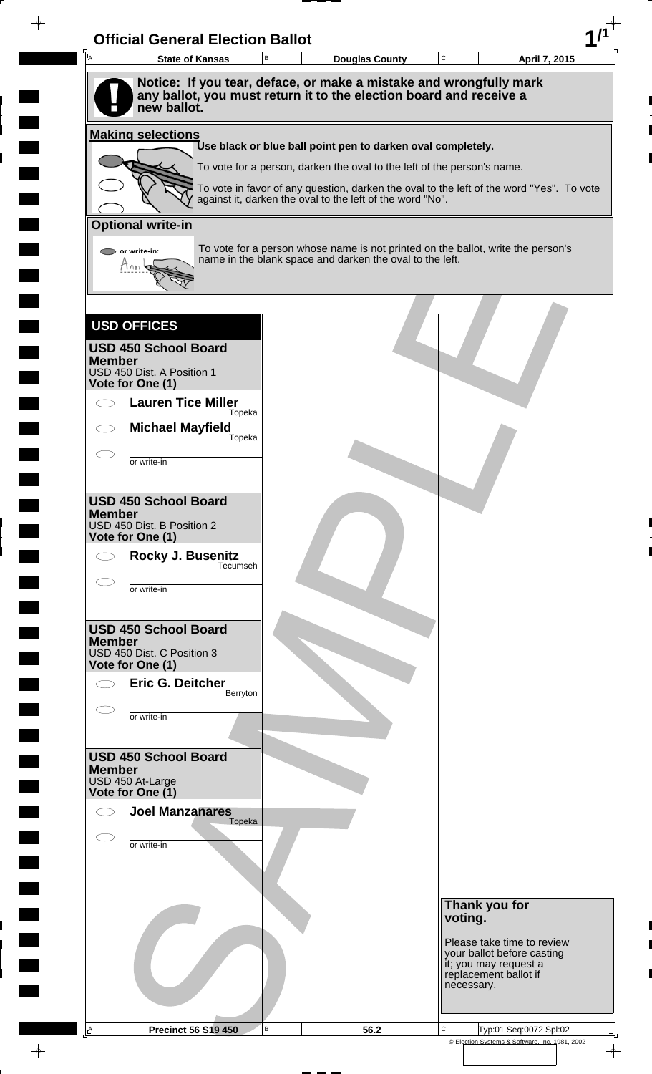| <b>State of Kansas</b><br><b>Douglas County</b><br>Notice: If you tear, deface, or make a mistake and wrongfully mark<br>any ballot, you must return it to the election board and receive a<br>new ballot.<br><b>Making selections</b><br>Use black or blue ball point pen to darken oval completely.<br>To vote for a person, darken the oval to the left of the person's name.<br>To vote in favor of any question, darken the oval to the left of the word "Yes". To vote<br>against it, darken the oval to the left of the word "No".<br><b>Optional write-in</b><br>To vote for a person whose name is not printed on the ballot, write the person's<br>or write-in:<br>name in the blank space and darken the oval to the left.<br>Mnn<br><b>USD OFFICES</b><br><b>USD 450 School Board</b><br><b>Member</b><br>USD 450 Dist. A Position 1<br>Vote for One (1)<br><b>Lauren Tice Miller</b><br>Topeka<br><b>Michael Mayfield</b><br>Topeka<br>or write-in<br><b>USD 450 School Board</b><br><b>Member</b><br>USD 450 Dist. B Position 2<br>Vote for One (1)<br>Rocky J. Busenitz<br>Tecumseh<br>or write-in<br><b>USD 450 School Board</b><br><b>Member</b><br>USD 450 Dist. C Position 3<br>Vote for One (1) | April 7, 2015                                       |
|---------------------------------------------------------------------------------------------------------------------------------------------------------------------------------------------------------------------------------------------------------------------------------------------------------------------------------------------------------------------------------------------------------------------------------------------------------------------------------------------------------------------------------------------------------------------------------------------------------------------------------------------------------------------------------------------------------------------------------------------------------------------------------------------------------------------------------------------------------------------------------------------------------------------------------------------------------------------------------------------------------------------------------------------------------------------------------------------------------------------------------------------------------------------------------------------------------------------|-----------------------------------------------------|
|                                                                                                                                                                                                                                                                                                                                                                                                                                                                                                                                                                                                                                                                                                                                                                                                                                                                                                                                                                                                                                                                                                                                                                                                                     |                                                     |
|                                                                                                                                                                                                                                                                                                                                                                                                                                                                                                                                                                                                                                                                                                                                                                                                                                                                                                                                                                                                                                                                                                                                                                                                                     |                                                     |
|                                                                                                                                                                                                                                                                                                                                                                                                                                                                                                                                                                                                                                                                                                                                                                                                                                                                                                                                                                                                                                                                                                                                                                                                                     |                                                     |
|                                                                                                                                                                                                                                                                                                                                                                                                                                                                                                                                                                                                                                                                                                                                                                                                                                                                                                                                                                                                                                                                                                                                                                                                                     |                                                     |
|                                                                                                                                                                                                                                                                                                                                                                                                                                                                                                                                                                                                                                                                                                                                                                                                                                                                                                                                                                                                                                                                                                                                                                                                                     |                                                     |
|                                                                                                                                                                                                                                                                                                                                                                                                                                                                                                                                                                                                                                                                                                                                                                                                                                                                                                                                                                                                                                                                                                                                                                                                                     |                                                     |
|                                                                                                                                                                                                                                                                                                                                                                                                                                                                                                                                                                                                                                                                                                                                                                                                                                                                                                                                                                                                                                                                                                                                                                                                                     |                                                     |
|                                                                                                                                                                                                                                                                                                                                                                                                                                                                                                                                                                                                                                                                                                                                                                                                                                                                                                                                                                                                                                                                                                                                                                                                                     |                                                     |
|                                                                                                                                                                                                                                                                                                                                                                                                                                                                                                                                                                                                                                                                                                                                                                                                                                                                                                                                                                                                                                                                                                                                                                                                                     |                                                     |
|                                                                                                                                                                                                                                                                                                                                                                                                                                                                                                                                                                                                                                                                                                                                                                                                                                                                                                                                                                                                                                                                                                                                                                                                                     |                                                     |
|                                                                                                                                                                                                                                                                                                                                                                                                                                                                                                                                                                                                                                                                                                                                                                                                                                                                                                                                                                                                                                                                                                                                                                                                                     |                                                     |
|                                                                                                                                                                                                                                                                                                                                                                                                                                                                                                                                                                                                                                                                                                                                                                                                                                                                                                                                                                                                                                                                                                                                                                                                                     |                                                     |
|                                                                                                                                                                                                                                                                                                                                                                                                                                                                                                                                                                                                                                                                                                                                                                                                                                                                                                                                                                                                                                                                                                                                                                                                                     |                                                     |
|                                                                                                                                                                                                                                                                                                                                                                                                                                                                                                                                                                                                                                                                                                                                                                                                                                                                                                                                                                                                                                                                                                                                                                                                                     |                                                     |
|                                                                                                                                                                                                                                                                                                                                                                                                                                                                                                                                                                                                                                                                                                                                                                                                                                                                                                                                                                                                                                                                                                                                                                                                                     |                                                     |
|                                                                                                                                                                                                                                                                                                                                                                                                                                                                                                                                                                                                                                                                                                                                                                                                                                                                                                                                                                                                                                                                                                                                                                                                                     |                                                     |
|                                                                                                                                                                                                                                                                                                                                                                                                                                                                                                                                                                                                                                                                                                                                                                                                                                                                                                                                                                                                                                                                                                                                                                                                                     |                                                     |
|                                                                                                                                                                                                                                                                                                                                                                                                                                                                                                                                                                                                                                                                                                                                                                                                                                                                                                                                                                                                                                                                                                                                                                                                                     |                                                     |
|                                                                                                                                                                                                                                                                                                                                                                                                                                                                                                                                                                                                                                                                                                                                                                                                                                                                                                                                                                                                                                                                                                                                                                                                                     |                                                     |
|                                                                                                                                                                                                                                                                                                                                                                                                                                                                                                                                                                                                                                                                                                                                                                                                                                                                                                                                                                                                                                                                                                                                                                                                                     |                                                     |
|                                                                                                                                                                                                                                                                                                                                                                                                                                                                                                                                                                                                                                                                                                                                                                                                                                                                                                                                                                                                                                                                                                                                                                                                                     |                                                     |
|                                                                                                                                                                                                                                                                                                                                                                                                                                                                                                                                                                                                                                                                                                                                                                                                                                                                                                                                                                                                                                                                                                                                                                                                                     |                                                     |
|                                                                                                                                                                                                                                                                                                                                                                                                                                                                                                                                                                                                                                                                                                                                                                                                                                                                                                                                                                                                                                                                                                                                                                                                                     |                                                     |
|                                                                                                                                                                                                                                                                                                                                                                                                                                                                                                                                                                                                                                                                                                                                                                                                                                                                                                                                                                                                                                                                                                                                                                                                                     |                                                     |
|                                                                                                                                                                                                                                                                                                                                                                                                                                                                                                                                                                                                                                                                                                                                                                                                                                                                                                                                                                                                                                                                                                                                                                                                                     |                                                     |
| Eric G. Deitcher                                                                                                                                                                                                                                                                                                                                                                                                                                                                                                                                                                                                                                                                                                                                                                                                                                                                                                                                                                                                                                                                                                                                                                                                    |                                                     |
| Berryton                                                                                                                                                                                                                                                                                                                                                                                                                                                                                                                                                                                                                                                                                                                                                                                                                                                                                                                                                                                                                                                                                                                                                                                                            |                                                     |
| or write-in                                                                                                                                                                                                                                                                                                                                                                                                                                                                                                                                                                                                                                                                                                                                                                                                                                                                                                                                                                                                                                                                                                                                                                                                         |                                                     |
|                                                                                                                                                                                                                                                                                                                                                                                                                                                                                                                                                                                                                                                                                                                                                                                                                                                                                                                                                                                                                                                                                                                                                                                                                     |                                                     |
| <b>USD 450 School Board</b><br><b>Member</b>                                                                                                                                                                                                                                                                                                                                                                                                                                                                                                                                                                                                                                                                                                                                                                                                                                                                                                                                                                                                                                                                                                                                                                        |                                                     |
| USD 450 At-Large<br>Vote for One (1)                                                                                                                                                                                                                                                                                                                                                                                                                                                                                                                                                                                                                                                                                                                                                                                                                                                                                                                                                                                                                                                                                                                                                                                |                                                     |
| <b>Joel Manzanares</b><br>Topeka                                                                                                                                                                                                                                                                                                                                                                                                                                                                                                                                                                                                                                                                                                                                                                                                                                                                                                                                                                                                                                                                                                                                                                                    |                                                     |
| or write-in                                                                                                                                                                                                                                                                                                                                                                                                                                                                                                                                                                                                                                                                                                                                                                                                                                                                                                                                                                                                                                                                                                                                                                                                         |                                                     |
|                                                                                                                                                                                                                                                                                                                                                                                                                                                                                                                                                                                                                                                                                                                                                                                                                                                                                                                                                                                                                                                                                                                                                                                                                     |                                                     |
|                                                                                                                                                                                                                                                                                                                                                                                                                                                                                                                                                                                                                                                                                                                                                                                                                                                                                                                                                                                                                                                                                                                                                                                                                     |                                                     |
|                                                                                                                                                                                                                                                                                                                                                                                                                                                                                                                                                                                                                                                                                                                                                                                                                                                                                                                                                                                                                                                                                                                                                                                                                     | Thank you for<br>voting.                            |
|                                                                                                                                                                                                                                                                                                                                                                                                                                                                                                                                                                                                                                                                                                                                                                                                                                                                                                                                                                                                                                                                                                                                                                                                                     | Please take time to review                          |
|                                                                                                                                                                                                                                                                                                                                                                                                                                                                                                                                                                                                                                                                                                                                                                                                                                                                                                                                                                                                                                                                                                                                                                                                                     | your ballot before casting<br>it; you may request a |
|                                                                                                                                                                                                                                                                                                                                                                                                                                                                                                                                                                                                                                                                                                                                                                                                                                                                                                                                                                                                                                                                                                                                                                                                                     | replacement ballot if<br>necessary.                 |
|                                                                                                                                                                                                                                                                                                                                                                                                                                                                                                                                                                                                                                                                                                                                                                                                                                                                                                                                                                                                                                                                                                                                                                                                                     |                                                     |

 $\bar{\phantom{a}}$ 

 $\blacksquare$ 

 $\frac{1}{\sqrt{2\pi}}\int_{0}^{\pi}\frac{1}{\sqrt{2\pi}}\left( \frac{1}{\sqrt{2\pi}}\right) \frac{d\mu}{d\mu}d\mu$ 

 $\overline{\phantom{a}}$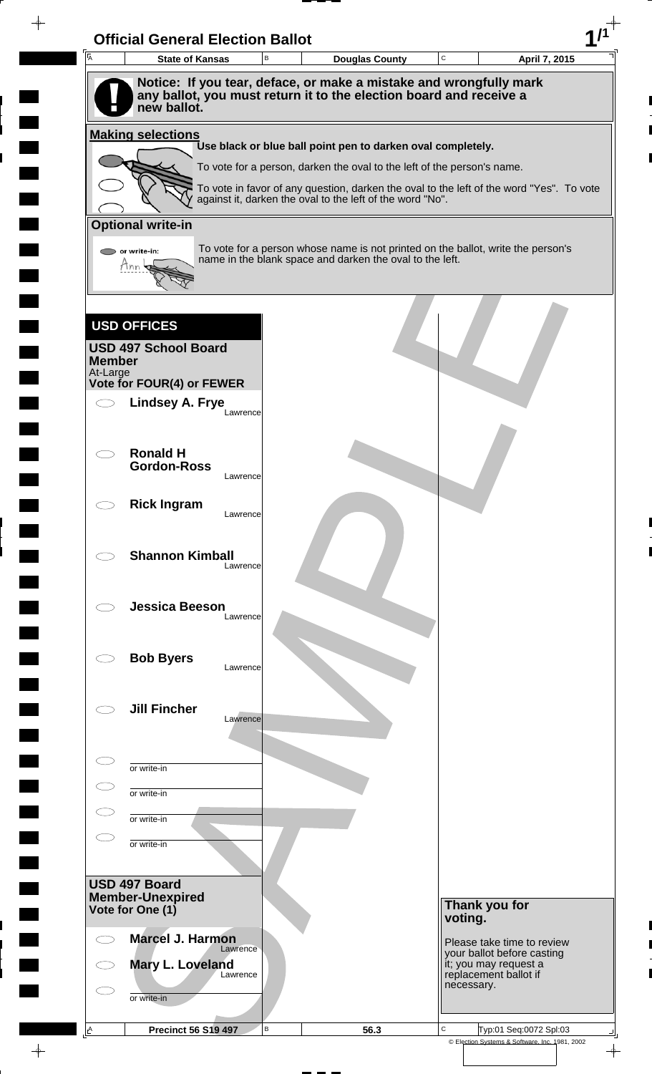|               | <b>State of Kansas</b>      | B        | <b>Douglas County</b>                                                                                                                                               | C          |                                                     | April 7, 2015 |
|---------------|-----------------------------|----------|---------------------------------------------------------------------------------------------------------------------------------------------------------------------|------------|-----------------------------------------------------|---------------|
|               |                             |          | Notice: If you tear, deface, or make a mistake and wrongfully mark                                                                                                  |            |                                                     |               |
|               | new ballot.                 |          | any ballot, you must return it to the election board and receive a                                                                                                  |            |                                                     |               |
|               | <b>Making selections</b>    |          |                                                                                                                                                                     |            |                                                     |               |
|               |                             |          | Use black or blue ball point pen to darken oval completely.                                                                                                         |            |                                                     |               |
|               |                             |          | To vote for a person, darken the oval to the left of the person's name.<br>To vote in favor of any question, darken the oval to the left of the word "Yes". To vote |            |                                                     |               |
|               |                             |          | against it, darken the oval to the left of the word "No".                                                                                                           |            |                                                     |               |
|               | <b>Optional write-in</b>    |          |                                                                                                                                                                     |            |                                                     |               |
|               | or write-in:<br>Mnn         |          | To vote for a person whose name is not printed on the ballot, write the person's<br>name in the blank space and darken the oval to the left.                        |            |                                                     |               |
|               |                             |          |                                                                                                                                                                     |            |                                                     |               |
|               |                             |          |                                                                                                                                                                     |            |                                                     |               |
|               | <b>USD OFFICES</b>          |          |                                                                                                                                                                     |            |                                                     |               |
| <b>Member</b> | <b>USD 497 School Board</b> |          |                                                                                                                                                                     |            |                                                     |               |
| At-Large      | Vote for FOUR(4) or FEWER   |          |                                                                                                                                                                     |            |                                                     |               |
|               | <b>Lindsey A. Frye</b>      | Lawrence |                                                                                                                                                                     |            |                                                     |               |
|               |                             |          |                                                                                                                                                                     |            |                                                     |               |
|               | <b>Ronald H</b>             |          |                                                                                                                                                                     |            |                                                     |               |
|               | <b>Gordon-Ross</b>          | Lawrence |                                                                                                                                                                     |            |                                                     |               |
|               | <b>Rick Ingram</b>          |          |                                                                                                                                                                     |            |                                                     |               |
|               |                             | Lawrence |                                                                                                                                                                     |            |                                                     |               |
|               | <b>Shannon Kimball</b>      |          |                                                                                                                                                                     |            |                                                     |               |
|               |                             | Lawrence |                                                                                                                                                                     |            |                                                     |               |
|               | <b>Jessica Beeson</b>       |          |                                                                                                                                                                     |            |                                                     |               |
|               |                             | Lawrence |                                                                                                                                                                     |            |                                                     |               |
|               |                             |          |                                                                                                                                                                     |            |                                                     |               |
|               | <b>Bob Byers</b>            | Lawrence |                                                                                                                                                                     |            |                                                     |               |
|               |                             |          |                                                                                                                                                                     |            |                                                     |               |
|               | <b>Jill Fincher</b>         | Lawrence |                                                                                                                                                                     |            |                                                     |               |
|               |                             |          |                                                                                                                                                                     |            |                                                     |               |
|               | or write-in                 |          |                                                                                                                                                                     |            |                                                     |               |
|               | or write-in                 |          |                                                                                                                                                                     |            |                                                     |               |
|               | or write-in                 |          |                                                                                                                                                                     |            |                                                     |               |
|               | or write-in                 |          |                                                                                                                                                                     |            |                                                     |               |
|               |                             |          |                                                                                                                                                                     |            |                                                     |               |
|               |                             |          |                                                                                                                                                                     |            |                                                     |               |
|               | <b>Member-Unexpired</b>     |          |                                                                                                                                                                     |            | Thank you for                                       |               |
| USD 497 Board | Vote for One (1)            |          |                                                                                                                                                                     | voting.    |                                                     |               |
|               | <b>Marcel J. Harmon</b>     | Lawrence |                                                                                                                                                                     |            | Please take time to review                          |               |
|               | Mary L. Loveland            | Lawrence |                                                                                                                                                                     |            | your ballot before casting<br>it; you may request a |               |
|               | or write-in                 |          |                                                                                                                                                                     | necessary. | replacement ballot if                               |               |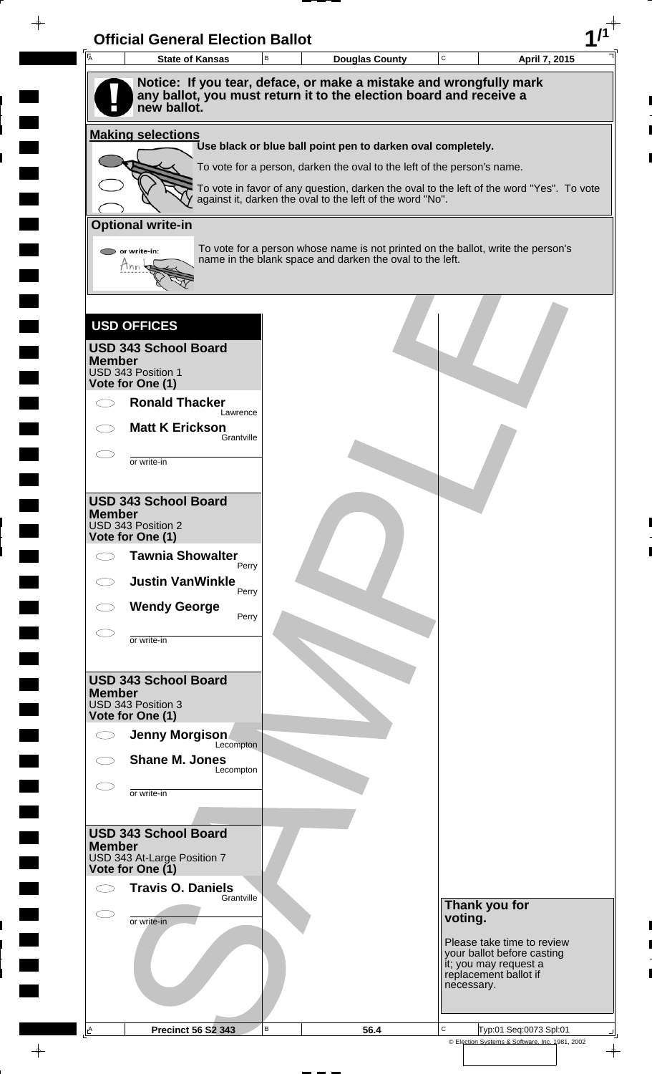| Ā<br><b>State of Kansas</b>                                                       | B | <b>Douglas County</b>                                                                                                                                 | $\mathbf C$ | April 7, 2015                                                                |
|-----------------------------------------------------------------------------------|---|-------------------------------------------------------------------------------------------------------------------------------------------------------|-------------|------------------------------------------------------------------------------|
| Notice: If you tear, deface, or make a mistake and wrongfully mark                |   |                                                                                                                                                       |             |                                                                              |
| any ballot, you must return it to the election board and receive a<br>new ballot. |   |                                                                                                                                                       |             |                                                                              |
| <b>Making selections</b>                                                          |   |                                                                                                                                                       |             |                                                                              |
|                                                                                   |   | Use black or blue ball point pen to darken oval completely.                                                                                           |             |                                                                              |
|                                                                                   |   | To vote for a person, darken the oval to the left of the person's name.                                                                               |             |                                                                              |
|                                                                                   |   | To vote in favor of any question, darken the oval to the left of the word "Yes". To vote<br>against it, darken the oval to the left of the word "No". |             |                                                                              |
| <b>Optional write-in</b>                                                          |   |                                                                                                                                                       |             |                                                                              |
| $\triangleright$ or write-in:                                                     |   | To vote for a person whose name is not printed on the ballot, write the person's<br>name in the blank space and darken the oval to the left.          |             |                                                                              |
| Ann                                                                               |   |                                                                                                                                                       |             |                                                                              |
|                                                                                   |   |                                                                                                                                                       |             |                                                                              |
| <b>USD OFFICES</b>                                                                |   |                                                                                                                                                       |             |                                                                              |
| <b>USD 343 School Board</b>                                                       |   |                                                                                                                                                       |             |                                                                              |
| <b>Member</b><br>USD 343 Position 1                                               |   |                                                                                                                                                       |             |                                                                              |
| Vote for One (1)<br><b>Ronald Thacker</b>                                         |   |                                                                                                                                                       |             |                                                                              |
| Lawrence                                                                          |   |                                                                                                                                                       |             |                                                                              |
| <b>Matt K Erickson</b><br>Grantville                                              |   |                                                                                                                                                       |             |                                                                              |
| or write-in                                                                       |   |                                                                                                                                                       |             |                                                                              |
|                                                                                   |   |                                                                                                                                                       |             |                                                                              |
| <b>USD 343 School Board</b><br><b>Member</b>                                      |   |                                                                                                                                                       |             |                                                                              |
| USD 343 Position 2<br>Vote for One (1)                                            |   |                                                                                                                                                       |             |                                                                              |
| <b>Tawnia Showalter</b><br>$\frown$<br>Perry                                      |   |                                                                                                                                                       |             |                                                                              |
| <b>Justin VanWinkle</b><br>Perry                                                  |   |                                                                                                                                                       |             |                                                                              |
| <b>Wendy George</b><br>Perry                                                      |   |                                                                                                                                                       |             |                                                                              |
| or write-in                                                                       |   |                                                                                                                                                       |             |                                                                              |
|                                                                                   |   |                                                                                                                                                       |             |                                                                              |
| <b>USD 343 School Board</b>                                                       |   |                                                                                                                                                       |             |                                                                              |
| <b>Member</b><br>USD 343 Position 3                                               |   |                                                                                                                                                       |             |                                                                              |
| Vote for One (1)<br>Jenny Morgison                                                |   |                                                                                                                                                       |             |                                                                              |
| Lecompton<br><b>Shane M. Jones</b>                                                |   |                                                                                                                                                       |             |                                                                              |
| Lecompton                                                                         |   |                                                                                                                                                       |             |                                                                              |
| or write-in                                                                       |   |                                                                                                                                                       |             |                                                                              |
| <b>USD 343 School Board</b>                                                       |   |                                                                                                                                                       |             |                                                                              |
| <b>Member</b><br>USD 343 At-Large Position 7                                      |   |                                                                                                                                                       |             |                                                                              |
| Vote for One (1)                                                                  |   |                                                                                                                                                       |             |                                                                              |
| <b>Travis O. Daniels</b><br>Grantville                                            |   |                                                                                                                                                       |             |                                                                              |
| E.<br>or write-in                                                                 |   |                                                                                                                                                       | voting.     | Thank you for                                                                |
|                                                                                   |   |                                                                                                                                                       |             | Please take time to review                                                   |
|                                                                                   |   |                                                                                                                                                       |             | your ballot before casting<br>it; you may request a<br>replacement ballot if |
|                                                                                   |   |                                                                                                                                                       | necessary.  |                                                                              |
|                                                                                   |   |                                                                                                                                                       |             |                                                                              |

 $\frac{1}{\sqrt{2\pi}}$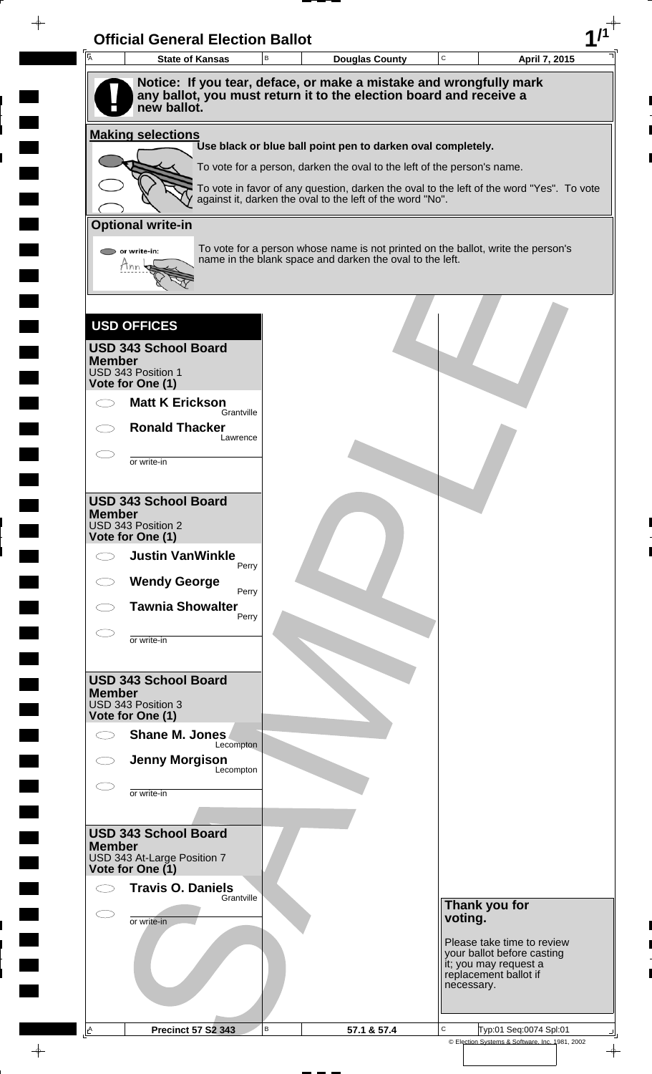| Ā                                      | <b>State of Kansas</b>                                                            | B | <b>Douglas County</b>                                                   | $\mathbf C$ | April 7, 2015                                                                            |
|----------------------------------------|-----------------------------------------------------------------------------------|---|-------------------------------------------------------------------------|-------------|------------------------------------------------------------------------------------------|
|                                        | Notice: If you tear, deface, or make a mistake and wrongfully mark                |   |                                                                         |             |                                                                                          |
|                                        | any ballot, you must return it to the election board and receive a<br>new ballot. |   |                                                                         |             |                                                                                          |
|                                        | <b>Making selections</b>                                                          |   |                                                                         |             |                                                                                          |
|                                        |                                                                                   |   | Use black or blue ball point pen to darken oval completely.             |             |                                                                                          |
|                                        |                                                                                   |   | To vote for a person, darken the oval to the left of the person's name. |             |                                                                                          |
|                                        |                                                                                   |   | against it, darken the oval to the left of the word "No".               |             | To vote in favor of any question, darken the oval to the left of the word "Yes". To vote |
| <b>Optional write-in</b>               |                                                                                   |   |                                                                         |             |                                                                                          |
| $\triangleright$ or write-in:          |                                                                                   |   | name in the blank space and darken the oval to the left.                |             | To vote for a person whose name is not printed on the ballot, write the person's         |
| Ann                                    |                                                                                   |   |                                                                         |             |                                                                                          |
|                                        |                                                                                   |   |                                                                         |             |                                                                                          |
| <b>USD OFFICES</b>                     |                                                                                   |   |                                                                         |             |                                                                                          |
|                                        | <b>USD 343 School Board</b>                                                       |   |                                                                         |             |                                                                                          |
| <b>Member</b><br>USD 343 Position 1    |                                                                                   |   |                                                                         |             |                                                                                          |
| Vote for One (1)                       | <b>Matt K Erickson</b>                                                            |   |                                                                         |             |                                                                                          |
|                                        | Grantville                                                                        |   |                                                                         |             |                                                                                          |
|                                        | <b>Ronald Thacker</b><br>Lawrence                                                 |   |                                                                         |             |                                                                                          |
|                                        | or write-in                                                                       |   |                                                                         |             |                                                                                          |
|                                        |                                                                                   |   |                                                                         |             |                                                                                          |
| <b>Member</b>                          | <b>USD 343 School Board</b>                                                       |   |                                                                         |             |                                                                                          |
| USD 343 Position 2<br>Vote for One (1) |                                                                                   |   |                                                                         |             |                                                                                          |
| $\bigcirc$                             | <b>Justin VanWinkle</b><br>Perry                                                  |   |                                                                         |             |                                                                                          |
|                                        | <b>Wendy George</b><br>Perry                                                      |   |                                                                         |             |                                                                                          |
|                                        | <b>Tawnia Showalter</b><br>Perry                                                  |   |                                                                         |             |                                                                                          |
|                                        | or write-in                                                                       |   |                                                                         |             |                                                                                          |
|                                        |                                                                                   |   |                                                                         |             |                                                                                          |
| <b>Member</b>                          | <b>USD 343 School Board</b>                                                       |   |                                                                         |             |                                                                                          |
| USD 343 Position 3<br>Vote for One (1) |                                                                                   |   |                                                                         |             |                                                                                          |
|                                        | Shane M. Jones                                                                    |   |                                                                         |             |                                                                                          |
|                                        | Lecompton<br><b>Jenny Morgison</b>                                                |   |                                                                         |             |                                                                                          |
|                                        | Lecompton                                                                         |   |                                                                         |             |                                                                                          |
|                                        | or write-in                                                                       |   |                                                                         |             |                                                                                          |
|                                        | <b>USD 343 School Board</b>                                                       |   |                                                                         |             |                                                                                          |
| <b>Member</b>                          | USD 343 At-Large Position 7                                                       |   |                                                                         |             |                                                                                          |
| Vote for One (1)                       | <b>Travis O. Daniels</b>                                                          |   |                                                                         |             |                                                                                          |
|                                        | Grantville                                                                        |   |                                                                         |             | Thank you for                                                                            |
| E.                                     | or write-in                                                                       |   |                                                                         | voting.     |                                                                                          |
|                                        |                                                                                   |   |                                                                         |             | Please take time to review<br>your ballot before casting                                 |
|                                        |                                                                                   |   |                                                                         |             | it; you may request a<br>replacement ballot if                                           |
|                                        |                                                                                   |   |                                                                         | necessary.  |                                                                                          |
|                                        |                                                                                   |   |                                                                         |             |                                                                                          |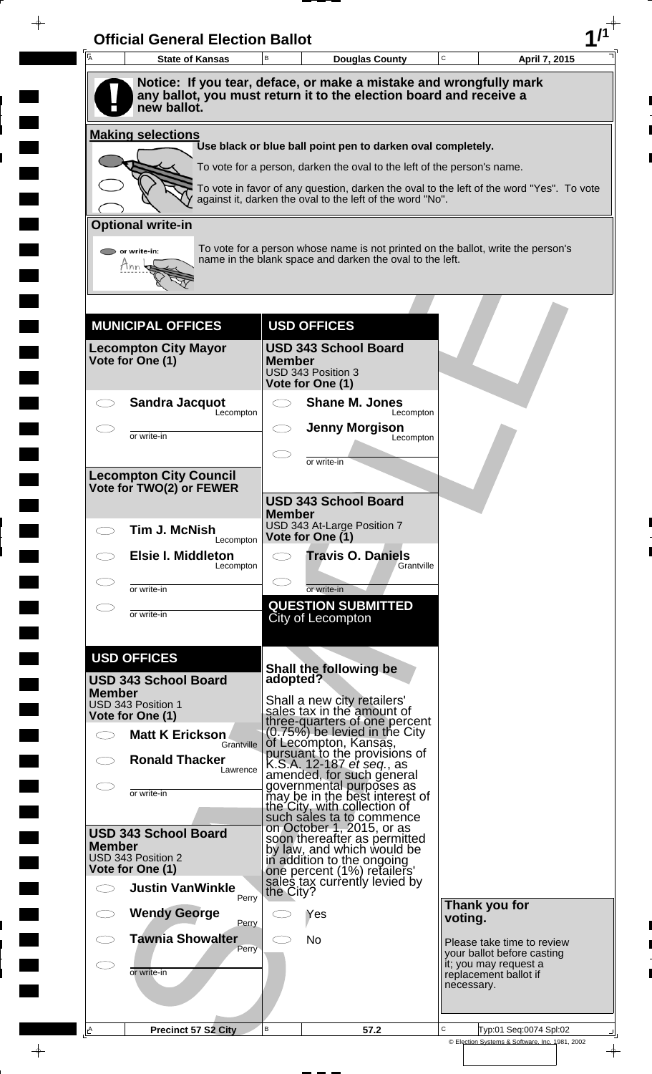| $\overline{A}$<br><b>State of Kansas</b>                                    |            | B                        | <b>Douglas County</b>                                                                                                                        | C       | April 7, 2015                                       |  |
|-----------------------------------------------------------------------------|------------|--------------------------|----------------------------------------------------------------------------------------------------------------------------------------------|---------|-----------------------------------------------------|--|
|                                                                             |            |                          |                                                                                                                                              |         |                                                     |  |
| new ballot.                                                                 |            |                          | Notice: If you tear, deface, or make a mistake and wrongfully mark<br>any ballot, you must return it to the election board and receive a     |         |                                                     |  |
| <b>Making selections</b>                                                    |            |                          | Use black or blue ball point pen to darken oval completely.                                                                                  |         |                                                     |  |
|                                                                             |            |                          | To vote for a person, darken the oval to the left of the person's name.                                                                      |         |                                                     |  |
|                                                                             |            |                          | To vote in favor of any question, darken the oval to the left of the word "Yes". To vote                                                     |         |                                                     |  |
|                                                                             |            |                          | against it, darken the oval to the left of the word "No".                                                                                    |         |                                                     |  |
| <b>Optional write-in</b>                                                    |            |                          |                                                                                                                                              |         |                                                     |  |
| or write-in:                                                                |            |                          | To vote for a person whose name is not printed on the ballot, write the person's<br>name in the blank space and darken the oval to the left. |         |                                                     |  |
| <b>MUNICIPAL OFFICES</b>                                                    |            |                          | <b>USD OFFICES</b>                                                                                                                           |         |                                                     |  |
|                                                                             |            |                          | <b>USD 343 School Board</b>                                                                                                                  |         |                                                     |  |
| <b>Lecompton City Mayor</b><br>Vote for One (1)                             |            | <b>Member</b>            | USD 343 Position 3<br>Vote for One (1)                                                                                                       |         |                                                     |  |
| <b>Sandra Jacquot</b>                                                       | Lecompton  | $\overline{\phantom{0}}$ | <b>Shane M. Jones</b><br>Lecompton                                                                                                           |         |                                                     |  |
| or write-in                                                                 |            |                          | <b>Jenny Morgison</b><br>Lecompton                                                                                                           |         |                                                     |  |
|                                                                             |            |                          |                                                                                                                                              |         |                                                     |  |
| <b>Lecompton City Council</b>                                               |            |                          | or write-in                                                                                                                                  |         |                                                     |  |
| Vote for TWO(2) or FEWER                                                    |            |                          | <b>USD 343 School Board</b>                                                                                                                  |         |                                                     |  |
|                                                                             |            | <b>Member</b>            |                                                                                                                                              |         |                                                     |  |
| <b>Tim J. McNish</b><br>$\bigcirc$                                          | Lecompton  |                          | USD 343 At-Large Position 7<br>Vote for One (1)                                                                                              |         |                                                     |  |
| <b>Elsie I. Middleton</b>                                                   | Lecompton  |                          | <b>Travis O. Daniels</b><br>Grantville                                                                                                       |         |                                                     |  |
| or write-in                                                                 |            |                          | or write-in                                                                                                                                  |         |                                                     |  |
| or write-in                                                                 |            |                          | <b>QUESTION SUBMITTED</b>                                                                                                                    |         |                                                     |  |
|                                                                             |            |                          | City of Lecompton                                                                                                                            |         |                                                     |  |
| <b>USD OFFICES</b>                                                          |            |                          |                                                                                                                                              |         |                                                     |  |
| <b>USD 343 School Board</b>                                                 |            | adopted?                 | Shall the following be                                                                                                                       |         |                                                     |  |
| <b>Member</b><br>USD 343 Position 1                                         |            |                          | Shall a new city retailers'                                                                                                                  |         |                                                     |  |
| Vote for One (1)                                                            |            |                          | sales tax in the amount of<br>three-quarters of one percent                                                                                  |         |                                                     |  |
| <b>Matt K Erickson</b><br>$\bigcirc$                                        | Grantville |                          | $(0.75\%)$ be levied in the City<br>of Lecompton, Kansas,                                                                                    |         |                                                     |  |
| <b>Ronald Thacker</b>                                                       | Lawrence   |                          | pursuant to the provisions of<br>K.S.A. 12-187 <i>et seq.</i> , as                                                                           |         |                                                     |  |
| or write-in                                                                 |            |                          | amended, for such general<br>governmental purposes as                                                                                        |         |                                                     |  |
|                                                                             |            |                          | may be in the best interest of<br>the City, with collection of<br>such sales ta to commence                                                  |         |                                                     |  |
| <b>USD 343 School Board</b>                                                 |            |                          | on October 1, 2015, or as                                                                                                                    |         |                                                     |  |
| <b>Member</b><br>USD 343 Position 2                                         |            |                          | soon thereafter as permitted<br>by law, and which would be<br>in addition to the ongoing                                                     |         |                                                     |  |
| Vote for One (1)                                                            |            |                          | one percent (1%) retailers'<br>sales tax currently levied by                                                                                 |         |                                                     |  |
| <b>Justin VanWinkle</b><br>$\bigcirc$                                       | Perry      | the City?                |                                                                                                                                              |         | Thank you for                                       |  |
| <b>Wendy George</b>                                                         | Perry      |                          | Yes                                                                                                                                          | voting. |                                                     |  |
| <b>Tawnia Showalter</b>                                                     | Perry      |                          | <b>No</b>                                                                                                                                    |         | Please take time to review                          |  |
|                                                                             |            |                          |                                                                                                                                              |         | your ballot before casting<br>it; you may request a |  |
| or write-in                                                                 |            |                          |                                                                                                                                              |         | replacement ballot if<br>necessary.                 |  |
|                                                                             |            |                          |                                                                                                                                              |         |                                                     |  |
| $\mathsf{A}% _{\mathsf{A}}^{\mathsf{A}}(\mathsf{A})$<br>Precinct 57 S2 City |            | $\mathsf B$              | 57.2                                                                                                                                         | C       | Typ:01 Seq:0074 Spl:02                              |  |

 $\blacksquare$ 

 $\blacksquare$ 

 $\blacksquare$ 

 $\qquad \qquad \blacksquare$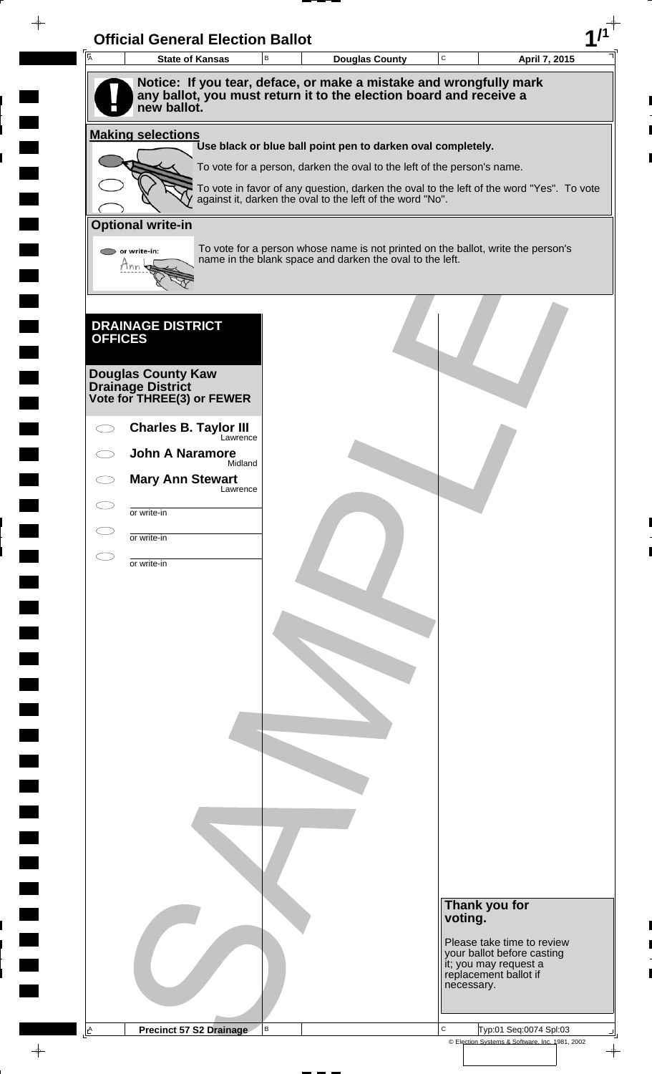| Ā                              | <b>State of Kansas</b>                   | B | <b>Douglas County</b>                                                                                                                        | $\mathbf C$ | April 7, 2015                                            |
|--------------------------------|------------------------------------------|---|----------------------------------------------------------------------------------------------------------------------------------------------|-------------|----------------------------------------------------------|
|                                |                                          |   | Notice: If you tear, deface, or make a mistake and wrongfully mark                                                                           |             |                                                          |
|                                |                                          |   | any ballot, you must return it to the election board and receive a                                                                           |             |                                                          |
|                                | new ballot.                              |   |                                                                                                                                              |             |                                                          |
| <b>Making selections</b>       |                                          |   | Use black or blue ball point pen to darken oval completely.                                                                                  |             |                                                          |
|                                |                                          |   | To vote for a person, darken the oval to the left of the person's name.                                                                      |             |                                                          |
|                                |                                          |   | To vote in favor of any question, darken the oval to the left of the word "Yes". To vote                                                     |             |                                                          |
|                                |                                          |   | against it, darken the oval to the left of the word "No".                                                                                    |             |                                                          |
| <b>Optional write-in</b>       |                                          |   |                                                                                                                                              |             |                                                          |
| $\bigcirc$ or write-in:<br>Ann |                                          |   | To vote for a person whose name is not printed on the ballot, write the person's<br>name in the blank space and darken the oval to the left. |             |                                                          |
|                                |                                          |   |                                                                                                                                              |             |                                                          |
|                                |                                          |   |                                                                                                                                              |             |                                                          |
|                                | <b>DRAINAGE DISTRICT</b>                 |   |                                                                                                                                              |             |                                                          |
| <b>OFFICES</b>                 |                                          |   |                                                                                                                                              |             |                                                          |
|                                | <b>Douglas County Kaw</b>                |   |                                                                                                                                              |             |                                                          |
| <b>Drainage District</b>       | Vote for THREE(3) or FEWER               |   |                                                                                                                                              |             |                                                          |
|                                |                                          |   |                                                                                                                                              |             |                                                          |
|                                | <b>Charles B. Taylor III</b><br>Lawrence |   |                                                                                                                                              |             |                                                          |
|                                | <b>John A Naramore</b><br>Midland        |   |                                                                                                                                              |             |                                                          |
|                                | <b>Mary Ann Stewart</b><br>Lawrence      |   |                                                                                                                                              |             |                                                          |
| or write-in                    |                                          |   |                                                                                                                                              |             |                                                          |
|                                |                                          |   |                                                                                                                                              |             |                                                          |
| or write-in                    |                                          |   |                                                                                                                                              |             |                                                          |
| or write-in                    |                                          |   |                                                                                                                                              |             |                                                          |
|                                |                                          |   |                                                                                                                                              |             |                                                          |
|                                |                                          |   |                                                                                                                                              |             |                                                          |
|                                |                                          |   |                                                                                                                                              |             |                                                          |
|                                |                                          |   |                                                                                                                                              |             |                                                          |
|                                |                                          |   |                                                                                                                                              |             |                                                          |
|                                |                                          |   |                                                                                                                                              |             |                                                          |
|                                |                                          |   |                                                                                                                                              |             |                                                          |
|                                |                                          |   |                                                                                                                                              |             |                                                          |
|                                |                                          |   |                                                                                                                                              |             |                                                          |
|                                |                                          |   |                                                                                                                                              |             |                                                          |
|                                |                                          |   |                                                                                                                                              |             |                                                          |
|                                |                                          |   |                                                                                                                                              |             |                                                          |
|                                |                                          |   |                                                                                                                                              |             |                                                          |
|                                |                                          |   |                                                                                                                                              |             |                                                          |
|                                |                                          |   |                                                                                                                                              |             | Thank you for                                            |
|                                |                                          |   |                                                                                                                                              |             | voting.                                                  |
|                                |                                          |   |                                                                                                                                              |             | Please take time to review<br>your ballot before casting |
|                                |                                          |   |                                                                                                                                              |             | it; you may request a<br>replacement ballot if           |
|                                |                                          |   |                                                                                                                                              |             | necessary.                                               |
|                                |                                          |   |                                                                                                                                              |             |                                                          |
| A                              | <b>Precinct 57 S2 Drainage</b>           | В |                                                                                                                                              | C           | Typ:01 Seq:0074 Spl:03                                   |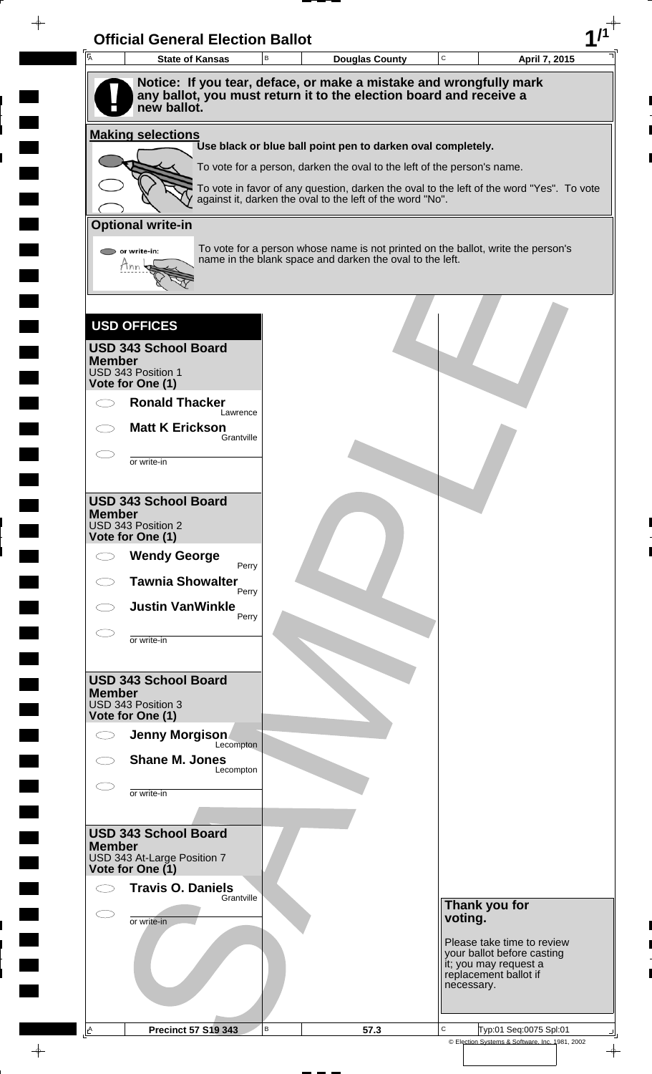| $\overline{A}$ | <b>State of Kansas</b>                                                                                                                                  | B | <b>Douglas County</b>                                                                                                                                 | $\mathtt{C}$ | April 7, 2015                                            |
|----------------|---------------------------------------------------------------------------------------------------------------------------------------------------------|---|-------------------------------------------------------------------------------------------------------------------------------------------------------|--------------|----------------------------------------------------------|
|                | Notice: If you tear, deface, or make a mistake and wrongfully mark<br>any ballot, you must return it to the election board and receive a<br>new ballot. |   |                                                                                                                                                       |              |                                                          |
|                | <b>Making selections</b>                                                                                                                                |   |                                                                                                                                                       |              |                                                          |
|                |                                                                                                                                                         |   | Use black or blue ball point pen to darken oval completely.                                                                                           |              |                                                          |
|                |                                                                                                                                                         |   | To vote for a person, darken the oval to the left of the person's name.                                                                               |              |                                                          |
|                |                                                                                                                                                         |   | To vote in favor of any question, darken the oval to the left of the word "Yes". To vote<br>against it, darken the oval to the left of the word "No". |              |                                                          |
|                | <b>Optional write-in</b>                                                                                                                                |   |                                                                                                                                                       |              |                                                          |
|                | $\triangleright$ or write-in:<br>Tnn                                                                                                                    |   | To vote for a person whose name is not printed on the ballot, write the person's<br>name in the blank space and darken the oval to the left.          |              |                                                          |
|                |                                                                                                                                                         |   |                                                                                                                                                       |              |                                                          |
|                | <b>USD OFFICES</b>                                                                                                                                      |   |                                                                                                                                                       |              |                                                          |
| <b>Member</b>  | <b>USD 343 School Board</b>                                                                                                                             |   |                                                                                                                                                       |              |                                                          |
|                | USD 343 Position 1<br>Vote for One (1)                                                                                                                  |   |                                                                                                                                                       |              |                                                          |
|                | <b>Ronald Thacker</b><br>Lawrence                                                                                                                       |   |                                                                                                                                                       |              |                                                          |
|                | <b>Matt K Erickson</b><br>Grantville                                                                                                                    |   |                                                                                                                                                       |              |                                                          |
|                | or write-in                                                                                                                                             |   |                                                                                                                                                       |              |                                                          |
|                |                                                                                                                                                         |   |                                                                                                                                                       |              |                                                          |
| <b>Member</b>  | <b>USD 343 School Board</b>                                                                                                                             |   |                                                                                                                                                       |              |                                                          |
|                | USD 343 Position 2<br>Vote for One (1)                                                                                                                  |   |                                                                                                                                                       |              |                                                          |
|                | <b>Wendy George</b>                                                                                                                                     |   |                                                                                                                                                       |              |                                                          |
|                | Perry<br><b>Tawnia Showalter</b>                                                                                                                        |   |                                                                                                                                                       |              |                                                          |
|                | Perry<br><b>Justin VanWinkle</b>                                                                                                                        |   |                                                                                                                                                       |              |                                                          |
|                | Perry                                                                                                                                                   |   |                                                                                                                                                       |              |                                                          |
|                | or write-in                                                                                                                                             |   |                                                                                                                                                       |              |                                                          |
|                | <b>USD 343 School Board</b>                                                                                                                             |   |                                                                                                                                                       |              |                                                          |
| <b>Member</b>  | USD 343 Position 3                                                                                                                                      |   |                                                                                                                                                       |              |                                                          |
|                | Vote for One (1)<br>Jenny Morgison                                                                                                                      |   |                                                                                                                                                       |              |                                                          |
|                | Lecompton<br><b>Shane M. Jones</b>                                                                                                                      |   |                                                                                                                                                       |              |                                                          |
|                | Lecompton                                                                                                                                               |   |                                                                                                                                                       |              |                                                          |
|                | or write-in                                                                                                                                             |   |                                                                                                                                                       |              |                                                          |
|                | <b>USD 343 School Board</b>                                                                                                                             |   |                                                                                                                                                       |              |                                                          |
| <b>Member</b>  | USD 343 At-Large Position 7                                                                                                                             |   |                                                                                                                                                       |              |                                                          |
|                | Vote for One (1)                                                                                                                                        |   |                                                                                                                                                       |              |                                                          |
|                | <b>Travis O. Daniels</b><br>Grantville                                                                                                                  |   |                                                                                                                                                       |              | Thank you for                                            |
| E.             | or write-in                                                                                                                                             |   |                                                                                                                                                       |              | voting.                                                  |
|                |                                                                                                                                                         |   |                                                                                                                                                       |              | Please take time to review<br>your ballot before casting |
|                |                                                                                                                                                         |   |                                                                                                                                                       |              | it; you may request a<br>replacement ballot if           |
|                |                                                                                                                                                         |   |                                                                                                                                                       |              | necessary.                                               |
|                |                                                                                                                                                         |   |                                                                                                                                                       |              |                                                          |

 $\frac{1}{\sqrt{2\pi}}$ 

 $\blacksquare$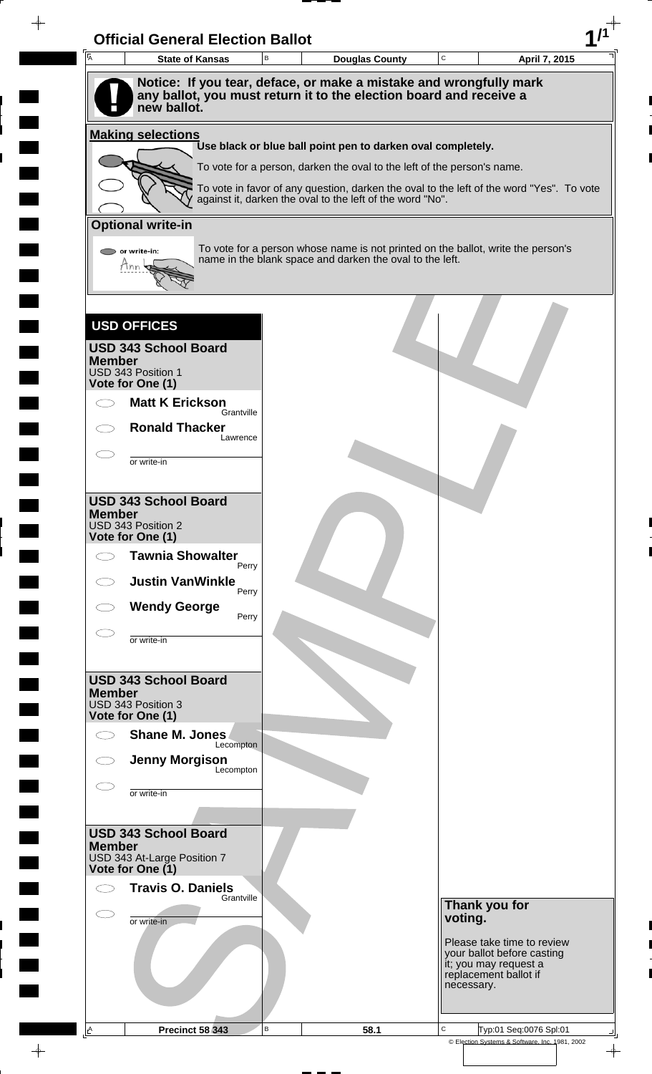| $\overline{A}$ | <b>State of Kansas</b>                                                                                                                   | B | <b>Douglas County</b>                                                                                                                        | $\mathtt{C}$ |                                                                              | April 7, 2015 |
|----------------|------------------------------------------------------------------------------------------------------------------------------------------|---|----------------------------------------------------------------------------------------------------------------------------------------------|--------------|------------------------------------------------------------------------------|---------------|
|                | Notice: If you tear, deface, or make a mistake and wrongfully mark<br>any ballot, you must return it to the election board and receive a |   |                                                                                                                                              |              |                                                                              |               |
|                | new ballot.                                                                                                                              |   |                                                                                                                                              |              |                                                                              |               |
|                | <b>Making selections</b>                                                                                                                 |   | Use black or blue ball point pen to darken oval completely.                                                                                  |              |                                                                              |               |
|                |                                                                                                                                          |   | To vote for a person, darken the oval to the left of the person's name.                                                                      |              |                                                                              |               |
|                |                                                                                                                                          |   | To vote in favor of any question, darken the oval to the left of the word "Yes". To vote                                                     |              |                                                                              |               |
|                |                                                                                                                                          |   | against it, darken the oval to the left of the word "No".                                                                                    |              |                                                                              |               |
|                | <b>Optional write-in</b>                                                                                                                 |   |                                                                                                                                              |              |                                                                              |               |
|                | $\triangleright$ or write-in:<br>Thn                                                                                                     |   | To vote for a person whose name is not printed on the ballot, write the person's<br>name in the blank space and darken the oval to the left. |              |                                                                              |               |
|                |                                                                                                                                          |   |                                                                                                                                              |              |                                                                              |               |
|                |                                                                                                                                          |   |                                                                                                                                              |              |                                                                              |               |
|                | <b>USD OFFICES</b>                                                                                                                       |   |                                                                                                                                              |              |                                                                              |               |
| <b>Member</b>  | <b>USD 343 School Board</b>                                                                                                              |   |                                                                                                                                              |              |                                                                              |               |
|                | USD 343 Position 1<br>Vote for One (1)                                                                                                   |   |                                                                                                                                              |              |                                                                              |               |
|                | <b>Matt K Erickson</b><br>Grantville                                                                                                     |   |                                                                                                                                              |              |                                                                              |               |
|                | <b>Ronald Thacker</b><br>Lawrence                                                                                                        |   |                                                                                                                                              |              |                                                                              |               |
|                | or write-in                                                                                                                              |   |                                                                                                                                              |              |                                                                              |               |
|                |                                                                                                                                          |   |                                                                                                                                              |              |                                                                              |               |
| <b>Member</b>  | <b>USD 343 School Board</b>                                                                                                              |   |                                                                                                                                              |              |                                                                              |               |
|                | USD 343 Position 2<br>Vote for One (1)                                                                                                   |   |                                                                                                                                              |              |                                                                              |               |
| $\bigcirc$     | <b>Tawnia Showalter</b>                                                                                                                  |   |                                                                                                                                              |              |                                                                              |               |
|                | Perry<br><b>Justin VanWinkle</b>                                                                                                         |   |                                                                                                                                              |              |                                                                              |               |
|                | Perry<br><b>Wendy George</b>                                                                                                             |   |                                                                                                                                              |              |                                                                              |               |
|                | Perry                                                                                                                                    |   |                                                                                                                                              |              |                                                                              |               |
|                | or write-in                                                                                                                              |   |                                                                                                                                              |              |                                                                              |               |
|                | <b>USD 343 School Board</b>                                                                                                              |   |                                                                                                                                              |              |                                                                              |               |
| <b>Member</b>  | USD 343 Position 3                                                                                                                       |   |                                                                                                                                              |              |                                                                              |               |
|                | Vote for One (1)<br>Shane M. Jones                                                                                                       |   |                                                                                                                                              |              |                                                                              |               |
|                | Lecompton                                                                                                                                |   |                                                                                                                                              |              |                                                                              |               |
|                | <b>Jenny Morgison</b><br>Lecompton                                                                                                       |   |                                                                                                                                              |              |                                                                              |               |
|                | or write-in                                                                                                                              |   |                                                                                                                                              |              |                                                                              |               |
|                |                                                                                                                                          |   |                                                                                                                                              |              |                                                                              |               |
| <b>Member</b>  | <b>USD 343 School Board</b>                                                                                                              |   |                                                                                                                                              |              |                                                                              |               |
|                | USD 343 At-Large Position 7<br>Vote for One (1)                                                                                          |   |                                                                                                                                              |              |                                                                              |               |
|                | <b>Travis O. Daniels</b><br>Grantville                                                                                                   |   |                                                                                                                                              |              |                                                                              |               |
| C              | or write-in                                                                                                                              |   |                                                                                                                                              | voting.      | Thank you for                                                                |               |
|                |                                                                                                                                          |   |                                                                                                                                              |              | Please take time to review                                                   |               |
|                |                                                                                                                                          |   |                                                                                                                                              |              | your ballot before casting<br>it; you may request a<br>replacement ballot if |               |
|                |                                                                                                                                          |   |                                                                                                                                              |              |                                                                              |               |
|                |                                                                                                                                          |   |                                                                                                                                              | necessary.   |                                                                              |               |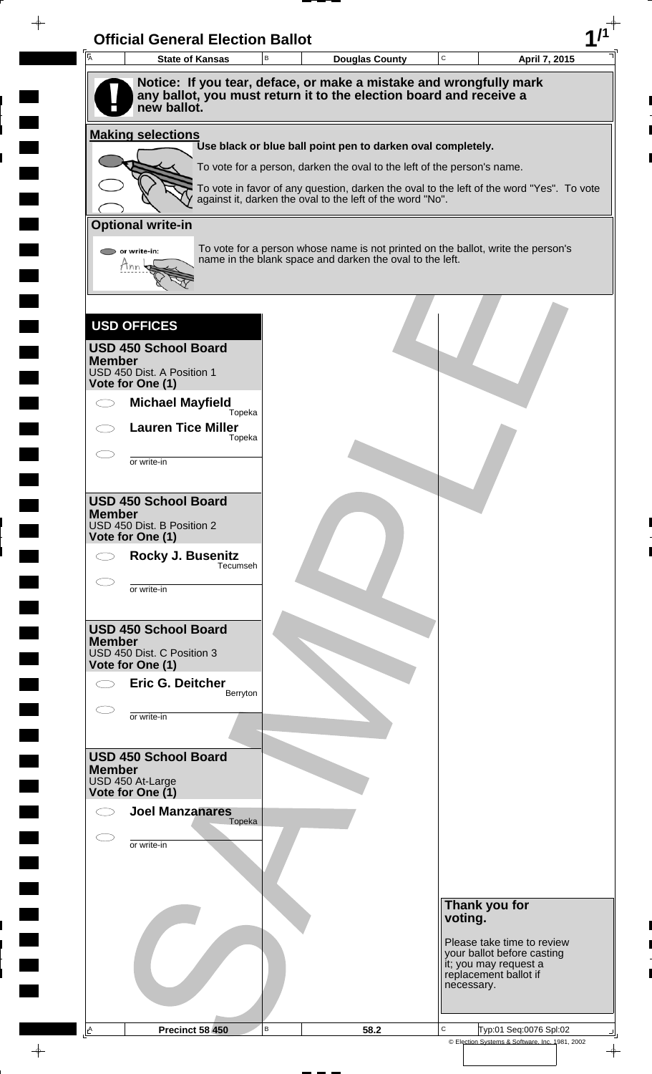| $\overline{\mathsf{A}}$ | <b>State of Kansas</b>                         | В | <b>Douglas County</b>                                                                                                                        | $\mathbf C$ | April 7, 2015                                            |
|-------------------------|------------------------------------------------|---|----------------------------------------------------------------------------------------------------------------------------------------------|-------------|----------------------------------------------------------|
|                         |                                                |   | Notice: If you tear, deface, or make a mistake and wrongfully mark                                                                           |             |                                                          |
|                         | new ballot.                                    |   | any ballot, you must return it to the election board and receive a                                                                           |             |                                                          |
|                         | <b>Making selections</b>                       |   | Use black or blue ball point pen to darken oval completely.                                                                                  |             |                                                          |
|                         |                                                |   | To vote for a person, darken the oval to the left of the person's name.                                                                      |             |                                                          |
|                         |                                                |   | To vote in favor of any question, darken the oval to the left of the word "Yes". To vote                                                     |             |                                                          |
|                         |                                                |   | against it, darken the oval to the left of the word "No".                                                                                    |             |                                                          |
|                         | <b>Optional write-in</b>                       |   |                                                                                                                                              |             |                                                          |
|                         | or write-in:                                   |   | To vote for a person whose name is not printed on the ballot, write the person's<br>name in the blank space and darken the oval to the left. |             |                                                          |
|                         | Mnn                                            |   |                                                                                                                                              |             |                                                          |
|                         |                                                |   |                                                                                                                                              |             |                                                          |
|                         | <b>USD OFFICES</b>                             |   |                                                                                                                                              |             |                                                          |
|                         | <b>USD 450 School Board</b>                    |   |                                                                                                                                              |             |                                                          |
| <b>Member</b>           |                                                |   |                                                                                                                                              |             |                                                          |
|                         | USD 450 Dist. A Position 1<br>Vote for One (1) |   |                                                                                                                                              |             |                                                          |
|                         | <b>Michael Mayfield</b>                        |   |                                                                                                                                              |             |                                                          |
|                         | Topeka<br><b>Lauren Tice Miller</b>            |   |                                                                                                                                              |             |                                                          |
|                         | Topeka                                         |   |                                                                                                                                              |             |                                                          |
|                         | or write-in                                    |   |                                                                                                                                              |             |                                                          |
|                         |                                                |   |                                                                                                                                              |             |                                                          |
| <b>Member</b>           | <b>USD 450 School Board</b>                    |   |                                                                                                                                              |             |                                                          |
|                         | USD 450 Dist. B Position 2                     |   |                                                                                                                                              |             |                                                          |
|                         | Vote for One (1)<br>Rocky J. Busenitz          |   |                                                                                                                                              |             |                                                          |
|                         | Tecumseh                                       |   |                                                                                                                                              |             |                                                          |
|                         | or write-in                                    |   |                                                                                                                                              |             |                                                          |
|                         |                                                |   |                                                                                                                                              |             |                                                          |
| <b>Member</b>           | <b>USD 450 School Board</b>                    |   |                                                                                                                                              |             |                                                          |
|                         | USD 450 Dist. C Position 3<br>Vote for One (1) |   |                                                                                                                                              |             |                                                          |
|                         | Eric G. Deitcher                               |   |                                                                                                                                              |             |                                                          |
|                         | Berryton                                       |   |                                                                                                                                              |             |                                                          |
|                         | or write-in                                    |   |                                                                                                                                              |             |                                                          |
|                         |                                                |   |                                                                                                                                              |             |                                                          |
| <b>Member</b>           | <b>USD 450 School Board</b>                    |   |                                                                                                                                              |             |                                                          |
|                         | USD 450 At-Large<br>Vote for One (1)           |   |                                                                                                                                              |             |                                                          |
|                         | <b>Joel Manzanares</b>                         |   |                                                                                                                                              |             |                                                          |
|                         | Topeka                                         |   |                                                                                                                                              |             |                                                          |
|                         | or write-in                                    |   |                                                                                                                                              |             |                                                          |
|                         |                                                |   |                                                                                                                                              |             |                                                          |
|                         |                                                |   |                                                                                                                                              |             |                                                          |
|                         |                                                |   |                                                                                                                                              | voting.     | Thank you for                                            |
|                         |                                                |   |                                                                                                                                              |             |                                                          |
|                         |                                                |   |                                                                                                                                              |             | Please take time to review<br>your ballot before casting |
|                         |                                                |   |                                                                                                                                              |             | it; you may request a<br>replacement ballot if           |
|                         |                                                |   |                                                                                                                                              |             | necessary.                                               |
|                         |                                                |   |                                                                                                                                              |             |                                                          |

 $\overline{\phantom{a}}$ 

 $\blacksquare$ 

 $\blacksquare$ 

 $\frac{1}{\sqrt{2\pi}}\int_{0}^{\pi}\frac{1}{\sqrt{2\pi}}\left( \frac{1}{\sqrt{2\pi}}\right) \frac{d\mu}{d\mu}d\mu$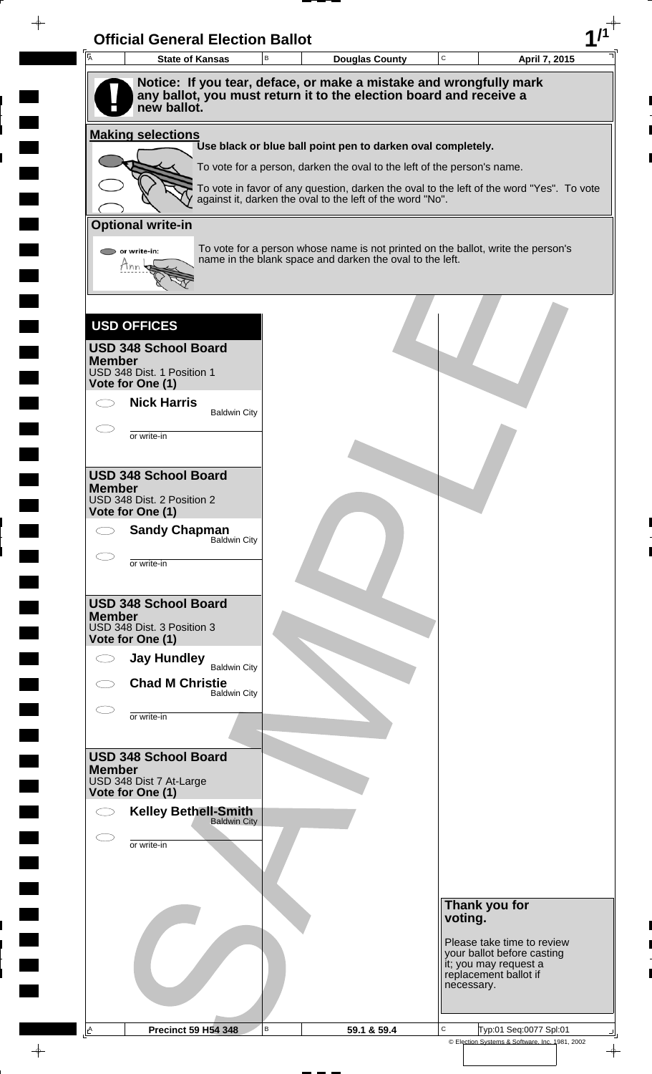| Ā<br><b>State of Kansas</b>                                                       | $\mathsf B$ | <b>Douglas County</b>                                                            | $\mathbf C$ | April 7, 2015                                                                            |
|-----------------------------------------------------------------------------------|-------------|----------------------------------------------------------------------------------|-------------|------------------------------------------------------------------------------------------|
| Notice: If you tear, deface, or make a mistake and wrongfully mark                |             |                                                                                  |             |                                                                                          |
| any ballot, you must return it to the election board and receive a<br>new ballot. |             |                                                                                  |             |                                                                                          |
| <b>Making selections</b>                                                          |             | Use black or blue ball point pen to darken oval completely.                      |             |                                                                                          |
|                                                                                   |             | To vote for a person, darken the oval to the left of the person's name.          |             |                                                                                          |
|                                                                                   |             |                                                                                  |             | To vote in favor of any question, darken the oval to the left of the word "Yes". To vote |
|                                                                                   |             | against it, darken the oval to the left of the word "No".                        |             |                                                                                          |
| <b>Optional write-in</b>                                                          |             | To vote for a person whose name is not printed on the ballot, write the person's |             |                                                                                          |
| or write-in:<br>Mnn                                                               |             | name in the blank space and darken the oval to the left.                         |             |                                                                                          |
|                                                                                   |             |                                                                                  |             |                                                                                          |
| <b>USD OFFICES</b>                                                                |             |                                                                                  |             |                                                                                          |
| <b>USD 348 School Board</b><br><b>Member</b>                                      |             |                                                                                  |             |                                                                                          |
| USD 348 Dist. 1 Position 1<br>Vote for One (1)                                    |             |                                                                                  |             |                                                                                          |
| <b>Nick Harris</b><br><b>Baldwin City</b>                                         |             |                                                                                  |             |                                                                                          |
| or write-in                                                                       |             |                                                                                  |             |                                                                                          |
|                                                                                   |             |                                                                                  |             |                                                                                          |
| <b>USD 348 School Board</b><br><b>Member</b>                                      |             |                                                                                  |             |                                                                                          |
| USD 348 Dist. 2 Position 2<br>Vote for One (1)                                    |             |                                                                                  |             |                                                                                          |
| <b>Sandy Chapman</b><br>Baldwin City                                              |             |                                                                                  |             |                                                                                          |
| or write-in                                                                       |             |                                                                                  |             |                                                                                          |
|                                                                                   |             |                                                                                  |             |                                                                                          |
| <b>USD 348 School Board</b><br><b>Member</b>                                      |             |                                                                                  |             |                                                                                          |
| USD 348 Dist. 3 Position 3<br>Vote for One (1)                                    |             |                                                                                  |             |                                                                                          |
| <b>Jay Hundley</b><br><b>Baldwin City</b>                                         |             |                                                                                  |             |                                                                                          |
| <b>Chad M Christie</b><br><b>Baldwin City</b>                                     |             |                                                                                  |             |                                                                                          |
| or write-in                                                                       |             |                                                                                  |             |                                                                                          |
|                                                                                   |             |                                                                                  |             |                                                                                          |
| <b>USD 348 School Board</b><br><b>Member</b>                                      |             |                                                                                  |             |                                                                                          |
| USD 348 Dist 7 At-Large<br>Vote for One (1)                                       |             |                                                                                  |             |                                                                                          |
| <b>Kelley Bethell-Smith</b><br><b>Baldwin City</b>                                |             |                                                                                  |             |                                                                                          |
| C<br>or write-in                                                                  |             |                                                                                  |             |                                                                                          |
|                                                                                   |             |                                                                                  |             |                                                                                          |
|                                                                                   |             |                                                                                  |             |                                                                                          |
|                                                                                   |             |                                                                                  | voting.     | Thank you for                                                                            |
|                                                                                   |             |                                                                                  |             | Please take time to review                                                               |
|                                                                                   |             |                                                                                  |             | your ballot before casting<br>it; you may request a                                      |
|                                                                                   |             |                                                                                  | necessary.  | replacement ballot if                                                                    |
|                                                                                   |             |                                                                                  |             |                                                                                          |

 $\blacksquare$ 

 $\blacksquare$ 

 $\blacksquare$ 

 $\frac{1}{\sqrt{2\pi}}$ 

 $\overline{\phantom{a}}$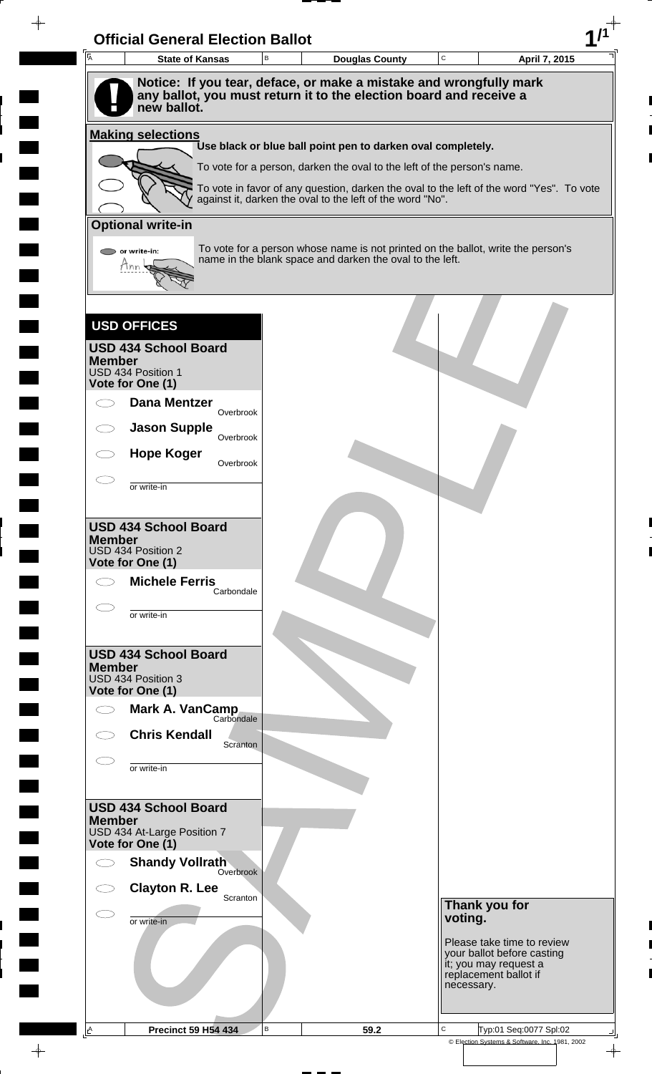| <sup>I</sup> A  | <b>State of Kansas</b>                          | в | <b>Douglas County</b>                                                                                                                        | $\mathbf C$                 | April 7, 2015                                       |
|-----------------|-------------------------------------------------|---|----------------------------------------------------------------------------------------------------------------------------------------------|-----------------------------|-----------------------------------------------------|
|                 |                                                 |   | Notice: If you tear, deface, or make a mistake and wrongfully mark                                                                           |                             |                                                     |
|                 | new ballot.                                     |   | any ballot, you must return it to the election board and receive a                                                                           |                             |                                                     |
|                 | <b>Making selections</b>                        |   |                                                                                                                                              |                             |                                                     |
|                 |                                                 |   | Use black or blue ball point pen to darken oval completely.<br>To vote for a person, darken the oval to the left of the person's name.       |                             |                                                     |
|                 |                                                 |   | To vote in favor of any question, darken the oval to the left of the word "Yes". To vote                                                     |                             |                                                     |
|                 |                                                 |   | against it, darken the oval to the left of the word "No".                                                                                    |                             |                                                     |
|                 | <b>Optional write-in</b>                        |   |                                                                                                                                              |                             |                                                     |
|                 | or write-in:<br>Mnn                             |   | To vote for a person whose name is not printed on the ballot, write the person's<br>name in the blank space and darken the oval to the left. |                             |                                                     |
|                 |                                                 |   |                                                                                                                                              |                             |                                                     |
|                 |                                                 |   |                                                                                                                                              |                             |                                                     |
|                 | <b>USD OFFICES</b>                              |   |                                                                                                                                              |                             |                                                     |
| <b>Member</b>   | <b>USD 434 School Board</b>                     |   |                                                                                                                                              |                             |                                                     |
|                 | USD 434 Position 1<br>Vote for One (1)          |   |                                                                                                                                              |                             |                                                     |
|                 | <b>Dana Mentzer</b>                             |   |                                                                                                                                              |                             |                                                     |
|                 | Overbrook<br><b>Jason Supple</b>                |   |                                                                                                                                              |                             |                                                     |
|                 | Overbrook<br><b>Hope Koger</b>                  |   |                                                                                                                                              |                             |                                                     |
|                 | Overbrook                                       |   |                                                                                                                                              |                             |                                                     |
|                 | or write-in                                     |   |                                                                                                                                              |                             |                                                     |
|                 | <b>USD 434 School Board</b>                     |   |                                                                                                                                              |                             |                                                     |
| <b>Member</b>   | USD 434 Position 2                              |   |                                                                                                                                              |                             |                                                     |
|                 | Vote for One (1)<br><b>Michele Ferris</b>       |   |                                                                                                                                              |                             |                                                     |
|                 | Carbondale                                      |   |                                                                                                                                              |                             |                                                     |
|                 | or write-in                                     |   |                                                                                                                                              |                             |                                                     |
|                 | <b>USD 434 School Board</b>                     |   |                                                                                                                                              |                             |                                                     |
| <b>Member</b>   | USD 434 Position 3                              |   |                                                                                                                                              |                             |                                                     |
|                 | Vote for One (1)                                |   |                                                                                                                                              |                             |                                                     |
|                 | Mark A. VanCamp<br>Carbondale                   |   |                                                                                                                                              |                             |                                                     |
|                 | <b>Chris Kendall</b><br>Scranton                |   |                                                                                                                                              |                             |                                                     |
|                 | or write-in                                     |   |                                                                                                                                              |                             |                                                     |
|                 |                                                 |   |                                                                                                                                              |                             |                                                     |
| <b>Member</b>   | <b>USD 434 School Board</b>                     |   |                                                                                                                                              |                             |                                                     |
|                 | USD 434 At-Large Position 7<br>Vote for One (1) |   |                                                                                                                                              |                             |                                                     |
|                 | <b>Shandy Vollrath</b><br>Overbrook             |   |                                                                                                                                              |                             |                                                     |
|                 | <b>Clayton R. Lee</b><br>Scranton               |   |                                                                                                                                              |                             |                                                     |
|                 | or write-in                                     |   |                                                                                                                                              | voting.                     | Thank you for                                       |
|                 |                                                 |   |                                                                                                                                              |                             | Please take time to review                          |
|                 |                                                 |   |                                                                                                                                              |                             | your ballot before casting<br>it; you may request a |
|                 |                                                 |   |                                                                                                                                              | necessary.                  | replacement ballot if                               |
|                 |                                                 |   |                                                                                                                                              |                             |                                                     |
| $\underline{A}$ | <b>Precinct 59 H54 434</b>                      | В | 59.2                                                                                                                                         | C<br>Typ:01 Seq:0077 Spl:02 |                                                     |

 $\blacksquare$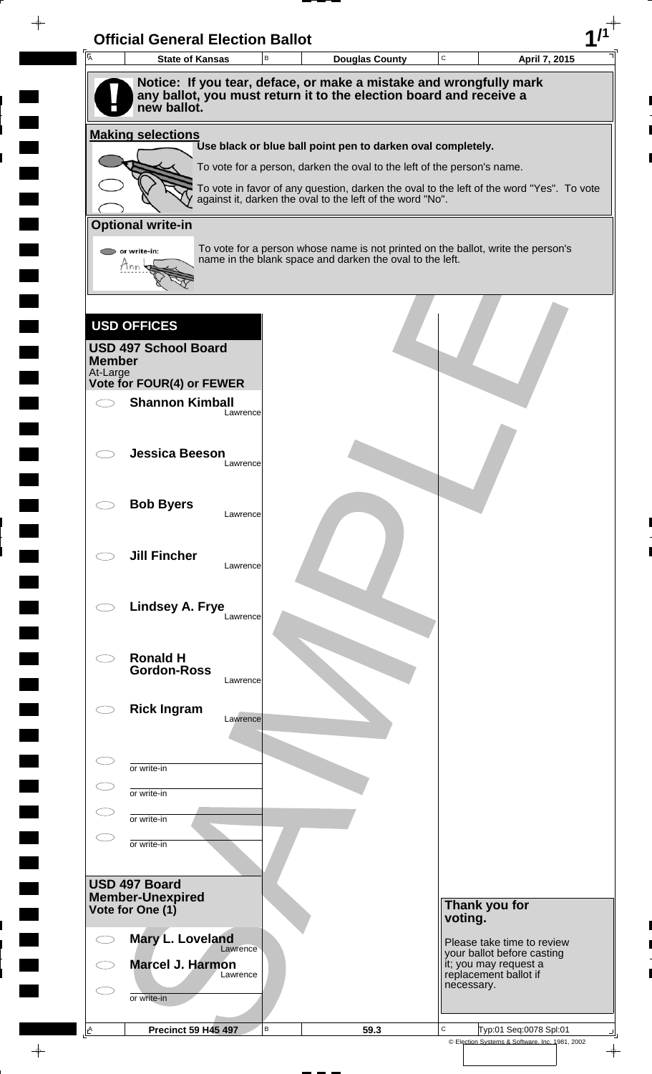

 $\rightarrow$ 

 $\rightarrow$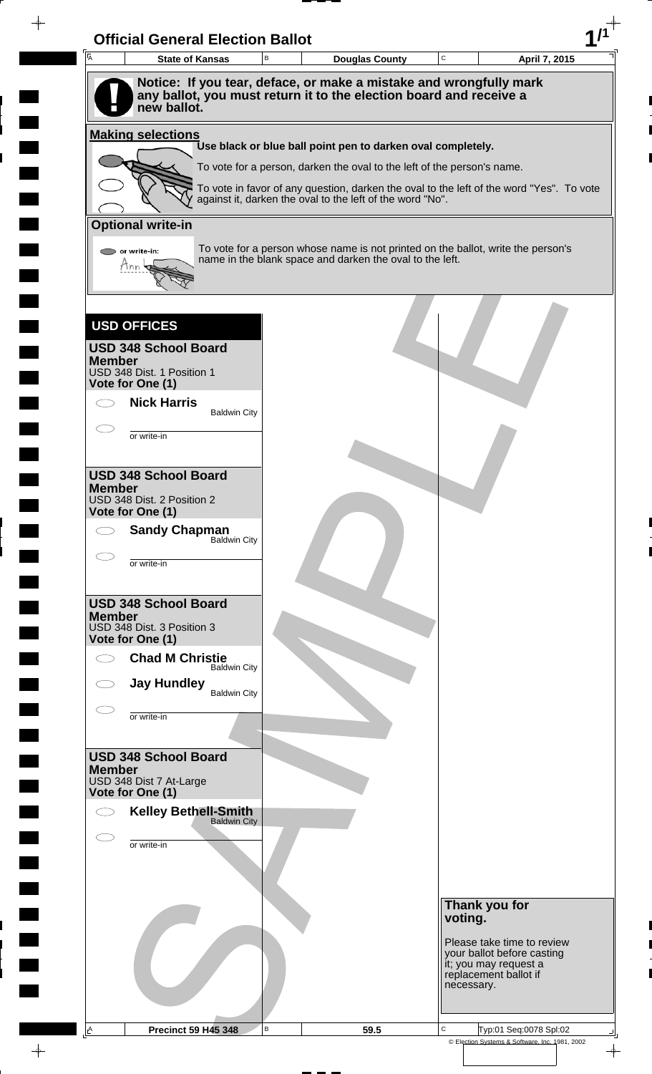| $\overline{A}$ | <b>State of Kansas</b>                                                                                                                                  | B | <b>Douglas County</b>                                                                                                                                               | $\mathbf C$ | April 7, 2015                                       |
|----------------|---------------------------------------------------------------------------------------------------------------------------------------------------------|---|---------------------------------------------------------------------------------------------------------------------------------------------------------------------|-------------|-----------------------------------------------------|
|                | Notice: If you tear, deface, or make a mistake and wrongfully mark<br>any ballot, you must return it to the election board and receive a<br>new ballot. |   |                                                                                                                                                                     |             |                                                     |
|                | <b>Making selections</b>                                                                                                                                |   |                                                                                                                                                                     |             |                                                     |
|                |                                                                                                                                                         |   | Use black or blue ball point pen to darken oval completely.                                                                                                         |             |                                                     |
|                |                                                                                                                                                         |   | To vote for a person, darken the oval to the left of the person's name.<br>To vote in favor of any question, darken the oval to the left of the word "Yes". To vote |             |                                                     |
|                |                                                                                                                                                         |   | against it, darken the oval to the left of the word "No".                                                                                                           |             |                                                     |
|                | <b>Optional write-in</b>                                                                                                                                |   |                                                                                                                                                                     |             |                                                     |
|                | or write-in:<br>Mnn                                                                                                                                     |   | To vote for a person whose name is not printed on the ballot, write the person's<br>name in the blank space and darken the oval to the left.                        |             |                                                     |
|                |                                                                                                                                                         |   |                                                                                                                                                                     |             |                                                     |
|                | <b>USD OFFICES</b>                                                                                                                                      |   |                                                                                                                                                                     |             |                                                     |
| <b>Member</b>  | <b>USD 348 School Board</b><br>USD 348 Dist. 1 Position 1                                                                                               |   |                                                                                                                                                                     |             |                                                     |
|                | Vote for One (1)                                                                                                                                        |   |                                                                                                                                                                     |             |                                                     |
|                | <b>Nick Harris</b><br><b>Baldwin City</b>                                                                                                               |   |                                                                                                                                                                     |             |                                                     |
|                | or write-in                                                                                                                                             |   |                                                                                                                                                                     |             |                                                     |
|                |                                                                                                                                                         |   |                                                                                                                                                                     |             |                                                     |
| <b>Member</b>  | <b>USD 348 School Board</b>                                                                                                                             |   |                                                                                                                                                                     |             |                                                     |
|                | USD 348 Dist. 2 Position 2<br>Vote for One (1)                                                                                                          |   |                                                                                                                                                                     |             |                                                     |
|                | <b>Sandy Chapman</b><br><b>Baldwin City</b>                                                                                                             |   |                                                                                                                                                                     |             |                                                     |
|                | or write-in                                                                                                                                             |   |                                                                                                                                                                     |             |                                                     |
|                | <b>USD 348 School Board</b>                                                                                                                             |   |                                                                                                                                                                     |             |                                                     |
| <b>Member</b>  | USD 348 Dist. 3 Position 3<br>Vote for One (1)                                                                                                          |   |                                                                                                                                                                     |             |                                                     |
|                | <b>Chad M Christie</b>                                                                                                                                  |   |                                                                                                                                                                     |             |                                                     |
|                | <b>Baldwin City</b><br><b>Jay Hundley</b>                                                                                                               |   |                                                                                                                                                                     |             |                                                     |
|                | <b>Baldwin City</b>                                                                                                                                     |   |                                                                                                                                                                     |             |                                                     |
|                | or write-in                                                                                                                                             |   |                                                                                                                                                                     |             |                                                     |
|                | <b>USD 348 School Board</b>                                                                                                                             |   |                                                                                                                                                                     |             |                                                     |
| <b>Member</b>  | USD 348 Dist 7 At-Large<br>Vote for One (1)                                                                                                             |   |                                                                                                                                                                     |             |                                                     |
|                | <b>Kelley Bethell-Smith</b>                                                                                                                             |   |                                                                                                                                                                     |             |                                                     |
|                | <b>Baldwin City</b>                                                                                                                                     |   |                                                                                                                                                                     |             |                                                     |
|                | or write-in                                                                                                                                             |   |                                                                                                                                                                     |             |                                                     |
|                |                                                                                                                                                         |   |                                                                                                                                                                     |             |                                                     |
|                |                                                                                                                                                         |   |                                                                                                                                                                     |             | Thank you for                                       |
|                |                                                                                                                                                         |   |                                                                                                                                                                     | voting.     | Please take time to review                          |
|                |                                                                                                                                                         |   |                                                                                                                                                                     |             | your ballot before casting<br>it; you may request a |
|                |                                                                                                                                                         |   |                                                                                                                                                                     | necessary.  | replacement ballot if                               |
|                |                                                                                                                                                         |   |                                                                                                                                                                     |             |                                                     |

 $\overline{\phantom{a}}$ 

 $\blacksquare$ 

 $\frac{1}{\sqrt{2\pi}}\int_{0}^{\pi}\frac{1}{\sqrt{2\pi}}\left( \frac{1}{\sqrt{2\pi}}\right) \frac{d\mu}{d\mu}d\mu$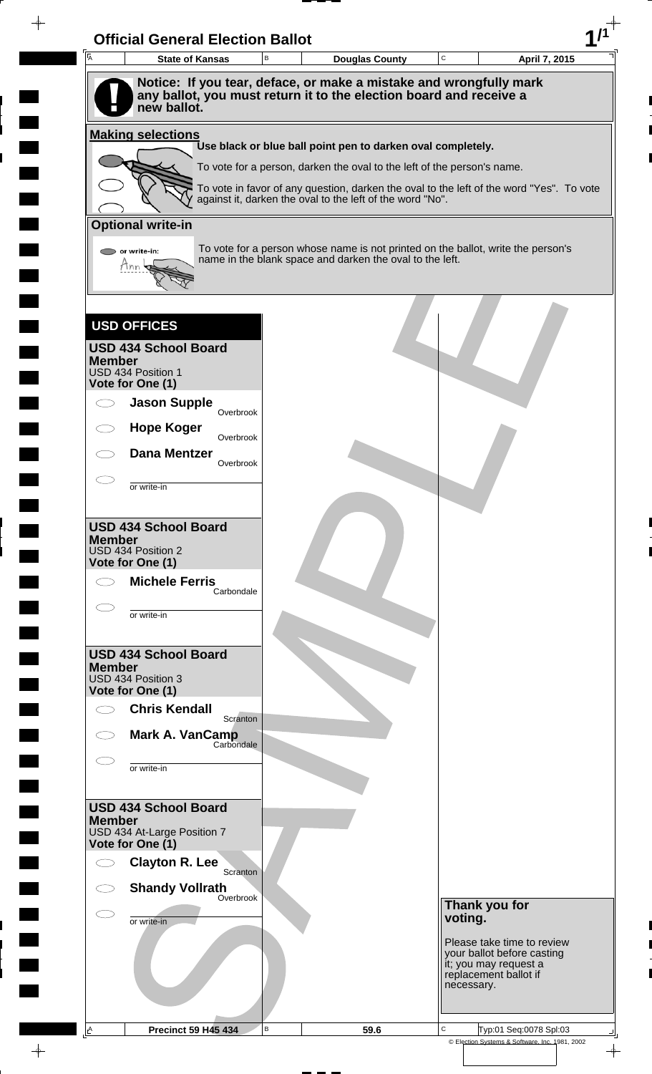| 一<br>人        | <b>State of Kansas</b>                                                            | В | <b>Douglas County</b>                                                                                                                                 | $\mathsf C$ | April 7, 2015                                                                |
|---------------|-----------------------------------------------------------------------------------|---|-------------------------------------------------------------------------------------------------------------------------------------------------------|-------------|------------------------------------------------------------------------------|
|               | Notice: If you tear, deface, or make a mistake and wrongfully mark                |   |                                                                                                                                                       |             |                                                                              |
|               | any ballot, you must return it to the election board and receive a<br>new ballot. |   |                                                                                                                                                       |             |                                                                              |
|               |                                                                                   |   |                                                                                                                                                       |             |                                                                              |
|               | <b>Making selections</b>                                                          |   | Use black or blue ball point pen to darken oval completely.                                                                                           |             |                                                                              |
|               |                                                                                   |   | To vote for a person, darken the oval to the left of the person's name.                                                                               |             |                                                                              |
|               |                                                                                   |   | To vote in favor of any question, darken the oval to the left of the word "Yes". To vote<br>against it, darken the oval to the left of the word "No". |             |                                                                              |
|               | <b>Optional write-in</b>                                                          |   |                                                                                                                                                       |             |                                                                              |
|               |                                                                                   |   | To vote for a person whose name is not printed on the ballot, write the person's                                                                      |             |                                                                              |
|               | or write-in:<br>7nn                                                               |   | name in the blank space and darken the oval to the left.                                                                                              |             |                                                                              |
|               |                                                                                   |   |                                                                                                                                                       |             |                                                                              |
|               |                                                                                   |   |                                                                                                                                                       |             |                                                                              |
|               | <b>USD OFFICES</b>                                                                |   |                                                                                                                                                       |             |                                                                              |
| <b>Member</b> | <b>USD 434 School Board</b>                                                       |   |                                                                                                                                                       |             |                                                                              |
|               | USD 434 Position 1                                                                |   |                                                                                                                                                       |             |                                                                              |
|               | Vote for One (1)<br><b>Jason Supple</b>                                           |   |                                                                                                                                                       |             |                                                                              |
|               | Overbrook<br><b>Hope Koger</b>                                                    |   |                                                                                                                                                       |             |                                                                              |
|               | Overbrook                                                                         |   |                                                                                                                                                       |             |                                                                              |
|               | <b>Dana Mentzer</b><br>Overbrook                                                  |   |                                                                                                                                                       |             |                                                                              |
|               | or write-in                                                                       |   |                                                                                                                                                       |             |                                                                              |
|               |                                                                                   |   |                                                                                                                                                       |             |                                                                              |
| <b>Member</b> | <b>USD 434 School Board</b>                                                       |   |                                                                                                                                                       |             |                                                                              |
|               | USD 434 Position 2<br>Vote for One (1)                                            |   |                                                                                                                                                       |             |                                                                              |
|               | <b>Michele Ferris</b>                                                             |   |                                                                                                                                                       |             |                                                                              |
|               | Carbondale                                                                        |   |                                                                                                                                                       |             |                                                                              |
|               | or write-in                                                                       |   |                                                                                                                                                       |             |                                                                              |
|               | <b>USD 434 School Board</b>                                                       |   |                                                                                                                                                       |             |                                                                              |
| <b>Member</b> | USD 434 Position 3                                                                |   |                                                                                                                                                       |             |                                                                              |
|               | Vote for One (1)                                                                  |   |                                                                                                                                                       |             |                                                                              |
|               | <b>Chris Kendall</b><br>Scranton                                                  |   |                                                                                                                                                       |             |                                                                              |
|               | Mark A. VanCamp<br>Carbondale                                                     |   |                                                                                                                                                       |             |                                                                              |
|               | or write-in                                                                       |   |                                                                                                                                                       |             |                                                                              |
|               |                                                                                   |   |                                                                                                                                                       |             |                                                                              |
|               | <b>USD 434 School Board</b>                                                       |   |                                                                                                                                                       |             |                                                                              |
| <b>Member</b> | USD 434 At-Large Position 7                                                       |   |                                                                                                                                                       |             |                                                                              |
|               | Vote for One (1)                                                                  |   |                                                                                                                                                       |             |                                                                              |
|               | <b>Clayton R. Lee</b><br>Scranton                                                 |   |                                                                                                                                                       |             |                                                                              |
|               | <b>Shandy Vollrath</b><br>Overbrook                                               |   |                                                                                                                                                       |             | Thank you for                                                                |
|               | or write-in                                                                       |   |                                                                                                                                                       | voting.     |                                                                              |
|               |                                                                                   |   |                                                                                                                                                       |             | Please take time to review                                                   |
|               |                                                                                   |   |                                                                                                                                                       |             | your ballot before casting<br>it; you may request a<br>replacement ballot if |
|               |                                                                                   |   |                                                                                                                                                       | necessary.  |                                                                              |
|               |                                                                                   |   |                                                                                                                                                       |             |                                                                              |
|               |                                                                                   |   |                                                                                                                                                       |             |                                                                              |

 $\blacksquare$ 

 $\blacksquare$ 

 $\blacksquare$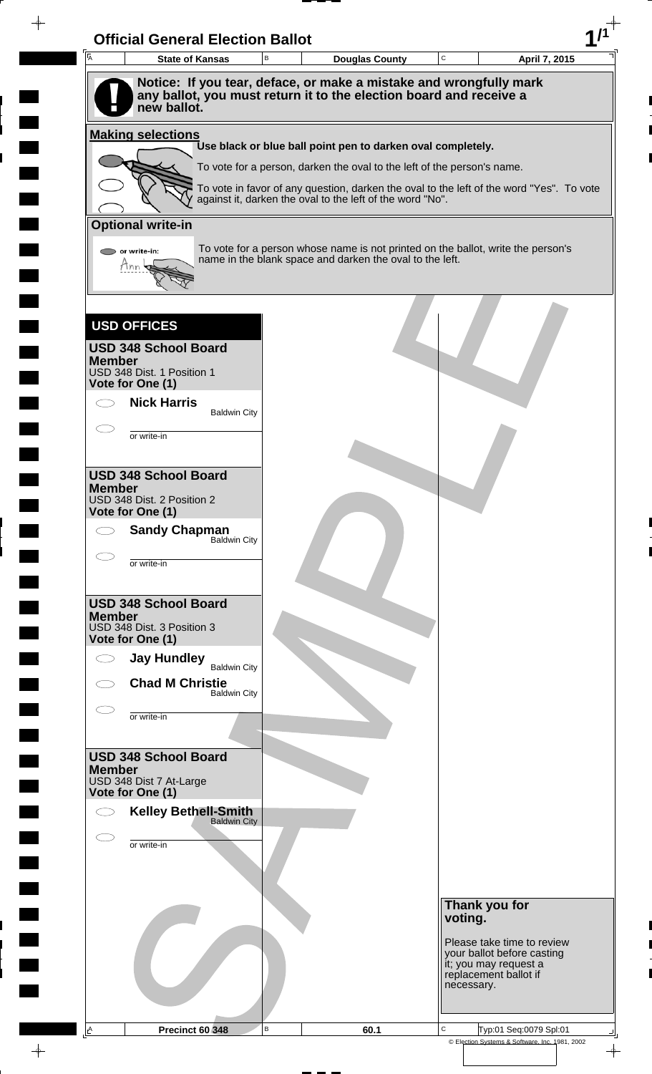| $\overline{A}$ | <b>State of Kansas</b>                                                                                                                                  | B | <b>Douglas County</b>                                                                                                                                 | $\mathbf C$ |                                                | April 7, 2015                                            |
|----------------|---------------------------------------------------------------------------------------------------------------------------------------------------------|---|-------------------------------------------------------------------------------------------------------------------------------------------------------|-------------|------------------------------------------------|----------------------------------------------------------|
|                | Notice: If you tear, deface, or make a mistake and wrongfully mark<br>any ballot, you must return it to the election board and receive a<br>new ballot. |   |                                                                                                                                                       |             |                                                |                                                          |
|                | <b>Making selections</b>                                                                                                                                |   |                                                                                                                                                       |             |                                                |                                                          |
|                |                                                                                                                                                         |   | Use black or blue ball point pen to darken oval completely.                                                                                           |             |                                                |                                                          |
|                |                                                                                                                                                         |   | To vote for a person, darken the oval to the left of the person's name.                                                                               |             |                                                |                                                          |
|                |                                                                                                                                                         |   | To vote in favor of any question, darken the oval to the left of the word "Yes". To vote<br>against it, darken the oval to the left of the word "No". |             |                                                |                                                          |
|                | <b>Optional write-in</b>                                                                                                                                |   |                                                                                                                                                       |             |                                                |                                                          |
|                | or write-in:<br>tinn                                                                                                                                    |   | To vote for a person whose name is not printed on the ballot, write the person's<br>name in the blank space and darken the oval to the left.          |             |                                                |                                                          |
|                |                                                                                                                                                         |   |                                                                                                                                                       |             |                                                |                                                          |
|                | <b>USD OFFICES</b>                                                                                                                                      |   |                                                                                                                                                       |             |                                                |                                                          |
| <b>Member</b>  | <b>USD 348 School Board</b>                                                                                                                             |   |                                                                                                                                                       |             |                                                |                                                          |
|                | USD 348 Dist. 1 Position 1<br>Vote for One (1)                                                                                                          |   |                                                                                                                                                       |             |                                                |                                                          |
|                | <b>Nick Harris</b><br><b>Baldwin City</b>                                                                                                               |   |                                                                                                                                                       |             |                                                |                                                          |
|                | or write-in                                                                                                                                             |   |                                                                                                                                                       |             |                                                |                                                          |
|                |                                                                                                                                                         |   |                                                                                                                                                       |             |                                                |                                                          |
|                | <b>USD 348 School Board</b>                                                                                                                             |   |                                                                                                                                                       |             |                                                |                                                          |
| <b>Member</b>  | USD 348 Dist. 2 Position 2                                                                                                                              |   |                                                                                                                                                       |             |                                                |                                                          |
| $\bigcirc$     | Vote for One (1)                                                                                                                                        |   |                                                                                                                                                       |             |                                                |                                                          |
|                | <b>Sandy Chapman</b><br>Baldwin City                                                                                                                    |   |                                                                                                                                                       |             |                                                |                                                          |
|                | or write-in                                                                                                                                             |   |                                                                                                                                                       |             |                                                |                                                          |
|                | <b>USD 348 School Board</b>                                                                                                                             |   |                                                                                                                                                       |             |                                                |                                                          |
| <b>Member</b>  | USD 348 Dist. 3 Position 3                                                                                                                              |   |                                                                                                                                                       |             |                                                |                                                          |
|                | Vote for One (1)                                                                                                                                        |   |                                                                                                                                                       |             |                                                |                                                          |
|                | <b>Jay Hundley</b><br><b>Baldwin City</b>                                                                                                               |   |                                                                                                                                                       |             |                                                |                                                          |
|                | <b>Chad M Christie</b><br><b>Baldwin City</b>                                                                                                           |   |                                                                                                                                                       |             |                                                |                                                          |
|                | or write-in                                                                                                                                             |   |                                                                                                                                                       |             |                                                |                                                          |
|                |                                                                                                                                                         |   |                                                                                                                                                       |             |                                                |                                                          |
| <b>Member</b>  | <b>USD 348 School Board</b>                                                                                                                             |   |                                                                                                                                                       |             |                                                |                                                          |
|                | USD 348 Dist 7 At-Large<br>Vote for One (1)                                                                                                             |   |                                                                                                                                                       |             |                                                |                                                          |
|                | <b>Kelley Bethell-Smith</b>                                                                                                                             |   |                                                                                                                                                       |             |                                                |                                                          |
|                | <b>Baldwin City</b>                                                                                                                                     |   |                                                                                                                                                       |             |                                                |                                                          |
|                | or write-in                                                                                                                                             |   |                                                                                                                                                       |             |                                                |                                                          |
|                |                                                                                                                                                         |   |                                                                                                                                                       |             |                                                |                                                          |
|                |                                                                                                                                                         |   |                                                                                                                                                       |             | Thank you for                                  |                                                          |
|                |                                                                                                                                                         |   |                                                                                                                                                       |             | voting.                                        |                                                          |
|                |                                                                                                                                                         |   |                                                                                                                                                       |             |                                                | Please take time to review<br>your ballot before casting |
|                |                                                                                                                                                         |   |                                                                                                                                                       |             | it; you may request a<br>replacement ballot if |                                                          |
|                |                                                                                                                                                         |   |                                                                                                                                                       |             | necessary.                                     |                                                          |

 $\overline{\phantom{a}}$ 

 $\blacksquare$ 

 $\frac{1}{\sqrt{2\pi}}\int_{0}^{\pi}\frac{1}{\sqrt{2\pi}}\left( \frac{1}{\sqrt{2\pi}}\right) \frac{d\mu}{d\mu}d\mu$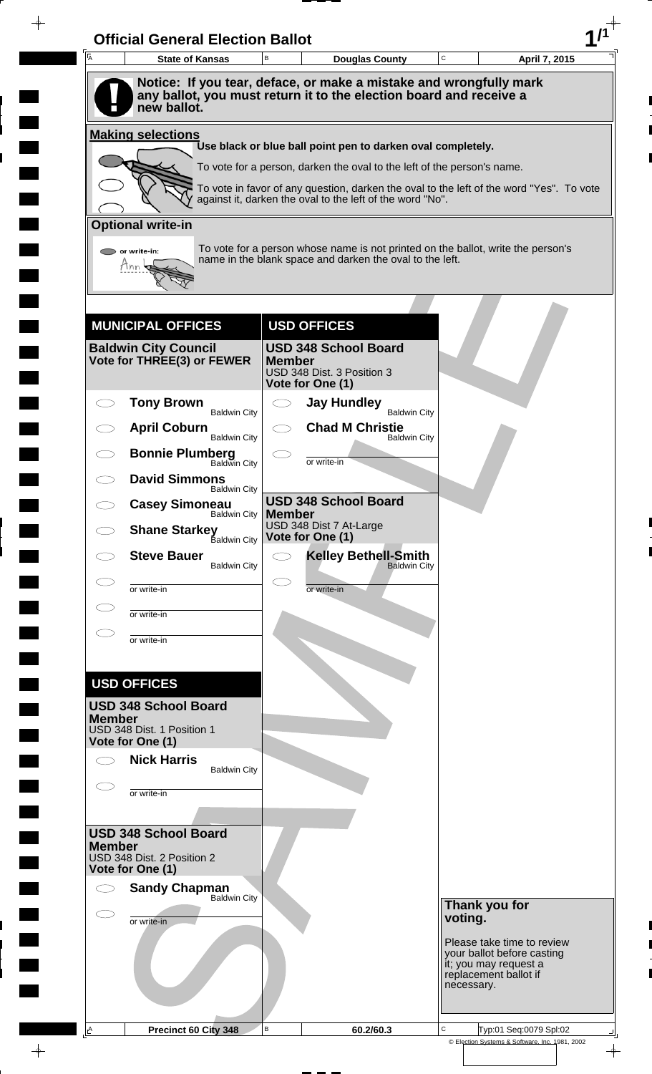| Ā             | <b>State of Kansas</b>                                    | B             | <b>Douglas County</b>                                                                                                                                 | C          | April 7, 2015                                                                |
|---------------|-----------------------------------------------------------|---------------|-------------------------------------------------------------------------------------------------------------------------------------------------------|------------|------------------------------------------------------------------------------|
|               | new ballot.                                               |               | Notice: If you tear, deface, or make a mistake and wrongfully mark<br>any ballot, you must return it to the election board and receive a              |            |                                                                              |
|               | <b>Making selections</b>                                  |               |                                                                                                                                                       |            |                                                                              |
|               |                                                           |               | Use black or blue ball point pen to darken oval completely.                                                                                           |            |                                                                              |
|               |                                                           |               | To vote for a person, darken the oval to the left of the person's name.                                                                               |            |                                                                              |
|               |                                                           |               | To vote in favor of any question, darken the oval to the left of the word "Yes". To vote<br>against it, darken the oval to the left of the word "No". |            |                                                                              |
|               | <b>Optional write-in</b>                                  |               |                                                                                                                                                       |            |                                                                              |
|               | or write-in:<br>Hnn                                       |               | To vote for a person whose name is not printed on the ballot, write the person's<br>name in the blank space and darken the oval to the left.          |            |                                                                              |
|               |                                                           |               |                                                                                                                                                       |            |                                                                              |
|               | <b>MUNICIPAL OFFICES</b>                                  |               | <b>USD OFFICES</b>                                                                                                                                    |            |                                                                              |
|               | <b>Baldwin City Council</b><br>Vote for THREE(3) or FEWER | <b>Member</b> | <b>USD 348 School Board</b><br>USD 348 Dist. 3 Position 3<br>Vote for One (1)                                                                         |            |                                                                              |
|               | <b>Tony Brown</b><br><b>Baldwin City</b>                  |               | <b>Jay Hundley</b><br><b>Baldwin City</b>                                                                                                             |            |                                                                              |
|               | <b>April Coburn</b><br><b>Baldwin City</b>                |               | <b>Chad M Christie</b>                                                                                                                                |            |                                                                              |
|               | <b>Bonnie Plumberg</b><br>Baldwin City                    |               | <b>Baldwin City</b>                                                                                                                                   |            |                                                                              |
|               | <b>David Simmons</b>                                      |               | or write-in                                                                                                                                           |            |                                                                              |
|               | <b>Baldwin City</b><br><b>Casey Simoneau</b>              |               | <b>USD 348 School Board</b>                                                                                                                           |            |                                                                              |
|               | <b>Baldwin City</b><br><b>Shane Starkey</b>               | <b>Member</b> | USD 348 Dist 7 At-Large                                                                                                                               |            |                                                                              |
|               | <b>Baldwin City</b><br><b>Steve Bauer</b>                 |               | Vote for One (1)<br><b>Kelley Bethell-Smith</b>                                                                                                       |            |                                                                              |
|               | <b>Baldwin City</b>                                       |               | <b>Baldwin City</b>                                                                                                                                   |            |                                                                              |
|               | or write-in                                               |               | or write-in                                                                                                                                           |            |                                                                              |
|               | or write-in                                               |               |                                                                                                                                                       |            |                                                                              |
|               | or write-in                                               |               |                                                                                                                                                       |            |                                                                              |
|               |                                                           |               |                                                                                                                                                       |            |                                                                              |
|               | <b>USD OFFICES</b><br><b>USD 348 School Board</b>         |               |                                                                                                                                                       |            |                                                                              |
| <b>Member</b> | USD 348 Dist. 1 Position 1                                |               |                                                                                                                                                       |            |                                                                              |
|               | Vote for One (1)                                          |               |                                                                                                                                                       |            |                                                                              |
|               | <b>Nick Harris</b><br><b>Baldwin City</b>                 |               |                                                                                                                                                       |            |                                                                              |
|               | or write-in                                               |               |                                                                                                                                                       |            |                                                                              |
|               |                                                           |               |                                                                                                                                                       |            |                                                                              |
| <b>Member</b> | <b>USD 348 School Board</b>                               |               |                                                                                                                                                       |            |                                                                              |
|               | USD 348 Dist. 2 Position 2<br>Vote for One (1)            |               |                                                                                                                                                       |            |                                                                              |
|               | <b>Sandy Chapman</b><br><b>Baldwin City</b>               |               |                                                                                                                                                       |            |                                                                              |
|               | or write-in                                               |               |                                                                                                                                                       | voting.    | Thank you for                                                                |
|               |                                                           |               |                                                                                                                                                       |            | Please take time to review                                                   |
|               |                                                           |               |                                                                                                                                                       | necessary. | your ballot before casting<br>it; you may request a<br>replacement ballot if |
|               |                                                           |               |                                                                                                                                                       |            |                                                                              |
| A             | Precinct 60 City 348                                      | $\mathsf B$   | 60.2/60.3                                                                                                                                             | C          | Typ:01 Seq:0079 Spl:02                                                       |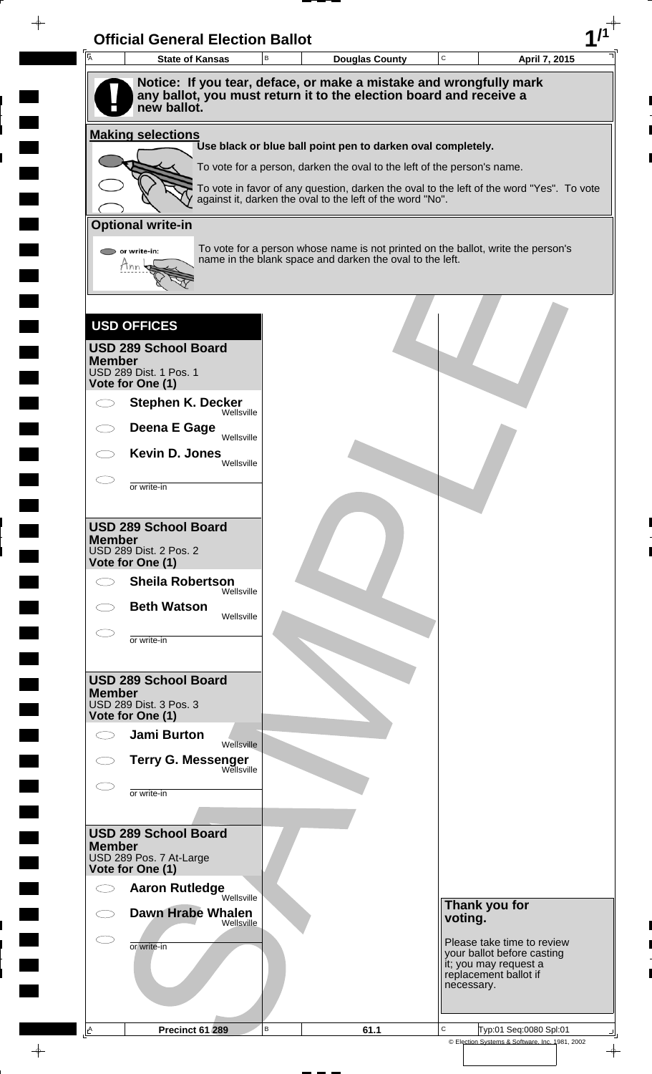| <b>I</b> A    | <b>State of Kansas</b>                                                            | $\sf B$ | <b>Douglas County</b>                                                                                                                                               | $\mathbf C$ |            | April 7, 2015                                       |
|---------------|-----------------------------------------------------------------------------------|---------|---------------------------------------------------------------------------------------------------------------------------------------------------------------------|-------------|------------|-----------------------------------------------------|
|               | Notice: If you tear, deface, or make a mistake and wrongfully mark                |         |                                                                                                                                                                     |             |            |                                                     |
|               | any ballot, you must return it to the election board and receive a<br>new ballot. |         |                                                                                                                                                                     |             |            |                                                     |
|               | <b>Making selections</b>                                                          |         | Use black or blue ball point pen to darken oval completely.                                                                                                         |             |            |                                                     |
|               |                                                                                   |         |                                                                                                                                                                     |             |            |                                                     |
|               |                                                                                   |         | To vote for a person, darken the oval to the left of the person's name.<br>To vote in favor of any question, darken the oval to the left of the word "Yes". To vote |             |            |                                                     |
|               |                                                                                   |         | against it, darken the oval to the left of the word "No".                                                                                                           |             |            |                                                     |
|               | <b>Optional write-in</b>                                                          |         |                                                                                                                                                                     |             |            |                                                     |
|               | or write-in:                                                                      |         | To vote for a person whose name is not printed on the ballot, write the person's                                                                                    |             |            |                                                     |
|               | Mnn                                                                               |         | name in the blank space and darken the oval to the left.                                                                                                            |             |            |                                                     |
|               |                                                                                   |         |                                                                                                                                                                     |             |            |                                                     |
|               | <b>USD OFFICES</b>                                                                |         |                                                                                                                                                                     |             |            |                                                     |
|               | <b>USD 289 School Board</b>                                                       |         |                                                                                                                                                                     |             |            |                                                     |
| <b>Member</b> | USD 289 Dist. 1 Pos. 1                                                            |         |                                                                                                                                                                     |             |            |                                                     |
|               | Vote for One (1)                                                                  |         |                                                                                                                                                                     |             |            |                                                     |
|               | <b>Stephen K. Decker</b><br>Wellsville                                            |         |                                                                                                                                                                     |             |            |                                                     |
|               | Deena E Gage<br>Wellsville                                                        |         |                                                                                                                                                                     |             |            |                                                     |
|               | Kevin D. Jones<br>Wellsville                                                      |         |                                                                                                                                                                     |             |            |                                                     |
|               | or write-in                                                                       |         |                                                                                                                                                                     |             |            |                                                     |
|               |                                                                                   |         |                                                                                                                                                                     |             |            |                                                     |
|               | <b>USD 289 School Board</b>                                                       |         |                                                                                                                                                                     |             |            |                                                     |
| <b>Member</b> | <b>USD 289 Dist. 2 Pos. 2</b>                                                     |         |                                                                                                                                                                     |             |            |                                                     |
|               | Vote for One (1)                                                                  |         |                                                                                                                                                                     |             |            |                                                     |
| Ο             | <b>Sheila Robertson</b><br>Wellsville                                             |         |                                                                                                                                                                     |             |            |                                                     |
|               | <b>Beth Watson</b><br>Wellsville                                                  |         |                                                                                                                                                                     |             |            |                                                     |
|               | or write-in                                                                       |         |                                                                                                                                                                     |             |            |                                                     |
|               |                                                                                   |         |                                                                                                                                                                     |             |            |                                                     |
|               | <b>USD 289 School Board</b>                                                       |         |                                                                                                                                                                     |             |            |                                                     |
| <b>Member</b> | USD 289 Dist. 3 Pos. 3                                                            |         |                                                                                                                                                                     |             |            |                                                     |
|               | Vote for One (1)                                                                  |         |                                                                                                                                                                     |             |            |                                                     |
|               | <b>Jami Burton</b><br>Wellsville                                                  |         |                                                                                                                                                                     |             |            |                                                     |
|               | <b>Terry G. Messenger</b><br>Wellsville                                           |         |                                                                                                                                                                     |             |            |                                                     |
|               | or write-in                                                                       |         |                                                                                                                                                                     |             |            |                                                     |
|               |                                                                                   |         |                                                                                                                                                                     |             |            |                                                     |
|               | <b>USD 289 School Board</b>                                                       |         |                                                                                                                                                                     |             |            |                                                     |
| <b>Member</b> | USD 289 Pos. 7 At-Large                                                           |         |                                                                                                                                                                     |             |            |                                                     |
|               | Vote for One (1)                                                                  |         |                                                                                                                                                                     |             |            |                                                     |
| C)            | <b>Aaron Rutledge</b><br>Wellsville                                               |         |                                                                                                                                                                     |             |            |                                                     |
|               | <b>Dawn Hrabe Whalen</b><br>Wellsville                                            |         |                                                                                                                                                                     |             | voting.    | Thank you for                                       |
|               | or write-in                                                                       |         |                                                                                                                                                                     |             |            | Please take time to review                          |
|               |                                                                                   |         |                                                                                                                                                                     |             |            | your ballot before casting<br>it; you may request a |
|               |                                                                                   |         |                                                                                                                                                                     |             | necessary. | replacement ballot if                               |
|               |                                                                                   |         |                                                                                                                                                                     |             |            |                                                     |
|               |                                                                                   |         |                                                                                                                                                                     |             |            |                                                     |

 $\blacksquare$ 

 $\blacksquare$ 

 $\qquad \qquad \blacksquare$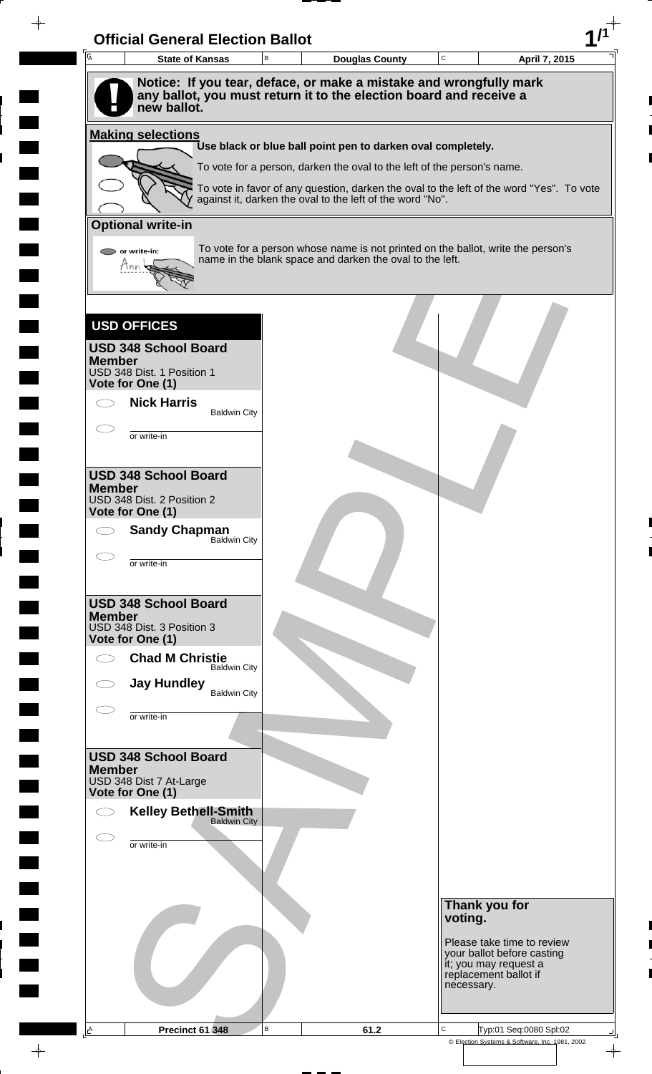|               | <b>State of Kansas</b>                         | B | <b>Douglas County</b>                                                                                                                                 | $\mathbf C$ |                                                              | April 7, 2015                                            |
|---------------|------------------------------------------------|---|-------------------------------------------------------------------------------------------------------------------------------------------------------|-------------|--------------------------------------------------------------|----------------------------------------------------------|
|               | new ballot.                                    |   | Notice: If you tear, deface, or make a mistake and wrongfully mark<br>any ballot, you must return it to the election board and receive a              |             |                                                              |                                                          |
|               | <b>Making selections</b>                       |   |                                                                                                                                                       |             |                                                              |                                                          |
|               |                                                |   | Use black or blue ball point pen to darken oval completely.                                                                                           |             |                                                              |                                                          |
|               |                                                |   | To vote for a person, darken the oval to the left of the person's name.                                                                               |             |                                                              |                                                          |
|               |                                                |   | To vote in favor of any question, darken the oval to the left of the word "Yes". To vote<br>against it, darken the oval to the left of the word "No". |             |                                                              |                                                          |
|               | <b>Optional write-in</b>                       |   |                                                                                                                                                       |             |                                                              |                                                          |
|               | or write-in:<br>tinn                           |   | To vote for a person whose name is not printed on the ballot, write the person's<br>name in the blank space and darken the oval to the left.          |             |                                                              |                                                          |
|               |                                                |   |                                                                                                                                                       |             |                                                              |                                                          |
|               | <b>USD OFFICES</b>                             |   |                                                                                                                                                       |             |                                                              |                                                          |
| <b>Member</b> | <b>USD 348 School Board</b>                    |   |                                                                                                                                                       |             |                                                              |                                                          |
|               | USD 348 Dist. 1 Position 1<br>Vote for One (1) |   |                                                                                                                                                       |             |                                                              |                                                          |
|               | <b>Nick Harris</b><br><b>Baldwin City</b>      |   |                                                                                                                                                       |             |                                                              |                                                          |
|               | or write-in                                    |   |                                                                                                                                                       |             |                                                              |                                                          |
|               |                                                |   |                                                                                                                                                       |             |                                                              |                                                          |
|               | <b>USD 348 School Board</b>                    |   |                                                                                                                                                       |             |                                                              |                                                          |
| <b>Member</b> | USD 348 Dist. 2 Position 2                     |   |                                                                                                                                                       |             |                                                              |                                                          |
| $\bigcirc$    | Vote for One (1)                               |   |                                                                                                                                                       |             |                                                              |                                                          |
|               | <b>Sandy Chapman</b><br>Baldwin City           |   |                                                                                                                                                       |             |                                                              |                                                          |
|               | or write-in                                    |   |                                                                                                                                                       |             |                                                              |                                                          |
|               | <b>USD 348 School Board</b>                    |   |                                                                                                                                                       |             |                                                              |                                                          |
| <b>Member</b> | USD 348 Dist. 3 Position 3                     |   |                                                                                                                                                       |             |                                                              |                                                          |
|               | Vote for One (1)                               |   |                                                                                                                                                       |             |                                                              |                                                          |
| Ο             | <b>Chad M Christie</b><br><b>Baldwin City</b>  |   |                                                                                                                                                       |             |                                                              |                                                          |
|               | <b>Jay Hundley</b><br><b>Baldwin City</b>      |   |                                                                                                                                                       |             |                                                              |                                                          |
|               | or write-in                                    |   |                                                                                                                                                       |             |                                                              |                                                          |
|               |                                                |   |                                                                                                                                                       |             |                                                              |                                                          |
| <b>Member</b> | <b>USD 348 School Board</b>                    |   |                                                                                                                                                       |             |                                                              |                                                          |
|               | USD 348 Dist 7 At-Large<br>Vote for One (1)    |   |                                                                                                                                                       |             |                                                              |                                                          |
|               | <b>Kelley Bethell-Smith</b>                    |   |                                                                                                                                                       |             |                                                              |                                                          |
|               | <b>Baldwin City</b>                            |   |                                                                                                                                                       |             |                                                              |                                                          |
|               | or write-in                                    |   |                                                                                                                                                       |             |                                                              |                                                          |
|               |                                                |   |                                                                                                                                                       |             |                                                              |                                                          |
|               |                                                |   |                                                                                                                                                       |             | Thank you for                                                |                                                          |
|               |                                                |   |                                                                                                                                                       |             | voting.                                                      |                                                          |
|               |                                                |   |                                                                                                                                                       |             |                                                              | Please take time to review<br>your ballot before casting |
|               |                                                |   |                                                                                                                                                       |             | it; you may request a<br>replacement ballot if<br>necessary. |                                                          |
|               |                                                |   |                                                                                                                                                       |             |                                                              |                                                          |

 $\overline{\phantom{a}}$ 

 $\blacksquare$ 

 $\frac{1}{\sqrt{2\pi}}\int_{0}^{\pi}\frac{1}{\sqrt{2\pi}}\left( \frac{1}{\sqrt{2\pi}}\right) \frac{d\mu}{d\mu}d\mu$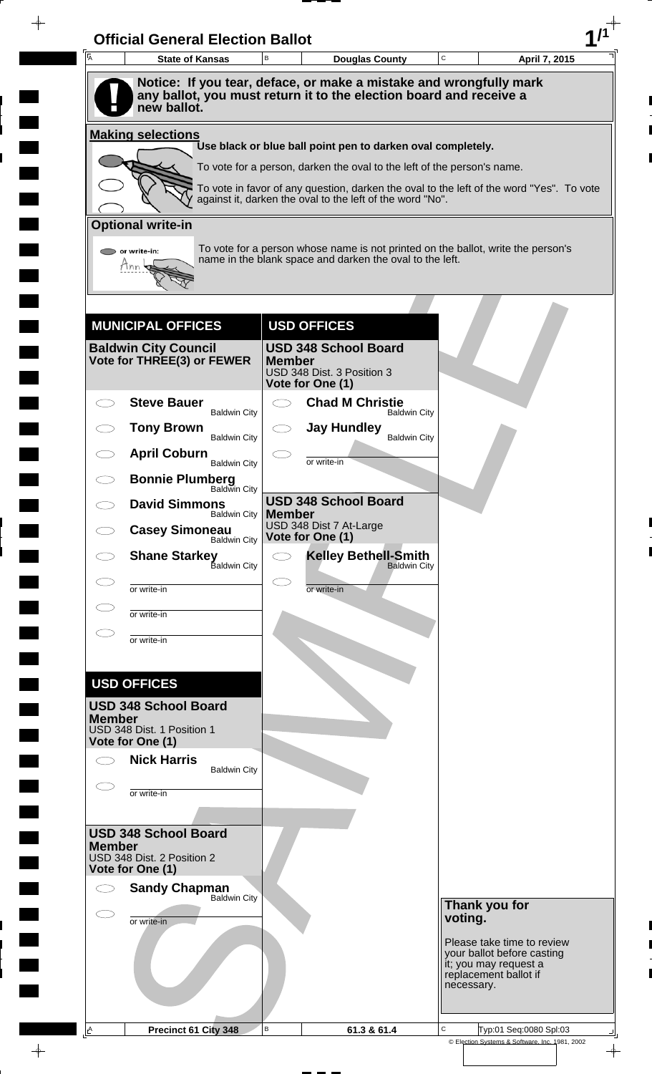| Ā             | <b>State of Kansas</b>                                    | B             | <b>Douglas County</b>                                                                                                                                 | C                                                   | April 7, 2015                                                                |
|---------------|-----------------------------------------------------------|---------------|-------------------------------------------------------------------------------------------------------------------------------------------------------|-----------------------------------------------------|------------------------------------------------------------------------------|
|               | new ballot.                                               |               | Notice: If you tear, deface, or make a mistake and wrongfully mark<br>any ballot, you must return it to the election board and receive a              |                                                     |                                                                              |
|               | <b>Making selections</b>                                  |               |                                                                                                                                                       |                                                     |                                                                              |
|               |                                                           |               | Use black or blue ball point pen to darken oval completely.                                                                                           |                                                     |                                                                              |
|               |                                                           |               | To vote for a person, darken the oval to the left of the person's name.                                                                               |                                                     |                                                                              |
|               |                                                           |               | To vote in favor of any question, darken the oval to the left of the word "Yes". To vote<br>against it, darken the oval to the left of the word "No". |                                                     |                                                                              |
|               | <b>Optional write-in</b>                                  |               |                                                                                                                                                       |                                                     |                                                                              |
|               | or write-in:<br>Hnn                                       |               | To vote for a person whose name is not printed on the ballot, write the person's<br>name in the blank space and darken the oval to the left.          |                                                     |                                                                              |
|               |                                                           |               |                                                                                                                                                       |                                                     |                                                                              |
|               | <b>MUNICIPAL OFFICES</b>                                  |               | <b>USD OFFICES</b>                                                                                                                                    |                                                     |                                                                              |
|               | <b>Baldwin City Council</b><br>Vote for THREE(3) or FEWER | <b>Member</b> | <b>USD 348 School Board</b><br>USD 348 Dist. 3 Position 3<br>Vote for One (1)                                                                         |                                                     |                                                                              |
|               | <b>Steve Bauer</b>                                        |               | <b>Chad M Christie</b><br><b>Baldwin City</b>                                                                                                         |                                                     |                                                                              |
|               | <b>Baldwin City</b><br><b>Tony Brown</b>                  |               | <b>Jay Hundley</b>                                                                                                                                    |                                                     |                                                                              |
|               | <b>Baldwin City</b><br><b>April Coburn</b>                |               | <b>Baldwin City</b>                                                                                                                                   |                                                     |                                                                              |
|               | <b>Baldwin City</b><br><b>Bonnie Plumberg</b>             |               | or write-in                                                                                                                                           |                                                     |                                                                              |
|               | Baldwin City<br><b>David Simmons</b>                      |               | <b>USD 348 School Board</b>                                                                                                                           |                                                     |                                                                              |
|               | <b>Baldwin City</b><br><b>Casey Simoneau</b>              | <b>Member</b> | USD 348 Dist 7 At-Large                                                                                                                               |                                                     |                                                                              |
|               | <b>Baldwin City</b>                                       |               | Vote for One (1)<br><b>Kelley Bethell-Smith</b>                                                                                                       |                                                     |                                                                              |
|               | <b>Shane Starkey</b><br>Baldwin City                      |               | <b>Baldwin City</b>                                                                                                                                   |                                                     |                                                                              |
|               | or write-in                                               |               | or write-in                                                                                                                                           |                                                     |                                                                              |
|               | or write-in                                               |               |                                                                                                                                                       |                                                     |                                                                              |
|               | or write-in                                               |               |                                                                                                                                                       |                                                     |                                                                              |
|               |                                                           |               |                                                                                                                                                       |                                                     |                                                                              |
|               | <b>USD OFFICES</b><br><b>USD 348 School Board</b>         |               |                                                                                                                                                       |                                                     |                                                                              |
| <b>Member</b> | USD 348 Dist. 1 Position 1                                |               |                                                                                                                                                       |                                                     |                                                                              |
|               | Vote for One (1)                                          |               |                                                                                                                                                       |                                                     |                                                                              |
|               | <b>Nick Harris</b><br><b>Baldwin City</b>                 |               |                                                                                                                                                       |                                                     |                                                                              |
|               | or write-in                                               |               |                                                                                                                                                       |                                                     |                                                                              |
|               |                                                           |               |                                                                                                                                                       |                                                     |                                                                              |
| <b>Member</b> | <b>USD 348 School Board</b>                               |               |                                                                                                                                                       |                                                     |                                                                              |
|               | USD 348 Dist. 2 Position 2<br>Vote for One (1)            |               |                                                                                                                                                       |                                                     |                                                                              |
|               | <b>Sandy Chapman</b><br><b>Baldwin City</b>               |               |                                                                                                                                                       |                                                     |                                                                              |
|               | or write-in                                               |               |                                                                                                                                                       | voting.                                             | Thank you for                                                                |
|               |                                                           |               |                                                                                                                                                       |                                                     | Please take time to review                                                   |
|               |                                                           |               |                                                                                                                                                       | necessary.                                          | your ballot before casting<br>it; you may request a<br>replacement ballot if |
|               |                                                           |               |                                                                                                                                                       |                                                     |                                                                              |
| A             | Precinct 61 City 348                                      | B             | 61.3 & 61.4                                                                                                                                           | C<br>© Election Systems & Software, Inc. 1981, 2002 | Typ:01 Seq:0080 Spl:03                                                       |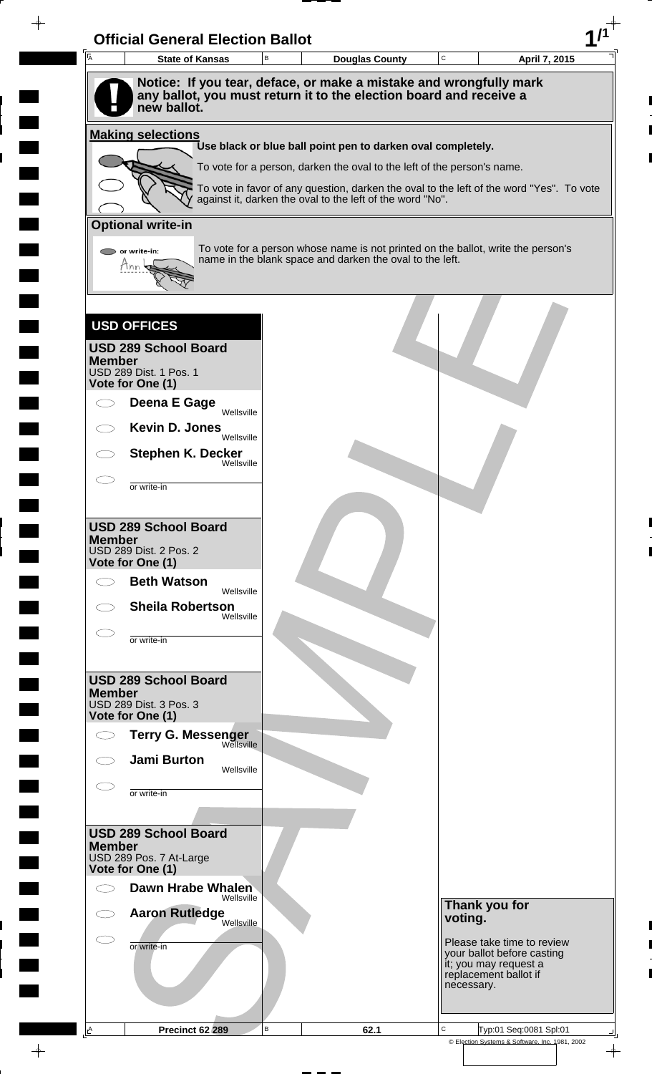| Ā                                          | <b>State of Kansas</b>                                                            | B | <b>Douglas County</b>                                                   | $\mathbf C$ | April 7, 2015                                                                            |
|--------------------------------------------|-----------------------------------------------------------------------------------|---|-------------------------------------------------------------------------|-------------|------------------------------------------------------------------------------------------|
|                                            | Notice: If you tear, deface, or make a mistake and wrongfully mark                |   |                                                                         |             |                                                                                          |
|                                            | any ballot, you must return it to the election board and receive a<br>new ballot. |   |                                                                         |             |                                                                                          |
| <b>Making selections</b>                   |                                                                                   |   |                                                                         |             |                                                                                          |
|                                            |                                                                                   |   | Use black or blue ball point pen to darken oval completely.             |             |                                                                                          |
|                                            |                                                                                   |   | To vote for a person, darken the oval to the left of the person's name. |             |                                                                                          |
|                                            |                                                                                   |   | against it, darken the oval to the left of the word "No".               |             | To vote in favor of any question, darken the oval to the left of the word "Yes". To vote |
| <b>Optional write-in</b>                   |                                                                                   |   |                                                                         |             |                                                                                          |
| or write-in:                               |                                                                                   |   | name in the blank space and darken the oval to the left.                |             | To vote for a person whose name is not printed on the ballot, write the person's         |
| Ann                                        |                                                                                   |   |                                                                         |             |                                                                                          |
|                                            |                                                                                   |   |                                                                         |             |                                                                                          |
| <b>USD OFFICES</b>                         |                                                                                   |   |                                                                         |             |                                                                                          |
|                                            | <b>USD 289 School Board</b>                                                       |   |                                                                         |             |                                                                                          |
| <b>Member</b><br>USD 289 Dist. 1 Pos. 1    |                                                                                   |   |                                                                         |             |                                                                                          |
| Vote for One (1)                           | Deena E Gage                                                                      |   |                                                                         |             |                                                                                          |
|                                            | Wellsville                                                                        |   |                                                                         |             |                                                                                          |
|                                            | Kevin D. Jones<br>Wellsville                                                      |   |                                                                         |             |                                                                                          |
|                                            | <b>Stephen K. Decker</b><br>Wellsville                                            |   |                                                                         |             |                                                                                          |
| or write-in                                |                                                                                   |   |                                                                         |             |                                                                                          |
|                                            |                                                                                   |   |                                                                         |             |                                                                                          |
| <b>Member</b>                              | <b>USD 289 School Board</b>                                                       |   |                                                                         |             |                                                                                          |
| USD 289 Dist. 2 Pos. 2<br>Vote for One (1) |                                                                                   |   |                                                                         |             |                                                                                          |
| $\subset \mathbb{R}^n$                     | <b>Beth Watson</b><br>Wellsville                                                  |   |                                                                         |             |                                                                                          |
|                                            | <b>Sheila Robertson</b><br>Wellsville                                             |   |                                                                         |             |                                                                                          |
| or write-in                                |                                                                                   |   |                                                                         |             |                                                                                          |
|                                            |                                                                                   |   |                                                                         |             |                                                                                          |
| <b>Member</b>                              | <b>USD 289 School Board</b>                                                       |   |                                                                         |             |                                                                                          |
| USD 289 Dist. 3 Pos. 3<br>Vote for One (1) |                                                                                   |   |                                                                         |             |                                                                                          |
|                                            | <b>Terry G. Messenger</b>                                                         |   |                                                                         |             |                                                                                          |
|                                            | Wellsville<br><b>Jami Burton</b>                                                  |   |                                                                         |             |                                                                                          |
|                                            | Wellsville                                                                        |   |                                                                         |             |                                                                                          |
| or write-in                                |                                                                                   |   |                                                                         |             |                                                                                          |
|                                            | <b>USD 289 School Board</b>                                                       |   |                                                                         |             |                                                                                          |
| <b>Member</b>                              | USD 289 Pos. 7 At-Large                                                           |   |                                                                         |             |                                                                                          |
| Vote for One (1)                           |                                                                                   |   |                                                                         |             |                                                                                          |
|                                            | Dawn Hrabe Whalen<br>Wellsville                                                   |   |                                                                         |             | Thank you for                                                                            |
|                                            | <b>Aaron Rutledge</b><br>Wellsville                                               |   |                                                                         | voting.     |                                                                                          |
| or write-in                                |                                                                                   |   |                                                                         |             | Please take time to review<br>your ballot before casting                                 |
|                                            |                                                                                   |   |                                                                         |             | it; you may request a<br>replacement ballot if                                           |
|                                            |                                                                                   |   |                                                                         |             | necessary.                                                                               |
|                                            |                                                                                   |   |                                                                         |             |                                                                                          |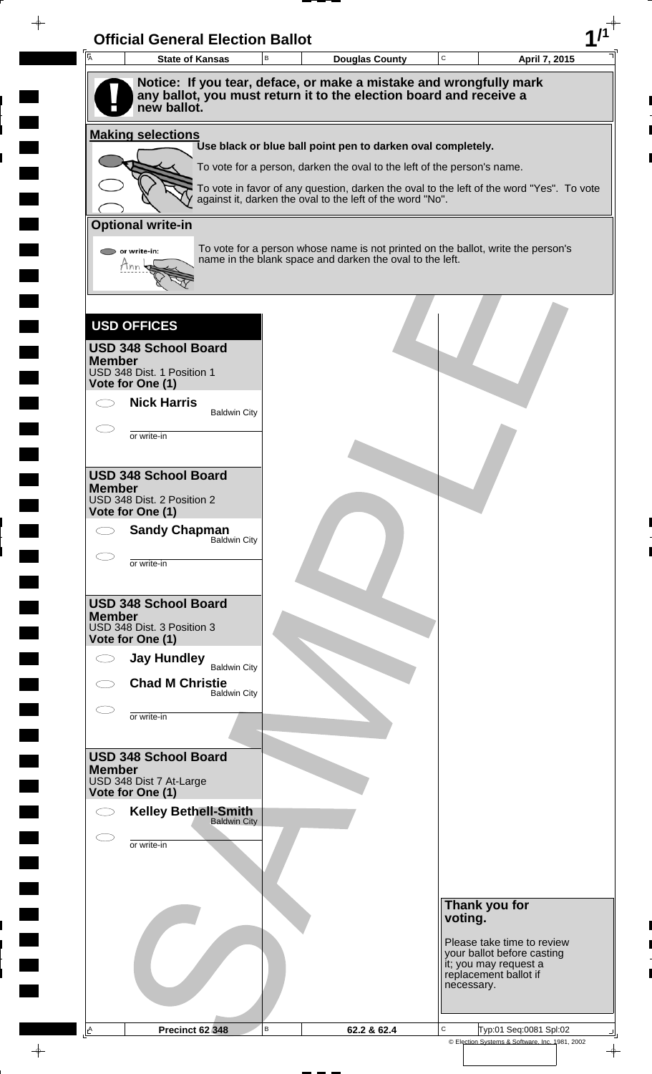| $\overline{A}$     | <b>State of Kansas</b>                                                                                                                                  | $\mathsf B$ | <b>Douglas County</b>                                                                                                                                               | $\mathbf C$ |                                     | April 7, 2015              |
|--------------------|---------------------------------------------------------------------------------------------------------------------------------------------------------|-------------|---------------------------------------------------------------------------------------------------------------------------------------------------------------------|-------------|-------------------------------------|----------------------------|
|                    | Notice: If you tear, deface, or make a mistake and wrongfully mark<br>any ballot, you must return it to the election board and receive a<br>new ballot. |             |                                                                                                                                                                     |             |                                     |                            |
|                    | <b>Making selections</b>                                                                                                                                |             |                                                                                                                                                                     |             |                                     |                            |
|                    |                                                                                                                                                         |             | Use black or blue ball point pen to darken oval completely.                                                                                                         |             |                                     |                            |
|                    |                                                                                                                                                         |             | To vote for a person, darken the oval to the left of the person's name.<br>To vote in favor of any question, darken the oval to the left of the word "Yes". To vote |             |                                     |                            |
|                    |                                                                                                                                                         |             | against it, darken the oval to the left of the word "No".                                                                                                           |             |                                     |                            |
|                    | <b>Optional write-in</b>                                                                                                                                |             |                                                                                                                                                                     |             |                                     |                            |
| Mnn                | or write-in:                                                                                                                                            |             | To vote for a person whose name is not printed on the ballot, write the person's<br>name in the blank space and darken the oval to the left.                        |             |                                     |                            |
|                    |                                                                                                                                                         |             |                                                                                                                                                                     |             |                                     |                            |
| <b>USD OFFICES</b> |                                                                                                                                                         |             |                                                                                                                                                                     |             |                                     |                            |
| <b>Member</b>      | <b>USD 348 School Board</b>                                                                                                                             |             |                                                                                                                                                                     |             |                                     |                            |
| Vote for One (1)   | USD 348 Dist. 1 Position 1                                                                                                                              |             |                                                                                                                                                                     |             |                                     |                            |
|                    | <b>Nick Harris</b><br><b>Baldwin City</b>                                                                                                               |             |                                                                                                                                                                     |             |                                     |                            |
|                    | or write-in                                                                                                                                             |             |                                                                                                                                                                     |             |                                     |                            |
|                    |                                                                                                                                                         |             |                                                                                                                                                                     |             |                                     |                            |
| <b>Member</b>      | <b>USD 348 School Board</b>                                                                                                                             |             |                                                                                                                                                                     |             |                                     |                            |
| Vote for One (1)   | USD 348 Dist. 2 Position 2                                                                                                                              |             |                                                                                                                                                                     |             |                                     |                            |
|                    | <b>Sandy Chapman</b>                                                                                                                                    |             |                                                                                                                                                                     |             |                                     |                            |
|                    | <b>Baldwin City</b>                                                                                                                                     |             |                                                                                                                                                                     |             |                                     |                            |
|                    | or write-in                                                                                                                                             |             |                                                                                                                                                                     |             |                                     |                            |
|                    | <b>USD 348 School Board</b>                                                                                                                             |             |                                                                                                                                                                     |             |                                     |                            |
| <b>Member</b>      | USD 348 Dist. 3 Position 3                                                                                                                              |             |                                                                                                                                                                     |             |                                     |                            |
| Vote for One (1)   |                                                                                                                                                         |             |                                                                                                                                                                     |             |                                     |                            |
|                    | <b>Jay Hundley</b><br><b>Baldwin City</b>                                                                                                               |             |                                                                                                                                                                     |             |                                     |                            |
|                    | <b>Chad M Christie</b><br><b>Baldwin City</b>                                                                                                           |             |                                                                                                                                                                     |             |                                     |                            |
|                    | or write-in                                                                                                                                             |             |                                                                                                                                                                     |             |                                     |                            |
|                    |                                                                                                                                                         |             |                                                                                                                                                                     |             |                                     |                            |
| <b>Member</b>      | <b>USD 348 School Board</b>                                                                                                                             |             |                                                                                                                                                                     |             |                                     |                            |
| Vote for One (1)   | USD 348 Dist 7 At-Large                                                                                                                                 |             |                                                                                                                                                                     |             |                                     |                            |
|                    | <b>Kelley Bethell-Smith</b><br><b>Baldwin City</b>                                                                                                      |             |                                                                                                                                                                     |             |                                     |                            |
|                    | or write-in                                                                                                                                             |             |                                                                                                                                                                     |             |                                     |                            |
|                    |                                                                                                                                                         |             |                                                                                                                                                                     |             |                                     |                            |
|                    |                                                                                                                                                         |             |                                                                                                                                                                     |             |                                     |                            |
|                    |                                                                                                                                                         |             |                                                                                                                                                                     |             | Thank you for<br>voting.            |                            |
|                    |                                                                                                                                                         |             |                                                                                                                                                                     |             |                                     | Please take time to review |
|                    |                                                                                                                                                         |             |                                                                                                                                                                     |             | it; you may request a               | your ballot before casting |
|                    |                                                                                                                                                         |             |                                                                                                                                                                     |             | replacement ballot if<br>necessary. |                            |
|                    |                                                                                                                                                         |             |                                                                                                                                                                     |             |                                     |                            |

 $\blacksquare$ 

 $\blacksquare$ 

 $\blacksquare$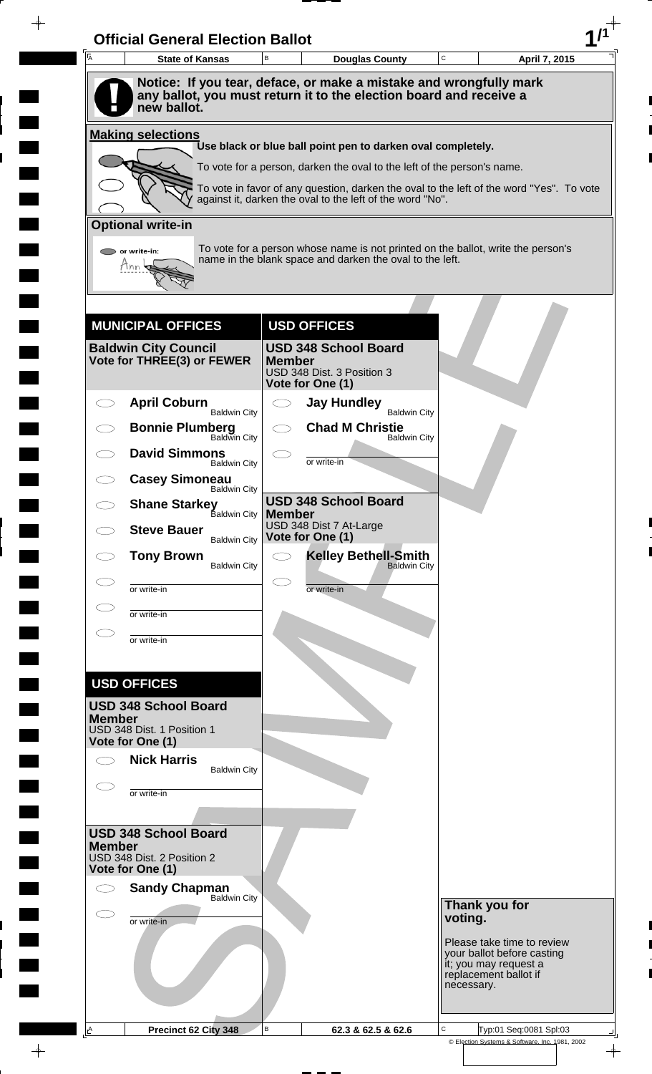| $\overline{A}$ | <b>State of Kansas</b>                                    | B             | <b>Douglas County</b>                                                                                                                                 | C                                                   | April 7, 2015 |
|----------------|-----------------------------------------------------------|---------------|-------------------------------------------------------------------------------------------------------------------------------------------------------|-----------------------------------------------------|---------------|
|                |                                                           |               | Notice: If you tear, deface, or make a mistake and wrongfully mark                                                                                    |                                                     |               |
|                | new ballot.                                               |               | any ballot, you must return it to the election board and receive a                                                                                    |                                                     |               |
|                |                                                           |               |                                                                                                                                                       |                                                     |               |
|                | <b>Making selections</b>                                  |               | Use black or blue ball point pen to darken oval completely.                                                                                           |                                                     |               |
|                |                                                           |               | To vote for a person, darken the oval to the left of the person's name.                                                                               |                                                     |               |
|                |                                                           |               | To vote in favor of any question, darken the oval to the left of the word "Yes". To vote<br>against it, darken the oval to the left of the word "No". |                                                     |               |
|                | <b>Optional write-in</b>                                  |               |                                                                                                                                                       |                                                     |               |
|                | or write-in:                                              |               | To vote for a person whose name is not printed on the ballot, write the person's                                                                      |                                                     |               |
|                | Hnn                                                       |               | name in the blank space and darken the oval to the left.                                                                                              |                                                     |               |
|                |                                                           |               |                                                                                                                                                       |                                                     |               |
|                |                                                           |               |                                                                                                                                                       |                                                     |               |
|                | <b>MUNICIPAL OFFICES</b>                                  |               | <b>USD OFFICES</b>                                                                                                                                    |                                                     |               |
|                | <b>Baldwin City Council</b><br>Vote for THREE(3) or FEWER | <b>Member</b> | <b>USD 348 School Board</b>                                                                                                                           |                                                     |               |
|                |                                                           |               | USD 348 Dist. 3 Position 3<br>Vote for One (1)                                                                                                        |                                                     |               |
| C I            | <b>April Coburn</b><br><b>Baldwin City</b>                |               | <b>Jay Hundley</b><br><b>Baldwin City</b>                                                                                                             |                                                     |               |
|                | <b>Bonnie Plumberg</b><br>Baldwin City                    |               | <b>Chad M Christie</b>                                                                                                                                |                                                     |               |
|                | <b>David Simmons</b>                                      |               | <b>Baldwin City</b>                                                                                                                                   |                                                     |               |
|                | <b>Baldwin City</b><br><b>Casey Simoneau</b>              |               | or write-in                                                                                                                                           |                                                     |               |
|                | <b>Baldwin City</b><br><b>Shane Starkey</b>               |               | <b>USD 348 School Board</b>                                                                                                                           |                                                     |               |
|                | <b>Baldwin City</b>                                       | <b>Member</b> | USD 348 Dist 7 At-Large                                                                                                                               |                                                     |               |
|                | <b>Steve Bauer</b><br><b>Baldwin City</b>                 |               | Vote for One (1)                                                                                                                                      |                                                     |               |
|                | <b>Tony Brown</b><br><b>Baldwin City</b>                  |               | <b>Kelley Bethell-Smith</b><br><b>Baldwin City</b>                                                                                                    |                                                     |               |
|                | or write-in                                               |               | or write-in                                                                                                                                           |                                                     |               |
|                | or write-in                                               |               |                                                                                                                                                       |                                                     |               |
|                | or write-in                                               |               |                                                                                                                                                       |                                                     |               |
|                |                                                           |               |                                                                                                                                                       |                                                     |               |
|                | <b>USD OFFICES</b>                                        |               |                                                                                                                                                       |                                                     |               |
|                | <b>USD 348 School Board</b>                               |               |                                                                                                                                                       |                                                     |               |
| <b>Member</b>  | USD 348 Dist. 1 Position 1                                |               |                                                                                                                                                       |                                                     |               |
|                | Vote for One (1)<br><b>Nick Harris</b>                    |               |                                                                                                                                                       |                                                     |               |
|                | <b>Baldwin City</b>                                       |               |                                                                                                                                                       |                                                     |               |
|                | or write-in                                               |               |                                                                                                                                                       |                                                     |               |
|                |                                                           |               |                                                                                                                                                       |                                                     |               |
| <b>Member</b>  | <b>USD 348 School Board</b>                               |               |                                                                                                                                                       |                                                     |               |
|                | USD 348 Dist. 2 Position 2<br>Vote for One (1)            |               |                                                                                                                                                       |                                                     |               |
|                | <b>Sandy Chapman</b><br><b>Baldwin City</b>               |               |                                                                                                                                                       |                                                     |               |
|                | or write-in                                               |               |                                                                                                                                                       | Thank you for<br>voting.                            |               |
|                |                                                           |               |                                                                                                                                                       | Please take time to review                          |               |
|                |                                                           |               |                                                                                                                                                       | your ballot before casting<br>it; you may request a |               |
|                |                                                           |               |                                                                                                                                                       | replacement ballot if<br>necessary.                 |               |
|                |                                                           |               |                                                                                                                                                       |                                                     |               |
|                |                                                           |               |                                                                                                                                                       |                                                     |               |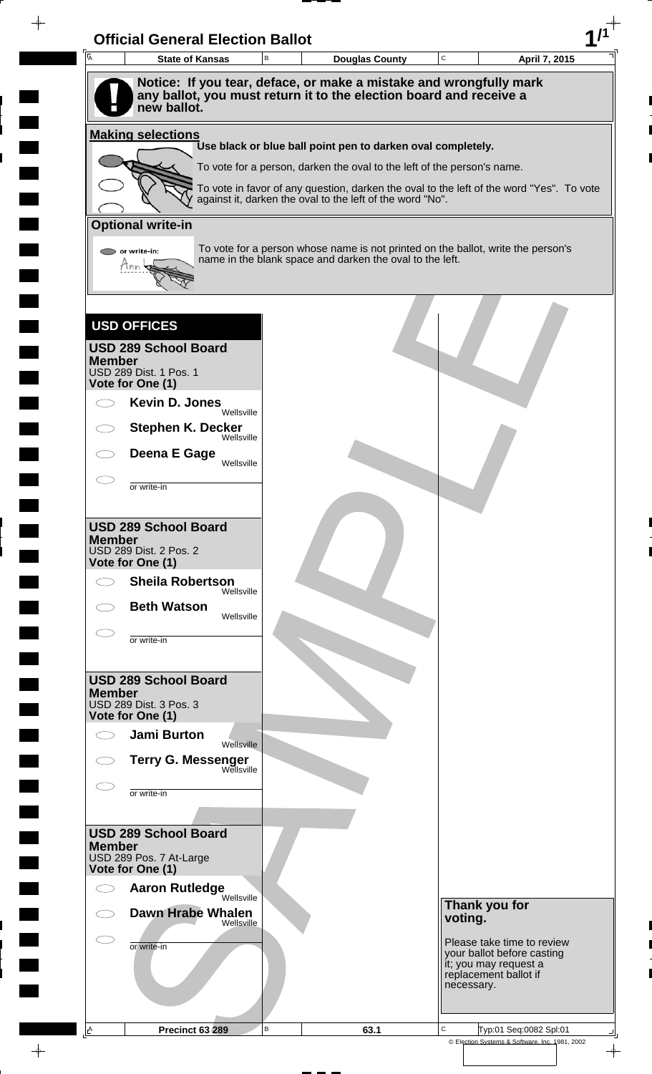| $\overline{\mathsf{A}}$ | <b>State of Kansas</b>                                                            | B | <b>Douglas County</b>                                                   | $\mathtt{C}$ | April 7, 2015                                                                            |
|-------------------------|-----------------------------------------------------------------------------------|---|-------------------------------------------------------------------------|--------------|------------------------------------------------------------------------------------------|
|                         | Notice: If you tear, deface, or make a mistake and wrongfully mark                |   |                                                                         |              |                                                                                          |
|                         | any ballot, you must return it to the election board and receive a<br>new ballot. |   |                                                                         |              |                                                                                          |
|                         |                                                                                   |   |                                                                         |              |                                                                                          |
|                         | <b>Making selections</b>                                                          |   | Use black or blue ball point pen to darken oval completely.             |              |                                                                                          |
|                         |                                                                                   |   | To vote for a person, darken the oval to the left of the person's name. |              |                                                                                          |
|                         |                                                                                   |   | against it, darken the oval to the left of the word "No".               |              | To vote in favor of any question, darken the oval to the left of the word "Yes". To vote |
|                         |                                                                                   |   |                                                                         |              |                                                                                          |
|                         | <b>Optional write-in</b>                                                          |   |                                                                         |              |                                                                                          |
|                         | or write-in:<br>Hnn                                                               |   | name in the blank space and darken the oval to the left.                |              | To vote for a person whose name is not printed on the ballot, write the person's         |
|                         |                                                                                   |   |                                                                         |              |                                                                                          |
|                         |                                                                                   |   |                                                                         |              |                                                                                          |
|                         | <b>USD OFFICES</b>                                                                |   |                                                                         |              |                                                                                          |
|                         | <b>USD 289 School Board</b>                                                       |   |                                                                         |              |                                                                                          |
| <b>Member</b>           | USD 289 Dist. 1 Pos. 1                                                            |   |                                                                         |              |                                                                                          |
|                         | Vote for One (1)                                                                  |   |                                                                         |              |                                                                                          |
|                         | Kevin D. Jones<br>Wellsville                                                      |   |                                                                         |              |                                                                                          |
|                         | <b>Stephen K. Decker</b><br>Wellsville                                            |   |                                                                         |              |                                                                                          |
|                         | Deena E Gage<br>Wellsville                                                        |   |                                                                         |              |                                                                                          |
|                         | or write-in                                                                       |   |                                                                         |              |                                                                                          |
|                         |                                                                                   |   |                                                                         |              |                                                                                          |
|                         | <b>USD 289 School Board</b>                                                       |   |                                                                         |              |                                                                                          |
| <b>Member</b>           | <b>USD 289 Dist. 2 Pos. 2</b>                                                     |   |                                                                         |              |                                                                                          |
|                         | Vote for One (1)                                                                  |   |                                                                         |              |                                                                                          |
|                         | <b>Sheila Robertson</b><br>Wellsville                                             |   |                                                                         |              |                                                                                          |
|                         | <b>Beth Watson</b><br>Wellsville                                                  |   |                                                                         |              |                                                                                          |
|                         | or write-in                                                                       |   |                                                                         |              |                                                                                          |
|                         |                                                                                   |   |                                                                         |              |                                                                                          |
|                         | <b>USD 289 School Board</b>                                                       |   |                                                                         |              |                                                                                          |
| <b>Member</b>           | USD 289 Dist. 3 Pos. 3                                                            |   |                                                                         |              |                                                                                          |
|                         | Vote for One (1)<br><b>Jami Burton</b>                                            |   |                                                                         |              |                                                                                          |
|                         | Wellsville                                                                        |   |                                                                         |              |                                                                                          |
|                         | <b>Terry G. Messenger</b> Wellsville                                              |   |                                                                         |              |                                                                                          |
|                         | or write-in                                                                       |   |                                                                         |              |                                                                                          |
|                         |                                                                                   |   |                                                                         |              |                                                                                          |
| <b>Member</b>           | <b>USD 289 School Board</b>                                                       |   |                                                                         |              |                                                                                          |
|                         | USD 289 Pos. 7 At-Large<br>Vote for One (1)                                       |   |                                                                         |              |                                                                                          |
|                         | <b>Aaron Rutledge</b>                                                             |   |                                                                         |              |                                                                                          |
|                         | Wellsville<br><b>Dawn Hrabe Whalen</b>                                            |   |                                                                         |              | Thank you for                                                                            |
|                         | Wellsville                                                                        |   |                                                                         | voting.      |                                                                                          |
|                         | or write-in                                                                       |   |                                                                         |              | Please take time to review<br>your ballot before casting                                 |
|                         |                                                                                   |   |                                                                         |              | it; you may request a<br>replacement ballot if                                           |
|                         |                                                                                   |   |                                                                         |              | necessary.                                                                               |
|                         |                                                                                   |   |                                                                         |              |                                                                                          |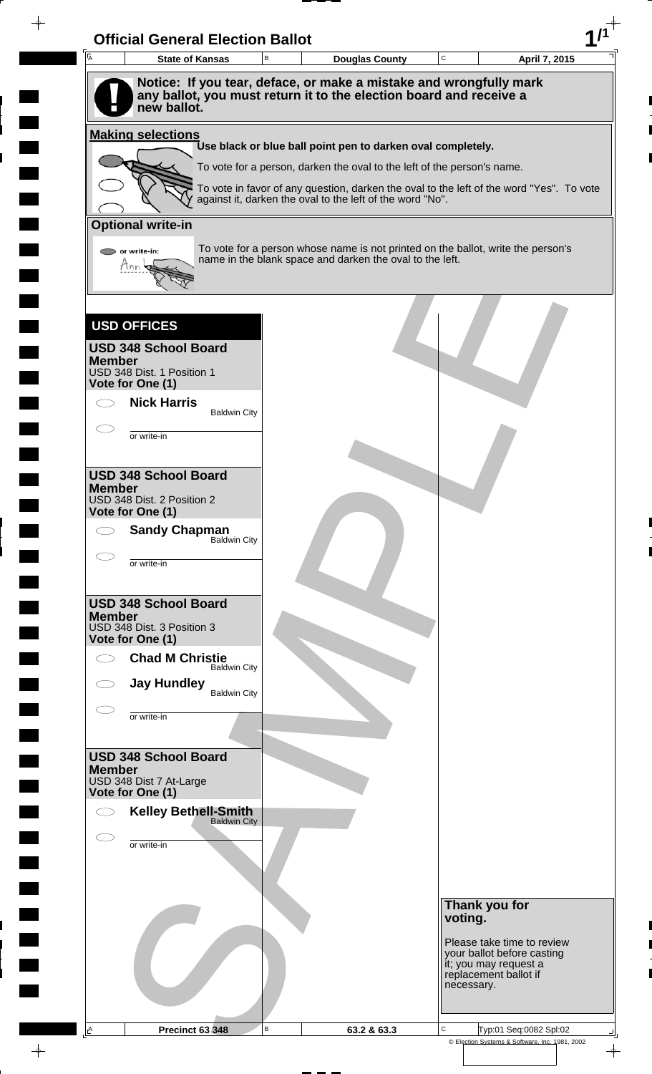| $\overline{A}$ | <b>State of Kansas</b>                             | $\mathsf B$ | <b>Douglas County</b>                                                                                                                                 | $\mathbf C$ | April 7, 2015                                       |
|----------------|----------------------------------------------------|-------------|-------------------------------------------------------------------------------------------------------------------------------------------------------|-------------|-----------------------------------------------------|
|                | new ballot.                                        |             | Notice: If you tear, deface, or make a mistake and wrongfully mark<br>any ballot, you must return it to the election board and receive a              |             |                                                     |
|                | <b>Making selections</b>                           |             |                                                                                                                                                       |             |                                                     |
|                |                                                    |             | Use black or blue ball point pen to darken oval completely.                                                                                           |             |                                                     |
|                |                                                    |             | To vote for a person, darken the oval to the left of the person's name.                                                                               |             |                                                     |
|                |                                                    |             | To vote in favor of any question, darken the oval to the left of the word "Yes". To vote<br>against it, darken the oval to the left of the word "No". |             |                                                     |
|                | <b>Optional write-in</b>                           |             |                                                                                                                                                       |             |                                                     |
|                | or write-in:<br>Mnn                                |             | To vote for a person whose name is not printed on the ballot, write the person's<br>name in the blank space and darken the oval to the left.          |             |                                                     |
|                |                                                    |             |                                                                                                                                                       |             |                                                     |
|                | <b>USD OFFICES</b>                                 |             |                                                                                                                                                       |             |                                                     |
| <b>Member</b>  | <b>USD 348 School Board</b>                        |             |                                                                                                                                                       |             |                                                     |
|                | USD 348 Dist. 1 Position 1<br>Vote for One (1)     |             |                                                                                                                                                       |             |                                                     |
|                | <b>Nick Harris</b><br><b>Baldwin City</b>          |             |                                                                                                                                                       |             |                                                     |
|                | or write-in                                        |             |                                                                                                                                                       |             |                                                     |
|                |                                                    |             |                                                                                                                                                       |             |                                                     |
| <b>Member</b>  | <b>USD 348 School Board</b>                        |             |                                                                                                                                                       |             |                                                     |
|                | USD 348 Dist. 2 Position 2<br>Vote for One (1)     |             |                                                                                                                                                       |             |                                                     |
|                | <b>Sandy Chapman</b>                               |             |                                                                                                                                                       |             |                                                     |
|                | <b>Baldwin City</b>                                |             |                                                                                                                                                       |             |                                                     |
|                | or write-in                                        |             |                                                                                                                                                       |             |                                                     |
|                | <b>USD 348 School Board</b>                        |             |                                                                                                                                                       |             |                                                     |
| <b>Member</b>  | USD 348 Dist. 3 Position 3                         |             |                                                                                                                                                       |             |                                                     |
|                | Vote for One (1)                                   |             |                                                                                                                                                       |             |                                                     |
|                | <b>Chad M Christie</b><br><b>Baldwin City</b>      |             |                                                                                                                                                       |             |                                                     |
|                | <b>Jay Hundley</b><br><b>Baldwin City</b>          |             |                                                                                                                                                       |             |                                                     |
|                | or write-in                                        |             |                                                                                                                                                       |             |                                                     |
|                |                                                    |             |                                                                                                                                                       |             |                                                     |
| <b>Member</b>  | <b>USD 348 School Board</b>                        |             |                                                                                                                                                       |             |                                                     |
|                | USD 348 Dist 7 At-Large<br>Vote for One (1)        |             |                                                                                                                                                       |             |                                                     |
|                | <b>Kelley Bethell-Smith</b><br><b>Baldwin City</b> |             |                                                                                                                                                       |             |                                                     |
|                | or write-in                                        |             |                                                                                                                                                       |             |                                                     |
|                |                                                    |             |                                                                                                                                                       |             |                                                     |
|                |                                                    |             |                                                                                                                                                       |             |                                                     |
|                |                                                    |             |                                                                                                                                                       | voting.     | Thank you for                                       |
|                |                                                    |             |                                                                                                                                                       |             | Please take time to review                          |
|                |                                                    |             |                                                                                                                                                       |             | your ballot before casting<br>it; you may request a |
|                |                                                    |             |                                                                                                                                                       | necessary.  | replacement ballot if                               |
|                |                                                    |             |                                                                                                                                                       |             |                                                     |

 $\blacksquare$ 

 $\blacksquare$ 

 $\blacksquare$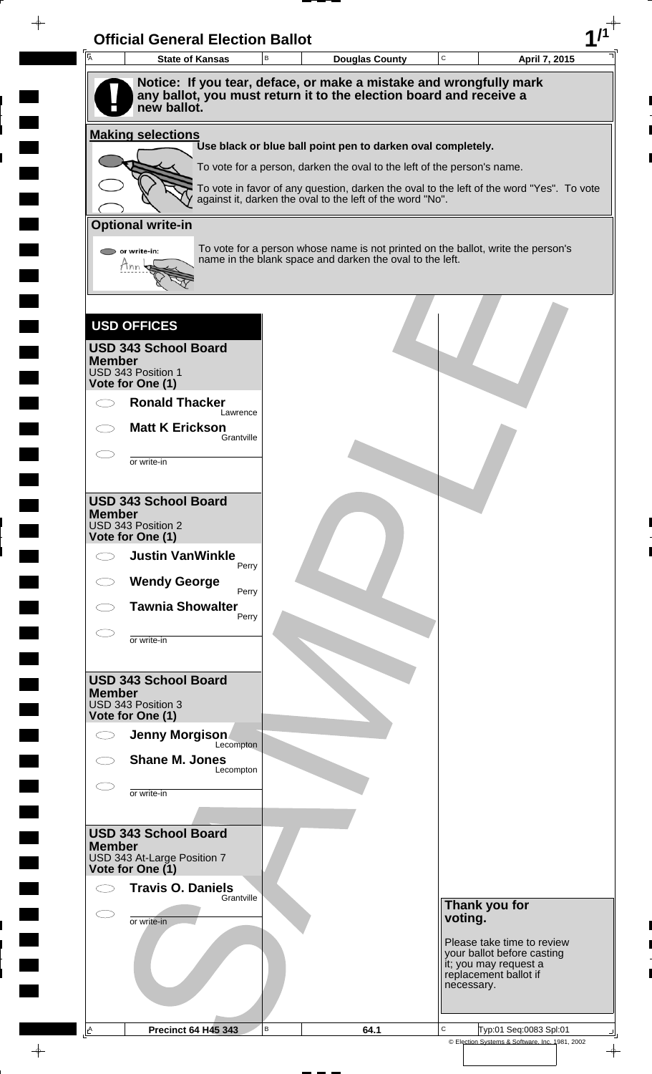| Ā                                            | <b>State of Kansas</b>                                                  | B | <b>Douglas County</b>                                    | $\mathbf C$ |                                                                                          | April 7, 2015 |
|----------------------------------------------|-------------------------------------------------------------------------|---|----------------------------------------------------------|-------------|------------------------------------------------------------------------------------------|---------------|
|                                              | Notice: If you tear, deface, or make a mistake and wrongfully mark      |   |                                                          |             |                                                                                          |               |
| new ballot.                                  | any ballot, you must return it to the election board and receive a      |   |                                                          |             |                                                                                          |               |
| <b>Making selections</b>                     |                                                                         |   |                                                          |             |                                                                                          |               |
|                                              | Use black or blue ball point pen to darken oval completely.             |   |                                                          |             |                                                                                          |               |
|                                              | To vote for a person, darken the oval to the left of the person's name. |   |                                                          |             | To vote in favor of any question, darken the oval to the left of the word "Yes". To vote |               |
|                                              | against it, darken the oval to the left of the word "No".               |   |                                                          |             |                                                                                          |               |
| <b>Optional write-in</b>                     |                                                                         |   |                                                          |             |                                                                                          |               |
| $\triangleright$ or write-in:                |                                                                         |   | name in the blank space and darken the oval to the left. |             | To vote for a person whose name is not printed on the ballot, write the person's         |               |
| Ann                                          |                                                                         |   |                                                          |             |                                                                                          |               |
|                                              |                                                                         |   |                                                          |             |                                                                                          |               |
| <b>USD OFFICES</b>                           |                                                                         |   |                                                          |             |                                                                                          |               |
| <b>USD 343 School Board</b>                  |                                                                         |   |                                                          |             |                                                                                          |               |
| <b>Member</b><br>USD 343 Position 1          |                                                                         |   |                                                          |             |                                                                                          |               |
| Vote for One (1)<br><b>Ronald Thacker</b>    |                                                                         |   |                                                          |             |                                                                                          |               |
| <b>Matt K Erickson</b>                       | Lawrence                                                                |   |                                                          |             |                                                                                          |               |
|                                              | Grantville                                                              |   |                                                          |             |                                                                                          |               |
| or write-in                                  |                                                                         |   |                                                          |             |                                                                                          |               |
|                                              |                                                                         |   |                                                          |             |                                                                                          |               |
| <b>USD 343 School Board</b><br><b>Member</b> |                                                                         |   |                                                          |             |                                                                                          |               |
| USD 343 Position 2<br>Vote for One (1)       |                                                                         |   |                                                          |             |                                                                                          |               |
| <b>Justin VanWinkle</b><br>$\bigcirc$        | Perry                                                                   |   |                                                          |             |                                                                                          |               |
| <b>Wendy George</b>                          | Perry                                                                   |   |                                                          |             |                                                                                          |               |
| <b>Tawnia Showalter</b>                      | Perry                                                                   |   |                                                          |             |                                                                                          |               |
| or write-in                                  |                                                                         |   |                                                          |             |                                                                                          |               |
|                                              |                                                                         |   |                                                          |             |                                                                                          |               |
| <b>USD 343 School Board</b>                  |                                                                         |   |                                                          |             |                                                                                          |               |
| <b>Member</b><br>USD 343 Position 3          |                                                                         |   |                                                          |             |                                                                                          |               |
| Vote for One (1)<br>Jenny Morgison           |                                                                         |   |                                                          |             |                                                                                          |               |
| <b>Shane M. Jones</b>                        | Lecompton                                                               |   |                                                          |             |                                                                                          |               |
|                                              | Lecompton                                                               |   |                                                          |             |                                                                                          |               |
| or write-in                                  |                                                                         |   |                                                          |             |                                                                                          |               |
| <b>USD 343 School Board</b>                  |                                                                         |   |                                                          |             |                                                                                          |               |
| <b>Member</b><br>USD 343 At-Large Position 7 |                                                                         |   |                                                          |             |                                                                                          |               |
| Vote for One (1)                             |                                                                         |   |                                                          |             |                                                                                          |               |
| <b>Travis O. Daniels</b>                     | Grantville                                                              |   |                                                          |             | Thank you for                                                                            |               |
| .<br>.<br>or write-in                        |                                                                         |   |                                                          | voting.     |                                                                                          |               |
|                                              |                                                                         |   |                                                          |             | Please take time to review<br>your ballot before casting                                 |               |
|                                              |                                                                         |   |                                                          |             | it; you may request a<br>replacement ballot if                                           |               |
|                                              |                                                                         |   |                                                          |             | necessary.                                                                               |               |
|                                              |                                                                         |   |                                                          |             |                                                                                          |               |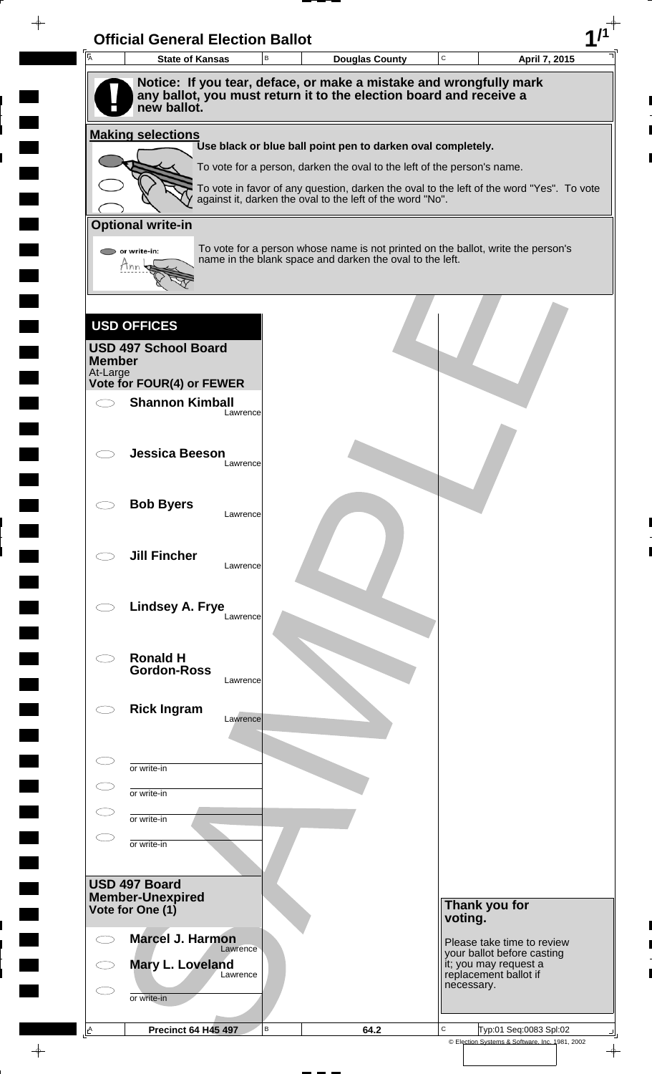

 $\rightarrow$ 

 $\rightarrow$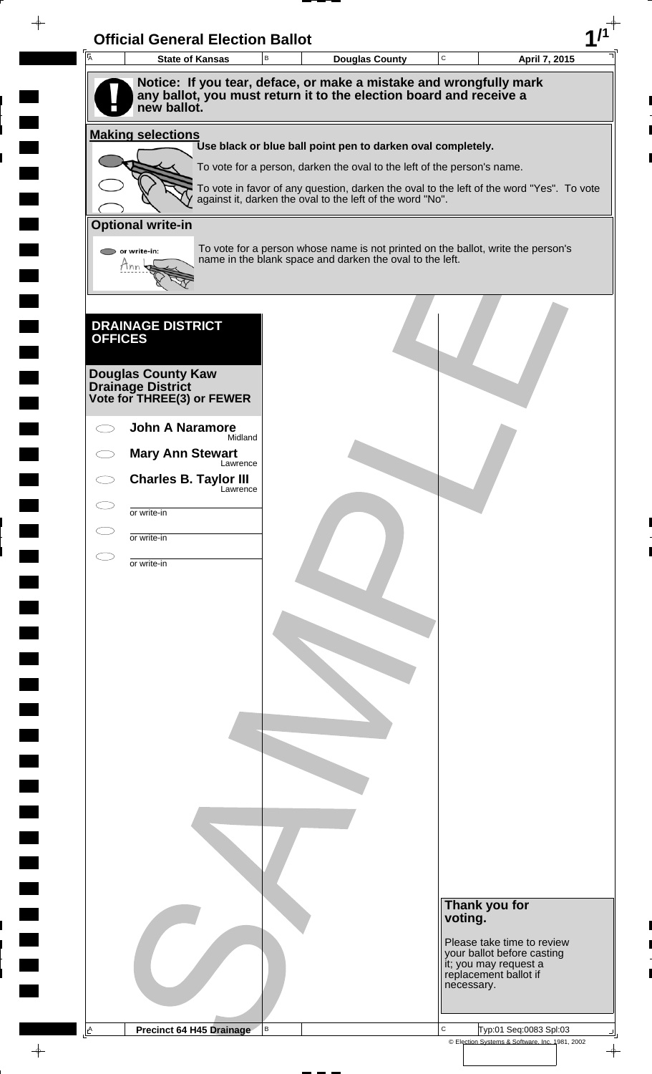| $\overline{\mathsf{A}}$ | <b>State of Kansas</b>                                  | $\mathsf B$ | Douglas County                                                                                                                                        | $\mathtt{C}$ |                                                                              | April 7, 2015 |
|-------------------------|---------------------------------------------------------|-------------|-------------------------------------------------------------------------------------------------------------------------------------------------------|--------------|------------------------------------------------------------------------------|---------------|
|                         |                                                         |             | Notice: If you tear, deface, or make a mistake and wrongfully mark                                                                                    |              |                                                                              |               |
|                         | new ballot.                                             |             | any ballot, you must return it to the election board and receive a                                                                                    |              |                                                                              |               |
|                         |                                                         |             |                                                                                                                                                       |              |                                                                              |               |
|                         | <b>Making selections</b>                                |             | Use black or blue ball point pen to darken oval completely.                                                                                           |              |                                                                              |               |
|                         |                                                         |             | To vote for a person, darken the oval to the left of the person's name.                                                                               |              |                                                                              |               |
|                         |                                                         |             | To vote in favor of any question, darken the oval to the left of the word "Yes". To vote<br>against it, darken the oval to the left of the word "No". |              |                                                                              |               |
|                         | <b>Optional write-in</b>                                |             |                                                                                                                                                       |              |                                                                              |               |
|                         |                                                         |             |                                                                                                                                                       |              |                                                                              |               |
|                         | $\bigcirc$ or write-in:<br>Ann                          |             | To vote for a person whose name is not printed on the ballot, write the person's<br>name in the blank space and darken the oval to the left.          |              |                                                                              |               |
|                         |                                                         |             |                                                                                                                                                       |              |                                                                              |               |
|                         |                                                         |             |                                                                                                                                                       |              |                                                                              |               |
| <b>OFFICES</b>          | <b>DRAINAGE DISTRICT</b>                                |             |                                                                                                                                                       |              |                                                                              |               |
|                         |                                                         |             |                                                                                                                                                       |              |                                                                              |               |
|                         | <b>Douglas County Kaw</b>                               |             |                                                                                                                                                       |              |                                                                              |               |
|                         | <b>Drainage District<br/>Vote for THREE(3) or FEWER</b> |             |                                                                                                                                                       |              |                                                                              |               |
|                         | <b>John A Naramore</b>                                  |             |                                                                                                                                                       |              |                                                                              |               |
|                         | Midland                                                 |             |                                                                                                                                                       |              |                                                                              |               |
|                         | <b>Mary Ann Stewart</b><br>Lawrence                     |             |                                                                                                                                                       |              |                                                                              |               |
|                         | <b>Charles B. Taylor III</b><br>Lawrence                |             |                                                                                                                                                       |              |                                                                              |               |
|                         | or write-in                                             |             |                                                                                                                                                       |              |                                                                              |               |
|                         | or write-in                                             |             |                                                                                                                                                       |              |                                                                              |               |
|                         | or write-in                                             |             |                                                                                                                                                       |              |                                                                              |               |
|                         |                                                         |             |                                                                                                                                                       |              |                                                                              |               |
|                         |                                                         |             |                                                                                                                                                       |              |                                                                              |               |
|                         |                                                         |             |                                                                                                                                                       |              |                                                                              |               |
|                         |                                                         |             |                                                                                                                                                       |              |                                                                              |               |
|                         |                                                         |             |                                                                                                                                                       |              |                                                                              |               |
|                         |                                                         |             |                                                                                                                                                       |              |                                                                              |               |
|                         |                                                         |             |                                                                                                                                                       |              |                                                                              |               |
|                         |                                                         |             |                                                                                                                                                       |              |                                                                              |               |
|                         |                                                         |             |                                                                                                                                                       |              |                                                                              |               |
|                         |                                                         |             |                                                                                                                                                       |              |                                                                              |               |
|                         |                                                         |             |                                                                                                                                                       |              |                                                                              |               |
|                         |                                                         |             |                                                                                                                                                       |              |                                                                              |               |
|                         |                                                         |             |                                                                                                                                                       |              |                                                                              |               |
|                         |                                                         |             |                                                                                                                                                       |              |                                                                              |               |
|                         |                                                         |             |                                                                                                                                                       |              |                                                                              |               |
|                         |                                                         |             |                                                                                                                                                       |              | Thank you for<br>voting.                                                     |               |
|                         |                                                         |             |                                                                                                                                                       |              | Please take time to review                                                   |               |
|                         |                                                         |             |                                                                                                                                                       |              | your ballot before casting<br>it; you may request a<br>replacement ballot if |               |
|                         |                                                         |             |                                                                                                                                                       |              | necessary.                                                                   |               |
|                         |                                                         |             |                                                                                                                                                       |              |                                                                              |               |
|                         |                                                         |             |                                                                                                                                                       |              |                                                                              |               |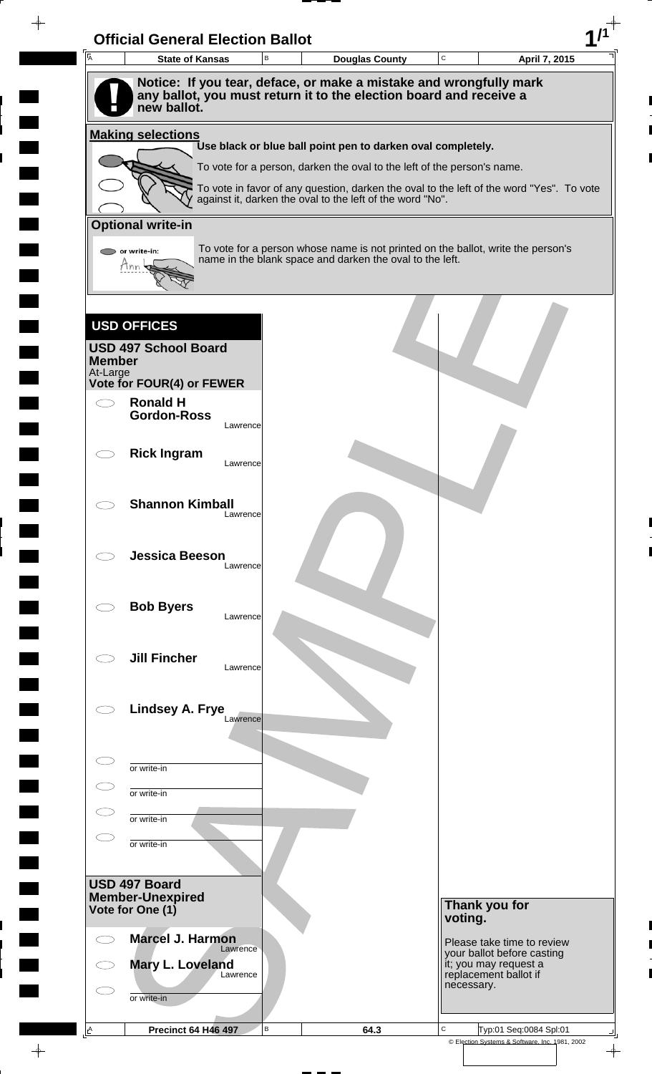| $\overline{A}$ | <b>State of Kansas</b>                                                                                                                   | B        | <b>Douglas County</b>                                                                                                                        | C       |                                                              | April 7, 2015                                            |
|----------------|------------------------------------------------------------------------------------------------------------------------------------------|----------|----------------------------------------------------------------------------------------------------------------------------------------------|---------|--------------------------------------------------------------|----------------------------------------------------------|
|                | Notice: If you tear, deface, or make a mistake and wrongfully mark<br>any ballot, you must return it to the election board and receive a |          |                                                                                                                                              |         |                                                              |                                                          |
|                | new ballot.                                                                                                                              |          |                                                                                                                                              |         |                                                              |                                                          |
|                | <b>Making selections</b>                                                                                                                 |          |                                                                                                                                              |         |                                                              |                                                          |
|                |                                                                                                                                          |          | Use black or blue ball point pen to darken oval completely.<br>To vote for a person, darken the oval to the left of the person's name.       |         |                                                              |                                                          |
|                |                                                                                                                                          |          | To vote in favor of any question, darken the oval to the left of the word "Yes". To vote                                                     |         |                                                              |                                                          |
|                |                                                                                                                                          |          | against it, darken the oval to the left of the word "No".                                                                                    |         |                                                              |                                                          |
|                | <b>Optional write-in</b>                                                                                                                 |          |                                                                                                                                              |         |                                                              |                                                          |
|                | or write-in:<br>Mnn                                                                                                                      |          | To vote for a person whose name is not printed on the ballot, write the person's<br>name in the blank space and darken the oval to the left. |         |                                                              |                                                          |
|                |                                                                                                                                          |          |                                                                                                                                              |         |                                                              |                                                          |
|                |                                                                                                                                          |          |                                                                                                                                              |         |                                                              |                                                          |
|                | <b>USD OFFICES</b>                                                                                                                       |          |                                                                                                                                              |         |                                                              |                                                          |
| <b>Member</b>  | <b>USD 497 School Board</b>                                                                                                              |          |                                                                                                                                              |         |                                                              |                                                          |
| At-Large       | Vote for FOUR(4) or FEWER                                                                                                                |          |                                                                                                                                              |         |                                                              |                                                          |
|                | <b>Ronald H</b><br><b>Gordon-Ross</b>                                                                                                    |          |                                                                                                                                              |         |                                                              |                                                          |
|                |                                                                                                                                          | Lawrence |                                                                                                                                              |         |                                                              |                                                          |
|                | <b>Rick Ingram</b>                                                                                                                       | Lawrence |                                                                                                                                              |         |                                                              |                                                          |
|                |                                                                                                                                          |          |                                                                                                                                              |         |                                                              |                                                          |
|                | <b>Shannon Kimball</b>                                                                                                                   | Lawrence |                                                                                                                                              |         |                                                              |                                                          |
|                |                                                                                                                                          |          |                                                                                                                                              |         |                                                              |                                                          |
|                | <b>Jessica Beeson</b>                                                                                                                    | Lawrence |                                                                                                                                              |         |                                                              |                                                          |
|                |                                                                                                                                          |          |                                                                                                                                              |         |                                                              |                                                          |
|                | <b>Bob Byers</b>                                                                                                                         |          |                                                                                                                                              |         |                                                              |                                                          |
|                |                                                                                                                                          | Lawrence |                                                                                                                                              |         |                                                              |                                                          |
|                | <b>Jill Fincher</b>                                                                                                                      |          |                                                                                                                                              |         |                                                              |                                                          |
|                |                                                                                                                                          | Lawrence |                                                                                                                                              |         |                                                              |                                                          |
|                | Lindsey A. Frye                                                                                                                          |          |                                                                                                                                              |         |                                                              |                                                          |
|                |                                                                                                                                          | Lawrence |                                                                                                                                              |         |                                                              |                                                          |
|                |                                                                                                                                          |          |                                                                                                                                              |         |                                                              |                                                          |
|                | or write-in                                                                                                                              |          |                                                                                                                                              |         |                                                              |                                                          |
|                | or write-in                                                                                                                              |          |                                                                                                                                              |         |                                                              |                                                          |
|                | or write-in                                                                                                                              |          |                                                                                                                                              |         |                                                              |                                                          |
|                | or write-in                                                                                                                              |          |                                                                                                                                              |         |                                                              |                                                          |
|                | USD 497 Board                                                                                                                            |          |                                                                                                                                              |         |                                                              |                                                          |
|                | <b>Member-Unexpired</b><br>Vote for One (1)                                                                                              |          |                                                                                                                                              |         | Thank you for                                                |                                                          |
|                |                                                                                                                                          |          |                                                                                                                                              | voting. |                                                              |                                                          |
|                | <b>Marcel J. Harmon</b><br>Lawrence                                                                                                      |          |                                                                                                                                              |         |                                                              | Please take time to review<br>your ballot before casting |
|                | Mary L. Loveland<br>Lawrence                                                                                                             |          |                                                                                                                                              |         | it; you may request a<br>replacement ballot if<br>necessary. |                                                          |
|                |                                                                                                                                          |          |                                                                                                                                              |         |                                                              |                                                          |
|                | or write-in                                                                                                                              |          |                                                                                                                                              |         |                                                              |                                                          |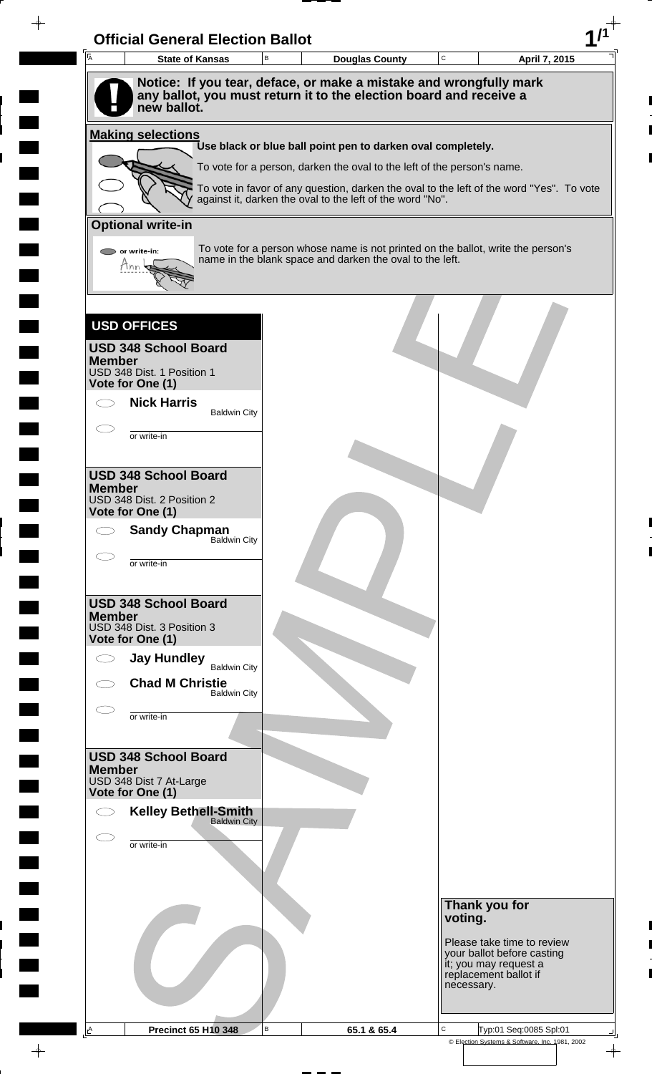| $\overline{A}$ | <b>State of Kansas</b>                         | В | <b>Douglas County</b>                                                                                                                        | $\mathtt{C}$ | April 7, 2015                                       |
|----------------|------------------------------------------------|---|----------------------------------------------------------------------------------------------------------------------------------------------|--------------|-----------------------------------------------------|
|                |                                                |   | Notice: If you tear, deface, or make a mistake and wrongfully mark                                                                           |              |                                                     |
|                | new ballot.                                    |   | any ballot, you must return it to the election board and receive a                                                                           |              |                                                     |
|                | <b>Making selections</b>                       |   | Use black or blue ball point pen to darken oval completely.                                                                                  |              |                                                     |
|                |                                                |   | To vote for a person, darken the oval to the left of the person's name.                                                                      |              |                                                     |
|                |                                                |   | To vote in favor of any question, darken the oval to the left of the word "Yes". To vote                                                     |              |                                                     |
|                |                                                |   | against it, darken the oval to the left of the word "No".                                                                                    |              |                                                     |
|                | <b>Optional write-in</b>                       |   |                                                                                                                                              |              |                                                     |
|                | or write-in:<br>tinn                           |   | To vote for a person whose name is not printed on the ballot, write the person's<br>name in the blank space and darken the oval to the left. |              |                                                     |
|                |                                                |   |                                                                                                                                              |              |                                                     |
|                | <b>USD OFFICES</b>                             |   |                                                                                                                                              |              |                                                     |
|                | <b>USD 348 School Board</b>                    |   |                                                                                                                                              |              |                                                     |
| <b>Member</b>  | USD 348 Dist. 1 Position 1                     |   |                                                                                                                                              |              |                                                     |
|                | Vote for One (1)<br><b>Nick Harris</b>         |   |                                                                                                                                              |              |                                                     |
|                | <b>Baldwin City</b>                            |   |                                                                                                                                              |              |                                                     |
|                | or write-in                                    |   |                                                                                                                                              |              |                                                     |
|                | <b>USD 348 School Board</b>                    |   |                                                                                                                                              |              |                                                     |
| <b>Member</b>  |                                                |   |                                                                                                                                              |              |                                                     |
|                | USD 348 Dist. 2 Position 2<br>Vote for One (1) |   |                                                                                                                                              |              |                                                     |
|                | <b>Sandy Chapman</b><br><b>Baldwin City</b>    |   |                                                                                                                                              |              |                                                     |
|                | or write-in                                    |   |                                                                                                                                              |              |                                                     |
|                |                                                |   |                                                                                                                                              |              |                                                     |
| <b>Member</b>  | <b>USD 348 School Board</b>                    |   |                                                                                                                                              |              |                                                     |
|                | USD 348 Dist. 3 Position 3<br>Vote for One (1) |   |                                                                                                                                              |              |                                                     |
|                | <b>Jay Hundley</b>                             |   |                                                                                                                                              |              |                                                     |
|                | <b>Baldwin City</b><br><b>Chad M Christie</b>  |   |                                                                                                                                              |              |                                                     |
|                | <b>Baldwin City</b>                            |   |                                                                                                                                              |              |                                                     |
|                | or write-in                                    |   |                                                                                                                                              |              |                                                     |
|                | <b>USD 348 School Board</b>                    |   |                                                                                                                                              |              |                                                     |
| <b>Member</b>  | USD 348 Dist 7 At-Large                        |   |                                                                                                                                              |              |                                                     |
|                | Vote for One (1)                               |   |                                                                                                                                              |              |                                                     |
|                | <b>Kelley Bethell-Smith</b><br>Baldwin City    |   |                                                                                                                                              |              |                                                     |
|                | or write-in                                    |   |                                                                                                                                              |              |                                                     |
|                |                                                |   |                                                                                                                                              |              |                                                     |
|                |                                                |   |                                                                                                                                              |              |                                                     |
|                |                                                |   |                                                                                                                                              | voting.      | Thank you for                                       |
|                |                                                |   |                                                                                                                                              |              | Please take time to review                          |
|                |                                                |   |                                                                                                                                              |              | your ballot before casting<br>it; you may request a |
|                |                                                |   |                                                                                                                                              | necessary.   | replacement ballot if                               |
|                |                                                |   |                                                                                                                                              |              |                                                     |

 $\blacksquare$ 

 $\blacksquare$ 

 $\blacksquare$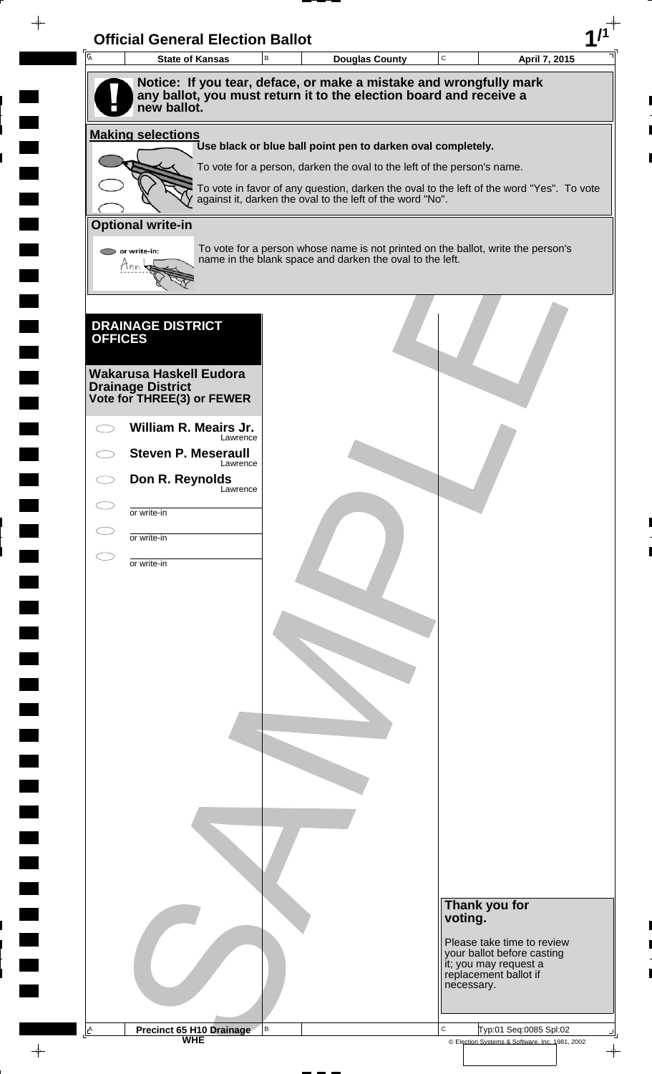| A              | <b>Official General Election Ballot</b>                   |   |                                                                                                                                                       |             |                                                                              |
|----------------|-----------------------------------------------------------|---|-------------------------------------------------------------------------------------------------------------------------------------------------------|-------------|------------------------------------------------------------------------------|
|                | <b>State of Kansas</b>                                    | B | <b>Douglas County</b>                                                                                                                                 | $\mathbf C$ | April 7, 2015                                                                |
|                | new ballot.                                               |   | Notice: If you tear, deface, or make a mistake and wrongfully mark<br>any ballot, you must return it to the election board and receive a              |             |                                                                              |
|                | <b>Making selections</b>                                  |   | Use black or blue ball point pen to darken oval completely.                                                                                           |             |                                                                              |
|                |                                                           |   | To vote for a person, darken the oval to the left of the person's name.                                                                               |             |                                                                              |
|                |                                                           |   | To vote in favor of any question, darken the oval to the left of the word "Yes". To vote<br>against it, darken the oval to the left of the word "No". |             |                                                                              |
|                | <b>Optional write-in</b>                                  |   |                                                                                                                                                       |             |                                                                              |
|                | $\triangleright$ or write-in:<br>Tnn                      |   | To vote for a person whose name is not printed on the ballot, write the person's<br>name in the blank space and darken the oval to the left.          |             |                                                                              |
|                |                                                           |   |                                                                                                                                                       |             |                                                                              |
| <b>OFFICES</b> | <b>DRAINAGE DISTRICT</b>                                  |   |                                                                                                                                                       |             |                                                                              |
|                | Wakarusa Haskell Eudora                                   |   |                                                                                                                                                       |             |                                                                              |
|                | <b>Drainage District</b><br>Vote for THREE(3) or FEWER    |   |                                                                                                                                                       |             |                                                                              |
|                | William R. Meairs Jr.<br>Lawrence                         |   |                                                                                                                                                       |             |                                                                              |
|                | <b>Steven P. Meseraull</b><br>Lawrence<br>Don R. Reynolds |   |                                                                                                                                                       |             |                                                                              |
|                | Lawrence                                                  |   |                                                                                                                                                       |             |                                                                              |
|                | or write-in<br>or write-in                                |   |                                                                                                                                                       |             |                                                                              |
|                | or write-in                                               |   |                                                                                                                                                       |             |                                                                              |
|                |                                                           |   |                                                                                                                                                       |             |                                                                              |
|                |                                                           |   |                                                                                                                                                       |             |                                                                              |
|                |                                                           |   |                                                                                                                                                       |             |                                                                              |
|                |                                                           |   |                                                                                                                                                       |             |                                                                              |
|                |                                                           |   |                                                                                                                                                       |             |                                                                              |
|                |                                                           |   |                                                                                                                                                       |             |                                                                              |
|                |                                                           |   |                                                                                                                                                       |             |                                                                              |
|                |                                                           |   |                                                                                                                                                       |             |                                                                              |
|                |                                                           |   |                                                                                                                                                       |             |                                                                              |
|                |                                                           |   |                                                                                                                                                       |             |                                                                              |
|                |                                                           |   |                                                                                                                                                       |             |                                                                              |
|                |                                                           |   |                                                                                                                                                       |             |                                                                              |
|                |                                                           |   |                                                                                                                                                       |             | Thank you for<br>voting.                                                     |
|                |                                                           |   |                                                                                                                                                       |             | Please take time to review                                                   |
|                |                                                           |   |                                                                                                                                                       |             | your ballot before casting<br>it; you may request a<br>replacement ballot if |
|                |                                                           |   |                                                                                                                                                       |             | necessary.                                                                   |
| <u>A</u>       |                                                           | В |                                                                                                                                                       | $\mathbf C$ | Typ:01 Seq:0085 Spl:02                                                       |
|                | <b>Precinct 65 H10 Drainage</b>                           |   |                                                                                                                                                       |             | © Election Systems & Software, Inc. 1981, 2002                               |

 $\blacksquare$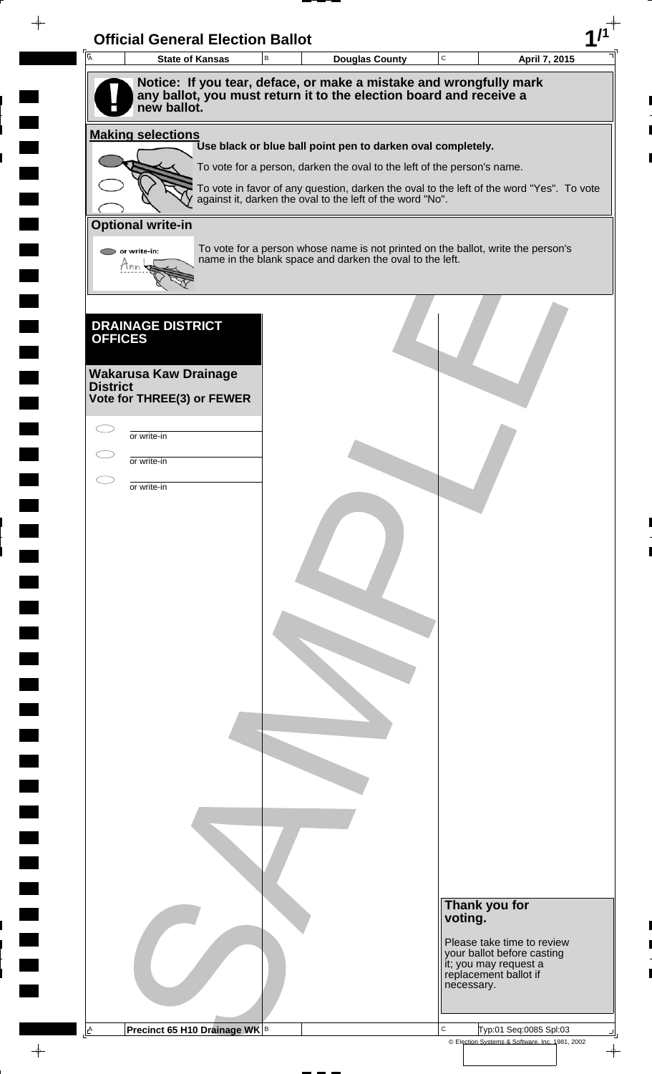| $\overline{A}$           | <b>Official General Election Ballot</b><br><b>State of Kansas</b> | B | <b>Douglas County</b>                                                                                                                        | $\mathbf C$ |                                                                              | April 7, 2015 |
|--------------------------|-------------------------------------------------------------------|---|----------------------------------------------------------------------------------------------------------------------------------------------|-------------|------------------------------------------------------------------------------|---------------|
|                          |                                                                   |   | Notice: If you tear, deface, or make a mistake and wrongfully mark                                                                           |             |                                                                              |               |
|                          | new ballot.                                                       |   | any ballot, you must return it to the election board and receive a                                                                           |             |                                                                              |               |
|                          |                                                                   |   |                                                                                                                                              |             |                                                                              |               |
| <b>Making selections</b> |                                                                   |   | Use black or blue ball point pen to darken oval completely.                                                                                  |             |                                                                              |               |
|                          |                                                                   |   | To vote for a person, darken the oval to the left of the person's name.                                                                      |             |                                                                              |               |
|                          |                                                                   |   | To vote in favor of any question, darken the oval to the left of the word "Yes". To vote                                                     |             |                                                                              |               |
|                          |                                                                   |   | against it, darken the oval to the left of the word "No".                                                                                    |             |                                                                              |               |
| <b>Optional write-in</b> |                                                                   |   |                                                                                                                                              |             |                                                                              |               |
| $\bigcirc$ or write-in:  |                                                                   |   | To vote for a person whose name is not printed on the ballot, write the person's<br>name in the blank space and darken the oval to the left. |             |                                                                              |               |
| Mnn                      |                                                                   |   |                                                                                                                                              |             |                                                                              |               |
|                          |                                                                   |   |                                                                                                                                              |             |                                                                              |               |
|                          | <b>DRAINAGE DISTRICT</b>                                          |   |                                                                                                                                              |             |                                                                              |               |
| <b>OFFICES</b>           |                                                                   |   |                                                                                                                                              |             |                                                                              |               |
|                          |                                                                   |   |                                                                                                                                              |             |                                                                              |               |
| <b>District</b>          | <b>Wakarusa Kaw Drainage</b>                                      |   |                                                                                                                                              |             |                                                                              |               |
|                          | Vote for THREE(3) or FEWER                                        |   |                                                                                                                                              |             |                                                                              |               |
|                          |                                                                   |   |                                                                                                                                              |             |                                                                              |               |
| or write-in              |                                                                   |   |                                                                                                                                              |             |                                                                              |               |
| or write-in              |                                                                   |   |                                                                                                                                              |             |                                                                              |               |
| or write-in              |                                                                   |   |                                                                                                                                              |             |                                                                              |               |
|                          |                                                                   |   |                                                                                                                                              |             |                                                                              |               |
|                          |                                                                   |   |                                                                                                                                              |             |                                                                              |               |
|                          |                                                                   |   |                                                                                                                                              |             |                                                                              |               |
|                          |                                                                   |   |                                                                                                                                              |             |                                                                              |               |
|                          |                                                                   |   |                                                                                                                                              |             |                                                                              |               |
|                          |                                                                   |   |                                                                                                                                              |             |                                                                              |               |
|                          |                                                                   |   |                                                                                                                                              |             |                                                                              |               |
|                          |                                                                   |   |                                                                                                                                              |             |                                                                              |               |
|                          |                                                                   |   |                                                                                                                                              |             |                                                                              |               |
|                          |                                                                   |   |                                                                                                                                              |             |                                                                              |               |
|                          |                                                                   |   |                                                                                                                                              |             |                                                                              |               |
|                          |                                                                   |   |                                                                                                                                              |             |                                                                              |               |
|                          |                                                                   |   |                                                                                                                                              |             |                                                                              |               |
|                          |                                                                   |   |                                                                                                                                              |             |                                                                              |               |
|                          |                                                                   |   |                                                                                                                                              |             |                                                                              |               |
|                          |                                                                   |   |                                                                                                                                              |             |                                                                              |               |
|                          |                                                                   |   |                                                                                                                                              |             |                                                                              |               |
|                          |                                                                   |   |                                                                                                                                              |             |                                                                              |               |
|                          |                                                                   |   |                                                                                                                                              |             | Thank you for                                                                |               |
|                          |                                                                   |   |                                                                                                                                              |             | voting.                                                                      |               |
|                          |                                                                   |   |                                                                                                                                              |             | Please take time to review                                                   |               |
|                          |                                                                   |   |                                                                                                                                              |             | your ballot before casting<br>it; you may request a<br>replacement ballot if |               |
|                          |                                                                   |   |                                                                                                                                              |             | necessary.                                                                   |               |
|                          |                                                                   |   |                                                                                                                                              |             |                                                                              |               |
|                          |                                                                   |   |                                                                                                                                              |             |                                                                              |               |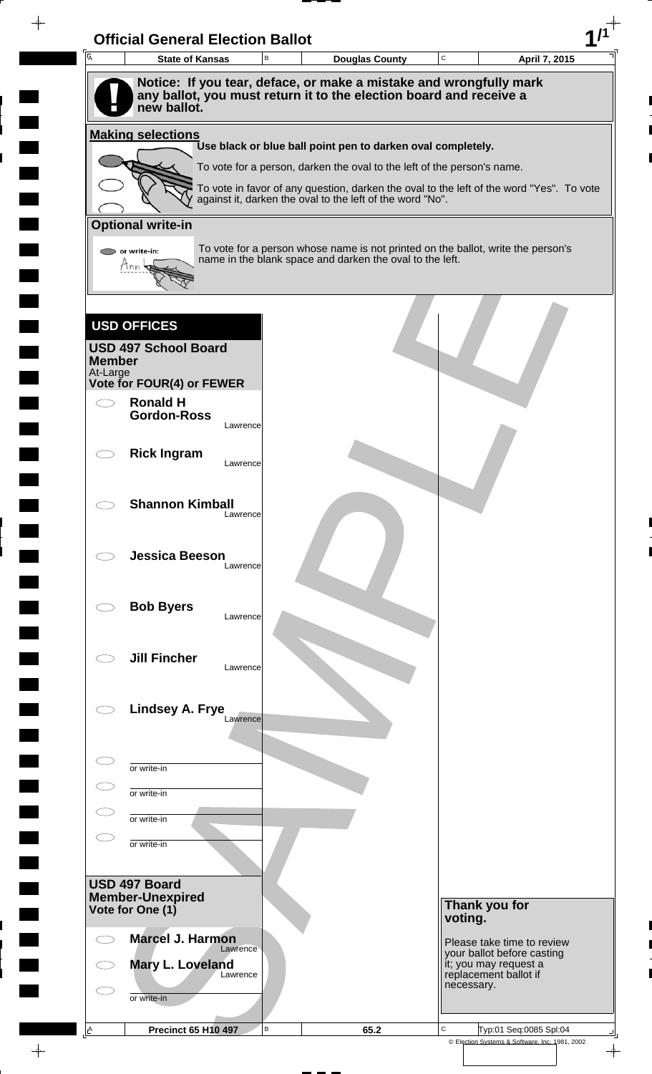| $\overline{A}$            | <b>State of Kansas</b>                   | $\mathsf B$ | <b>Douglas County</b>                                                                                                                                 | $\mathtt{C}$ | April 7, 2015                                       |
|---------------------------|------------------------------------------|-------------|-------------------------------------------------------------------------------------------------------------------------------------------------------|--------------|-----------------------------------------------------|
|                           |                                          |             | Notice: If you tear, deface, or make a mistake and wrongfully mark                                                                                    |              |                                                     |
|                           | new ballot.                              |             | any ballot, you must return it to the election board and receive a                                                                                    |              |                                                     |
|                           |                                          |             |                                                                                                                                                       |              |                                                     |
|                           | <b>Making selections</b>                 |             | Use black or blue ball point pen to darken oval completely.                                                                                           |              |                                                     |
|                           |                                          |             | To vote for a person, darken the oval to the left of the person's name.                                                                               |              |                                                     |
|                           |                                          |             | To vote in favor of any question, darken the oval to the left of the word "Yes". To vote<br>against it, darken the oval to the left of the word "No". |              |                                                     |
|                           |                                          |             |                                                                                                                                                       |              |                                                     |
|                           | <b>Optional write-in</b>                 |             |                                                                                                                                                       |              |                                                     |
|                           | or write-in:<br>Mnn                      |             | To vote for a person whose name is not printed on the ballot, write the person's<br>name in the blank space and darken the oval to the left.          |              |                                                     |
|                           |                                          |             |                                                                                                                                                       |              |                                                     |
|                           |                                          |             |                                                                                                                                                       |              |                                                     |
|                           | <b>USD OFFICES</b>                       |             |                                                                                                                                                       |              |                                                     |
|                           | <b>USD 497 School Board</b>              |             |                                                                                                                                                       |              |                                                     |
| <b>Member</b><br>At-Large |                                          |             |                                                                                                                                                       |              |                                                     |
|                           | Vote for FOUR(4) or FEWER                |             |                                                                                                                                                       |              |                                                     |
| in 1                      | <b>Ronald H</b><br><b>Gordon-Ross</b>    |             |                                                                                                                                                       |              |                                                     |
|                           |                                          | Lawrence    |                                                                                                                                                       |              |                                                     |
|                           | <b>Rick Ingram</b>                       |             |                                                                                                                                                       |              |                                                     |
|                           |                                          | Lawrence    |                                                                                                                                                       |              |                                                     |
|                           | <b>Shannon Kimball</b>                   |             |                                                                                                                                                       |              |                                                     |
|                           |                                          | Lawrence    |                                                                                                                                                       |              |                                                     |
|                           |                                          |             |                                                                                                                                                       |              |                                                     |
|                           | <b>Jessica Beeson</b>                    | Lawrence    |                                                                                                                                                       |              |                                                     |
|                           |                                          |             |                                                                                                                                                       |              |                                                     |
|                           | <b>Bob Byers</b>                         |             |                                                                                                                                                       |              |                                                     |
|                           |                                          | Lawrence    |                                                                                                                                                       |              |                                                     |
|                           | <b>Jill Fincher</b>                      |             |                                                                                                                                                       |              |                                                     |
|                           |                                          | Lawrence    |                                                                                                                                                       |              |                                                     |
|                           |                                          |             |                                                                                                                                                       |              |                                                     |
|                           | Lindsey A. Frye                          | Lawrence    |                                                                                                                                                       |              |                                                     |
|                           |                                          |             |                                                                                                                                                       |              |                                                     |
|                           | or write-in                              |             |                                                                                                                                                       |              |                                                     |
|                           |                                          |             |                                                                                                                                                       |              |                                                     |
|                           | or write-in                              |             |                                                                                                                                                       |              |                                                     |
|                           | or write-in                              |             |                                                                                                                                                       |              |                                                     |
|                           | or write-in                              |             |                                                                                                                                                       |              |                                                     |
|                           |                                          |             |                                                                                                                                                       |              |                                                     |
|                           | USD 497 Board<br><b>Member-Unexpired</b> |             |                                                                                                                                                       |              |                                                     |
|                           | Vote for One (1)                         |             |                                                                                                                                                       | voting.      | Thank you for                                       |
|                           | <b>Marcel J. Harmon</b>                  |             |                                                                                                                                                       |              | Please take time to review                          |
|                           | Mary L. Loveland                         | Lawrence    |                                                                                                                                                       |              | your ballot before casting<br>it; you may request a |
|                           |                                          | Lawrence    |                                                                                                                                                       | necessary.   | replacement ballot if                               |
|                           |                                          |             |                                                                                                                                                       |              |                                                     |
|                           | or write-in                              |             |                                                                                                                                                       |              |                                                     |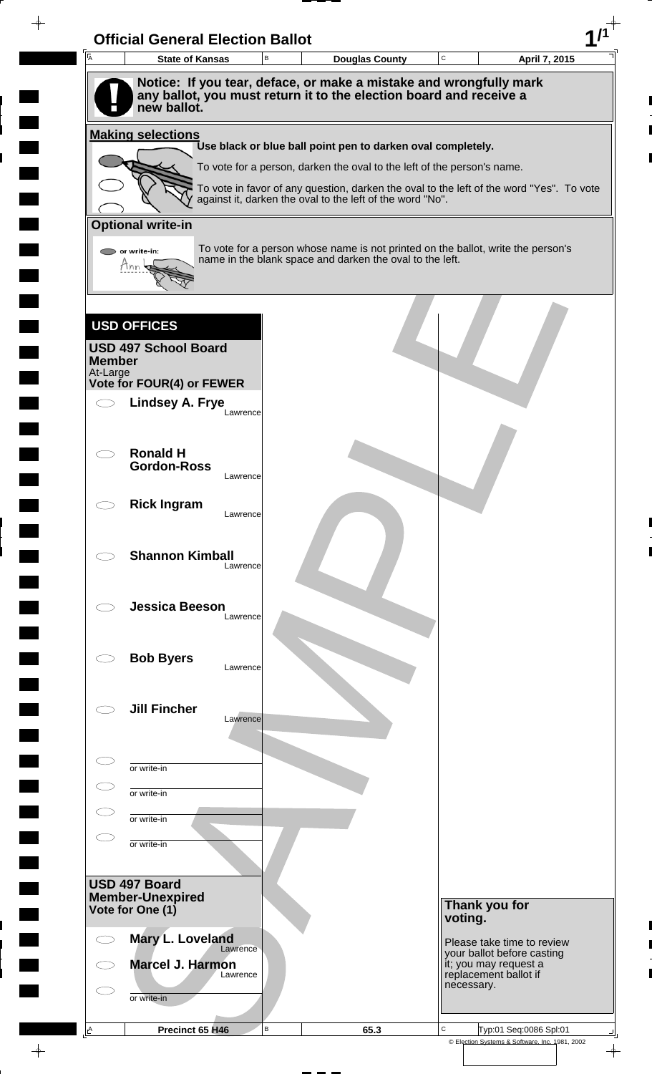| $\overline{A}$ | <b>State of Kansas</b>                                                            | B        | <b>Douglas County</b>                                                                                                                                 | C       |                                     | April 7, 2015              |
|----------------|-----------------------------------------------------------------------------------|----------|-------------------------------------------------------------------------------------------------------------------------------------------------------|---------|-------------------------------------|----------------------------|
|                | Notice: If you tear, deface, or make a mistake and wrongfully mark                |          |                                                                                                                                                       |         |                                     |                            |
|                | any ballot, you must return it to the election board and receive a<br>new ballot. |          |                                                                                                                                                       |         |                                     |                            |
|                | <b>Making selections</b>                                                          |          |                                                                                                                                                       |         |                                     |                            |
|                |                                                                                   |          | Use black or blue ball point pen to darken oval completely.                                                                                           |         |                                     |                            |
|                |                                                                                   |          | To vote for a person, darken the oval to the left of the person's name.                                                                               |         |                                     |                            |
|                |                                                                                   |          | To vote in favor of any question, darken the oval to the left of the word "Yes". To vote<br>against it, darken the oval to the left of the word "No". |         |                                     |                            |
|                | <b>Optional write-in</b>                                                          |          |                                                                                                                                                       |         |                                     |                            |
|                | or write-in:                                                                      |          | To vote for a person whose name is not printed on the ballot, write the person's                                                                      |         |                                     |                            |
|                | Mnn                                                                               |          | name in the blank space and darken the oval to the left.                                                                                              |         |                                     |                            |
|                |                                                                                   |          |                                                                                                                                                       |         |                                     |                            |
|                |                                                                                   |          |                                                                                                                                                       |         |                                     |                            |
|                | <b>USD OFFICES</b>                                                                |          |                                                                                                                                                       |         |                                     |                            |
| <b>Member</b>  | <b>USD 497 School Board</b>                                                       |          |                                                                                                                                                       |         |                                     |                            |
| At-Large       | Vote for FOUR(4) or FEWER                                                         |          |                                                                                                                                                       |         |                                     |                            |
|                | <b>Lindsey A. Frye</b>                                                            |          |                                                                                                                                                       |         |                                     |                            |
|                |                                                                                   | Lawrence |                                                                                                                                                       |         |                                     |                            |
|                | <b>Ronald H</b>                                                                   |          |                                                                                                                                                       |         |                                     |                            |
|                | <b>Gordon-Ross</b>                                                                |          |                                                                                                                                                       |         |                                     |                            |
|                |                                                                                   | Lawrence |                                                                                                                                                       |         |                                     |                            |
|                | <b>Rick Ingram</b>                                                                | Lawrence |                                                                                                                                                       |         |                                     |                            |
|                |                                                                                   |          |                                                                                                                                                       |         |                                     |                            |
|                | <b>Shannon Kimball</b>                                                            |          |                                                                                                                                                       |         |                                     |                            |
|                |                                                                                   | Lawrence |                                                                                                                                                       |         |                                     |                            |
|                | <b>Jessica Beeson</b>                                                             |          |                                                                                                                                                       |         |                                     |                            |
|                |                                                                                   | Lawrence |                                                                                                                                                       |         |                                     |                            |
|                |                                                                                   |          |                                                                                                                                                       |         |                                     |                            |
|                | <b>Bob Byers</b>                                                                  | Lawrence |                                                                                                                                                       |         |                                     |                            |
|                |                                                                                   |          |                                                                                                                                                       |         |                                     |                            |
|                | <b>Jill Fincher</b>                                                               | Lawrence |                                                                                                                                                       |         |                                     |                            |
|                |                                                                                   |          |                                                                                                                                                       |         |                                     |                            |
|                |                                                                                   |          |                                                                                                                                                       |         |                                     |                            |
|                | or write-in                                                                       |          |                                                                                                                                                       |         |                                     |                            |
|                | or write-in                                                                       |          |                                                                                                                                                       |         |                                     |                            |
|                | or write-in                                                                       |          |                                                                                                                                                       |         |                                     |                            |
|                | or write-in                                                                       |          |                                                                                                                                                       |         |                                     |                            |
|                |                                                                                   |          |                                                                                                                                                       |         |                                     |                            |
|                | USD 497 Board<br><b>Member-Unexpired</b>                                          |          |                                                                                                                                                       |         |                                     |                            |
|                | Vote for One (1)                                                                  |          |                                                                                                                                                       | voting. | Thank you for                       |                            |
|                | Mary L. Loveland                                                                  |          |                                                                                                                                                       |         |                                     | Please take time to review |
|                | Marcel J. Harmon                                                                  | Lawrence |                                                                                                                                                       |         | it; you may request a               | your ballot before casting |
|                |                                                                                   | Lawrence |                                                                                                                                                       |         | replacement ballot if<br>necessary. |                            |
|                |                                                                                   |          |                                                                                                                                                       |         |                                     |                            |
|                | or write-in                                                                       |          |                                                                                                                                                       |         |                                     |                            |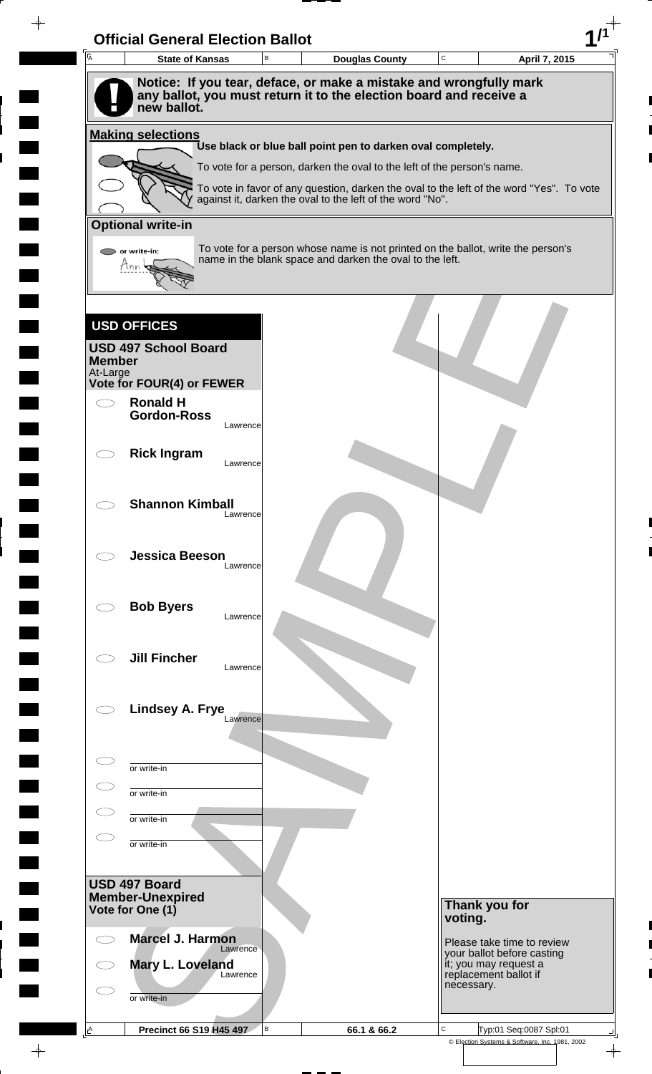| $\overline{A}$            | <b>State of Kansas</b>                                                            | B        | <b>Douglas County</b>                                                                                                                        | C          | April 7, 2015                                  |
|---------------------------|-----------------------------------------------------------------------------------|----------|----------------------------------------------------------------------------------------------------------------------------------------------|------------|------------------------------------------------|
|                           |                                                                                   |          | Notice: If you tear, deface, or make a mistake and wrongfully mark                                                                           |            |                                                |
|                           | any ballot, you must return it to the election board and receive a<br>new ballot. |          |                                                                                                                                              |            |                                                |
|                           |                                                                                   |          |                                                                                                                                              |            |                                                |
|                           | <b>Making selections</b>                                                          |          | Use black or blue ball point pen to darken oval completely.                                                                                  |            |                                                |
|                           |                                                                                   |          | To vote for a person, darken the oval to the left of the person's name.                                                                      |            |                                                |
|                           |                                                                                   |          | To vote in favor of any question, darken the oval to the left of the word "Yes". To vote                                                     |            |                                                |
|                           |                                                                                   |          | against it, darken the oval to the left of the word "No".                                                                                    |            |                                                |
|                           | <b>Optional write-in</b>                                                          |          |                                                                                                                                              |            |                                                |
|                           | or write-in:                                                                      |          | To vote for a person whose name is not printed on the ballot, write the person's<br>name in the blank space and darken the oval to the left. |            |                                                |
|                           | Mnn                                                                               |          |                                                                                                                                              |            |                                                |
|                           |                                                                                   |          |                                                                                                                                              |            |                                                |
|                           | <b>USD OFFICES</b>                                                                |          |                                                                                                                                              |            |                                                |
|                           | <b>USD 497 School Board</b>                                                       |          |                                                                                                                                              |            |                                                |
| <b>Member</b><br>At-Large |                                                                                   |          |                                                                                                                                              |            |                                                |
|                           | Vote for FOUR(4) or FEWER                                                         |          |                                                                                                                                              |            |                                                |
|                           | <b>Ronald H</b><br><b>Gordon-Ross</b>                                             |          |                                                                                                                                              |            |                                                |
|                           |                                                                                   | Lawrence |                                                                                                                                              |            |                                                |
|                           | <b>Rick Ingram</b>                                                                |          |                                                                                                                                              |            |                                                |
|                           |                                                                                   | Lawrence |                                                                                                                                              |            |                                                |
|                           |                                                                                   |          |                                                                                                                                              |            |                                                |
|                           | <b>Shannon Kimball</b>                                                            | Lawrence |                                                                                                                                              |            |                                                |
|                           |                                                                                   |          |                                                                                                                                              |            |                                                |
|                           | <b>Jessica Beeson</b>                                                             | Lawrence |                                                                                                                                              |            |                                                |
|                           |                                                                                   |          |                                                                                                                                              |            |                                                |
|                           | <b>Bob Byers</b>                                                                  |          |                                                                                                                                              |            |                                                |
|                           |                                                                                   | Lawrence |                                                                                                                                              |            |                                                |
|                           |                                                                                   |          |                                                                                                                                              |            |                                                |
|                           | <b>Jill Fincher</b>                                                               | Lawrence |                                                                                                                                              |            |                                                |
|                           |                                                                                   |          |                                                                                                                                              |            |                                                |
|                           | Lindsey A. Frye                                                                   | Lawrence |                                                                                                                                              |            |                                                |
|                           |                                                                                   |          |                                                                                                                                              |            |                                                |
|                           |                                                                                   |          |                                                                                                                                              |            |                                                |
|                           | or write-in                                                                       |          |                                                                                                                                              |            |                                                |
|                           | or write-in                                                                       |          |                                                                                                                                              |            |                                                |
|                           | or write-in                                                                       |          |                                                                                                                                              |            |                                                |
|                           | or write-in                                                                       |          |                                                                                                                                              |            |                                                |
|                           |                                                                                   |          |                                                                                                                                              |            |                                                |
|                           | USD 497 Board<br><b>Member-Unexpired</b>                                          |          |                                                                                                                                              |            |                                                |
|                           | Vote for One (1)                                                                  |          |                                                                                                                                              | voting.    | Thank you for                                  |
|                           | <b>Marcel J. Harmon</b>                                                           |          |                                                                                                                                              |            | Please take time to review                     |
|                           |                                                                                   | Lawrence |                                                                                                                                              |            | your ballot before casting                     |
|                           | Mary L. Loveland                                                                  | Lawrence |                                                                                                                                              |            | it; you may request a<br>replacement ballot if |
|                           |                                                                                   |          |                                                                                                                                              |            |                                                |
|                           | or write-in                                                                       |          |                                                                                                                                              | necessary. |                                                |

 $\frac{1}{\sqrt{2\pi}}$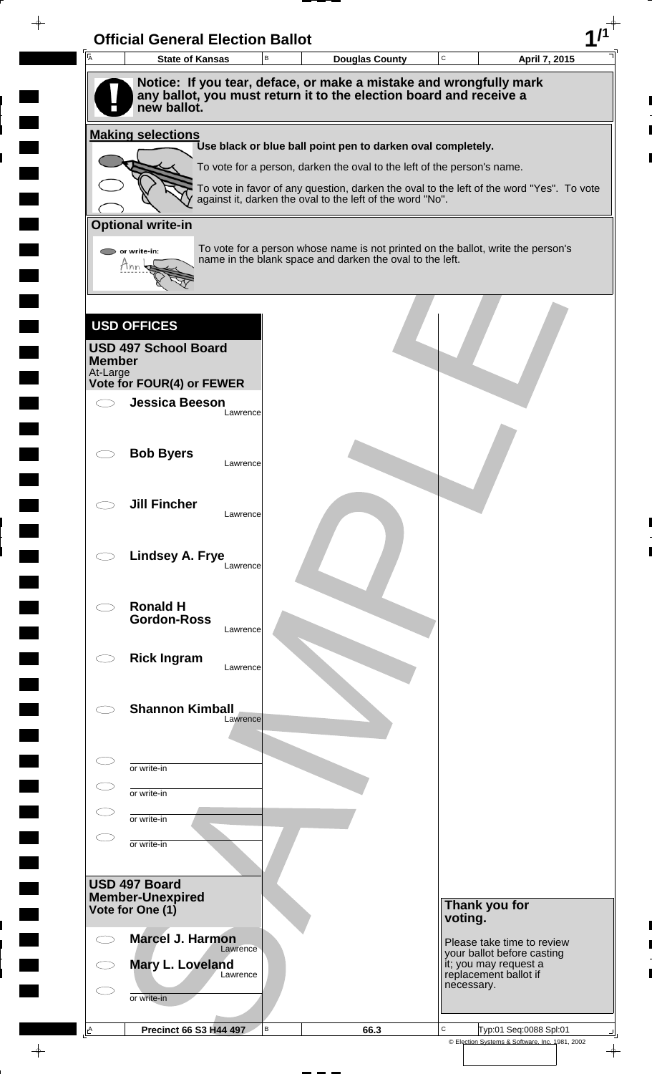| $\overline{A}$            | <b>State of Kansas</b>                                                            | B        |                                                                                                                                                       | <b>Douglas County</b> | C       |                                                          | April 7, 2015 |
|---------------------------|-----------------------------------------------------------------------------------|----------|-------------------------------------------------------------------------------------------------------------------------------------------------------|-----------------------|---------|----------------------------------------------------------|---------------|
|                           | Notice: If you tear, deface, or make a mistake and wrongfully mark                |          |                                                                                                                                                       |                       |         |                                                          |               |
|                           | any ballot, you must return it to the election board and receive a<br>new ballot. |          |                                                                                                                                                       |                       |         |                                                          |               |
|                           | <b>Making selections</b>                                                          |          |                                                                                                                                                       |                       |         |                                                          |               |
|                           |                                                                                   |          | Use black or blue ball point pen to darken oval completely.                                                                                           |                       |         |                                                          |               |
|                           |                                                                                   |          | To vote for a person, darken the oval to the left of the person's name.                                                                               |                       |         |                                                          |               |
|                           |                                                                                   |          | To vote in favor of any question, darken the oval to the left of the word "Yes". To vote<br>against it, darken the oval to the left of the word "No". |                       |         |                                                          |               |
|                           | <b>Optional write-in</b>                                                          |          |                                                                                                                                                       |                       |         |                                                          |               |
|                           | or write-in:                                                                      |          | To vote for a person whose name is not printed on the ballot, write the person's<br>name in the blank space and darken the oval to the left.          |                       |         |                                                          |               |
|                           | Mnn                                                                               |          |                                                                                                                                                       |                       |         |                                                          |               |
|                           |                                                                                   |          |                                                                                                                                                       |                       |         |                                                          |               |
|                           | <b>USD OFFICES</b>                                                                |          |                                                                                                                                                       |                       |         |                                                          |               |
|                           | <b>USD 497 School Board</b>                                                       |          |                                                                                                                                                       |                       |         |                                                          |               |
| <b>Member</b><br>At-Large |                                                                                   |          |                                                                                                                                                       |                       |         |                                                          |               |
|                           | Vote for FOUR(4) or FEWER                                                         |          |                                                                                                                                                       |                       |         |                                                          |               |
|                           | <b>Jessica Beeson</b>                                                             | Lawrence |                                                                                                                                                       |                       |         |                                                          |               |
|                           |                                                                                   |          |                                                                                                                                                       |                       |         |                                                          |               |
|                           | <b>Bob Byers</b>                                                                  | Lawrence |                                                                                                                                                       |                       |         |                                                          |               |
|                           |                                                                                   |          |                                                                                                                                                       |                       |         |                                                          |               |
|                           | <b>Jill Fincher</b>                                                               | Lawrence |                                                                                                                                                       |                       |         |                                                          |               |
|                           |                                                                                   |          |                                                                                                                                                       |                       |         |                                                          |               |
|                           | Lindsey A. Frye                                                                   |          |                                                                                                                                                       |                       |         |                                                          |               |
|                           |                                                                                   | Lawrence |                                                                                                                                                       |                       |         |                                                          |               |
|                           | <b>Ronald H</b>                                                                   |          |                                                                                                                                                       |                       |         |                                                          |               |
|                           | <b>Gordon-Ross</b>                                                                | Lawrence |                                                                                                                                                       |                       |         |                                                          |               |
|                           |                                                                                   |          |                                                                                                                                                       |                       |         |                                                          |               |
|                           | <b>Rick Ingram</b>                                                                | Lawrence |                                                                                                                                                       |                       |         |                                                          |               |
|                           |                                                                                   |          |                                                                                                                                                       |                       |         |                                                          |               |
|                           | <b>Shannon Kimball</b>                                                            | Lawrence |                                                                                                                                                       |                       |         |                                                          |               |
|                           |                                                                                   |          |                                                                                                                                                       |                       |         |                                                          |               |
|                           | or write-in                                                                       |          |                                                                                                                                                       |                       |         |                                                          |               |
|                           | or write-in                                                                       |          |                                                                                                                                                       |                       |         |                                                          |               |
|                           | or write-in                                                                       |          |                                                                                                                                                       |                       |         |                                                          |               |
|                           |                                                                                   |          |                                                                                                                                                       |                       |         |                                                          |               |
|                           | or write-in                                                                       |          |                                                                                                                                                       |                       |         |                                                          |               |
|                           | USD 497 Board                                                                     |          |                                                                                                                                                       |                       |         |                                                          |               |
|                           | <b>Member-Unexpired</b><br>Vote for One (1)                                       |          |                                                                                                                                                       |                       |         | Thank you for                                            |               |
|                           |                                                                                   |          |                                                                                                                                                       |                       | voting. |                                                          |               |
|                           | <b>Marcel J. Harmon</b>                                                           | Lawrence |                                                                                                                                                       |                       |         | Please take time to review<br>your ballot before casting |               |
|                           | Mary L. Loveland                                                                  |          |                                                                                                                                                       |                       |         | it; you may request a                                    |               |
|                           |                                                                                   | Lawrence |                                                                                                                                                       |                       |         | replacement ballot if                                    |               |
|                           | or write-in                                                                       |          |                                                                                                                                                       |                       |         | necessary.                                               |               |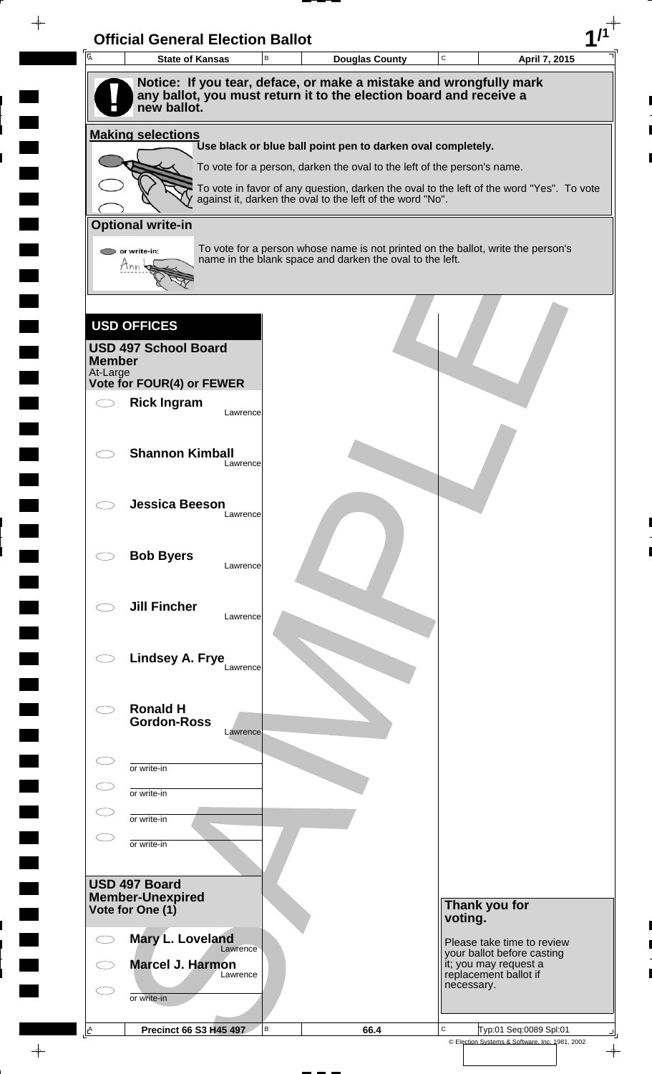| $\overline{A}$            | <b>State of Kansas</b>                                                            | B        | <b>Douglas County</b>                                                                                                                                 | C       |                                     | April 7, 2015              |
|---------------------------|-----------------------------------------------------------------------------------|----------|-------------------------------------------------------------------------------------------------------------------------------------------------------|---------|-------------------------------------|----------------------------|
|                           | Notice: If you tear, deface, or make a mistake and wrongfully mark                |          |                                                                                                                                                       |         |                                     |                            |
|                           | any ballot, you must return it to the election board and receive a<br>new ballot. |          |                                                                                                                                                       |         |                                     |                            |
|                           | <b>Making selections</b>                                                          |          |                                                                                                                                                       |         |                                     |                            |
|                           |                                                                                   |          | Use black or blue ball point pen to darken oval completely.                                                                                           |         |                                     |                            |
|                           |                                                                                   |          | To vote for a person, darken the oval to the left of the person's name.                                                                               |         |                                     |                            |
|                           |                                                                                   |          | To vote in favor of any question, darken the oval to the left of the word "Yes". To vote<br>against it, darken the oval to the left of the word "No". |         |                                     |                            |
|                           | <b>Optional write-in</b>                                                          |          |                                                                                                                                                       |         |                                     |                            |
|                           |                                                                                   |          | To vote for a person whose name is not printed on the ballot, write the person's                                                                      |         |                                     |                            |
|                           | or write-in:<br>Mnn                                                               |          | name in the blank space and darken the oval to the left.                                                                                              |         |                                     |                            |
|                           |                                                                                   |          |                                                                                                                                                       |         |                                     |                            |
|                           |                                                                                   |          |                                                                                                                                                       |         |                                     |                            |
|                           | <b>USD OFFICES</b>                                                                |          |                                                                                                                                                       |         |                                     |                            |
|                           | <b>USD 497 School Board</b>                                                       |          |                                                                                                                                                       |         |                                     |                            |
| <b>Member</b><br>At-Large |                                                                                   |          |                                                                                                                                                       |         |                                     |                            |
|                           | Vote for FOUR(4) or FEWER                                                         |          |                                                                                                                                                       |         |                                     |                            |
|                           | <b>Rick Ingram</b>                                                                | Lawrence |                                                                                                                                                       |         |                                     |                            |
|                           |                                                                                   |          |                                                                                                                                                       |         |                                     |                            |
|                           | <b>Shannon Kimball</b>                                                            | Lawrence |                                                                                                                                                       |         |                                     |                            |
|                           |                                                                                   |          |                                                                                                                                                       |         |                                     |                            |
|                           | <b>Jessica Beeson</b>                                                             |          |                                                                                                                                                       |         |                                     |                            |
|                           |                                                                                   | Lawrence |                                                                                                                                                       |         |                                     |                            |
|                           |                                                                                   |          |                                                                                                                                                       |         |                                     |                            |
|                           | <b>Bob Byers</b>                                                                  | Lawrence |                                                                                                                                                       |         |                                     |                            |
|                           |                                                                                   |          |                                                                                                                                                       |         |                                     |                            |
|                           | <b>Jill Fincher</b>                                                               | Lawrence |                                                                                                                                                       |         |                                     |                            |
|                           |                                                                                   |          |                                                                                                                                                       |         |                                     |                            |
|                           | Lindsey A. Frye                                                                   |          |                                                                                                                                                       |         |                                     |                            |
|                           |                                                                                   | Lawrence |                                                                                                                                                       |         |                                     |                            |
|                           |                                                                                   |          |                                                                                                                                                       |         |                                     |                            |
|                           | <b>Ronald H</b><br><b>Gordon-Ross</b>                                             |          |                                                                                                                                                       |         |                                     |                            |
|                           |                                                                                   | Lawrence |                                                                                                                                                       |         |                                     |                            |
|                           | or write-in                                                                       |          |                                                                                                                                                       |         |                                     |                            |
|                           | or write-in                                                                       |          |                                                                                                                                                       |         |                                     |                            |
|                           |                                                                                   |          |                                                                                                                                                       |         |                                     |                            |
|                           | or write-in                                                                       |          |                                                                                                                                                       |         |                                     |                            |
|                           | or write-in                                                                       |          |                                                                                                                                                       |         |                                     |                            |
|                           |                                                                                   |          |                                                                                                                                                       |         |                                     |                            |
|                           | USD 497 Board<br><b>Member-Unexpired</b>                                          |          |                                                                                                                                                       |         |                                     |                            |
|                           | Vote for One (1)                                                                  |          |                                                                                                                                                       | voting. | Thank you for                       |                            |
|                           | Mary L. Loveland                                                                  |          |                                                                                                                                                       |         |                                     | Please take time to review |
|                           | Marcel J. Harmon                                                                  | Lawrence |                                                                                                                                                       |         | it; you may request a               | your ballot before casting |
|                           |                                                                                   | Lawrence |                                                                                                                                                       |         | replacement ballot if<br>necessary. |                            |
|                           |                                                                                   |          |                                                                                                                                                       |         |                                     |                            |
|                           | or write-in                                                                       |          |                                                                                                                                                       |         |                                     |                            |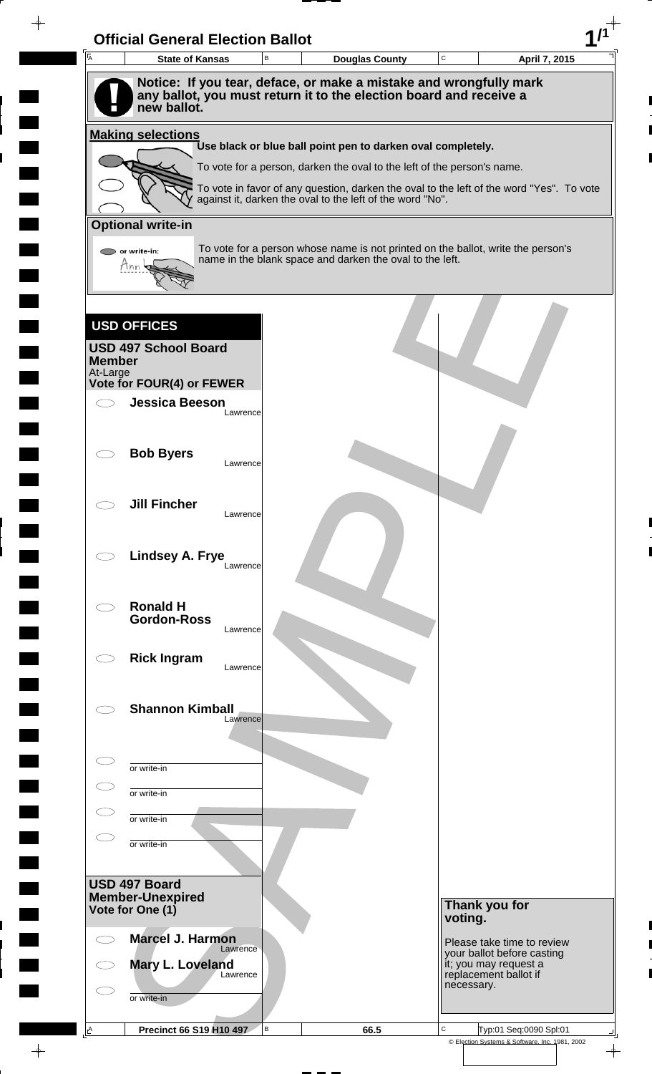| $\overline{A}$            | <b>State of Kansas</b>                                                            | B        | <b>Douglas County</b>                                                                                                                                 | C |                                                          | April 7, 2015 |
|---------------------------|-----------------------------------------------------------------------------------|----------|-------------------------------------------------------------------------------------------------------------------------------------------------------|---|----------------------------------------------------------|---------------|
|                           | Notice: If you tear, deface, or make a mistake and wrongfully mark                |          |                                                                                                                                                       |   |                                                          |               |
|                           | any ballot, you must return it to the election board and receive a<br>new ballot. |          |                                                                                                                                                       |   |                                                          |               |
|                           | <b>Making selections</b>                                                          |          |                                                                                                                                                       |   |                                                          |               |
|                           |                                                                                   |          | Use black or blue ball point pen to darken oval completely.                                                                                           |   |                                                          |               |
|                           |                                                                                   |          | To vote for a person, darken the oval to the left of the person's name.                                                                               |   |                                                          |               |
|                           |                                                                                   |          | To vote in favor of any question, darken the oval to the left of the word "Yes". To vote<br>against it, darken the oval to the left of the word "No". |   |                                                          |               |
|                           | <b>Optional write-in</b>                                                          |          |                                                                                                                                                       |   |                                                          |               |
|                           | or write-in:                                                                      |          | To vote for a person whose name is not printed on the ballot, write the person's<br>name in the blank space and darken the oval to the left.          |   |                                                          |               |
|                           | Mnn                                                                               |          |                                                                                                                                                       |   |                                                          |               |
|                           |                                                                                   |          |                                                                                                                                                       |   |                                                          |               |
|                           | <b>USD OFFICES</b>                                                                |          |                                                                                                                                                       |   |                                                          |               |
|                           | <b>USD 497 School Board</b>                                                       |          |                                                                                                                                                       |   |                                                          |               |
| <b>Member</b><br>At-Large |                                                                                   |          |                                                                                                                                                       |   |                                                          |               |
|                           | Vote for FOUR(4) or FEWER                                                         |          |                                                                                                                                                       |   |                                                          |               |
|                           | <b>Jessica Beeson</b>                                                             | Lawrence |                                                                                                                                                       |   |                                                          |               |
|                           |                                                                                   |          |                                                                                                                                                       |   |                                                          |               |
|                           | <b>Bob Byers</b>                                                                  | Lawrence |                                                                                                                                                       |   |                                                          |               |
|                           |                                                                                   |          |                                                                                                                                                       |   |                                                          |               |
|                           | <b>Jill Fincher</b>                                                               | Lawrence |                                                                                                                                                       |   |                                                          |               |
|                           |                                                                                   |          |                                                                                                                                                       |   |                                                          |               |
|                           | Lindsey A. Frye                                                                   |          |                                                                                                                                                       |   |                                                          |               |
|                           |                                                                                   | Lawrence |                                                                                                                                                       |   |                                                          |               |
|                           | <b>Ronald H</b>                                                                   |          |                                                                                                                                                       |   |                                                          |               |
|                           | <b>Gordon-Ross</b>                                                                | Lawrence |                                                                                                                                                       |   |                                                          |               |
|                           |                                                                                   |          |                                                                                                                                                       |   |                                                          |               |
|                           | <b>Rick Ingram</b>                                                                | Lawrence |                                                                                                                                                       |   |                                                          |               |
|                           |                                                                                   |          |                                                                                                                                                       |   |                                                          |               |
|                           | <b>Shannon Kimball</b>                                                            | Lawrence |                                                                                                                                                       |   |                                                          |               |
|                           |                                                                                   |          |                                                                                                                                                       |   |                                                          |               |
|                           | or write-in                                                                       |          |                                                                                                                                                       |   |                                                          |               |
|                           | or write-in                                                                       |          |                                                                                                                                                       |   |                                                          |               |
|                           | or write-in                                                                       |          |                                                                                                                                                       |   |                                                          |               |
|                           | or write-in                                                                       |          |                                                                                                                                                       |   |                                                          |               |
|                           |                                                                                   |          |                                                                                                                                                       |   |                                                          |               |
|                           | USD 497 Board                                                                     |          |                                                                                                                                                       |   |                                                          |               |
|                           | <b>Member-Unexpired</b><br>Vote for One (1)                                       |          |                                                                                                                                                       |   | Thank you for                                            |               |
|                           |                                                                                   |          |                                                                                                                                                       |   | voting.                                                  |               |
|                           | <b>Marcel J. Harmon</b>                                                           | Lawrence |                                                                                                                                                       |   | Please take time to review<br>your ballot before casting |               |
|                           | Mary L. Loveland                                                                  | Lawrence |                                                                                                                                                       |   | it; you may request a<br>replacement ballot if           |               |
|                           |                                                                                   |          |                                                                                                                                                       |   | necessary.                                               |               |
|                           | or write-in                                                                       |          |                                                                                                                                                       |   |                                                          |               |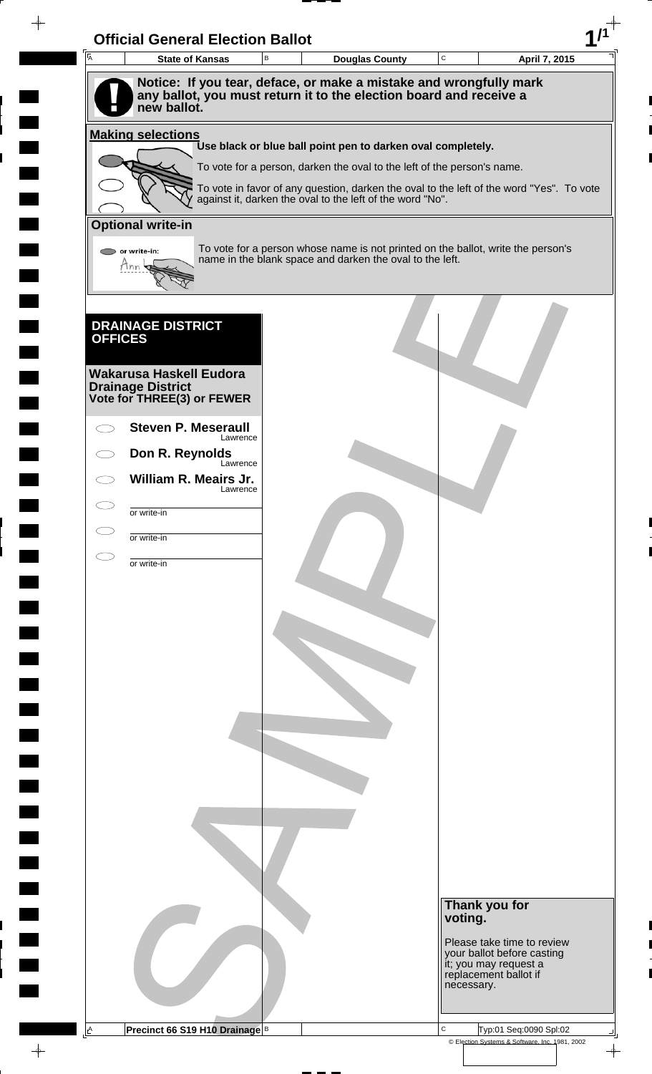| <b>I</b> A     | <b>Official General Election Ballot</b><br><b>State of Kansas</b>                 | $\sf B$ | <b>Douglas County</b>                                                                                                                        | $\mathbf C$ |                                                | April 7, 2015              |  |
|----------------|-----------------------------------------------------------------------------------|---------|----------------------------------------------------------------------------------------------------------------------------------------------|-------------|------------------------------------------------|----------------------------|--|
|                | Notice: If you tear, deface, or make a mistake and wrongfully mark                |         |                                                                                                                                              |             |                                                |                            |  |
|                | any ballot, you must return it to the election board and receive a<br>new ballot. |         |                                                                                                                                              |             |                                                |                            |  |
|                | <b>Making selections</b>                                                          |         | Use black or blue ball point pen to darken oval completely.                                                                                  |             |                                                |                            |  |
|                |                                                                                   |         | To vote for a person, darken the oval to the left of the person's name.                                                                      |             |                                                |                            |  |
|                |                                                                                   |         | To vote in favor of any question, darken the oval to the left of the word "Yes". To vote                                                     |             |                                                |                            |  |
|                |                                                                                   |         | against it, darken the oval to the left of the word "No".                                                                                    |             |                                                |                            |  |
|                | <b>Optional write-in</b>                                                          |         |                                                                                                                                              |             |                                                |                            |  |
|                | or write-in:<br>Tnn                                                               |         | To vote for a person whose name is not printed on the ballot, write the person's<br>name in the blank space and darken the oval to the left. |             |                                                |                            |  |
|                |                                                                                   |         |                                                                                                                                              |             |                                                |                            |  |
|                |                                                                                   |         |                                                                                                                                              |             |                                                |                            |  |
| <b>OFFICES</b> | <b>DRAINAGE DISTRICT</b>                                                          |         |                                                                                                                                              |             |                                                |                            |  |
|                |                                                                                   |         |                                                                                                                                              |             |                                                |                            |  |
|                | <b>Wakarusa Haskell Eudora</b><br><b>Drainage District</b>                        |         |                                                                                                                                              |             |                                                |                            |  |
|                | Vote for THREE(3) or FEWER                                                        |         |                                                                                                                                              |             |                                                |                            |  |
|                | <b>Steven P. Meseraull</b><br>Lawrence                                            |         |                                                                                                                                              |             |                                                |                            |  |
|                | Don R. Reynolds                                                                   |         |                                                                                                                                              |             |                                                |                            |  |
|                | Lawrence<br>William R. Meairs Jr.                                                 |         |                                                                                                                                              |             |                                                |                            |  |
|                | Lawrence                                                                          |         |                                                                                                                                              |             |                                                |                            |  |
|                | or write-in                                                                       |         |                                                                                                                                              |             |                                                |                            |  |
|                | or write-in                                                                       |         |                                                                                                                                              |             |                                                |                            |  |
|                | or write-in                                                                       |         |                                                                                                                                              |             |                                                |                            |  |
|                |                                                                                   |         |                                                                                                                                              |             |                                                |                            |  |
|                |                                                                                   |         |                                                                                                                                              |             |                                                |                            |  |
|                |                                                                                   |         |                                                                                                                                              |             |                                                |                            |  |
|                |                                                                                   |         |                                                                                                                                              |             |                                                |                            |  |
|                |                                                                                   |         |                                                                                                                                              |             |                                                |                            |  |
|                |                                                                                   |         |                                                                                                                                              |             |                                                |                            |  |
|                |                                                                                   |         |                                                                                                                                              |             |                                                |                            |  |
|                |                                                                                   |         |                                                                                                                                              |             |                                                |                            |  |
|                |                                                                                   |         |                                                                                                                                              |             |                                                |                            |  |
|                |                                                                                   |         |                                                                                                                                              |             |                                                |                            |  |
|                |                                                                                   |         |                                                                                                                                              |             |                                                |                            |  |
|                |                                                                                   |         |                                                                                                                                              |             |                                                |                            |  |
|                |                                                                                   |         |                                                                                                                                              |             |                                                |                            |  |
|                |                                                                                   |         |                                                                                                                                              | voting.     | Thank you for                                  |                            |  |
|                |                                                                                   |         |                                                                                                                                              |             |                                                | Please take time to review |  |
|                |                                                                                   |         |                                                                                                                                              |             | it; you may request a<br>replacement ballot if | your ballot before casting |  |
|                |                                                                                   |         |                                                                                                                                              |             | necessary.                                     |                            |  |
|                |                                                                                   |         |                                                                                                                                              |             |                                                |                            |  |
|                |                                                                                   |         |                                                                                                                                              |             |                                                |                            |  |

 $\blacksquare$ 

 $\blacksquare$ 

 $\qquad \qquad \blacksquare$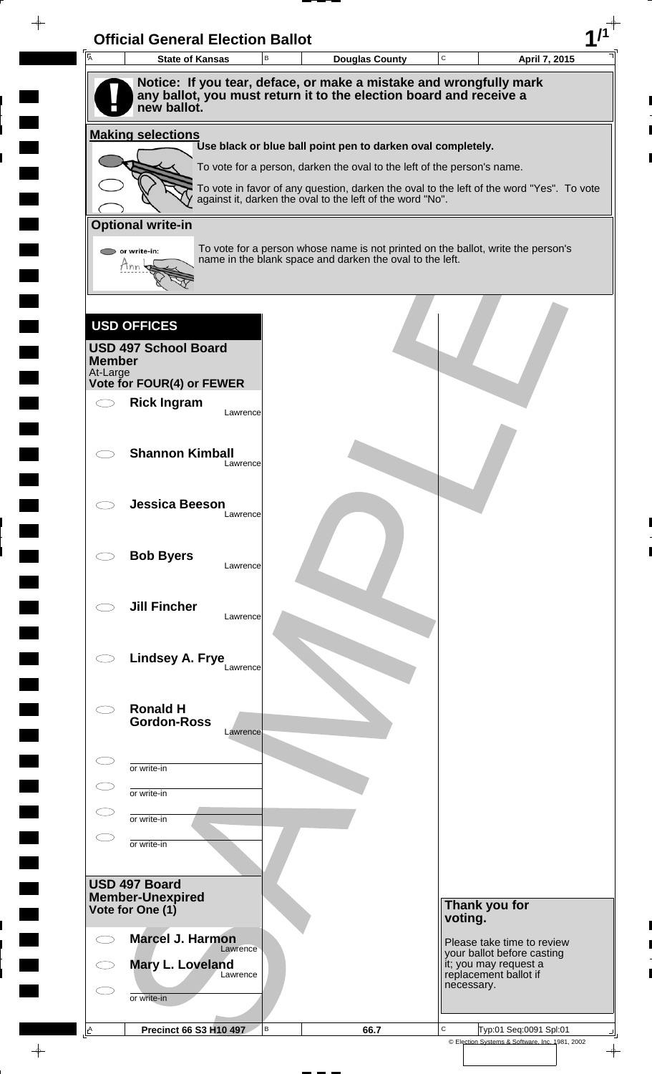| $\overline{A}$            | <b>State of Kansas</b>                                                            | B        | <b>Douglas County</b>                                                                                                                                 | C       |                                     | April 7, 2015              |
|---------------------------|-----------------------------------------------------------------------------------|----------|-------------------------------------------------------------------------------------------------------------------------------------------------------|---------|-------------------------------------|----------------------------|
|                           | Notice: If you tear, deface, or make a mistake and wrongfully mark                |          |                                                                                                                                                       |         |                                     |                            |
|                           | any ballot, you must return it to the election board and receive a<br>new ballot. |          |                                                                                                                                                       |         |                                     |                            |
|                           | <b>Making selections</b>                                                          |          |                                                                                                                                                       |         |                                     |                            |
|                           |                                                                                   |          | Use black or blue ball point pen to darken oval completely.                                                                                           |         |                                     |                            |
|                           |                                                                                   |          | To vote for a person, darken the oval to the left of the person's name.                                                                               |         |                                     |                            |
|                           |                                                                                   |          | To vote in favor of any question, darken the oval to the left of the word "Yes". To vote<br>against it, darken the oval to the left of the word "No". |         |                                     |                            |
|                           | <b>Optional write-in</b>                                                          |          |                                                                                                                                                       |         |                                     |                            |
|                           |                                                                                   |          | To vote for a person whose name is not printed on the ballot, write the person's                                                                      |         |                                     |                            |
|                           | or write-in:<br>Mnn                                                               |          | name in the blank space and darken the oval to the left.                                                                                              |         |                                     |                            |
|                           |                                                                                   |          |                                                                                                                                                       |         |                                     |                            |
|                           |                                                                                   |          |                                                                                                                                                       |         |                                     |                            |
|                           | <b>USD OFFICES</b>                                                                |          |                                                                                                                                                       |         |                                     |                            |
|                           | <b>USD 497 School Board</b>                                                       |          |                                                                                                                                                       |         |                                     |                            |
| <b>Member</b><br>At-Large |                                                                                   |          |                                                                                                                                                       |         |                                     |                            |
|                           | Vote for FOUR(4) or FEWER                                                         |          |                                                                                                                                                       |         |                                     |                            |
|                           | <b>Rick Ingram</b>                                                                | Lawrence |                                                                                                                                                       |         |                                     |                            |
|                           |                                                                                   |          |                                                                                                                                                       |         |                                     |                            |
|                           | <b>Shannon Kimball</b>                                                            | Lawrence |                                                                                                                                                       |         |                                     |                            |
|                           |                                                                                   |          |                                                                                                                                                       |         |                                     |                            |
|                           | <b>Jessica Beeson</b>                                                             |          |                                                                                                                                                       |         |                                     |                            |
|                           |                                                                                   | Lawrence |                                                                                                                                                       |         |                                     |                            |
|                           |                                                                                   |          |                                                                                                                                                       |         |                                     |                            |
|                           | <b>Bob Byers</b>                                                                  | Lawrence |                                                                                                                                                       |         |                                     |                            |
|                           |                                                                                   |          |                                                                                                                                                       |         |                                     |                            |
|                           | <b>Jill Fincher</b>                                                               | Lawrence |                                                                                                                                                       |         |                                     |                            |
|                           |                                                                                   |          |                                                                                                                                                       |         |                                     |                            |
|                           | Lindsey A. Frye                                                                   |          |                                                                                                                                                       |         |                                     |                            |
|                           |                                                                                   | Lawrence |                                                                                                                                                       |         |                                     |                            |
|                           | <b>Ronald H</b>                                                                   |          |                                                                                                                                                       |         |                                     |                            |
|                           | <b>Gordon-Ross</b>                                                                |          |                                                                                                                                                       |         |                                     |                            |
|                           |                                                                                   | Lawrence |                                                                                                                                                       |         |                                     |                            |
|                           | or write-in                                                                       |          |                                                                                                                                                       |         |                                     |                            |
|                           | or write-in                                                                       |          |                                                                                                                                                       |         |                                     |                            |
|                           |                                                                                   |          |                                                                                                                                                       |         |                                     |                            |
|                           | or write-in                                                                       |          |                                                                                                                                                       |         |                                     |                            |
|                           | or write-in                                                                       |          |                                                                                                                                                       |         |                                     |                            |
|                           |                                                                                   |          |                                                                                                                                                       |         |                                     |                            |
|                           | USD 497 Board<br><b>Member-Unexpired</b>                                          |          |                                                                                                                                                       |         |                                     |                            |
|                           | Vote for One (1)                                                                  |          |                                                                                                                                                       | voting. | Thank you for                       |                            |
|                           | <b>Marcel J. Harmon</b>                                                           |          |                                                                                                                                                       |         |                                     | Please take time to review |
|                           | Mary L. Loveland                                                                  | Lawrence |                                                                                                                                                       |         | it; you may request a               | your ballot before casting |
|                           |                                                                                   | Lawrence |                                                                                                                                                       |         | replacement ballot if<br>necessary. |                            |
|                           |                                                                                   |          |                                                                                                                                                       |         |                                     |                            |
|                           | or write-in                                                                       |          |                                                                                                                                                       |         |                                     |                            |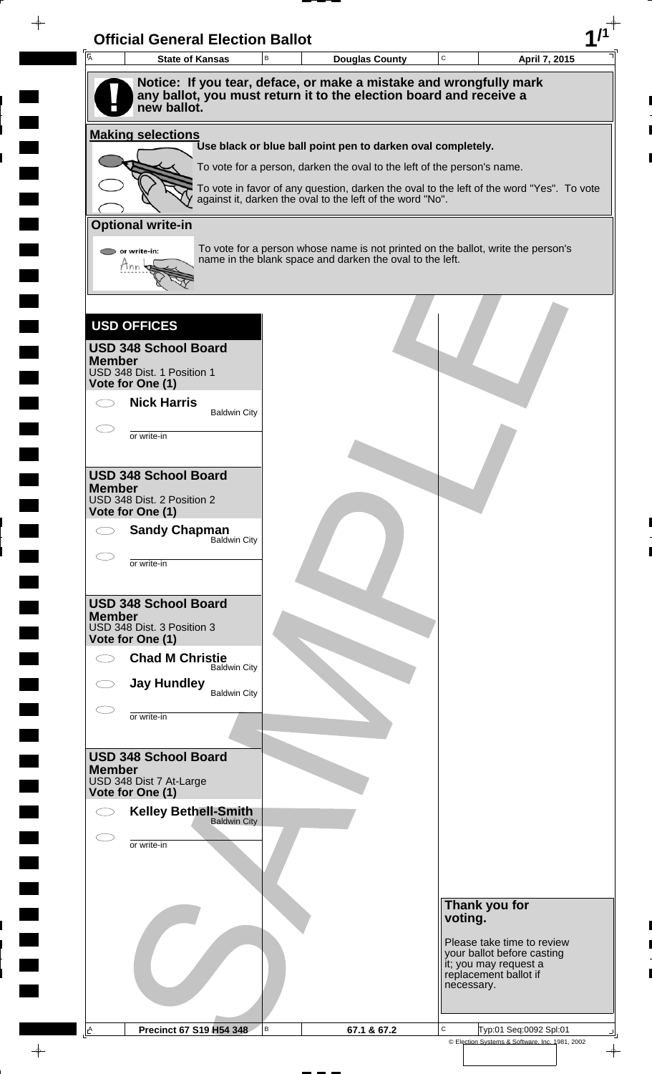| <b>A</b><br><b>State of Kansas</b>             | в                   | <b>Douglas County</b>                                                                                                                        | $\mathtt{C}$ | April 7, 2015                                            |
|------------------------------------------------|---------------------|----------------------------------------------------------------------------------------------------------------------------------------------|--------------|----------------------------------------------------------|
|                                                |                     | Notice: If you tear, deface, or make a mistake and wrongfully mark                                                                           |              |                                                          |
| new ballot.                                    |                     | any ballot, you must return it to the election board and receive a                                                                           |              |                                                          |
| <b>Making selections</b>                       |                     |                                                                                                                                              |              |                                                          |
|                                                |                     | Use black or blue ball point pen to darken oval completely.<br>To vote for a person, darken the oval to the left of the person's name.       |              |                                                          |
|                                                |                     | To vote in favor of any question, darken the oval to the left of the word "Yes". To vote                                                     |              |                                                          |
|                                                |                     | against it, darken the oval to the left of the word "No".                                                                                    |              |                                                          |
| <b>Optional write-in</b>                       |                     |                                                                                                                                              |              |                                                          |
| or write-in:                                   |                     | To vote for a person whose name is not printed on the ballot, write the person's<br>name in the blank space and darken the oval to the left. |              |                                                          |
| Hnn                                            |                     |                                                                                                                                              |              |                                                          |
|                                                |                     |                                                                                                                                              |              |                                                          |
| <b>USD OFFICES</b>                             |                     |                                                                                                                                              |              |                                                          |
| <b>USD 348 School Board</b><br><b>Member</b>   |                     |                                                                                                                                              |              |                                                          |
| USD 348 Dist. 1 Position 1<br>Vote for One (1) |                     |                                                                                                                                              |              |                                                          |
| <b>Nick Harris</b>                             |                     |                                                                                                                                              |              |                                                          |
|                                                | <b>Baldwin City</b> |                                                                                                                                              |              |                                                          |
| or write-in                                    |                     |                                                                                                                                              |              |                                                          |
| <b>USD 348 School Board</b>                    |                     |                                                                                                                                              |              |                                                          |
| <b>Member</b><br>USD 348 Dist. 2 Position 2    |                     |                                                                                                                                              |              |                                                          |
| Vote for One (1)                               |                     |                                                                                                                                              |              |                                                          |
| <b>Sandy Chapman</b>                           | Baldwin City        |                                                                                                                                              |              |                                                          |
| or write-in                                    |                     |                                                                                                                                              |              |                                                          |
|                                                |                     |                                                                                                                                              |              |                                                          |
| <b>USD 348 School Board</b><br><b>Member</b>   |                     |                                                                                                                                              |              |                                                          |
| USD 348 Dist. 3 Position 3<br>Vote for One (1) |                     |                                                                                                                                              |              |                                                          |
| <b>Chad M Christie</b>                         | <b>Baldwin City</b> |                                                                                                                                              |              |                                                          |
| <b>Jay Hundley</b>                             | <b>Baldwin City</b> |                                                                                                                                              |              |                                                          |
| or write-in                                    |                     |                                                                                                                                              |              |                                                          |
|                                                |                     |                                                                                                                                              |              |                                                          |
| <b>USD 348 School Board</b><br><b>Member</b>   |                     |                                                                                                                                              |              |                                                          |
| USD 348 Dist 7 At-Large<br>Vote for One (1)    |                     |                                                                                                                                              |              |                                                          |
| <b>Kelley Bethell-Smith</b><br>Baldwin City    |                     |                                                                                                                                              |              |                                                          |
|                                                |                     |                                                                                                                                              |              |                                                          |
| or write-in                                    |                     |                                                                                                                                              |              |                                                          |
|                                                |                     |                                                                                                                                              |              |                                                          |
|                                                |                     |                                                                                                                                              |              | Thank you for                                            |
|                                                |                     |                                                                                                                                              | voting.      |                                                          |
|                                                |                     |                                                                                                                                              |              | Please take time to review<br>your ballot before casting |
|                                                |                     |                                                                                                                                              | necessary.   | it; you may request a<br>replacement ballot if           |
|                                                |                     |                                                                                                                                              |              |                                                          |
|                                                |                     |                                                                                                                                              |              |                                                          |

 $\blacksquare$ 

 $\blacksquare$ 

 $\blacksquare$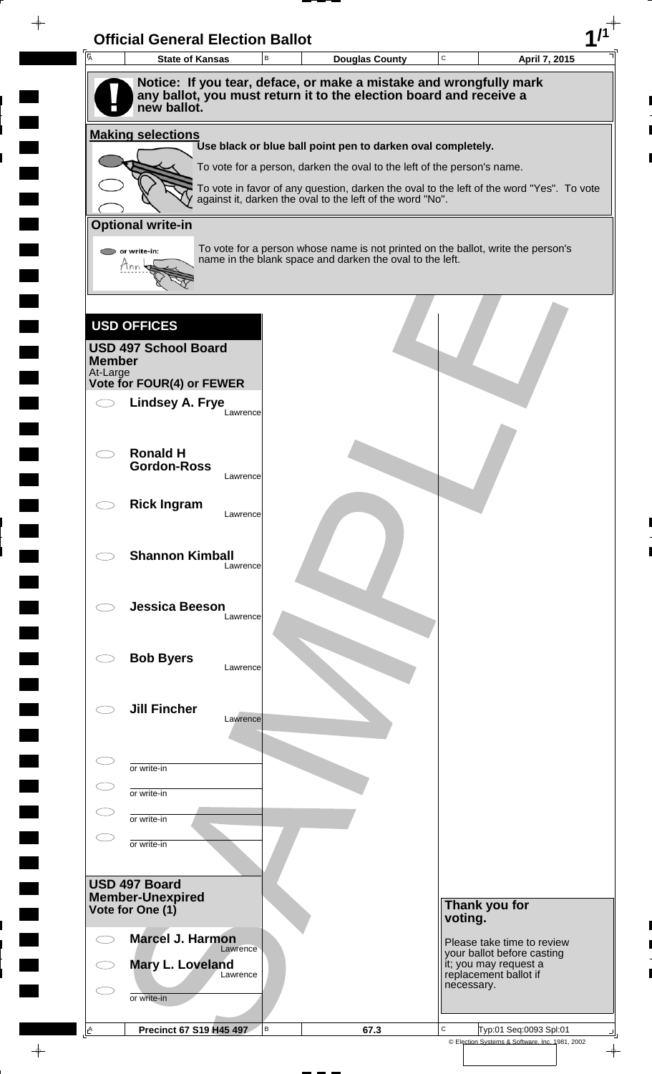| A                         | <b>State of Kansas</b>                   | В        | <b>Douglas County</b>                                                                                                                        | $\mathbf C$ |                                                | April 7, 2015              |
|---------------------------|------------------------------------------|----------|----------------------------------------------------------------------------------------------------------------------------------------------|-------------|------------------------------------------------|----------------------------|
|                           |                                          |          | Notice: If you tear, deface, or make a mistake and wrongfully mark                                                                           |             |                                                |                            |
|                           | new ballot.                              |          | any ballot, you must return it to the election board and receive a                                                                           |             |                                                |                            |
|                           |                                          |          |                                                                                                                                              |             |                                                |                            |
|                           | <b>Making selections</b>                 |          | Use black or blue ball point pen to darken oval completely.                                                                                  |             |                                                |                            |
|                           |                                          |          | To vote for a person, darken the oval to the left of the person's name.                                                                      |             |                                                |                            |
|                           |                                          |          | To vote in favor of any question, darken the oval to the left of the word "Yes". To vote                                                     |             |                                                |                            |
|                           |                                          |          | against it, darken the oval to the left of the word "No".                                                                                    |             |                                                |                            |
|                           | <b>Optional write-in</b>                 |          |                                                                                                                                              |             |                                                |                            |
|                           | or write-in:<br>Mnn                      |          | To vote for a person whose name is not printed on the ballot, write the person's<br>name in the blank space and darken the oval to the left. |             |                                                |                            |
|                           |                                          |          |                                                                                                                                              |             |                                                |                            |
|                           |                                          |          |                                                                                                                                              |             |                                                |                            |
|                           | <b>USD OFFICES</b>                       |          |                                                                                                                                              |             |                                                |                            |
|                           | <b>USD 497 School Board</b>              |          |                                                                                                                                              |             |                                                |                            |
| <b>Member</b><br>At-Large |                                          |          |                                                                                                                                              |             |                                                |                            |
|                           | Vote for FOUR(4) or FEWER                |          |                                                                                                                                              |             |                                                |                            |
|                           | <b>Lindsey A. Frye</b>                   | Lawrence |                                                                                                                                              |             |                                                |                            |
|                           |                                          |          |                                                                                                                                              |             |                                                |                            |
|                           | <b>Ronald H</b>                          |          |                                                                                                                                              |             |                                                |                            |
|                           | <b>Gordon-Ross</b>                       | Lawrence |                                                                                                                                              |             |                                                |                            |
|                           |                                          |          |                                                                                                                                              |             |                                                |                            |
|                           | <b>Rick Ingram</b>                       | Lawrence |                                                                                                                                              |             |                                                |                            |
|                           |                                          |          |                                                                                                                                              |             |                                                |                            |
|                           | <b>Shannon Kimball</b>                   | Lawrence |                                                                                                                                              |             |                                                |                            |
|                           |                                          |          |                                                                                                                                              |             |                                                |                            |
|                           | <b>Jessica Beeson</b>                    |          |                                                                                                                                              |             |                                                |                            |
|                           |                                          | Lawrence |                                                                                                                                              |             |                                                |                            |
|                           |                                          |          |                                                                                                                                              |             |                                                |                            |
|                           | <b>Bob Byers</b>                         | Lawrence |                                                                                                                                              |             |                                                |                            |
|                           |                                          |          |                                                                                                                                              |             |                                                |                            |
|                           | <b>Jill Fincher</b>                      | Lawrence |                                                                                                                                              |             |                                                |                            |
|                           |                                          |          |                                                                                                                                              |             |                                                |                            |
|                           |                                          |          |                                                                                                                                              |             |                                                |                            |
|                           | or write-in                              |          |                                                                                                                                              |             |                                                |                            |
|                           | or write-in                              |          |                                                                                                                                              |             |                                                |                            |
|                           | or write-in                              |          |                                                                                                                                              |             |                                                |                            |
|                           | or write-in                              |          |                                                                                                                                              |             |                                                |                            |
|                           |                                          |          |                                                                                                                                              |             |                                                |                            |
|                           | USD 497 Board<br><b>Member-Unexpired</b> |          |                                                                                                                                              |             |                                                |                            |
|                           | Vote for One (1)                         |          |                                                                                                                                              |             | Thank you for<br>voting.                       |                            |
|                           | <b>Marcel J. Harmon</b>                  |          |                                                                                                                                              |             |                                                | Please take time to review |
|                           |                                          | Lawrence |                                                                                                                                              |             |                                                | your ballot before casting |
|                           | Mary L. Loveland<br>Lawrence             |          |                                                                                                                                              |             | it; you may request a<br>replacement ballot if |                            |
|                           |                                          |          |                                                                                                                                              |             | necessary.                                     |                            |
|                           | or write-in                              |          |                                                                                                                                              |             |                                                |                            |

 $\overline{\phantom{a}}$ 

 $\frac{1}{\sqrt{2\pi}}$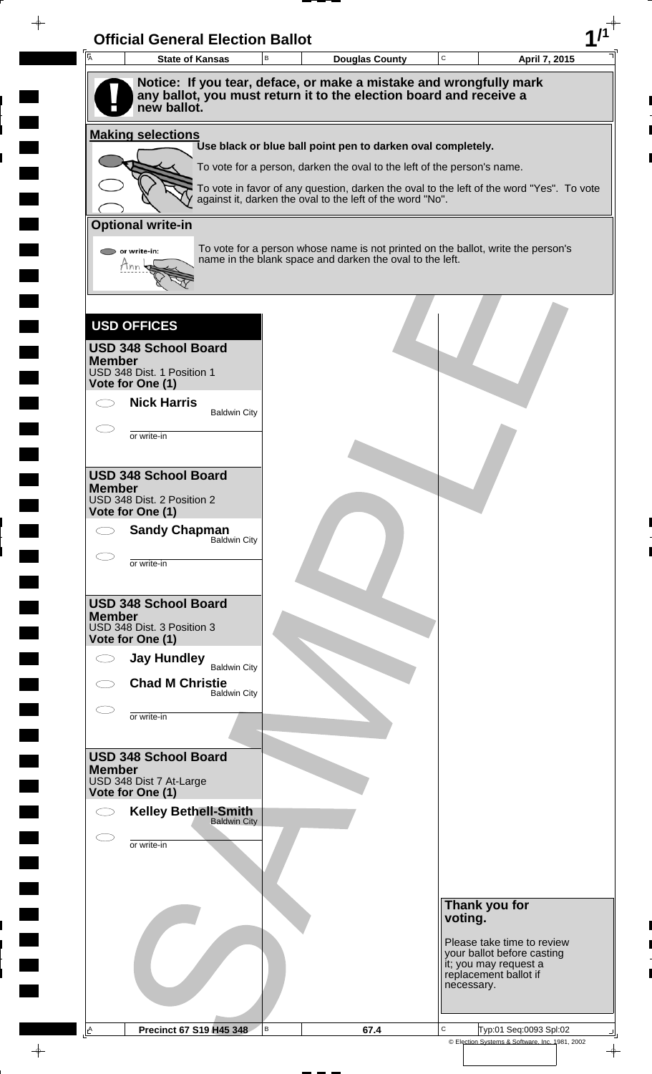| $\overline{A}$<br><b>State of Kansas</b>                                                                                                                | B | <b>Douglas County</b>                                                   | $\mathbf C$ | April 7, 2015                                                                            |
|---------------------------------------------------------------------------------------------------------------------------------------------------------|---|-------------------------------------------------------------------------|-------------|------------------------------------------------------------------------------------------|
| Notice: If you tear, deface, or make a mistake and wrongfully mark<br>any ballot, you must return it to the election board and receive a<br>new ballot. |   |                                                                         |             |                                                                                          |
| <b>Making selections</b>                                                                                                                                |   |                                                                         |             |                                                                                          |
|                                                                                                                                                         |   | Use black or blue ball point pen to darken oval completely.             |             |                                                                                          |
|                                                                                                                                                         |   | To vote for a person, darken the oval to the left of the person's name. |             | To vote in favor of any question, darken the oval to the left of the word "Yes". To vote |
|                                                                                                                                                         |   | against it, darken the oval to the left of the word "No".               |             |                                                                                          |
| <b>Optional write-in</b>                                                                                                                                |   |                                                                         |             |                                                                                          |
| or write-in:<br>Mnn                                                                                                                                     |   | name in the blank space and darken the oval to the left.                |             | To vote for a person whose name is not printed on the ballot, write the person's         |
|                                                                                                                                                         |   |                                                                         |             |                                                                                          |
| <b>USD OFFICES</b>                                                                                                                                      |   |                                                                         |             |                                                                                          |
| <b>USD 348 School Board</b><br><b>Member</b><br>USD 348 Dist. 1 Position 1                                                                              |   |                                                                         |             |                                                                                          |
| Vote for One (1)                                                                                                                                        |   |                                                                         |             |                                                                                          |
| <b>Nick Harris</b><br><b>Baldwin City</b>                                                                                                               |   |                                                                         |             |                                                                                          |
| or write-in                                                                                                                                             |   |                                                                         |             |                                                                                          |
|                                                                                                                                                         |   |                                                                         |             |                                                                                          |
| <b>USD 348 School Board</b><br><b>Member</b>                                                                                                            |   |                                                                         |             |                                                                                          |
| USD 348 Dist. 2 Position 2<br>Vote for One (1)                                                                                                          |   |                                                                         |             |                                                                                          |
| <b>Sandy Chapman</b><br>Baldwin City                                                                                                                    |   |                                                                         |             |                                                                                          |
| or write-in                                                                                                                                             |   |                                                                         |             |                                                                                          |
| <b>USD 348 School Board</b>                                                                                                                             |   |                                                                         |             |                                                                                          |
| <b>Member</b><br>USD 348 Dist. 3 Position 3<br>Vote for One (1)                                                                                         |   |                                                                         |             |                                                                                          |
| <b>Jay Hundley</b>                                                                                                                                      |   |                                                                         |             |                                                                                          |
| <b>Baldwin City</b><br><b>Chad M Christie</b>                                                                                                           |   |                                                                         |             |                                                                                          |
| <b>Baldwin City</b><br>or write-in                                                                                                                      |   |                                                                         |             |                                                                                          |
|                                                                                                                                                         |   |                                                                         |             |                                                                                          |
| <b>USD 348 School Board</b>                                                                                                                             |   |                                                                         |             |                                                                                          |
| <b>Member</b><br>USD 348 Dist 7 At-Large<br>Vote for One (1)                                                                                            |   |                                                                         |             |                                                                                          |
| <b>Kelley Bethell-Smith</b>                                                                                                                             |   |                                                                         |             |                                                                                          |
| <b>Baldwin City</b>                                                                                                                                     |   |                                                                         |             |                                                                                          |
| or write-in                                                                                                                                             |   |                                                                         |             |                                                                                          |
|                                                                                                                                                         |   |                                                                         |             |                                                                                          |
|                                                                                                                                                         |   |                                                                         | voting.     | Thank you for                                                                            |
|                                                                                                                                                         |   |                                                                         |             | Please take time to review                                                               |
|                                                                                                                                                         |   |                                                                         |             | your ballot before casting<br>it; you may request a                                      |
|                                                                                                                                                         |   |                                                                         | necessary.  | replacement ballot if                                                                    |
|                                                                                                                                                         |   |                                                                         |             |                                                                                          |

 $\blacksquare$ 

 $\blacksquare$ 

 $\frac{1}{\sqrt{2\pi}}\int_{0}^{\pi}\frac{1}{\sqrt{2\pi}}\left( \frac{1}{\sqrt{2\pi}}\right) \frac{d\mu}{d\mu}d\mu$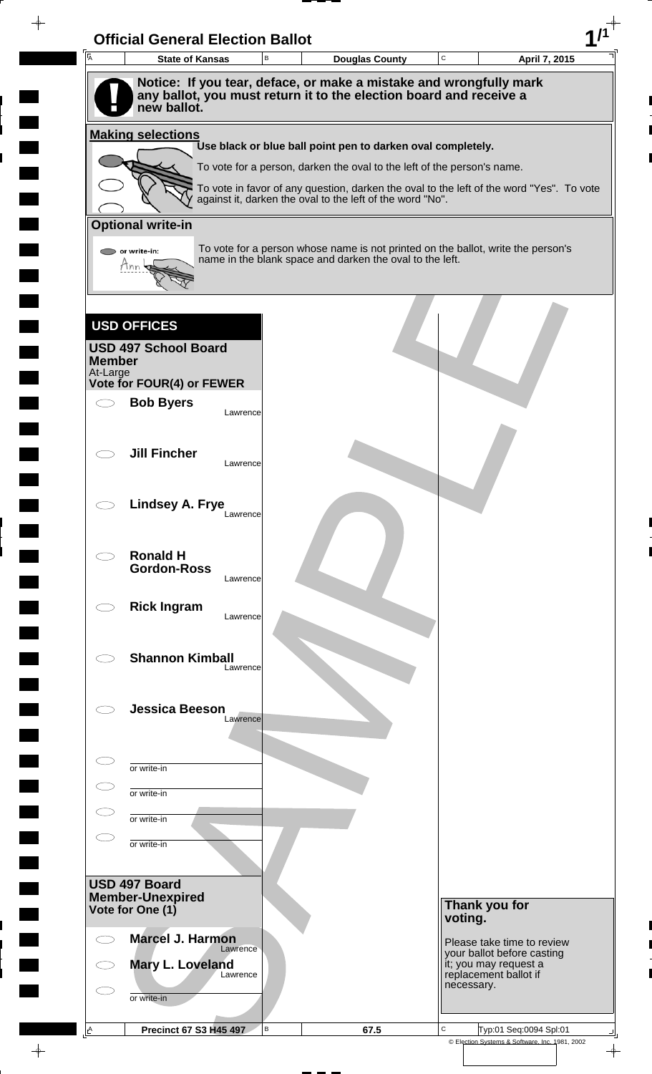| $\overline{A}$            | <b>State of Kansas</b>                                                            |          | В |                                                                                                                                                       | <b>Douglas County</b> | $\mathbf C$ |                                     | April 7, 2015              |
|---------------------------|-----------------------------------------------------------------------------------|----------|---|-------------------------------------------------------------------------------------------------------------------------------------------------------|-----------------------|-------------|-------------------------------------|----------------------------|
|                           | Notice: If you tear, deface, or make a mistake and wrongfully mark                |          |   |                                                                                                                                                       |                       |             |                                     |                            |
|                           | any ballot, you must return it to the election board and receive a<br>new ballot. |          |   |                                                                                                                                                       |                       |             |                                     |                            |
|                           | <b>Making selections</b>                                                          |          |   |                                                                                                                                                       |                       |             |                                     |                            |
|                           |                                                                                   |          |   | Use black or blue ball point pen to darken oval completely.                                                                                           |                       |             |                                     |                            |
|                           |                                                                                   |          |   | To vote for a person, darken the oval to the left of the person's name.                                                                               |                       |             |                                     |                            |
|                           |                                                                                   |          |   | To vote in favor of any question, darken the oval to the left of the word "Yes". To vote<br>against it, darken the oval to the left of the word "No". |                       |             |                                     |                            |
|                           | <b>Optional write-in</b>                                                          |          |   |                                                                                                                                                       |                       |             |                                     |                            |
|                           |                                                                                   |          |   | To vote for a person whose name is not printed on the ballot, write the person's                                                                      |                       |             |                                     |                            |
|                           | $\triangleright$ or write-in:<br>Hnn                                              |          |   | name in the blank space and darken the oval to the left.                                                                                              |                       |             |                                     |                            |
|                           |                                                                                   |          |   |                                                                                                                                                       |                       |             |                                     |                            |
|                           |                                                                                   |          |   |                                                                                                                                                       |                       |             |                                     |                            |
|                           | <b>USD OFFICES</b>                                                                |          |   |                                                                                                                                                       |                       |             |                                     |                            |
|                           | <b>USD 497 School Board</b>                                                       |          |   |                                                                                                                                                       |                       |             |                                     |                            |
| <b>Member</b><br>At-Large |                                                                                   |          |   |                                                                                                                                                       |                       |             |                                     |                            |
|                           | Vote for FOUR(4) or FEWER                                                         |          |   |                                                                                                                                                       |                       |             |                                     |                            |
|                           | <b>Bob Byers</b>                                                                  | Lawrence |   |                                                                                                                                                       |                       |             |                                     |                            |
|                           |                                                                                   |          |   |                                                                                                                                                       |                       |             |                                     |                            |
|                           | <b>Jill Fincher</b>                                                               | Lawrence |   |                                                                                                                                                       |                       |             |                                     |                            |
|                           |                                                                                   |          |   |                                                                                                                                                       |                       |             |                                     |                            |
|                           | <b>Lindsey A. Frye</b>                                                            |          |   |                                                                                                                                                       |                       |             |                                     |                            |
|                           |                                                                                   | Lawrence |   |                                                                                                                                                       |                       |             |                                     |                            |
|                           |                                                                                   |          |   |                                                                                                                                                       |                       |             |                                     |                            |
|                           | <b>Ronald H</b><br><b>Gordon-Ross</b>                                             |          |   |                                                                                                                                                       |                       |             |                                     |                            |
|                           |                                                                                   | Lawrence |   |                                                                                                                                                       |                       |             |                                     |                            |
|                           | <b>Rick Ingram</b>                                                                | Lawrence |   |                                                                                                                                                       |                       |             |                                     |                            |
|                           |                                                                                   |          |   |                                                                                                                                                       |                       |             |                                     |                            |
|                           | <b>Shannon Kimball</b>                                                            |          |   |                                                                                                                                                       |                       |             |                                     |                            |
|                           |                                                                                   | Lawrence |   |                                                                                                                                                       |                       |             |                                     |                            |
|                           |                                                                                   |          |   |                                                                                                                                                       |                       |             |                                     |                            |
|                           | <b>Jessica Beeson</b>                                                             | Lawrence |   |                                                                                                                                                       |                       |             |                                     |                            |
|                           |                                                                                   |          |   |                                                                                                                                                       |                       |             |                                     |                            |
|                           | or write-in                                                                       |          |   |                                                                                                                                                       |                       |             |                                     |                            |
|                           | or write-in                                                                       |          |   |                                                                                                                                                       |                       |             |                                     |                            |
|                           |                                                                                   |          |   |                                                                                                                                                       |                       |             |                                     |                            |
|                           | or write-in                                                                       |          |   |                                                                                                                                                       |                       |             |                                     |                            |
|                           | or write-in                                                                       |          |   |                                                                                                                                                       |                       |             |                                     |                            |
|                           |                                                                                   |          |   |                                                                                                                                                       |                       |             |                                     |                            |
|                           | USD 497 Board<br><b>Member-Unexpired</b>                                          |          |   |                                                                                                                                                       |                       |             |                                     |                            |
|                           | Vote for One (1)                                                                  |          |   |                                                                                                                                                       |                       | voting.     | Thank you for                       |                            |
|                           | <b>Marcel J. Harmon</b>                                                           |          |   |                                                                                                                                                       |                       |             |                                     | Please take time to review |
|                           | Mary L. Loveland                                                                  | Lawrence |   |                                                                                                                                                       |                       |             | it; you may request a               | your ballot before casting |
|                           |                                                                                   | Lawrence |   |                                                                                                                                                       |                       |             | replacement ballot if<br>necessary. |                            |
|                           |                                                                                   |          |   |                                                                                                                                                       |                       |             |                                     |                            |
|                           | or write-in                                                                       |          |   |                                                                                                                                                       |                       |             |                                     |                            |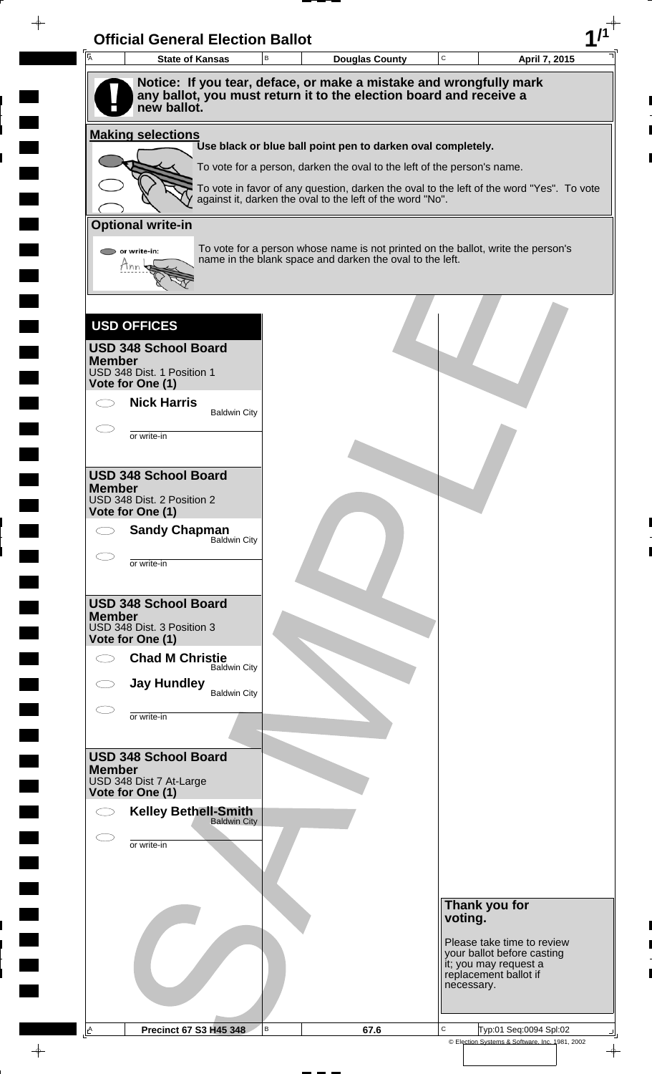| $\overline{A}$<br><b>State of Kansas</b>                                                                                                                | B | <b>Douglas County</b>                                                   | $\mathbf C$ | April 7, 2015                                                                            |
|---------------------------------------------------------------------------------------------------------------------------------------------------------|---|-------------------------------------------------------------------------|-------------|------------------------------------------------------------------------------------------|
| Notice: If you tear, deface, or make a mistake and wrongfully mark<br>any ballot, you must return it to the election board and receive a<br>new ballot. |   |                                                                         |             |                                                                                          |
| <b>Making selections</b>                                                                                                                                |   |                                                                         |             |                                                                                          |
|                                                                                                                                                         |   | Use black or blue ball point pen to darken oval completely.             |             |                                                                                          |
|                                                                                                                                                         |   | To vote for a person, darken the oval to the left of the person's name. |             |                                                                                          |
|                                                                                                                                                         |   | against it, darken the oval to the left of the word "No".               |             | To vote in favor of any question, darken the oval to the left of the word "Yes". To vote |
| <b>Optional write-in</b>                                                                                                                                |   |                                                                         |             |                                                                                          |
| or write-in:<br>Mnn                                                                                                                                     |   | name in the blank space and darken the oval to the left.                |             | To vote for a person whose name is not printed on the ballot, write the person's         |
|                                                                                                                                                         |   |                                                                         |             |                                                                                          |
| <b>USD OFFICES</b>                                                                                                                                      |   |                                                                         |             |                                                                                          |
| <b>USD 348 School Board</b><br><b>Member</b>                                                                                                            |   |                                                                         |             |                                                                                          |
| USD 348 Dist. 1 Position 1<br>Vote for One (1)                                                                                                          |   |                                                                         |             |                                                                                          |
| <b>Nick Harris</b><br><b>Baldwin City</b>                                                                                                               |   |                                                                         |             |                                                                                          |
| or write-in                                                                                                                                             |   |                                                                         |             |                                                                                          |
|                                                                                                                                                         |   |                                                                         |             |                                                                                          |
| <b>USD 348 School Board</b><br><b>Member</b>                                                                                                            |   |                                                                         |             |                                                                                          |
| USD 348 Dist. 2 Position 2<br>Vote for One (1)                                                                                                          |   |                                                                         |             |                                                                                          |
| <b>Sandy Chapman</b>                                                                                                                                    |   |                                                                         |             |                                                                                          |
| Baldwin City                                                                                                                                            |   |                                                                         |             |                                                                                          |
| or write-in                                                                                                                                             |   |                                                                         |             |                                                                                          |
| <b>USD 348 School Board</b>                                                                                                                             |   |                                                                         |             |                                                                                          |
| <b>Member</b><br>USD 348 Dist. 3 Position 3                                                                                                             |   |                                                                         |             |                                                                                          |
| Vote for One (1)<br><b>Chad M Christie</b>                                                                                                              |   |                                                                         |             |                                                                                          |
| <b>Baldwin City</b>                                                                                                                                     |   |                                                                         |             |                                                                                          |
| <b>Jay Hundley</b><br><b>Baldwin City</b>                                                                                                               |   |                                                                         |             |                                                                                          |
| or write-in                                                                                                                                             |   |                                                                         |             |                                                                                          |
|                                                                                                                                                         |   |                                                                         |             |                                                                                          |
| <b>USD 348 School Board</b><br><b>Member</b>                                                                                                            |   |                                                                         |             |                                                                                          |
| USD 348 Dist 7 At-Large<br>Vote for One (1)                                                                                                             |   |                                                                         |             |                                                                                          |
| <b>Kelley Bethell-Smith</b><br><b>Baldwin City</b>                                                                                                      |   |                                                                         |             |                                                                                          |
| or write-in                                                                                                                                             |   |                                                                         |             |                                                                                          |
|                                                                                                                                                         |   |                                                                         |             |                                                                                          |
|                                                                                                                                                         |   |                                                                         |             |                                                                                          |
|                                                                                                                                                         |   |                                                                         | voting.     | Thank you for                                                                            |
|                                                                                                                                                         |   |                                                                         |             | Please take time to review                                                               |
|                                                                                                                                                         |   |                                                                         |             | your ballot before casting<br>it; you may request a                                      |
|                                                                                                                                                         |   |                                                                         | necessary.  | replacement ballot if                                                                    |
|                                                                                                                                                         |   |                                                                         |             |                                                                                          |

 $\blacksquare$ 

 $\blacksquare$ 

 $\frac{1}{\sqrt{2\pi}}\int_{0}^{\pi}\frac{1}{\sqrt{2\pi}}\left( \frac{1}{\sqrt{2\pi}}\right) \frac{d\mu}{d\mu}d\mu$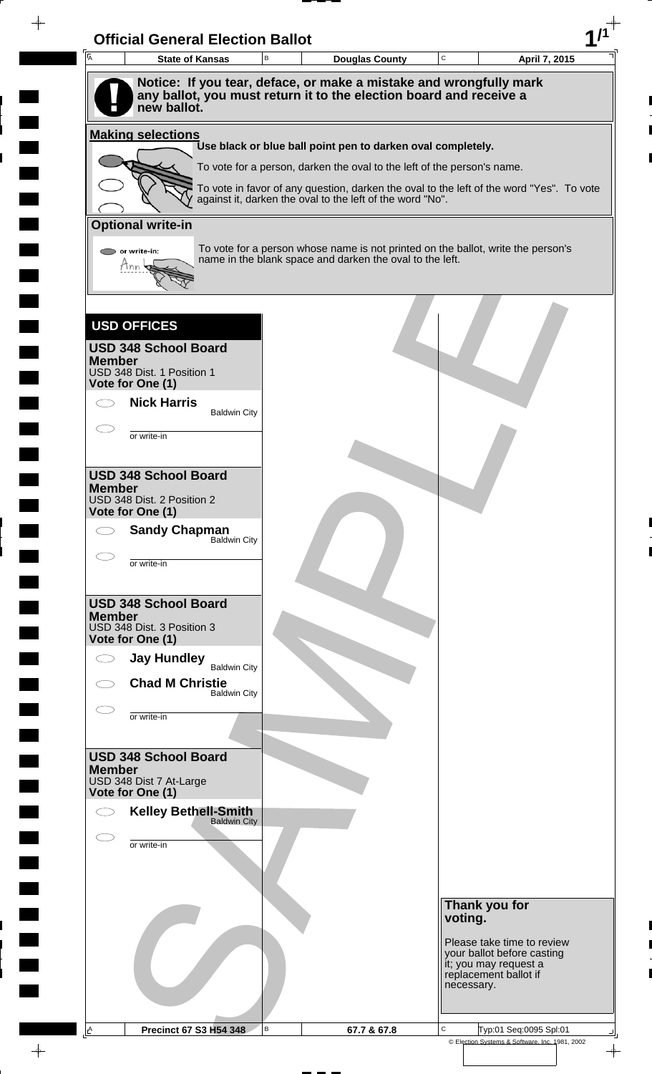| <b>A</b><br><b>State of Kansas</b>             |                     | в | <b>Douglas County</b>                                                                                                                                               | $\mathtt{C}$ | April 7, 2015                                                                     |
|------------------------------------------------|---------------------|---|---------------------------------------------------------------------------------------------------------------------------------------------------------------------|--------------|-----------------------------------------------------------------------------------|
|                                                |                     |   | Notice: If you tear, deface, or make a mistake and wrongfully mark                                                                                                  |              |                                                                                   |
| new ballot.                                    |                     |   | any ballot, you must return it to the election board and receive a                                                                                                  |              |                                                                                   |
| <b>Making selections</b>                       |                     |   |                                                                                                                                                                     |              |                                                                                   |
|                                                |                     |   | Use black or blue ball point pen to darken oval completely.                                                                                                         |              |                                                                                   |
|                                                |                     |   | To vote for a person, darken the oval to the left of the person's name.<br>To vote in favor of any question, darken the oval to the left of the word "Yes". To vote |              |                                                                                   |
|                                                |                     |   | against it, darken the oval to the left of the word "No".                                                                                                           |              |                                                                                   |
| <b>Optional write-in</b>                       |                     |   |                                                                                                                                                                     |              |                                                                                   |
| or write-in:                                   |                     |   | To vote for a person whose name is not printed on the ballot, write the person's<br>name in the blank space and darken the oval to the left.                        |              |                                                                                   |
| Hnn                                            |                     |   |                                                                                                                                                                     |              |                                                                                   |
|                                                |                     |   |                                                                                                                                                                     |              |                                                                                   |
| <b>USD OFFICES</b>                             |                     |   |                                                                                                                                                                     |              |                                                                                   |
| <b>USD 348 School Board</b><br><b>Member</b>   |                     |   |                                                                                                                                                                     |              |                                                                                   |
| USD 348 Dist. 1 Position 1<br>Vote for One (1) |                     |   |                                                                                                                                                                     |              |                                                                                   |
| <b>Nick Harris</b>                             |                     |   |                                                                                                                                                                     |              |                                                                                   |
|                                                | <b>Baldwin City</b> |   |                                                                                                                                                                     |              |                                                                                   |
| or write-in                                    |                     |   |                                                                                                                                                                     |              |                                                                                   |
| <b>USD 348 School Board</b>                    |                     |   |                                                                                                                                                                     |              |                                                                                   |
| <b>Member</b><br>USD 348 Dist. 2 Position 2    |                     |   |                                                                                                                                                                     |              |                                                                                   |
| Vote for One (1)                               |                     |   |                                                                                                                                                                     |              |                                                                                   |
| <b>Sandy Chapman</b>                           | Baldwin City        |   |                                                                                                                                                                     |              |                                                                                   |
| or write-in                                    |                     |   |                                                                                                                                                                     |              |                                                                                   |
| <b>USD 348 School Board</b>                    |                     |   |                                                                                                                                                                     |              |                                                                                   |
| <b>Member</b><br>USD 348 Dist. 3 Position 3    |                     |   |                                                                                                                                                                     |              |                                                                                   |
| Vote for One (1)                               |                     |   |                                                                                                                                                                     |              |                                                                                   |
| <b>Jay Hundley</b>                             | <b>Baldwin City</b> |   |                                                                                                                                                                     |              |                                                                                   |
| <b>Chad M Christie</b>                         | <b>Baldwin City</b> |   |                                                                                                                                                                     |              |                                                                                   |
| or write-in                                    |                     |   |                                                                                                                                                                     |              |                                                                                   |
|                                                |                     |   |                                                                                                                                                                     |              |                                                                                   |
| <b>USD 348 School Board</b><br><b>Member</b>   |                     |   |                                                                                                                                                                     |              |                                                                                   |
| USD 348 Dist 7 At-Large<br>Vote for One (1)    |                     |   |                                                                                                                                                                     |              |                                                                                   |
| <b>Kelley Bethell-Smith</b><br>Baldwin City    |                     |   |                                                                                                                                                                     |              |                                                                                   |
| or write-in                                    |                     |   |                                                                                                                                                                     |              |                                                                                   |
|                                                |                     |   |                                                                                                                                                                     |              |                                                                                   |
|                                                |                     |   |                                                                                                                                                                     |              |                                                                                   |
|                                                |                     |   |                                                                                                                                                                     |              | Thank you for                                                                     |
|                                                |                     |   |                                                                                                                                                                     | voting.      |                                                                                   |
|                                                |                     |   |                                                                                                                                                                     |              | Please take time to review<br>your ballot before casting<br>it; you may request a |
|                                                |                     |   |                                                                                                                                                                     | necessary.   | replacement ballot if                                                             |
|                                                |                     |   |                                                                                                                                                                     |              |                                                                                   |
|                                                |                     |   |                                                                                                                                                                     |              |                                                                                   |

 $\blacksquare$ 

 $\blacksquare$ 

 $\blacksquare$ 

 $\frac{1}{\sqrt{2\pi}}$ 

 $\overline{\phantom{a}}$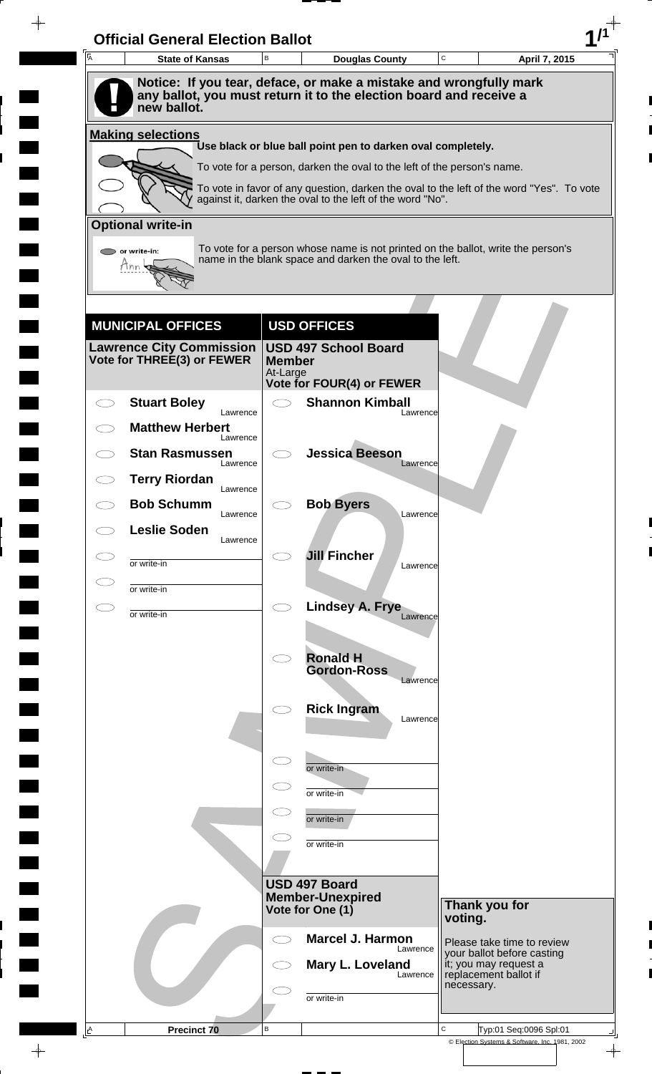| A         | <b>State of Kansas</b>                                      | $\,$ B                    | <b>Douglas County</b>                                                                                                                                               | $\mathbf C$ | April 7, 2015                                                                |
|-----------|-------------------------------------------------------------|---------------------------|---------------------------------------------------------------------------------------------------------------------------------------------------------------------|-------------|------------------------------------------------------------------------------|
|           | new ballot.                                                 |                           | Notice: If you tear, deface, or make a mistake and wrongfully mark<br>any ballot, you must return it to the election board and receive a                            |             |                                                                              |
|           | <b>Making selections</b>                                    |                           |                                                                                                                                                                     |             |                                                                              |
|           |                                                             |                           | Use black or blue ball point pen to darken oval completely.                                                                                                         |             |                                                                              |
|           |                                                             |                           | To vote for a person, darken the oval to the left of the person's name.<br>To vote in favor of any question, darken the oval to the left of the word "Yes". To vote |             |                                                                              |
|           |                                                             |                           | against it, darken the oval to the left of the word "No".                                                                                                           |             |                                                                              |
|           | <b>Optional write-in</b>                                    |                           |                                                                                                                                                                     |             |                                                                              |
|           | or write-in:                                                |                           | To vote for a person whose name is not printed on the ballot, write the person's<br>name in the blank space and darken the oval to the left.                        |             |                                                                              |
|           |                                                             |                           |                                                                                                                                                                     |             |                                                                              |
|           |                                                             |                           |                                                                                                                                                                     |             |                                                                              |
|           | <b>MUNICIPAL OFFICES</b><br><b>Lawrence City Commission</b> |                           | <b>USD OFFICES</b><br><b>USD 497 School Board</b>                                                                                                                   |             |                                                                              |
|           | Vote for THREE(3) or FEWER                                  | <b>Member</b><br>At-Large |                                                                                                                                                                     |             |                                                                              |
|           |                                                             |                           | Vote for FOUR(4) or FEWER                                                                                                                                           |             |                                                                              |
|           | <b>Stuart Boley</b><br>Lawrence                             | $\bigcirc$                | <b>Shannon Kimball</b><br>Lawrence                                                                                                                                  |             |                                                                              |
|           | <b>Matthew Herbert</b><br>Lawrence                          |                           |                                                                                                                                                                     |             |                                                                              |
|           | <b>Stan Rasmussen</b><br>Lawrence                           |                           | <b>Jessica Beeson</b><br>Lawrence                                                                                                                                   |             |                                                                              |
|           | <b>Terry Riordan</b><br>Lawrence                            |                           |                                                                                                                                                                     |             |                                                                              |
|           | <b>Bob Schumm</b><br>Lawrence                               |                           | <b>Bob Byers</b><br>Lawrence                                                                                                                                        |             |                                                                              |
|           | <b>Leslie Soden</b><br>Lawrence                             |                           |                                                                                                                                                                     |             |                                                                              |
|           | or write-in                                                 |                           | <b>Jill Fincher</b><br>Lawrence                                                                                                                                     |             |                                                                              |
| $\subset$ | or write-in                                                 | $\bigcirc$                |                                                                                                                                                                     |             |                                                                              |
|           | or write-in                                                 |                           | Lindsey A. Frye<br>Lawrence                                                                                                                                         |             |                                                                              |
|           |                                                             | $\bigcirc$                | <b>Ronald H</b>                                                                                                                                                     |             |                                                                              |
|           |                                                             |                           | <b>Gordon-Ross</b><br>Lawrence                                                                                                                                      |             |                                                                              |
|           |                                                             |                           | <b>Rick Ingram</b>                                                                                                                                                  |             |                                                                              |
|           |                                                             |                           | Lawrence                                                                                                                                                            |             |                                                                              |
|           |                                                             | $\subset$                 |                                                                                                                                                                     |             |                                                                              |
|           |                                                             |                           | or write-in                                                                                                                                                         |             |                                                                              |
|           |                                                             | $\subset$                 | or write-in<br>or write-in                                                                                                                                          |             |                                                                              |
|           |                                                             |                           | or write-in                                                                                                                                                         |             |                                                                              |
|           |                                                             |                           |                                                                                                                                                                     |             |                                                                              |
|           |                                                             |                           | USD 497 Board<br><b>Member-Unexpired</b>                                                                                                                            |             |                                                                              |
|           |                                                             |                           | Vote for One (1)                                                                                                                                                    | voting.     | Thank you for                                                                |
|           |                                                             | $\bigcirc$                | <b>Marcel J. Harmon</b><br>Lawrence                                                                                                                                 |             | Please take time to review                                                   |
|           |                                                             |                           | Mary L. Loveland<br>Lawrence                                                                                                                                        |             | your ballot before casting<br>it; you may request a<br>replacement ballot if |
|           |                                                             |                           | or write-in                                                                                                                                                         | necessary.  |                                                                              |
|           |                                                             |                           |                                                                                                                                                                     |             |                                                                              |

 $\blacksquare$ 

 $\qquad \qquad \blacksquare$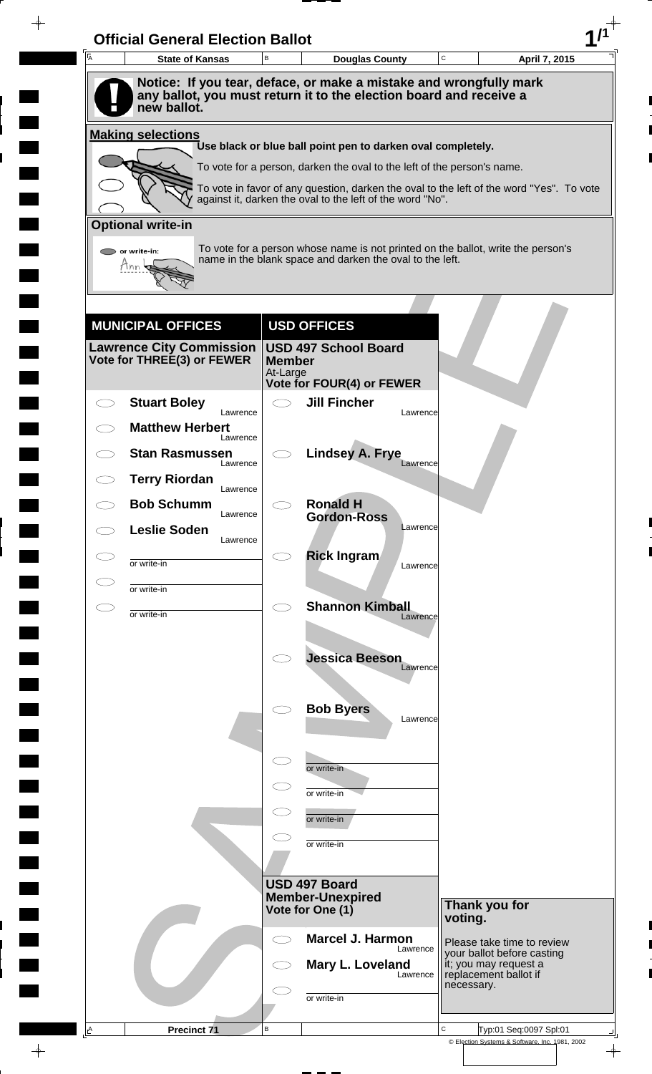| <b>State of Kansas</b>                                                            | B                         | <b>Douglas County</b>                                                                                                                                 |          | C          | April 7, 2015                                            |
|-----------------------------------------------------------------------------------|---------------------------|-------------------------------------------------------------------------------------------------------------------------------------------------------|----------|------------|----------------------------------------------------------|
| Notice: If you tear, deface, or make a mistake and wrongfully mark                |                           |                                                                                                                                                       |          |            |                                                          |
| any ballot, you must return it to the election board and receive a<br>new ballot. |                           |                                                                                                                                                       |          |            |                                                          |
| <b>Making selections</b>                                                          |                           |                                                                                                                                                       |          |            |                                                          |
|                                                                                   |                           | Use black or blue ball point pen to darken oval completely.                                                                                           |          |            |                                                          |
|                                                                                   |                           | To vote for a person, darken the oval to the left of the person's name.                                                                               |          |            |                                                          |
|                                                                                   |                           | To vote in favor of any question, darken the oval to the left of the word "Yes". To vote<br>against it, darken the oval to the left of the word "No". |          |            |                                                          |
| <b>Optional write-in</b>                                                          |                           |                                                                                                                                                       |          |            |                                                          |
| $\triangleright$ or write-in:                                                     |                           | To vote for a person whose name is not printed on the ballot, write the person's<br>name in the blank space and darken the oval to the left.          |          |            |                                                          |
| Tnn                                                                               |                           |                                                                                                                                                       |          |            |                                                          |
|                                                                                   |                           |                                                                                                                                                       |          |            |                                                          |
| <b>MUNICIPAL OFFICES</b>                                                          |                           | <b>USD OFFICES</b>                                                                                                                                    |          |            |                                                          |
| <b>Lawrence City Commission</b>                                                   |                           | <b>USD 497 School Board</b>                                                                                                                           |          |            |                                                          |
| Vote for THREE(3) or FEWER                                                        | <b>Member</b><br>At-Large |                                                                                                                                                       |          |            |                                                          |
| <b>Stuart Boley</b>                                                               |                           | Vote for FOUR(4) or FEWER<br><b>Jill Fincher</b>                                                                                                      |          |            |                                                          |
| Lawrence<br><b>Matthew Herbert</b>                                                |                           |                                                                                                                                                       | Lawrence |            |                                                          |
| Lawrence                                                                          |                           |                                                                                                                                                       |          |            |                                                          |
| <b>Stan Rasmussen</b><br>Lawrence                                                 |                           | <b>Lindsey A. Frye</b>                                                                                                                                | Lawrence |            |                                                          |
| <b>Terry Riordan</b><br>Lawrence                                                  |                           |                                                                                                                                                       |          |            |                                                          |
| <b>Bob Schumm</b><br>Lawrence                                                     |                           | <b>Ronald H</b><br><b>Gordon-Ross</b>                                                                                                                 |          |            |                                                          |
| <b>Leslie Soden</b><br>Lawrence                                                   |                           |                                                                                                                                                       | Lawrence |            |                                                          |
| or write-in                                                                       |                           | <b>Rick Ingram</b>                                                                                                                                    | Lawrence |            |                                                          |
| or write-in                                                                       |                           |                                                                                                                                                       |          |            |                                                          |
| or write-in                                                                       | $\bigcirc$                | <b>Shannon Kimball</b>                                                                                                                                | Lawrence |            |                                                          |
|                                                                                   |                           |                                                                                                                                                       |          |            |                                                          |
|                                                                                   |                           | <b>Jessica Beeson</b>                                                                                                                                 | Lawrence |            |                                                          |
|                                                                                   |                           |                                                                                                                                                       |          |            |                                                          |
|                                                                                   |                           | <b>Bob Byers</b>                                                                                                                                      |          |            |                                                          |
|                                                                                   |                           |                                                                                                                                                       | Lawrence |            |                                                          |
|                                                                                   |                           |                                                                                                                                                       |          |            |                                                          |
|                                                                                   |                           | or write-in                                                                                                                                           |          |            |                                                          |
|                                                                                   |                           | or write-in                                                                                                                                           |          |            |                                                          |
|                                                                                   |                           | or write-in                                                                                                                                           |          |            |                                                          |
|                                                                                   |                           | or write-in                                                                                                                                           |          |            |                                                          |
|                                                                                   |                           | USD 497 Board                                                                                                                                         |          |            |                                                          |
|                                                                                   |                           | <b>Member-Unexpired</b><br>Vote for One (1)                                                                                                           |          |            | Thank you for                                            |
|                                                                                   |                           |                                                                                                                                                       |          | voting.    |                                                          |
|                                                                                   | $\subset$ $\supset$       | <b>Marcel J. Harmon</b>                                                                                                                               | Lawrence |            | Please take time to review<br>your ballot before casting |
|                                                                                   |                           | Mary L. Loveland                                                                                                                                      | Lawrence |            | it; you may request a<br>replacement ballot if           |
|                                                                                   |                           | or write-in                                                                                                                                           |          | necessary. |                                                          |
|                                                                                   |                           |                                                                                                                                                       |          |            |                                                          |

 $\blacksquare$ 

 $\blacksquare$ 

 $\blacksquare$ 

 $\blacksquare$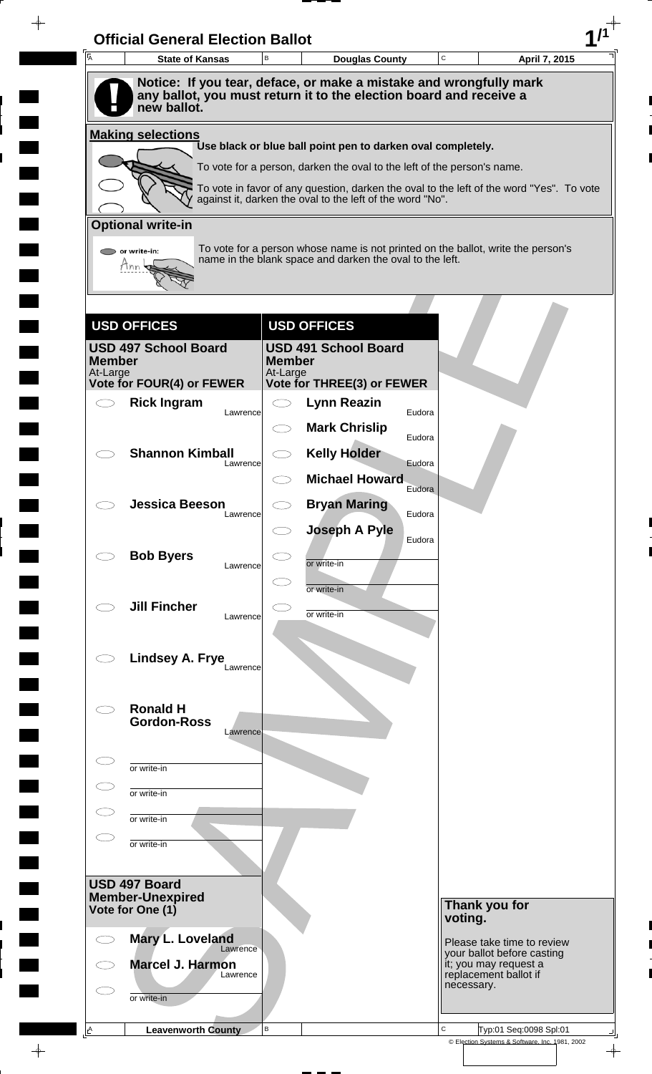| 匠             | <b>State of Kansas</b>                   | В                   | $\mathtt{C}$<br><b>Douglas County</b>                                                                                                                 | April 7, 2015                                       |
|---------------|------------------------------------------|---------------------|-------------------------------------------------------------------------------------------------------------------------------------------------------|-----------------------------------------------------|
|               | new ballot.                              |                     | Notice: If you tear, deface, or make a mistake and wrongfully mark<br>any ballot, you must return it to the election board and receive a              |                                                     |
|               | <b>Making selections</b>                 |                     |                                                                                                                                                       |                                                     |
|               |                                          |                     | Use black or blue ball point pen to darken oval completely.                                                                                           |                                                     |
|               |                                          |                     | To vote for a person, darken the oval to the left of the person's name.                                                                               |                                                     |
|               |                                          |                     | To vote in favor of any question, darken the oval to the left of the word "Yes". To vote<br>against it, darken the oval to the left of the word "No". |                                                     |
|               | <b>Optional write-in</b>                 |                     |                                                                                                                                                       |                                                     |
|               | or write-in:                             |                     | To vote for a person whose name is not printed on the ballot, write the person's                                                                      |                                                     |
|               | Mnn                                      |                     | name in the blank space and darken the oval to the left.                                                                                              |                                                     |
|               |                                          |                     |                                                                                                                                                       |                                                     |
|               |                                          |                     |                                                                                                                                                       |                                                     |
|               | <b>USD OFFICES</b>                       |                     | <b>USD OFFICES</b>                                                                                                                                    |                                                     |
| <b>Member</b> | <b>USD 497 School Board</b>              | <b>Member</b>       | <b>USD 491 School Board</b>                                                                                                                           |                                                     |
| At-Large      | <b>Vote for FOUR(4) or FEWER</b>         | At-Large            | Vote for THREE(3) or FEWER                                                                                                                            |                                                     |
|               | <b>Rick Ingram</b>                       | くつ                  | Lynn Reazin                                                                                                                                           |                                                     |
|               | Lawrence                                 |                     | Eudora<br><b>Mark Chrislip</b>                                                                                                                        |                                                     |
|               | <b>Shannon Kimball</b>                   | C                   | Eudora<br><b>Kelly Holder</b>                                                                                                                         |                                                     |
|               | Lawrence                                 |                     | Eudora                                                                                                                                                |                                                     |
|               |                                          |                     | <b>Michael Howard</b><br>Eudora                                                                                                                       |                                                     |
|               | <b>Jessica Beeson</b><br>Lawrence        |                     | <b>Bryan Maring</b><br>Eudora                                                                                                                         |                                                     |
|               |                                          | くつ                  | <b>Joseph A Pyle</b><br>Eudora                                                                                                                        |                                                     |
|               | <b>Bob Byers</b>                         | 20                  | or write-in                                                                                                                                           |                                                     |
|               | Lawrence                                 | $\subset$ $\supset$ |                                                                                                                                                       |                                                     |
|               | <b>Jill Fincher</b>                      | L.                  | or write-in                                                                                                                                           |                                                     |
|               | Lawrence                                 |                     | or write-in                                                                                                                                           |                                                     |
|               |                                          |                     |                                                                                                                                                       |                                                     |
|               | Lindsey A. Frye<br>Lawrence              |                     |                                                                                                                                                       |                                                     |
|               |                                          |                     |                                                                                                                                                       |                                                     |
|               | <b>Ronald H</b><br><b>Gordon-Ross</b>    |                     |                                                                                                                                                       |                                                     |
|               | Lawrence                                 |                     |                                                                                                                                                       |                                                     |
|               | or write-in                              |                     |                                                                                                                                                       |                                                     |
|               |                                          |                     |                                                                                                                                                       |                                                     |
|               | or write-in                              |                     |                                                                                                                                                       |                                                     |
|               | or write-in                              |                     |                                                                                                                                                       |                                                     |
|               | or write-in                              |                     |                                                                                                                                                       |                                                     |
|               |                                          |                     |                                                                                                                                                       |                                                     |
|               | USD 497 Board<br><b>Member-Unexpired</b> |                     |                                                                                                                                                       |                                                     |
|               | Vote for One (1)                         |                     | voting.                                                                                                                                               | Thank you for                                       |
|               | Mary L. Loveland                         |                     |                                                                                                                                                       | Please take time to review                          |
|               | Lawrence<br>Marcel J. Harmon             |                     |                                                                                                                                                       | your ballot before casting<br>it; you may request a |
|               | Lawrence                                 |                     | necessary.                                                                                                                                            | replacement ballot if                               |
|               |                                          |                     |                                                                                                                                                       |                                                     |

 $\blacksquare$ 

 $\frac{1}{\sqrt{2\pi}}$ 

 $\overline{\phantom{a}}$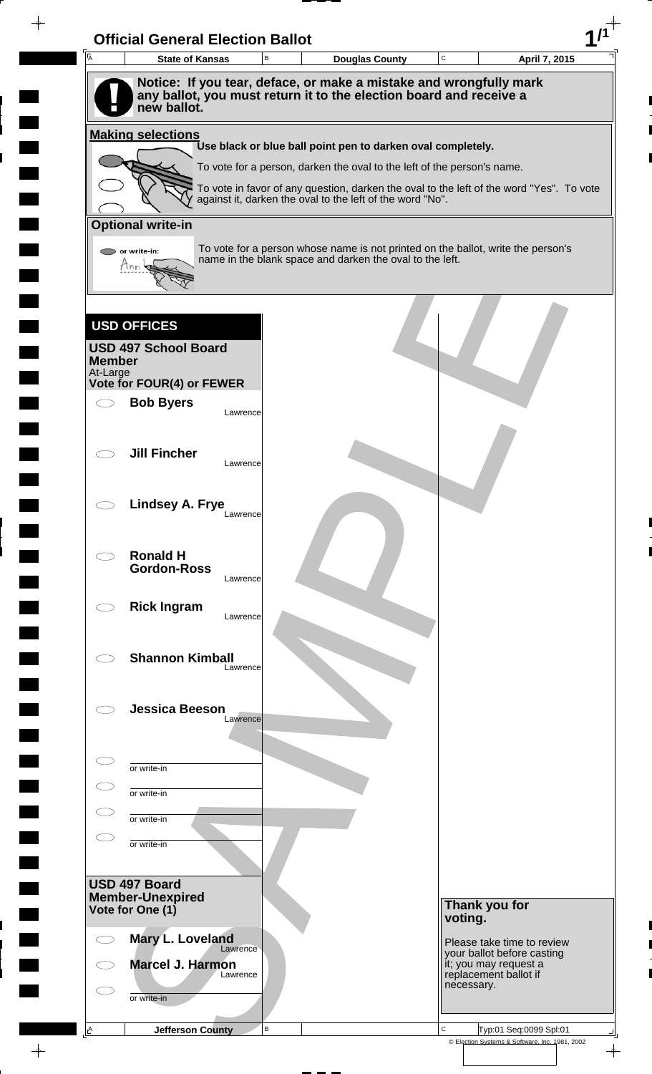| $\overline{A}$            | <b>State of Kansas</b>                                                            |          | B | <b>Douglas County</b>                                                                                                                                 | C       |                                     | April 7, 2015              |
|---------------------------|-----------------------------------------------------------------------------------|----------|---|-------------------------------------------------------------------------------------------------------------------------------------------------------|---------|-------------------------------------|----------------------------|
|                           | Notice: If you tear, deface, or make a mistake and wrongfully mark                |          |   |                                                                                                                                                       |         |                                     |                            |
|                           | any ballot, you must return it to the election board and receive a<br>new ballot. |          |   |                                                                                                                                                       |         |                                     |                            |
|                           | <b>Making selections</b>                                                          |          |   |                                                                                                                                                       |         |                                     |                            |
|                           |                                                                                   |          |   | Use black or blue ball point pen to darken oval completely.                                                                                           |         |                                     |                            |
|                           |                                                                                   |          |   | To vote for a person, darken the oval to the left of the person's name.                                                                               |         |                                     |                            |
|                           |                                                                                   |          |   | To vote in favor of any question, darken the oval to the left of the word "Yes". To vote<br>against it, darken the oval to the left of the word "No". |         |                                     |                            |
|                           | <b>Optional write-in</b>                                                          |          |   |                                                                                                                                                       |         |                                     |                            |
|                           | or write-in:                                                                      |          |   | To vote for a person whose name is not printed on the ballot, write the person's                                                                      |         |                                     |                            |
|                           | Mnn                                                                               |          |   | name in the blank space and darken the oval to the left.                                                                                              |         |                                     |                            |
|                           |                                                                                   |          |   |                                                                                                                                                       |         |                                     |                            |
|                           |                                                                                   |          |   |                                                                                                                                                       |         |                                     |                            |
|                           | <b>USD OFFICES</b>                                                                |          |   |                                                                                                                                                       |         |                                     |                            |
|                           | <b>USD 497 School Board</b>                                                       |          |   |                                                                                                                                                       |         |                                     |                            |
| <b>Member</b><br>At-Large |                                                                                   |          |   |                                                                                                                                                       |         |                                     |                            |
|                           | Vote for FOUR(4) or FEWER<br><b>Bob Byers</b>                                     |          |   |                                                                                                                                                       |         |                                     |                            |
|                           |                                                                                   | Lawrence |   |                                                                                                                                                       |         |                                     |                            |
|                           |                                                                                   |          |   |                                                                                                                                                       |         |                                     |                            |
|                           | <b>Jill Fincher</b>                                                               | Lawrence |   |                                                                                                                                                       |         |                                     |                            |
|                           |                                                                                   |          |   |                                                                                                                                                       |         |                                     |                            |
|                           | <b>Lindsey A. Frye</b>                                                            |          |   |                                                                                                                                                       |         |                                     |                            |
|                           |                                                                                   | Lawrence |   |                                                                                                                                                       |         |                                     |                            |
|                           |                                                                                   |          |   |                                                                                                                                                       |         |                                     |                            |
|                           | <b>Ronald H</b><br><b>Gordon-Ross</b>                                             |          |   |                                                                                                                                                       |         |                                     |                            |
|                           |                                                                                   | Lawrence |   |                                                                                                                                                       |         |                                     |                            |
|                           | <b>Rick Ingram</b>                                                                | Lawrence |   |                                                                                                                                                       |         |                                     |                            |
|                           |                                                                                   |          |   |                                                                                                                                                       |         |                                     |                            |
|                           | <b>Shannon Kimball</b>                                                            |          |   |                                                                                                                                                       |         |                                     |                            |
|                           |                                                                                   | Lawrence |   |                                                                                                                                                       |         |                                     |                            |
|                           |                                                                                   |          |   |                                                                                                                                                       |         |                                     |                            |
|                           | <b>Jessica Beeson</b>                                                             | Lawrence |   |                                                                                                                                                       |         |                                     |                            |
|                           |                                                                                   |          |   |                                                                                                                                                       |         |                                     |                            |
|                           | or write-in                                                                       |          |   |                                                                                                                                                       |         |                                     |                            |
|                           | or write-in                                                                       |          |   |                                                                                                                                                       |         |                                     |                            |
|                           |                                                                                   |          |   |                                                                                                                                                       |         |                                     |                            |
|                           | or write-in                                                                       |          |   |                                                                                                                                                       |         |                                     |                            |
|                           | or write-in                                                                       |          |   |                                                                                                                                                       |         |                                     |                            |
|                           |                                                                                   |          |   |                                                                                                                                                       |         |                                     |                            |
|                           | USD 497 Board<br><b>Member-Unexpired</b>                                          |          |   |                                                                                                                                                       |         |                                     |                            |
|                           | Vote for One (1)                                                                  |          |   |                                                                                                                                                       | voting. | Thank you for                       |                            |
|                           | Mary L. Loveland                                                                  |          |   |                                                                                                                                                       |         |                                     | Please take time to review |
|                           | Marcel J. Harmon                                                                  | Lawrence |   |                                                                                                                                                       |         | it; you may request a               | your ballot before casting |
|                           |                                                                                   | Lawrence |   |                                                                                                                                                       |         | replacement ballot if<br>necessary. |                            |
|                           |                                                                                   |          |   |                                                                                                                                                       |         |                                     |                            |
|                           | or write-in                                                                       |          |   |                                                                                                                                                       |         |                                     |                            |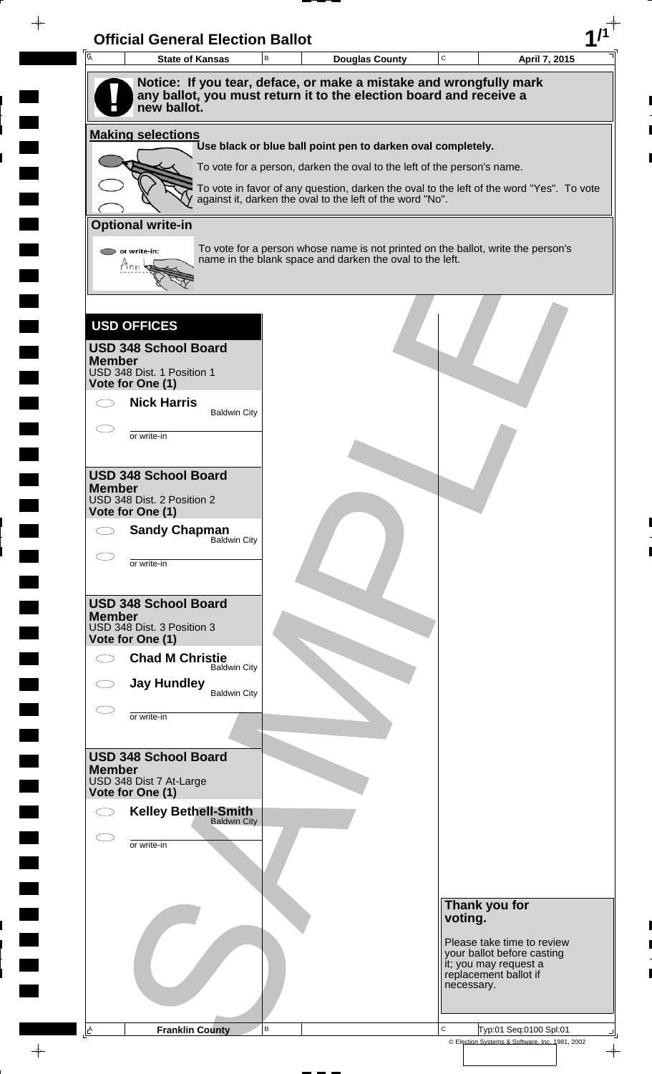| Notice: If you tear, deface, or make a mistake and wrongfully mark<br>any ballot, you must return it to the election board and receive a<br>new ballot.<br><b>Making selections</b><br>Use black or blue ball point pen to darken oval completely.<br>To vote for a person, darken the oval to the left of the person's name.<br>To vote in favor of any question, darken the oval to the left of the word "Yes". To vote<br>against it, darken the oval to the left of the word "No".<br><b>Optional write-in</b><br>To vote for a person whose name is not printed on the ballot, write the person's<br>or write-in:<br>name in the blank space and darken the oval to the left.<br>tinn<br><b>USD OFFICES</b><br><b>USD 348 School Board</b><br><b>Member</b><br>USD 348 Dist. 1 Position 1<br>Vote for One (1)<br><b>Nick Harris</b><br><b>Baldwin City</b><br>or write-in<br><b>USD 348 School Board</b><br><b>Member</b><br>USD 348 Dist. 2 Position 2<br>Vote for One (1)<br><b>Sandy Chapman</b><br>Baldwin City<br>$\bigcirc$<br>or write-in<br><b>USD 348 School Board</b><br><b>Member</b><br>USD 348 Dist. 3 Position 3<br>Vote for One (1)<br><b>Chad M Christie</b><br>σ<br><b>Baldwin City</b><br><b>Jay Hundley</b><br><b>Baldwin City</b><br>or write-in<br><b>USD 348 School Board</b><br><b>Member</b><br>USD 348 Dist 7 At-Large<br>Vote for One (1)<br><b>Kelley Bethell-Smith</b><br><b>Baldwin City</b><br>or write-in<br>Thank you for<br>voting.<br>Please take time to review<br>your ballot before casting<br>it; you may request a<br>replacement ballot if<br>necessary. | $\mathbf C$<br>B<br><b>State of Kansas</b><br><b>Douglas County</b> | April 7, 2015 |
|-------------------------------------------------------------------------------------------------------------------------------------------------------------------------------------------------------------------------------------------------------------------------------------------------------------------------------------------------------------------------------------------------------------------------------------------------------------------------------------------------------------------------------------------------------------------------------------------------------------------------------------------------------------------------------------------------------------------------------------------------------------------------------------------------------------------------------------------------------------------------------------------------------------------------------------------------------------------------------------------------------------------------------------------------------------------------------------------------------------------------------------------------------------------------------------------------------------------------------------------------------------------------------------------------------------------------------------------------------------------------------------------------------------------------------------------------------------------------------------------------------------------------------------------------------------------------------------------------------|---------------------------------------------------------------------|---------------|
|                                                                                                                                                                                                                                                                                                                                                                                                                                                                                                                                                                                                                                                                                                                                                                                                                                                                                                                                                                                                                                                                                                                                                                                                                                                                                                                                                                                                                                                                                                                                                                                                       |                                                                     |               |
|                                                                                                                                                                                                                                                                                                                                                                                                                                                                                                                                                                                                                                                                                                                                                                                                                                                                                                                                                                                                                                                                                                                                                                                                                                                                                                                                                                                                                                                                                                                                                                                                       |                                                                     |               |
|                                                                                                                                                                                                                                                                                                                                                                                                                                                                                                                                                                                                                                                                                                                                                                                                                                                                                                                                                                                                                                                                                                                                                                                                                                                                                                                                                                                                                                                                                                                                                                                                       |                                                                     |               |
|                                                                                                                                                                                                                                                                                                                                                                                                                                                                                                                                                                                                                                                                                                                                                                                                                                                                                                                                                                                                                                                                                                                                                                                                                                                                                                                                                                                                                                                                                                                                                                                                       |                                                                     |               |
|                                                                                                                                                                                                                                                                                                                                                                                                                                                                                                                                                                                                                                                                                                                                                                                                                                                                                                                                                                                                                                                                                                                                                                                                                                                                                                                                                                                                                                                                                                                                                                                                       |                                                                     |               |
|                                                                                                                                                                                                                                                                                                                                                                                                                                                                                                                                                                                                                                                                                                                                                                                                                                                                                                                                                                                                                                                                                                                                                                                                                                                                                                                                                                                                                                                                                                                                                                                                       |                                                                     |               |
|                                                                                                                                                                                                                                                                                                                                                                                                                                                                                                                                                                                                                                                                                                                                                                                                                                                                                                                                                                                                                                                                                                                                                                                                                                                                                                                                                                                                                                                                                                                                                                                                       |                                                                     |               |
|                                                                                                                                                                                                                                                                                                                                                                                                                                                                                                                                                                                                                                                                                                                                                                                                                                                                                                                                                                                                                                                                                                                                                                                                                                                                                                                                                                                                                                                                                                                                                                                                       |                                                                     |               |
|                                                                                                                                                                                                                                                                                                                                                                                                                                                                                                                                                                                                                                                                                                                                                                                                                                                                                                                                                                                                                                                                                                                                                                                                                                                                                                                                                                                                                                                                                                                                                                                                       |                                                                     |               |
|                                                                                                                                                                                                                                                                                                                                                                                                                                                                                                                                                                                                                                                                                                                                                                                                                                                                                                                                                                                                                                                                                                                                                                                                                                                                                                                                                                                                                                                                                                                                                                                                       |                                                                     |               |
|                                                                                                                                                                                                                                                                                                                                                                                                                                                                                                                                                                                                                                                                                                                                                                                                                                                                                                                                                                                                                                                                                                                                                                                                                                                                                                                                                                                                                                                                                                                                                                                                       |                                                                     |               |
|                                                                                                                                                                                                                                                                                                                                                                                                                                                                                                                                                                                                                                                                                                                                                                                                                                                                                                                                                                                                                                                                                                                                                                                                                                                                                                                                                                                                                                                                                                                                                                                                       |                                                                     |               |
|                                                                                                                                                                                                                                                                                                                                                                                                                                                                                                                                                                                                                                                                                                                                                                                                                                                                                                                                                                                                                                                                                                                                                                                                                                                                                                                                                                                                                                                                                                                                                                                                       |                                                                     |               |
|                                                                                                                                                                                                                                                                                                                                                                                                                                                                                                                                                                                                                                                                                                                                                                                                                                                                                                                                                                                                                                                                                                                                                                                                                                                                                                                                                                                                                                                                                                                                                                                                       |                                                                     |               |
|                                                                                                                                                                                                                                                                                                                                                                                                                                                                                                                                                                                                                                                                                                                                                                                                                                                                                                                                                                                                                                                                                                                                                                                                                                                                                                                                                                                                                                                                                                                                                                                                       |                                                                     |               |
|                                                                                                                                                                                                                                                                                                                                                                                                                                                                                                                                                                                                                                                                                                                                                                                                                                                                                                                                                                                                                                                                                                                                                                                                                                                                                                                                                                                                                                                                                                                                                                                                       |                                                                     |               |
|                                                                                                                                                                                                                                                                                                                                                                                                                                                                                                                                                                                                                                                                                                                                                                                                                                                                                                                                                                                                                                                                                                                                                                                                                                                                                                                                                                                                                                                                                                                                                                                                       |                                                                     |               |
|                                                                                                                                                                                                                                                                                                                                                                                                                                                                                                                                                                                                                                                                                                                                                                                                                                                                                                                                                                                                                                                                                                                                                                                                                                                                                                                                                                                                                                                                                                                                                                                                       |                                                                     |               |
|                                                                                                                                                                                                                                                                                                                                                                                                                                                                                                                                                                                                                                                                                                                                                                                                                                                                                                                                                                                                                                                                                                                                                                                                                                                                                                                                                                                                                                                                                                                                                                                                       |                                                                     |               |
|                                                                                                                                                                                                                                                                                                                                                                                                                                                                                                                                                                                                                                                                                                                                                                                                                                                                                                                                                                                                                                                                                                                                                                                                                                                                                                                                                                                                                                                                                                                                                                                                       |                                                                     |               |
|                                                                                                                                                                                                                                                                                                                                                                                                                                                                                                                                                                                                                                                                                                                                                                                                                                                                                                                                                                                                                                                                                                                                                                                                                                                                                                                                                                                                                                                                                                                                                                                                       |                                                                     |               |
|                                                                                                                                                                                                                                                                                                                                                                                                                                                                                                                                                                                                                                                                                                                                                                                                                                                                                                                                                                                                                                                                                                                                                                                                                                                                                                                                                                                                                                                                                                                                                                                                       |                                                                     |               |
|                                                                                                                                                                                                                                                                                                                                                                                                                                                                                                                                                                                                                                                                                                                                                                                                                                                                                                                                                                                                                                                                                                                                                                                                                                                                                                                                                                                                                                                                                                                                                                                                       |                                                                     |               |
|                                                                                                                                                                                                                                                                                                                                                                                                                                                                                                                                                                                                                                                                                                                                                                                                                                                                                                                                                                                                                                                                                                                                                                                                                                                                                                                                                                                                                                                                                                                                                                                                       |                                                                     |               |
|                                                                                                                                                                                                                                                                                                                                                                                                                                                                                                                                                                                                                                                                                                                                                                                                                                                                                                                                                                                                                                                                                                                                                                                                                                                                                                                                                                                                                                                                                                                                                                                                       |                                                                     |               |
|                                                                                                                                                                                                                                                                                                                                                                                                                                                                                                                                                                                                                                                                                                                                                                                                                                                                                                                                                                                                                                                                                                                                                                                                                                                                                                                                                                                                                                                                                                                                                                                                       |                                                                     |               |
|                                                                                                                                                                                                                                                                                                                                                                                                                                                                                                                                                                                                                                                                                                                                                                                                                                                                                                                                                                                                                                                                                                                                                                                                                                                                                                                                                                                                                                                                                                                                                                                                       |                                                                     |               |
|                                                                                                                                                                                                                                                                                                                                                                                                                                                                                                                                                                                                                                                                                                                                                                                                                                                                                                                                                                                                                                                                                                                                                                                                                                                                                                                                                                                                                                                                                                                                                                                                       |                                                                     |               |
|                                                                                                                                                                                                                                                                                                                                                                                                                                                                                                                                                                                                                                                                                                                                                                                                                                                                                                                                                                                                                                                                                                                                                                                                                                                                                                                                                                                                                                                                                                                                                                                                       |                                                                     |               |
|                                                                                                                                                                                                                                                                                                                                                                                                                                                                                                                                                                                                                                                                                                                                                                                                                                                                                                                                                                                                                                                                                                                                                                                                                                                                                                                                                                                                                                                                                                                                                                                                       |                                                                     |               |
|                                                                                                                                                                                                                                                                                                                                                                                                                                                                                                                                                                                                                                                                                                                                                                                                                                                                                                                                                                                                                                                                                                                                                                                                                                                                                                                                                                                                                                                                                                                                                                                                       |                                                                     |               |
|                                                                                                                                                                                                                                                                                                                                                                                                                                                                                                                                                                                                                                                                                                                                                                                                                                                                                                                                                                                                                                                                                                                                                                                                                                                                                                                                                                                                                                                                                                                                                                                                       |                                                                     |               |
|                                                                                                                                                                                                                                                                                                                                                                                                                                                                                                                                                                                                                                                                                                                                                                                                                                                                                                                                                                                                                                                                                                                                                                                                                                                                                                                                                                                                                                                                                                                                                                                                       |                                                                     |               |
|                                                                                                                                                                                                                                                                                                                                                                                                                                                                                                                                                                                                                                                                                                                                                                                                                                                                                                                                                                                                                                                                                                                                                                                                                                                                                                                                                                                                                                                                                                                                                                                                       |                                                                     |               |
|                                                                                                                                                                                                                                                                                                                                                                                                                                                                                                                                                                                                                                                                                                                                                                                                                                                                                                                                                                                                                                                                                                                                                                                                                                                                                                                                                                                                                                                                                                                                                                                                       |                                                                     |               |
|                                                                                                                                                                                                                                                                                                                                                                                                                                                                                                                                                                                                                                                                                                                                                                                                                                                                                                                                                                                                                                                                                                                                                                                                                                                                                                                                                                                                                                                                                                                                                                                                       |                                                                     |               |
|                                                                                                                                                                                                                                                                                                                                                                                                                                                                                                                                                                                                                                                                                                                                                                                                                                                                                                                                                                                                                                                                                                                                                                                                                                                                                                                                                                                                                                                                                                                                                                                                       |                                                                     |               |
|                                                                                                                                                                                                                                                                                                                                                                                                                                                                                                                                                                                                                                                                                                                                                                                                                                                                                                                                                                                                                                                                                                                                                                                                                                                                                                                                                                                                                                                                                                                                                                                                       |                                                                     |               |
|                                                                                                                                                                                                                                                                                                                                                                                                                                                                                                                                                                                                                                                                                                                                                                                                                                                                                                                                                                                                                                                                                                                                                                                                                                                                                                                                                                                                                                                                                                                                                                                                       |                                                                     |               |
|                                                                                                                                                                                                                                                                                                                                                                                                                                                                                                                                                                                                                                                                                                                                                                                                                                                                                                                                                                                                                                                                                                                                                                                                                                                                                                                                                                                                                                                                                                                                                                                                       |                                                                     |               |
|                                                                                                                                                                                                                                                                                                                                                                                                                                                                                                                                                                                                                                                                                                                                                                                                                                                                                                                                                                                                                                                                                                                                                                                                                                                                                                                                                                                                                                                                                                                                                                                                       |                                                                     |               |

 $\blacksquare$ 

 $\blacksquare$ 

 $\frac{1}{\sqrt{2\pi}}\int_{0}^{\pi}\frac{1}{\sqrt{2\pi}}\left( \frac{1}{\sqrt{2\pi}}\right) \frac{d\mu}{d\mu}d\mu$